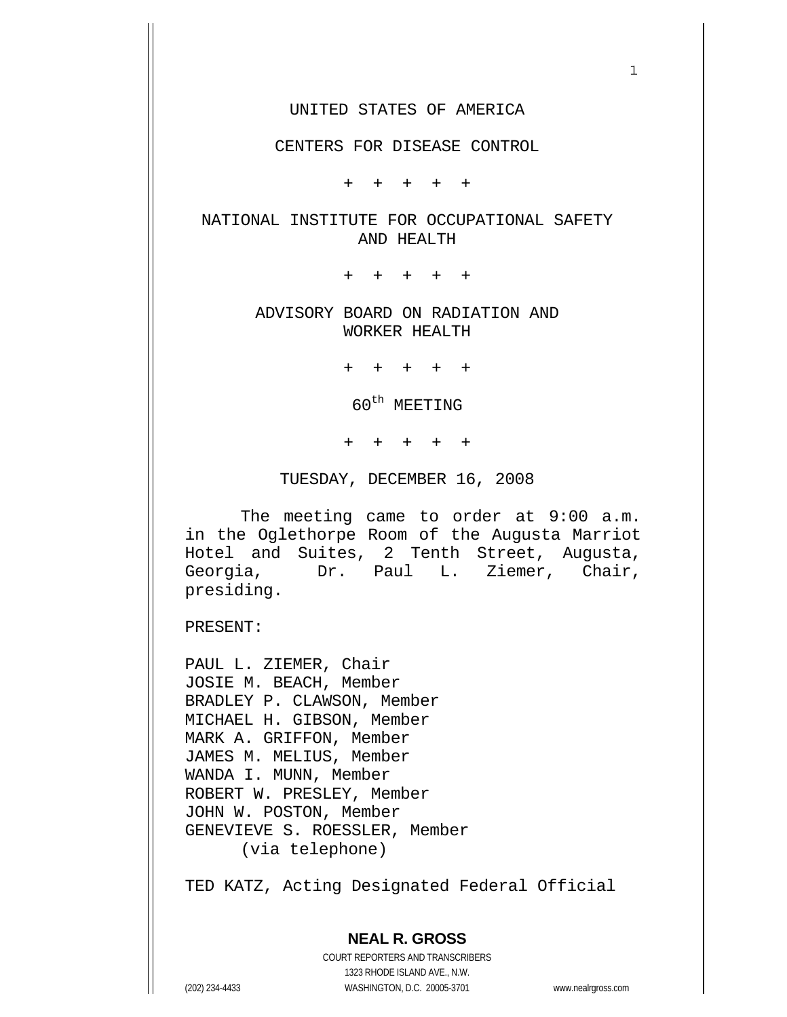#### UNITED STATES OF AMERICA

 $1$ 

#### CENTERS FOR DISEASE CONTROL

+ + + + +

#### NATIONAL INSTITUTE FOR OCCUPATIONAL SAFETY AND HEALTH

+ + + + +

#### ADVISORY BOARD ON RADIATION AND WORKER HEALTH

+ + + + +

 $60^{\text{th}}$  MEETING

+ + + + +

TUESDAY, DECEMBER 16, 2008

 The meeting came to order at 9:00 a.m. in the Oglethorpe Room of the Augusta Marriot Hotel and Suites, 2 Tenth Street, Augusta, Georgia, Dr. Paul L. Ziemer, Chair, presiding.

PRESENT:

PAUL L. ZIEMER, Chair JOSIE M. BEACH, Member BRADLEY P. CLAWSON, Member MICHAEL H. GIBSON, Member MARK A. GRIFFON, Member JAMES M. MELIUS, Member WANDA I. MUNN, Member ROBERT W. PRESLEY, Member JOHN W. POSTON, Member GENEVIEVE S. ROESSLER, Member (via telephone)

TED KATZ, Acting Designated Federal Official

# **NEAL R. GROSS**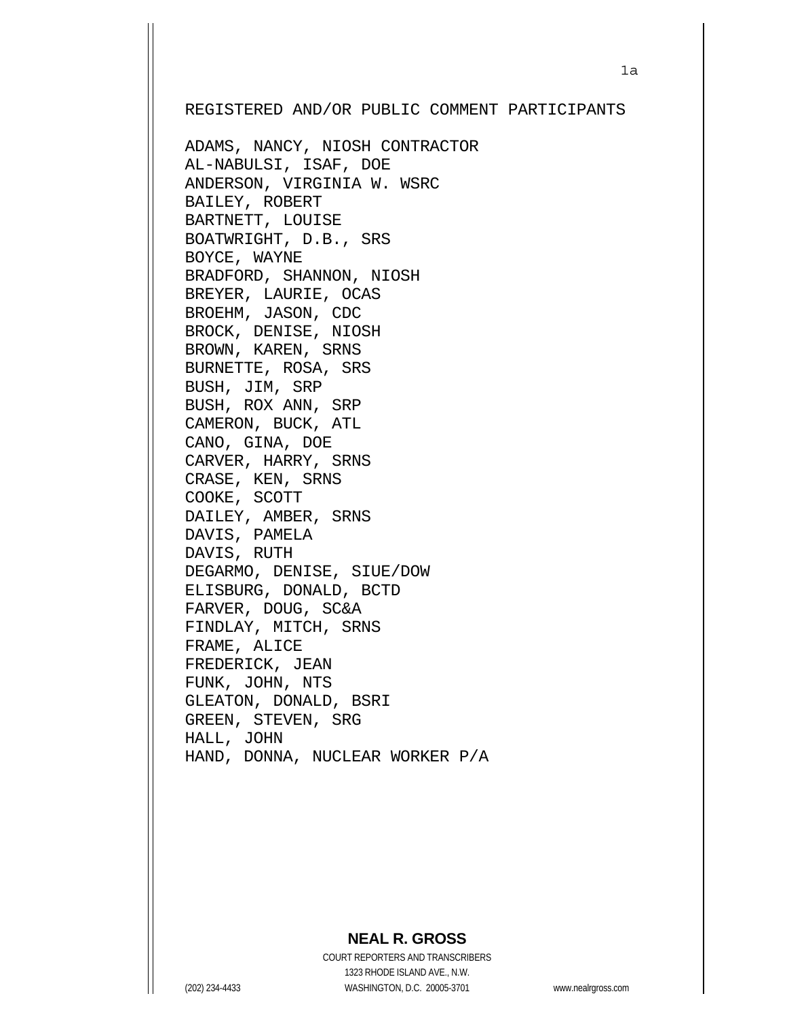REGISTERED AND/OR PUBLIC COMMENT PARTICIPANTS

ADAMS, NANCY, NIOSH CONTRACTOR AL-NABULSI, ISAF, DOE ANDERSON, VIRGINIA W. WSRC BAILEY, ROBERT BARTNETT, LOUISE BOATWRIGHT, D.B., SRS BOYCE, WAYNE BRADFORD, SHANNON, NIOSH BREYER, LAURIE, OCAS BROEHM, JASON, CDC BROCK, DENISE, NIOSH BROWN, KAREN, SRNS BURNETTE, ROSA, SRS BUSH, JIM, SRP BUSH, ROX ANN, SRP CAMERON, BUCK, ATL CANO, GINA, DOE CARVER, HARRY, SRNS CRASE, KEN, SRNS COOKE, SCOTT DAILEY, AMBER, SRNS DAVIS, PAMELA DAVIS, RUTH DEGARMO, DENISE, SIUE/DOW ELISBURG, DONALD, BCTD FARVER, DOUG, SC&A FINDLAY, MITCH, SRNS FRAME, ALICE FREDERICK, JEAN FUNK, JOHN, NTS GLEATON, DONALD, BSRI GREEN, STEVEN, SRG HALL, JOHN HAND, DONNA, NUCLEAR WORKER P/A

## **NEAL R. GROSS**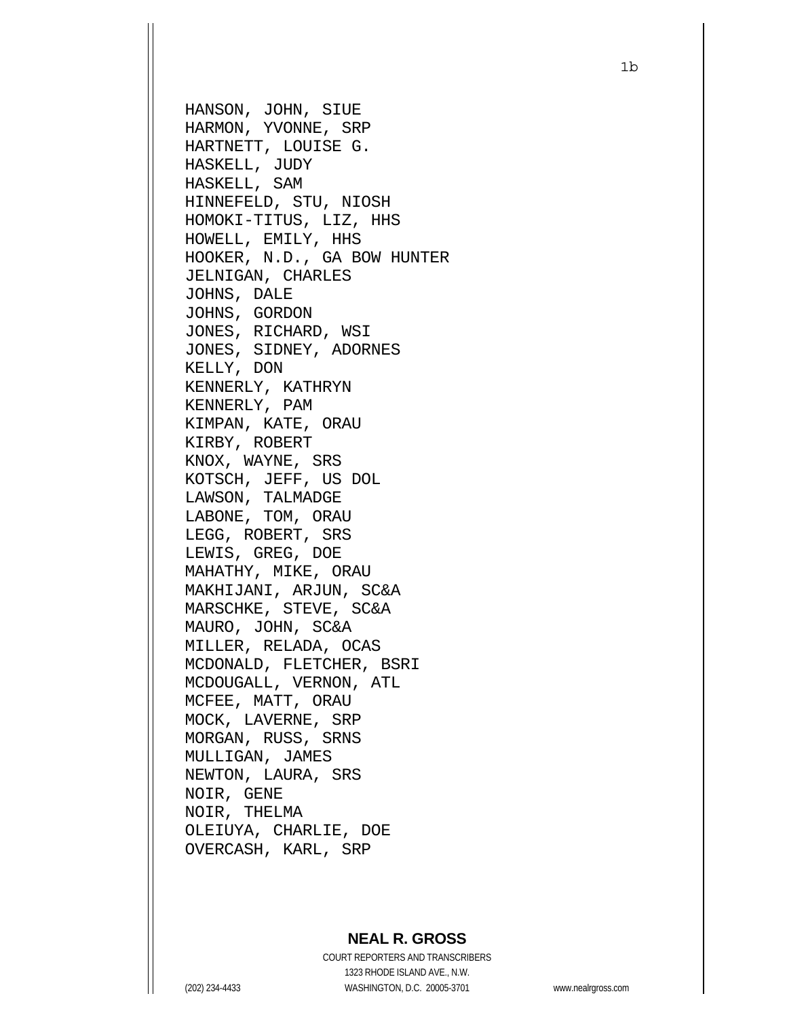HANSON, JOHN, SIUE HARMON, YVONNE, SRP HARTNETT, LOUISE G. HASKELL, JUDY HASKELL, SAM HINNEFELD, STU, NIOSH HOMOKI-TITUS, LIZ, HHS HOWELL, EMILY, HHS HOOKER, N.D., GA BOW HUNTER JELNIGAN, CHARLES JOHNS, DALE JOHNS, GORDON JONES, RICHARD, WSI JONES, SIDNEY, ADORNES KELLY, DON KENNERLY, KATHRYN KENNERLY, PAM KIMPAN, KATE, ORAU KIRBY, ROBERT KNOX, WAYNE, SRS KOTSCH, JEFF, US DOL LAWSON, TALMADGE LABONE, TOM, ORAU LEGG, ROBERT, SRS LEWIS, GREG, DOE MAHATHY, MIKE, ORAU MAKHIJANI, ARJUN, SC&A MARSCHKE, STEVE, SC&A MAURO, JOHN, SC&A MILLER, RELADA, OCAS MCDONALD, FLETCHER, BSRI MCDOUGALL, VERNON, ATL MCFEE, MATT, ORAU MOCK, LAVERNE, SRP MORGAN, RUSS, SRNS MULLIGAN, JAMES NEWTON, LAURA, SRS NOIR, GENE NOIR, THELMA OLEIUYA, CHARLIE, DOE OVERCASH, KARL, SRP

## **NEAL R. GROSS**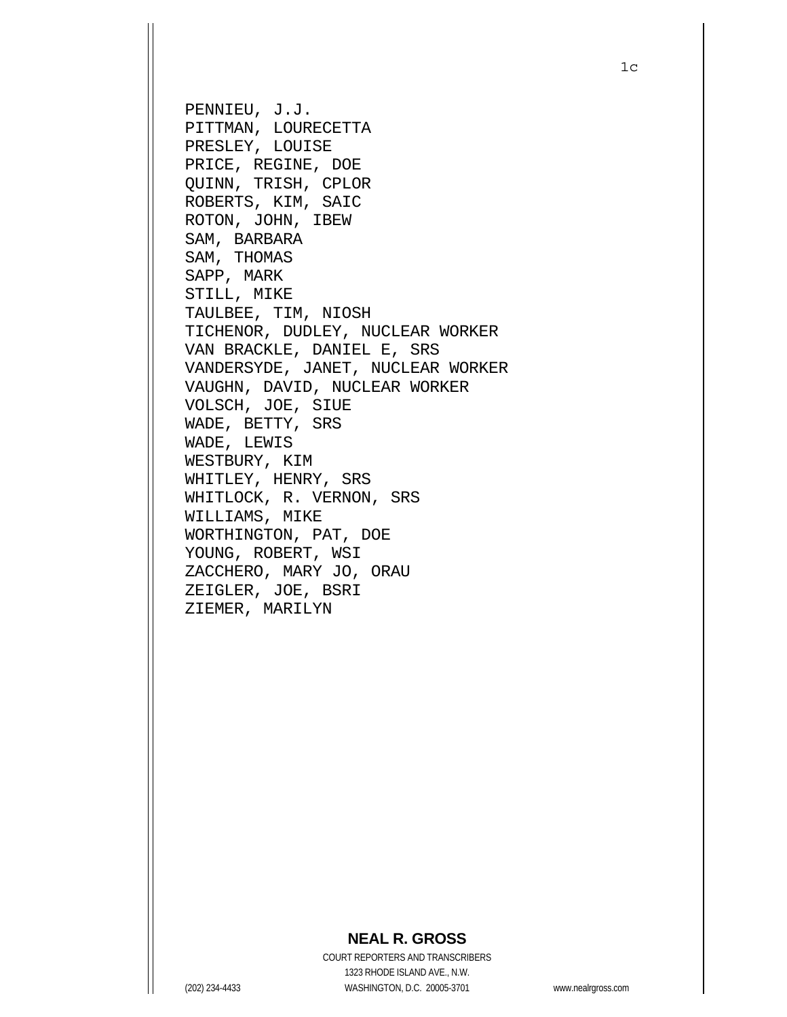PENNIEU, J.J. PITTMAN, LOURECETTA PRESLEY, LOUISE PRICE, REGINE, DOE QUINN, TRISH, CPLOR ROBERTS, KIM, SAIC ROTON, JOHN, IBEW SAM, BARBARA SAM, THOMAS SAPP, MARK STILL, MIKE TAULBEE, TIM, NIOSH TICHENOR, DUDLEY, NUCLEAR WORKER VAN BRACKLE, DANIEL E, SRS VANDERSYDE, JANET, NUCLEAR WORKER VAUGHN, DAVID, NUCLEAR WORKER VOLSCH, JOE, SIUE WADE, BETTY, SRS WADE, LEWIS WESTBURY, KIM WHITLEY, HENRY, SRS WHITLOCK, R. VERNON, SRS WILLIAMS, MIKE WORTHINGTON, PAT, DOE YOUNG, ROBERT, WSI ZACCHERO, MARY JO, ORAU ZEIGLER, JOE, BSRI ZIEMER, MARILYN

## **NEAL R. GROSS**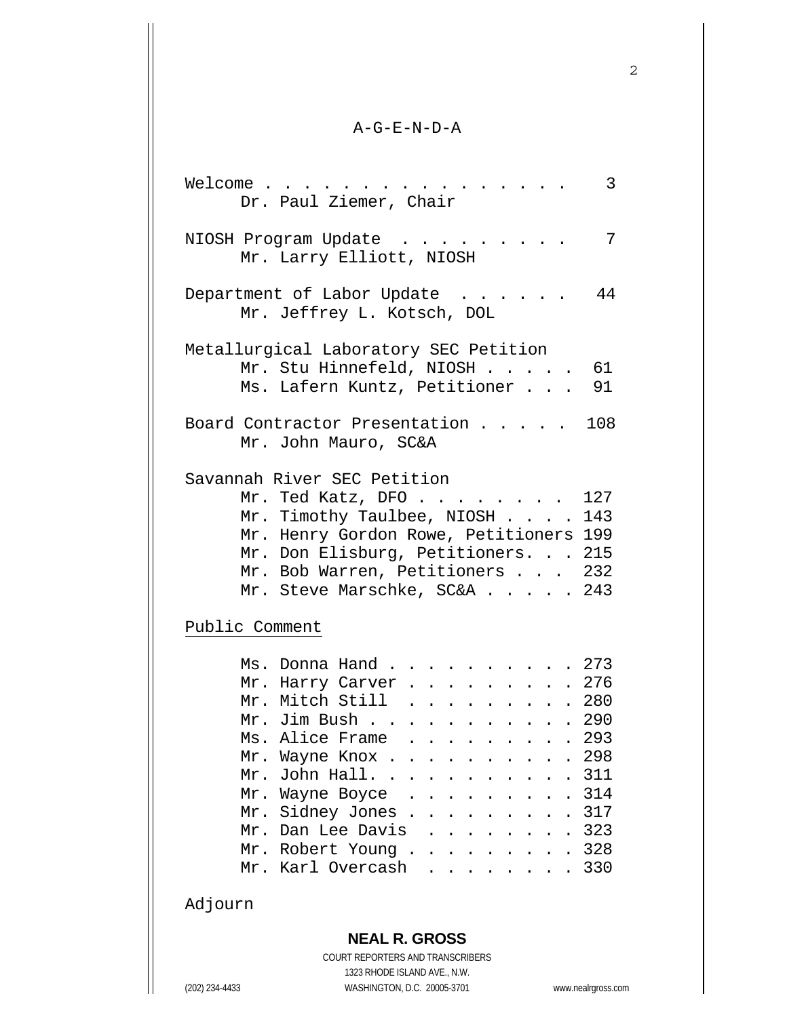#### A-G-E-N-D-A

2

| 3<br>Welcome<br>Dr. Paul Ziemer, Chair                                                                                                                                                                                                                                                                                                                                                                                |
|-----------------------------------------------------------------------------------------------------------------------------------------------------------------------------------------------------------------------------------------------------------------------------------------------------------------------------------------------------------------------------------------------------------------------|
| 7<br>NIOSH Program Update<br>Mr. Larry Elliott, NIOSH                                                                                                                                                                                                                                                                                                                                                                 |
| 44<br>Department of Labor Update<br>Mr. Jeffrey L. Kotsch, DOL                                                                                                                                                                                                                                                                                                                                                        |
| Metallurgical Laboratory SEC Petition<br>Mr. Stu Hinnefeld, NIOSH 61<br>Ms. Lafern Kuntz, Petitioner<br>91                                                                                                                                                                                                                                                                                                            |
| 108<br>Board Contractor Presentation<br>Mr. John Mauro, SC&A                                                                                                                                                                                                                                                                                                                                                          |
| Savannah River SEC Petition<br>Mr. Ted Katz, DFO<br>127<br>Mr. Timothy Taulbee, NIOSH 143<br>Mr. Henry Gordon Rowe, Petitioners<br>199<br>Mr. Don Elisburg, Petitioners. 215<br>Mr. Bob Warren, Petitioners 232<br>243<br>Mr. Steve Marschke, SC&A<br>Public Comment                                                                                                                                                  |
| .273<br>Ms. Donna Hand<br>. 276<br>Mr. Harry Carver<br>Mr. Mitch Still 280<br>Mr. Jim Bush 290<br>Ms. Alice Frame 293<br>298<br>Mr. Wayne Knox .<br>311<br>John Hall. .<br>Mr.<br>314<br>Mr. Wayne Boyce<br>317<br>Mr. Sidney Jones .<br>$\ddot{\phantom{a}}$<br>.323<br>Mr. Dan Lee Davis<br>$\sim$ $\sim$<br>328<br>Mr. Robert Young<br>$\sim 100$ km s $^{-1}$<br>$\ddot{\phantom{0}}$<br>330<br>Mr. Karl Overcash |

## Adjourn

## **NEAL R. GROSS**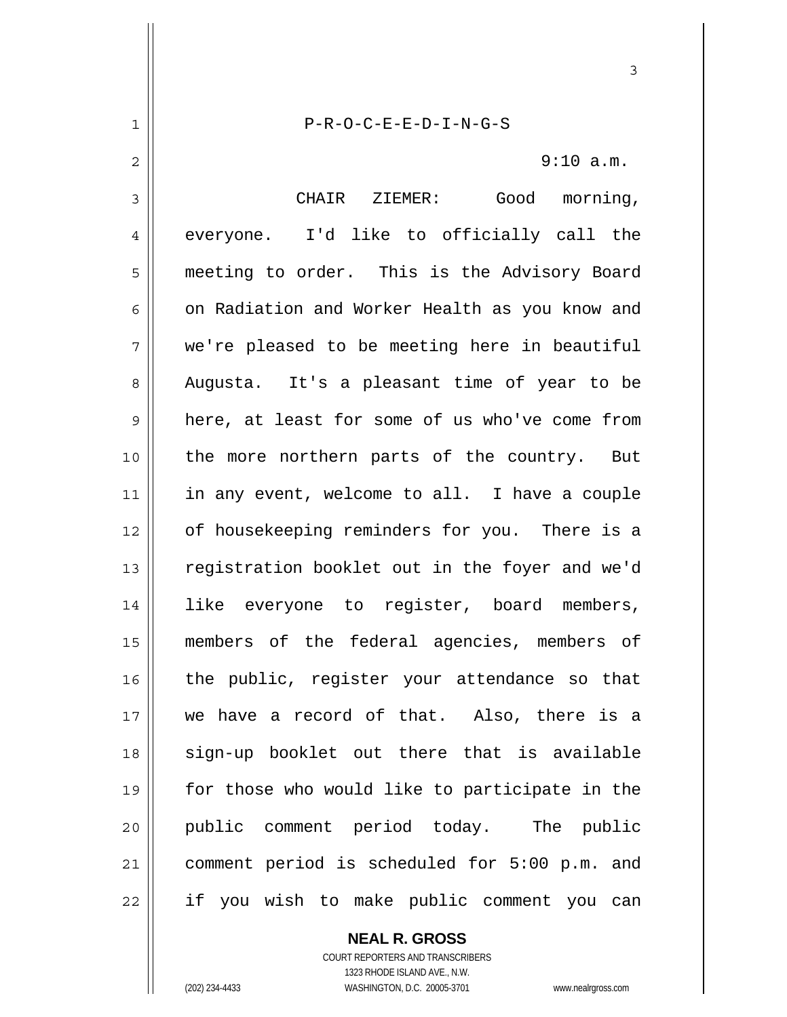P-R-O-C-E-E-D-I-N-G-S

3

9:10 a.m.

3 4 5 6 7 8 9 10 11 12 13 14 15 16 17 18 19 20 21 22 CHAIR ZIEMER: Good morning, everyone. I'd like to officially call the meeting to order. This is the Advisory Board on Radiation and Worker Health as you know and we're pleased to be meeting here in beautiful Augusta. It's a pleasant time of year to be here, at least for some of us who've come from the more northern parts of the country. But in any event, welcome to all. I have a couple of housekeeping reminders for you. There is a registration booklet out in the foyer and we'd like everyone to register, board members, members of the federal agencies, members of the public, register your attendance so that we have a record of that. Also, there is a sign-up booklet out there that is available for those who would like to participate in the public comment period today. The public comment period is scheduled for 5:00 p.m. and if you wish to make public comment you can

> **NEAL R. GROSS** COURT REPORTERS AND TRANSCRIBERS

> > 1323 RHODE ISLAND AVE., N.W.

1

2

(202) 234-4433 WASHINGTON, D.C. 20005-3701 www.nealrgross.com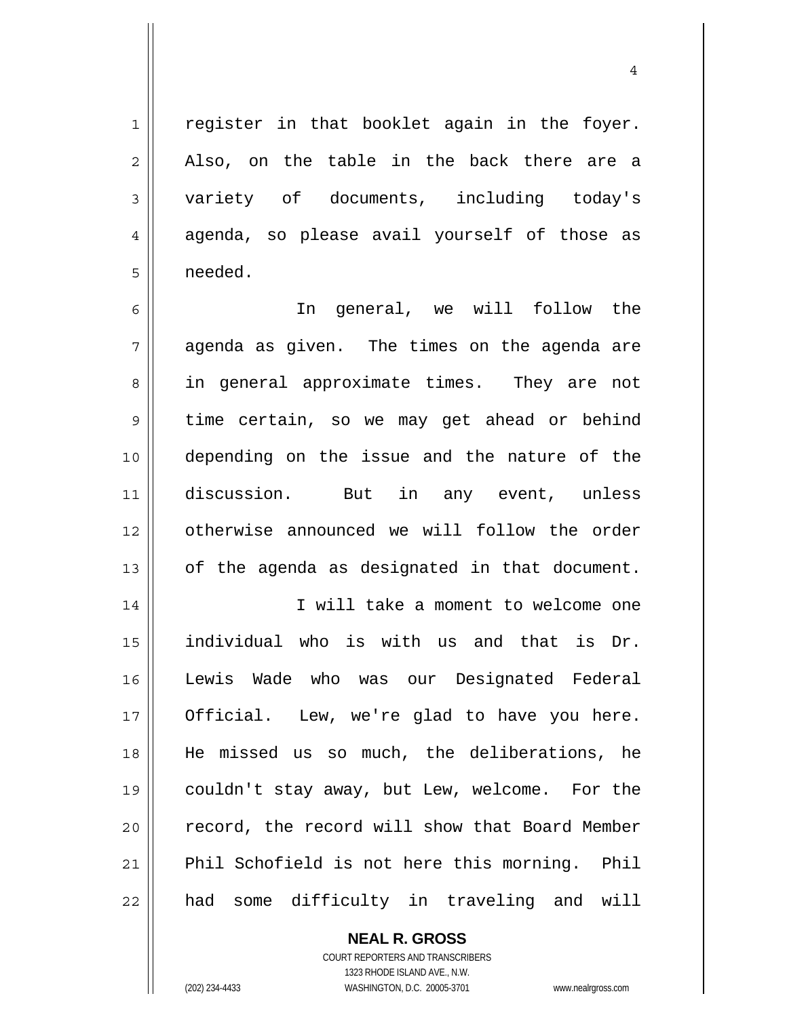register in that booklet again in the foyer. Also, on the table in the back there are a variety of documents, including today's agenda, so please avail yourself of those as needed.

4

6 7 8 9 10 11 12 13 In general, we will follow the agenda as given. The times on the agenda are in general approximate times. They are not time certain, so we may get ahead or behind depending on the issue and the nature of the discussion. But in any event, unless otherwise announced we will follow the order of the agenda as designated in that document.

14 15 16 17 18 19 20 21 22 I will take a moment to welcome one individual who is with us and that is Dr. Lewis Wade who was our Designated Federal Official. Lew, we're glad to have you here. He missed us so much, the deliberations, he couldn't stay away, but Lew, welcome. For the record, the record will show that Board Member Phil Schofield is not here this morning. Phil had some difficulty in traveling and will

> **NEAL R. GROSS** COURT REPORTERS AND TRANSCRIBERS 1323 RHODE ISLAND AVE., N.W. (202) 234-4433 WASHINGTON, D.C. 20005-3701 www.nealrgross.com

1

2

3

4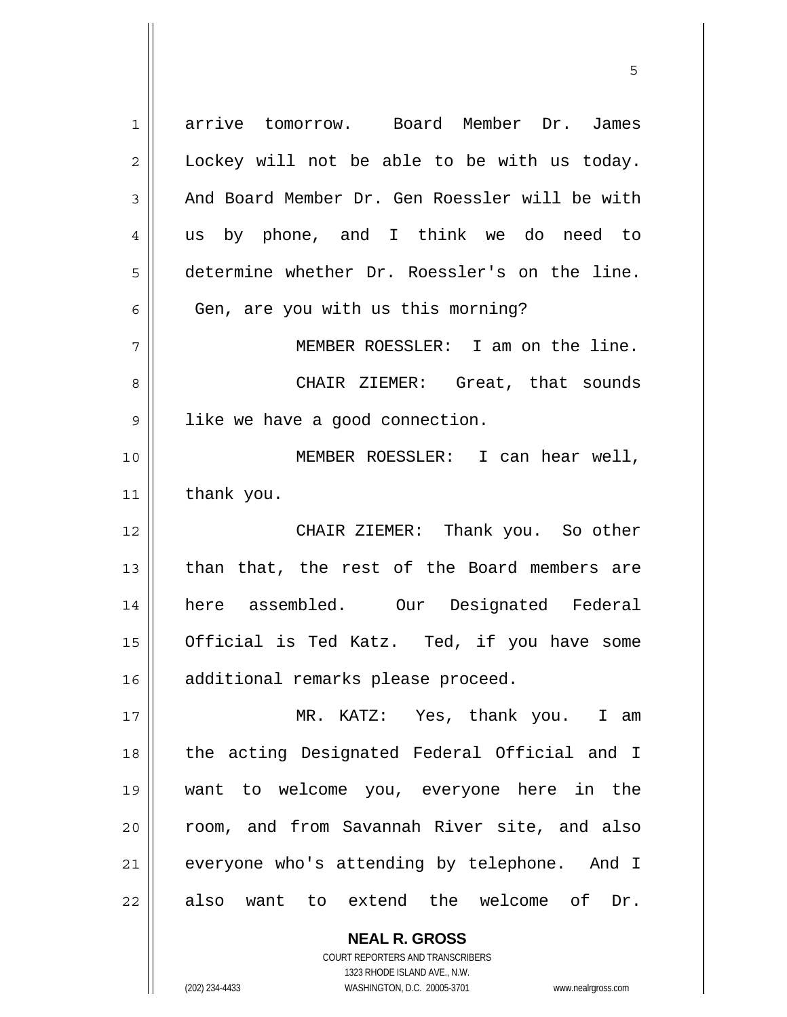| 1                          | arrive tomorrow. Board Member Dr. James        |
|----------------------------|------------------------------------------------|
| 2                          | Lockey will not be able to be with us today.   |
| 3                          | And Board Member Dr. Gen Roessler will be with |
| 4                          | us by phone, and I think we do need to         |
| 5                          | determine whether Dr. Roessler's on the line.  |
| 6                          | Gen, are you with us this morning?             |
| 7                          | MEMBER ROESSLER: I am on the line.             |
| 8                          | CHAIR ZIEMER: Great, that sounds               |
| 9                          | like we have a good connection.                |
| 10                         | MEMBER ROESSLER: I can hear well,              |
| 11                         | thank you.                                     |
|                            |                                                |
| 12                         | CHAIR ZIEMER: Thank you. So other              |
|                            | than that, the rest of the Board members are   |
| 13<br>14                   | here assembled. Our Designated Federal         |
|                            | Official is Ted Katz. Ted, if you have some    |
|                            | additional remarks please proceed.             |
|                            | MR. KATZ: Yes, thank you.<br>I am              |
|                            | the acting Designated Federal Official and I   |
| 15<br>16<br>17<br>18<br>19 | want to welcome you, everyone here in the      |
| 20                         | room, and from Savannah River site, and also   |
| 21                         | everyone who's attending by telephone. And I   |

 $\sim$  5  $\sim$  5  $\sim$  5  $\sim$  5  $\sim$  5  $\sim$  5  $\sim$  5  $\sim$  5  $\sim$  5  $\sim$  5  $\sim$  5  $\sim$  5  $\sim$  5  $\sim$  5  $\sim$  5  $\sim$  5  $\sim$  5  $\sim$  5  $\sim$  5  $\sim$  5  $\sim$  5  $\sim$  5  $\sim$  5  $\sim$  5  $\sim$  5  $\sim$  5  $\sim$  5  $\sim$  5  $\sim$  5  $\sim$  5  $\sim$  5  $\sim$ 

**NEAL R. GROSS** COURT REPORTERS AND TRANSCRIBERS

 $\mathsf{I}$ 

1323 RHODE ISLAND AVE., N.W. (202) 234-4433 WASHINGTON, D.C. 20005-3701 www.nealrgross.com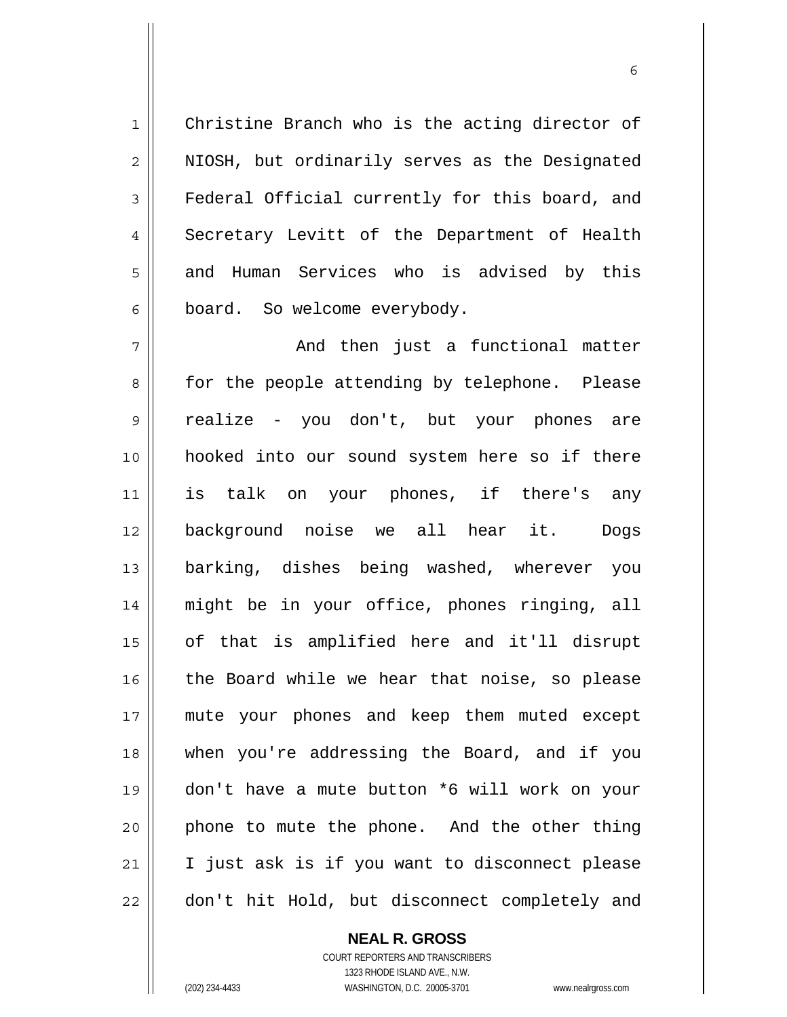Christine Branch who is the acting director of NIOSH, but ordinarily serves as the Designated Federal Official currently for this board, and Secretary Levitt of the Department of Health and Human Services who is advised by this board. So welcome everybody.

 $\sim$  6

7 8 9 10 11 12 13 14 15 16 17 18 19 20 21 22 And then just a functional matter for the people attending by telephone. Please realize - you don't, but your phones are hooked into our sound system here so if there is talk on your phones, if there's any background noise we all hear it. Dogs barking, dishes being washed, wherever you might be in your office, phones ringing, all of that is amplified here and it'll disrupt the Board while we hear that noise, so please mute your phones and keep them muted except when you're addressing the Board, and if you don't have a mute button \*6 will work on your phone to mute the phone. And the other thing I just ask is if you want to disconnect please don't hit Hold, but disconnect completely and

> **NEAL R. GROSS** COURT REPORTERS AND TRANSCRIBERS 1323 RHODE ISLAND AVE., N.W. (202) 234-4433 WASHINGTON, D.C. 20005-3701 www.nealrgross.com

1

2

3

4

5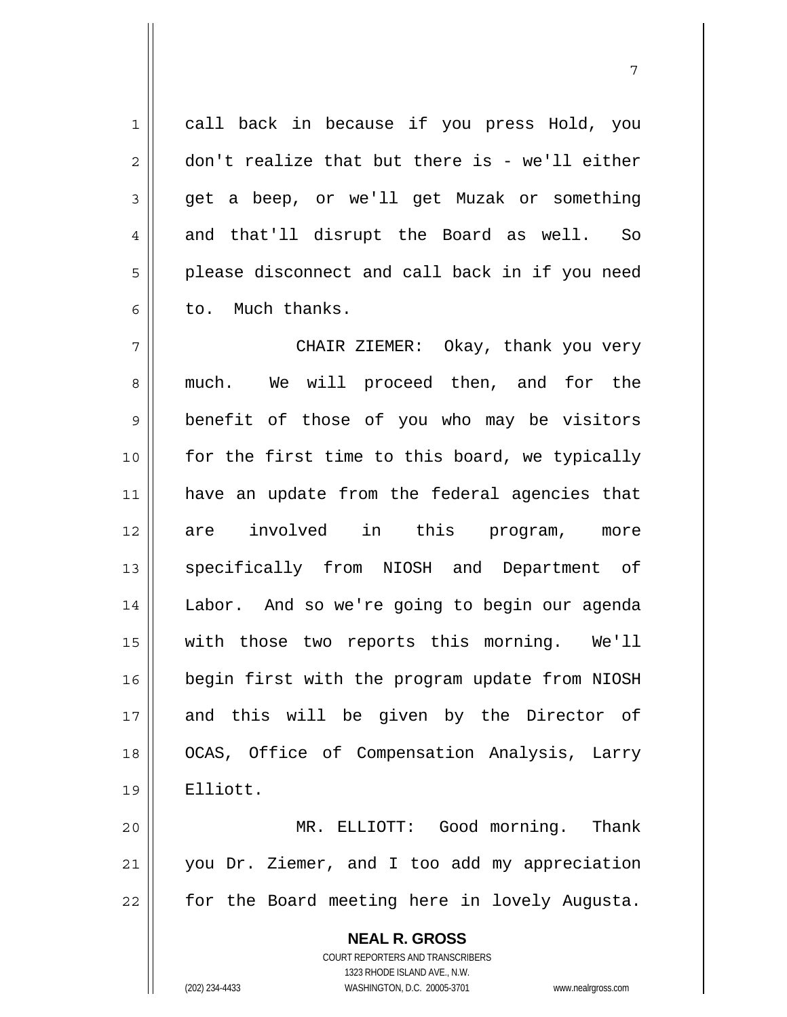call back in because if you press Hold, you don't realize that but there is - we'll either get a beep, or we'll get Muzak or something and that'll disrupt the Board as well. So please disconnect and call back in if you need to. Much thanks.

7

7 8 9 10 11 12 13 14 15 16 17 18 19 CHAIR ZIEMER: Okay, thank you very much. We will proceed then, and for the benefit of those of you who may be visitors for the first time to this board, we typically have an update from the federal agencies that are involved in this program, more specifically from NIOSH and Department of Labor. And so we're going to begin our agenda with those two reports this morning. We'll begin first with the program update from NIOSH and this will be given by the Director of OCAS, Office of Compensation Analysis, Larry Elliott.

20 21 22 MR. ELLIOTT: Good morning. Thank you Dr. Ziemer, and I too add my appreciation for the Board meeting here in lovely Augusta.

> **NEAL R. GROSS** COURT REPORTERS AND TRANSCRIBERS 1323 RHODE ISLAND AVE., N.W. (202) 234-4433 WASHINGTON, D.C. 20005-3701 www.nealrgross.com

1

2

3

4

5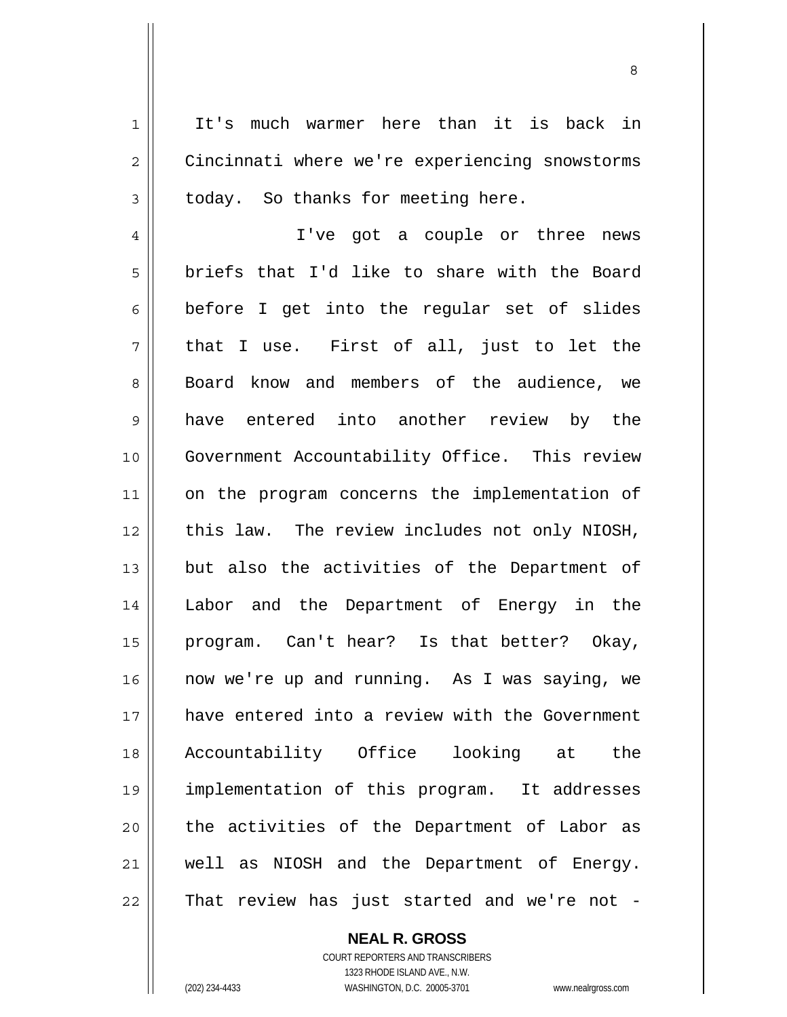It's much warmer here than it is back in Cincinnati where we're experiencing snowstorms today. So thanks for meeting here.

4 5 6 7 8 9 10 11 12 13 14 15 16 17 18 19 20 21 22 I've got a couple or three news briefs that I'd like to share with the Board before I get into the regular set of slides that I use. First of all, just to let the Board know and members of the audience, we have entered into another review by the Government Accountability Office. This review on the program concerns the implementation of this law. The review includes not only NIOSH, but also the activities of the Department of Labor and the Department of Energy in the program. Can't hear? Is that better? Okay, now we're up and running. As I was saying, we have entered into a review with the Government Accountability Office looking at the implementation of this program. It addresses the activities of the Department of Labor as well as NIOSH and the Department of Energy. That review has just started and we're not -

**NEAL R. GROSS**

COURT REPORTERS AND TRANSCRIBERS 1323 RHODE ISLAND AVE., N.W. (202) 234-4433 WASHINGTON, D.C. 20005-3701 www.nealrgross.com

1

2

3

<u>83 - Santa Carlos de Santa Carlos de Santa Carlos de Santa Carlos de Santa Carlos de Santa Carlos de Santa Ca</u>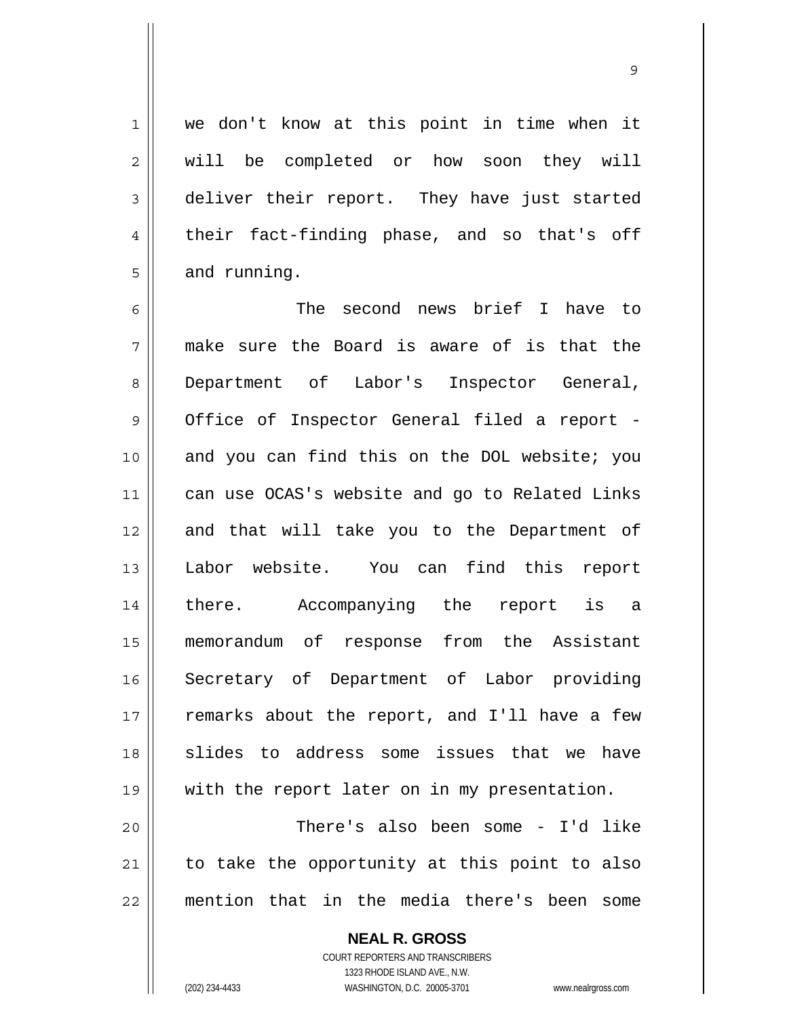we don't know at this point in time when it will be completed or how soon they will deliver their report. They have just started their fact-finding phase, and so that's off and running.

6 7 8 9 10 11 12 13 14 15 16 17 18 19 20 21 The second news brief I have to make sure the Board is aware of is that the Department of Labor's Inspector General, Office of Inspector General filed a report and you can find this on the DOL website; you can use OCAS's website and go to Related Links and that will take you to the Department of Labor website. You can find this report there. Accompanying the report is a memorandum of response from the Assistant Secretary of Department of Labor providing remarks about the report, and I'll have a few slides to address some issues that we have with the report later on in my presentation. There's also been some - I'd like

22 to take the opportunity at this point to also mention that in the media there's been some

> **NEAL R. GROSS** COURT REPORTERS AND TRANSCRIBERS 1323 RHODE ISLAND AVE., N.W. (202) 234-4433 WASHINGTON, D.C. 20005-3701 www.nealrgross.com

1

2

3

4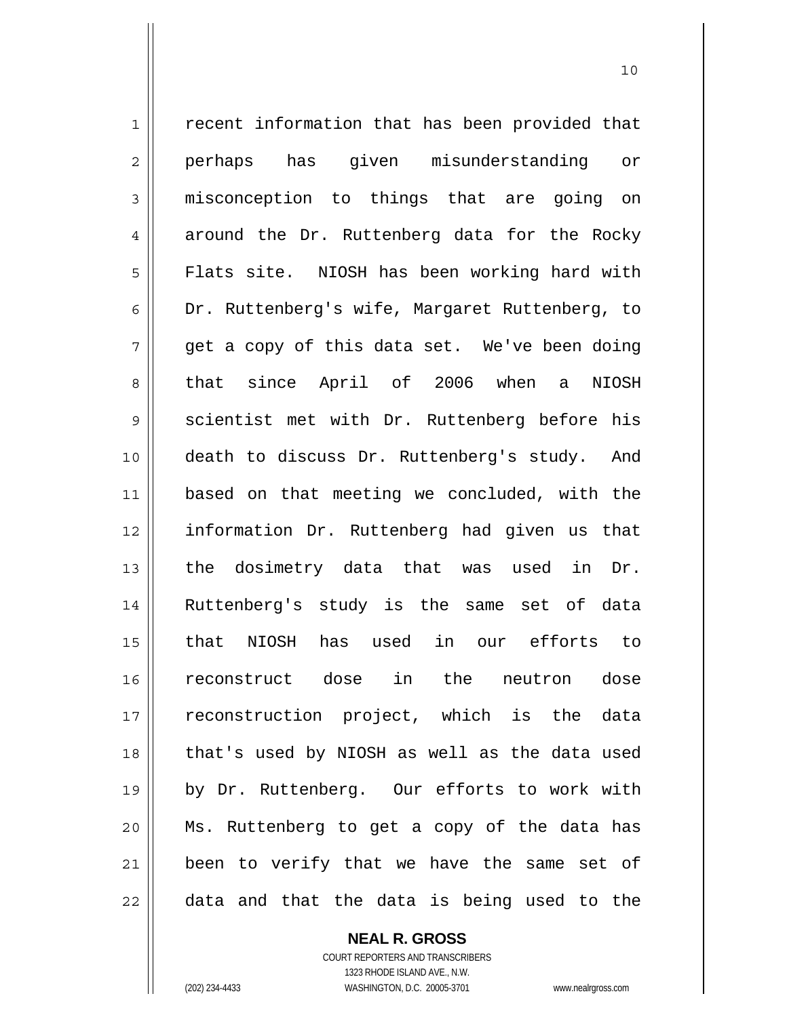1 2 3 4 5 6 7 8 9 10 11 12 13 14 15 16 17 18 19 20 21 22 recent information that has been provided that perhaps has given misunderstanding or misconception to things that are going on around the Dr. Ruttenberg data for the Rocky Flats site. NIOSH has been working hard with Dr. Ruttenberg's wife, Margaret Ruttenberg, to get a copy of this data set. We've been doing that since April of 2006 when a NIOSH scientist met with Dr. Ruttenberg before his death to discuss Dr. Ruttenberg's study. And based on that meeting we concluded, with the information Dr. Ruttenberg had given us that the dosimetry data that was used in Dr. Ruttenberg's study is the same set of data that NIOSH has used in our efforts to reconstruct dose in the neutron dose reconstruction project, which is the data that's used by NIOSH as well as the data used by Dr. Ruttenberg. Our efforts to work with Ms. Ruttenberg to get a copy of the data has been to verify that we have the same set of data and that the data is being used to the

> **NEAL R. GROSS** COURT REPORTERS AND TRANSCRIBERS

> > 1323 RHODE ISLAND AVE., N.W.

(202) 234-4433 WASHINGTON, D.C. 20005-3701 www.nealrgross.com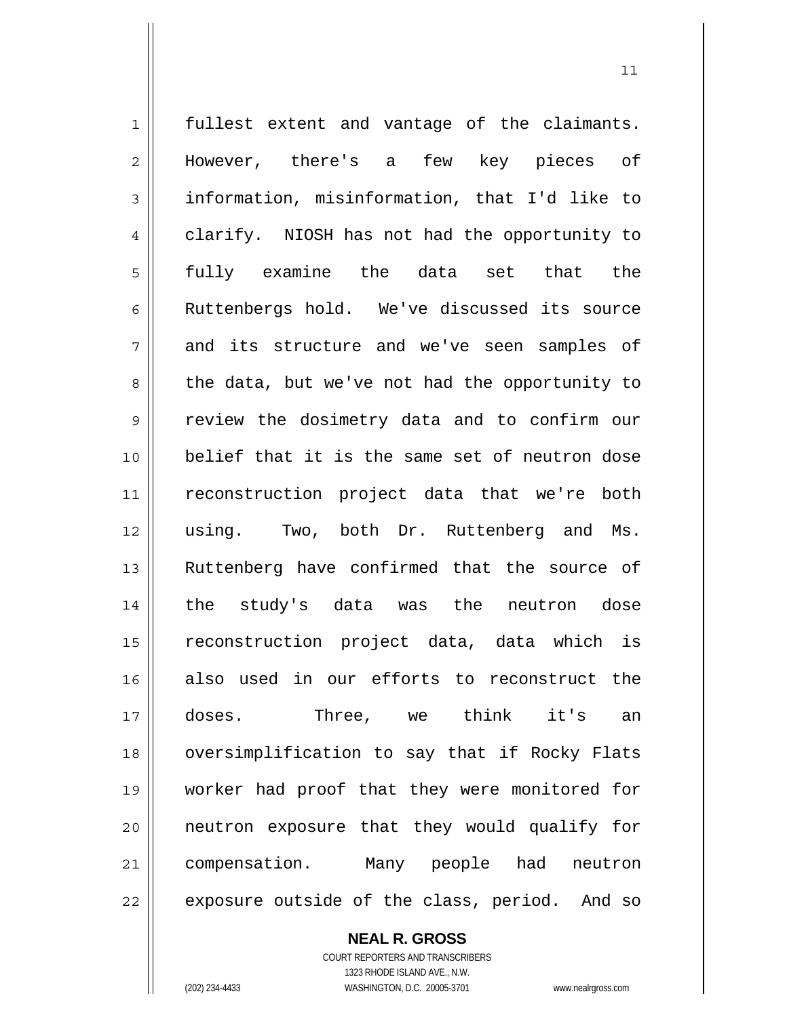1 2 3 4 5 6 7 8 9 10 11 12 13 14 15 16 17 18 19 20 21 22 fullest extent and vantage of the claimants. However, there's a few key pieces of information, misinformation, that I'd like to clarify. NIOSH has not had the opportunity to fully examine the data set that the Ruttenbergs hold. We've discussed its source and its structure and we've seen samples of the data, but we've not had the opportunity to review the dosimetry data and to confirm our belief that it is the same set of neutron dose reconstruction project data that we're both using. Two, both Dr. Ruttenberg and Ms. Ruttenberg have confirmed that the source of the study's data was the neutron dose reconstruction project data, data which is also used in our efforts to reconstruct the doses. Three, we think it's an oversimplification to say that if Rocky Flats worker had proof that they were monitored for neutron exposure that they would qualify for compensation. Many people had neutron exposure outside of the class, period. And so

#### **NEAL R. GROSS**

COURT REPORTERS AND TRANSCRIBERS 1323 RHODE ISLAND AVE., N.W. (202) 234-4433 WASHINGTON, D.C. 20005-3701 www.nealrgross.com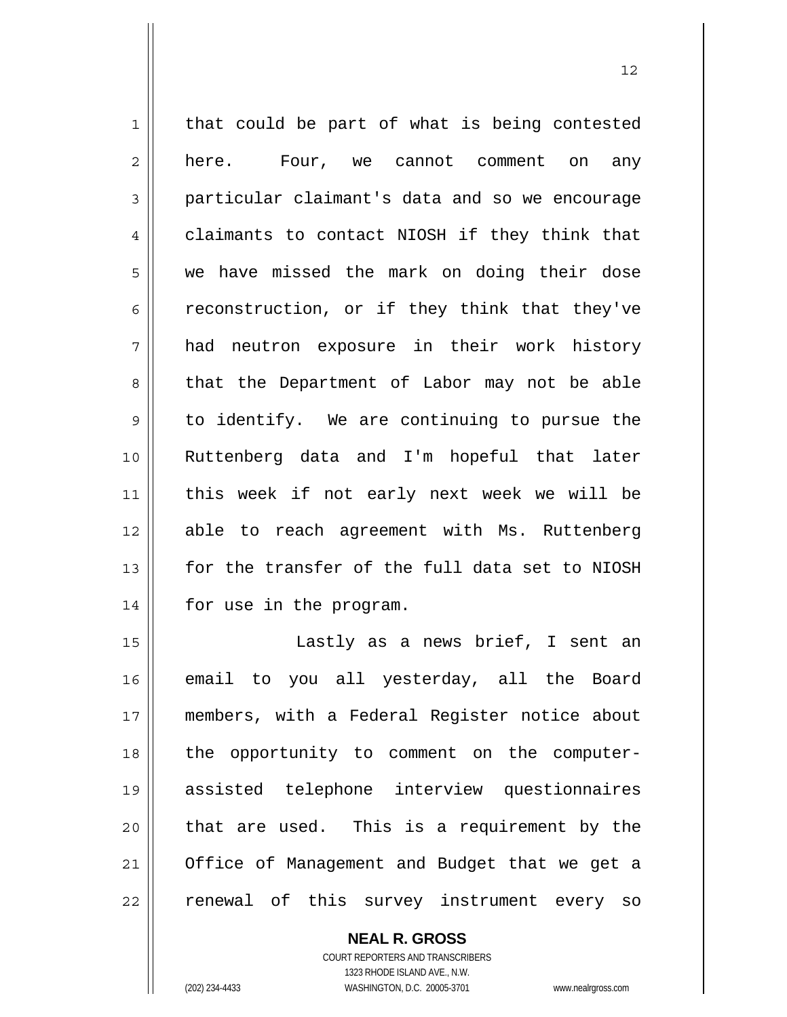1 2 3 4 5 6 7 8 9 10 11 12 13 14 that could be part of what is being contested here. Four, we cannot comment on any particular claimant's data and so we encourage claimants to contact NIOSH if they think that we have missed the mark on doing their dose reconstruction, or if they think that they've had neutron exposure in their work history that the Department of Labor may not be able to identify. We are continuing to pursue the Ruttenberg data and I'm hopeful that later this week if not early next week we will be able to reach agreement with Ms. Ruttenberg for the transfer of the full data set to NIOSH for use in the program.

15 16 17 18 19 20 21 22 Lastly as a news brief, I sent an email to you all yesterday, all the Board members, with a Federal Register notice about the opportunity to comment on the computerassisted telephone interview questionnaires that are used. This is a requirement by the Office of Management and Budget that we get a renewal of this survey instrument every so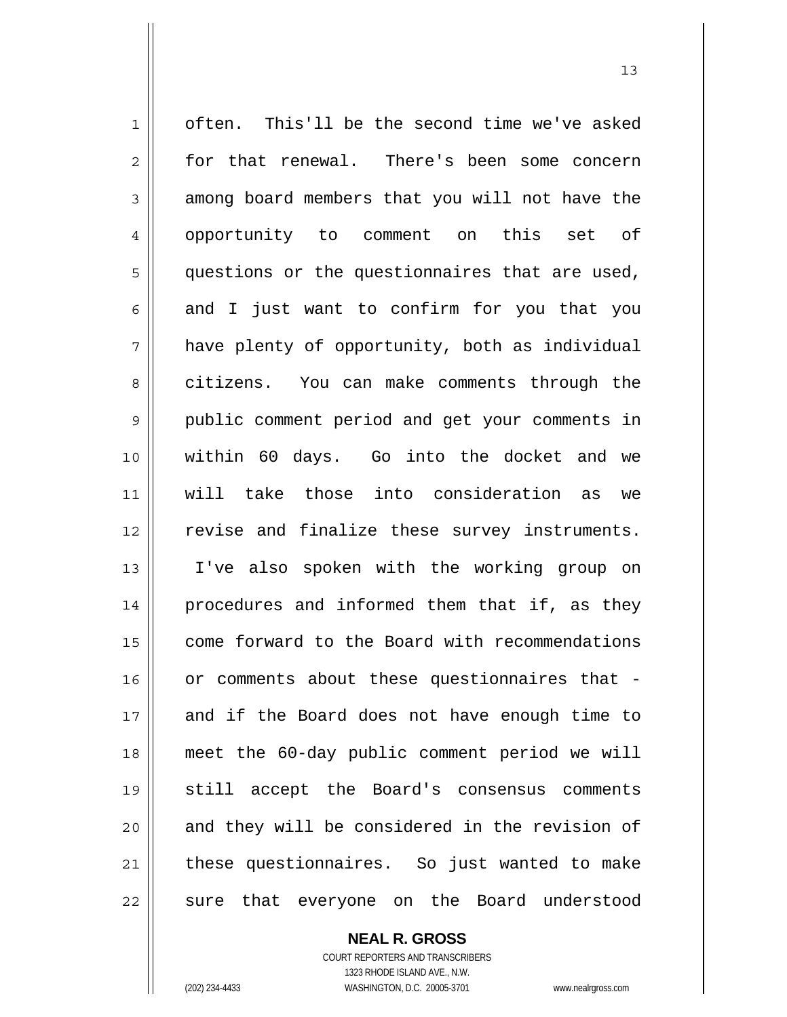1 2 3 4 5 6 7 8 9 10 11 12 13 14 15 16 17 18 19 20 21 22 often. This'll be the second time we've asked for that renewal. There's been some concern among board members that you will not have the opportunity to comment on this set of questions or the questionnaires that are used, and I just want to confirm for you that you have plenty of opportunity, both as individual citizens. You can make comments through the public comment period and get your comments in within 60 days. Go into the docket and we will take those into consideration as we revise and finalize these survey instruments. I've also spoken with the working group on procedures and informed them that if, as they come forward to the Board with recommendations or comments about these questionnaires that and if the Board does not have enough time to meet the 60-day public comment period we will still accept the Board's consensus comments and they will be considered in the revision of these questionnaires. So just wanted to make sure that everyone on the Board understood

13

COURT REPORTERS AND TRANSCRIBERS 1323 RHODE ISLAND AVE., N.W. (202) 234-4433 WASHINGTON, D.C. 20005-3701 www.nealrgross.com

**NEAL R. GROSS**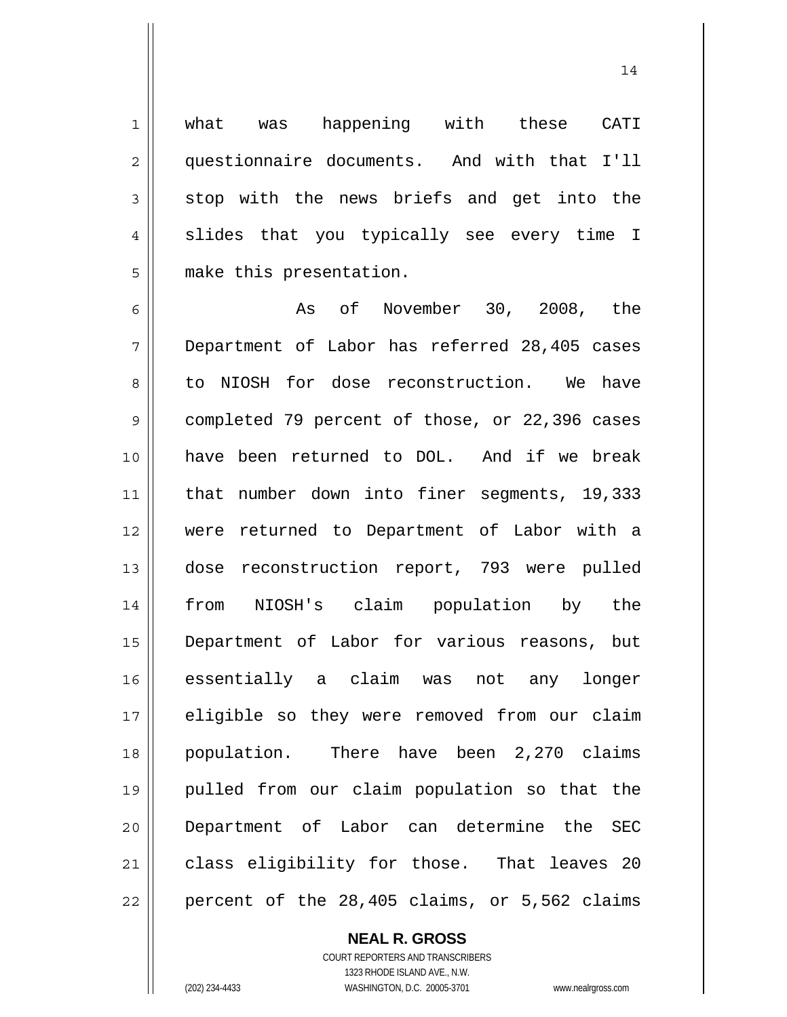what was happening with these CATI questionnaire documents. And with that I'll stop with the news briefs and get into the slides that you typically see every time I make this presentation.

14

6 7 8 9 10 11 12 13 14 15 16 17 18 19 20 21 22 As of November 30, 2008, the Department of Labor has referred 28,405 cases to NIOSH for dose reconstruction. We have completed 79 percent of those, or 22,396 cases have been returned to DOL. And if we break that number down into finer segments, 19,333 were returned to Department of Labor with a dose reconstruction report, 793 were pulled from NIOSH's claim population by the Department of Labor for various reasons, but essentially a claim was not any longer eligible so they were removed from our claim population. There have been 2,270 claims pulled from our claim population so that the Department of Labor can determine the SEC class eligibility for those. That leaves 20 percent of the 28,405 claims, or 5,562 claims

# **NEAL R. GROSS**

1

2

3

4

5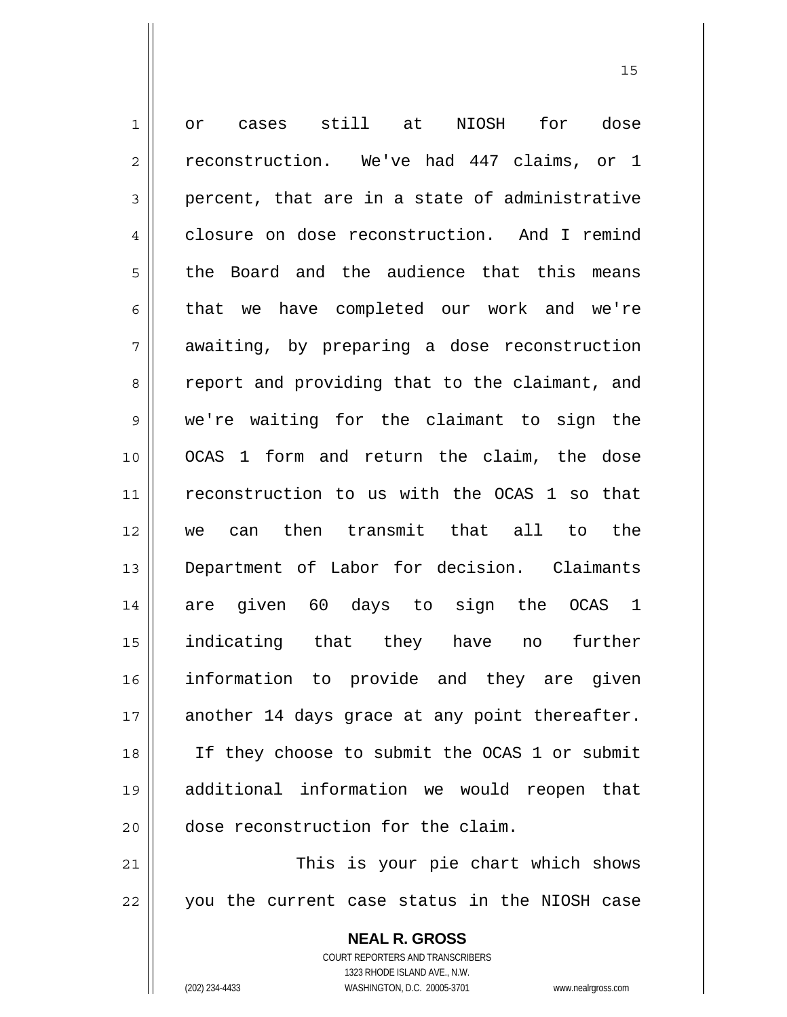1 2 3 4 5 6 7 8 9 10 11 12 13 14 15 16 17 18 19 20 21 or cases still at NIOSH for dose reconstruction. We've had 447 claims, or 1 percent, that are in a state of administrative closure on dose reconstruction. And I remind the Board and the audience that this means that we have completed our work and we're awaiting, by preparing a dose reconstruction report and providing that to the claimant, and we're waiting for the claimant to sign the OCAS 1 form and return the claim, the dose reconstruction to us with the OCAS 1 so that we can then transmit that all to the Department of Labor for decision. Claimants are given 60 days to sign the OCAS 1 indicating that they have no further information to provide and they are given another 14 days grace at any point thereafter. If they choose to submit the OCAS 1 or submit additional information we would reopen that dose reconstruction for the claim. This is your pie chart which shows

22 you the current case status in the NIOSH case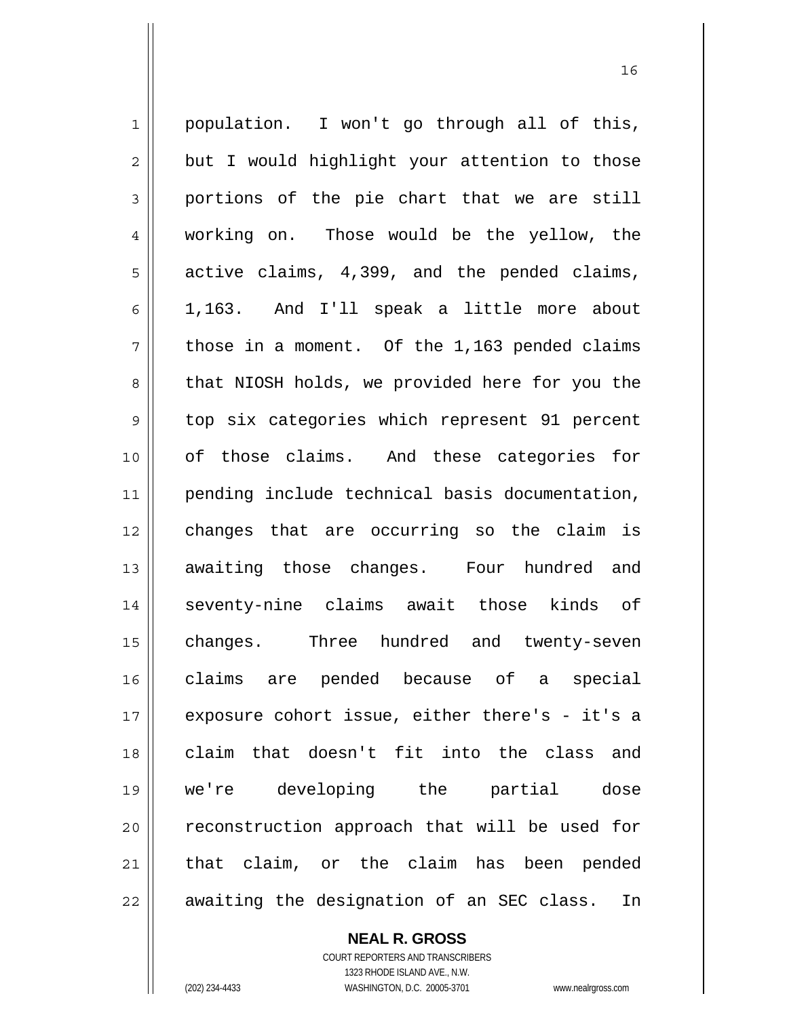1 2 3 4 5 6 7 8 9 10 11 12 13 14 15 16 17 18 19 20 21 22 population. I won't go through all of this, but I would highlight your attention to those portions of the pie chart that we are still working on. Those would be the yellow, the active claims, 4,399, and the pended claims, 1,163. And I'll speak a little more about those in a moment. Of the 1,163 pended claims that NIOSH holds, we provided here for you the top six categories which represent 91 percent of those claims. And these categories for pending include technical basis documentation, changes that are occurring so the claim is awaiting those changes. Four hundred and seventy-nine claims await those kinds of changes. Three hundred and twenty-seven claims are pended because of a special exposure cohort issue, either there's - it's a claim that doesn't fit into the class and we're developing the partial dose reconstruction approach that will be used for that claim, or the claim has been pended awaiting the designation of an SEC class. In

16

**NEAL R. GROSS** COURT REPORTERS AND TRANSCRIBERS

1323 RHODE ISLAND AVE., N.W.

(202) 234-4433 WASHINGTON, D.C. 20005-3701 www.nealrgross.com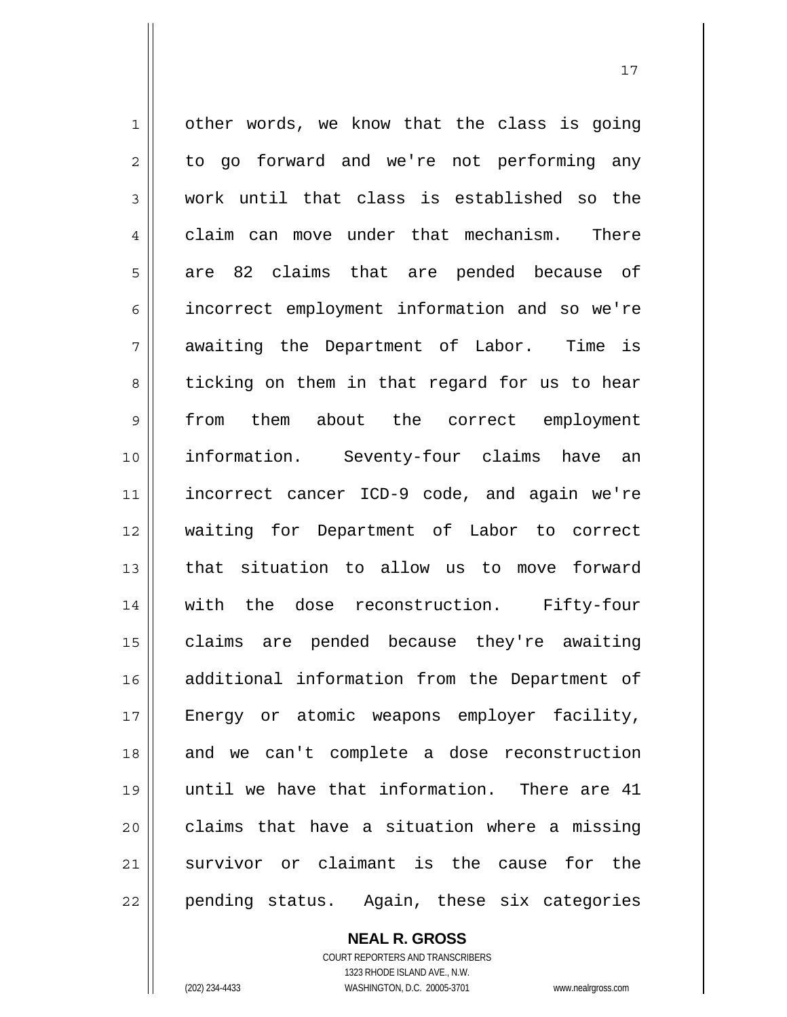1 2 3 4 5 6 7 8 9 10 11 12 13 14 15 16 17 18 19 20 21 22 other words, we know that the class is going to go forward and we're not performing any work until that class is established so the claim can move under that mechanism. There are 82 claims that are pended because of incorrect employment information and so we're awaiting the Department of Labor. Time is ticking on them in that regard for us to hear from them about the correct employment information. Seventy-four claims have an incorrect cancer ICD-9 code, and again we're waiting for Department of Labor to correct that situation to allow us to move forward with the dose reconstruction. Fifty-four claims are pended because they're awaiting additional information from the Department of Energy or atomic weapons employer facility, and we can't complete a dose reconstruction until we have that information. There are 41 claims that have a situation where a missing survivor or claimant is the cause for the pending status. Again, these six categories

> **NEAL R. GROSS** COURT REPORTERS AND TRANSCRIBERS 1323 RHODE ISLAND AVE., N.W.

(202) 234-4433 WASHINGTON, D.C. 20005-3701 www.nealrgross.com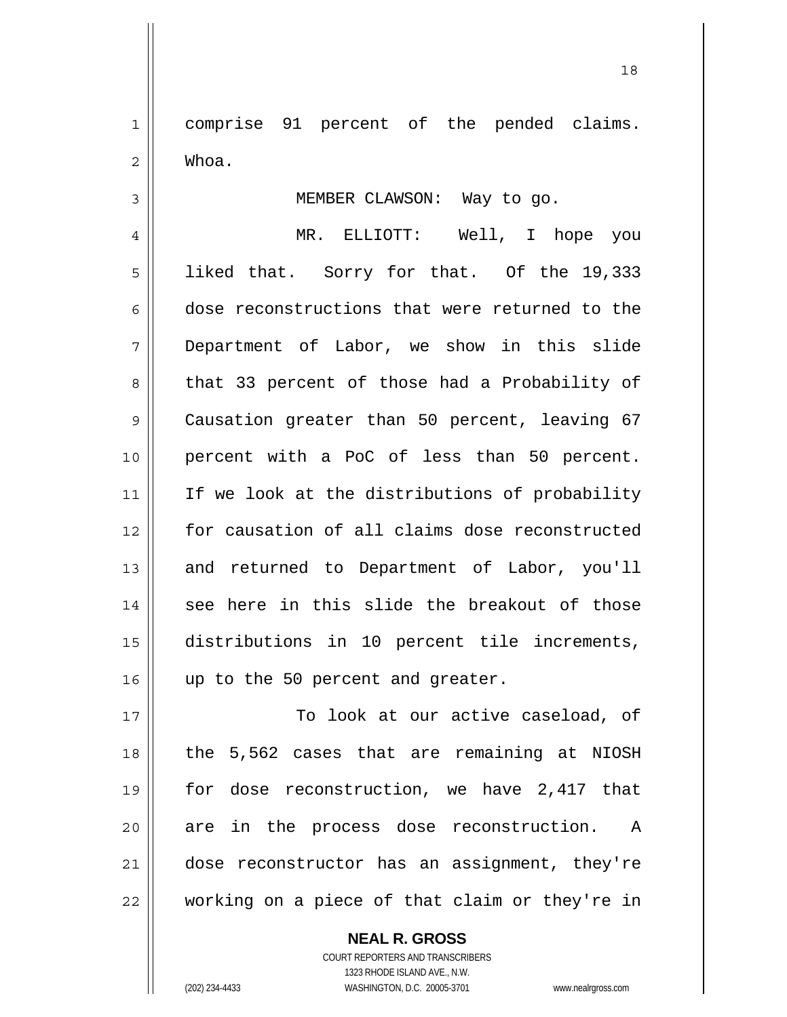1 2 comprise 91 percent of the pended claims. Whoa.

MEMBER CLAWSON: Way to go.

4 5 6 7 8 9 10 11 12 13 14 15 16 MR. ELLIOTT: Well, I hope you liked that. Sorry for that. Of the 19,333 dose reconstructions that were returned to the Department of Labor, we show in this slide that 33 percent of those had a Probability of Causation greater than 50 percent, leaving 67 percent with a PoC of less than 50 percent. If we look at the distributions of probability for causation of all claims dose reconstructed and returned to Department of Labor, you'll see here in this slide the breakout of those distributions in 10 percent tile increments, up to the 50 percent and greater.

17 18 19 20 21 22 To look at our active caseload, of the 5,562 cases that are remaining at NIOSH for dose reconstruction, we have 2,417 that are in the process dose reconstruction. A dose reconstructor has an assignment, they're working on a piece of that claim or they're in

> **NEAL R. GROSS** COURT REPORTERS AND TRANSCRIBERS 1323 RHODE ISLAND AVE., N.W. (202) 234-4433 WASHINGTON, D.C. 20005-3701 www.nealrgross.com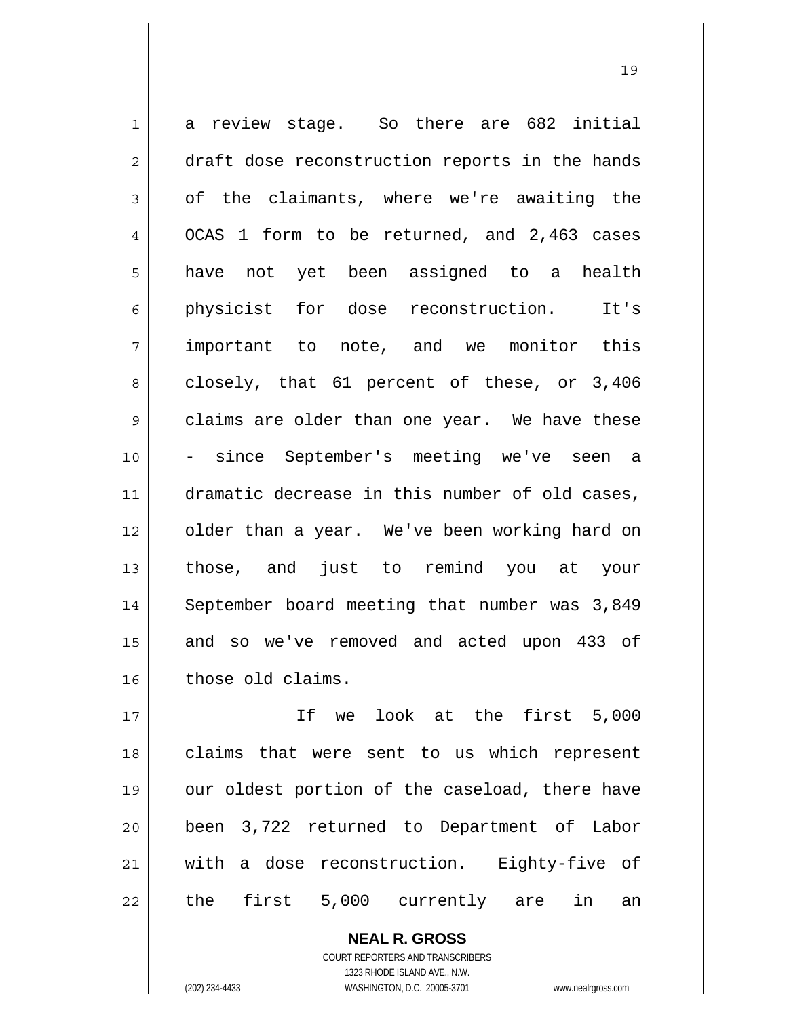1 2 3 4 5 6 7 8 9 10 11 12 13 14 15 16 a review stage. So there are 682 initial draft dose reconstruction reports in the hands of the claimants, where we're awaiting the OCAS 1 form to be returned, and 2,463 cases have not yet been assigned to a health physicist for dose reconstruction. It's important to note, and we monitor this closely, that 61 percent of these, or 3,406 claims are older than one year. We have these since September's meeting we've seen a dramatic decrease in this number of old cases, older than a year. We've been working hard on those, and just to remind you at your September board meeting that number was 3,849 and so we've removed and acted upon 433 of those old claims.

19

17 18 19 20 21 22 If we look at the first 5,000 claims that were sent to us which represent our oldest portion of the caseload, there have been 3,722 returned to Department of Labor with a dose reconstruction. Eighty-five of the first 5,000 currently are in an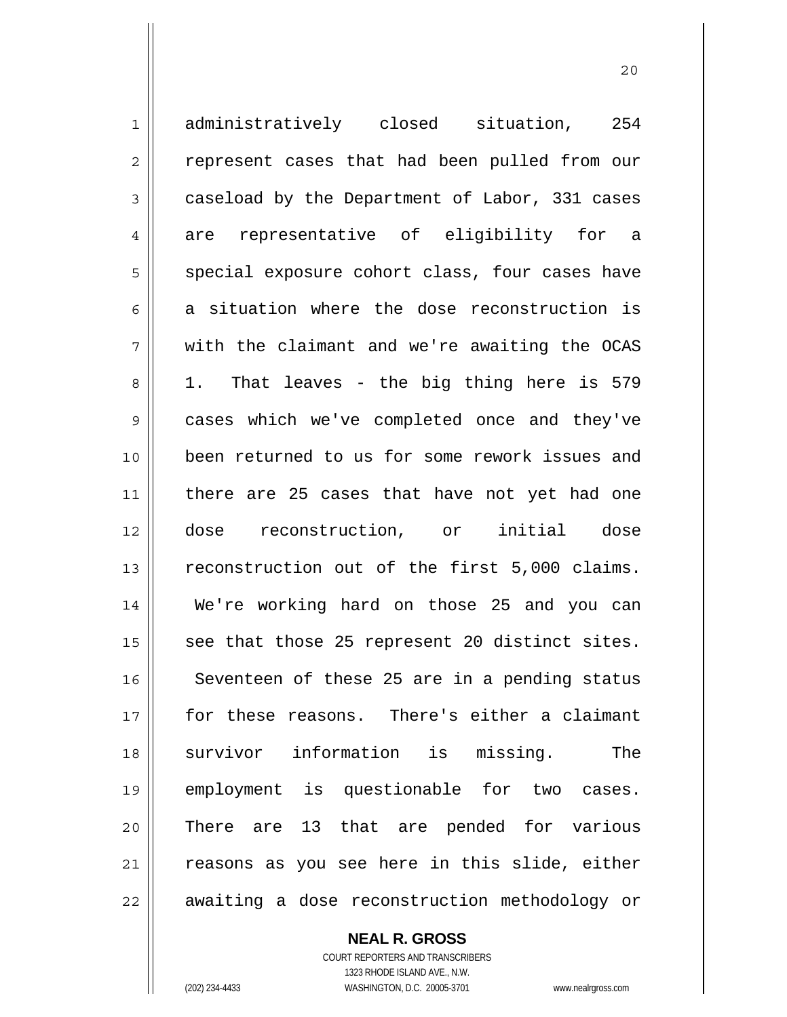1 2 3 4 5 6 7 8 9 10 11 12 13 14 15 16 17 18 19 20 21 22 administratively closed situation, 254 represent cases that had been pulled from our caseload by the Department of Labor, 331 cases are representative of eligibility for a special exposure cohort class, four cases have a situation where the dose reconstruction is with the claimant and we're awaiting the OCAS 1. That leaves - the big thing here is 579 cases which we've completed once and they've been returned to us for some rework issues and there are 25 cases that have not yet had one dose reconstruction, or initial dose reconstruction out of the first 5,000 claims. We're working hard on those 25 and you can see that those 25 represent 20 distinct sites. Seventeen of these 25 are in a pending status for these reasons. There's either a claimant survivor information is missing. The employment is questionable for two cases. There are 13 that are pended for various reasons as you see here in this slide, either awaiting a dose reconstruction methodology or

20

**NEAL R. GROSS** COURT REPORTERS AND TRANSCRIBERS

1323 RHODE ISLAND AVE., N.W. (202) 234-4433 WASHINGTON, D.C. 20005-3701 www.nealrgross.com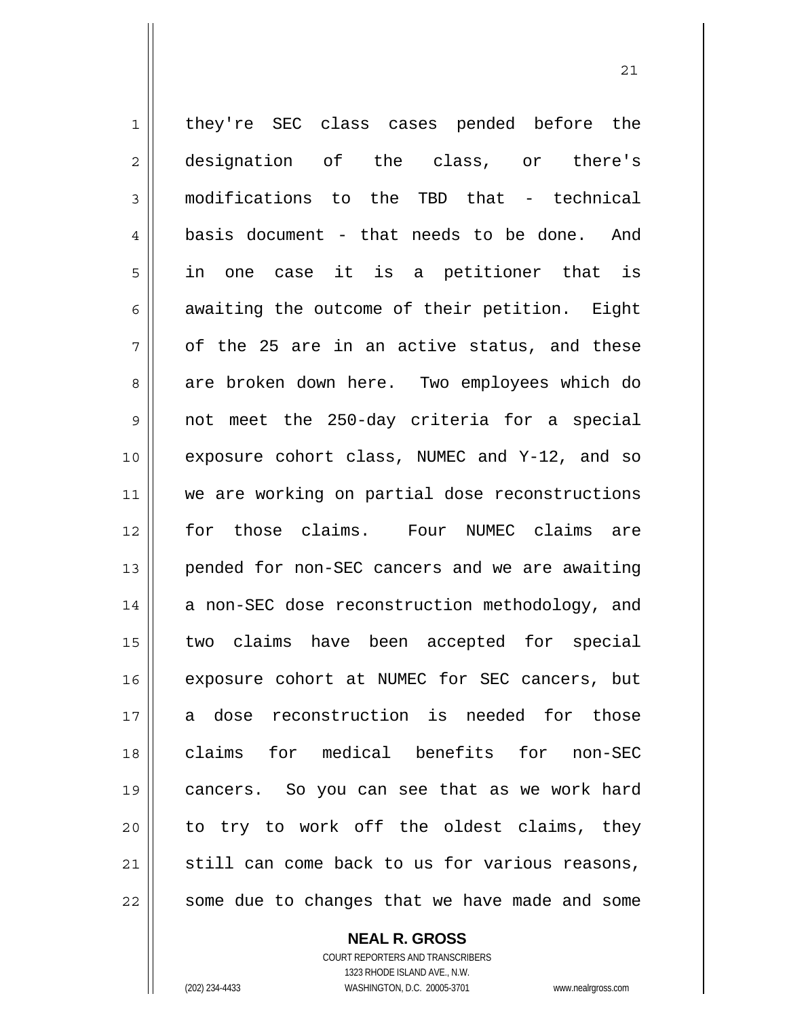1 2 3 4 5 6 7 8 9 10 11 12 13 14 15 16 17 18 19 20 21 22 they're SEC class cases pended before the designation of the class, or there's modifications to the TBD that - technical basis document - that needs to be done. And in one case it is a petitioner that is awaiting the outcome of their petition. Eight of the 25 are in an active status, and these are broken down here. Two employees which do not meet the 250-day criteria for a special exposure cohort class, NUMEC and Y-12, and so we are working on partial dose reconstructions for those claims. Four NUMEC claims are pended for non-SEC cancers and we are awaiting a non-SEC dose reconstruction methodology, and two claims have been accepted for special exposure cohort at NUMEC for SEC cancers, but a dose reconstruction is needed for those claims for medical benefits for non-SEC cancers. So you can see that as we work hard to try to work off the oldest claims, they still can come back to us for various reasons, some due to changes that we have made and some

**NEAL R. GROSS**

 <sup>21</sup>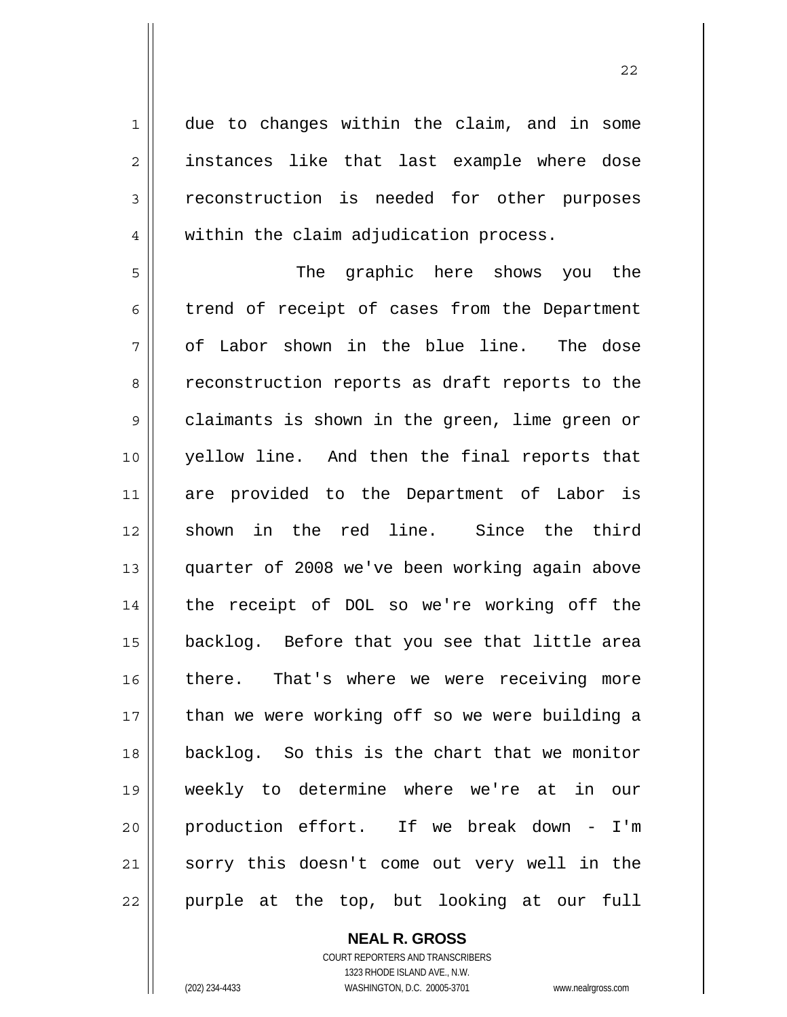due to changes within the claim, and in some instances like that last example where dose reconstruction is needed for other purposes within the claim adjudication process.

5 6 7 8 9 10 11 12 13 14 15 16 17 18 19 20 21 22 The graphic here shows you the trend of receipt of cases from the Department of Labor shown in the blue line. The dose reconstruction reports as draft reports to the claimants is shown in the green, lime green or yellow line. And then the final reports that are provided to the Department of Labor is shown in the red line. Since the third quarter of 2008 we've been working again above the receipt of DOL so we're working off the backlog. Before that you see that little area there. That's where we were receiving more than we were working off so we were building a backlog. So this is the chart that we monitor weekly to determine where we're at in our production effort. If we break down - I'm sorry this doesn't come out very well in the purple at the top, but looking at our full

> **NEAL R. GROSS** COURT REPORTERS AND TRANSCRIBERS 1323 RHODE ISLAND AVE., N.W. (202) 234-4433 WASHINGTON, D.C. 20005-3701 www.nealrgross.com

1

2

3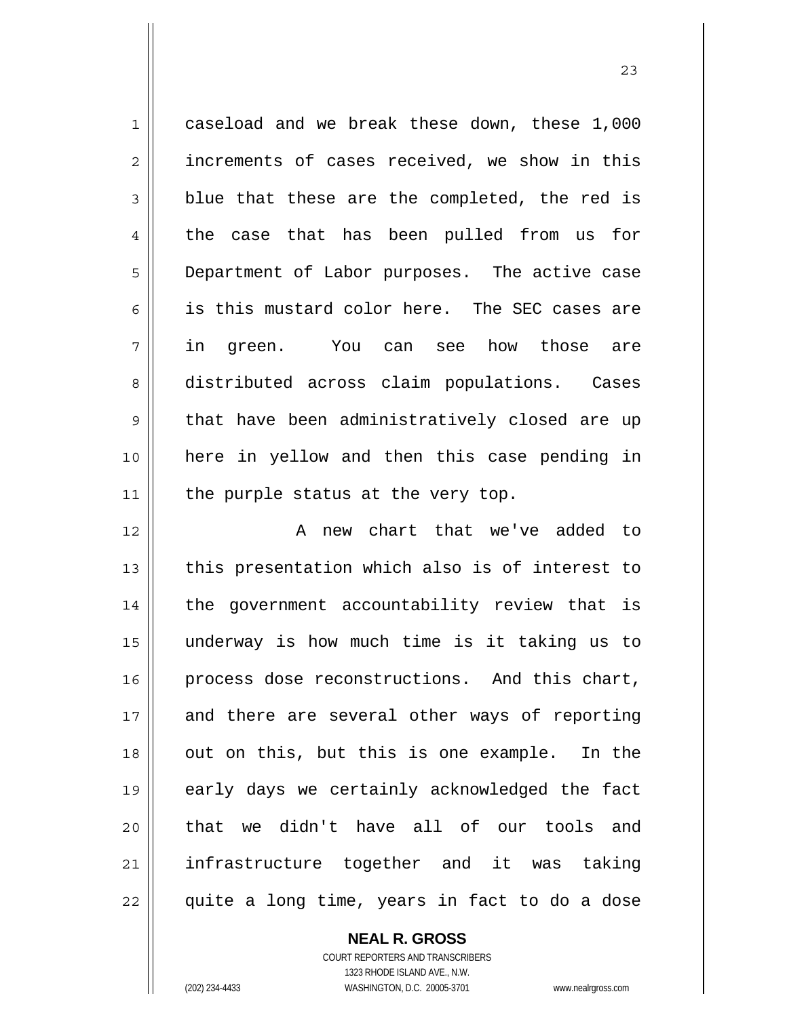1 2 3 4 5 6 7 8 9 10 11 12 caseload and we break these down, these 1,000 increments of cases received, we show in this blue that these are the completed, the red is the case that has been pulled from us for Department of Labor purposes. The active case is this mustard color here. The SEC cases are in green. You can see how those are distributed across claim populations. Cases that have been administratively closed are up here in yellow and then this case pending in the purple status at the very top. A new chart that we've added to this presentation which also is of interest to

13 14 15 16 17 18 19 20 21 22 the government accountability review that is underway is how much time is it taking us to process dose reconstructions. And this chart, and there are several other ways of reporting out on this, but this is one example. In the early days we certainly acknowledged the fact that we didn't have all of our tools and infrastructure together and it was taking quite a long time, years in fact to do a dose

> COURT REPORTERS AND TRANSCRIBERS 1323 RHODE ISLAND AVE., N.W. (202) 234-4433 WASHINGTON, D.C. 20005-3701 www.nealrgross.com

**NEAL R. GROSS**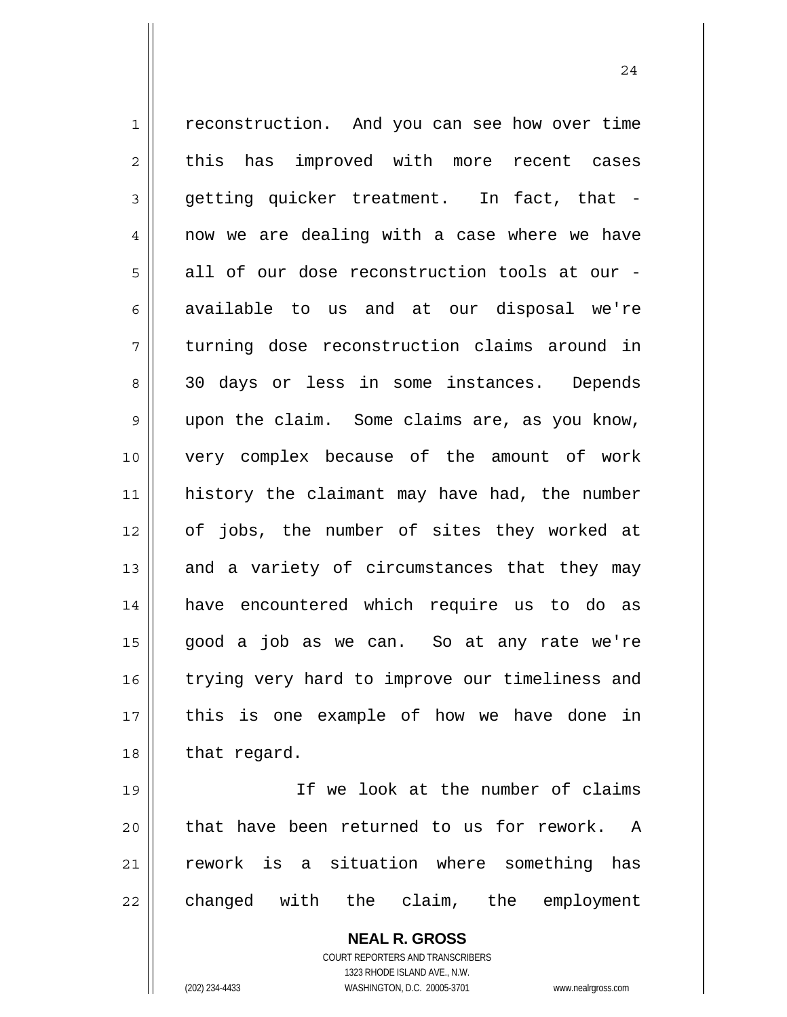1 2 3 4 5 6 7 8 9 10 11 12 13 14 15 16 17 18 19 20 reconstruction. And you can see how over time this has improved with more recent cases getting quicker treatment. In fact, that now we are dealing with a case where we have all of our dose reconstruction tools at our available to us and at our disposal we're turning dose reconstruction claims around in 30 days or less in some instances. Depends upon the claim. Some claims are, as you know, very complex because of the amount of work history the claimant may have had, the number of jobs, the number of sites they worked at and a variety of circumstances that they may have encountered which require us to do as good a job as we can. So at any rate we're trying very hard to improve our timeliness and this is one example of how we have done in that regard. If we look at the number of claims that have been returned to us for rework. A

changed with the claim, the employment

rework is a situation where something has

**NEAL R. GROSS** COURT REPORTERS AND TRANSCRIBERS 1323 RHODE ISLAND AVE., N.W. (202) 234-4433 WASHINGTON, D.C. 20005-3701 www.nealrgross.com

21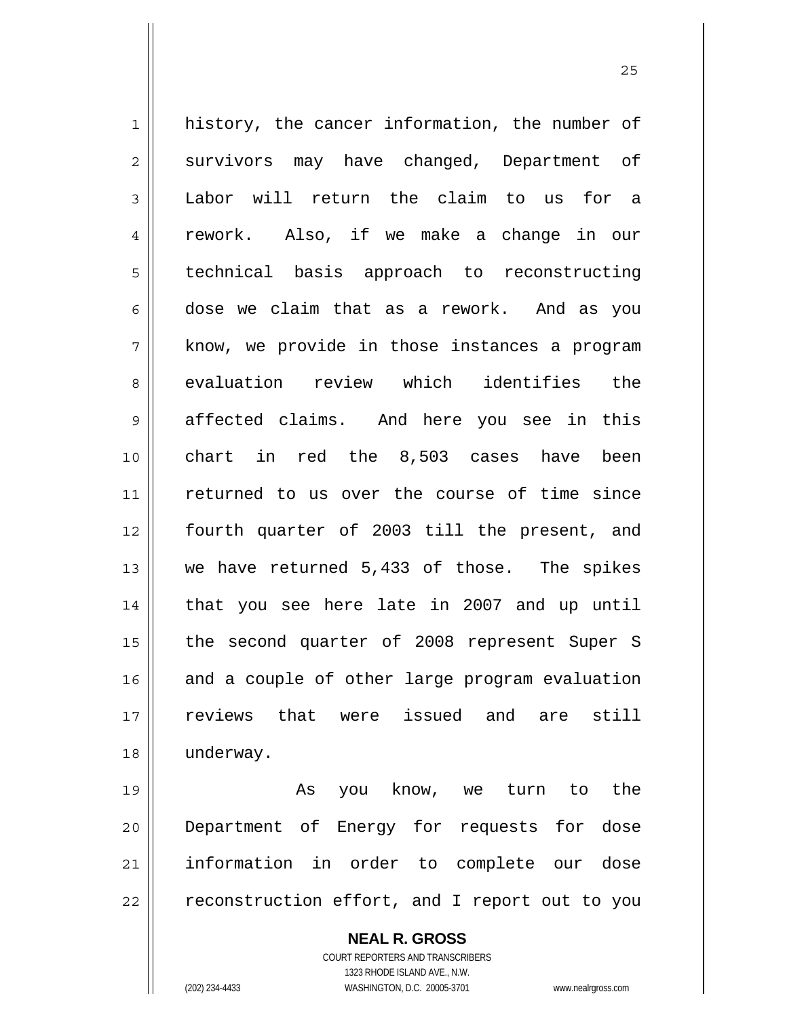1 2 3 4 5 6 7 8 9 10 11 12 13 14 15 16 17 18 19 history, the cancer information, the number of survivors may have changed, Department of Labor will return the claim to us for a rework. Also, if we make a change in our technical basis approach to reconstructing dose we claim that as a rework. And as you know, we provide in those instances a program evaluation review which identifies the affected claims. And here you see in this chart in red the 8,503 cases have been returned to us over the course of time since fourth quarter of 2003 till the present, and we have returned 5,433 of those. The spikes that you see here late in 2007 and up until the second quarter of 2008 represent Super S and a couple of other large program evaluation reviews that were issued and are still underway. As you know, we turn to the

20 21 22 Department of Energy for requests for dose information in order to complete our dose reconstruction effort, and I report out to you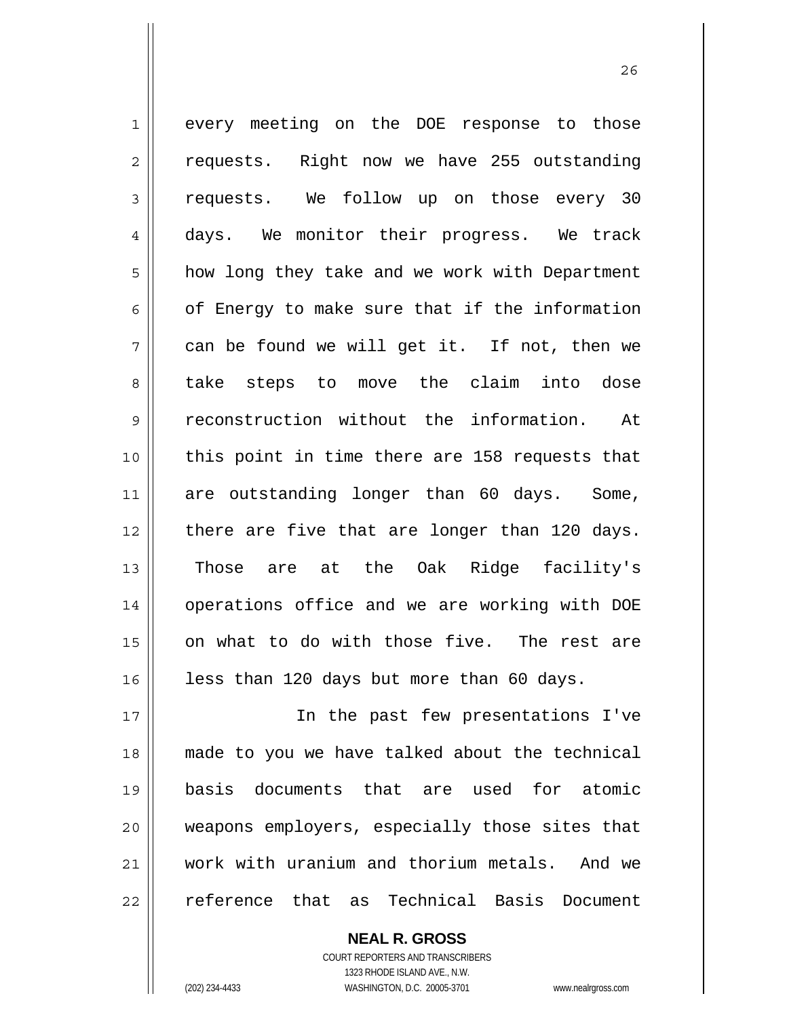1 2 3 4 5 6 7 8 9 10 11 12 13 14 15 16 every meeting on the DOE response to those requests. Right now we have 255 outstanding requests. We follow up on those every 30 days. We monitor their progress. We track how long they take and we work with Department of Energy to make sure that if the information can be found we will get it. If not, then we take steps to move the claim into dose reconstruction without the information. At this point in time there are 158 requests that are outstanding longer than 60 days. Some, there are five that are longer than 120 days. Those are at the Oak Ridge facility's operations office and we are working with DOE on what to do with those five. The rest are less than 120 days but more than 60 days.

17 18 19 20 21 22 In the past few presentations I've made to you we have talked about the technical basis documents that are used for atomic weapons employers, especially those sites that work with uranium and thorium metals. And we reference that as Technical Basis Document

> COURT REPORTERS AND TRANSCRIBERS 1323 RHODE ISLAND AVE., N.W. (202) 234-4433 WASHINGTON, D.C. 20005-3701 www.nealrgross.com

**NEAL R. GROSS**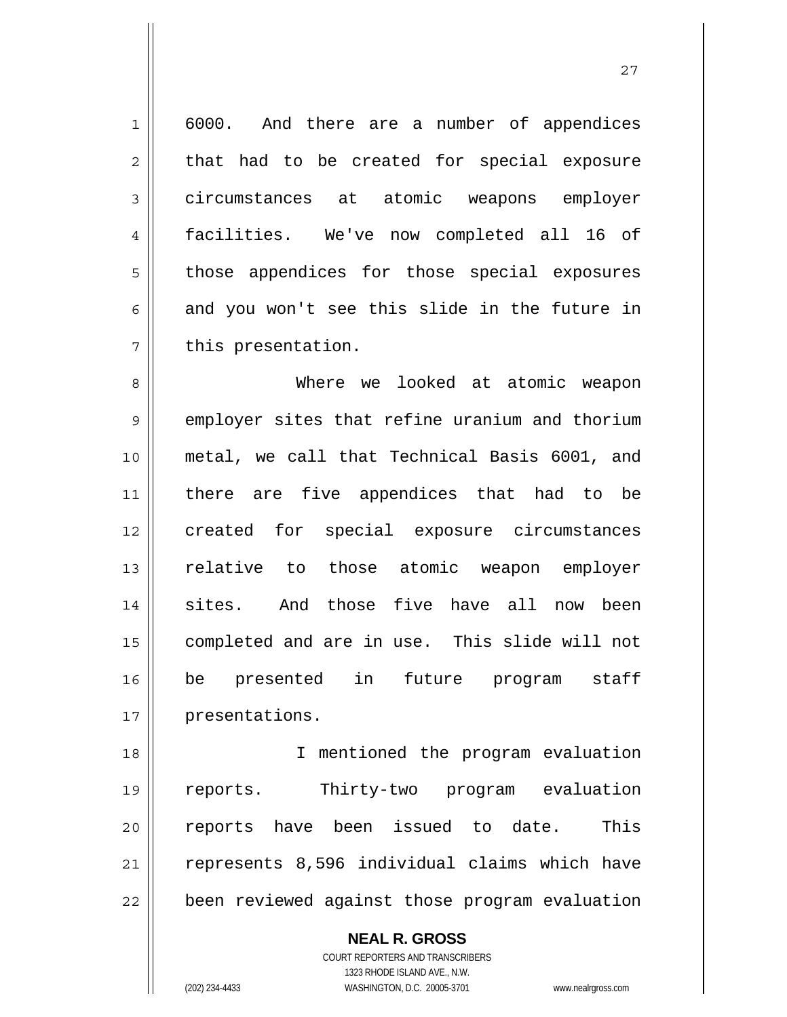1 7 6000. And there are a number of appendices that had to be created for special exposure circumstances at atomic weapons employer facilities. We've now completed all 16 of those appendices for those special exposures and you won't see this slide in the future in this presentation.

2

3

4

5

6

27

8 9 10 11 12 13 14 15 16 17 Where we looked at atomic weapon employer sites that refine uranium and thorium metal, we call that Technical Basis 6001, and there are five appendices that had to be created for special exposure circumstances relative to those atomic weapon employer sites. And those five have all now been completed and are in use. This slide will not be presented in future program staff presentations.

18 19 20 21 22 I mentioned the program evaluation reports. Thirty-two program evaluation reports have been issued to date. This represents 8,596 individual claims which have been reviewed against those program evaluation

**NEAL R. GROSS**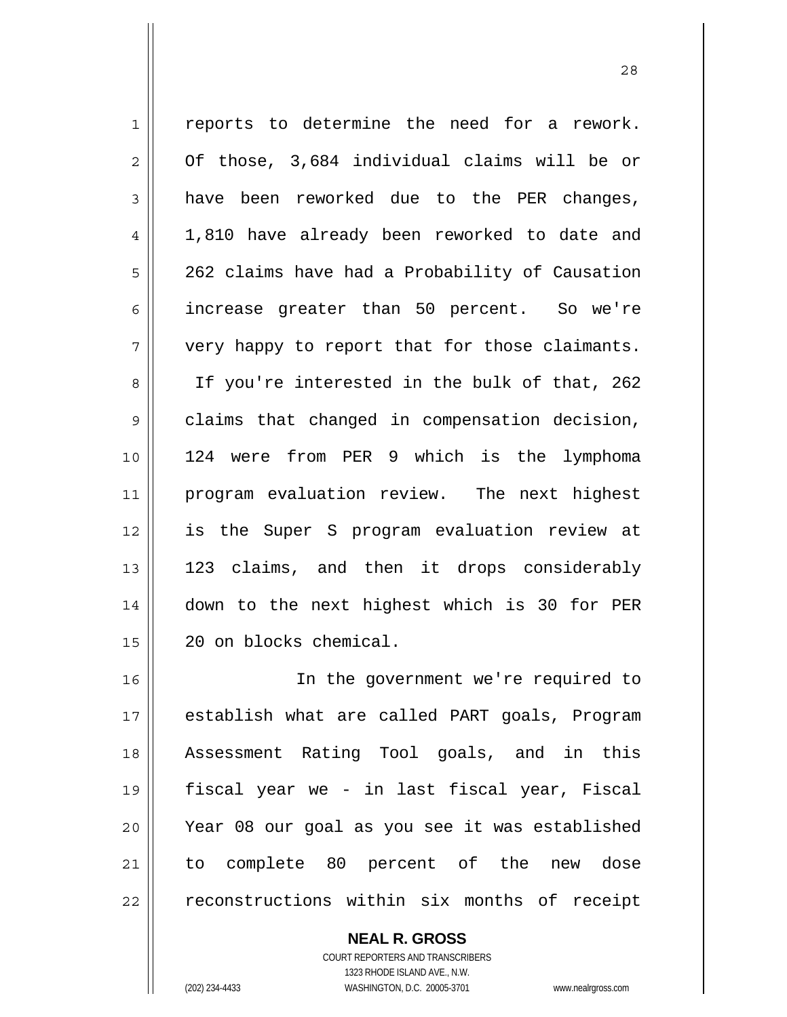1 2 3 4 5 6 7 8 9 10 11 12 13 14 15 16 reports to determine the need for a rework. Of those, 3,684 individual claims will be or have been reworked due to the PER changes, 1,810 have already been reworked to date and 262 claims have had a Probability of Causation increase greater than 50 percent. So we're very happy to report that for those claimants. If you're interested in the bulk of that, 262 claims that changed in compensation decision, 124 were from PER 9 which is the lymphoma program evaluation review. The next highest is the Super S program evaluation review at 123 claims, and then it drops considerably down to the next highest which is 30 for PER 20 on blocks chemical. In the government we're required to

17 18 19 20 21 22 establish what are called PART goals, Program Assessment Rating Tool goals, and in this fiscal year we - in last fiscal year, Fiscal Year 08 our goal as you see it was established to complete 80 percent of the new dose reconstructions within six months of receipt

> COURT REPORTERS AND TRANSCRIBERS 1323 RHODE ISLAND AVE., N.W. (202) 234-4433 WASHINGTON, D.C. 20005-3701 www.nealrgross.com

**NEAL R. GROSS**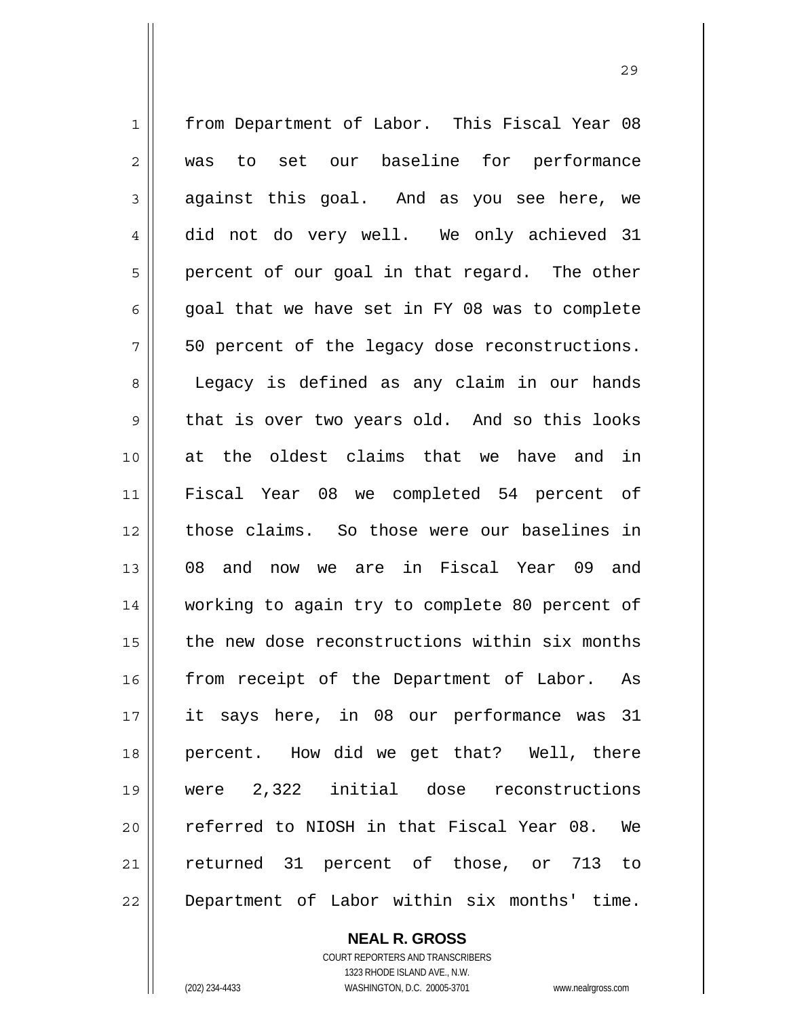1 2 3 4 5 6 7 8 9 10 11 12 13 14 15 16 17 18 19 20 21 22 from Department of Labor. This Fiscal Year 08 was to set our baseline for performance against this goal. And as you see here, we did not do very well. We only achieved 31 percent of our goal in that regard. The other goal that we have set in FY 08 was to complete 50 percent of the legacy dose reconstructions. Legacy is defined as any claim in our hands that is over two years old. And so this looks at the oldest claims that we have and in Fiscal Year 08 we completed 54 percent of those claims. So those were our baselines in 08 and now we are in Fiscal Year 09 and working to again try to complete 80 percent of the new dose reconstructions within six months from receipt of the Department of Labor. As it says here, in 08 our performance was 31 percent. How did we get that? Well, there were 2,322 initial dose reconstructions referred to NIOSH in that Fiscal Year 08. We returned 31 percent of those, or 713 to Department of Labor within six months' time.

<u>29</u>

**NEAL R. GROSS** COURT REPORTERS AND TRANSCRIBERS

1323 RHODE ISLAND AVE., N.W.

(202) 234-4433 WASHINGTON, D.C. 20005-3701 www.nealrgross.com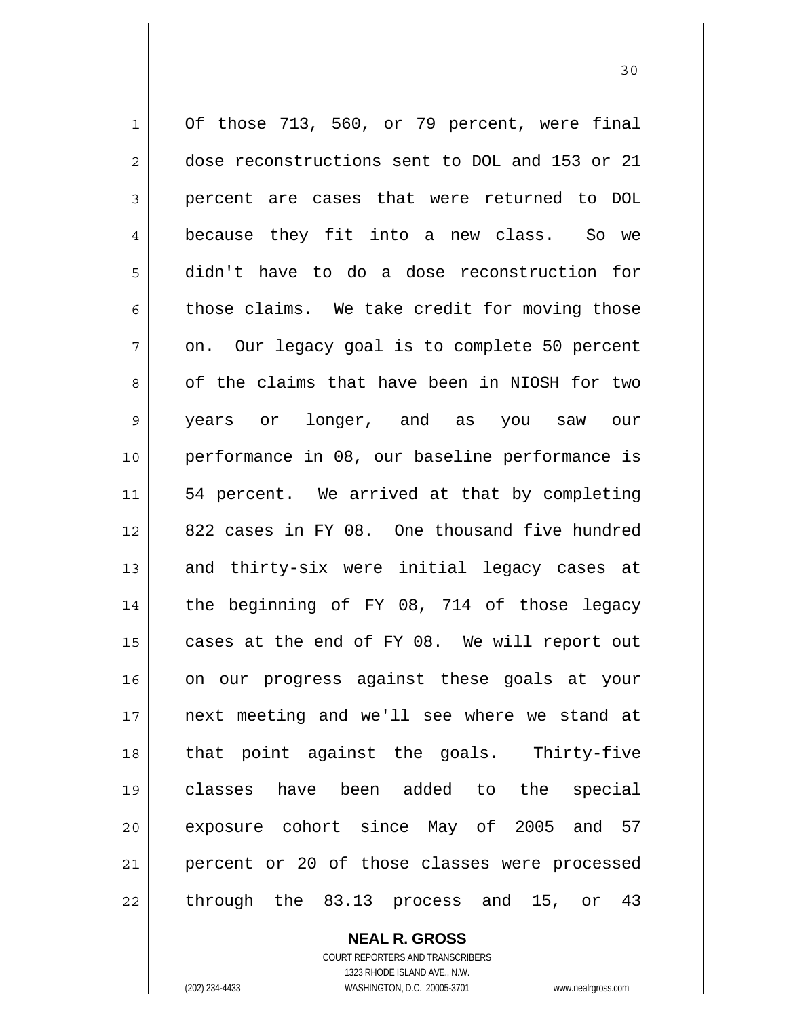1 2 3 4 5 6 7 8 9 10 11 12 13 14 15 16 17 18 19 20 21 22 Of those 713, 560, or 79 percent, were final dose reconstructions sent to DOL and 153 or 21 percent are cases that were returned to DOL because they fit into a new class. So we didn't have to do a dose reconstruction for those claims. We take credit for moving those on. Our legacy goal is to complete 50 percent of the claims that have been in NIOSH for two years or longer, and as you saw our performance in 08, our baseline performance is 54 percent. We arrived at that by completing 822 cases in FY 08. One thousand five hundred and thirty-six were initial legacy cases at the beginning of FY 08, 714 of those legacy cases at the end of FY 08. We will report out on our progress against these goals at your next meeting and we'll see where we stand at that point against the goals. Thirty-five classes have been added to the special exposure cohort since May of 2005 and 57 percent or 20 of those classes were processed through the 83.13 process and 15, or 43

30

**NEAL R. GROSS** COURT REPORTERS AND TRANSCRIBERS

1323 RHODE ISLAND AVE., N.W. (202) 234-4433 WASHINGTON, D.C. 20005-3701 www.nealrgross.com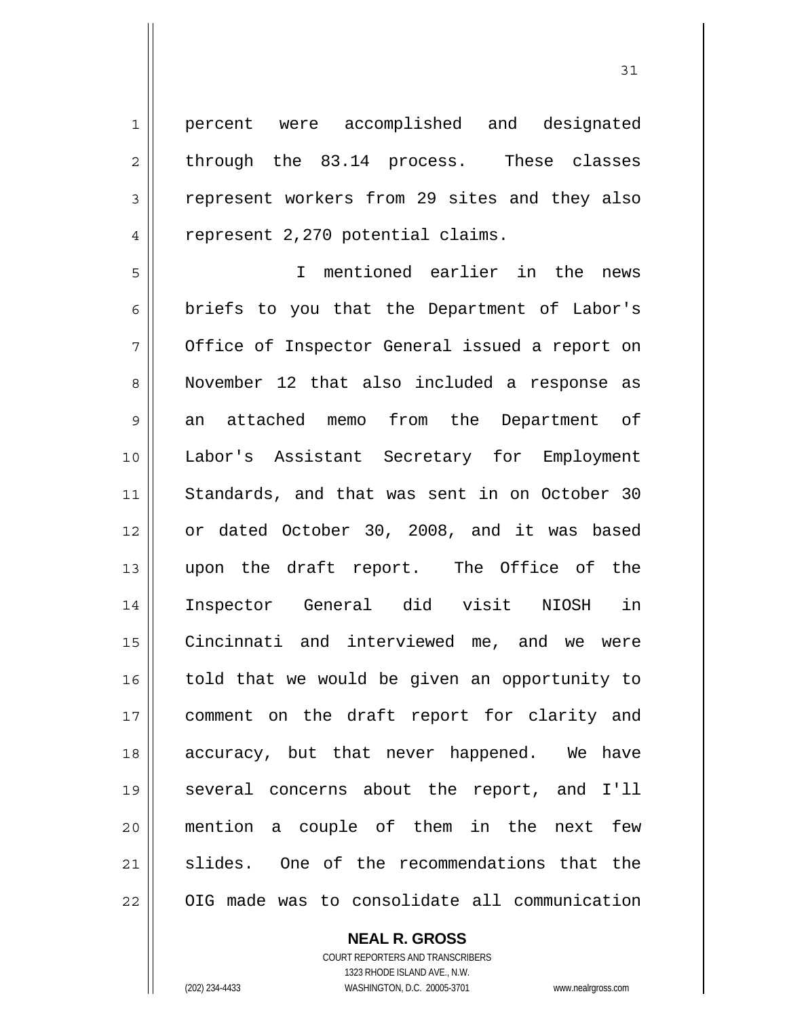1 4 percent were accomplished and designated through the 83.14 process. These classes represent workers from 29 sites and they also represent 2,270 potential claims.

5 6 7 8 9 10 11 12 13 14 15 16 17 18 19 20 21 22 I mentioned earlier in the news briefs to you that the Department of Labor's Office of Inspector General issued a report on November 12 that also included a response as an attached memo from the Department of Labor's Assistant Secretary for Employment Standards, and that was sent in on October 30 or dated October 30, 2008, and it was based upon the draft report. The Office of the Inspector General did visit NIOSH in Cincinnati and interviewed me, and we were told that we would be given an opportunity to comment on the draft report for clarity and accuracy, but that never happened. We have several concerns about the report, and I'll mention a couple of them in the next few slides. One of the recommendations that the OIG made was to consolidate all communication

#### **NEAL R. GROSS**

COURT REPORTERS AND TRANSCRIBERS 1323 RHODE ISLAND AVE., N.W. (202) 234-4433 WASHINGTON, D.C. 20005-3701 www.nealrgross.com

2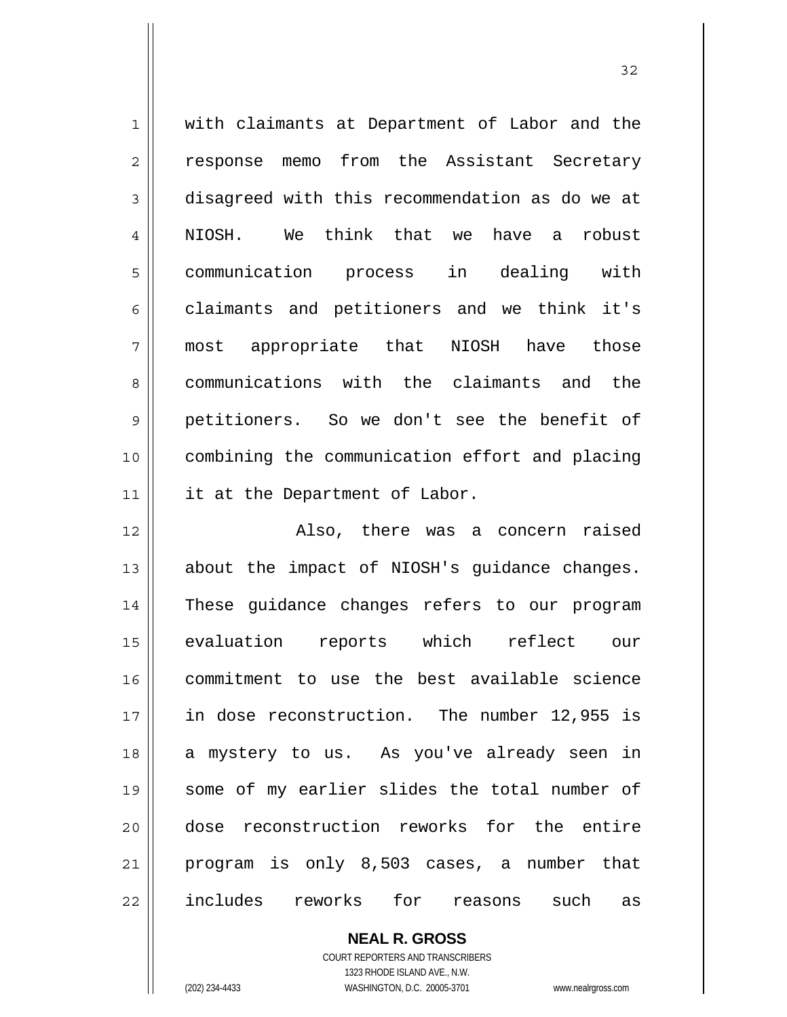| $\mathbf 1$    | with claimants at Department of Labor and the  |
|----------------|------------------------------------------------|
| 2              | response memo from the Assistant Secretary     |
| 3              | disagreed with this recommendation as do we at |
| $\overline{4}$ | NIOSH. We think that we have a<br>robust       |
| 5              | communication process in dealing with          |
| 6              | claimants and petitioners and we think it's    |
| 7              | most appropriate that<br>NIOSH have<br>those   |
| 8              | communications with the claimants and<br>the   |
| 9              | petitioners. So we don't see the benefit of    |
| 10             | combining the communication effort and placing |
| 11             | it at the Department of Labor.                 |
| 12             | Also, there was a concern raised               |
| 13             | about the impact of NIOSH's guidance changes.  |
| 14             | These guidance changes refers to our program   |
| 15             | evaluation reports which reflect our           |
| 16             | commitment to use the best available science   |
| 17             | in dose reconstruction. The number 12,955 is   |
| 18             | a mystery to us. As you've already seen in     |
|                |                                                |
| 19             | some of my earlier slides the total number of  |
| 20             | dose reconstruction reworks for the entire     |
| 21             | program is only 8,503 cases, a number that     |

**NEAL R. GROSS**

COURT REPORTERS AND TRANSCRIBERS 1323 RHODE ISLAND AVE., N.W.

(202) 234-4433 WASHINGTON, D.C. 20005-3701 www.nealrgross.com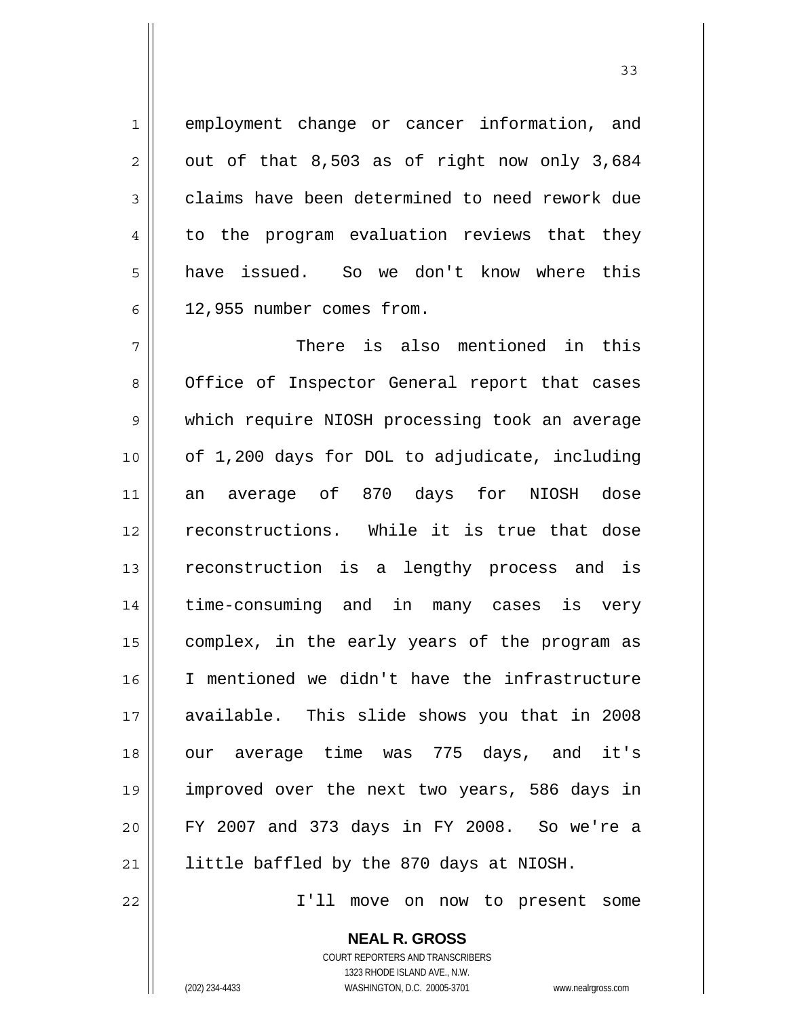employment change or cancer information, and out of that 8,503 as of right now only 3,684 claims have been determined to need rework due to the program evaluation reviews that they have issued. So we don't know where this 12,955 number comes from.

7 8 9 10 11 12 13 14 15 16 17 18 19 20 21 There is also mentioned in this Office of Inspector General report that cases which require NIOSH processing took an average of 1,200 days for DOL to adjudicate, including an average of 870 days for NIOSH dose reconstructions. While it is true that dose reconstruction is a lengthy process and is time-consuming and in many cases is very complex, in the early years of the program as I mentioned we didn't have the infrastructure available. This slide shows you that in 2008 our average time was 775 days, and it's improved over the next two years, 586 days in FY 2007 and 373 days in FY 2008. So we're a little baffled by the 870 days at NIOSH.

I'll move on now to present some

**NEAL R. GROSS** COURT REPORTERS AND TRANSCRIBERS 1323 RHODE ISLAND AVE., N.W.

22

1

2

3

4

5

6

(202) 234-4433 WASHINGTON, D.C. 20005-3701 www.nealrgross.com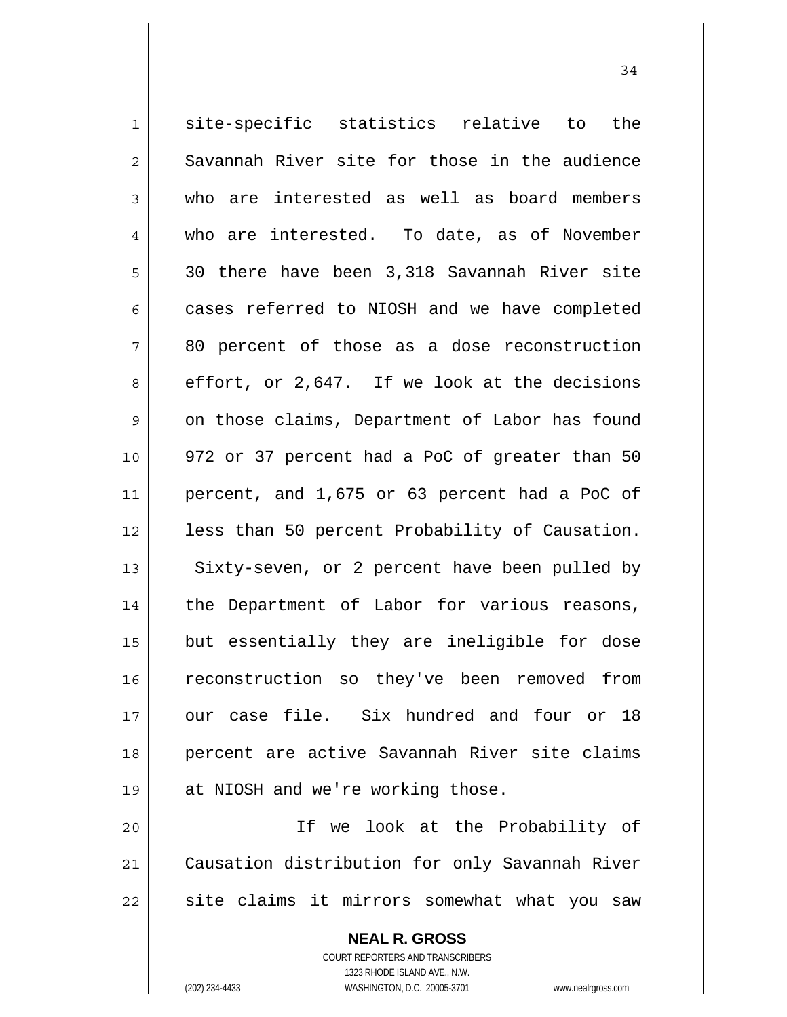1 2 3 4 5 6 7 8 9 10 11 12 13 14 15 16 17 18 19 site-specific statistics relative to the Savannah River site for those in the audience who are interested as well as board members who are interested. To date, as of November 30 there have been 3,318 Savannah River site cases referred to NIOSH and we have completed 80 percent of those as a dose reconstruction effort, or 2,647. If we look at the decisions on those claims, Department of Labor has found 972 or 37 percent had a PoC of greater than 50 percent, and 1,675 or 63 percent had a PoC of less than 50 percent Probability of Causation. Sixty-seven, or 2 percent have been pulled by the Department of Labor for various reasons, but essentially they are ineligible for dose reconstruction so they've been removed from our case file. Six hundred and four or 18 percent are active Savannah River site claims at NIOSH and we're working those.

20 21 22 If we look at the Probability of Causation distribution for only Savannah River site claims it mirrors somewhat what you saw

> **NEAL R. GROSS** COURT REPORTERS AND TRANSCRIBERS 1323 RHODE ISLAND AVE., N.W. (202) 234-4433 WASHINGTON, D.C. 20005-3701 www.nealrgross.com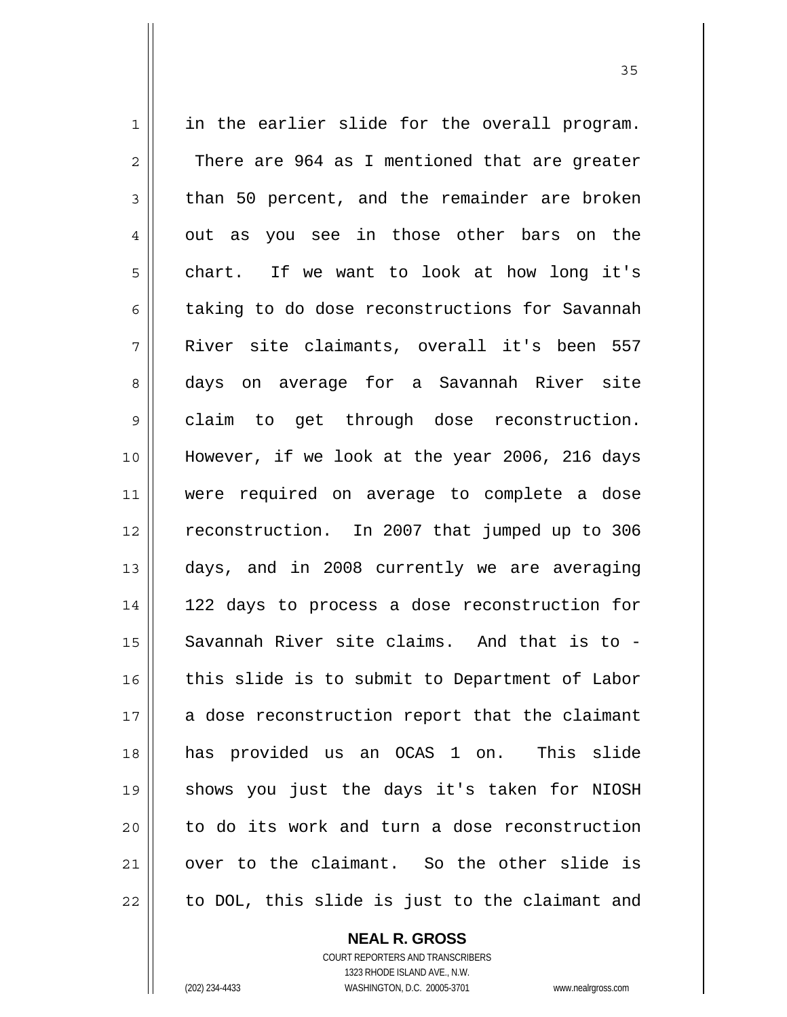1 2 3 4 5 6 7 8 9 10 11 12 13 14 15 16 17 18 19 20 21 22 in the earlier slide for the overall program. There are 964 as I mentioned that are greater than 50 percent, and the remainder are broken out as you see in those other bars on the chart. If we want to look at how long it's taking to do dose reconstructions for Savannah River site claimants, overall it's been 557 days on average for a Savannah River site claim to get through dose reconstruction. However, if we look at the year 2006, 216 days were required on average to complete a dose reconstruction. In 2007 that jumped up to 306 days, and in 2008 currently we are averaging 122 days to process a dose reconstruction for Savannah River site claims. And that is to this slide is to submit to Department of Labor a dose reconstruction report that the claimant has provided us an OCAS 1 on. This slide shows you just the days it's taken for NIOSH to do its work and turn a dose reconstruction over to the claimant. So the other slide is to DOL, this slide is just to the claimant and

> **NEAL R. GROSS** COURT REPORTERS AND TRANSCRIBERS 1323 RHODE ISLAND AVE., N.W.

(202) 234-4433 WASHINGTON, D.C. 20005-3701 www.nealrgross.com

<u>35</u>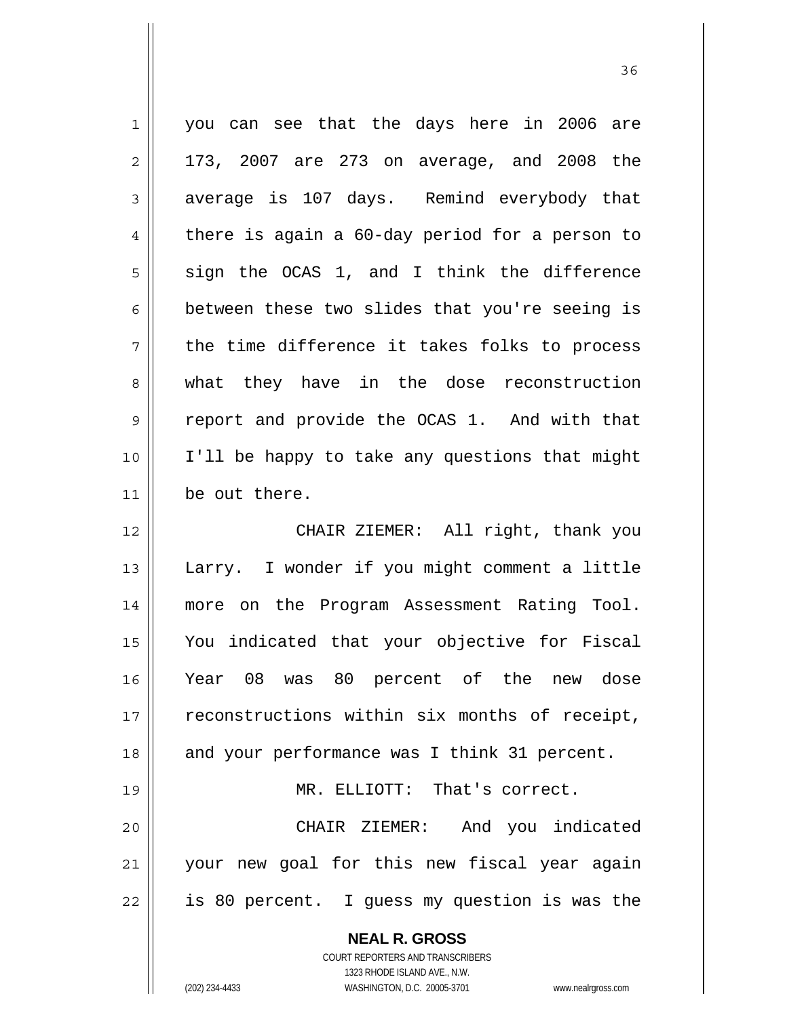| $\mathbf 1$    | you can see that the days here in 2006 are                                                    |
|----------------|-----------------------------------------------------------------------------------------------|
| $\overline{2}$ | 173, 2007 are 273 on average, and 2008 the                                                    |
| 3              | average is 107 days. Remind everybody that                                                    |
| $\overline{4}$ | there is again a 60-day period for a person to                                                |
| 5              | sign the OCAS 1, and I think the difference                                                   |
| 6              | between these two slides that you're seeing is                                                |
| 7              | the time difference it takes folks to process                                                 |
| 8              | what they have in the dose reconstruction                                                     |
| $\mathsf 9$    | report and provide the OCAS 1. And with that                                                  |
| 10             | I'll be happy to take any questions that might                                                |
| 11             | be out there.                                                                                 |
| 12             | CHAIR ZIEMER: All right, thank you                                                            |
| 13             | Larry. I wonder if you might comment a little                                                 |
| 14             | more on the Program Assessment Rating Tool.                                                   |
| 15             | You indicated that your objective for Fiscal                                                  |
| 16             | Year 08 was 80 percent of the new dose                                                        |
| 17             | reconstructions within six months of receipt,                                                 |
| 18             | and your performance was I think 31 percent.                                                  |
| 19             | MR. ELLIOTT: That's correct.                                                                  |
| 20             | CHAIR ZIEMER: And you indicated                                                               |
| 21             | your new goal for this new fiscal year again                                                  |
| 22             | is 80 percent. I guess my question is was the                                                 |
|                | <b>NEAL R. GROSS</b><br><b>COURT REPORTERS AND TRANSCRIBERS</b><br>1323 DHODE ISLAND AVE N.W. |

<u>36 and 36</u>

1323 RHODE ISLAND AVE., N.W.

 $\prod_{i=1}^{n}$ 

(202) 234-4433 WASHINGTON, D.C. 20005-3701 www.nealrgross.com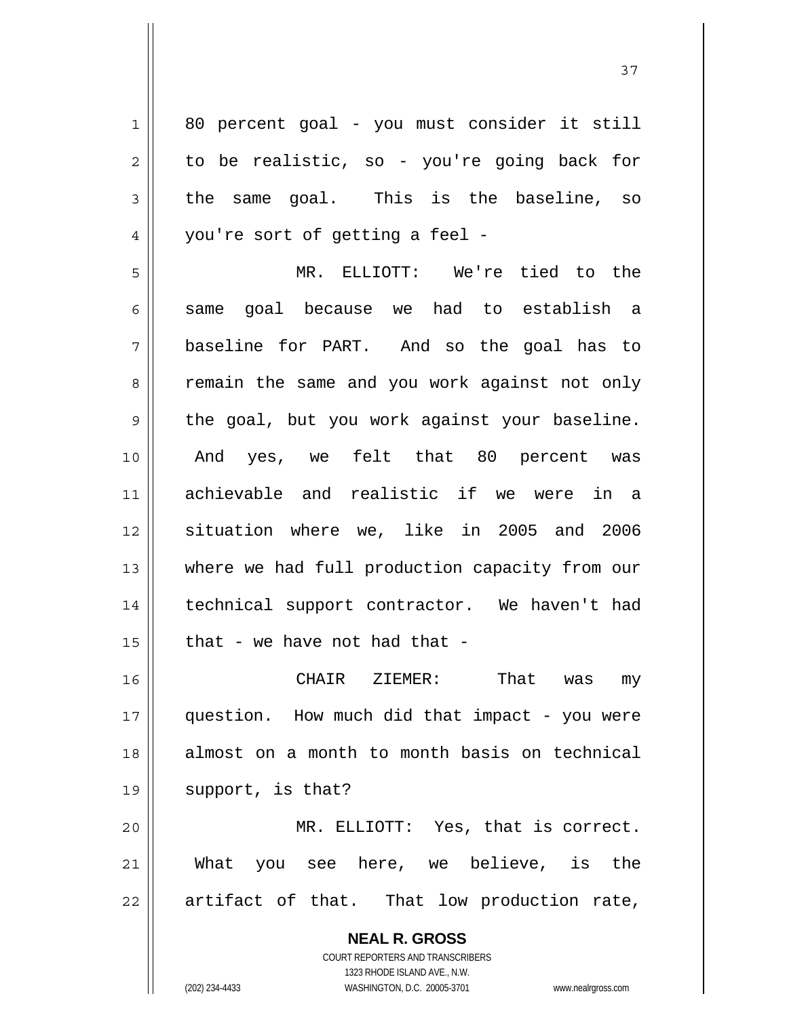**NEAL R. GROSS** COURT REPORTERS AND TRANSCRIBERS 1323 RHODE ISLAND AVE., N.W. 1 2 3 4 5 6 7 8 9 10 11 12 13 14 15 16 17 18 19 20 21 22 80 percent goal - you must consider it still to be realistic, so - you're going back for the same goal. This is the baseline, so you're sort of getting a feel - MR. ELLIOTT: We're tied to the same goal because we had to establish a baseline for PART. And so the goal has to remain the same and you work against not only the goal, but you work against your baseline. And yes, we felt that 80 percent was achievable and realistic if we were in a situation where we, like in 2005 and 2006 where we had full production capacity from our technical support contractor. We haven't had that - we have not had that - CHAIR ZIEMER: That was my question. How much did that impact - you were almost on a month to month basis on technical support, is that? MR. ELLIOTT: Yes, that is correct. What you see here, we believe, is the artifact of that. That low production rate,

(202) 234-4433 WASHINGTON, D.C. 20005-3701 www.nealrgross.com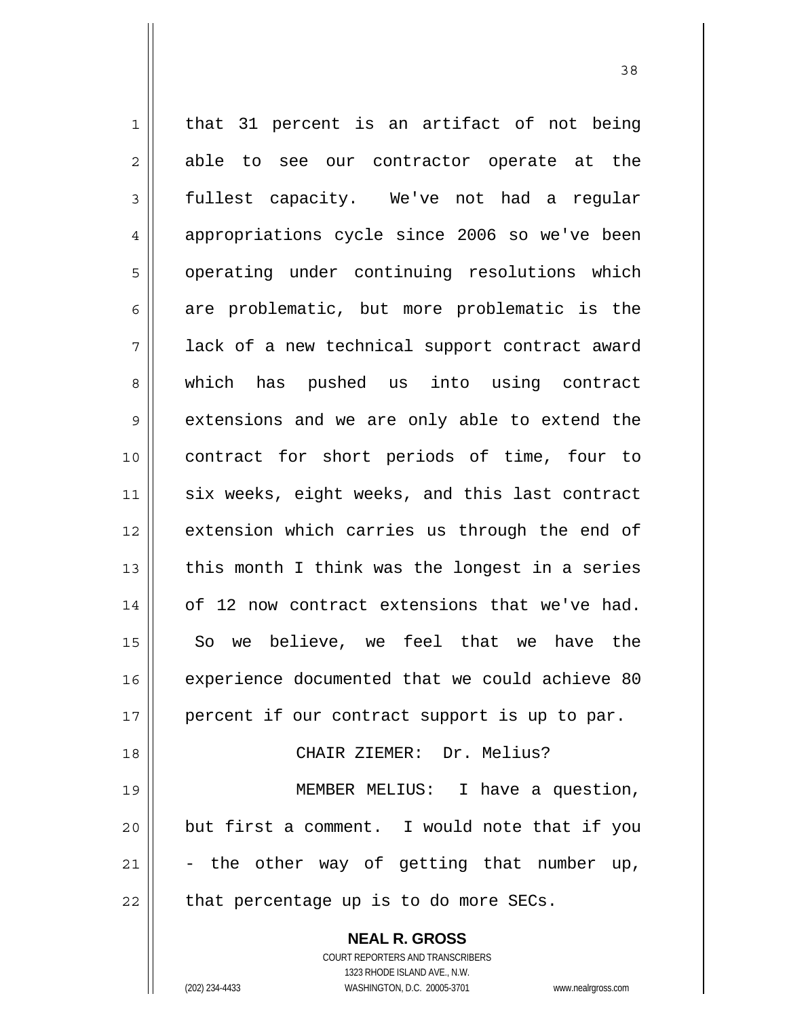**NEAL R. GROSS** 1 2 3 4 5 6 7 8 9 10 11 12 13 14 15 16 17 18 19 20 21 22 that 31 percent is an artifact of not being able to see our contractor operate at the fullest capacity. We've not had a regular appropriations cycle since 2006 so we've been operating under continuing resolutions which are problematic, but more problematic is the lack of a new technical support contract award which has pushed us into using contract extensions and we are only able to extend the contract for short periods of time, four to six weeks, eight weeks, and this last contract extension which carries us through the end of this month I think was the longest in a series of 12 now contract extensions that we've had. So we believe, we feel that we have the experience documented that we could achieve 80 percent if our contract support is up to par. CHAIR ZIEMER: Dr. Melius? MEMBER MELIUS: I have a question, but first a comment. I would note that if you - the other way of getting that number up, that percentage up is to do more SECs.

<u>38</u>

COURT REPORTERS AND TRANSCRIBERS 1323 RHODE ISLAND AVE., N.W.

(202) 234-4433 WASHINGTON, D.C. 20005-3701 www.nealrgross.com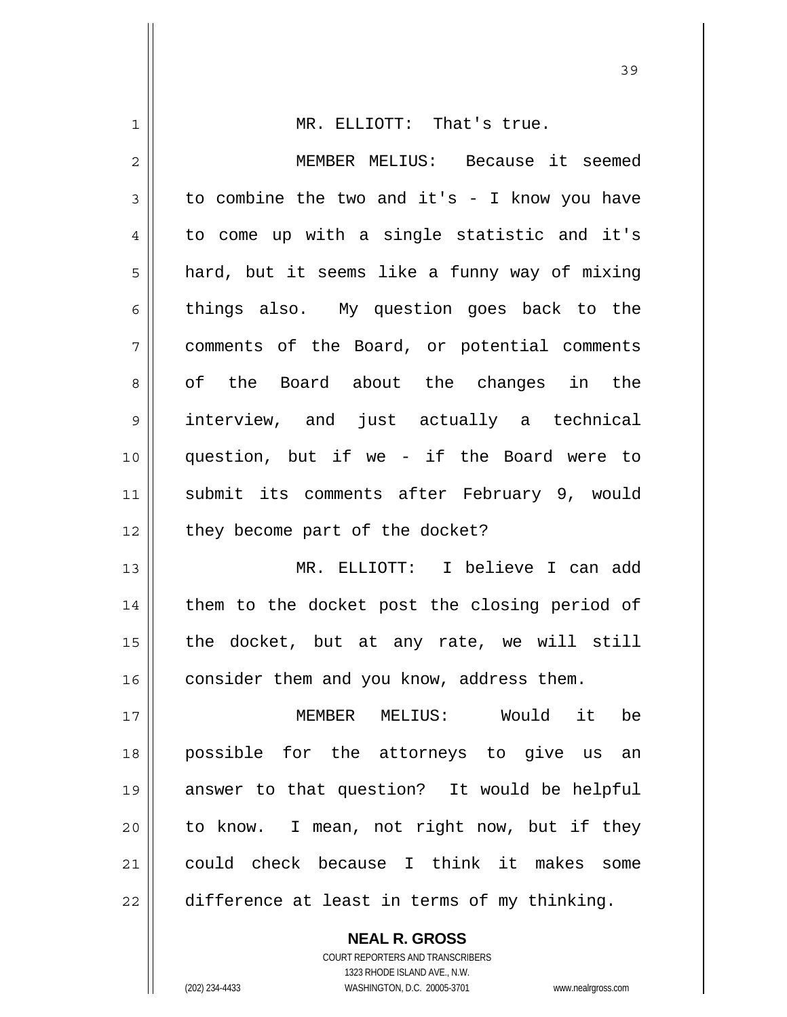| 1  | MR. ELLIOTT: That's true.                     |
|----|-----------------------------------------------|
| 2  | MEMBER MELIUS: Because it seemed              |
| 3  | to combine the two and it's - I know you have |
| 4  | to come up with a single statistic and it's   |
| 5  | hard, but it seems like a funny way of mixing |
| 6  | things also. My question goes back to the     |
| 7  | comments of the Board, or potential comments  |
| 8  | of the Board about the changes in the         |
| 9  | interview, and just actually a technical      |
| 10 | question, but if we - if the Board were to    |
| 11 | submit its comments after February 9, would   |
| 12 | they become part of the docket?               |
| 13 | MR. ELLIOTT: I believe I can add              |
| 14 | them to the docket post the closing period of |
| 15 | the docket, but at any rate, we will still    |
| 16 | consider them and you know, address them.     |
| 17 | MEMBER MELIUS: Would it<br>be                 |
| 18 | possible for the attorneys to give us an      |
| 19 | answer to that question? It would be helpful  |
| 20 | to know. I mean, not right now, but if they   |
| 21 | could check because I think it makes<br>some  |
| 22 | difference at least in terms of my thinking.  |
|    | <b>NEAL R. GROSS</b>                          |

COURT REPORTERS AND TRANSCRIBERS 1323 RHODE ISLAND AVE., N.W.

 $\mathsf{II}$ 

(202) 234-4433 WASHINGTON, D.C. 20005-3701 www.nealrgross.com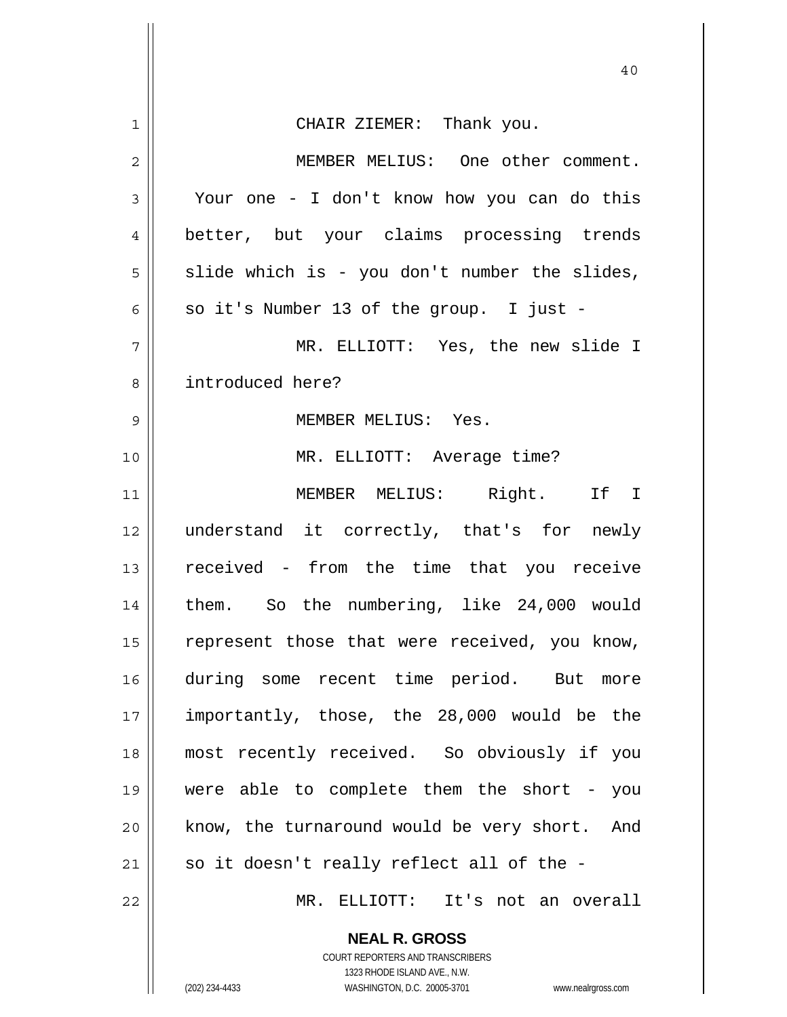|                | 40                                                                  |
|----------------|---------------------------------------------------------------------|
| $\mathbf{1}$   | CHAIR ZIEMER: Thank you.                                            |
| $\overline{2}$ | MEMBER MELIUS: One other comment.                                   |
| 3              | Your one - I don't know how you can do this                         |
| $\overline{4}$ | better, but your claims processing trends                           |
| 5              | slide which is - you don't number the slides,                       |
| 6              | so it's Number 13 of the group. I just -                            |
| 7              | MR. ELLIOTT: Yes, the new slide I                                   |
| 8              | introduced here?                                                    |
| 9              | MEMBER MELIUS: Yes.                                                 |
| 10             | MR. ELLIOTT: Average time?                                          |
| 11             | MEMBER MELIUS: Right. If I                                          |
| 12             | understand it correctly, that's for newly                           |
| 13             | received - from the time that you receive                           |
| 14             | them. So the numbering, like 24,000 would                           |
| 15             | represent those that were received, you know,                       |
| 16             | during some recent time period. But more                            |
| 17             | importantly, those, the 28,000 would be the                         |
| 18             | most recently received. So obviously if you                         |
| 19             | were able to complete them the short - you                          |
| 20             | know, the turnaround would be very short. And                       |
| 21             | so it doesn't really reflect all of the -                           |
| 22             | MR. ELLIOTT: It's not an overall                                    |
|                | <b>NEAL R. GROSS</b>                                                |
|                | COURT REPORTERS AND TRANSCRIBERS<br>1323 RHODE ISLAND AVE., N.W.    |
|                | (202) 234-4433<br>WASHINGTON, D.C. 20005-3701<br>www.nealrgross.com |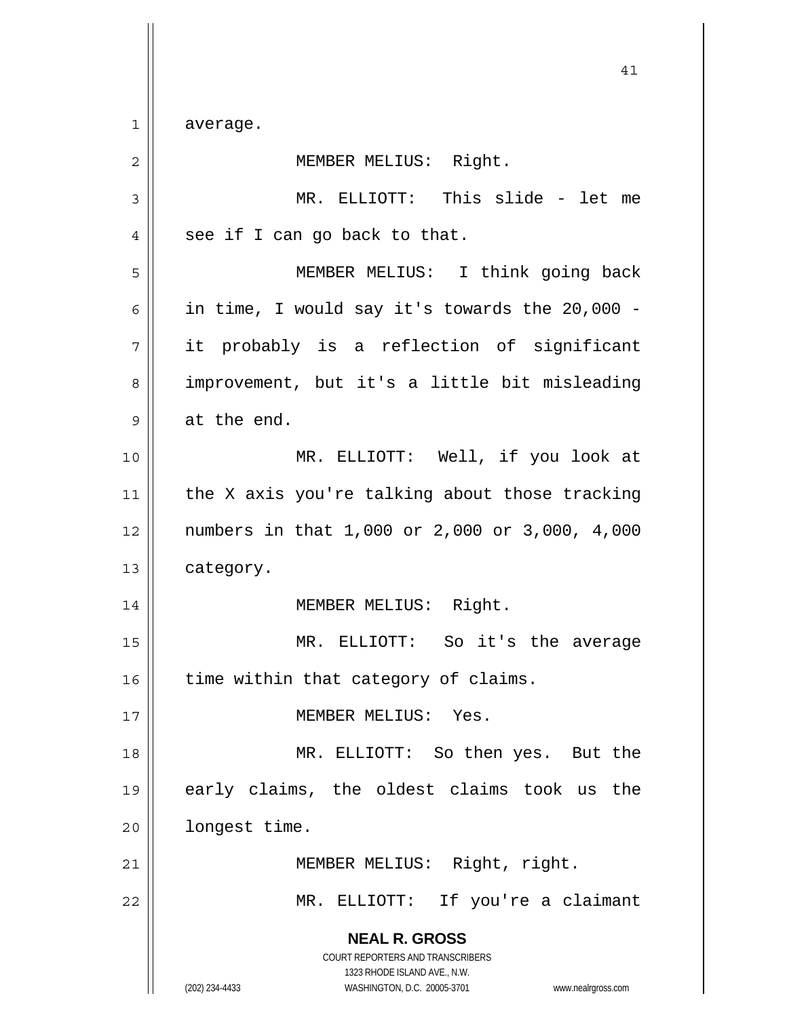$1$ average.

| 2  | MEMBER MELIUS: Right.                                                                    |
|----|------------------------------------------------------------------------------------------|
| 3  | MR. ELLIOTT: This slide - let me                                                         |
| 4  | see if I can go back to that.                                                            |
| 5  | MEMBER MELIUS: I think going back                                                        |
| 6  | in time, I would say it's towards the 20,000 -                                           |
| 7  | it probably is a reflection of significant                                               |
| 8  | improvement, but it's a little bit misleading                                            |
| 9  | at the end.                                                                              |
| 10 | MR. ELLIOTT: Well, if you look at                                                        |
| 11 | the X axis you're talking about those tracking                                           |
| 12 | numbers in that 1,000 or 2,000 or 3,000, 4,000                                           |
| 13 | category.                                                                                |
| 14 | MEMBER MELIUS: Right.                                                                    |
| 15 | MR. ELLIOTT: So it's the average                                                         |
| 16 | time within that category of claims.                                                     |
| 17 | MEMBER MELIUS: Yes.                                                                      |
| 18 | MR. ELLIOTT: So then yes. But the                                                        |
| 19 | early claims, the oldest claims took us the                                              |
| 20 | longest time.                                                                            |
| 21 | MEMBER MELIUS: Right, right.                                                             |
| 22 | MR. ELLIOTT: If you're a claimant                                                        |
|    | <b>NEAL R. GROSS</b><br>COURT REPORTERS AND TRANSCRIBERS<br>1323 RHODE ISLAND AVE., N.W. |
|    | (202) 234-4433<br>WASHINGTON, D.C. 20005-3701<br>www.nealrgross.com                      |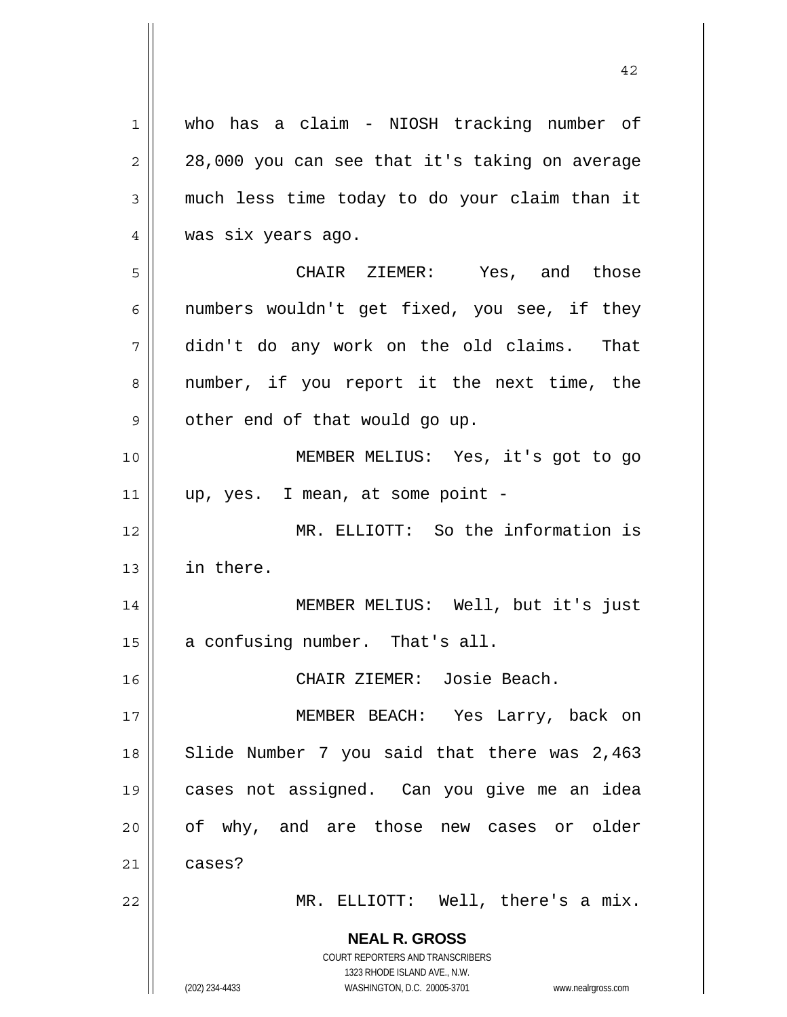**NEAL R. GROSS** COURT REPORTERS AND TRANSCRIBERS 1323 RHODE ISLAND AVE., N.W. (202) 234-4433 WASHINGTON, D.C. 20005-3701 www.nealrgross.com 1 2 3 4 5 6 7 8 9 10 11 12 13 14 15 16 17 18 19 20 21 22 who has a claim - NIOSH tracking number of 28,000 you can see that it's taking on average much less time today to do your claim than it was six years ago. CHAIR ZIEMER: Yes, and those numbers wouldn't get fixed, you see, if they didn't do any work on the old claims. That number, if you report it the next time, the other end of that would go up. MEMBER MELIUS: Yes, it's got to go up, yes. I mean, at some point - MR. ELLIOTT: So the information is in there. MEMBER MELIUS: Well, but it's just a confusing number. That's all. CHAIR ZIEMER: Josie Beach. MEMBER BEACH: Yes Larry, back on Slide Number 7 you said that there was 2,463 cases not assigned. Can you give me an idea of why, and are those new cases or older cases? MR. ELLIOTT: Well, there's a mix.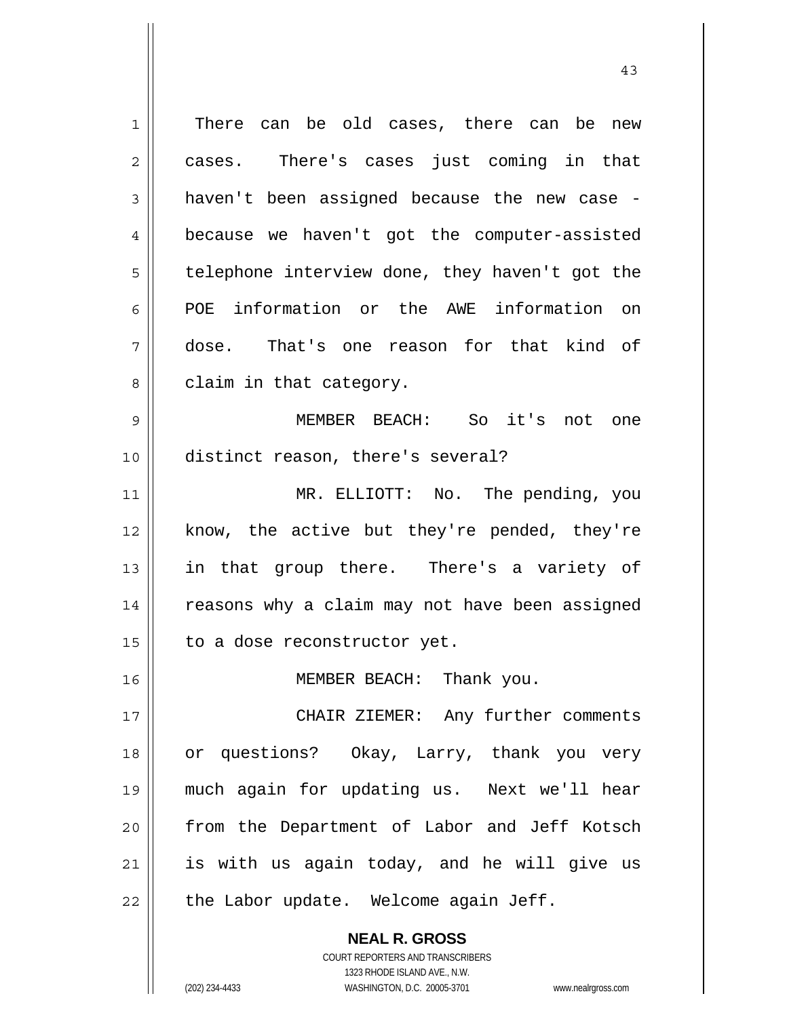**NEAL R. GROSS** 1 2 3 4 5 6 7 8 9 10 11 12 13 14 15 16 17 18 19 20 21 22 There can be old cases, there can be new cases. There's cases just coming in that haven't been assigned because the new case because we haven't got the computer-assisted telephone interview done, they haven't got the POE information or the AWE information on dose. That's one reason for that kind of claim in that category. MEMBER BEACH: So it's not one distinct reason, there's several? MR. ELLIOTT: No. The pending, you know, the active but they're pended, they're in that group there. There's a variety of reasons why a claim may not have been assigned to a dose reconstructor yet. MEMBER BEACH: Thank you. CHAIR ZIEMER: Any further comments or questions? Okay, Larry, thank you very much again for updating us. Next we'll hear from the Department of Labor and Jeff Kotsch is with us again today, and he will give us the Labor update. Welcome again Jeff.

43

1323 RHODE ISLAND AVE., N.W. (202) 234-4433 WASHINGTON, D.C. 20005-3701 www.nealrgross.com

COURT REPORTERS AND TRANSCRIBERS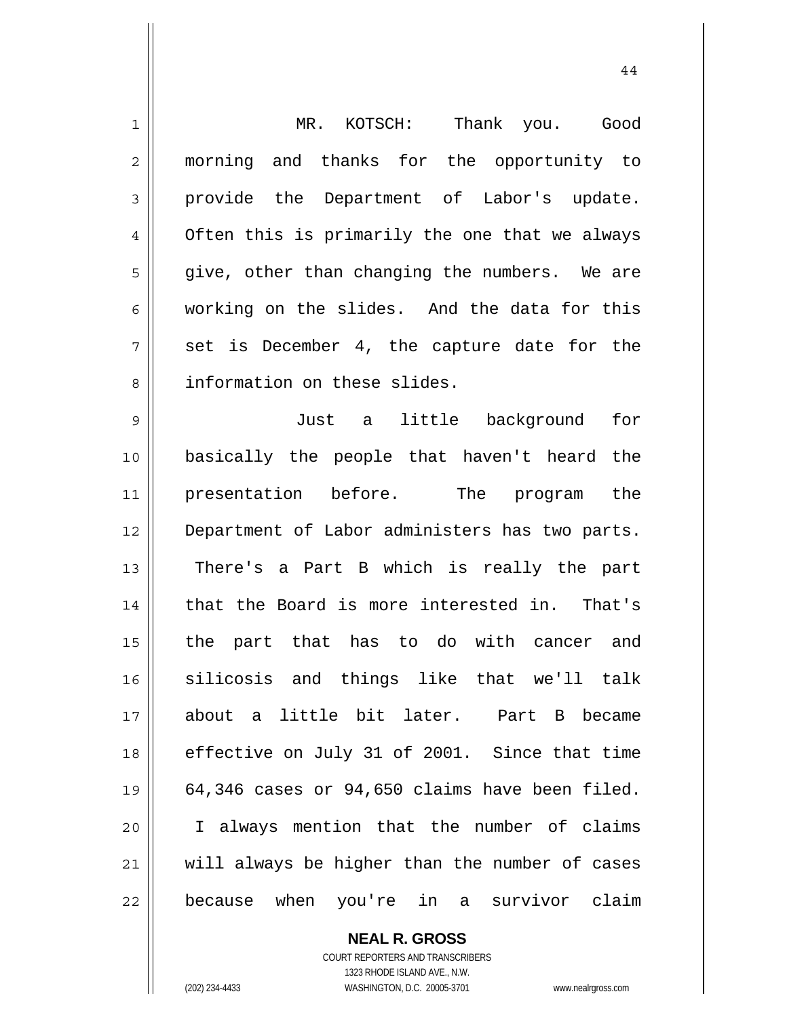| $\mathbf 1$    | MR. KOTSCH:<br>Thank you. Good                 |
|----------------|------------------------------------------------|
| $\overline{2}$ | morning and thanks for the opportunity to      |
| 3              | provide the Department of Labor's update.      |
| $\overline{4}$ | Often this is primarily the one that we always |
| 5              | give, other than changing the numbers. We are  |
| 6              | working on the slides. And the data for this   |
| 7              | set is December 4, the capture date for the    |
| 8              | information on these slides.                   |
| $\mathsf{S}$   | little background<br>Just a<br>for             |
| 10             | basically the people that haven't heard the    |
| 11             | presentation before. The program the           |
| 12             | Department of Labor administers has two parts. |
| 13             | There's a Part B which is really the part      |
| 14             | that the Board is more interested in. That's   |
| 15             | the part that has to do with cancer and        |
| 16             | silicosis and things like that we'll talk      |
| 17             | about a little bit later. Part B became        |
| 18             | effective on July 31 of 2001. Since that time  |
| 19             | 64,346 cases or 94,650 claims have been filed. |
| 20             | I always mention that the number of claims     |
| 21             | will always be higher than the number of cases |
| 22             | because when you're in a survivor claim        |

**NEAL R. GROSS** COURT REPORTERS AND TRANSCRIBERS

1323 RHODE ISLAND AVE., N.W.

(202) 234-4433 WASHINGTON, D.C. 20005-3701 www.nealrgross.com

 $\mathsf{II}$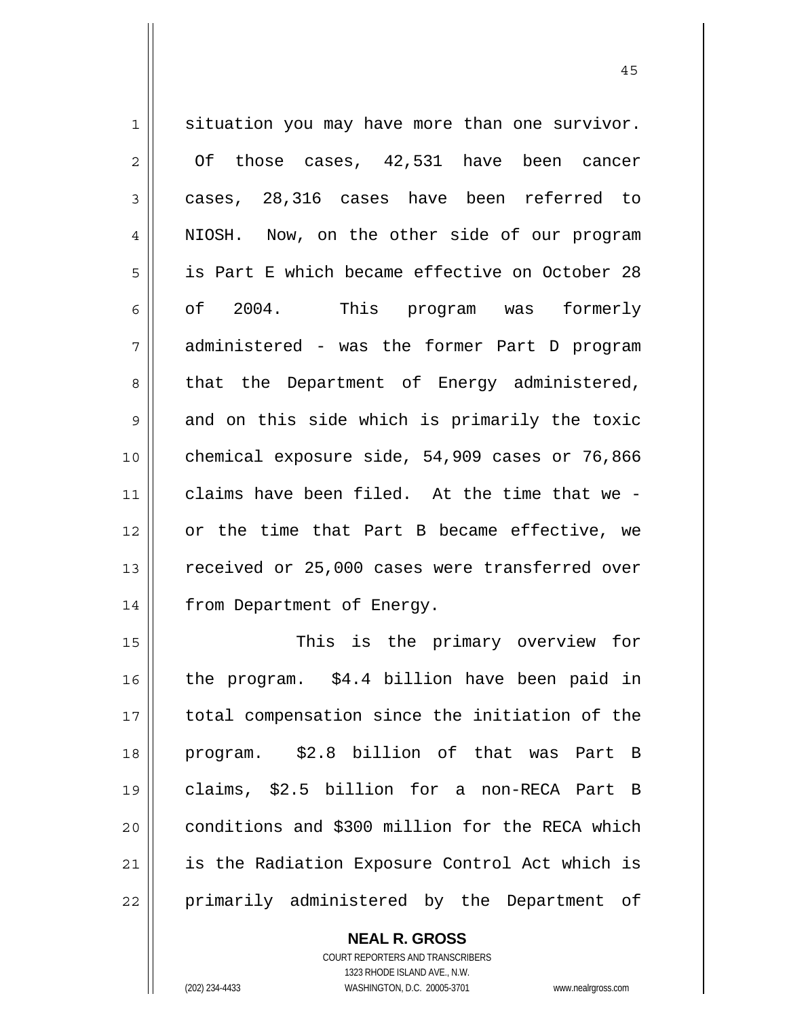1 2 3 4 5 6 7 8 9 10 11 12 13 14 15 16 17 18 19 20 21 22 situation you may have more than one survivor. Of those cases, 42,531 have been cancer cases, 28,316 cases have been referred to NIOSH. Now, on the other side of our program is Part E which became effective on October 28 of 2004. This program was formerly administered - was the former Part D program that the Department of Energy administered, and on this side which is primarily the toxic chemical exposure side, 54,909 cases or 76,866 claims have been filed. At the time that we or the time that Part B became effective, we received or 25,000 cases were transferred over from Department of Energy. This is the primary overview for the program. \$4.4 billion have been paid in total compensation since the initiation of the program. \$2.8 billion of that was Part B claims, \$2.5 billion for a non-RECA Part B conditions and \$300 million for the RECA which is the Radiation Exposure Control Act which is primarily administered by the Department of

**NEAL R. GROSS**

COURT REPORTERS AND TRANSCRIBERS 1323 RHODE ISLAND AVE., N.W. (202) 234-4433 WASHINGTON, D.C. 20005-3701 www.nealrgross.com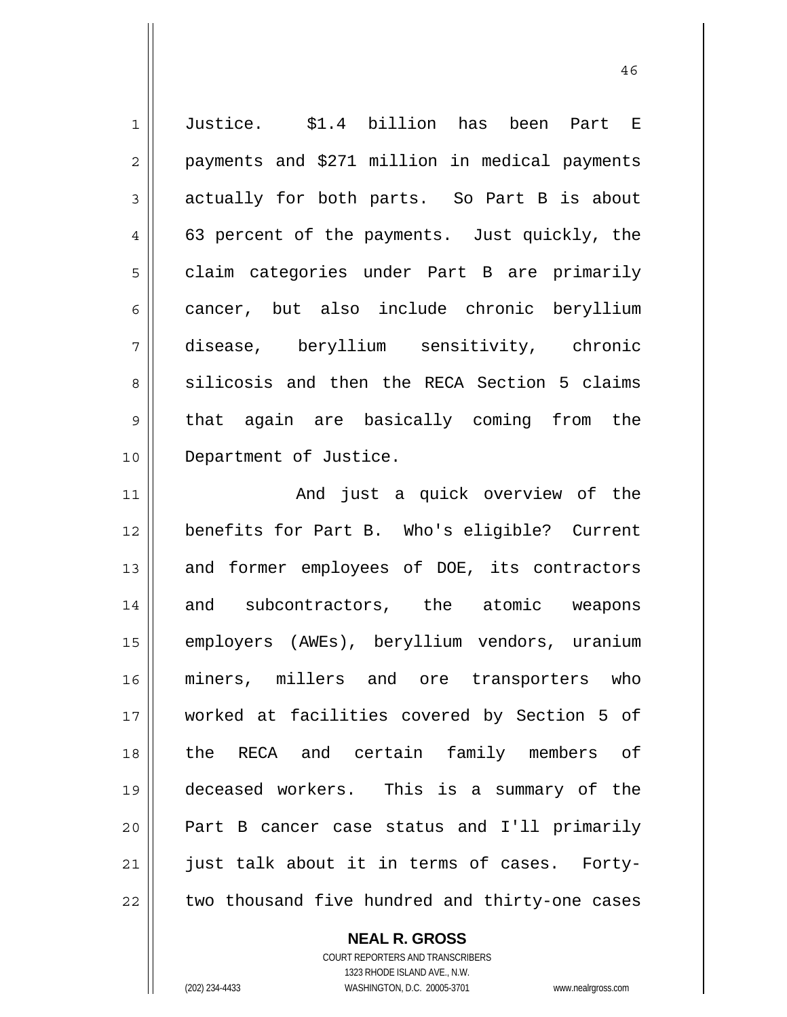1 2 3 4 5 6 7 8 9 10 11 12 13 14 15 16 17 18 19 20 21 22 Justice. \$1.4 billion has been Part E payments and \$271 million in medical payments actually for both parts. So Part B is about 63 percent of the payments. Just quickly, the claim categories under Part B are primarily cancer, but also include chronic beryllium disease, beryllium sensitivity, chronic silicosis and then the RECA Section 5 claims that again are basically coming from the Department of Justice. And just a quick overview of the benefits for Part B. Who's eligible? Current and former employees of DOE, its contractors and subcontractors, the atomic weapons employers (AWEs), beryllium vendors, uranium miners, millers and ore transporters who worked at facilities covered by Section 5 of the RECA and certain family members of deceased workers. This is a summary of the Part B cancer case status and I'll primarily just talk about it in terms of cases. Fortytwo thousand five hundred and thirty-one cases

**NEAL R. GROSS**

COURT REPORTERS AND TRANSCRIBERS 1323 RHODE ISLAND AVE., N.W. (202) 234-4433 WASHINGTON, D.C. 20005-3701 www.nealrgross.com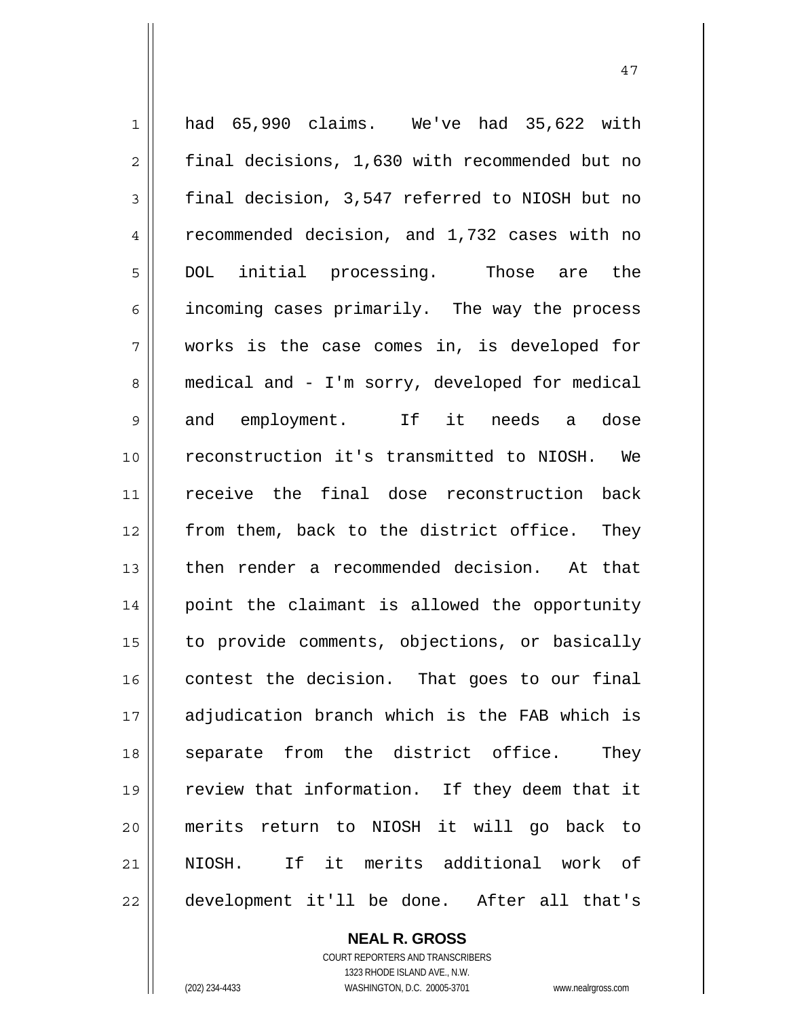| $\mathbf 1$    | had 65,990 claims. We've had 35,622 with       |
|----------------|------------------------------------------------|
| $\overline{2}$ | final decisions, 1,630 with recommended but no |
| $\mathfrak{Z}$ | final decision, 3,547 referred to NIOSH but no |
| $\overline{4}$ | recommended decision, and 1,732 cases with no  |
| 5              | DOL initial processing. Those are the          |
| 6              | incoming cases primarily. The way the process  |
| 7              | works is the case comes in, is developed for   |
| 8              | medical and - I'm sorry, developed for medical |
| 9              | and employment. If it needs a<br>dose          |
| 10             | reconstruction it's transmitted to NIOSH. We   |
| 11             | receive the final dose reconstruction back     |
| 12             | from them, back to the district office. They   |
| 13             | then render a recommended decision. At that    |
| 14             | point the claimant is allowed the opportunity  |
| 15             | to provide comments, objections, or basically  |
| 16             | contest the decision. That goes to our final   |
| 17             | adjudication branch which is the FAB which is  |
| 18             | separate from the district office.<br>They     |
| 19             | review that information. If they deem that it  |
| 20             | merits return to NIOSH it will go back to      |
| 21             | NIOSH. If it merits additional work of         |
| 22             | development it'll be done. After all that's    |

47

**NEAL R. GROSS** COURT REPORTERS AND TRANSCRIBERS 1323 RHODE ISLAND AVE., N.W.

 $\mathsf{I}$ 

(202) 234-4433 WASHINGTON, D.C. 20005-3701 www.nealrgross.com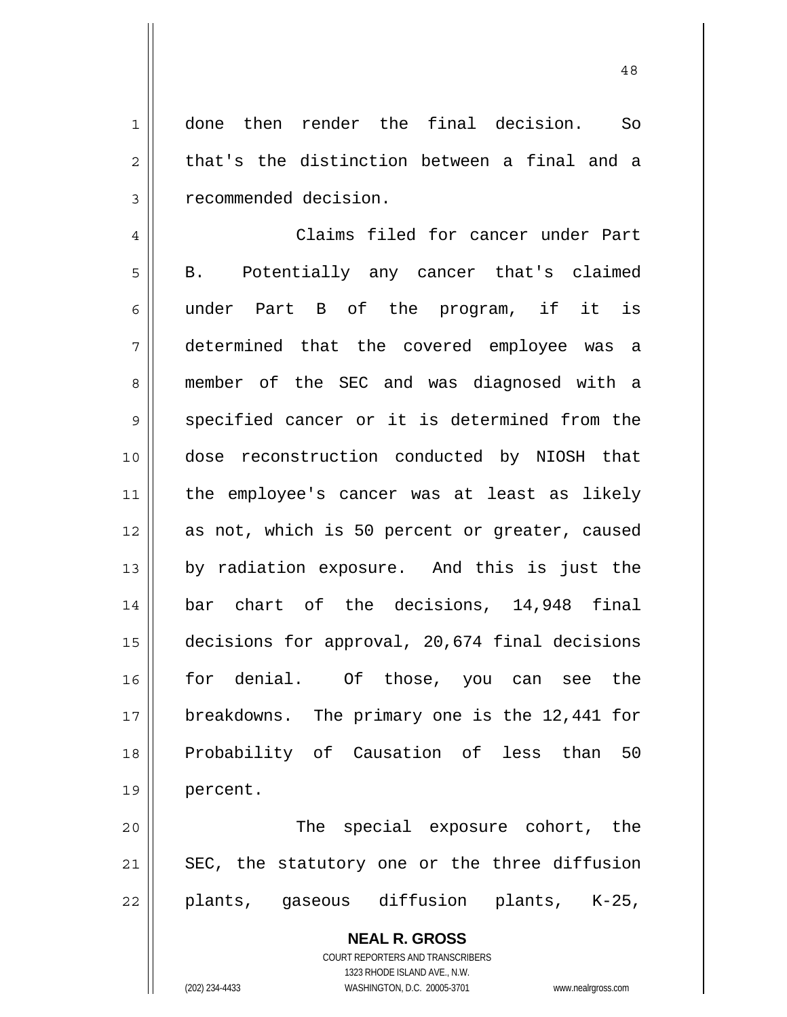1 2 3 done then render the final decision. So that's the distinction between a final and a recommended decision.

4 5 6 7 8 9 10 11 12 13 14 15 16 17 18 19 Claims filed for cancer under Part B. Potentially any cancer that's claimed under Part B of the program, if it is determined that the covered employee was a member of the SEC and was diagnosed with a specified cancer or it is determined from the dose reconstruction conducted by NIOSH that the employee's cancer was at least as likely as not, which is 50 percent or greater, caused by radiation exposure. And this is just the bar chart of the decisions, 14,948 final decisions for approval, 20,674 final decisions for denial. Of those, you can see the breakdowns. The primary one is the 12,441 for Probability of Causation of less than 50 percent.

20 21 22 The special exposure cohort, the SEC, the statutory one or the three diffusion plants, gaseous diffusion plants, K-25,

> **NEAL R. GROSS** COURT REPORTERS AND TRANSCRIBERS 1323 RHODE ISLAND AVE., N.W. (202) 234-4433 WASHINGTON, D.C. 20005-3701 www.nealrgross.com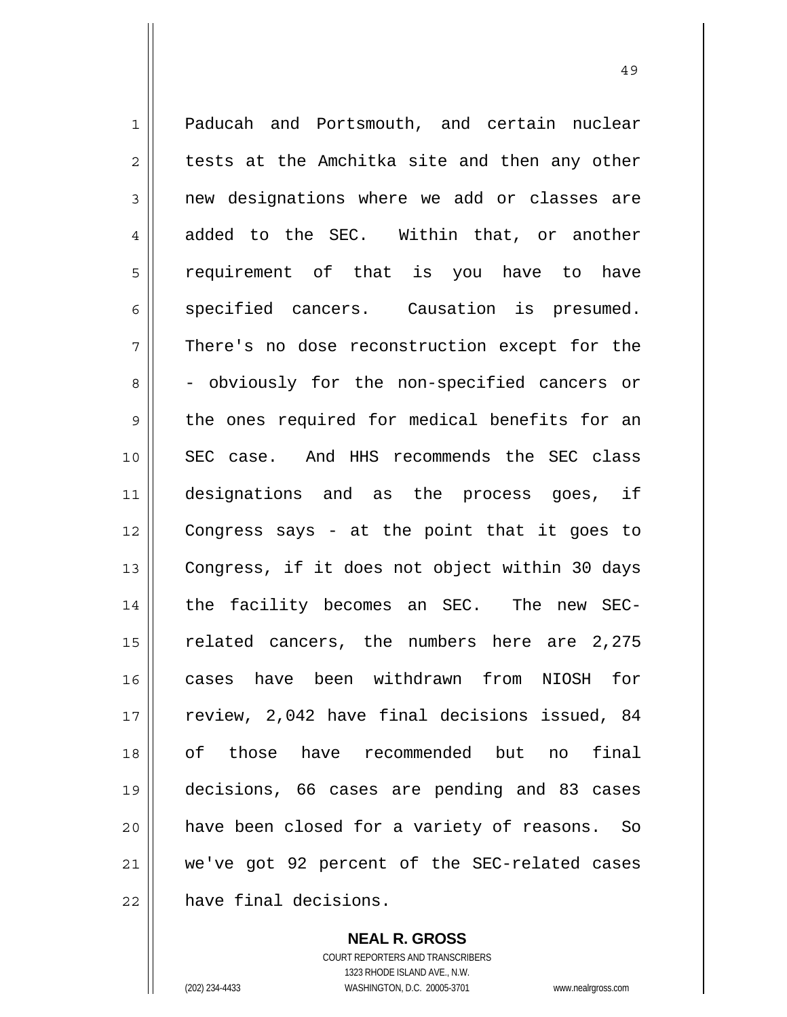1 2 3 4 5 6 7 8 9 10 11 12 13 14 15 16 17 18 19 20 21 22 Paducah and Portsmouth, and certain nuclear tests at the Amchitka site and then any other new designations where we add or classes are added to the SEC. Within that, or another requirement of that is you have to have specified cancers. Causation is presumed. There's no dose reconstruction except for the - obviously for the non-specified cancers or the ones required for medical benefits for an SEC case. And HHS recommends the SEC class designations and as the process goes, if Congress says - at the point that it goes to Congress, if it does not object within 30 days the facility becomes an SEC. The new SECrelated cancers, the numbers here are 2,275 cases have been withdrawn from NIOSH for review, 2,042 have final decisions issued, 84 of those have recommended but no final decisions, 66 cases are pending and 83 cases have been closed for a variety of reasons. So we've got 92 percent of the SEC-related cases have final decisions.

49

**NEAL R. GROSS** COURT REPORTERS AND TRANSCRIBERS 1323 RHODE ISLAND AVE., N.W. (202) 234-4433 WASHINGTON, D.C. 20005-3701 www.nealrgross.com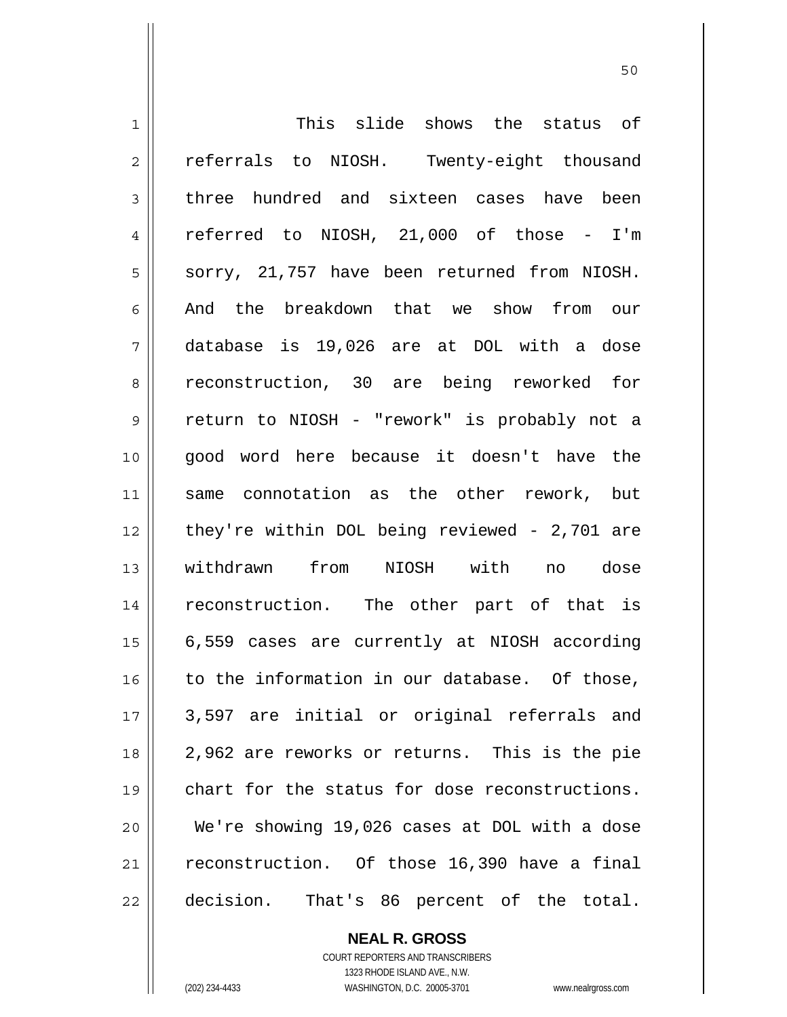1 2 3 4 5 6 7 8 9 10 11 12 13 14 15 16 17 18 19 20 21 22 This slide shows the status of referrals to NIOSH. Twenty-eight thousand three hundred and sixteen cases have been referred to NIOSH, 21,000 of those - I'm sorry, 21,757 have been returned from NIOSH. And the breakdown that we show from our database is 19,026 are at DOL with a dose reconstruction, 30 are being reworked for return to NIOSH - "rework" is probably not a good word here because it doesn't have the same connotation as the other rework, but they're within DOL being reviewed - 2,701 are withdrawn from NIOSH with no dose reconstruction. The other part of that is 6,559 cases are currently at NIOSH according to the information in our database. Of those, 3,597 are initial or original referrals and 2,962 are reworks or returns. This is the pie chart for the status for dose reconstructions. We're showing 19,026 cases at DOL with a dose reconstruction. Of those 16,390 have a final decision. That's 86 percent of the total.

> **NEAL R. GROSS** COURT REPORTERS AND TRANSCRIBERS 1323 RHODE ISLAND AVE., N.W. (202) 234-4433 WASHINGTON, D.C. 20005-3701 www.nealrgross.com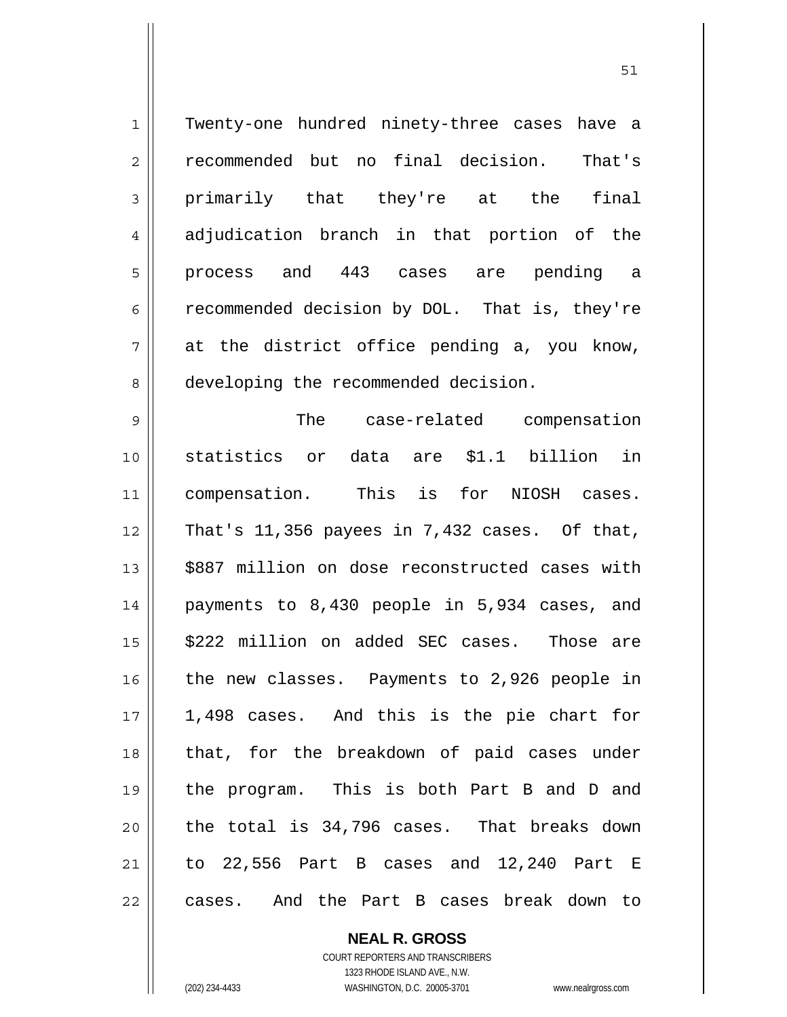1 2 3 4 5 6 7 8 9 10 11 12 13 14 15 16 17 18 19 20 21 22 Twenty-one hundred ninety-three cases have a recommended but no final decision. That's primarily that they're at the final adjudication branch in that portion of the process and 443 cases are pending a recommended decision by DOL. That is, they're at the district office pending a, you know, developing the recommended decision. The case-related compensation statistics or data are \$1.1 billion in compensation. This is for NIOSH cases. That's 11,356 payees in 7,432 cases. Of that, \$887 million on dose reconstructed cases with payments to 8,430 people in 5,934 cases, and \$222 million on added SEC cases. Those are the new classes. Payments to 2,926 people in 1,498 cases. And this is the pie chart for that, for the breakdown of paid cases under the program. This is both Part B and D and the total is 34,796 cases. That breaks down to 22,556 Part B cases and 12,240 Part E cases. And the Part B cases break down to

> **NEAL R. GROSS** COURT REPORTERS AND TRANSCRIBERS 1323 RHODE ISLAND AVE., N.W. (202) 234-4433 WASHINGTON, D.C. 20005-3701 www.nealrgross.com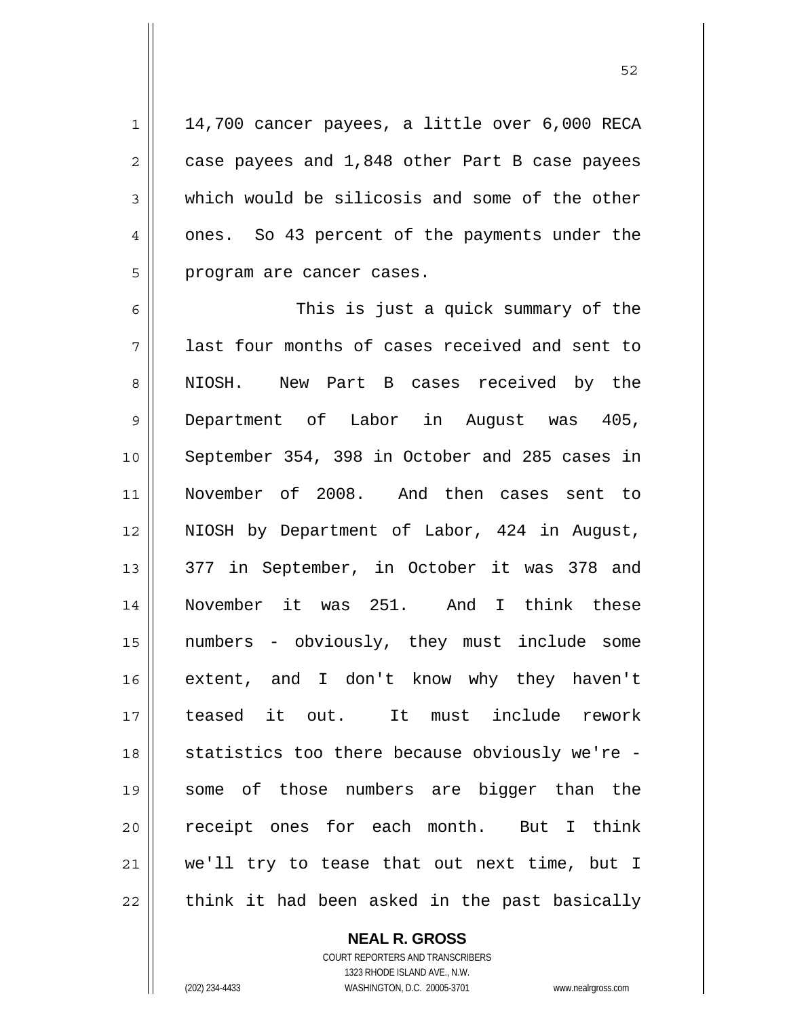14,700 cancer payees, a little over 6,000 RECA case payees and 1,848 other Part B case payees which would be silicosis and some of the other ones. So 43 percent of the payments under the program are cancer cases.

6 7 8 9 10 11 12 13 14 15 16 17 18 19 20 21 22 This is just a quick summary of the last four months of cases received and sent to NIOSH. New Part B cases received by the Department of Labor in August was 405, September 354, 398 in October and 285 cases in November of 2008. And then cases sent to NIOSH by Department of Labor, 424 in August, 377 in September, in October it was 378 and November it was 251. And I think these numbers - obviously, they must include some extent, and I don't know why they haven't teased it out. It must include rework statistics too there because obviously we're some of those numbers are bigger than the receipt ones for each month. But I think we'll try to tease that out next time, but I think it had been asked in the past basically

> **NEAL R. GROSS** COURT REPORTERS AND TRANSCRIBERS 1323 RHODE ISLAND AVE., N.W. (202) 234-4433 WASHINGTON, D.C. 20005-3701 www.nealrgross.com

1

2

3

4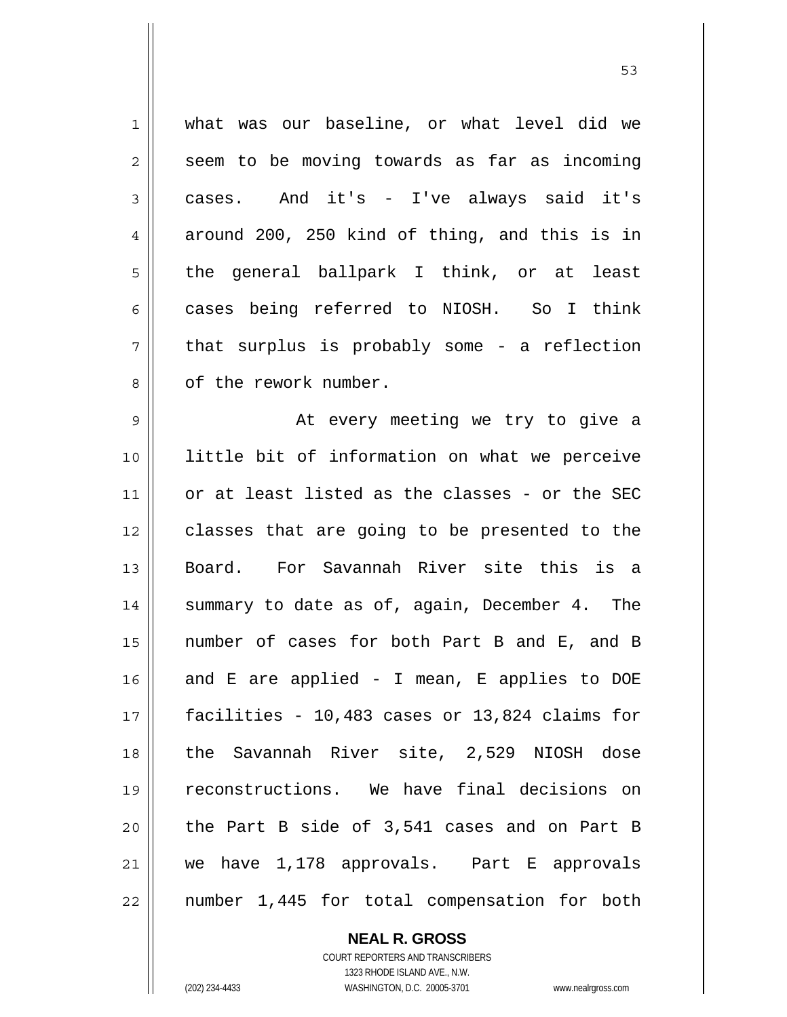1 2 3 4 5 6 7 8 9 10 11 12 13 14 15 16 17 18 19 20 21 22 what was our baseline, or what level did we seem to be moving towards as far as incoming cases. And it's - I've always said it's around 200, 250 kind of thing, and this is in the general ballpark I think, or at least cases being referred to NIOSH. So I think that surplus is probably some - a reflection of the rework number. At every meeting we try to give a little bit of information on what we perceive or at least listed as the classes - or the SEC classes that are going to be presented to the Board. For Savannah River site this is a summary to date as of, again, December 4. The number of cases for both Part B and E, and B and E are applied - I mean, E applies to DOE facilities - 10,483 cases or 13,824 claims for the Savannah River site, 2,529 NIOSH dose reconstructions. We have final decisions on the Part B side of 3,541 cases and on Part B we have 1,178 approvals. Part E approvals number 1,445 for total compensation for both

 $\sim$  53

COURT REPORTERS AND TRANSCRIBERS 1323 RHODE ISLAND AVE., N.W. (202) 234-4433 WASHINGTON, D.C. 20005-3701 www.nealrgross.com

**NEAL R. GROSS**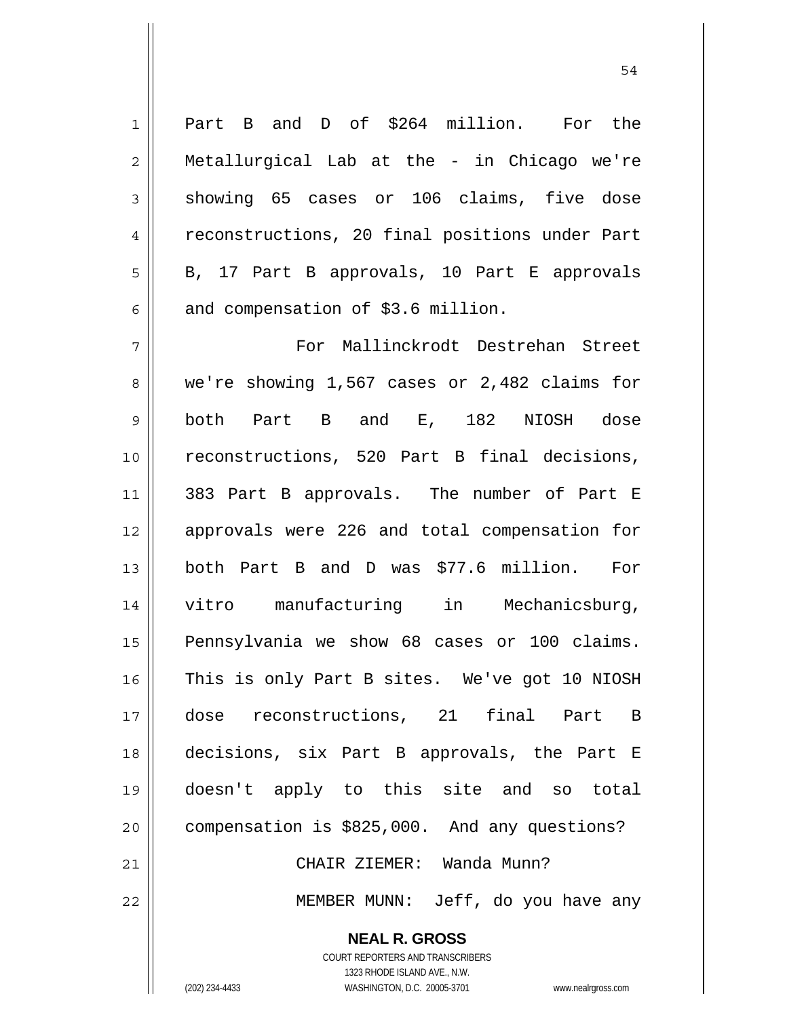Part B and D of \$264 million. For the Metallurgical Lab at the - in Chicago we're showing 65 cases or 106 claims, five dose reconstructions, 20 final positions under Part B, 17 Part B approvals, 10 Part E approvals and compensation of \$3.6 million.

7 8 9 10 11 12 13 14 15 16 17 18 19 20 21 22 For Mallinckrodt Destrehan Street we're showing 1,567 cases or 2,482 claims for both Part B and E, 182 NIOSH dose reconstructions, 520 Part B final decisions, 383 Part B approvals. The number of Part E approvals were 226 and total compensation for both Part B and D was \$77.6 million. For vitro manufacturing in Mechanicsburg, Pennsylvania we show 68 cases or 100 claims. This is only Part B sites. We've got 10 NIOSH dose reconstructions, 21 final Part B decisions, six Part B approvals, the Part E doesn't apply to this site and so total compensation is \$825,000. And any questions? CHAIR ZIEMER: Wanda Munn? MEMBER MUNN: Jeff, do you have any

**NEAL R. GROSS**

1

2

3

4

5

6

COURT REPORTERS AND TRANSCRIBERS 1323 RHODE ISLAND AVE., N.W. (202) 234-4433 WASHINGTON, D.C. 20005-3701 www.nealrgross.com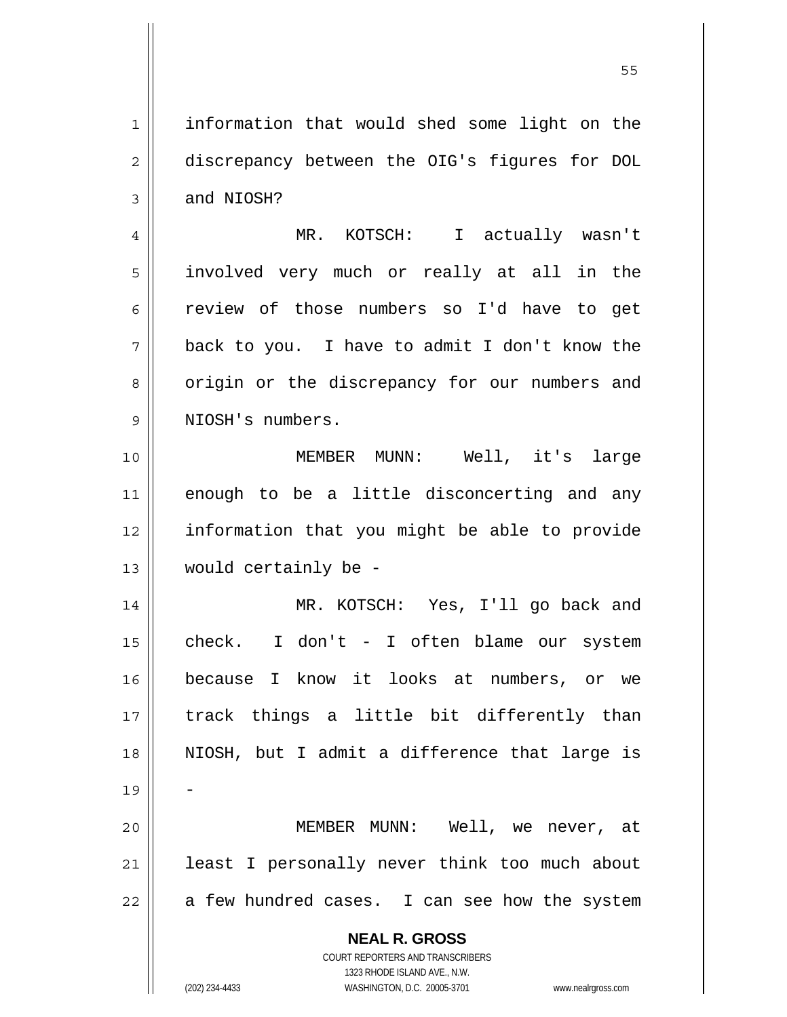**NEAL R. GROSS** COURT REPORTERS AND TRANSCRIBERS 1 2 3 4 5 6 7 8 9 10 11 12 13 14 15 16 17 18 19 20 21 22 information that would shed some light on the discrepancy between the OIG's figures for DOL and NIOSH? MR. KOTSCH: I actually wasn't involved very much or really at all in the review of those numbers so I'd have to get back to you. I have to admit I don't know the origin or the discrepancy for our numbers and NIOSH's numbers. MEMBER MUNN: Well, it's large enough to be a little disconcerting and any information that you might be able to provide would certainly be - MR. KOTSCH: Yes, I'll go back and check. I don't - I often blame our system because I know it looks at numbers, or we track things a little bit differently than NIOSH, but I admit a difference that large is - MEMBER MUNN: Well, we never, at least I personally never think too much about a few hundred cases. I can see how the system

1323 RHODE ISLAND AVE., N.W.

(202) 234-4433 WASHINGTON, D.C. 20005-3701 www.nealrgross.com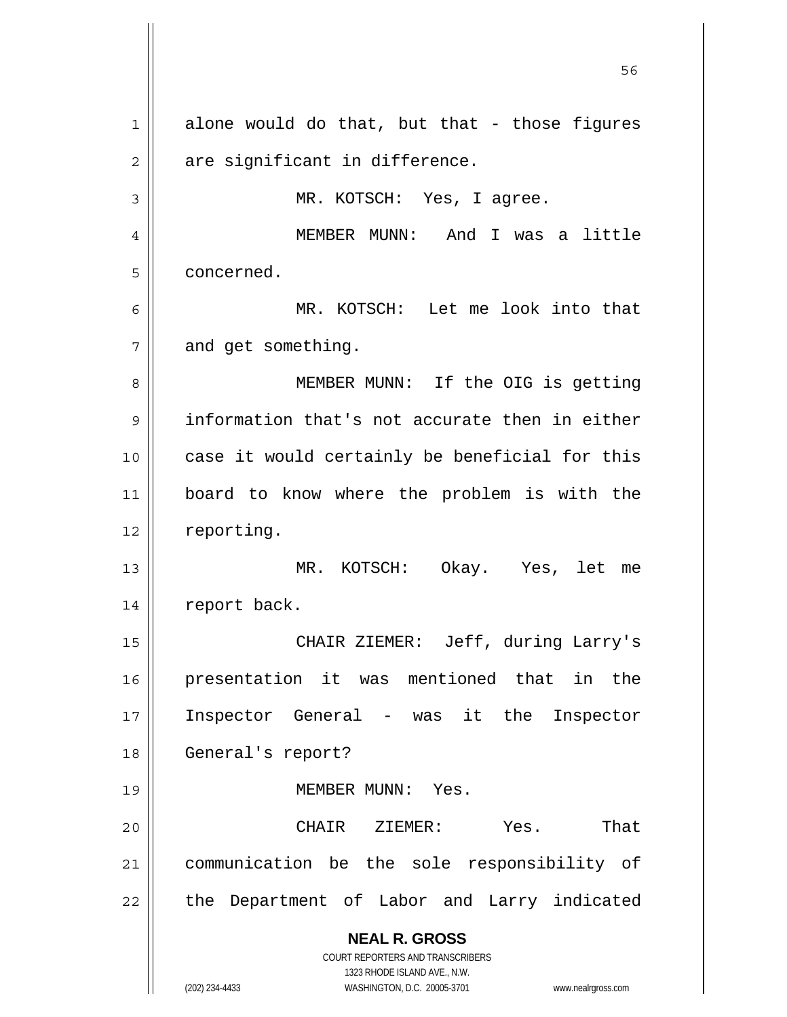**NEAL R. GROSS** COURT REPORTERS AND TRANSCRIBERS 1323 RHODE ISLAND AVE., N.W. (202) 234-4433 WASHINGTON, D.C. 20005-3701 www.nealrgross.com  $56$ 1 2 3 4 5 6 7 8 9 10 11 12 13 14 15 16 17 18 19 20 21 22 alone would do that, but that - those figures are significant in difference. MR. KOTSCH: Yes, I agree. MEMBER MUNN: And I was a little concerned. MR. KOTSCH: Let me look into that and get something. MEMBER MUNN: If the OIG is getting information that's not accurate then in either case it would certainly be beneficial for this board to know where the problem is with the reporting. MR. KOTSCH: Okay. Yes, let me report back. CHAIR ZIEMER: Jeff, during Larry's presentation it was mentioned that in the Inspector General - was it the Inspector General's report? MEMBER MUNN: Yes. CHAIR ZIEMER: Yes. That communication be the sole responsibility of the Department of Labor and Larry indicated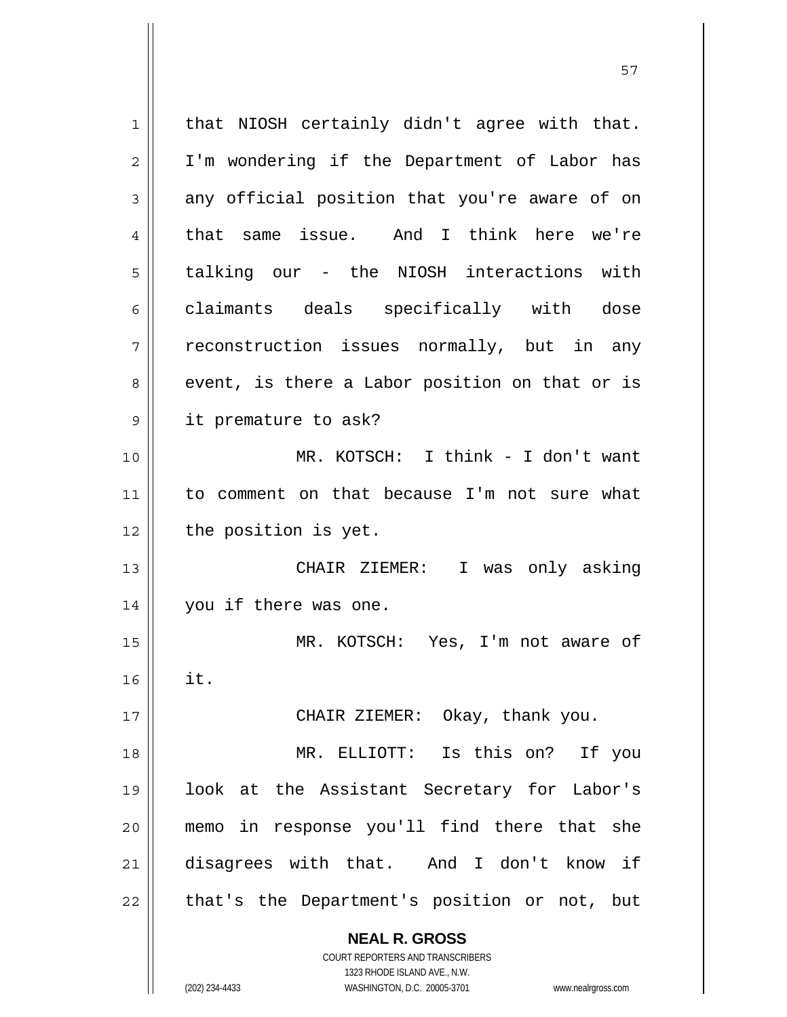**NEAL R. GROSS** COURT REPORTERS AND TRANSCRIBERS 1323 RHODE ISLAND AVE., N.W. (202) 234-4433 WASHINGTON, D.C. 20005-3701 www.nealrgross.com 1 2 3 4 5 6 7 8 9 10 11 12 13 14 15 16 17 18 19 20 21 22 that NIOSH certainly didn't agree with that. I'm wondering if the Department of Labor has any official position that you're aware of on that same issue. And I think here we're talking our - the NIOSH interactions with claimants deals specifically with dose reconstruction issues normally, but in any event, is there a Labor position on that or is it premature to ask? MR. KOTSCH: I think - I don't want to comment on that because I'm not sure what the position is yet. CHAIR ZIEMER: I was only asking you if there was one. MR. KOTSCH: Yes, I'm not aware of it. CHAIR ZIEMER: Okay, thank you. MR. ELLIOTT: Is this on? If you look at the Assistant Secretary for Labor's memo in response you'll find there that she disagrees with that. And I don't know if that's the Department's position or not, but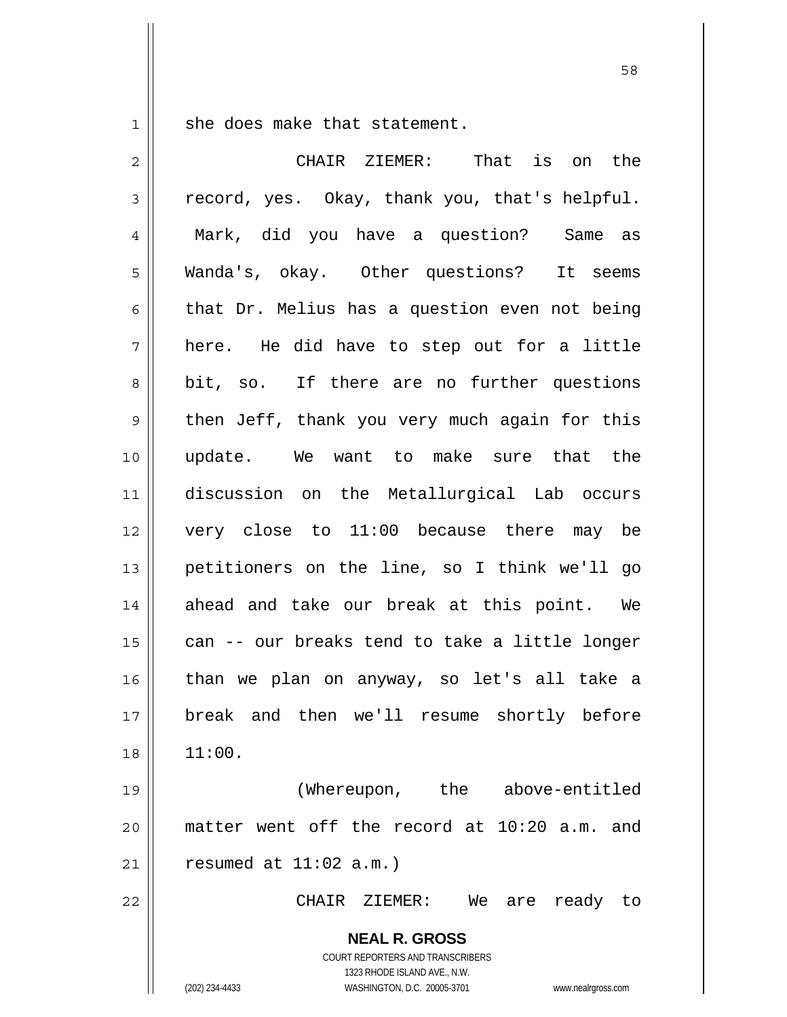1 she does make that statement.

| $\overline{2}$ | That is on the<br>CHAIR ZIEMER:                                                                 |
|----------------|-------------------------------------------------------------------------------------------------|
| 3              | record, yes. Okay, thank you, that's helpful.                                                   |
| 4              | Mark, did you have a question? Same as                                                          |
| 5              | Wanda's, okay. Other questions?<br>It seems                                                     |
| 6              | that Dr. Melius has a question even not being                                                   |
| 7              | here. He did have to step out for a little                                                      |
| 8              | bit, so. If there are no further questions                                                      |
| $\mathsf 9$    | then Jeff, thank you very much again for this                                                   |
| 10             | update. We want to make sure that the                                                           |
| 11             | discussion on the Metallurgical Lab occurs                                                      |
| 12             | very close to 11:00 because there may be                                                        |
| 13             | petitioners on the line, so I think we'll go                                                    |
| 14             | ahead and take our break at this point. We                                                      |
| 15             | can -- our breaks tend to take a little longer                                                  |
| 16             | than we plan on anyway, so let's all take a                                                     |
| 17             | break and then we'll resume shortly before                                                      |
| 18             | 11:00.                                                                                          |
| 19             | (Whereupon,<br>the<br>above-entitled                                                            |
| 20             | matter went off the record at 10:20 a.m.<br>and                                                 |
| 21             | resumed at $11:02$ a.m.)                                                                        |
| 22             | CHAIR<br>ZIEMER:<br>We<br>ready<br>are<br>to                                                    |
|                | <b>NEAL R. GROSS</b><br><b>COURT REPORTERS AND TRANSCRIBERS</b><br>1323 RHODE ISLAND AVE., N.W. |
|                | WASHINGTON, D.C. 20005-3701<br>(202) 234-4433<br>www.nealrgross.com                             |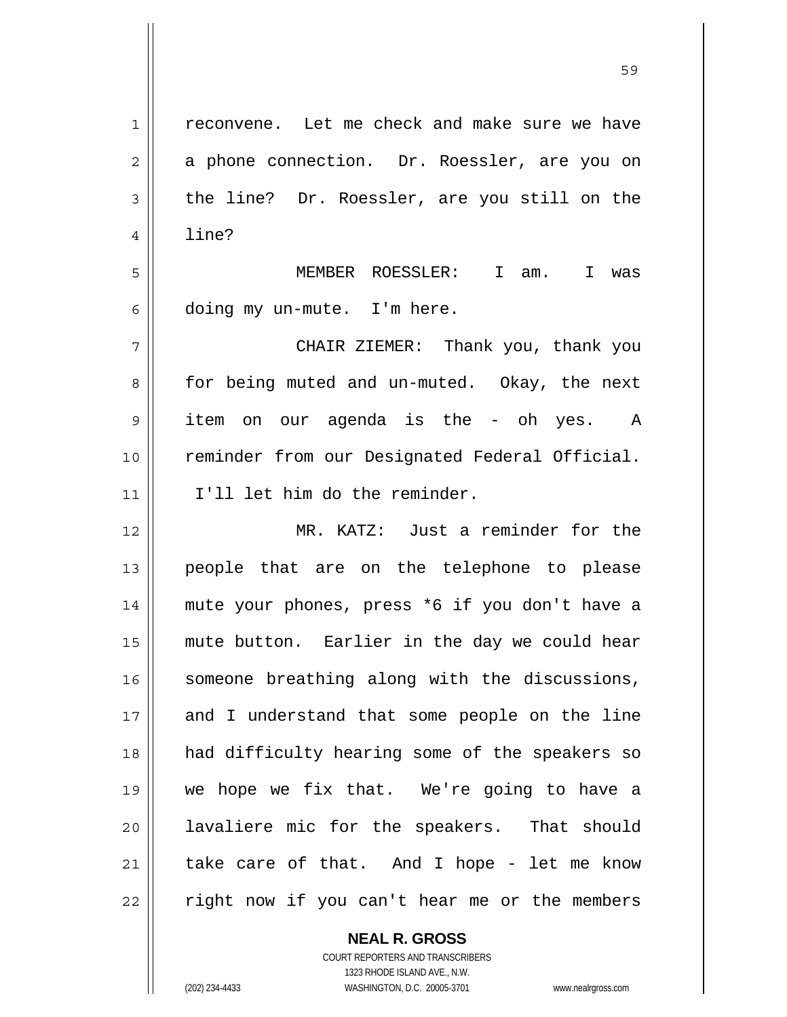| $\mathbf 1$    | reconvene. Let me check and make sure we have  |
|----------------|------------------------------------------------|
| $\overline{2}$ | a phone connection. Dr. Roessler, are you on   |
| 3              | the line? Dr. Roessler, are you still on the   |
| $\overline{4}$ | line?                                          |
| 5              | MEMBER ROESSLER: I am. I was                   |
| 6              | doing my un-mute. I'm here.                    |
| 7              | CHAIR ZIEMER: Thank you, thank you             |
| 8              | for being muted and un-muted. Okay, the next   |
| 9              | item on our agenda is the - oh yes. A          |
| 10             | reminder from our Designated Federal Official. |
| 11             | I'll let him do the reminder.                  |
| 12             | MR. KATZ: Just a reminder for the              |
| 13             | people that are on the telephone to please     |
| 14             | mute your phones, press *6 if you don't have a |
| 15             | mute button. Earlier in the day we could hear  |
| 16             | someone breathing along with the discussions,  |
| 17             | and I understand that some people on the line  |
| 18             | had difficulty hearing some of the speakers so |
| 19             | we hope we fix that. We're going to have a     |
| 20             | lavaliere mic for the speakers. That should    |
| 21             | take care of that. And I hope - let me know    |
| 22             | right now if you can't hear me or the members  |

**NEAL R. GROSS** COURT REPORTERS AND TRANSCRIBERS 1323 RHODE ISLAND AVE., N.W. (202) 234-4433 WASHINGTON, D.C. 20005-3701 www.nealrgross.com

 $\mathsf{I}$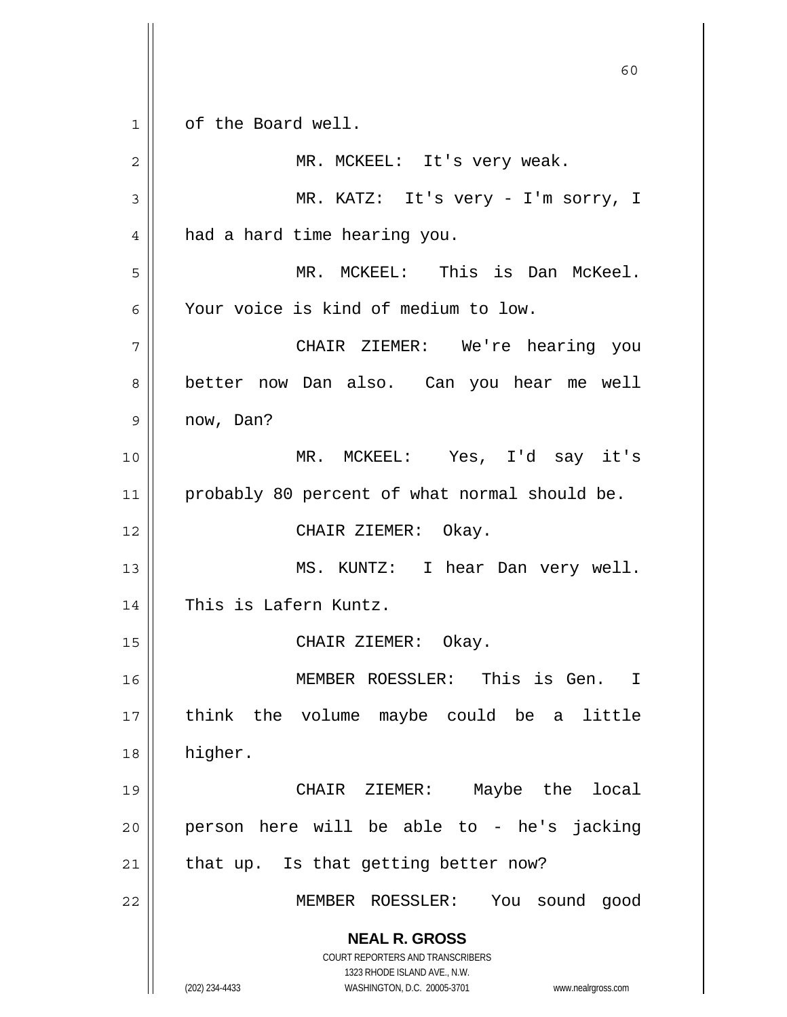**NEAL R. GROSS** COURT REPORTERS AND TRANSCRIBERS 1323 RHODE ISLAND AVE., N.W. (202) 234-4433 WASHINGTON, D.C. 20005-3701 www.nealrgross.com  $\sim$  60 1 2 3 4 5 6 7 8 9 10 11 12 13 14 15 16 17 18 19 20 21 22 of the Board well. MR. MCKEEL: It's very weak. MR. KATZ: It's very - I'm sorry, I had a hard time hearing you. MR. MCKEEL: This is Dan McKeel. Your voice is kind of medium to low. CHAIR ZIEMER: We're hearing you better now Dan also. Can you hear me well now, Dan? MR. MCKEEL: Yes, I'd say it's probably 80 percent of what normal should be. CHAIR ZIEMER: Okay. MS. KUNTZ: I hear Dan very well. This is Lafern Kuntz. CHAIR ZIEMER: Okay. MEMBER ROESSLER: This is Gen. I think the volume maybe could be a little higher. CHAIR ZIEMER: Maybe the local person here will be able to - he's jacking that up. Is that getting better now? MEMBER ROESSLER: You sound good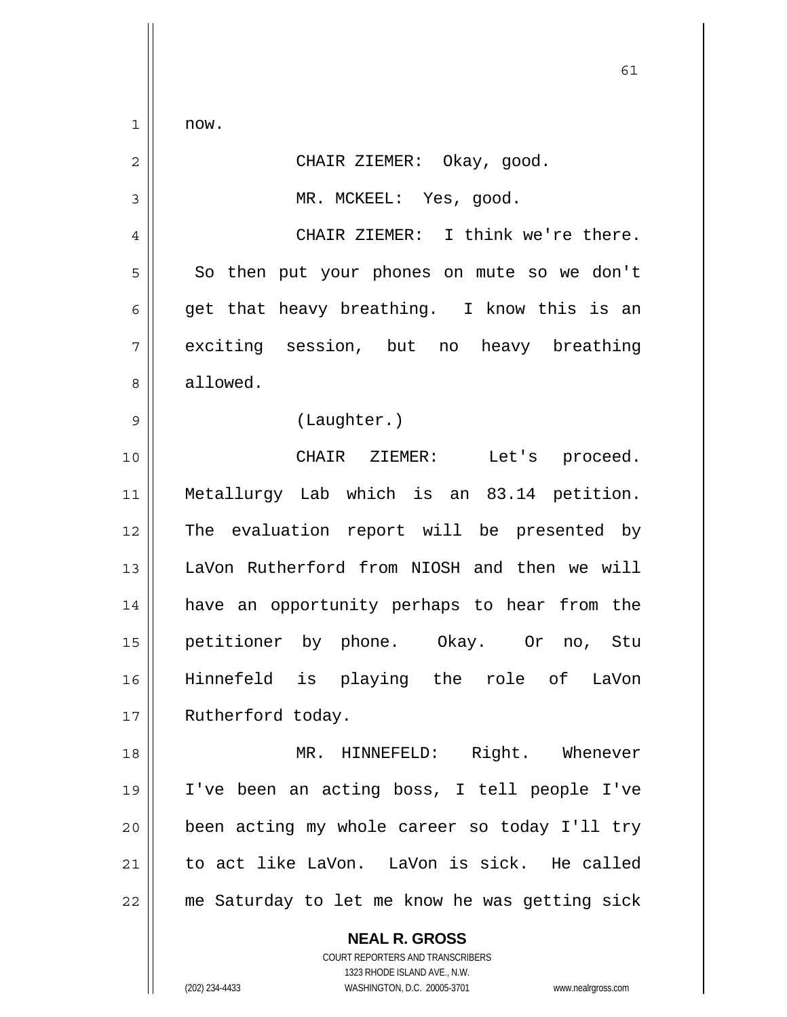$\overline{1}$ now.

| ┻              | ILOW.                                                    |
|----------------|----------------------------------------------------------|
| $\overline{2}$ | CHAIR ZIEMER: Okay, good.                                |
| 3              | MR. MCKEEL: Yes, good.                                   |
| 4              | CHAIR ZIEMER: I think we're there.                       |
| 5              | So then put your phones on mute so we don't              |
| 6              | get that heavy breathing. I know this is an              |
| 7              | exciting session, but no heavy breathing                 |
| 8              | allowed.                                                 |
| 9              | (Laughter.)                                              |
| 10             | CHAIR ZIEMER:<br>Let's proceed.                          |
| 11             | Metallurgy Lab which is an 83.14 petition.               |
| 12             | The evaluation report will be presented by               |
| 13             | LaVon Rutherford from NIOSH and then we will             |
| 14             | have an opportunity perhaps to hear from the             |
| 15             | petitioner by phone. Okay. Or no, Stu                    |
| 16             | Hinnefeld is playing the role of LaVon                   |
| 17             | Rutherford today.                                        |
| 18             | MR. HINNEFELD: Right. Whenever                           |
| 19             | I've been an acting boss, I tell people I've             |
| 20             | been acting my whole career so today I'll try            |
| 21             | to act like LaVon. LaVon is sick. He called              |
| 22             | me Saturday to let me know he was getting sick           |
|                | <b>NEAL R. GROSS</b><br>COURT REPORTERS AND TRANSCRIBERS |

1323 RHODE ISLAND AVE., N.W.

 $\prod$ 

(202) 234-4433 WASHINGTON, D.C. 20005-3701 www.nealrgross.com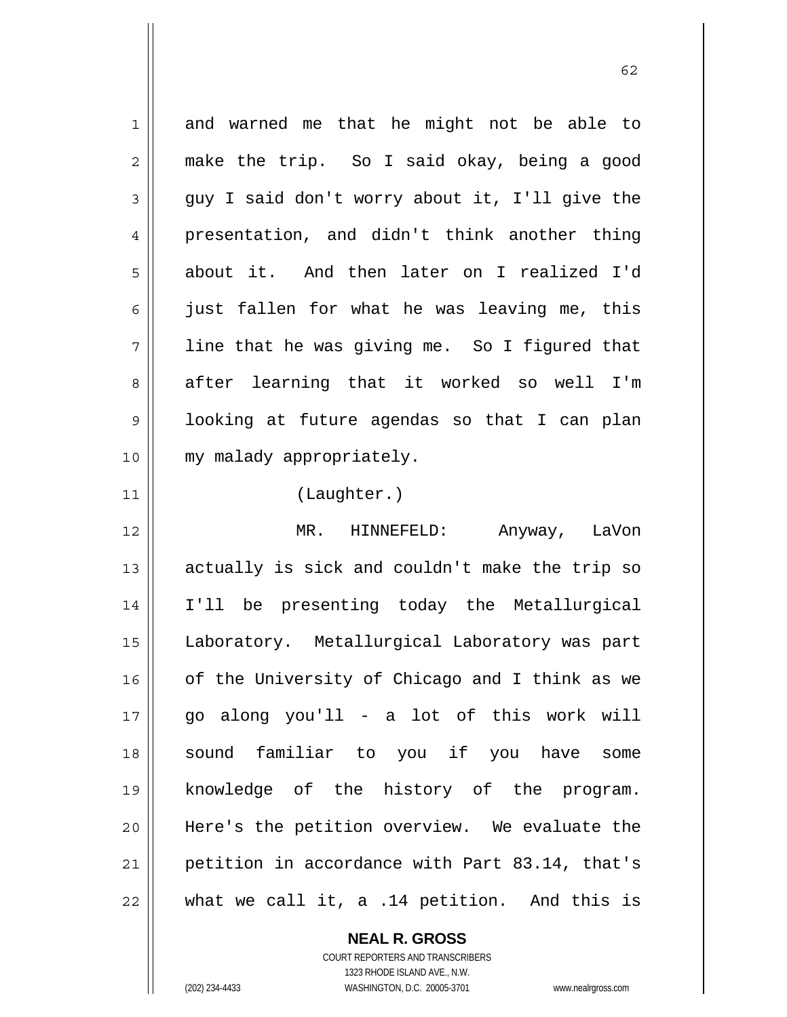1 2 3 4 5 6 7 8 9 10 11 12 13 14 15 16 17 18 19 20 21 22 and warned me that he might not be able to make the trip. So I said okay, being a good guy I said don't worry about it, I'll give the presentation, and didn't think another thing about it. And then later on I realized I'd just fallen for what he was leaving me, this line that he was giving me. So I figured that after learning that it worked so well I'm looking at future agendas so that I can plan my malady appropriately. (Laughter.) MR. HINNEFELD: Anyway, LaVon actually is sick and couldn't make the trip so I'll be presenting today the Metallurgical Laboratory. Metallurgical Laboratory was part of the University of Chicago and I think as we go along you'll - a lot of this work will sound familiar to you if you have some knowledge of the history of the program. Here's the petition overview. We evaluate the petition in accordance with Part 83.14, that's what we call it, a .14 petition. And this is

 $\sim$  62

**NEAL R. GROSS**

COURT REPORTERS AND TRANSCRIBERS 1323 RHODE ISLAND AVE., N.W. (202) 234-4433 WASHINGTON, D.C. 20005-3701 www.nealrgross.com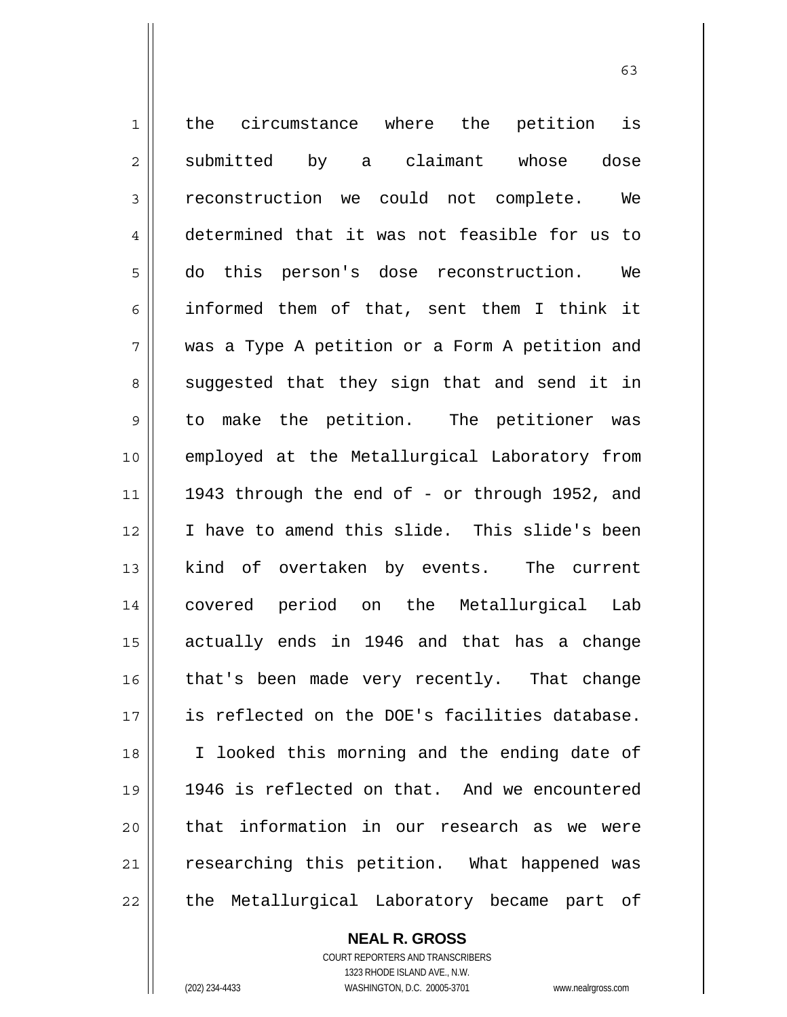1 2 3 4 5 6 7 8 9 10 11 12 13 14 15 16 17 18 19 20 21 22 the circumstance where the petition is submitted by a claimant whose dose reconstruction we could not complete. We determined that it was not feasible for us to do this person's dose reconstruction. We informed them of that, sent them I think it was a Type A petition or a Form A petition and suggested that they sign that and send it in to make the petition. The petitioner was employed at the Metallurgical Laboratory from 1943 through the end of - or through 1952, and I have to amend this slide. This slide's been kind of overtaken by events. The current covered period on the Metallurgical Lab actually ends in 1946 and that has a change that's been made very recently. That change is reflected on the DOE's facilities database. I looked this morning and the ending date of 1946 is reflected on that. And we encountered that information in our research as we were researching this petition. What happened was the Metallurgical Laboratory became part of

63

COURT REPORTERS AND TRANSCRIBERS 1323 RHODE ISLAND AVE., N.W. (202) 234-4433 WASHINGTON, D.C. 20005-3701 www.nealrgross.com

**NEAL R. GROSS**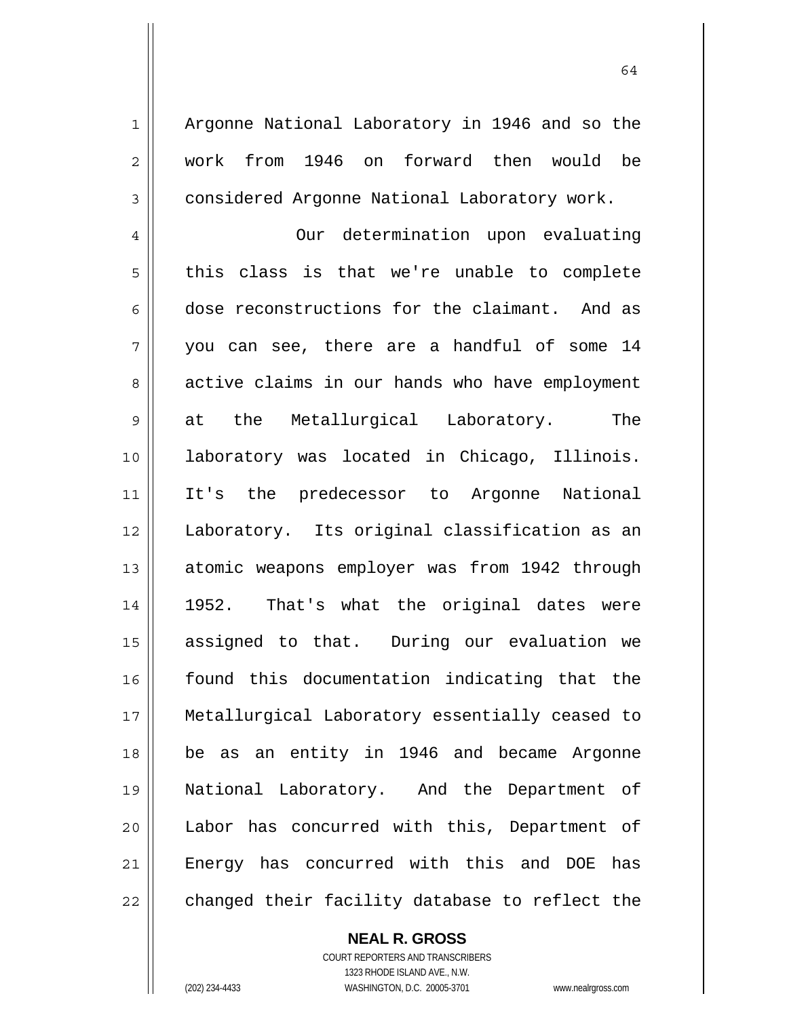Argonne National Laboratory in 1946 and so the work from 1946 on forward then would be considered Argonne National Laboratory work.

4 5 6 7 8 9 10 11 12 13 14 15 16 17 18 19 20 21 22 Our determination upon evaluating this class is that we're unable to complete dose reconstructions for the claimant. And as you can see, there are a handful of some 14 active claims in our hands who have employment at the Metallurgical Laboratory. The laboratory was located in Chicago, Illinois. It's the predecessor to Argonne National Laboratory. Its original classification as an atomic weapons employer was from 1942 through 1952. That's what the original dates were assigned to that. During our evaluation we found this documentation indicating that the Metallurgical Laboratory essentially ceased to be as an entity in 1946 and became Argonne National Laboratory. And the Department of Labor has concurred with this, Department of Energy has concurred with this and DOE has changed their facility database to reflect the

**NEAL R. GROSS**

COURT REPORTERS AND TRANSCRIBERS 1323 RHODE ISLAND AVE., N.W. (202) 234-4433 WASHINGTON, D.C. 20005-3701 www.nealrgross.com

1

2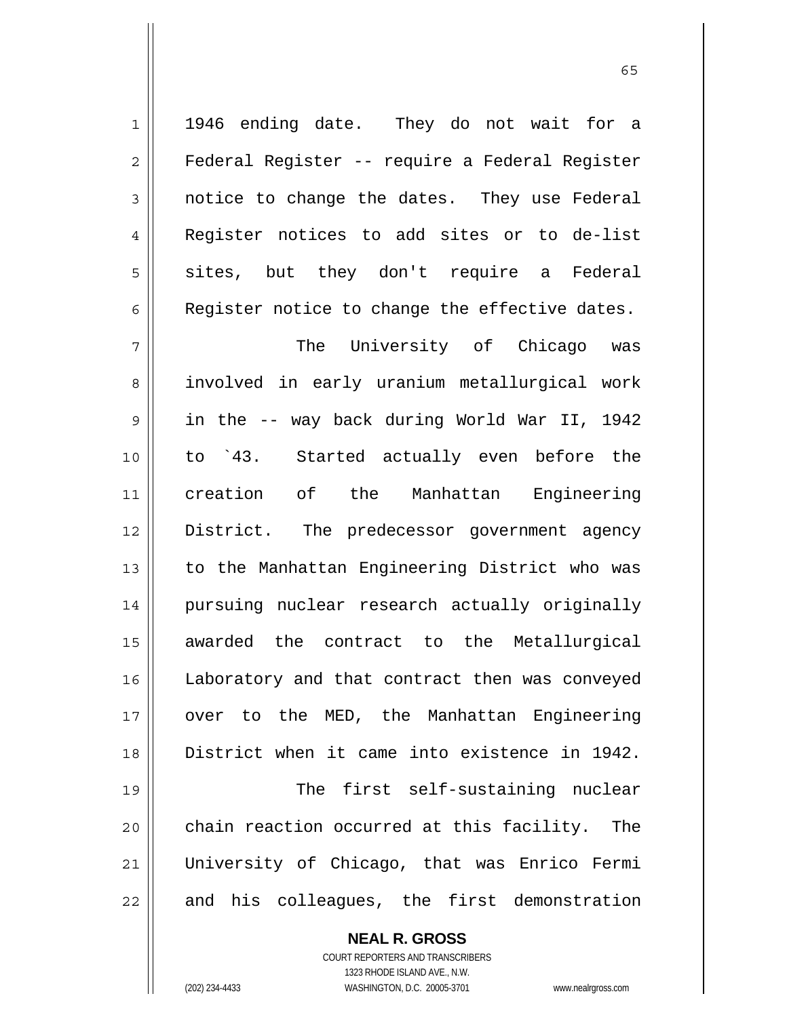**NEAL R. GROSS** COURT REPORTERS AND TRANSCRIBERS 1323 RHODE ISLAND AVE., N.W. (202) 234-4433 WASHINGTON, D.C. 20005-3701 www.nealrgross.com

1946 ending date. They do not wait for a Federal Register -- require a Federal Register notice to change the dates. They use Federal Register notices to add sites or to de-list sites, but they don't require a Federal Register notice to change the effective dates.

involved in early uranium metallurgical work

The University of Chicago was

1

2

3

4

5

6

7

8

 $\sim$  65

9 10 11 12 13 14 15 16 17 18 19 20 21 22 in the -- way back during World War II, 1942 to `43. Started actually even before the creation of the Manhattan Engineering District. The predecessor government agency to the Manhattan Engineering District who was pursuing nuclear research actually originally awarded the contract to the Metallurgical Laboratory and that contract then was conveyed over to the MED, the Manhattan Engineering District when it came into existence in 1942. The first self-sustaining nuclear chain reaction occurred at this facility. The University of Chicago, that was Enrico Fermi and his colleagues, the first demonstration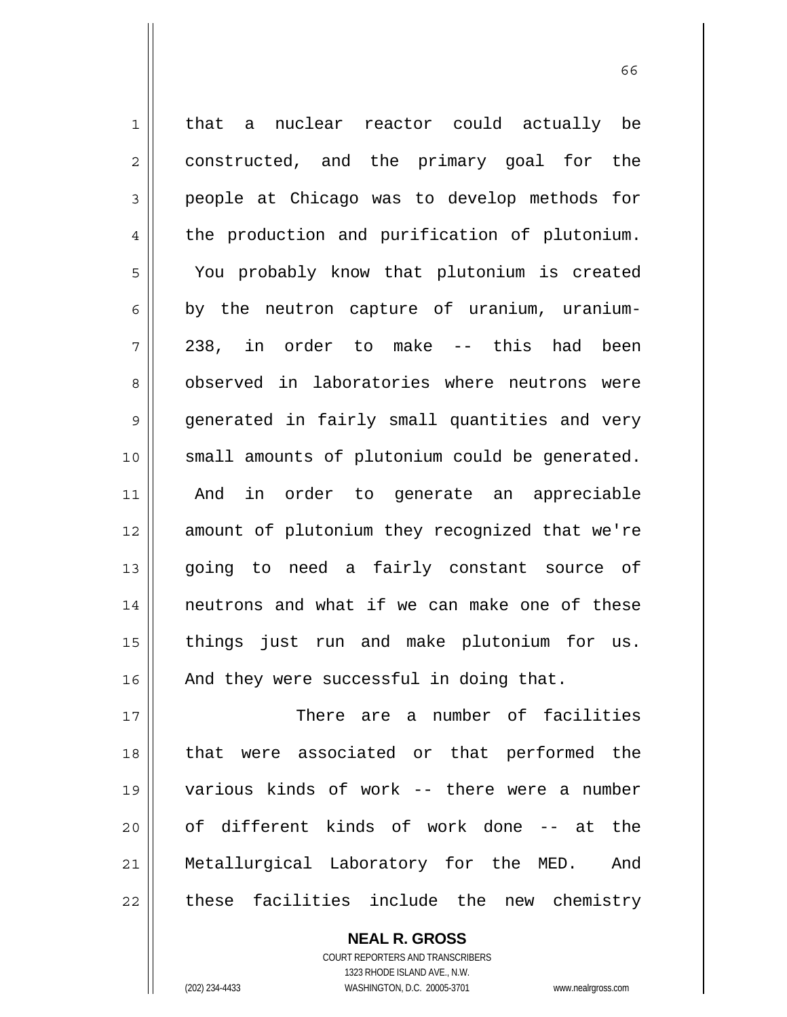1 2 3 4 5 6 7 8 9 10 11 12 13 14 15 16 17 that a nuclear reactor could actually be constructed, and the primary goal for the people at Chicago was to develop methods for the production and purification of plutonium. You probably know that plutonium is created by the neutron capture of uranium, uranium-238, in order to make -- this had been observed in laboratories where neutrons were generated in fairly small quantities and very small amounts of plutonium could be generated. And in order to generate an appreciable amount of plutonium they recognized that we're going to need a fairly constant source of neutrons and what if we can make one of these things just run and make plutonium for us. And they were successful in doing that. There are a number of facilities

18 19 20 21 22 that were associated or that performed the various kinds of work -- there were a number of different kinds of work done -- at the Metallurgical Laboratory for the MED. And these facilities include the new chemistry

> **NEAL R. GROSS** COURT REPORTERS AND TRANSCRIBERS 1323 RHODE ISLAND AVE., N.W. (202) 234-4433 WASHINGTON, D.C. 20005-3701 www.nealrgross.com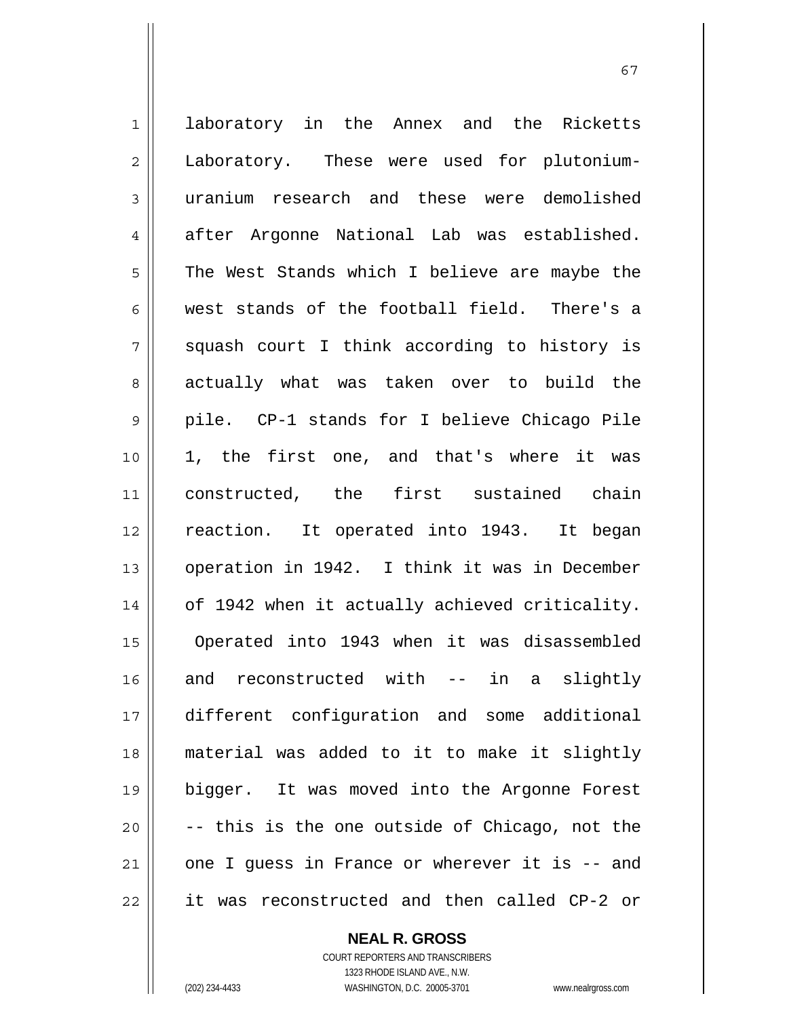1 2 3 4 5 6 7 8 9 10 11 12 13 14 15 16 17 18 19 20 21 22 laboratory in the Annex and the Ricketts Laboratory. These were used for plutoniumuranium research and these were demolished after Argonne National Lab was established. The West Stands which I believe are maybe the west stands of the football field. There's a squash court I think according to history is actually what was taken over to build the pile. CP-1 stands for I believe Chicago Pile 1, the first one, and that's where it was constructed, the first sustained chain reaction. It operated into 1943. It began operation in 1942. I think it was in December of 1942 when it actually achieved criticality. Operated into 1943 when it was disassembled and reconstructed with -- in a slightly different configuration and some additional material was added to it to make it slightly bigger. It was moved into the Argonne Forest -- this is the one outside of Chicago, not the one I guess in France or wherever it is -- and it was reconstructed and then called CP-2 or

67

**NEAL R. GROSS**

COURT REPORTERS AND TRANSCRIBERS 1323 RHODE ISLAND AVE., N.W. (202) 234-4433 WASHINGTON, D.C. 20005-3701 www.nealrgross.com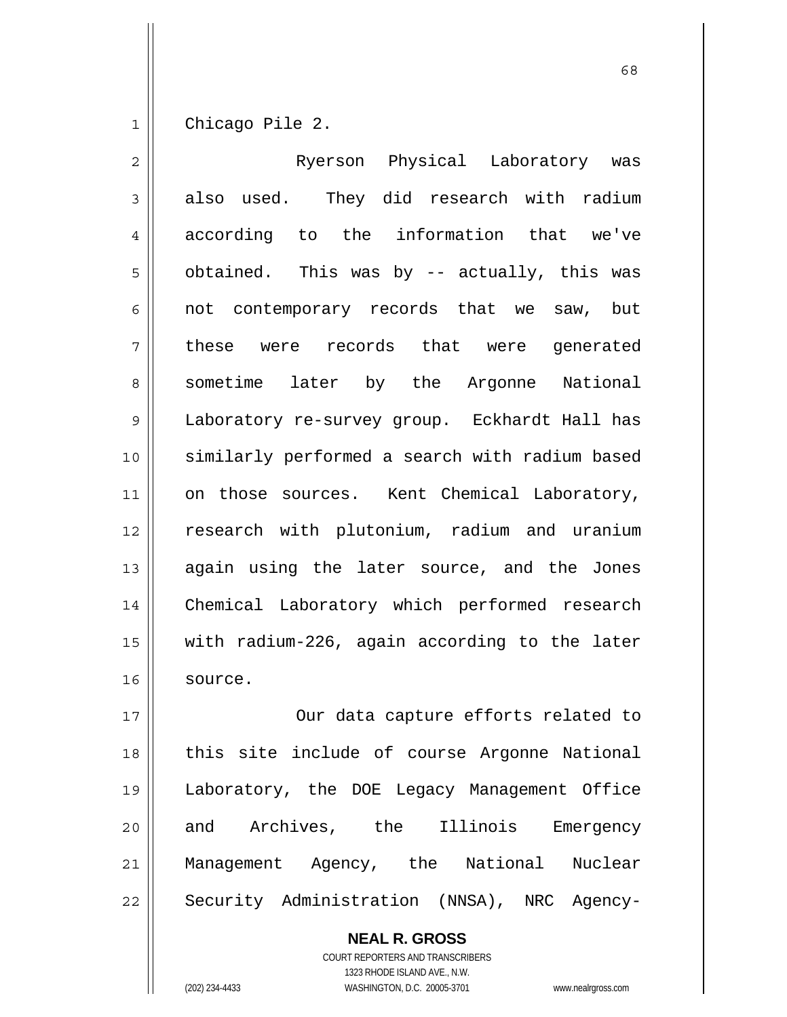1 Chicago Pile 2.

| $\overline{c}$ | Ryerson Physical Laboratory was                |
|----------------|------------------------------------------------|
| 3              | used. They did research with radium<br>also    |
| 4              | according to the information that we've        |
| 5              | obtained. This was by -- actually, this was    |
| 6              | not contemporary records that we saw, but      |
| 7              | these were records that were generated         |
| 8              | sometime later by the Argonne National         |
| 9              | Laboratory re-survey group. Eckhardt Hall has  |
| 10             | similarly performed a search with radium based |
| 11             | on those sources. Kent Chemical Laboratory,    |
| 12             | research with plutonium, radium and uranium    |
| 13             | again using the later source, and the Jones    |
| 14             | Chemical Laboratory which performed research   |
| 15             | with radium-226, again according to the later  |
| 16             | source.                                        |
| 17             | Our data capture efforts related to            |

 $\sim$  68

18 19 20 21 22 Our data capture efforts related to this site include of course Argonne National Laboratory, the DOE Legacy Management Office and Archives, the Illinois Emergency Management Agency, the National Nuclear Security Administration (NNSA), NRC Agency-

> **NEAL R. GROSS** COURT REPORTERS AND TRANSCRIBERS 1323 RHODE ISLAND AVE., N.W. (202) 234-4433 WASHINGTON, D.C. 20005-3701 www.nealrgross.com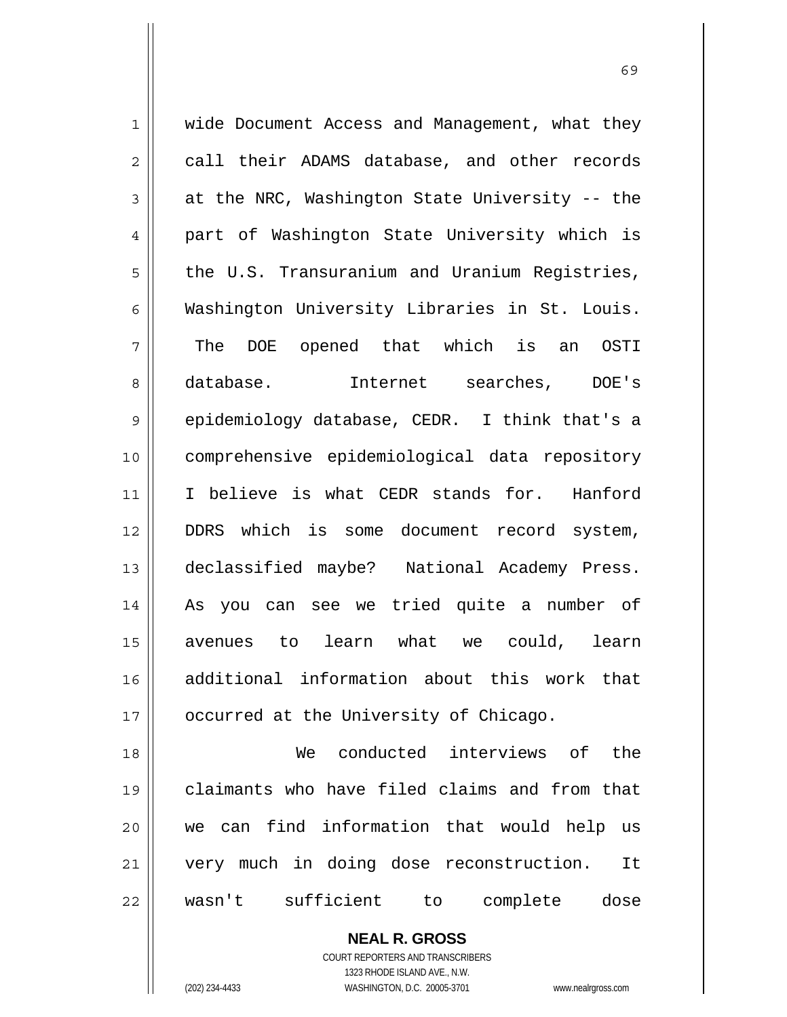1 2 3 4 5 6 7 8 9 10 11 12 13 14 15 16 17 18 19 20 21 wide Document Access and Management, what they call their ADAMS database, and other records at the NRC, Washington State University -- the part of Washington State University which is the U.S. Transuranium and Uranium Registries, Washington University Libraries in St. Louis. The DOE opened that which is an OSTI database. Internet searches, DOE's epidemiology database, CEDR. I think that's a comprehensive epidemiological data repository I believe is what CEDR stands for. Hanford DDRS which is some document record system, declassified maybe? National Academy Press. As you can see we tried quite a number of avenues to learn what we could, learn additional information about this work that occurred at the University of Chicago. We conducted interviews of the claimants who have filed claims and from that we can find information that would help us very much in doing dose reconstruction. It

22

**NEAL R. GROSS** COURT REPORTERS AND TRANSCRIBERS

wasn't sufficient to complete dose

1323 RHODE ISLAND AVE., N.W.

(202) 234-4433 WASHINGTON, D.C. 20005-3701 www.nealrgross.com

 $\sim$  69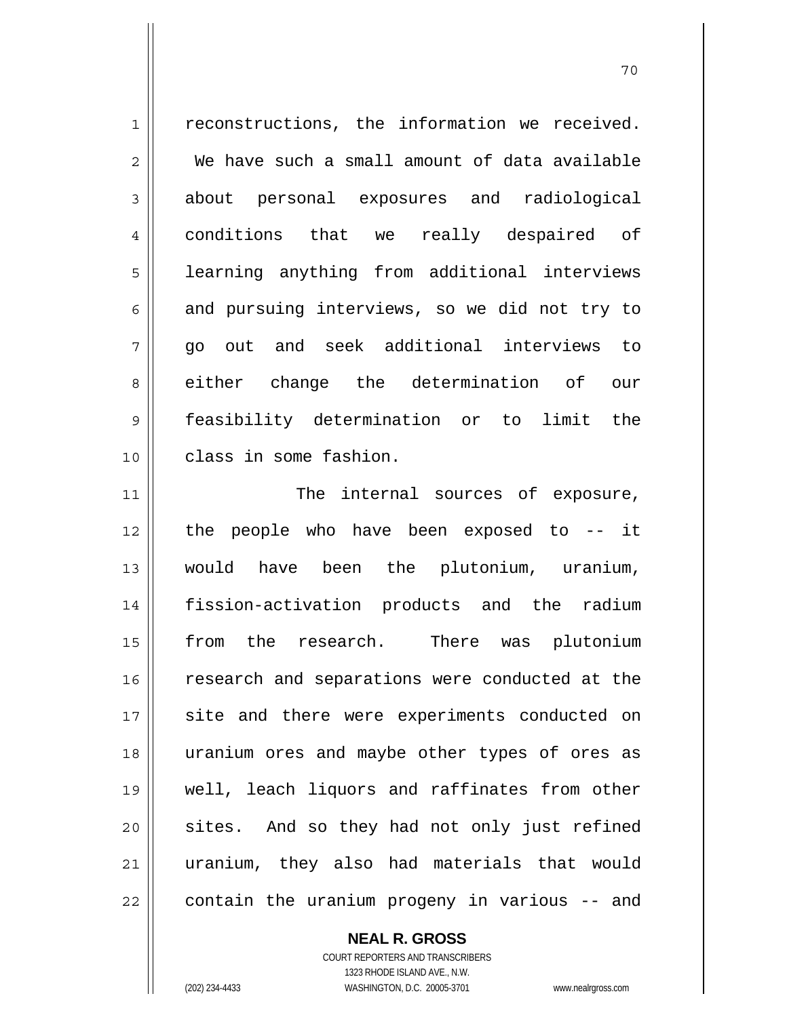1 2 3 4 5 6 7 8 9 10 11 reconstructions, the information we received. We have such a small amount of data available about personal exposures and radiological conditions that we really despaired of learning anything from additional interviews and pursuing interviews, so we did not try to go out and seek additional interviews to either change the determination of our feasibility determination or to limit the class in some fashion. The internal sources of exposure, the people who have been exposed to -- it

70

12 13 14 15 16 17 18 19 20 21 22 would have been the plutonium, uranium, fission-activation products and the radium from the research. There was plutonium research and separations were conducted at the site and there were experiments conducted on uranium ores and maybe other types of ores as well, leach liquors and raffinates from other sites. And so they had not only just refined uranium, they also had materials that would contain the uranium progeny in various -- and

## **NEAL R. GROSS**

COURT REPORTERS AND TRANSCRIBERS 1323 RHODE ISLAND AVE., N.W. (202) 234-4433 WASHINGTON, D.C. 20005-3701 www.nealrgross.com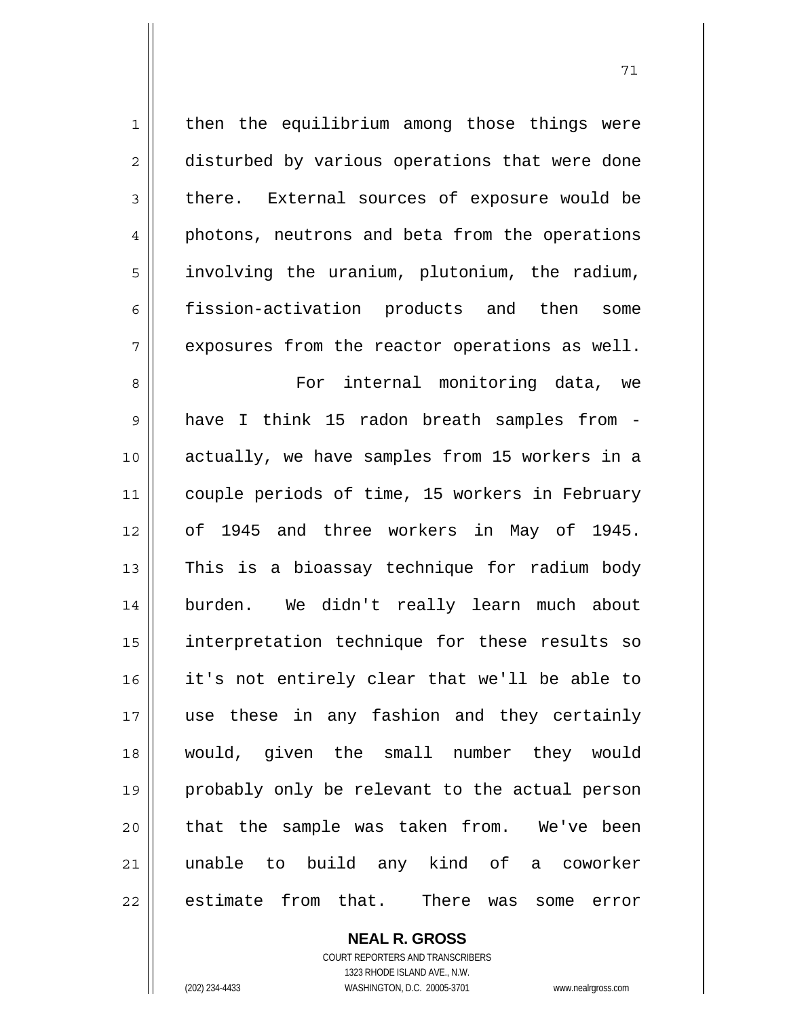2 3 4 5 6 7 8 9 10 11 12 13 14 15 16 17 18 19 20 21 disturbed by various operations that were done there. External sources of exposure would be photons, neutrons and beta from the operations involving the uranium, plutonium, the radium, fission-activation products and then some exposures from the reactor operations as well. For internal monitoring data, we have I think 15 radon breath samples from actually, we have samples from 15 workers in a couple periods of time, 15 workers in February of 1945 and three workers in May of 1945. This is a bioassay technique for radium body burden. We didn't really learn much about interpretation technique for these results so it's not entirely clear that we'll be able to use these in any fashion and they certainly would, given the small number they would probably only be relevant to the actual person that the sample was taken from. We've been unable to build any kind of a coworker estimate from that. There was some error

then the equilibrium among those things were

**NEAL R. GROSS** COURT REPORTERS AND TRANSCRIBERS

22

1

1323 RHODE ISLAND AVE., N.W. (202) 234-4433 WASHINGTON, D.C. 20005-3701 www.nealrgross.com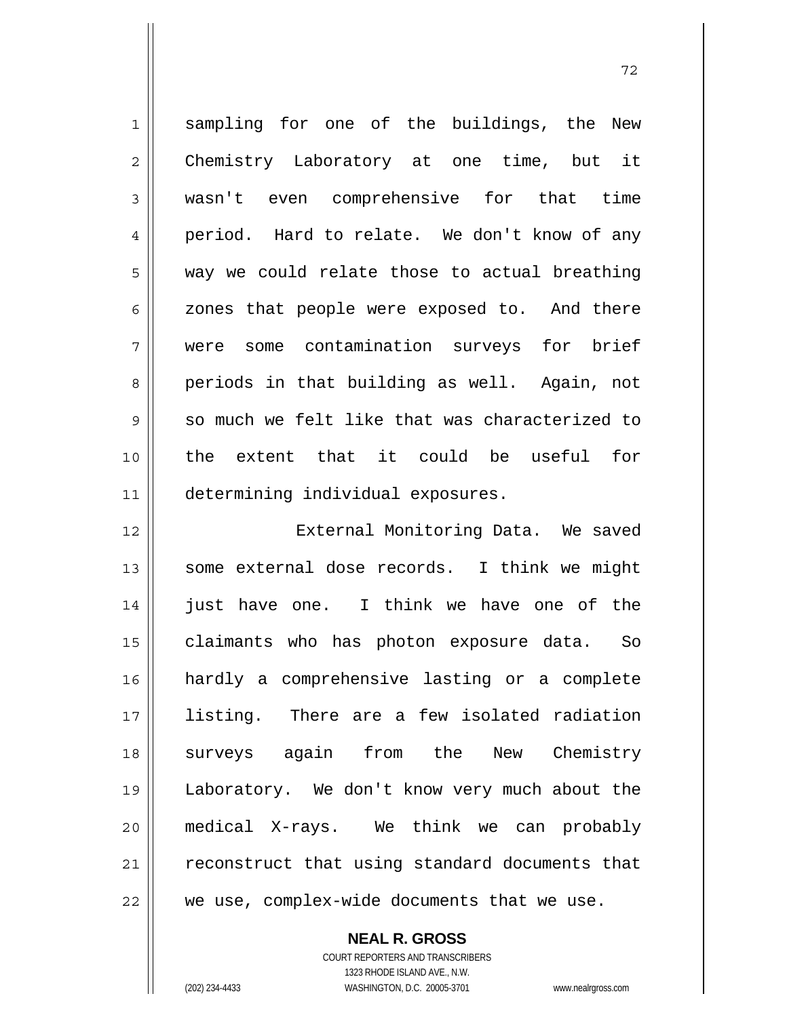1 2 3 4 5 6 7 8 9 10 11 sampling for one of the buildings, the New Chemistry Laboratory at one time, but it wasn't even comprehensive for that time period. Hard to relate. We don't know of any way we could relate those to actual breathing zones that people were exposed to. And there were some contamination surveys for brief periods in that building as well. Again, not so much we felt like that was characterized to the extent that it could be useful for determining individual exposures. External Monitoring Data. We saved

72

12 13 14 15 16 17 18 19 20 21 22 some external dose records. I think we might just have one. I think we have one of the claimants who has photon exposure data. So hardly a comprehensive lasting or a complete listing. There are a few isolated radiation surveys again from the New Chemistry Laboratory. We don't know very much about the medical X-rays. We think we can probably reconstruct that using standard documents that we use, complex-wide documents that we use.

**NEAL R. GROSS**

COURT REPORTERS AND TRANSCRIBERS 1323 RHODE ISLAND AVE., N.W. (202) 234-4433 WASHINGTON, D.C. 20005-3701 www.nealrgross.com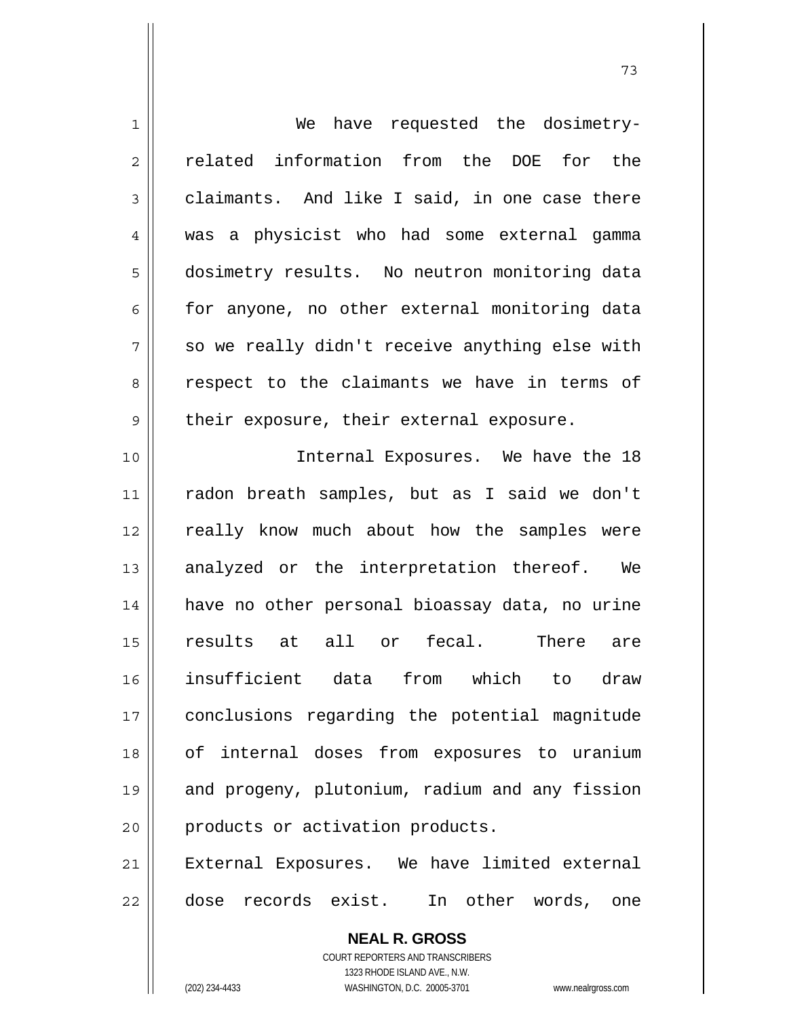| $\mathbf 1$    | have requested the dosimetry-<br>We                      |
|----------------|----------------------------------------------------------|
| $\overline{2}$ | related information from the DOE for the                 |
| 3              | claimants. And like I said, in one case there            |
| $\overline{4}$ | was a physicist who had some external gamma              |
| 5              | dosimetry results. No neutron monitoring data            |
| 6              | for anyone, no other external monitoring data            |
| 7              | so we really didn't receive anything else with           |
| 8              | respect to the claimants we have in terms of             |
| $\mathsf 9$    | their exposure, their external exposure.                 |
| 10             | Internal Exposures. We have the 18                       |
| 11             | radon breath samples, but as I said we don't             |
| 12             | really know much about how the samples were              |
| 13             | analyzed or the interpretation thereof. We               |
| 14             | have no other personal bioassay data, no urine           |
| 15             | all or fecal.<br>results at<br>There are                 |
| 16             | insufficient data from which to draw                     |
| 17             | conclusions regarding the potential magnitude            |
| 18             | of internal doses from exposures to uranium              |
| 19             | and progeny, plutonium, radium and any fission           |
| 20             | products or activation products.                         |
| 21             | External Exposures. We have limited external             |
| 22             | dose records exist. In other words, one                  |
|                | <b>NEAL R. GROSS</b><br>COURT REPORTERS AND TRANSCRIBERS |

1323 RHODE ISLAND AVE., N.W.

 $\prod$ 

(202) 234-4433 WASHINGTON, D.C. 20005-3701 www.nealrgross.com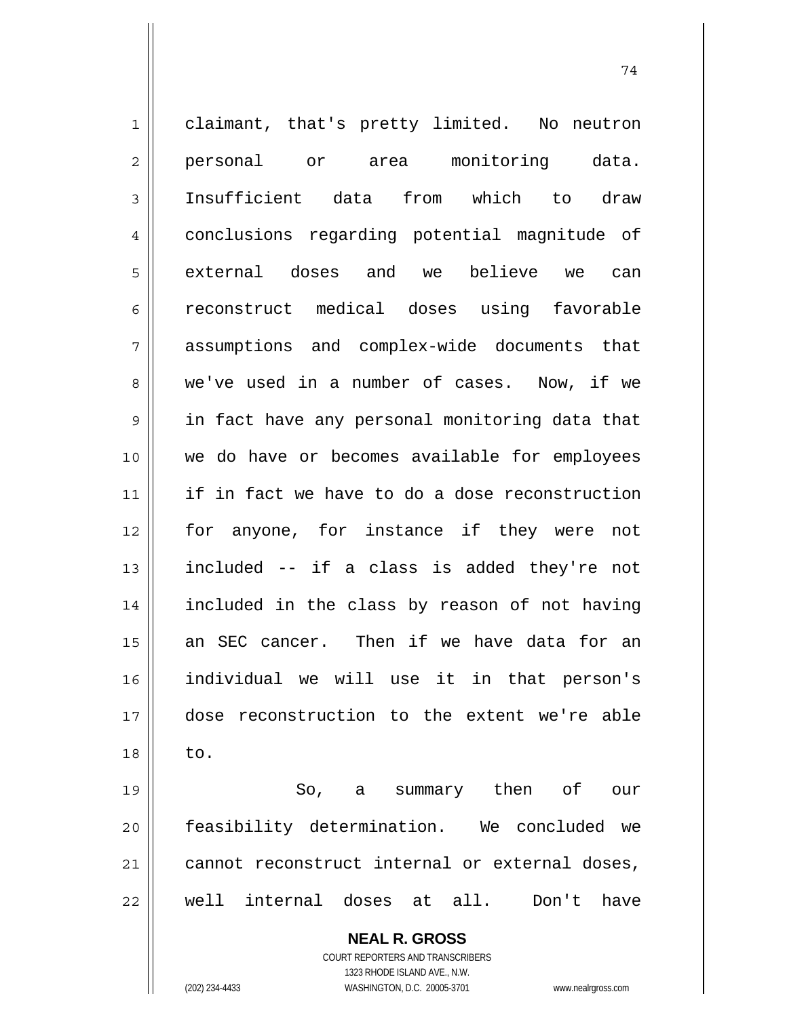**NEAL R. GROSS** COURT REPORTERS AND TRANSCRIBERS 1323 RHODE ISLAND AVE., N.W. 1 2 3 4 5 6 7 8 9 10 11 12 13 14 15 16 17 18 19 20 21 22 claimant, that's pretty limited. No neutron personal or area monitoring data. Insufficient data from which to draw conclusions regarding potential magnitude of external doses and we believe we can reconstruct medical doses using favorable assumptions and complex-wide documents that we've used in a number of cases. Now, if we in fact have any personal monitoring data that we do have or becomes available for employees if in fact we have to do a dose reconstruction for anyone, for instance if they were not included -- if a class is added they're not included in the class by reason of not having an SEC cancer. Then if we have data for an individual we will use it in that person's dose reconstruction to the extent we're able to. So, a summary then of our feasibility determination. We concluded we cannot reconstruct internal or external doses, well internal doses at all. Don't have

(202) 234-4433 WASHINGTON, D.C. 20005-3701 www.nealrgross.com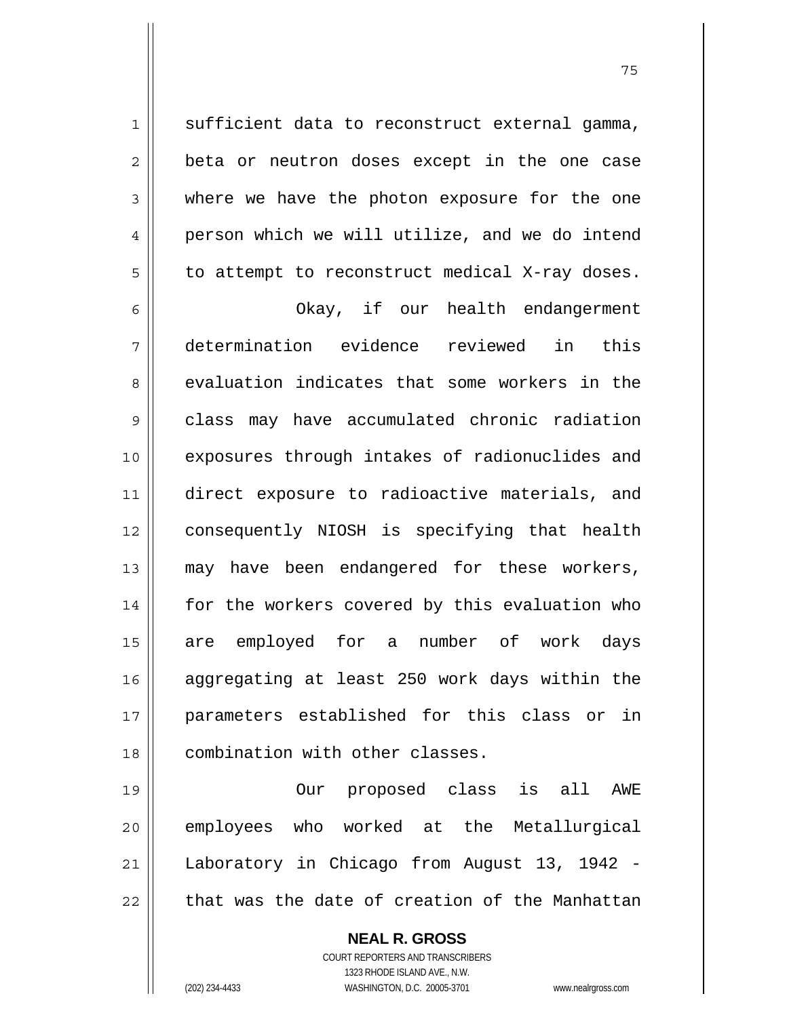sufficient data to reconstruct external gamma, beta or neutron doses except in the one case where we have the photon exposure for the one person which we will utilize, and we do intend to attempt to reconstruct medical X-ray doses.

6 7 8 9 10 11 12 13 14 15 16 17 18 Okay, if our health endangerment determination evidence reviewed in this evaluation indicates that some workers in the class may have accumulated chronic radiation exposures through intakes of radionuclides and direct exposure to radioactive materials, and consequently NIOSH is specifying that health may have been endangered for these workers, for the workers covered by this evaluation who are employed for a number of work days aggregating at least 250 work days within the parameters established for this class or in combination with other classes.

19 20 21 22 Our proposed class is all AWE employees who worked at the Metallurgical Laboratory in Chicago from August 13, 1942 that was the date of creation of the Manhattan

> **NEAL R. GROSS** COURT REPORTERS AND TRANSCRIBERS 1323 RHODE ISLAND AVE., N.W. (202) 234-4433 WASHINGTON, D.C. 20005-3701 www.nealrgross.com

1

2

3

4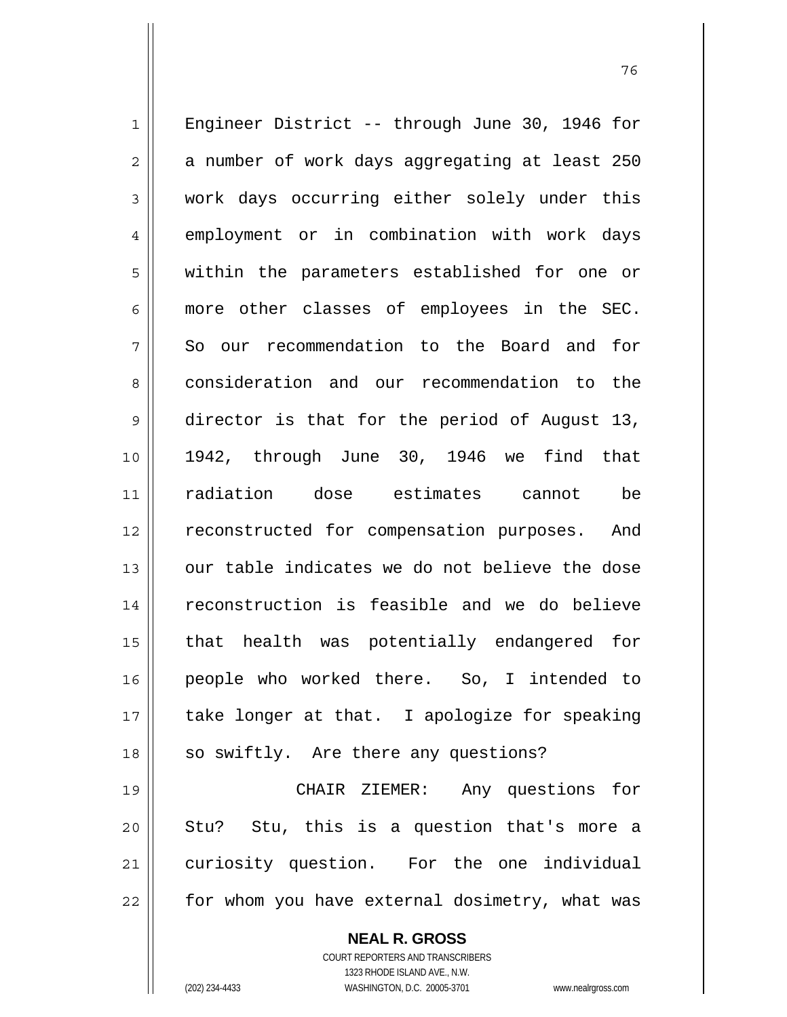1 2 3 4 5 6 7 8 9 10 11 12 13 14 15 16 17 18 19 20 21 Engineer District -- through June 30, 1946 for a number of work days aggregating at least 250 work days occurring either solely under this employment or in combination with work days within the parameters established for one or more other classes of employees in the SEC. So our recommendation to the Board and for consideration and our recommendation to the director is that for the period of August 13, 1942, through June 30, 1946 we find that radiation dose estimates cannot be reconstructed for compensation purposes. And our table indicates we do not believe the dose reconstruction is feasible and we do believe that health was potentially endangered for people who worked there. So, I intended to take longer at that. I apologize for speaking so swiftly. Are there any questions? CHAIR ZIEMER: Any questions for Stu? Stu, this is a question that's more a curiosity question. For the one individual

22

**NEAL R. GROSS**

for whom you have external dosimetry, what was

COURT REPORTERS AND TRANSCRIBERS 1323 RHODE ISLAND AVE., N.W. (202) 234-4433 WASHINGTON, D.C. 20005-3701 www.nealrgross.com

и процесс в политическиот представление в 176 године. В 176 године в 176 године. В 176 године в 176 године в 1<br>В 176 године в 176 године в 176 године в 176 године в 176 године в 176 године в 176 године в 176 године в 176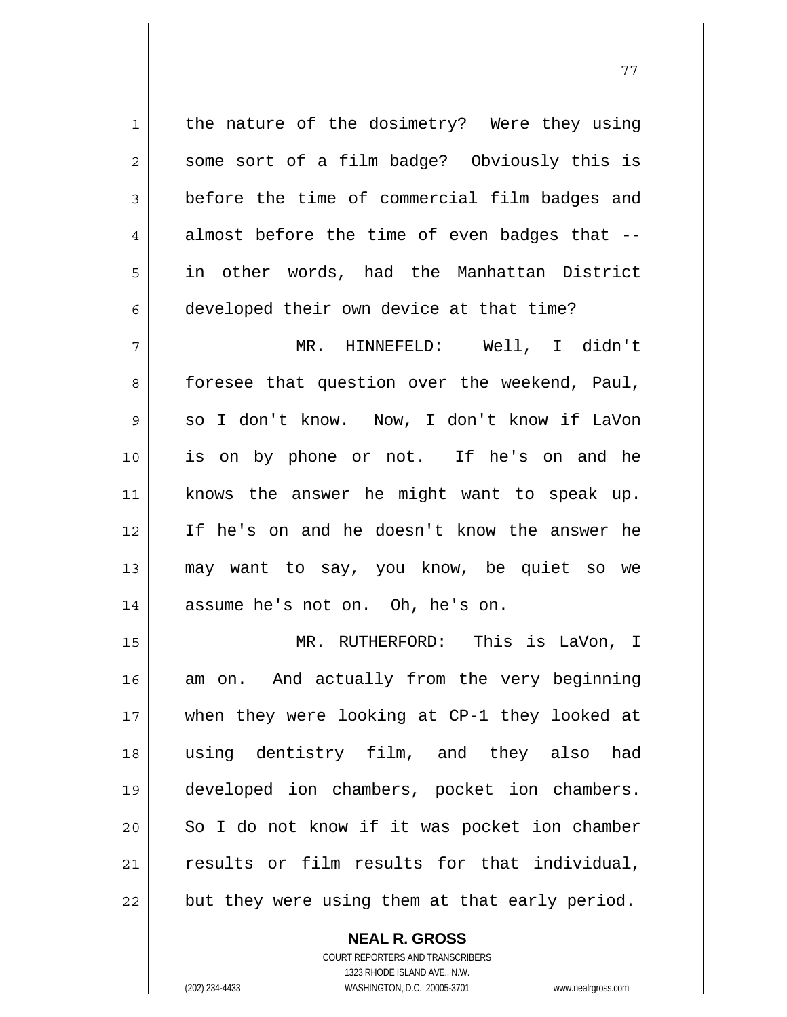1 2 3 4 5 6 the nature of the dosimetry? Were they using some sort of a film badge? Obviously this is before the time of commercial film badges and almost before the time of even badges that - in other words, had the Manhattan District developed their own device at that time? MR. HINNEFELD: Well, I didn't

7 8 9 10 11 12 13 14 foresee that question over the weekend, Paul, so I don't know. Now, I don't know if LaVon is on by phone or not. If he's on and he knows the answer he might want to speak up. If he's on and he doesn't know the answer he may want to say, you know, be quiet so we assume he's not on. Oh, he's on.

15 16 17 18 19 20 21 22 MR. RUTHERFORD: This is LaVon, I am on. And actually from the very beginning when they were looking at CP-1 they looked at using dentistry film, and they also had developed ion chambers, pocket ion chambers. So I do not know if it was pocket ion chamber results or film results for that individual, but they were using them at that early period.

> **NEAL R. GROSS** COURT REPORTERS AND TRANSCRIBERS 1323 RHODE ISLAND AVE., N.W. (202) 234-4433 WASHINGTON, D.C. 20005-3701 www.nealrgross.com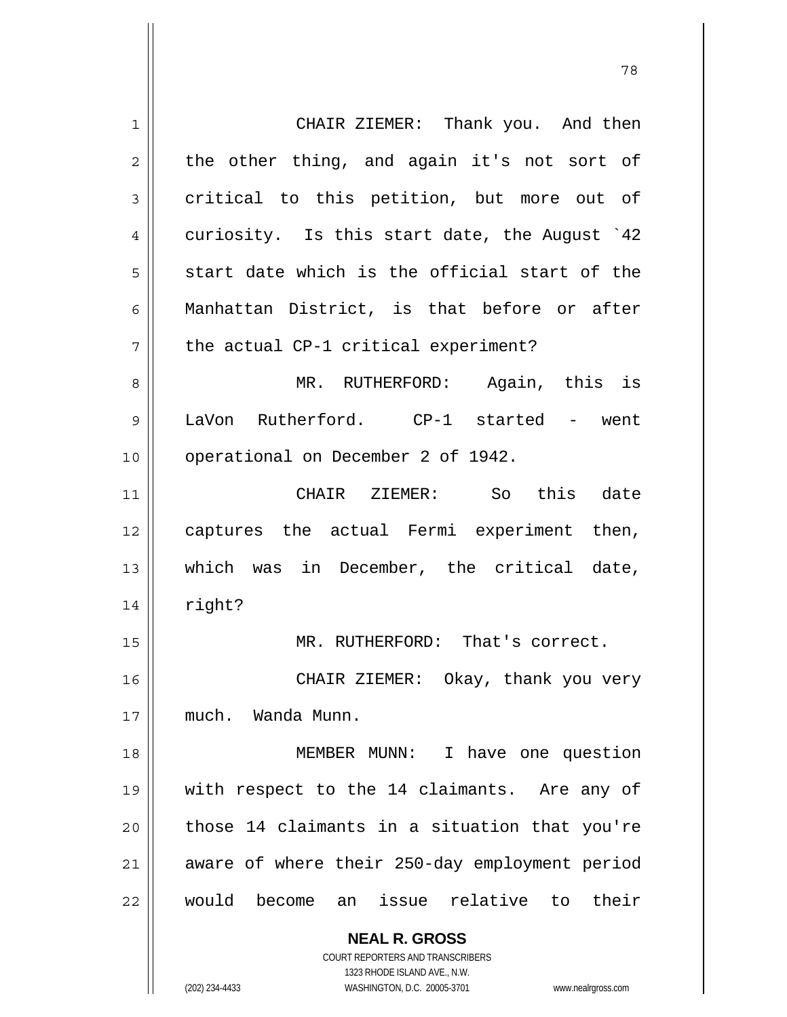**NEAL R. GROSS** 1 2 3 4 5 6 7 8 9 10 11 12 13 14 15 16 17 18 19 20 21 22 CHAIR ZIEMER: Thank you. And then the other thing, and again it's not sort of critical to this petition, but more out of curiosity. Is this start date, the August `42 start date which is the official start of the Manhattan District, is that before or after the actual CP-1 critical experiment? MR. RUTHERFORD: Again, this is LaVon Rutherford. CP-1 started - went operational on December 2 of 1942. CHAIR ZIEMER: So this date captures the actual Fermi experiment then, which was in December, the critical date, right? MR. RUTHERFORD: That's correct. CHAIR ZIEMER: Okay, thank you very much. Wanda Munn. MEMBER MUNN: I have one question with respect to the 14 claimants. Are any of those 14 claimants in a situation that you're aware of where their 250-day employment period would become an issue relative to their

78

1323 RHODE ISLAND AVE., N.W. (202) 234-4433 WASHINGTON, D.C. 20005-3701 www.nealrgross.com

COURT REPORTERS AND TRANSCRIBERS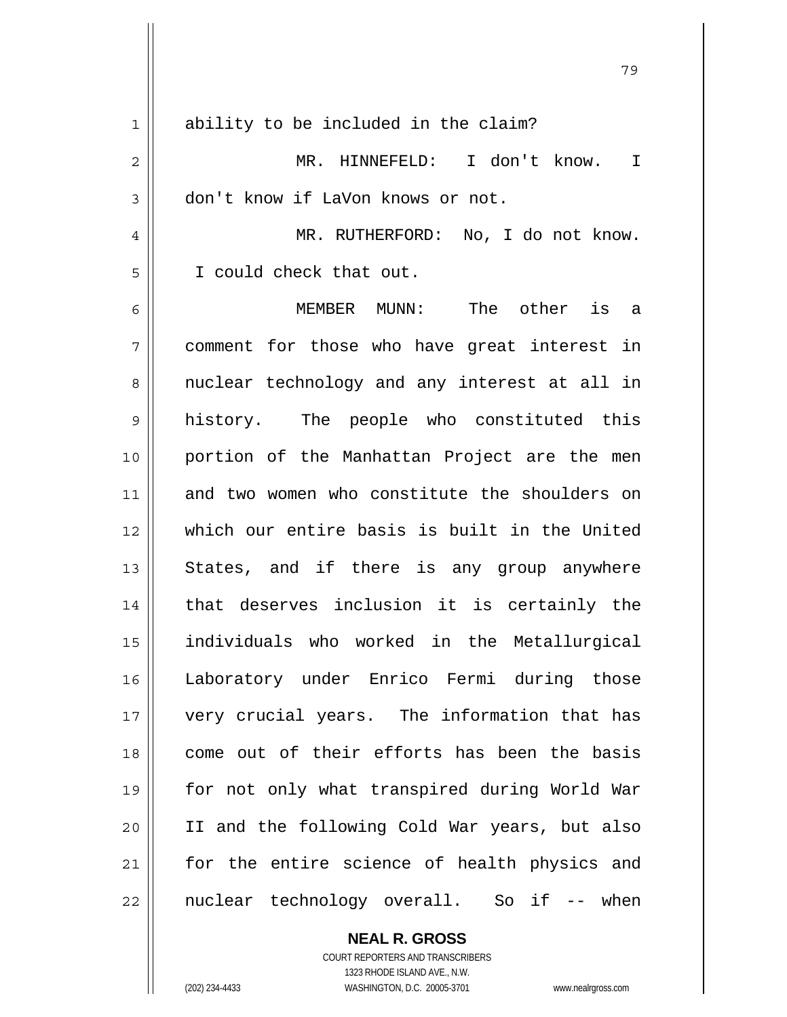| 1              | ability to be included in the claim?          |
|----------------|-----------------------------------------------|
| $\overline{c}$ | MR. HINNEFELD: I don't know.<br>T             |
| 3              | don't know if LaVon knows or not.             |
| 4              | MR. RUTHERFORD: No, I do not know.            |
| 5              | I could check that out.                       |
| 6              | MEMBER MUNN: The other is a                   |
| 7              | comment for those who have great interest in  |
| 8              | nuclear technology and any interest at all in |
| 9              | history. The people who constituted this      |
| 10             | portion of the Manhattan Project are the men  |
| 11             | and two women who constitute the shoulders on |
| 12             | which our entire basis is built in the United |
| 13             | States, and if there is any group anywhere    |
| 14             | that deserves inclusion it is certainly the   |
| 15             | individuals who worked in the Metallurgical   |
| 16             | Laboratory under Enrico Fermi during those    |
| 17             | very crucial years. The information that has  |
| 18             | come out of their efforts has been the basis  |
| 19             | for not only what transpired during World War |
| 20             | II and the following Cold War years, but also |
| 21             | for the entire science of health physics and  |
| 22             | nuclear technology overall. So if -- when     |

79

## **NEAL R. GROSS**

COURT REPORTERS AND TRANSCRIBERS 1323 RHODE ISLAND AVE., N.W. (202) 234-4433 WASHINGTON, D.C. 20005-3701 www.nealrgross.com

 $\mathbf{I}$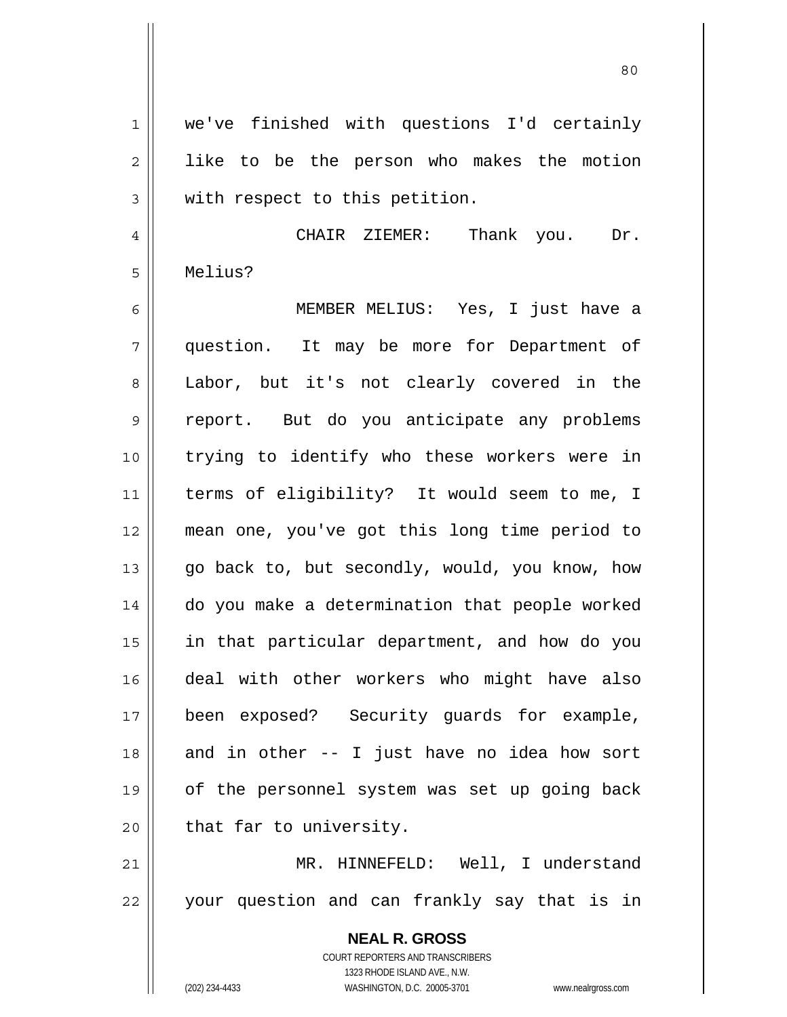80

1 2 3 4 we've finished with questions I'd certainly like to be the person who makes the motion with respect to this petition. CHAIR ZIEMER: Thank you. Dr.

Melius?

5

6 7 8 9 10 11 12 13 14 15 16 17 18 19 20 MEMBER MELIUS: Yes, I just have a question. It may be more for Department of Labor, but it's not clearly covered in the report. But do you anticipate any problems trying to identify who these workers were in terms of eligibility? It would seem to me, I mean one, you've got this long time period to go back to, but secondly, would, you know, how do you make a determination that people worked in that particular department, and how do you deal with other workers who might have also been exposed? Security guards for example, and in other -- I just have no idea how sort of the personnel system was set up going back that far to university.

21 22 MR. HINNEFELD: Well, I understand your question and can frankly say that is in

> **NEAL R. GROSS** COURT REPORTERS AND TRANSCRIBERS 1323 RHODE ISLAND AVE., N.W. (202) 234-4433 WASHINGTON, D.C. 20005-3701 www.nealrgross.com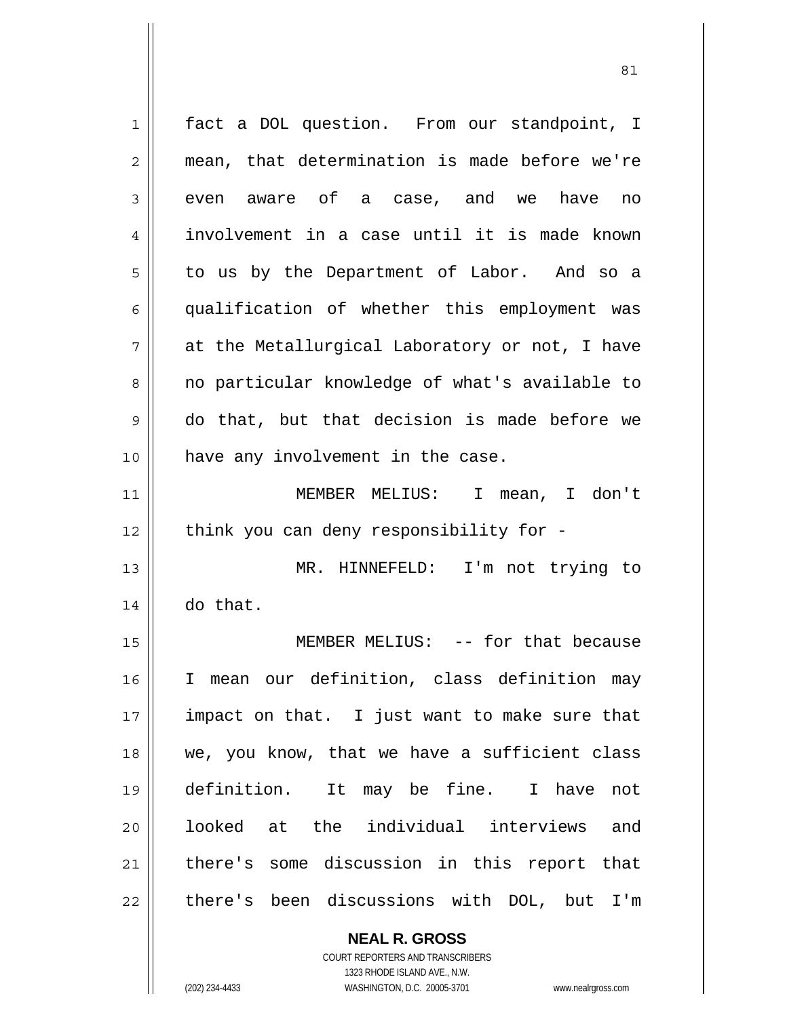1 2 3 4 5 6 7 8 9 10 11 12 13 14 15 16 17 18 19 20 21 22 fact a DOL question. From our standpoint, I mean, that determination is made before we're even aware of a case, and we have no involvement in a case until it is made known to us by the Department of Labor. And so a qualification of whether this employment was at the Metallurgical Laboratory or not, I have no particular knowledge of what's available to do that, but that decision is made before we have any involvement in the case. MEMBER MELIUS: I mean, I don't think you can deny responsibility for - MR. HINNEFELD: I'm not trying to do that. MEMBER MELIUS: -- for that because I mean our definition, class definition may impact on that. I just want to make sure that we, you know, that we have a sufficient class definition. It may be fine. I have not looked at the individual interviews and there's some discussion in this report that there's been discussions with DOL, but I'm

> **NEAL R. GROSS** COURT REPORTERS AND TRANSCRIBERS

> > 1323 RHODE ISLAND AVE., N.W.

(202) 234-4433 WASHINGTON, D.C. 20005-3701 www.nealrgross.com

<u>81</u>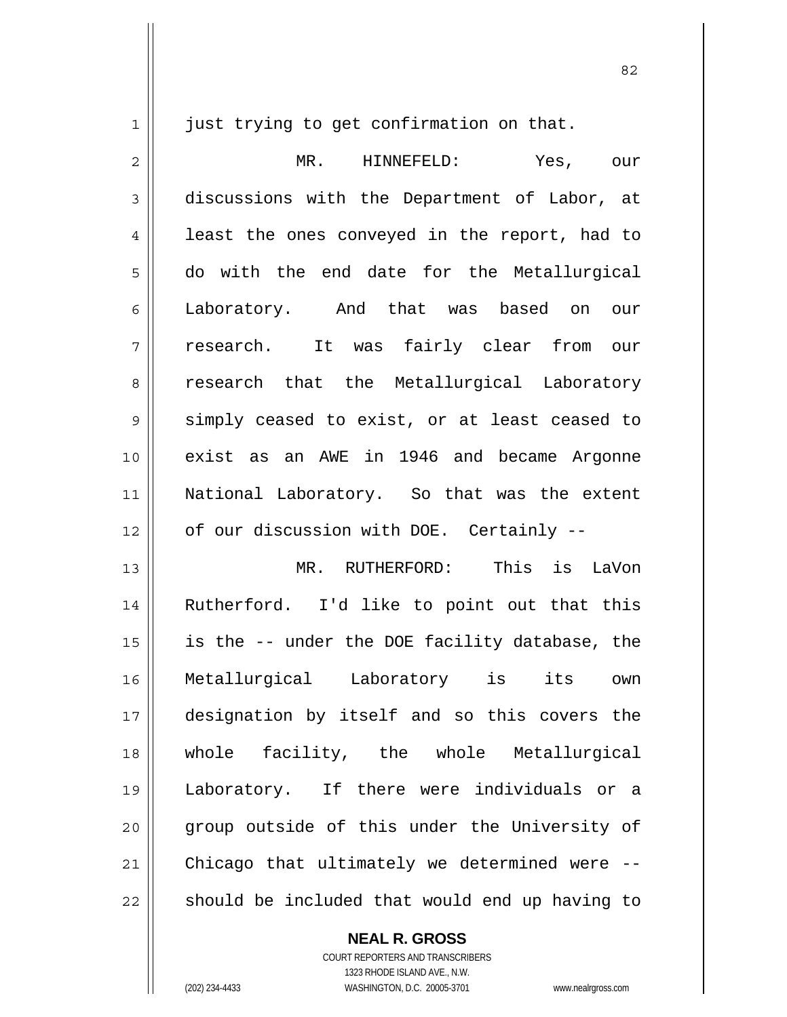1

just trying to get confirmation on that.

2 3 4 5 6 7 8 9 10 11 12 MR. HINNEFELD: Yes, our discussions with the Department of Labor, at least the ones conveyed in the report, had to do with the end date for the Metallurgical Laboratory. And that was based on our research. It was fairly clear from our research that the Metallurgical Laboratory simply ceased to exist, or at least ceased to exist as an AWE in 1946 and became Argonne National Laboratory. So that was the extent of our discussion with DOE. Certainly --

13 14 15 16 17 18 19 20 21 22 MR. RUTHERFORD: This is LaVon Rutherford. I'd like to point out that this is the -- under the DOE facility database, the Metallurgical Laboratory is its own designation by itself and so this covers the whole facility, the whole Metallurgical Laboratory. If there were individuals or a group outside of this under the University of Chicago that ultimately we determined were - should be included that would end up having to

> COURT REPORTERS AND TRANSCRIBERS 1323 RHODE ISLAND AVE., N.W. (202) 234-4433 WASHINGTON, D.C. 20005-3701 www.nealrgross.com

**NEAL R. GROSS**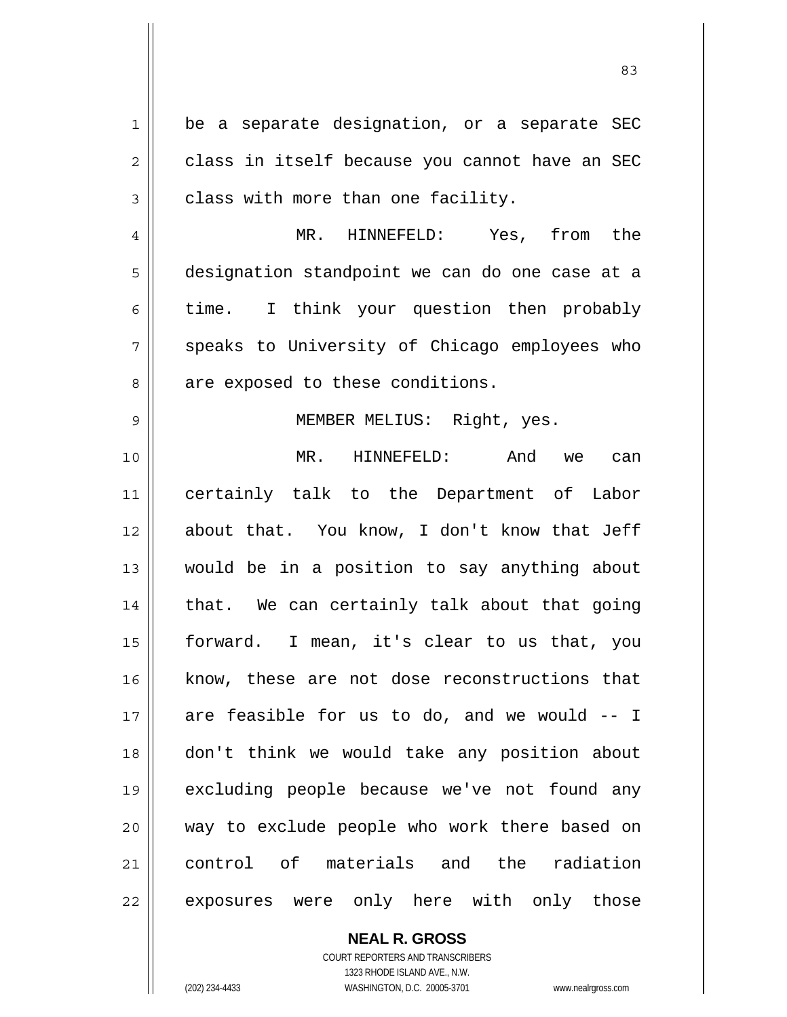1 2 3 4 5 6 7 8 9 10 11 12 13 14 15 16 17 18 19 20 21 22 be a separate designation, or a separate SEC class in itself because you cannot have an SEC class with more than one facility. MR. HINNEFELD: Yes, from the designation standpoint we can do one case at a time. I think your question then probably speaks to University of Chicago employees who are exposed to these conditions. MEMBER MELIUS: Right, yes. MR. HINNEFELD: And we can certainly talk to the Department of Labor about that. You know, I don't know that Jeff would be in a position to say anything about that. We can certainly talk about that going forward. I mean, it's clear to us that, you know, these are not dose reconstructions that are feasible for us to do, and we would -- I don't think we would take any position about excluding people because we've not found any way to exclude people who work there based on control of materials and the radiation exposures were only here with only those

<u>83</u>

**NEAL R. GROSS** COURT REPORTERS AND TRANSCRIBERS

1323 RHODE ISLAND AVE., N.W. (202) 234-4433 WASHINGTON, D.C. 20005-3701 www.nealrgross.com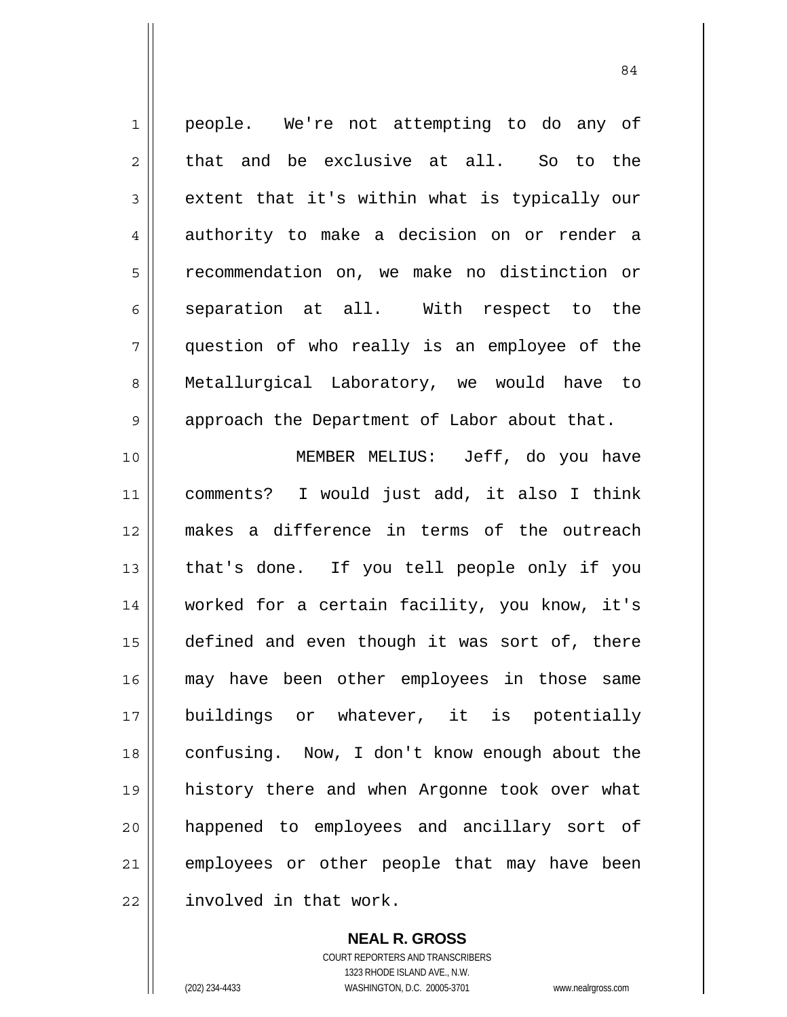1 2 3 4 5 6 7 8 9 people. We're not attempting to do any of that and be exclusive at all. So to the extent that it's within what is typically our authority to make a decision on or render a recommendation on, we make no distinction or separation at all. With respect to the question of who really is an employee of the Metallurgical Laboratory, we would have to approach the Department of Labor about that.

84

10 11 12 13 14 15 16 17 18 19 20 21 22 MEMBER MELIUS: Jeff, do you have comments? I would just add, it also I think makes a difference in terms of the outreach that's done. If you tell people only if you worked for a certain facility, you know, it's defined and even though it was sort of, there may have been other employees in those same buildings or whatever, it is potentially confusing. Now, I don't know enough about the history there and when Argonne took over what happened to employees and ancillary sort of employees or other people that may have been involved in that work.

> **NEAL R. GROSS** COURT REPORTERS AND TRANSCRIBERS 1323 RHODE ISLAND AVE., N.W. (202) 234-4433 WASHINGTON, D.C. 20005-3701 www.nealrgross.com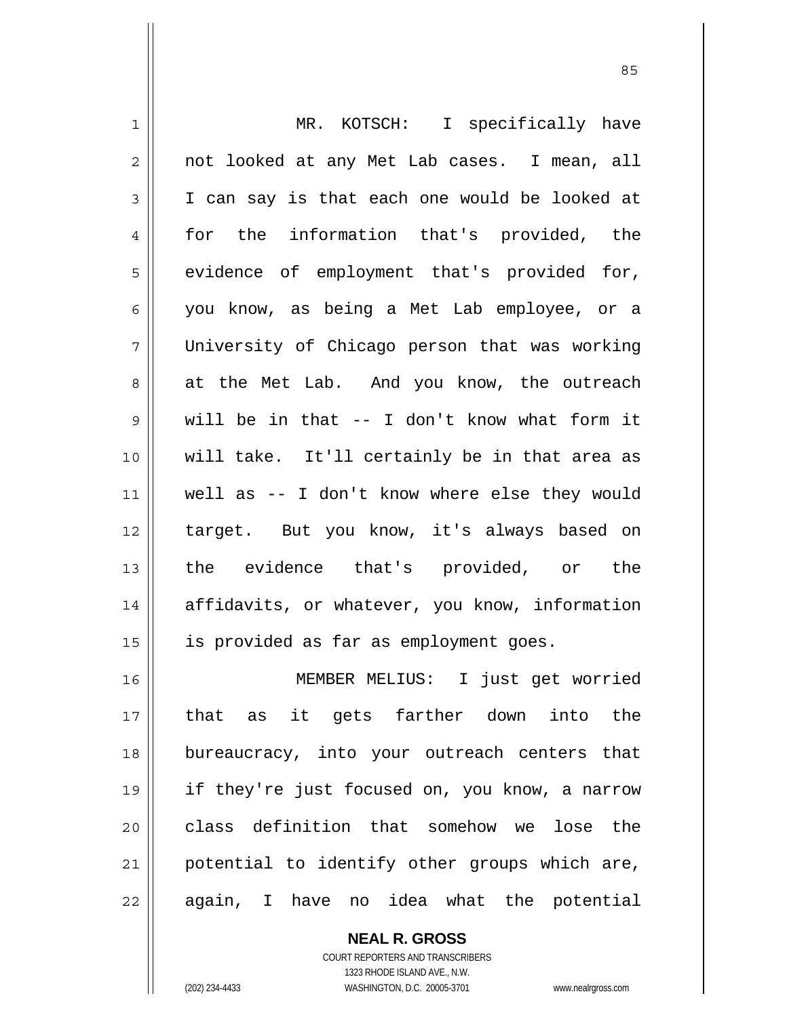| $\mathbf 1$    | MR. KOTSCH: I specifically have                |
|----------------|------------------------------------------------|
| $\overline{2}$ | not looked at any Met Lab cases. I mean, all   |
| $\mathsf 3$    | I can say is that each one would be looked at  |
| $\overline{4}$ | for the information that's provided, the       |
| 5              | evidence of employment that's provided for,    |
| 6              | you know, as being a Met Lab employee, or a    |
| 7              | University of Chicago person that was working  |
| 8              | at the Met Lab. And you know, the outreach     |
| $\mathsf 9$    | will be in that -- I don't know what form it   |
| 10             | will take. It'll certainly be in that area as  |
| 11             | well as -- I don't know where else they would  |
| 12             | target. But you know, it's always based on     |
| 13             | the evidence that's provided, or the           |
| 14             | affidavits, or whatever, you know, information |
| 15             | is provided as far as employment goes.         |
| 16             | MEMBER MELIUS: I just get worried              |
| 17             | that as it gets farther down into the          |
| 18             | bureaucracy, into your outreach centers that   |
| 19             | if they're just focused on, you know, a narrow |
| 20             | class definition that somehow we lose the      |
| 21             | potential to identify other groups which are,  |
| 22             | idea what the potential<br>again, I have no    |

COURT REPORTERS AND TRANSCRIBERS 1323 RHODE ISLAND AVE., N.W. (202) 234-4433 WASHINGTON, D.C. 20005-3701 www.nealrgross.com

**NEAL R. GROSS**

 $\mathsf{II}$ 

<u>85 and 2001 and 2001 and 2001 and 2001 and 2001 and 2001 and 2001 and 2001 and 2001 and 2001 and 2001 and 200</u>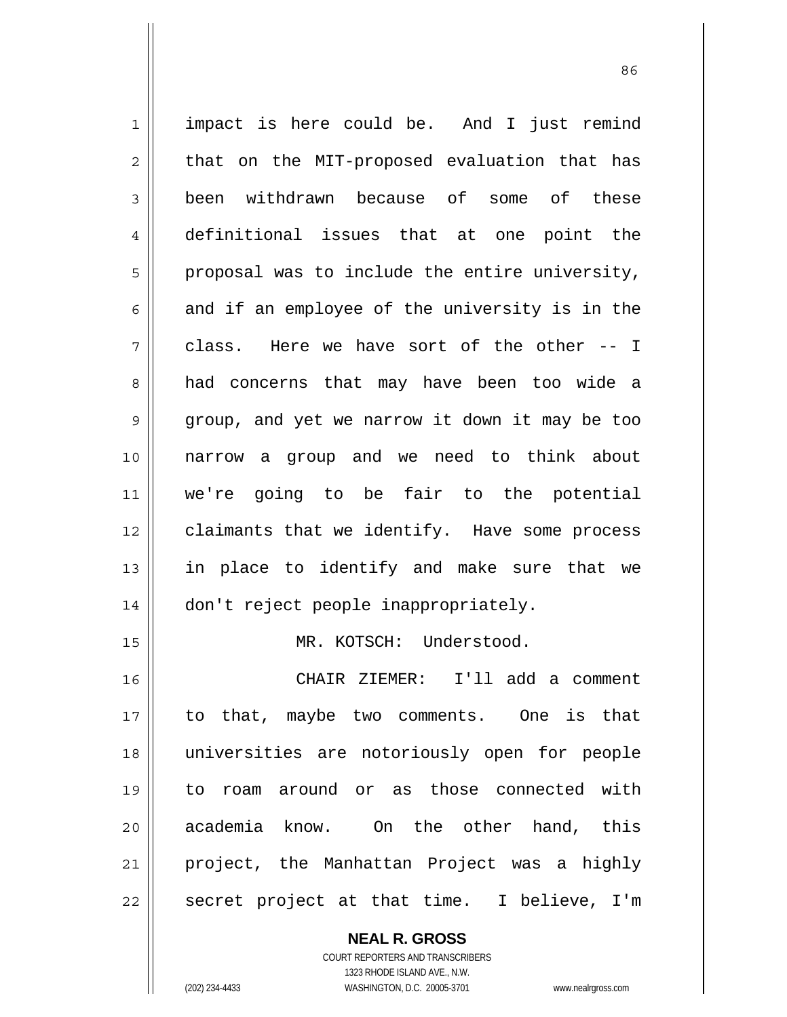1 2 3 4 5 6 7 8 9 10 11 12 13 14 15 16 17 18 19 20 21 22 impact is here could be. And I just remind that on the MIT-proposed evaluation that has been withdrawn because of some of these definitional issues that at one point the proposal was to include the entire university, and if an employee of the university is in the class. Here we have sort of the other -- I had concerns that may have been too wide a group, and yet we narrow it down it may be too narrow a group and we need to think about we're going to be fair to the potential claimants that we identify. Have some process in place to identify and make sure that we don't reject people inappropriately. MR. KOTSCH: Understood. CHAIR ZIEMER: I'll add a comment to that, maybe two comments. One is that universities are notoriously open for people to roam around or as those connected with academia know. On the other hand, this project, the Manhattan Project was a highly secret project at that time. I believe, I'm

<u>86 and 2001 and 2002 and 2003 and 2003 and 2003 and 2003 and 2003 and 2003 and 2003 and 2003 and 2003 and 200</u>

**NEAL R. GROSS** COURT REPORTERS AND TRANSCRIBERS 1323 RHODE ISLAND AVE., N.W.

(202) 234-4433 WASHINGTON, D.C. 20005-3701 www.nealrgross.com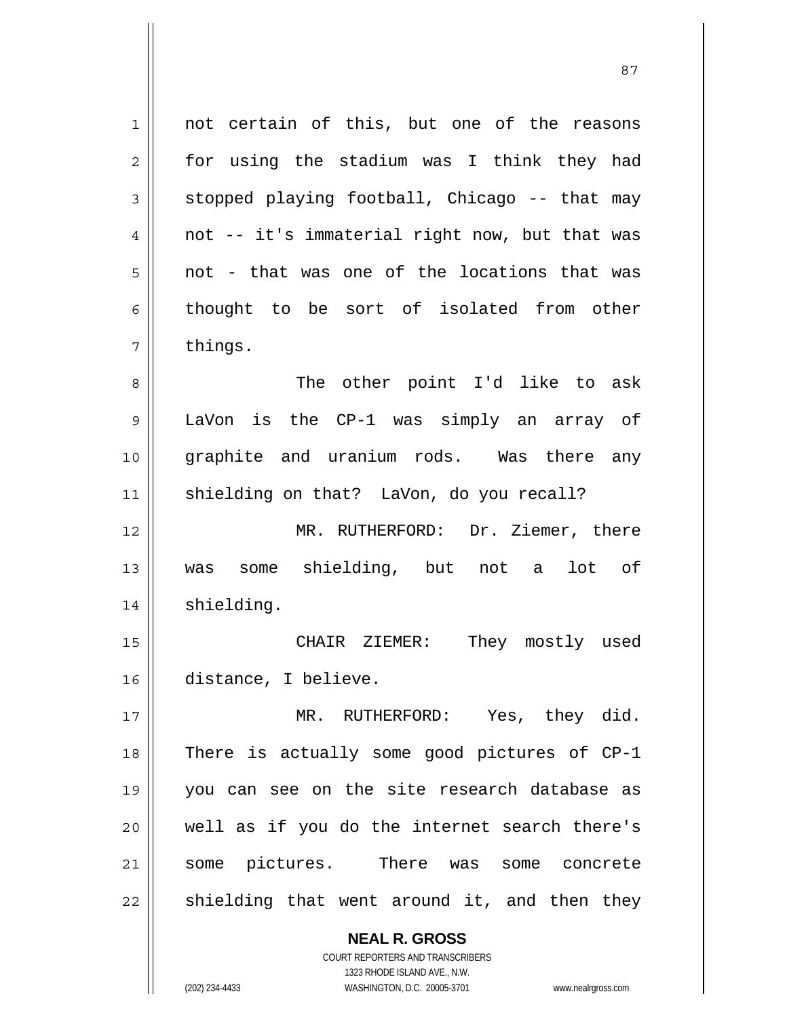1 2 3 4 5 6 7 8 9 10 11 12 13 14 15 16 17 18 19 20 21 22 not certain of this, but one of the reasons for using the stadium was I think they had stopped playing football, Chicago -- that may not -- it's immaterial right now, but that was not - that was one of the locations that was thought to be sort of isolated from other things. The other point I'd like to ask LaVon is the CP-1 was simply an array of graphite and uranium rods. Was there any shielding on that? LaVon, do you recall? MR. RUTHERFORD: Dr. Ziemer, there was some shielding, but not a lot of shielding. CHAIR ZIEMER: They mostly used distance, I believe. MR. RUTHERFORD: Yes, they did. There is actually some good pictures of CP-1 you can see on the site research database as well as if you do the internet search there's some pictures. There was some concrete shielding that went around it, and then they

<u>87 and 2014 and 2014 and 2014 and 2014 and 2014 and 2014 and 2014 and 2014 and 2014 and 2014 and 2014 and 201</u>

COURT REPORTERS AND TRANSCRIBERS 1323 RHODE ISLAND AVE., N.W. (202) 234-4433 WASHINGTON, D.C. 20005-3701 www.nealrgross.com

**NEAL R. GROSS**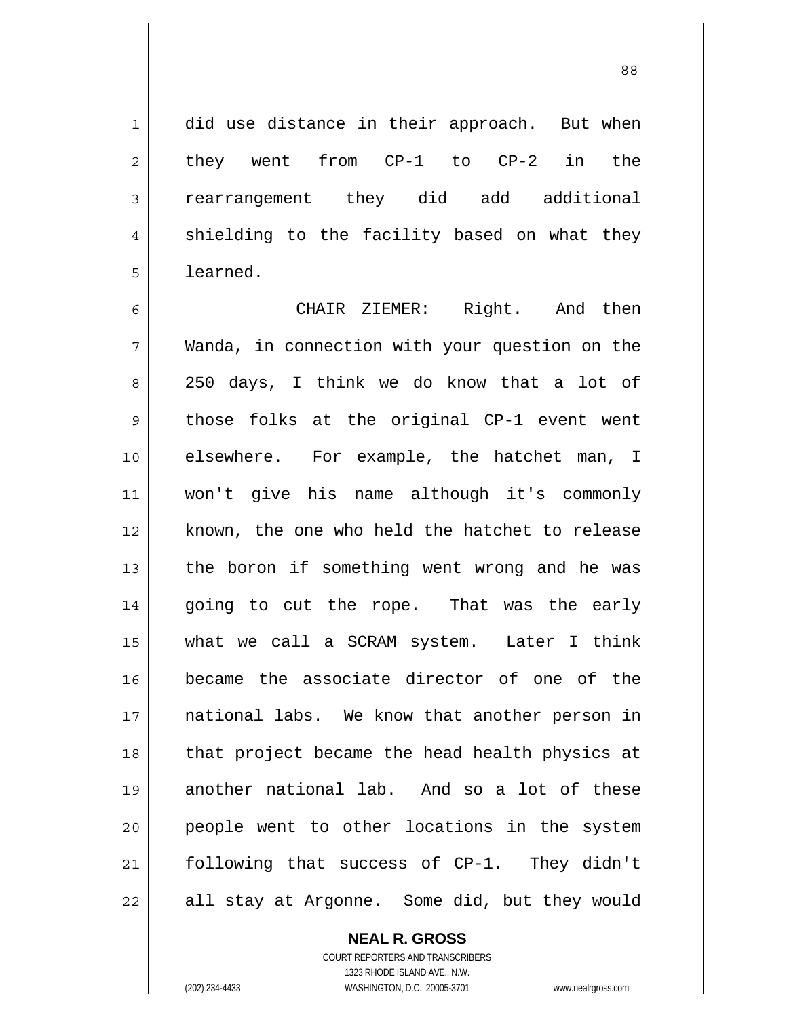did use distance in their approach. But when they went from CP-1 to CP-2 in the rearrangement they did add additional shielding to the facility based on what they learned.

6 7 8 9 10 11 12 13 14 15 16 17 18 19 20 21 22 CHAIR ZIEMER: Right. And then Wanda, in connection with your question on the 250 days, I think we do know that a lot of those folks at the original CP-1 event went elsewhere. For example, the hatchet man, I won't give his name although it's commonly known, the one who held the hatchet to release the boron if something went wrong and he was going to cut the rope. That was the early what we call a SCRAM system. Later I think became the associate director of one of the national labs. We know that another person in that project became the head health physics at another national lab. And so a lot of these people went to other locations in the system following that success of CP-1. They didn't all stay at Argonne. Some did, but they would

> **NEAL R. GROSS** COURT REPORTERS AND TRANSCRIBERS 1323 RHODE ISLAND AVE., N.W. (202) 234-4433 WASHINGTON, D.C. 20005-3701 www.nealrgross.com

1

2

3

4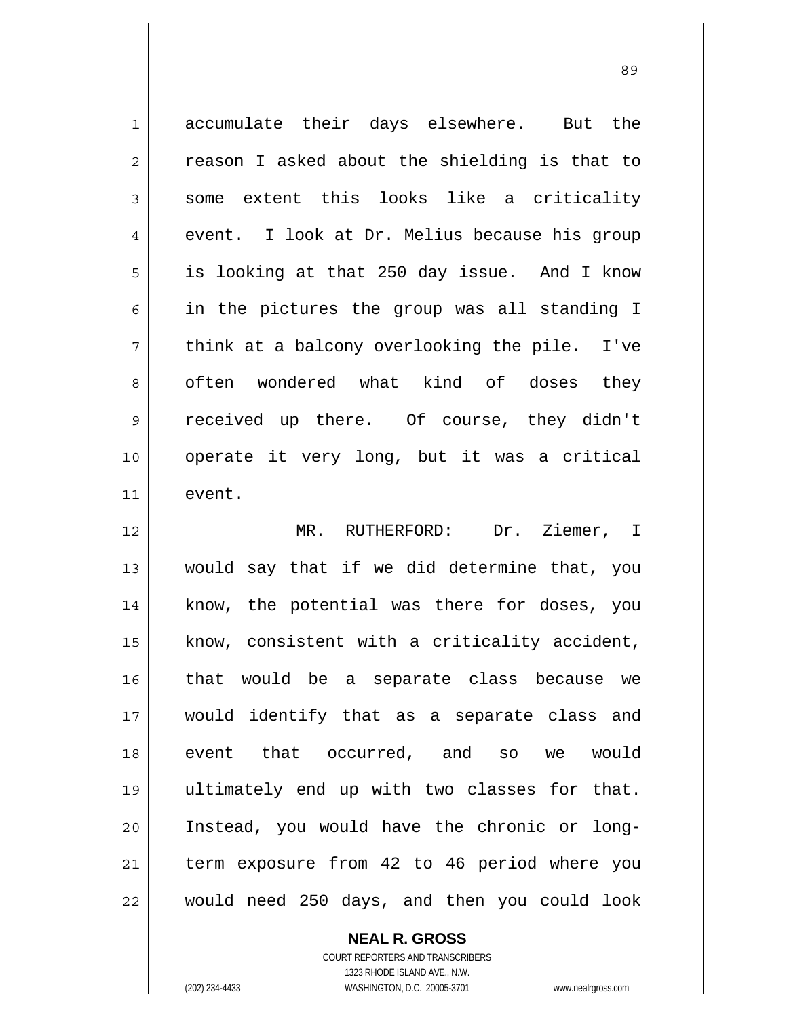1 2 3 4 5 6 7 8 9 10 11 12 13 14 15 16 accumulate their days elsewhere. But the reason I asked about the shielding is that to some extent this looks like a criticality event. I look at Dr. Melius because his group is looking at that 250 day issue. And I know in the pictures the group was all standing I think at a balcony overlooking the pile. I've often wondered what kind of doses they received up there. Of course, they didn't operate it very long, but it was a critical event. MR. RUTHERFORD: Dr. Ziemer, I would say that if we did determine that, you know, the potential was there for doses, you know, consistent with a criticality accident, that would be a separate class because we

would identify that as a separate class and event that occurred, and so we would ultimately end up with two classes for that. Instead, you would have the chronic or longterm exposure from 42 to 46 period where you

22

17

18

19

20

21

## **NEAL R. GROSS**

would need 250 days, and then you could look

COURT REPORTERS AND TRANSCRIBERS 1323 RHODE ISLAND AVE., N.W. (202) 234-4433 WASHINGTON, D.C. 20005-3701 www.nealrgross.com

<u>89 and 2001 and 2002 and 2003 and 2003 and 2003 and 2003 and 2003 and 2003 and 2003 and 2003 and 2003 and 200</u>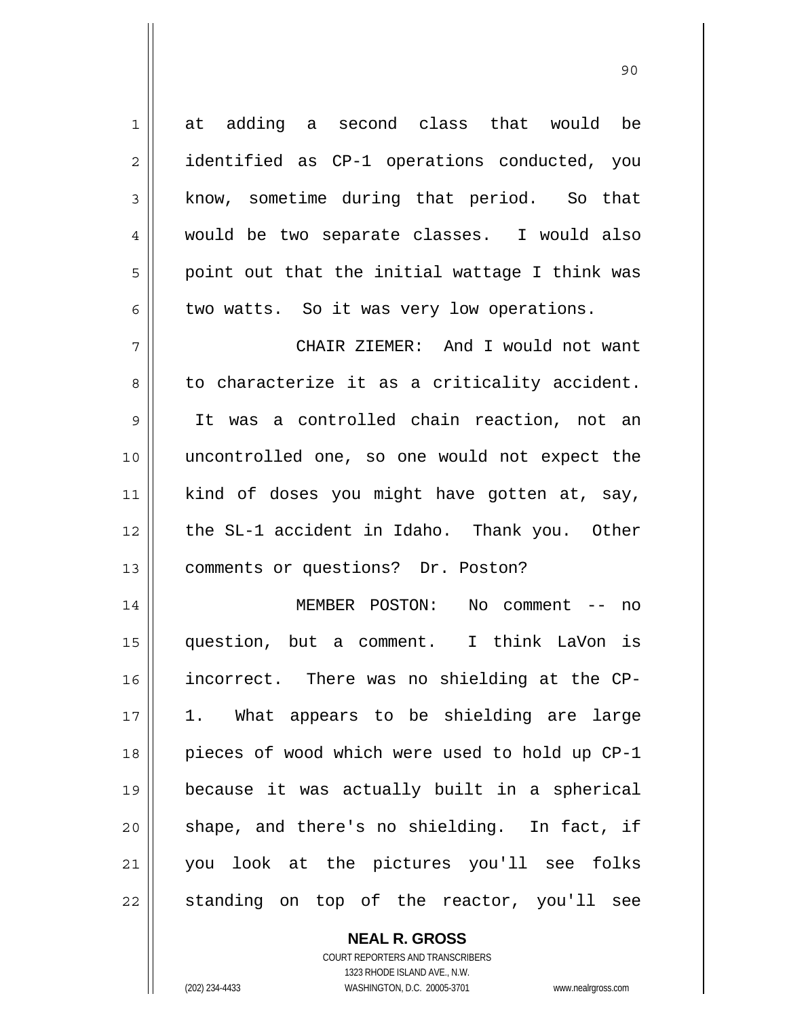| $\mathbf 1$ | at adding a second class that would be         |
|-------------|------------------------------------------------|
| 2           | identified as CP-1 operations conducted, you   |
| 3           | know, sometime during that period. So that     |
| 4           | would be two separate classes. I would also    |
| 5           | point out that the initial wattage I think was |
| 6           | two watts. So it was very low operations.      |
| 7           | CHAIR ZIEMER: And I would not want             |
| 8           | to characterize it as a criticality accident.  |
| $\mathsf 9$ | It was a controlled chain reaction, not an     |
| 10          | uncontrolled one, so one would not expect the  |
| 11          | kind of doses you might have gotten at, say,   |
| 12          | the SL-1 accident in Idaho. Thank you. Other   |
| 13          | comments or questions? Dr. Poston?             |
| 14          | MEMBER POSTON:<br>No comment $--$ no           |
| 15          | question, but a comment. I think LaVon is      |
| 16          | incorrect. There was no shielding at the CP-   |
| 17          | 1. What appears to be shielding are large      |
| 18          | pieces of wood which were used to hold up CP-1 |
| 19          | because it was actually built in a spherical   |
| 20          | shape, and there's no shielding. In fact, if   |
| 21          | you look at the pictures you'll see folks      |
| 22          | standing on top of the reactor, you'll see     |

90

**NEAL R. GROSS** COURT REPORTERS AND TRANSCRIBERS 1323 RHODE ISLAND AVE., N.W.

(202) 234-4433 WASHINGTON, D.C. 20005-3701 www.nealrgross.com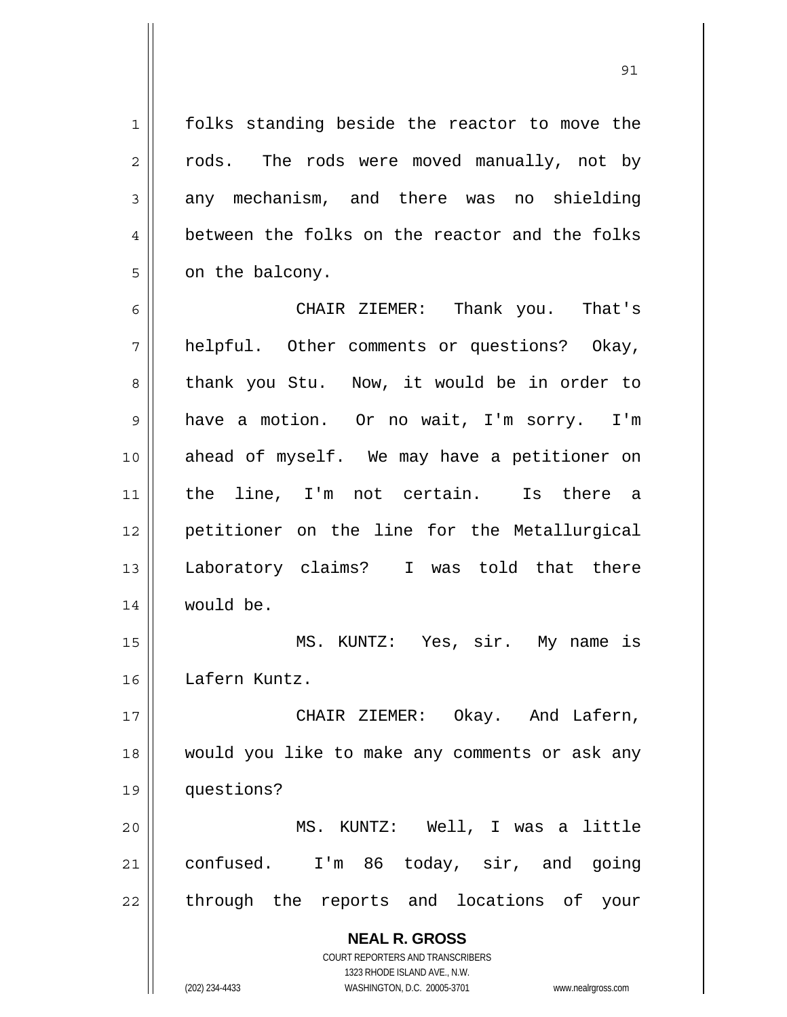folks standing beside the reactor to move the rods. The rods were moved manually, not by any mechanism, and there was no shielding between the folks on the reactor and the folks on the balcony.

1

2

3

4

5

<u>91</u>

6 7 8 9 10 11 12 13 14 CHAIR ZIEMER: Thank you. That's helpful. Other comments or questions? Okay, thank you Stu. Now, it would be in order to have a motion. Or no wait, I'm sorry. I'm ahead of myself. We may have a petitioner on the line, I'm not certain. Is there a petitioner on the line for the Metallurgical Laboratory claims? I was told that there would be.

15 16 MS. KUNTZ: Yes, sir. My name is Lafern Kuntz.

17 18 19 CHAIR ZIEMER: Okay. And Lafern, would you like to make any comments or ask any questions?

20 21 22 MS. KUNTZ: Well, I was a little confused. I'm 86 today, sir, and going through the reports and locations of your

> **NEAL R. GROSS** COURT REPORTERS AND TRANSCRIBERS 1323 RHODE ISLAND AVE., N.W. (202) 234-4433 WASHINGTON, D.C. 20005-3701 www.nealrgross.com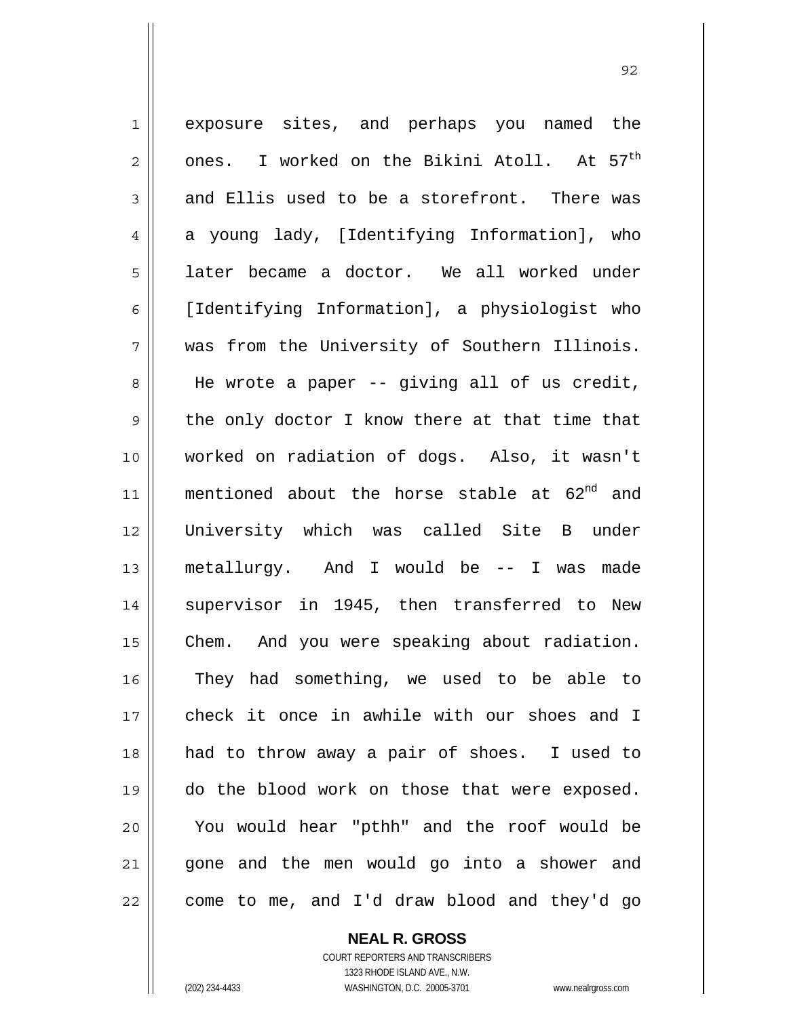1 2 3 4 5 6 7 8 9 10 11 12 13 14 15 16 17 18 19 20 21 22 exposure sites, and perhaps you named the ones. I worked on the Bikini Atoll. At 57<sup>th</sup> and Ellis used to be a storefront. There was a young lady, [Identifying Information], who later became a doctor. We all worked under [Identifying Information], a physiologist who was from the University of Southern Illinois. He wrote a paper -- giving all of us credit, the only doctor I know there at that time that worked on radiation of dogs. Also, it wasn't mentioned about the horse stable at  $62^{nd}$  and University which was called Site B under metallurgy. And I would be -- I was made supervisor in 1945, then transferred to New Chem. And you were speaking about radiation. They had something, we used to be able to check it once in awhile with our shoes and I had to throw away a pair of shoes. I used to do the blood work on those that were exposed. You would hear "pthh" and the roof would be gone and the men would go into a shower and come to me, and I'd draw blood and they'd go

<u>92 and 2014 and 2014 and 2014 and 2014 and 2014 and 2014 and 2014 and 2014 and 2014 and 2014 and 2014 and 201</u>

**NEAL R. GROSS** COURT REPORTERS AND TRANSCRIBERS

1323 RHODE ISLAND AVE., N.W. (202) 234-4433 WASHINGTON, D.C. 20005-3701 www.nealrgross.com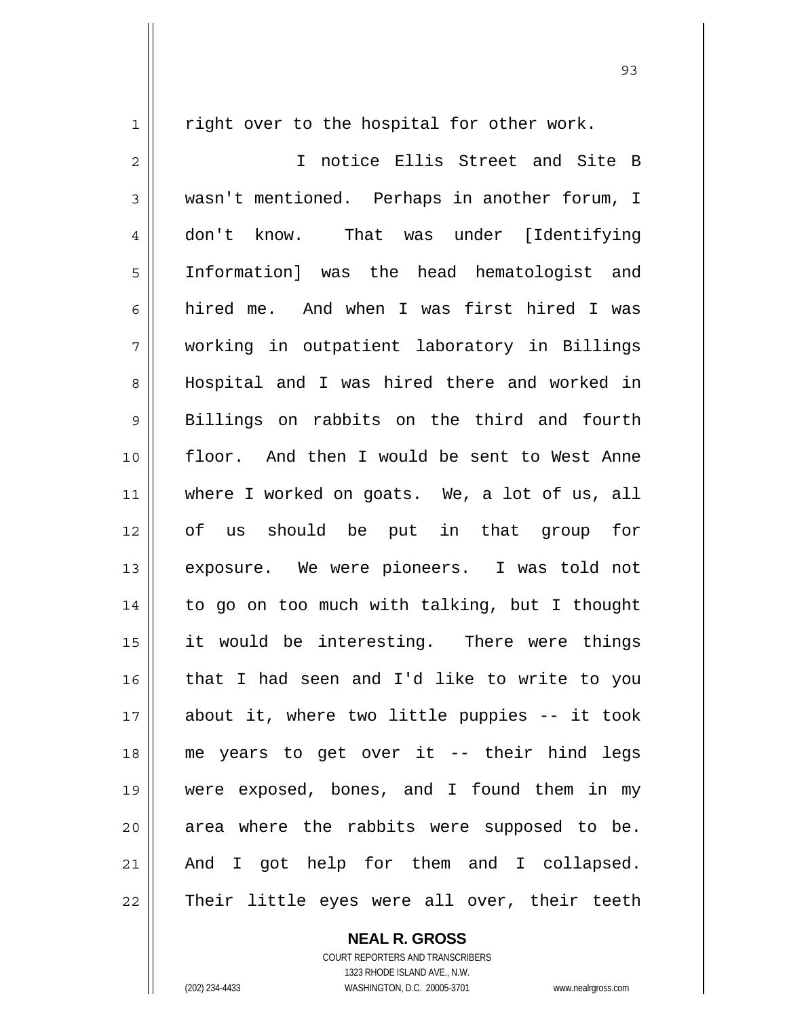right over to the hospital for other work.

1

2 3 4 5 6 7 8 9 10 11 12 13 14 15 16 17 18 19 20 21 22 I notice Ellis Street and Site B wasn't mentioned. Perhaps in another forum, I don't know. That was under [Identifying Information] was the head hematologist and hired me. And when I was first hired I was working in outpatient laboratory in Billings Hospital and I was hired there and worked in Billings on rabbits on the third and fourth floor. And then I would be sent to West Anne where I worked on goats. We, a lot of us, all of us should be put in that group for exposure. We were pioneers. I was told not to go on too much with talking, but I thought it would be interesting. There were things that I had seen and I'd like to write to you about it, where two little puppies -- it took me years to get over it -- their hind legs were exposed, bones, and I found them in my area where the rabbits were supposed to be. And I got help for them and I collapsed. Their little eyes were all over, their teeth

**NEAL R. GROSS**

COURT REPORTERS AND TRANSCRIBERS 1323 RHODE ISLAND AVE., N.W. (202) 234-4433 WASHINGTON, D.C. 20005-3701 www.nealrgross.com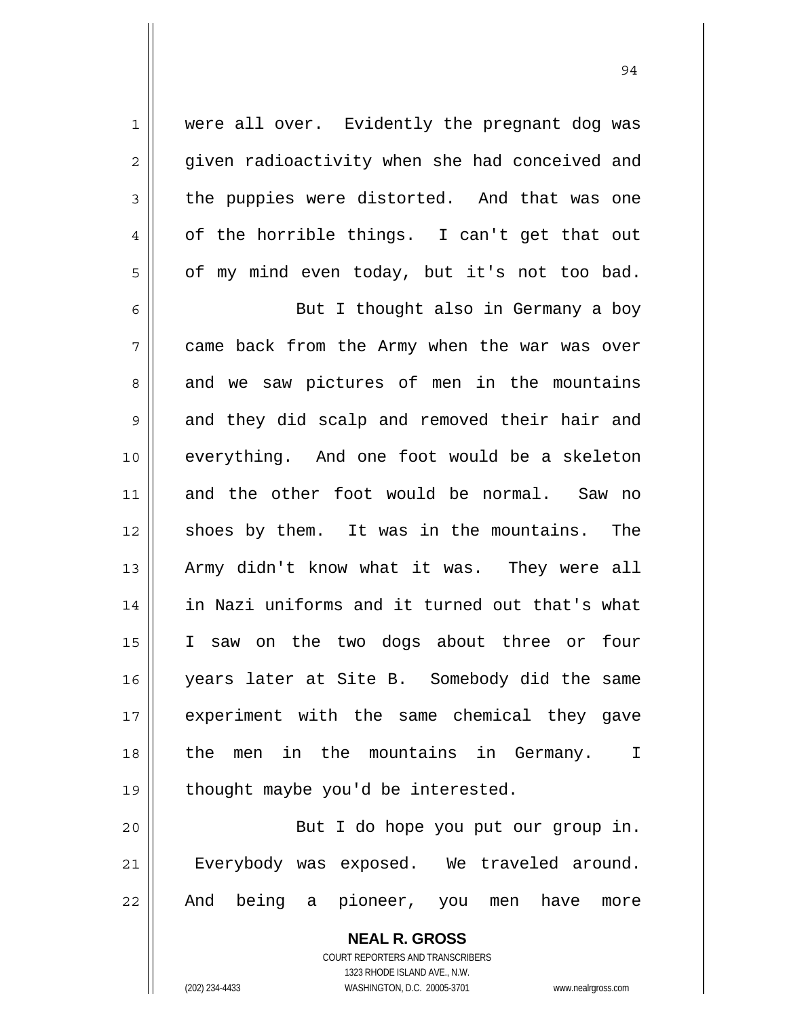were all over. Evidently the pregnant dog was given radioactivity when she had conceived and the puppies were distorted. And that was one of the horrible things. I can't get that out of my mind even today, but it's not too bad. But I thought also in Germany a boy

1

2

3

4

5

6

7 8 9 10 11 12 13 14 15 16 17 18 19 came back from the Army when the war was over and we saw pictures of men in the mountains and they did scalp and removed their hair and everything. And one foot would be a skeleton and the other foot would be normal. Saw no shoes by them. It was in the mountains. The Army didn't know what it was. They were all in Nazi uniforms and it turned out that's what I saw on the two dogs about three or four years later at Site B. Somebody did the same experiment with the same chemical they gave the men in the mountains in Germany. I thought maybe you'd be interested.

20 21 22 But I do hope you put our group in. Everybody was exposed. We traveled around. And being a pioneer, you men have more

> **NEAL R. GROSS** COURT REPORTERS AND TRANSCRIBERS 1323 RHODE ISLAND AVE., N.W. (202) 234-4433 WASHINGTON, D.C. 20005-3701 www.nealrgross.com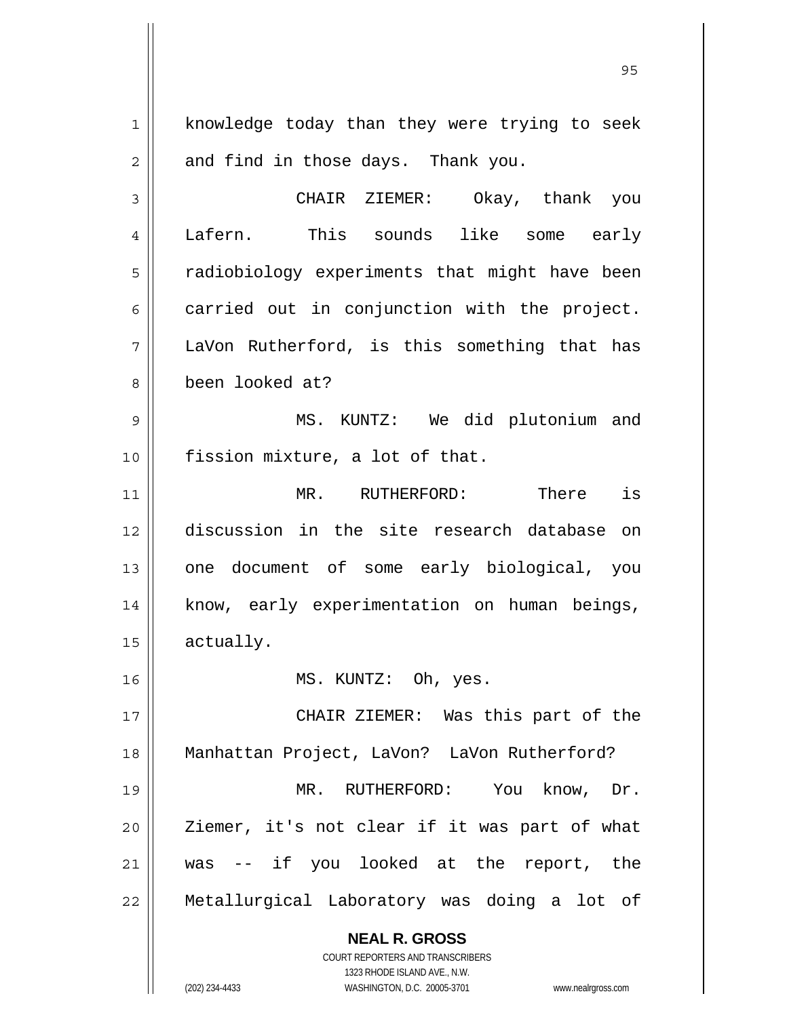**NEAL R. GROSS** COURT REPORTERS AND TRANSCRIBERS 1 2 3 4 5 6 7 8 9 10 11 12 13 14 15 16 17 18 19 20 21 22 knowledge today than they were trying to seek and find in those days. Thank you. CHAIR ZIEMER: Okay, thank you Lafern. This sounds like some early radiobiology experiments that might have been carried out in conjunction with the project. LaVon Rutherford, is this something that has been looked at? MS. KUNTZ: We did plutonium and fission mixture, a lot of that. MR. RUTHERFORD: There is discussion in the site research database on one document of some early biological, you know, early experimentation on human beings, actually. MS. KUNTZ: Oh, yes. CHAIR ZIEMER: Was this part of the Manhattan Project, LaVon? LaVon Rutherford? MR. RUTHERFORD: You know, Dr. Ziemer, it's not clear if it was part of what was -- if you looked at the report, the Metallurgical Laboratory was doing a lot of

1323 RHODE ISLAND AVE., N.W.

(202) 234-4433 WASHINGTON, D.C. 20005-3701 www.nealrgross.com

<u>95 and 2001 and 2001 and 2001 and 2001 and 2001 and 2001 and 2001 and 2001 and 2001 and 2001 and 2001 and 200</u>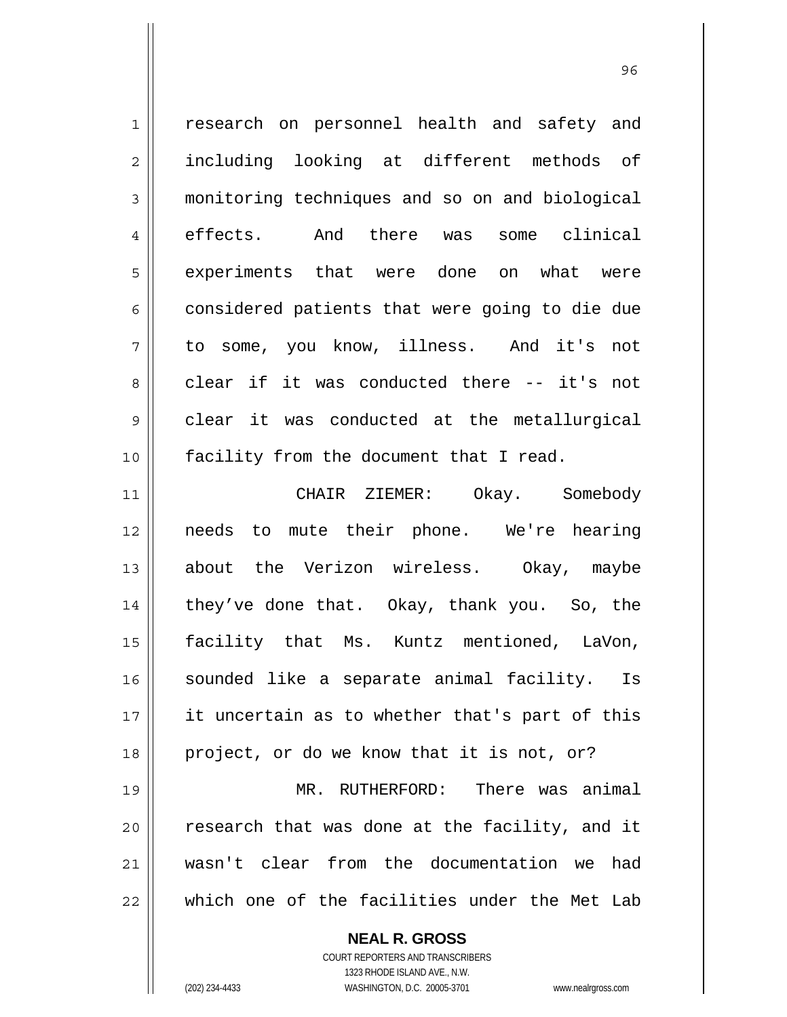1 2 3 4 5 6 7 8 9 10 11 research on personnel health and safety and including looking at different methods of monitoring techniques and so on and biological effects. And there was some clinical experiments that were done on what were considered patients that were going to die due to some, you know, illness. And it's not clear if it was conducted there -- it's not clear it was conducted at the metallurgical facility from the document that I read. CHAIR ZIEMER: Okay. Somebody

12 13 14 15 16 17 18 needs to mute their phone. We're hearing about the Verizon wireless. Okay, maybe they've done that. Okay, thank you. So, the facility that Ms. Kuntz mentioned, LaVon, sounded like a separate animal facility. Is it uncertain as to whether that's part of this project, or do we know that it is not, or?

19 20 21 22 MR. RUTHERFORD: There was animal research that was done at the facility, and it wasn't clear from the documentation we had which one of the facilities under the Met Lab

> **NEAL R. GROSS** COURT REPORTERS AND TRANSCRIBERS 1323 RHODE ISLAND AVE., N.W. (202) 234-4433 WASHINGTON, D.C. 20005-3701 www.nealrgross.com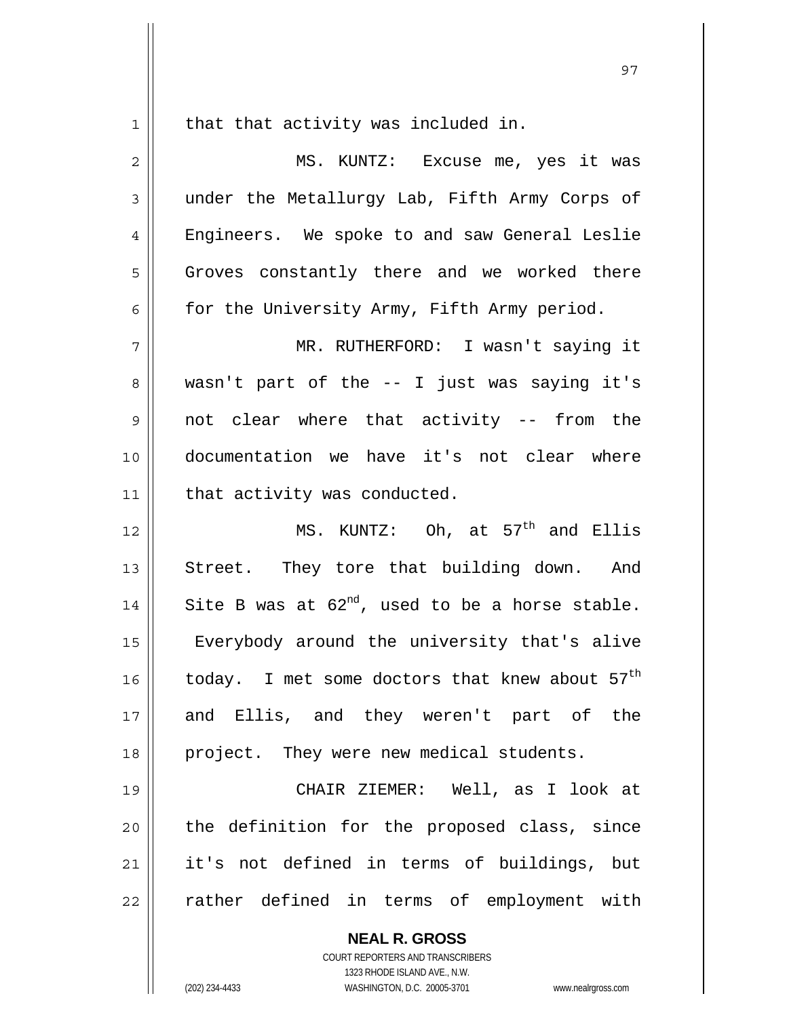that that activity was included in.

 $1$ 

| $\overline{2}$ | MS. KUNTZ: Excuse me, yes it was                     |
|----------------|------------------------------------------------------|
| 3              | under the Metallurgy Lab, Fifth Army Corps of        |
| 4              | Engineers. We spoke to and saw General Leslie        |
| 5              | Groves constantly there and we worked there          |
| 6              | for the University Army, Fifth Army period.          |
| 7              | MR. RUTHERFORD: I wasn't saying it                   |
| 8              | wasn't part of the -- I just was saying it's         |
| 9              | not clear where that activity -- from the            |
| 10             | documentation we have it's not clear where           |
| 11             | that activity was conducted.                         |
| 12             | MS. KUNTZ: Oh, at $57th$ and Ellis                   |
| 13             | Street. They tore that building down. And            |
| 14             | Site B was at $62^{nd}$ , used to be a horse stable. |
| 15             | Everybody around the university that's alive         |
| 16             | today. I met some doctors that knew about $57th$     |
| 17             | and Ellis, and they weren't part of the              |
| 18             | project. They were new medical students.             |
| 19             | CHAIR ZIEMER: Well, as I look at                     |
| 20             | the definition for the proposed class, since         |
| 21             | it's not defined in terms of buildings, but          |
| 22             | rather defined in terms of employment with           |
|                | <b>NEAL R. GROSS</b>                                 |

COURT REPORTERS AND TRANSCRIBERS 1323 RHODE ISLAND AVE., N.W.

(202) 234-4433 WASHINGTON, D.C. 20005-3701 www.nealrgross.com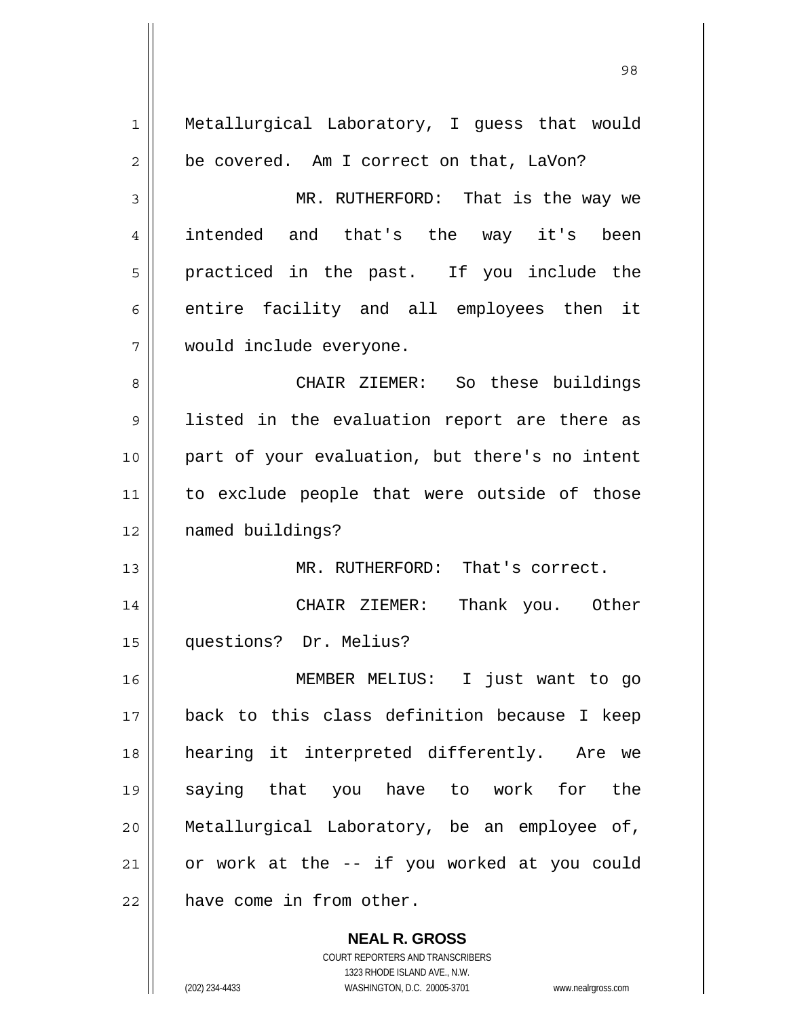| $\mathbf{1}$ | Metallurgical Laboratory, I guess that would   |
|--------------|------------------------------------------------|
| 2            | be covered. Am I correct on that, LaVon?       |
| 3            | MR. RUTHERFORD: That is the way we             |
| 4            | intended and that's the way it's been          |
| 5            | practiced in the past. If you include the      |
| 6            | entire facility and all employees then it      |
| 7            | would include everyone.                        |
| 8            | CHAIR ZIEMER: So these buildings               |
| 9            | listed in the evaluation report are there as   |
| 10           | part of your evaluation, but there's no intent |
| 11           | to exclude people that were outside of those   |
| 12           | named buildings?                               |
| 13           | MR. RUTHERFORD: That's correct.                |
| 14           | Thank you. Other<br>CHAIR ZIEMER:              |
| 15           | questions? Dr. Melius?                         |
| 16           | MEMBER MELIUS: I just want to go               |
| 17           | back to this class definition because I keep   |
| 18           | hearing it interpreted differently. Are we     |
| 19           | saying that you have to work for the           |
| 20           | Metallurgical Laboratory, be an employee of,   |
| 21           | or work at the -- if you worked at you could   |
| 22           | have come in from other.                       |
|              | <b>NEAL R. GROSS</b>                           |

98

COURT REPORTERS AND TRANSCRIBERS 1323 RHODE ISLAND AVE., N.W.

 $\mathsf{I}$ 

(202) 234-4433 WASHINGTON, D.C. 20005-3701 www.nealrgross.com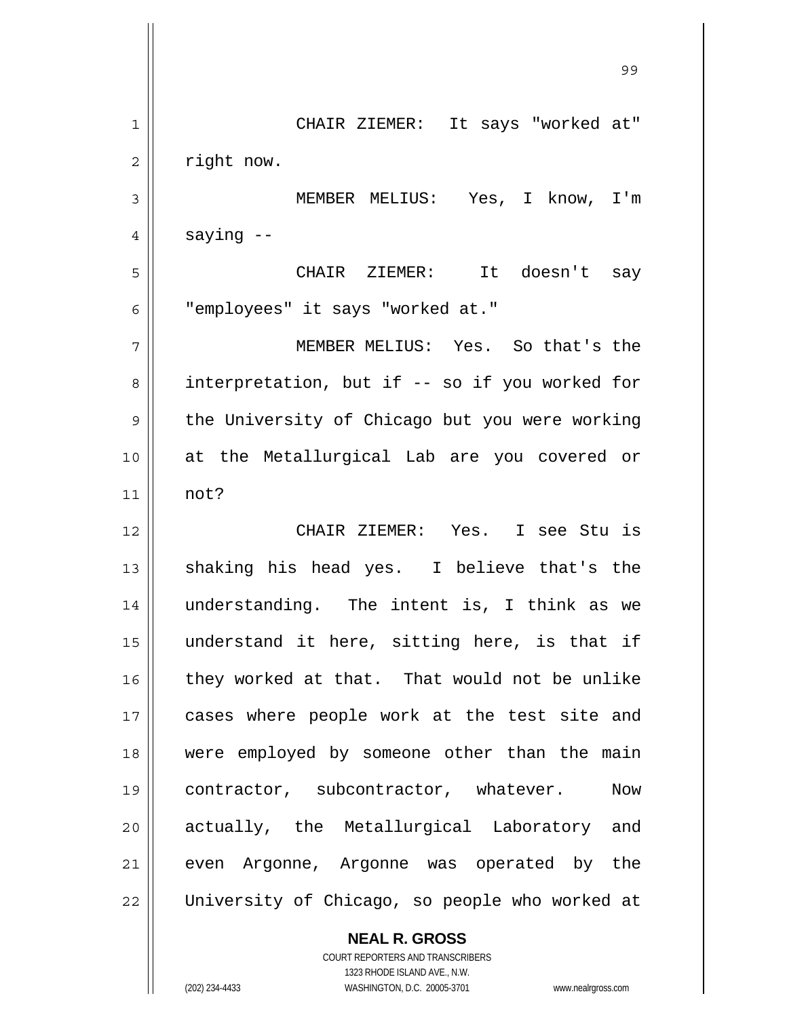99 - Paul Barbara, poeta e a contra de 1999 - Paul Barbara, español de 1999 - Paul Barbara, español de 1999 -<br>1990 - Paul Barbara, poeta español de 1990 - Paul Barbara, español de 1990 - Paul Barbara, español de 1990 -1 2 3 4 5 6 7 8 9 10 11 12 13 14 15 16 17 18 19 20 21 22 CHAIR ZIEMER: It says "worked at" right now. MEMBER MELIUS: Yes, I know, I'm saying -- CHAIR ZIEMER: It doesn't say "employees" it says "worked at." MEMBER MELIUS: Yes. So that's the interpretation, but if -- so if you worked for the University of Chicago but you were working at the Metallurgical Lab are you covered or not? CHAIR ZIEMER: Yes. I see Stu is shaking his head yes. I believe that's the understanding. The intent is, I think as we understand it here, sitting here, is that if they worked at that. That would not be unlike cases where people work at the test site and were employed by someone other than the main contractor, subcontractor, whatever. Now actually, the Metallurgical Laboratory and even Argonne, Argonne was operated by the University of Chicago, so people who worked at

> COURT REPORTERS AND TRANSCRIBERS 1323 RHODE ISLAND AVE., N.W. (202) 234-4433 WASHINGTON, D.C. 20005-3701 www.nealrgross.com

**NEAL R. GROSS**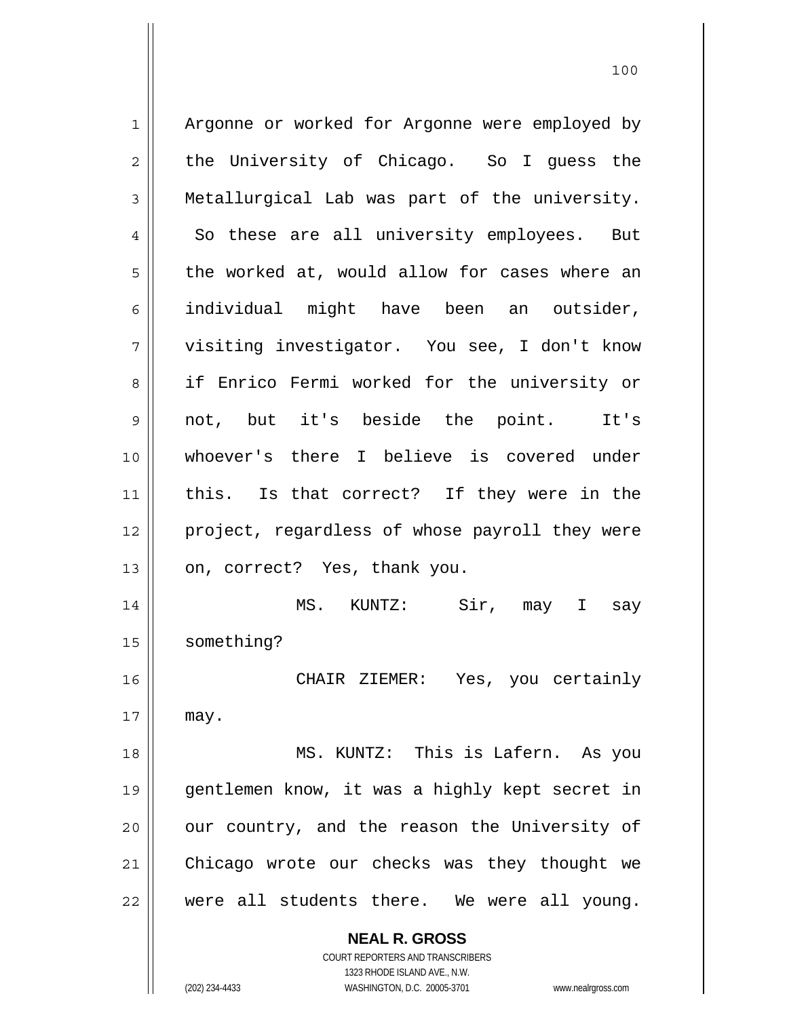**NEAL R. GROSS** COURT REPORTERS AND TRANSCRIBERS 1 2 3 4 5 6 7 8 9 10 11 12 13 14 15 16 17 18 19 20 21 22 Argonne or worked for Argonne were employed by the University of Chicago. So I guess the Metallurgical Lab was part of the university. So these are all university employees. But the worked at, would allow for cases where an individual might have been an outsider, visiting investigator. You see, I don't know if Enrico Fermi worked for the university or not, but it's beside the point. It's whoever's there I believe is covered under this. Is that correct? If they were in the project, regardless of whose payroll they were on, correct? Yes, thank you. MS. KUNTZ: Sir, may I say something? CHAIR ZIEMER: Yes, you certainly may. MS. KUNTZ: This is Lafern. As you gentlemen know, it was a highly kept secret in our country, and the reason the University of Chicago wrote our checks was they thought we were all students there. We were all young.

1323 RHODE ISLAND AVE., N.W.

(202) 234-4433 WASHINGTON, D.C. 20005-3701 www.nealrgross.com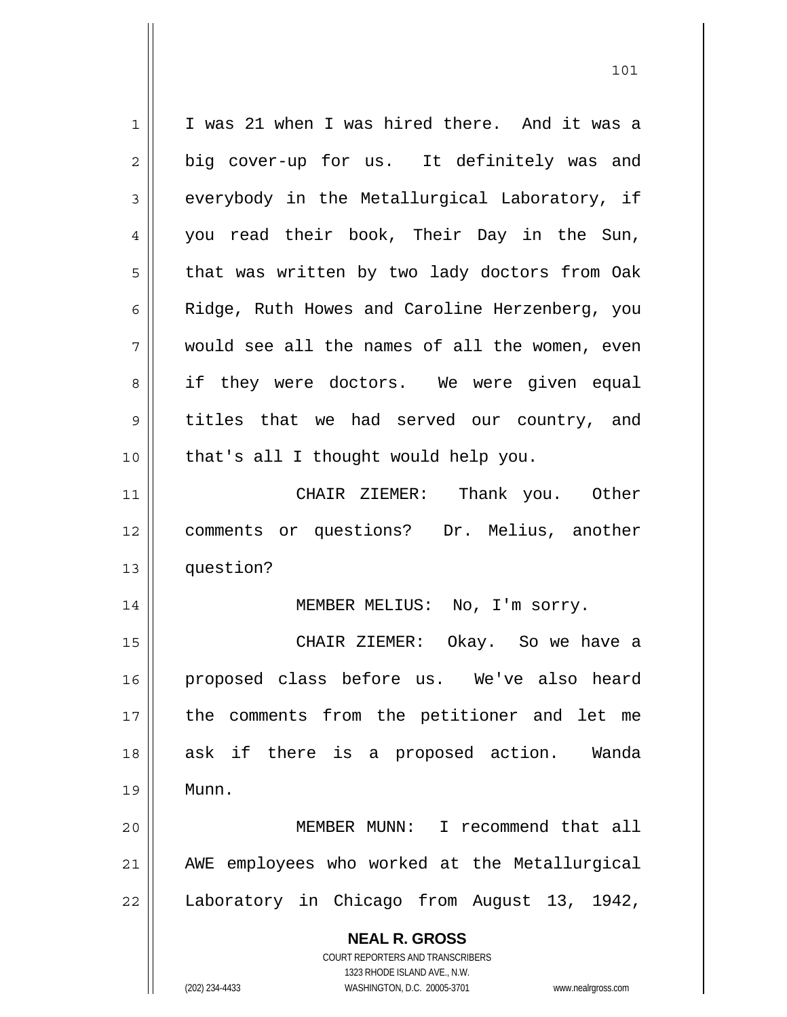**NEAL R. GROSS** COURT REPORTERS AND TRANSCRIBERS 1323 RHODE ISLAND AVE., N.W. 1 2 3 4 5 6 7 8 9 10 11 12 13 14 15 16 17 18 19 20 21 22 I was 21 when I was hired there. And it was a big cover-up for us. It definitely was and everybody in the Metallurgical Laboratory, if you read their book, Their Day in the Sun, that was written by two lady doctors from Oak Ridge, Ruth Howes and Caroline Herzenberg, you would see all the names of all the women, even if they were doctors. We were given equal titles that we had served our country, and that's all I thought would help you. CHAIR ZIEMER: Thank you. Other comments or questions? Dr. Melius, another question? MEMBER MELIUS: No, I'm sorry. CHAIR ZIEMER: Okay. So we have a proposed class before us. We've also heard the comments from the petitioner and let me ask if there is a proposed action. Wanda Munn. MEMBER MUNN: I recommend that all AWE employees who worked at the Metallurgical Laboratory in Chicago from August 13, 1942,

101

(202) 234-4433 WASHINGTON, D.C. 20005-3701 www.nealrgross.com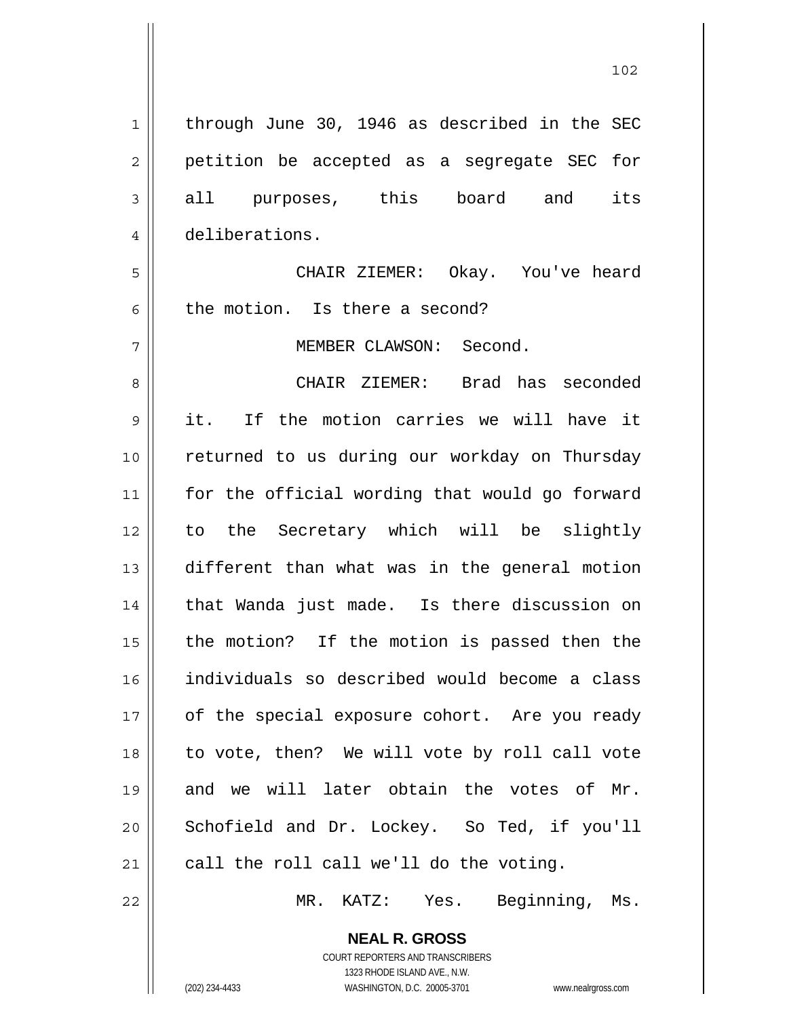| $\mathbf 1$    | through June 30, 1946 as described in the SEC  |
|----------------|------------------------------------------------|
| $\overline{2}$ | petition be accepted as a segregate SEC for    |
| 3              | all purposes, this board and its               |
| 4              | deliberations.                                 |
| 5              | CHAIR ZIEMER: Okay. You've heard               |
| 6              | the motion. Is there a second?                 |
| 7              | MEMBER CLAWSON: Second.                        |
| 8              | CHAIR ZIEMER: Brad has seconded                |
| 9              | it. If the motion carries we will have it      |
| 10             | returned to us during our workday on Thursday  |
| 11             | for the official wording that would go forward |
| 12             | to the Secretary which will be slightly        |
| 13             | different than what was in the general motion  |
| 14             | that Wanda just made. Is there discussion on   |
| 15             | the motion? If the motion is passed then the   |
| 16             | individuals so described would become a class  |
| 17             | of the special exposure cohort. Are you ready  |
| 18             | to vote, then? We will vote by roll call vote  |
| 19             | and we will later obtain the votes of Mr.      |
| 20             | Schofield and Dr. Lockey. So Ted, if you'll    |
| 21             | call the roll call we'll do the voting.        |
| 22             | Beginning, Ms.<br>MR.<br>KATZ:<br>Yes.         |

102

COURT REPORTERS AND TRANSCRIBERS 1323 RHODE ISLAND AVE., N.W. (202) 234-4433 WASHINGTON, D.C. 20005-3701 www.nealrgross.com

**NEAL R. GROSS**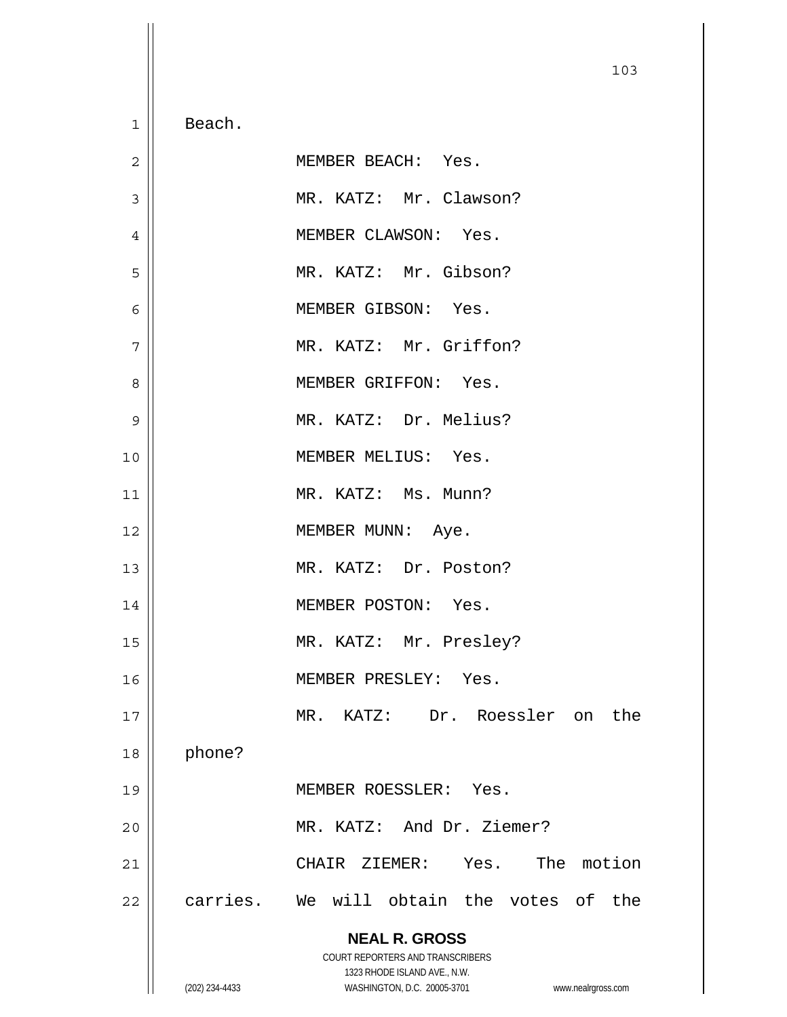**NEAL R. GROSS** COURT REPORTERS AND TRANSCRIBERS 1323 RHODE ISLAND AVE., N.W. (202) 234-4433 WASHINGTON, D.C. 20005-3701 www.nealrgross.com 103 1 2 3 4 5 6 7 8 9 10 11 12 13 14 15 16 17 18 19 20 21 22 Beach. MEMBER BEACH: Yes. MR. KATZ: Mr. Clawson? MEMBER CLAWSON: Yes. MR. KATZ: Mr. Gibson? MEMBER GIBSON: Yes. MR. KATZ: Mr. Griffon? MEMBER GRIFFON: Yes. MR. KATZ: Dr. Melius? MEMBER MELIUS: Yes. MR. KATZ: Ms. Munn? MEMBER MUNN: Aye. MR. KATZ: Dr. Poston? MEMBER POSTON: Yes. MR. KATZ: Mr. Presley? MEMBER PRESLEY: Yes. MR. KATZ: Dr. Roessler on the phone? MEMBER ROESSLER: Yes. MR. KATZ: And Dr. Ziemer? CHAIR ZIEMER: Yes. The motion carries. We will obtain the votes of the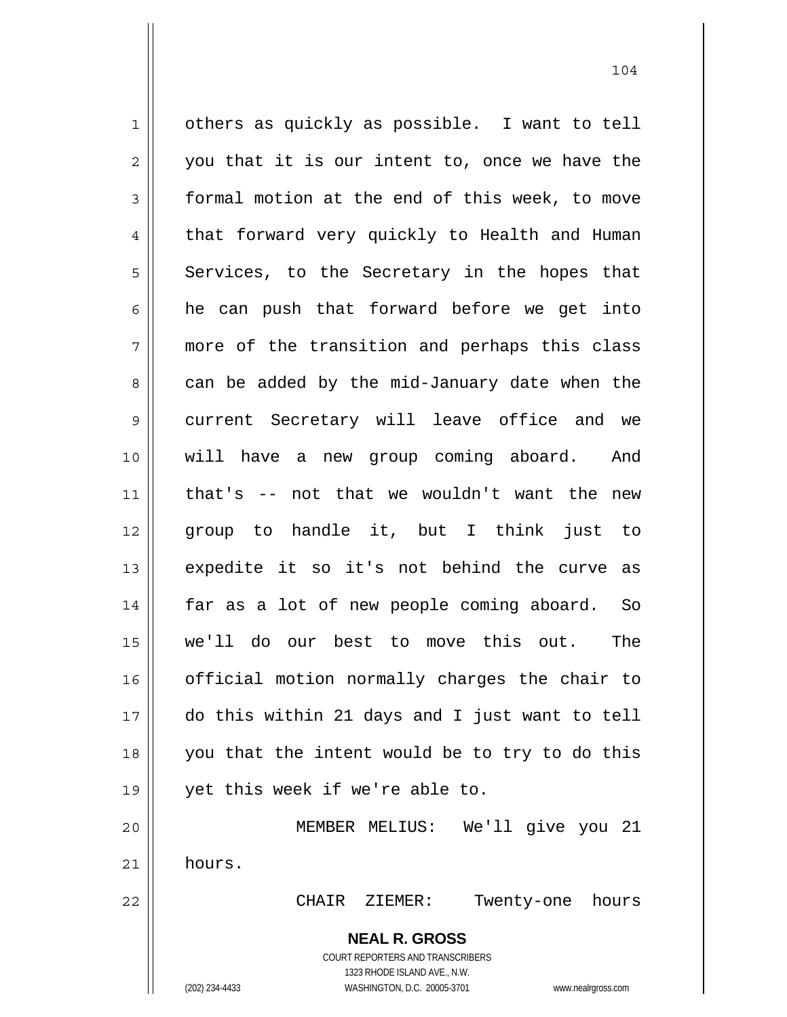**NEAL R. GROSS** COURT REPORTERS AND TRANSCRIBERS 1323 RHODE ISLAND AVE., N.W. 1 2 3 4 5 6 7 8 9 10 11 12 13 14 15 16 17 18 19 20 21 22 others as quickly as possible. I want to tell you that it is our intent to, once we have the formal motion at the end of this week, to move that forward very quickly to Health and Human Services, to the Secretary in the hopes that he can push that forward before we get into more of the transition and perhaps this class can be added by the mid-January date when the current Secretary will leave office and we will have a new group coming aboard. And that's -- not that we wouldn't want the new group to handle it, but I think just to expedite it so it's not behind the curve as far as a lot of new people coming aboard. So we'll do our best to move this out. The official motion normally charges the chair to do this within 21 days and I just want to tell you that the intent would be to try to do this yet this week if we're able to. MEMBER MELIUS: We'll give you 21 hours. CHAIR ZIEMER: Twenty-one hours

(202) 234-4433 WASHINGTON, D.C. 20005-3701 www.nealrgross.com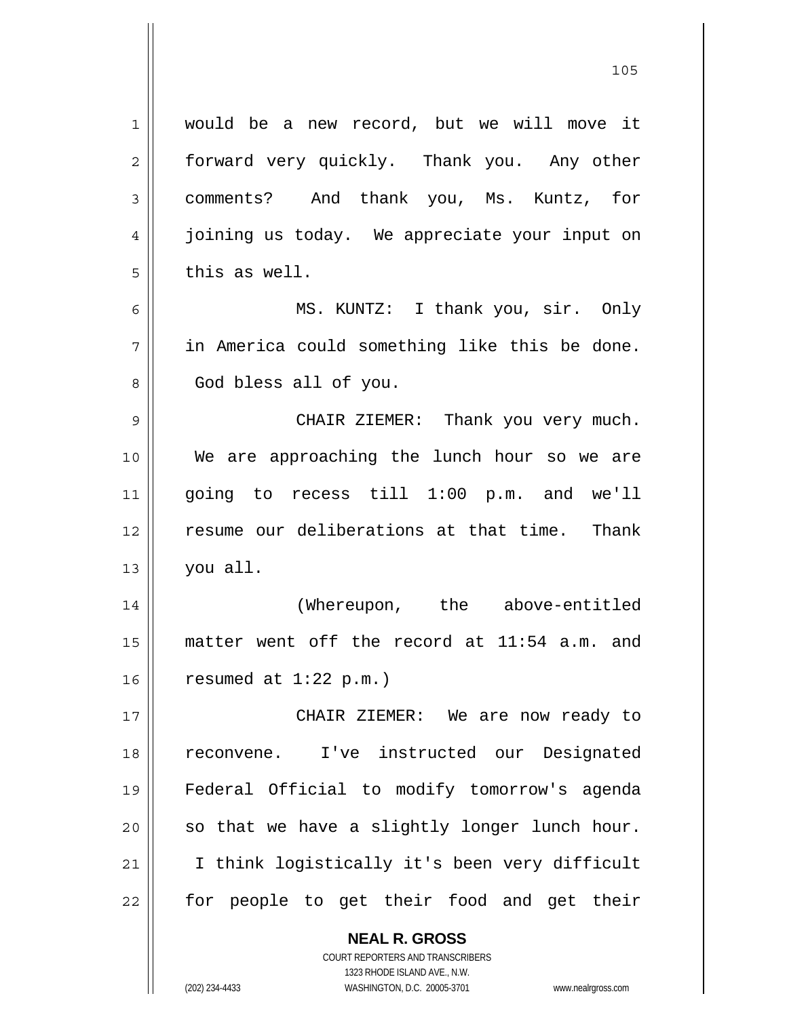would be a new record, but we will move it forward very quickly. Thank you. Any other comments? And thank you, Ms. Kuntz, for joining us today. We appreciate your input on this as well. MS. KUNTZ: I thank you, sir. Only in America could something like this be done. God bless all of you. CHAIR ZIEMER: Thank you very much. We are approaching the lunch hour so we are going to recess till 1:00 p.m. and we'll resume our deliberations at that time. Thank you all. (Whereupon, the above-entitled matter went off the record at 11:54 a.m. and resumed at 1:22 p.m.) CHAIR ZIEMER: We are now ready to reconvene. I've instructed our Designated Federal Official to modify tomorrow's agenda so that we have a slightly longer lunch hour.

21 22 I think logistically it's been very difficult for people to get their food and get their

> **NEAL R. GROSS** COURT REPORTERS AND TRANSCRIBERS 1323 RHODE ISLAND AVE., N.W. (202) 234-4433 WASHINGTON, D.C. 20005-3701 www.nealrgross.com

1

2

3

4

5

6

7

8

9

10

11

12

13

14

15

16

17

18

19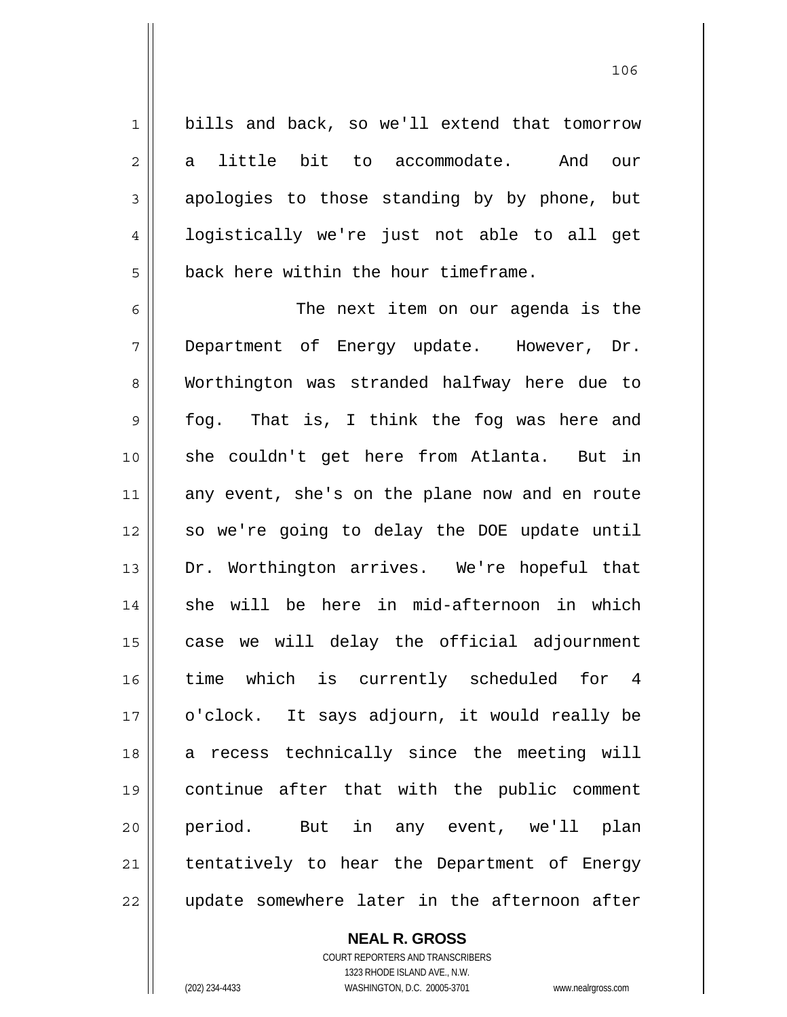bills and back, so we'll extend that tomorrow a little bit to accommodate. And our apologies to those standing by by phone, but logistically we're just not able to all get back here within the hour timeframe.

6 7 8 9 10 11 12 13 14 15 16 17 18 19 20 21 22 The next item on our agenda is the Department of Energy update. However, Dr. Worthington was stranded halfway here due to fog. That is, I think the fog was here and she couldn't get here from Atlanta. But in any event, she's on the plane now and en route so we're going to delay the DOE update until Dr. Worthington arrives. We're hopeful that she will be here in mid-afternoon in which case we will delay the official adjournment time which is currently scheduled for 4 o'clock. It says adjourn, it would really be a recess technically since the meeting will continue after that with the public comment period. But in any event, we'll plan tentatively to hear the Department of Energy update somewhere later in the afternoon after

> COURT REPORTERS AND TRANSCRIBERS 1323 RHODE ISLAND AVE., N.W. (202) 234-4433 WASHINGTON, D.C. 20005-3701 www.nealrgross.com

**NEAL R. GROSS**

1

2

3

4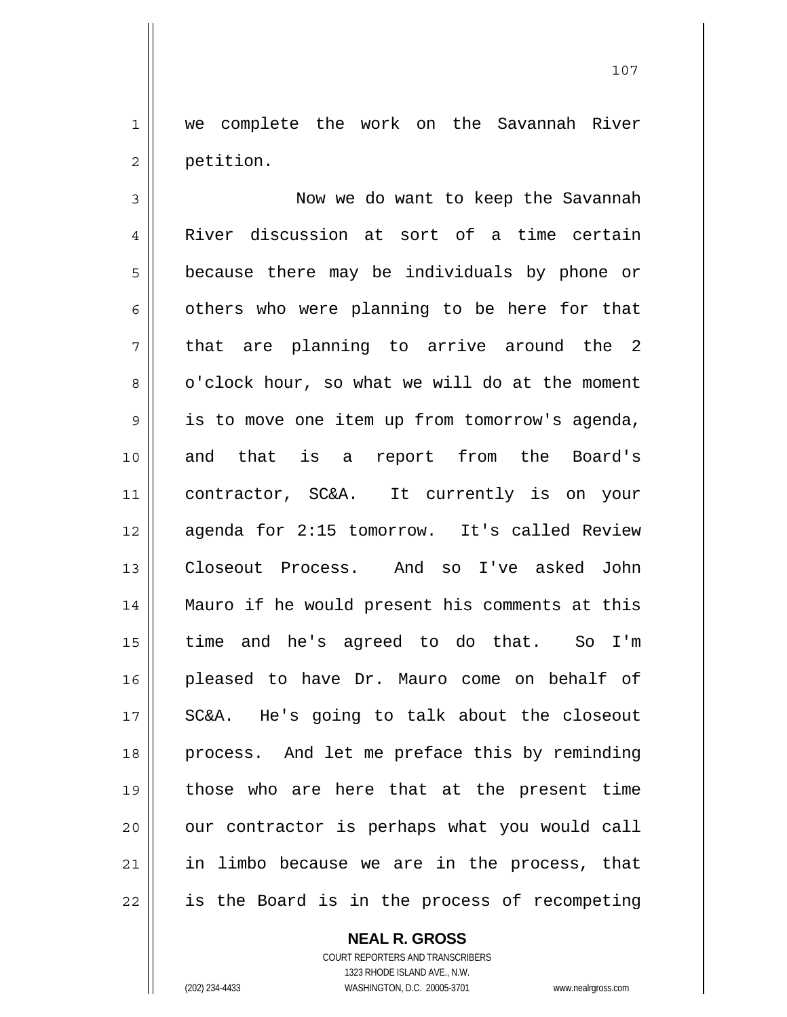we complete the work on the Savannah River petition.

1

2

107

3 4 5 6 7 8 9 10 11 12 13 14 15 16 17 18 19 20 21 22 Now we do want to keep the Savannah River discussion at sort of a time certain because there may be individuals by phone or others who were planning to be here for that that are planning to arrive around the 2 o'clock hour, so what we will do at the moment is to move one item up from tomorrow's agenda, and that is a report from the Board's contractor, SC&A. It currently is on your agenda for 2:15 tomorrow. It's called Review Closeout Process. And so I've asked John Mauro if he would present his comments at this time and he's agreed to do that. So I'm pleased to have Dr. Mauro come on behalf of SC&A. He's going to talk about the closeout process. And let me preface this by reminding those who are here that at the present time our contractor is perhaps what you would call in limbo because we are in the process, that is the Board is in the process of recompeting

**NEAL R. GROSS**

COURT REPORTERS AND TRANSCRIBERS 1323 RHODE ISLAND AVE., N.W. (202) 234-4433 WASHINGTON, D.C. 20005-3701 www.nealrgross.com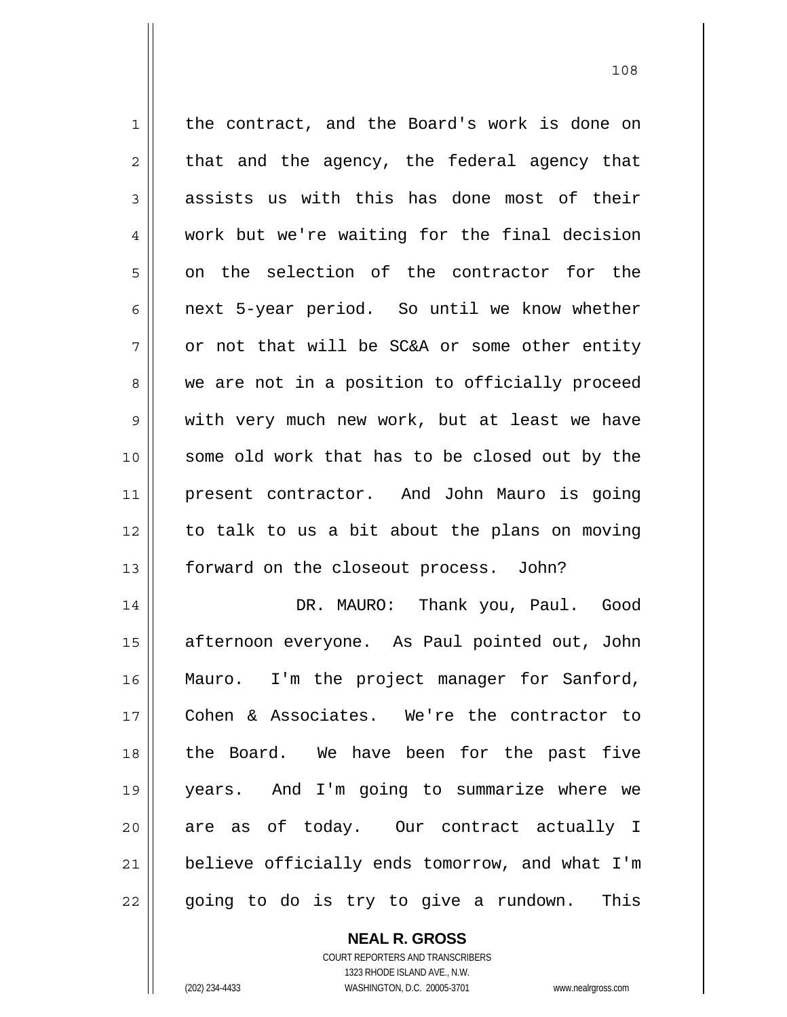1 2 3 4 5 6 7 8 9 10 11 12 13 14 15 the contract, and the Board's work is done on that and the agency, the federal agency that assists us with this has done most of their work but we're waiting for the final decision on the selection of the contractor for the next 5-year period. So until we know whether or not that will be SC&A or some other entity we are not in a position to officially proceed with very much new work, but at least we have some old work that has to be closed out by the present contractor. And John Mauro is going to talk to us a bit about the plans on moving forward on the closeout process. John? DR. MAURO: Thank you, Paul. Good afternoon everyone. As Paul pointed out, John

16 17 18 19 20 21 22 Mauro. I'm the project manager for Sanford, Cohen & Associates. We're the contractor to the Board. We have been for the past five years. And I'm going to summarize where we are as of today. Our contract actually I believe officially ends tomorrow, and what I'm going to do is try to give a rundown. This

> **NEAL R. GROSS** COURT REPORTERS AND TRANSCRIBERS 1323 RHODE ISLAND AVE., N.W.

(202) 234-4433 WASHINGTON, D.C. 20005-3701 www.nealrgross.com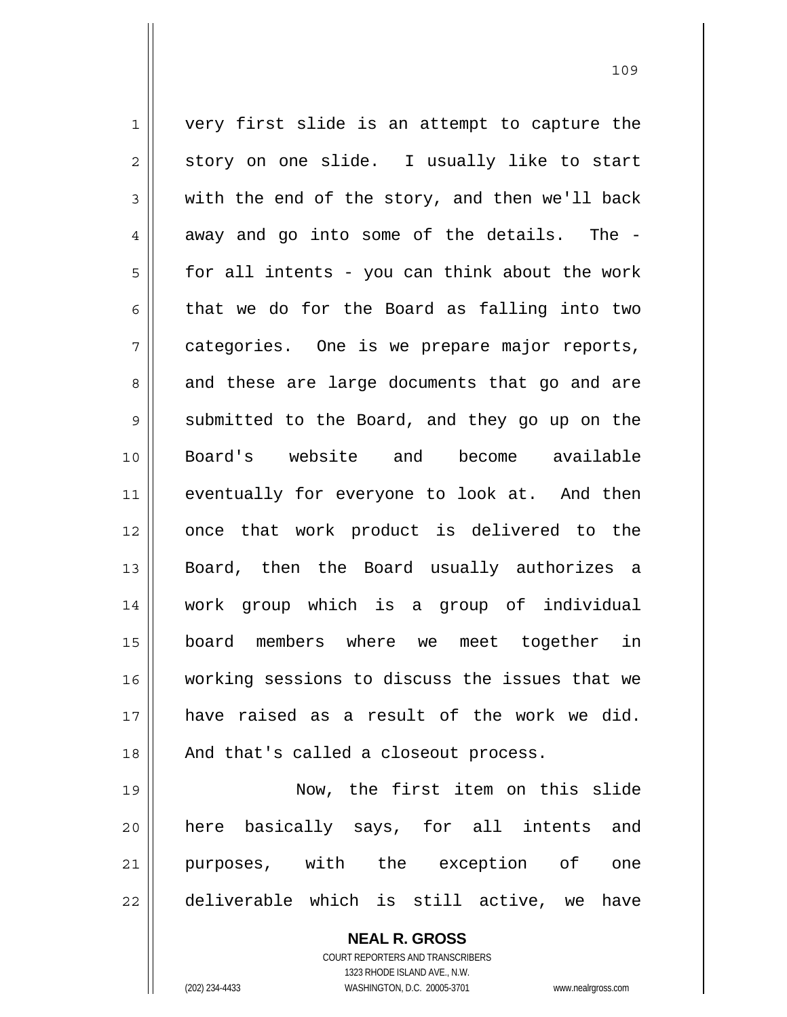1 2 3 4 5 6 7 8 9 10 11 12 13 14 15 16 17 18 19 20 very first slide is an attempt to capture the story on one slide. I usually like to start with the end of the story, and then we'll back away and go into some of the details. The for all intents - you can think about the work that we do for the Board as falling into two categories. One is we prepare major reports, and these are large documents that go and are submitted to the Board, and they go up on the Board's website and become available eventually for everyone to look at. And then once that work product is delivered to the Board, then the Board usually authorizes a work group which is a group of individual board members where we meet together in working sessions to discuss the issues that we have raised as a result of the work we did. And that's called a closeout process. Now, the first item on this slide here basically says, for all intents and

21 22 purposes, with the exception of one deliverable which is still active, we have

> **NEAL R. GROSS** COURT REPORTERS AND TRANSCRIBERS 1323 RHODE ISLAND AVE., N.W. (202) 234-4433 WASHINGTON, D.C. 20005-3701 www.nealrgross.com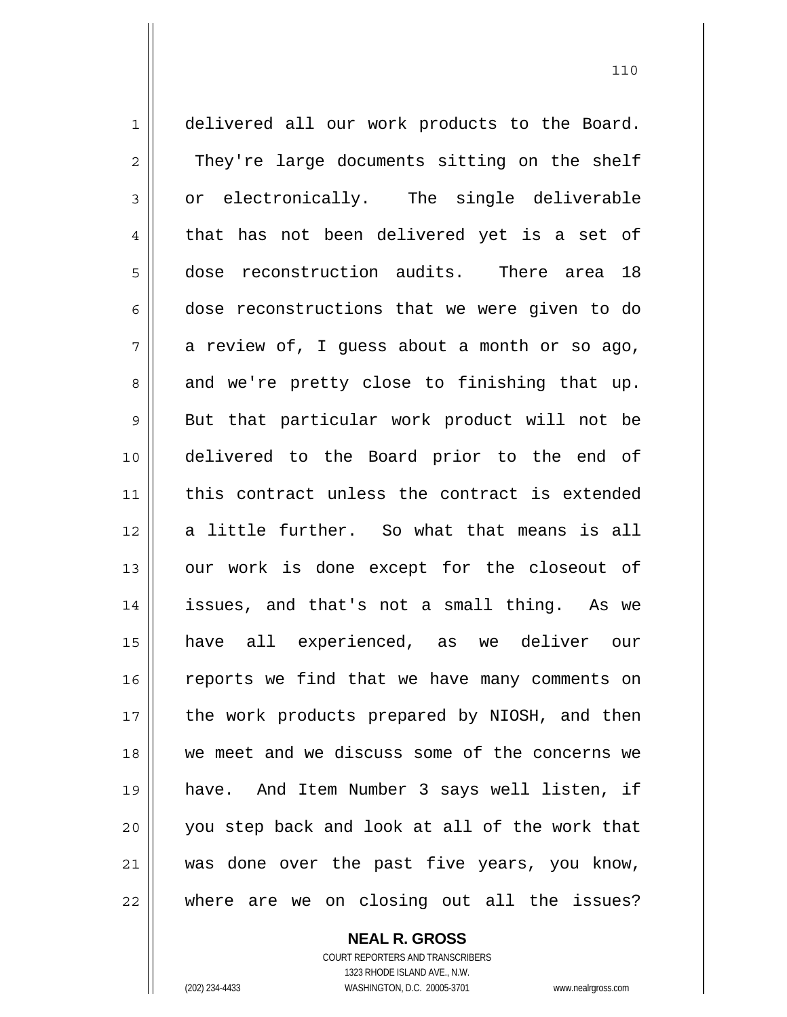1 2 3 4 5 6 7 8 9 10 11 12 13 14 15 16 17 18 19 20 21 22 delivered all our work products to the Board. They're large documents sitting on the shelf or electronically. The single deliverable that has not been delivered yet is a set of dose reconstruction audits. There area 18 dose reconstructions that we were given to do a review of, I guess about a month or so ago, and we're pretty close to finishing that up. But that particular work product will not be delivered to the Board prior to the end of this contract unless the contract is extended a little further. So what that means is all our work is done except for the closeout of issues, and that's not a small thing. As we have all experienced, as we deliver our reports we find that we have many comments on the work products prepared by NIOSH, and then we meet and we discuss some of the concerns we have. And Item Number 3 says well listen, if you step back and look at all of the work that was done over the past five years, you know, where are we on closing out all the issues?

> **NEAL R. GROSS** COURT REPORTERS AND TRANSCRIBERS

> > 1323 RHODE ISLAND AVE., N.W.

(202) 234-4433 WASHINGTON, D.C. 20005-3701 www.nealrgross.com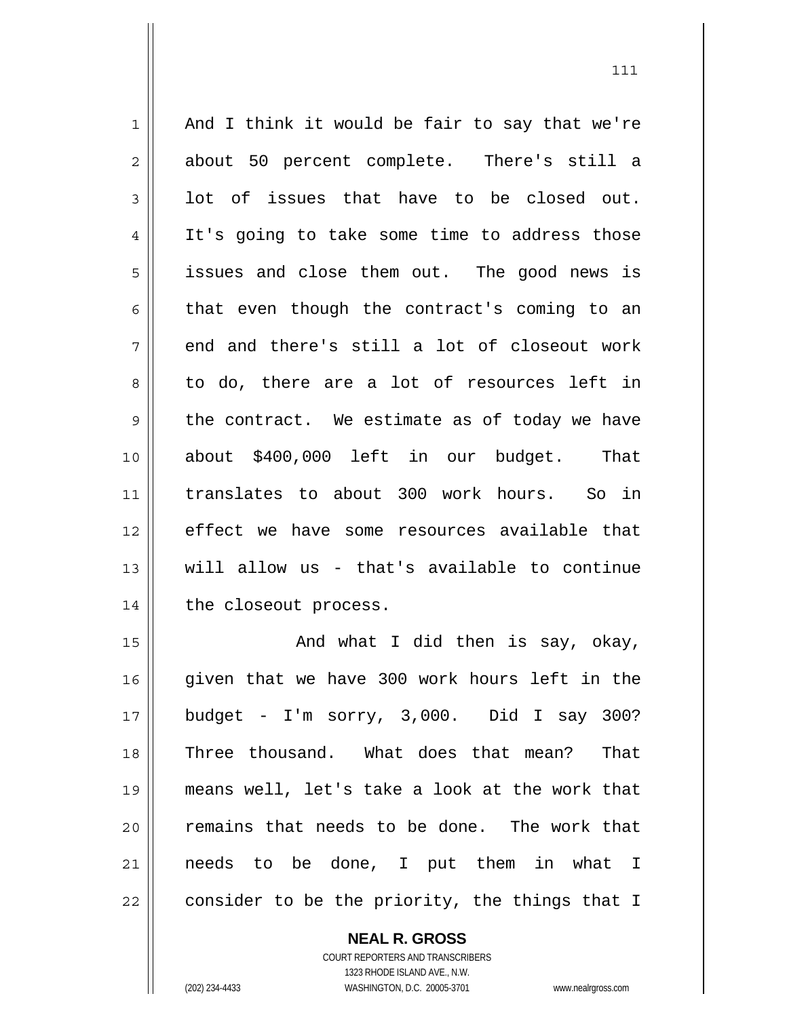1 2 3 4 5 6 7 8 9 10 11 12 13 14 15 And I think it would be fair to say that we're about 50 percent complete. There's still a lot of issues that have to be closed out. It's going to take some time to address those issues and close them out. The good news is that even though the contract's coming to an end and there's still a lot of closeout work to do, there are a lot of resources left in the contract. We estimate as of today we have about \$400,000 left in our budget. That translates to about 300 work hours. So in effect we have some resources available that will allow us - that's available to continue the closeout process. And what I did then is say, okay,

16 17 18 19 20 21 22 given that we have 300 work hours left in the budget - I'm sorry, 3,000. Did I say 300? Three thousand. What does that mean? That means well, let's take a look at the work that remains that needs to be done. The work that needs to be done, I put them in what I consider to be the priority, the things that I

> COURT REPORTERS AND TRANSCRIBERS 1323 RHODE ISLAND AVE., N.W. (202) 234-4433 WASHINGTON, D.C. 20005-3701 www.nealrgross.com

**NEAL R. GROSS**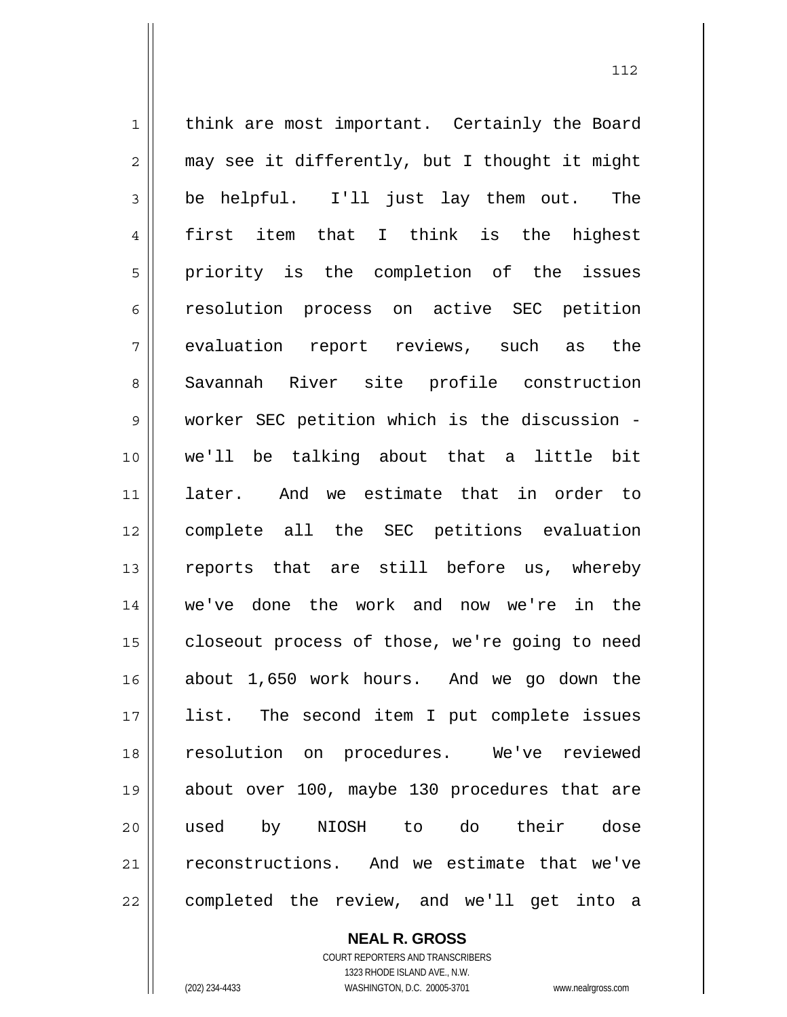1 2 3 4 5 6 7 8 9 10 11 12 13 14 15 16 17 18 19 20 21 22 think are most important. Certainly the Board may see it differently, but I thought it might be helpful. I'll just lay them out. The first item that I think is the highest priority is the completion of the issues resolution process on active SEC petition evaluation report reviews, such as the Savannah River site profile construction worker SEC petition which is the discussion we'll be talking about that a little bit later. And we estimate that in order to complete all the SEC petitions evaluation reports that are still before us, whereby we've done the work and now we're in the closeout process of those, we're going to need about 1,650 work hours. And we go down the list. The second item I put complete issues resolution on procedures. We've reviewed about over 100, maybe 130 procedures that are used by NIOSH to do their dose reconstructions. And we estimate that we've completed the review, and we'll get into a

> **NEAL R. GROSS** COURT REPORTERS AND TRANSCRIBERS

1323 RHODE ISLAND AVE., N.W. (202) 234-4433 WASHINGTON, D.C. 20005-3701 www.nealrgross.com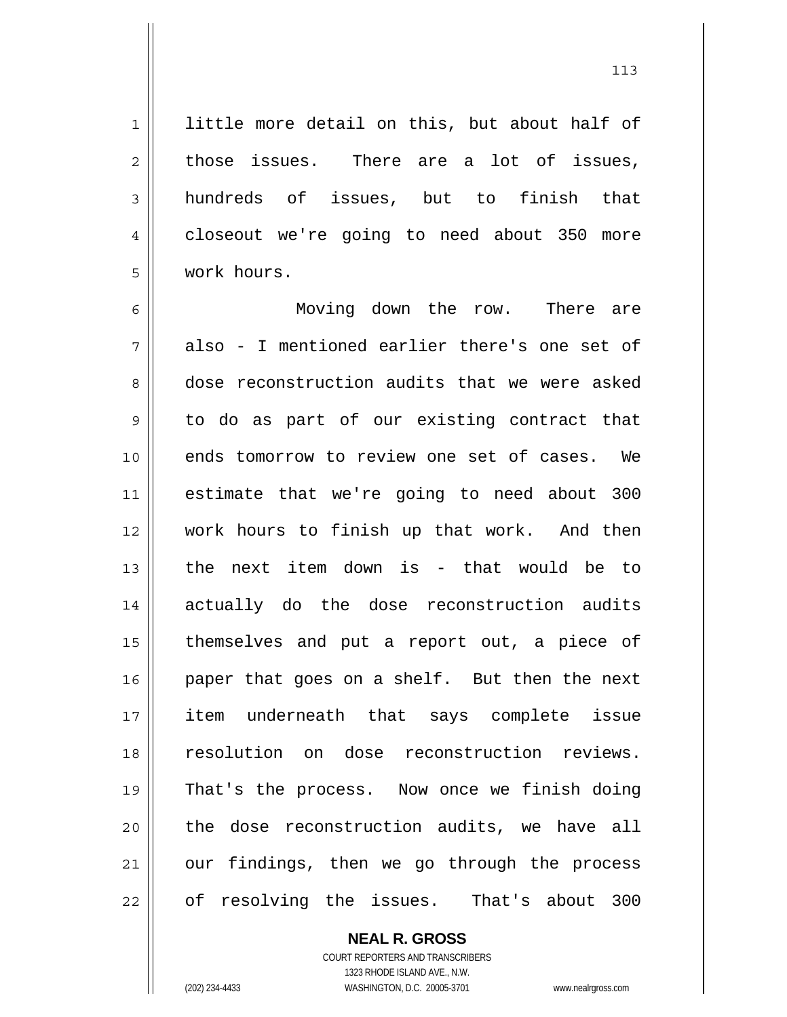little more detail on this, but about half of those issues. There are a lot of issues, hundreds of issues, but to finish that closeout we're going to need about 350 more work hours.

6 7 8 9 10 11 12 13 14 15 16 17 18 19 20 21 22 Moving down the row. There are also - I mentioned earlier there's one set of dose reconstruction audits that we were asked to do as part of our existing contract that ends tomorrow to review one set of cases. We estimate that we're going to need about 300 work hours to finish up that work. And then the next item down is - that would be to actually do the dose reconstruction audits themselves and put a report out, a piece of paper that goes on a shelf. But then the next item underneath that says complete issue resolution on dose reconstruction reviews. That's the process. Now once we finish doing the dose reconstruction audits, we have all our findings, then we go through the process of resolving the issues. That's about 300

> **NEAL R. GROSS** COURT REPORTERS AND TRANSCRIBERS 1323 RHODE ISLAND AVE., N.W. (202) 234-4433 WASHINGTON, D.C. 20005-3701 www.nealrgross.com

1

2

3

4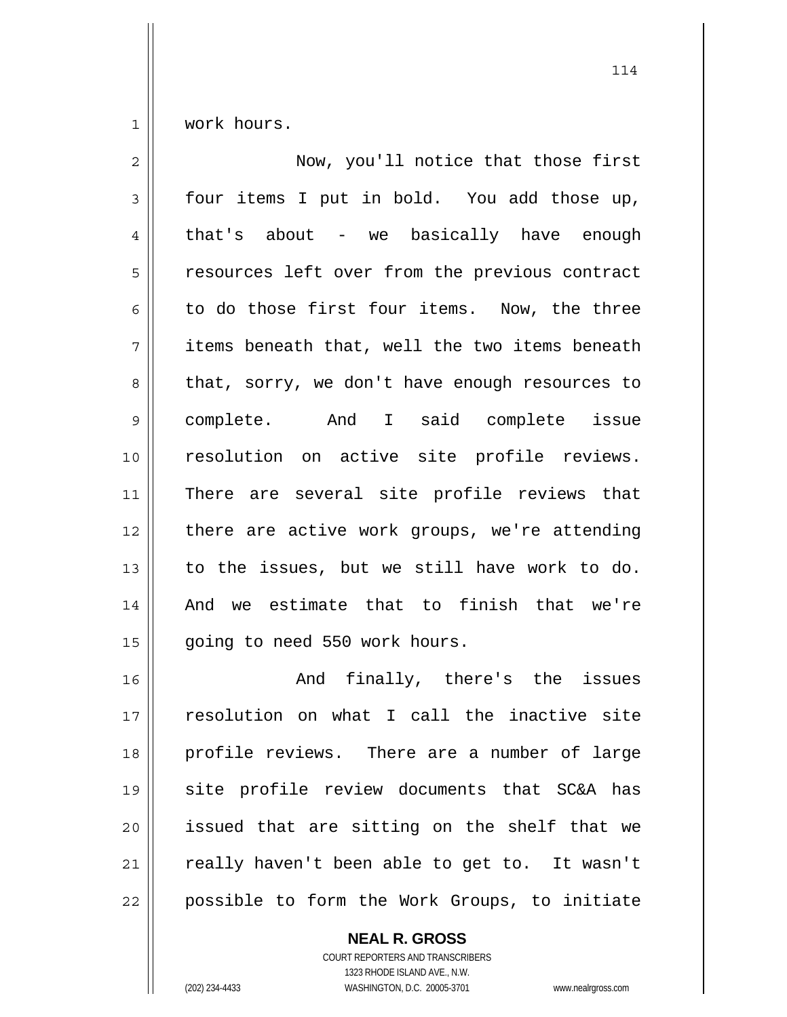1 work hours.

| $\overline{2}$ | Now, you'll notice that those first            |
|----------------|------------------------------------------------|
| 3              | four items I put in bold. You add those up,    |
| 4              | that's about - we basically have enough        |
| 5              | resources left over from the previous contract |
| 6              | to do those first four items. Now, the three   |
| 7              | items beneath that, well the two items beneath |
| 8              | that, sorry, we don't have enough resources to |
| 9              | complete. And I said complete issue            |
| 10             | resolution on active site profile reviews.     |
| 11             | There are several site profile reviews that    |
| 12             | there are active work groups, we're attending  |
| 13             | to the issues, but we still have work to do.   |
| 14             | And we estimate that to finish that we're      |
| 15             | going to need 550 work hours.                  |
| 16             | And finally, there's the issues                |
| 17             | resolution on what I call the inactive site    |
| 18             | profile reviews. There are a number of large   |
| 19             | site profile review documents that SC&A has    |
| 20             | issued that are sitting on the shelf that we   |
| 21             | really haven't been able to get to. It wasn't  |
| 22             | possible to form the Work Groups, to initiate  |

**NEAL R. GROSS**

COURT REPORTERS AND TRANSCRIBERS 1323 RHODE ISLAND AVE., N.W. (202) 234-4433 WASHINGTON, D.C. 20005-3701 www.nealrgross.com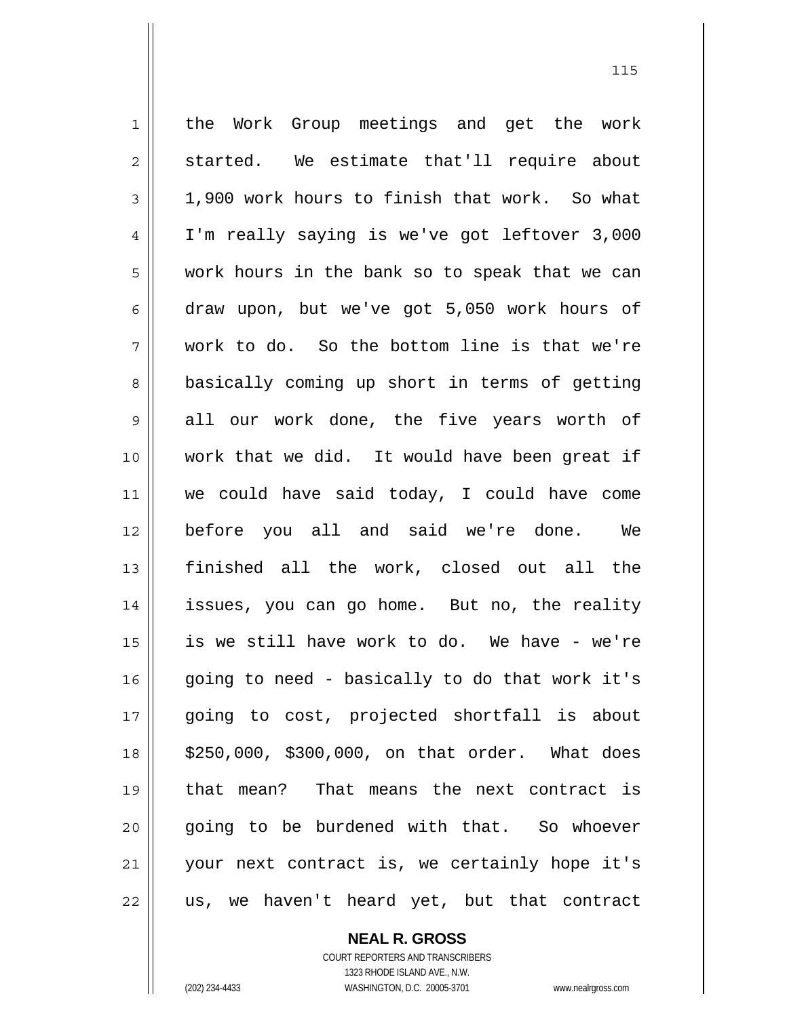1 2 3 4 5 6 7 8 9 10 11 12 13 14 15 16 17 18 19 20 21 22 the Work Group meetings and get the work started. We estimate that'll require about 1,900 work hours to finish that work. So what I'm really saying is we've got leftover 3,000 work hours in the bank so to speak that we can draw upon, but we've got 5,050 work hours of work to do. So the bottom line is that we're basically coming up short in terms of getting all our work done, the five years worth of work that we did. It would have been great if we could have said today, I could have come before you all and said we're done. We finished all the work, closed out all the issues, you can go home. But no, the reality is we still have work to do. We have - we're going to need - basically to do that work it's going to cost, projected shortfall is about \$250,000, \$300,000, on that order. What does that mean? That means the next contract is going to be burdened with that. So whoever your next contract is, we certainly hope it's us, we haven't heard yet, but that contract

**NEAL R. GROSS**

COURT REPORTERS AND TRANSCRIBERS 1323 RHODE ISLAND AVE., N.W. (202) 234-4433 WASHINGTON, D.C. 20005-3701 www.nealrgross.com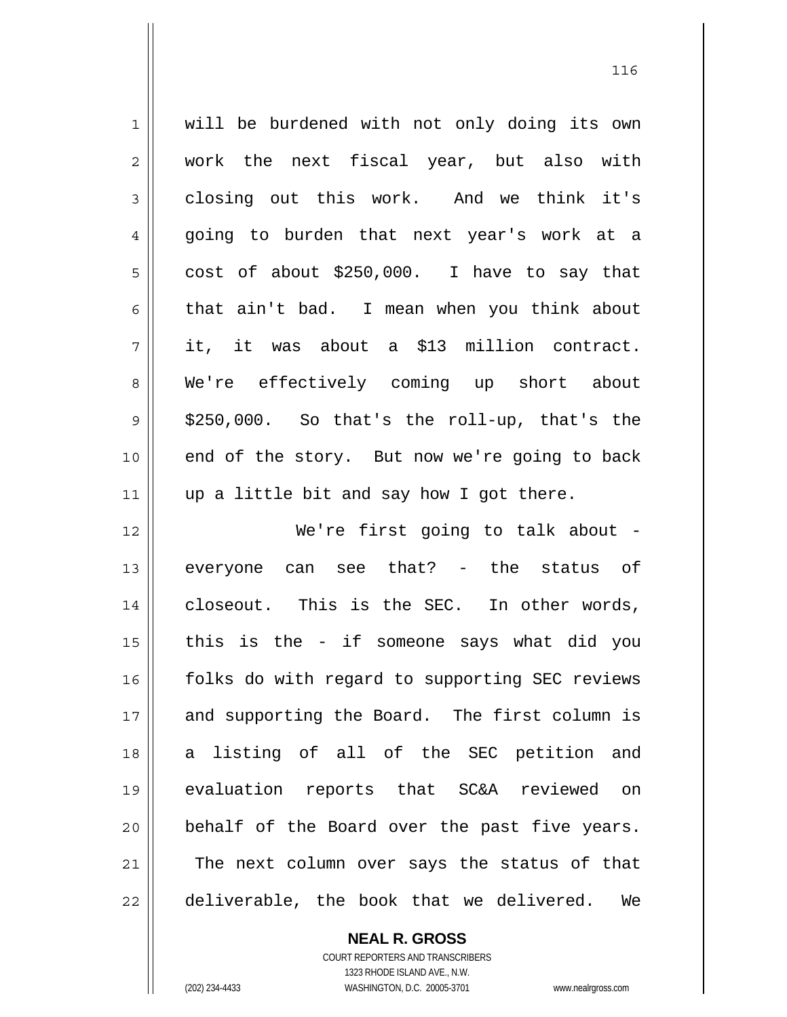1 2 3 4 5 6 7 8 9 10 11 12 13 14 15 16 17 18 19 20 21 22 will be burdened with not only doing its own work the next fiscal year, but also with closing out this work. And we think it's going to burden that next year's work at a cost of about \$250,000. I have to say that that ain't bad. I mean when you think about it, it was about a \$13 million contract. We're effectively coming up short about \$250,000. So that's the roll-up, that's the end of the story. But now we're going to back up a little bit and say how I got there. We're first going to talk about everyone can see that? - the status of closeout. This is the SEC. In other words, this is the - if someone says what did you folks do with regard to supporting SEC reviews and supporting the Board. The first column is a listing of all of the SEC petition and evaluation reports that SC&A reviewed on behalf of the Board over the past five years. The next column over says the status of that deliverable, the book that we delivered. We

> **NEAL R. GROSS** COURT REPORTERS AND TRANSCRIBERS

> > 1323 RHODE ISLAND AVE., N.W.

(202) 234-4433 WASHINGTON, D.C. 20005-3701 www.nealrgross.com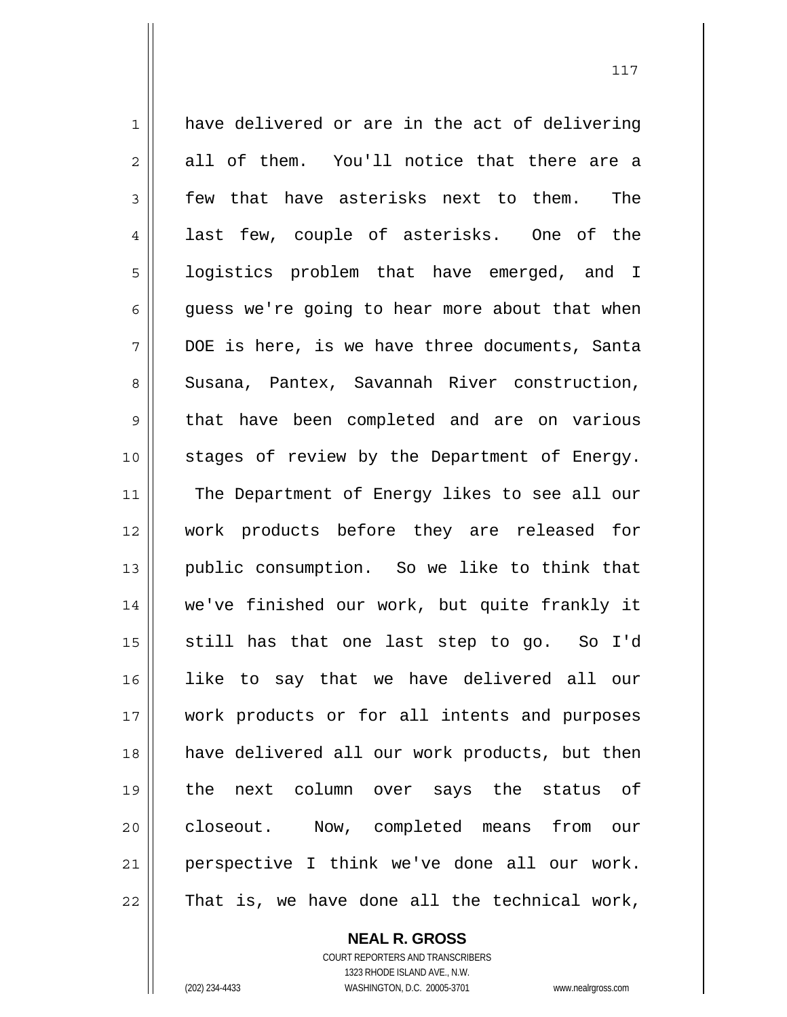1 2 3 4 5 6 7 8 9 10 11 12 13 14 15 16 17 18 19 20 21 22 have delivered or are in the act of delivering all of them. You'll notice that there are a few that have asterisks next to them. The last few, couple of asterisks. One of the logistics problem that have emerged, and I guess we're going to hear more about that when DOE is here, is we have three documents, Santa Susana, Pantex, Savannah River construction, that have been completed and are on various stages of review by the Department of Energy. The Department of Energy likes to see all our work products before they are released for public consumption. So we like to think that we've finished our work, but quite frankly it still has that one last step to go. So I'd like to say that we have delivered all our work products or for all intents and purposes have delivered all our work products, but then the next column over says the status of closeout. Now, completed means from our perspective I think we've done all our work. That is, we have done all the technical work,

> COURT REPORTERS AND TRANSCRIBERS 1323 RHODE ISLAND AVE., N.W. (202) 234-4433 WASHINGTON, D.C. 20005-3701 www.nealrgross.com

**NEAL R. GROSS**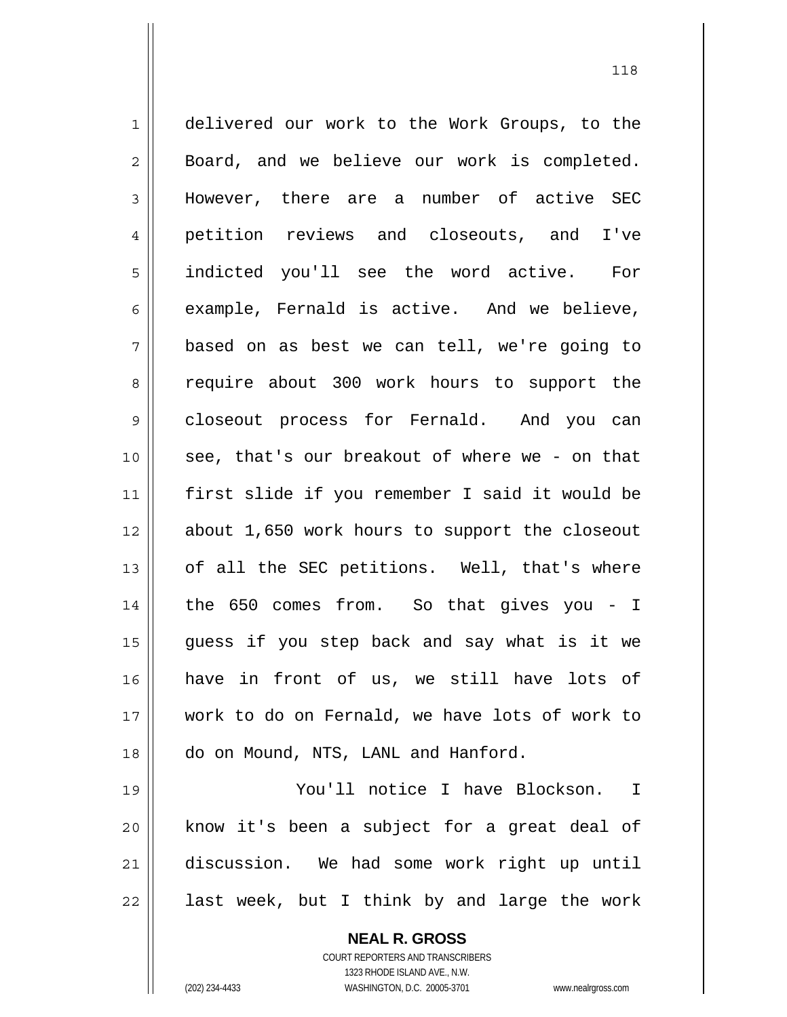1 2 3 4 5 6 7 8 9 10 11 12 13 14 15 16 17 18 19 delivered our work to the Work Groups, to the Board, and we believe our work is completed. However, there are a number of active SEC petition reviews and closeouts, and I've indicted you'll see the word active. For example, Fernald is active. And we believe, based on as best we can tell, we're going to require about 300 work hours to support the closeout process for Fernald. And you can see, that's our breakout of where we - on that first slide if you remember I said it would be about 1,650 work hours to support the closeout of all the SEC petitions. Well, that's where the 650 comes from. So that gives you - I guess if you step back and say what is it we have in front of us, we still have lots of work to do on Fernald, we have lots of work to do on Mound, NTS, LANL and Hanford.

20 21 22 You'll notice I have Blockson. I know it's been a subject for a great deal of discussion. We had some work right up until last week, but I think by and large the work

> **NEAL R. GROSS** COURT REPORTERS AND TRANSCRIBERS 1323 RHODE ISLAND AVE., N.W. (202) 234-4433 WASHINGTON, D.C. 20005-3701 www.nealrgross.com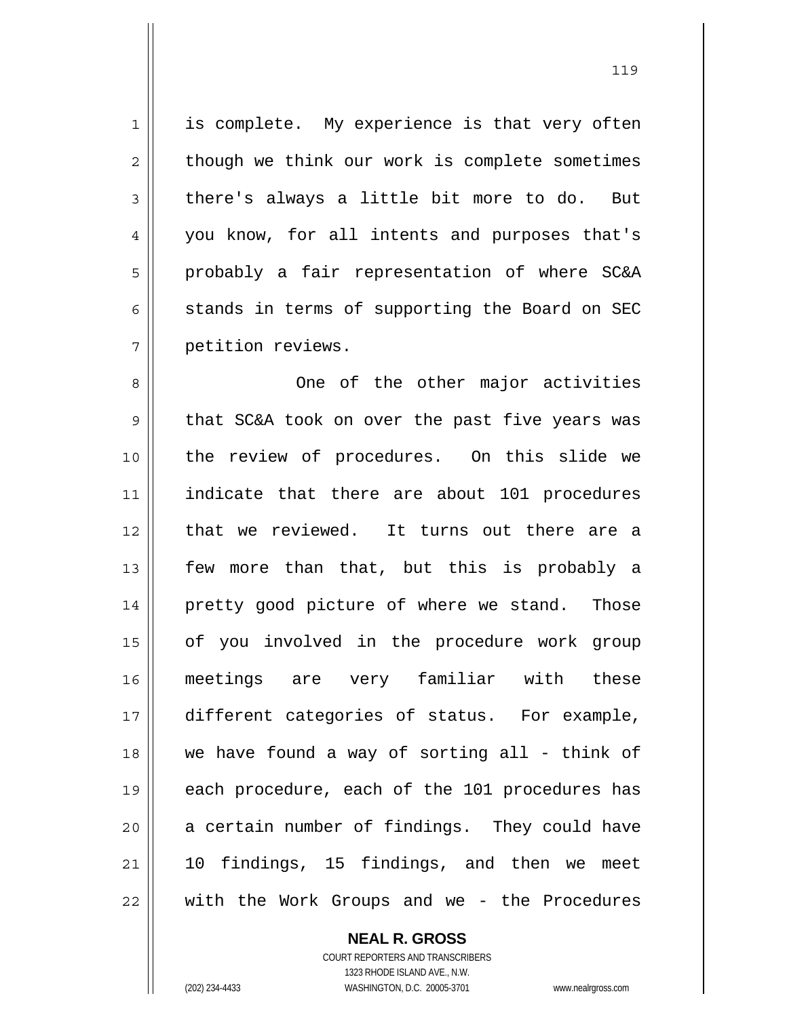1 7 is complete. My experience is that very often though we think our work is complete sometimes there's always a little bit more to do. But you know, for all intents and purposes that's probably a fair representation of where SC&A stands in terms of supporting the Board on SEC petition reviews.

2

3

4

5

6

119

8 9 10 11 12 13 14 15 16 17 18 19 20 21 22 One of the other major activities that SC&A took on over the past five years was the review of procedures. On this slide we indicate that there are about 101 procedures that we reviewed. It turns out there are a few more than that, but this is probably a pretty good picture of where we stand. Those of you involved in the procedure work group meetings are very familiar with these different categories of status. For example, we have found a way of sorting all - think of each procedure, each of the 101 procedures has a certain number of findings. They could have 10 findings, 15 findings, and then we meet with the Work Groups and we - the Procedures

## **NEAL R. GROSS**

COURT REPORTERS AND TRANSCRIBERS 1323 RHODE ISLAND AVE., N.W. (202) 234-4433 WASHINGTON, D.C. 20005-3701 www.nealrgross.com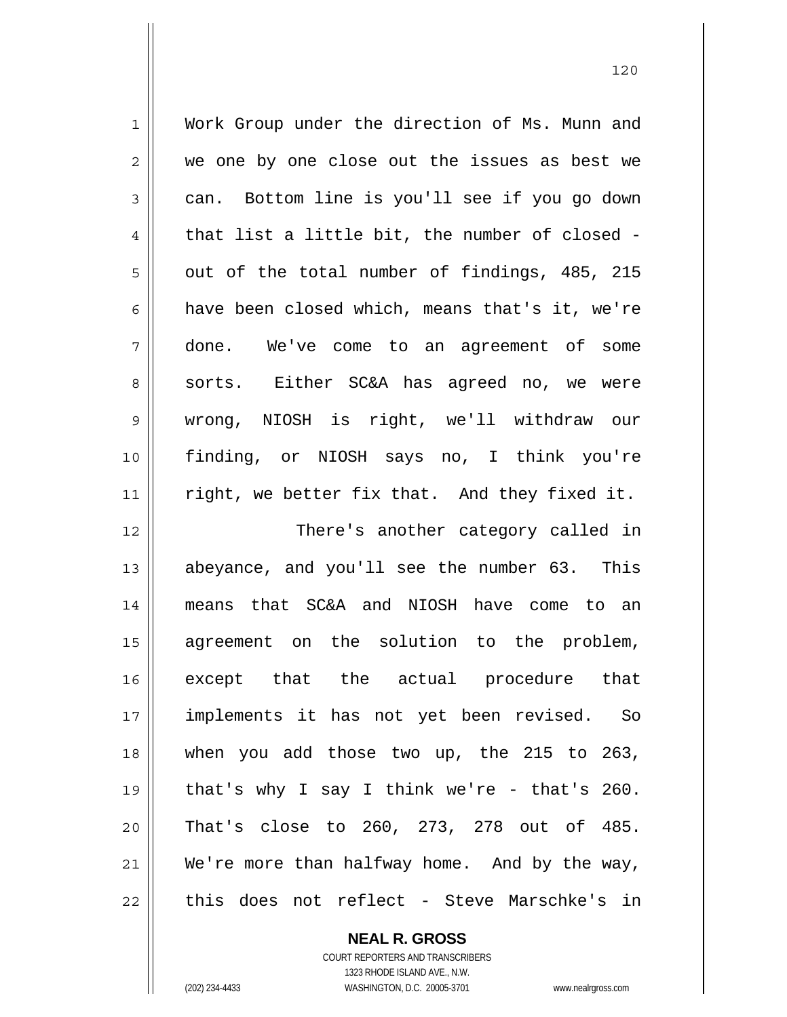| $\mathbf 1$    | Work Group under the direction of Ms. Munn and |
|----------------|------------------------------------------------|
| $\sqrt{2}$     | we one by one close out the issues as best we  |
| $\mathfrak{Z}$ | can. Bottom line is you'll see if you go down  |
| $\overline{4}$ | that list a little bit, the number of closed - |
| 5              | out of the total number of findings, 485, 215  |
| 6              | have been closed which, means that's it, we're |
| 7              | done. We've come to an agreement of some       |
| 8              | sorts. Either SC&A has agreed no, we were      |
| 9              | wrong, NIOSH is right, we'll withdraw our      |
| 10             | finding, or NIOSH says no, I think you're      |
| 11             | right, we better fix that. And they fixed it.  |
|                |                                                |
| 12             | There's another category called in             |
| 13             | abeyance, and you'll see the number 63. This   |
| 14             | means that SC&A and NIOSH have come to an      |
| 15             | agreement on the solution to the problem,      |
| 16             | except that the actual procedure that          |
| 17             | implements it has not yet been revised. So     |
| 18             | when you add those two up, the 215 to 263,     |
| 19             | that's why I say I think we're - that's 260.   |
| 20             | That's close to 260, 273, 278 out of 485.      |
| 21             | We're more than halfway home. And by the way,  |

**NEAL R. GROSS** COURT REPORTERS AND TRANSCRIBERS

1323 RHODE ISLAND AVE., N.W.

(202) 234-4433 WASHINGTON, D.C. 20005-3701 www.nealrgross.com

 $\mathsf{II}$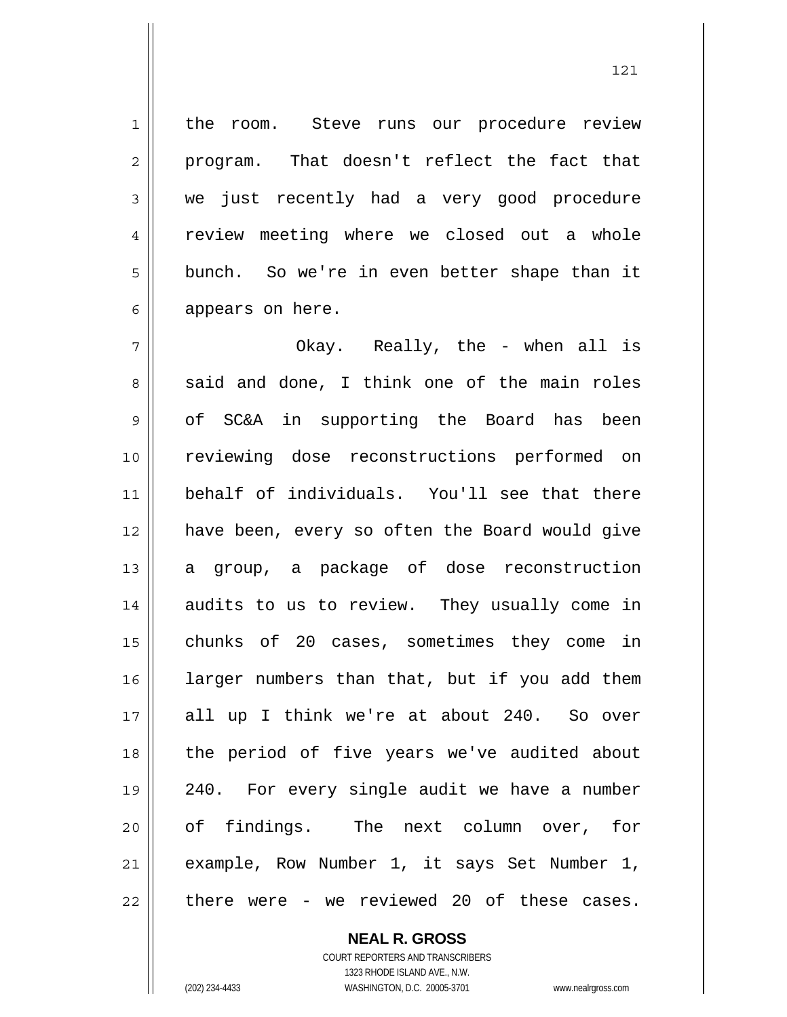the room. Steve runs our procedure review program. That doesn't reflect the fact that we just recently had a very good procedure review meeting where we closed out a whole bunch. So we're in even better shape than it appears on here.

7 8 9 10 11 12 13 14 15 16 17 18 19 20 21 22 Okay. Really, the - when all is said and done, I think one of the main roles of SC&A in supporting the Board has been reviewing dose reconstructions performed on behalf of individuals. You'll see that there have been, every so often the Board would give a group, a package of dose reconstruction audits to us to review. They usually come in chunks of 20 cases, sometimes they come in larger numbers than that, but if you add them all up I think we're at about 240. So over the period of five years we've audited about 240. For every single audit we have a number of findings. The next column over, for example, Row Number 1, it says Set Number 1, there were - we reviewed 20 of these cases.

> **NEAL R. GROSS** COURT REPORTERS AND TRANSCRIBERS

> > 1323 RHODE ISLAND AVE., N.W.

1

2

3

4

5

6

(202) 234-4433 WASHINGTON, D.C. 20005-3701 www.nealrgross.com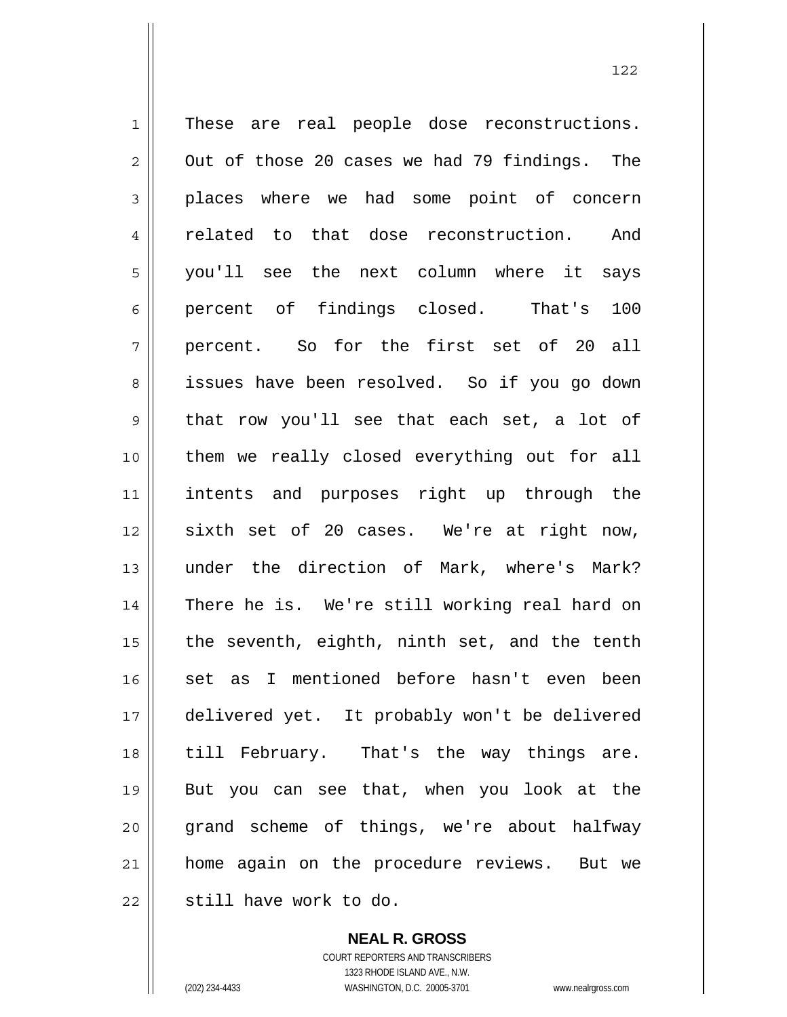1 2 3 4 5 6 7 8 9 10 11 12 13 14 15 16 17 18 19 20 21 22 These are real people dose reconstructions. Out of those 20 cases we had 79 findings. The places where we had some point of concern related to that dose reconstruction. And you'll see the next column where it says percent of findings closed. That's 100 percent. So for the first set of 20 all issues have been resolved. So if you go down that row you'll see that each set, a lot of them we really closed everything out for all intents and purposes right up through the sixth set of 20 cases. We're at right now, under the direction of Mark, where's Mark? There he is. We're still working real hard on the seventh, eighth, ninth set, and the tenth set as I mentioned before hasn't even been delivered yet. It probably won't be delivered till February. That's the way things are. But you can see that, when you look at the grand scheme of things, we're about halfway home again on the procedure reviews. But we still have work to do.

> **NEAL R. GROSS** COURT REPORTERS AND TRANSCRIBERS

> > 1323 RHODE ISLAND AVE., N.W.

(202) 234-4433 WASHINGTON, D.C. 20005-3701 www.nealrgross.com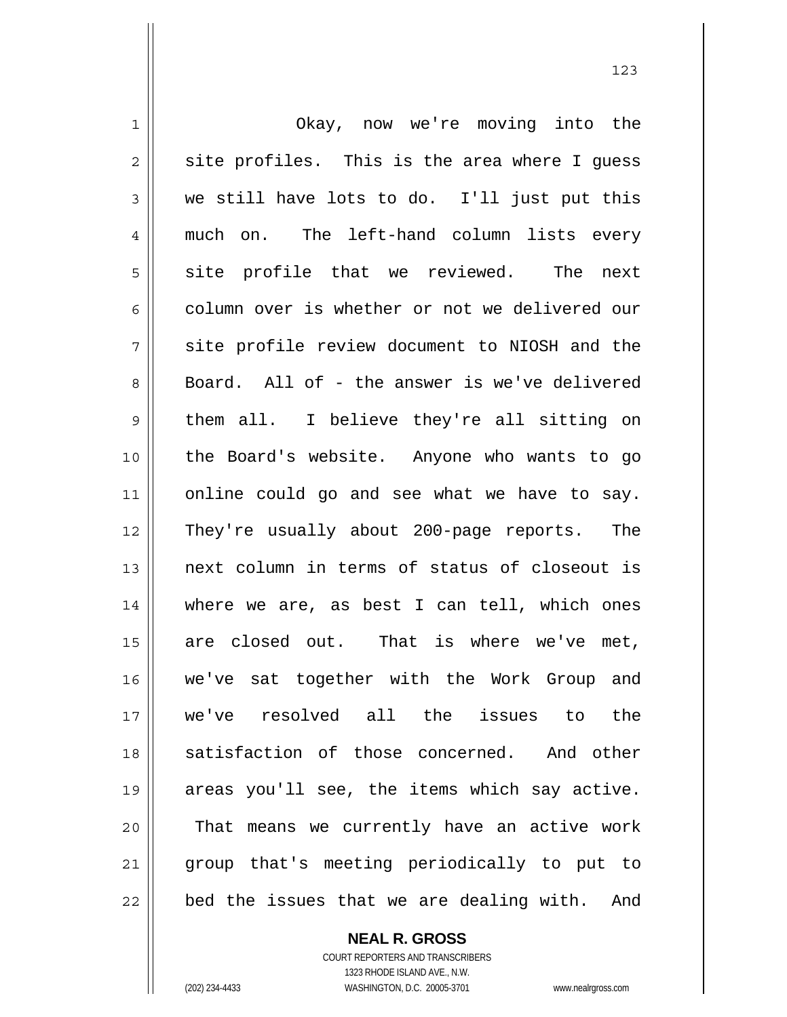1 2 3 4 5 6 7 8 9 10 11 12 13 14 15 16 17 18 19 20 21 22 Okay, now we're moving into the site profiles. This is the area where I guess we still have lots to do. I'll just put this much on. The left-hand column lists every site profile that we reviewed. The next column over is whether or not we delivered our site profile review document to NIOSH and the Board. All of - the answer is we've delivered them all. I believe they're all sitting on the Board's website. Anyone who wants to go online could go and see what we have to say. They're usually about 200-page reports. The next column in terms of status of closeout is where we are, as best I can tell, which ones are closed out. That is where we've met, we've sat together with the Work Group and we've resolved all the issues to the satisfaction of those concerned. And other areas you'll see, the items which say active. That means we currently have an active work group that's meeting periodically to put to bed the issues that we are dealing with. And

123

**NEAL R. GROSS** COURT REPORTERS AND TRANSCRIBERS

1323 RHODE ISLAND AVE., N.W. (202) 234-4433 WASHINGTON, D.C. 20005-3701 www.nealrgross.com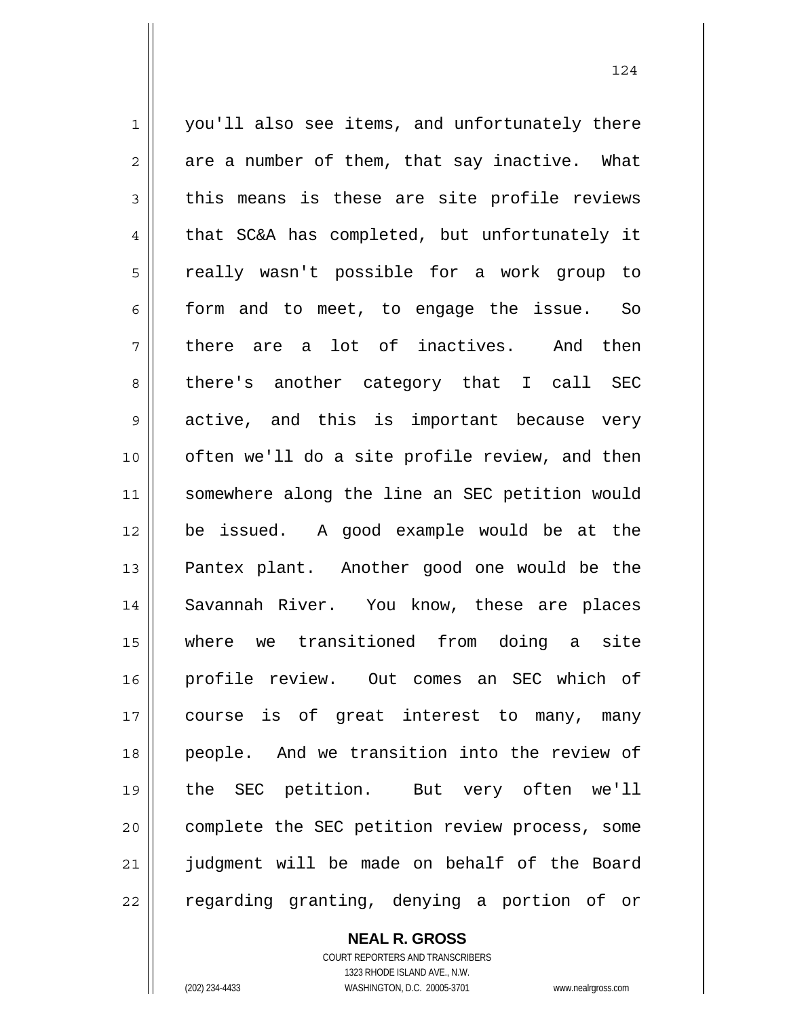1 2 3 4 5 6 7 8 9 10 11 12 13 14 15 16 17 18 19 20 21 22 you'll also see items, and unfortunately there are a number of them, that say inactive. What this means is these are site profile reviews that SC&A has completed, but unfortunately it really wasn't possible for a work group to form and to meet, to engage the issue. So there are a lot of inactives. And then there's another category that I call SEC active, and this is important because very often we'll do a site profile review, and then somewhere along the line an SEC petition would be issued. A good example would be at the Pantex plant. Another good one would be the Savannah River. You know, these are places where we transitioned from doing a site profile review. Out comes an SEC which of course is of great interest to many, many people. And we transition into the review of the SEC petition. But very often we'll complete the SEC petition review process, some judgment will be made on behalf of the Board regarding granting, denying a portion of or

**NEAL R. GROSS**

COURT REPORTERS AND TRANSCRIBERS 1323 RHODE ISLAND AVE., N.W. (202) 234-4433 WASHINGTON, D.C. 20005-3701 www.nealrgross.com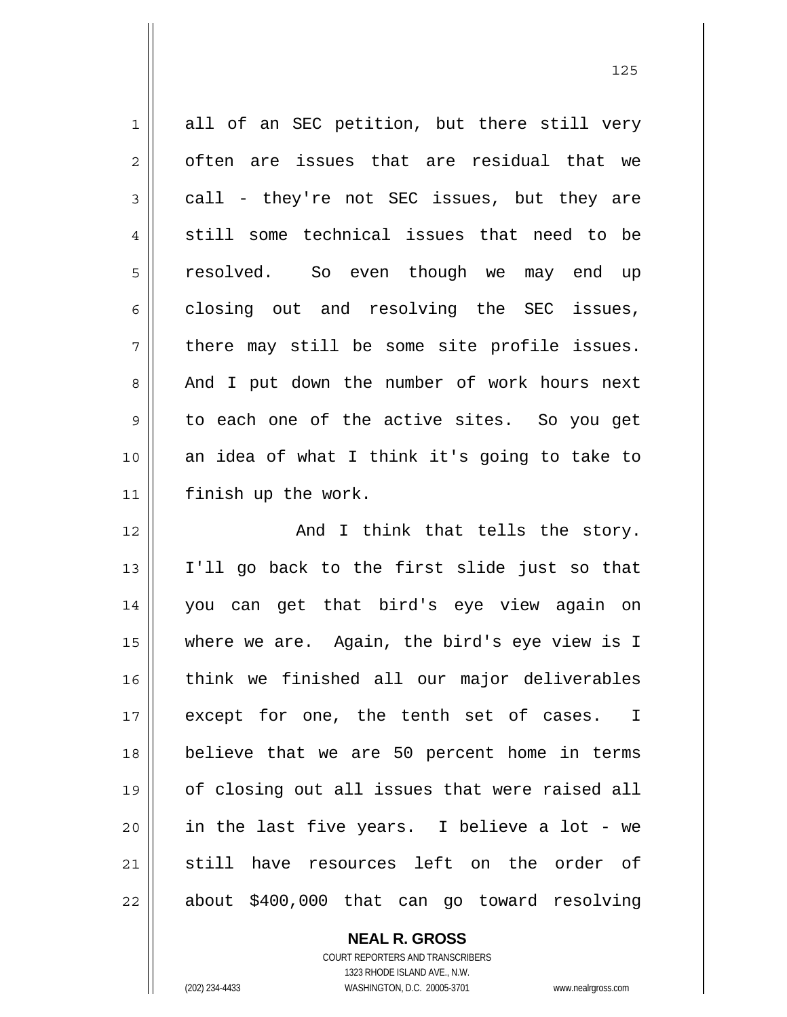| $\mathbf 1$    | all of an SEC petition, but there still very   |
|----------------|------------------------------------------------|
| $\overline{2}$ | often are issues that are residual that we     |
| $\mathfrak{Z}$ | call - they're not SEC issues, but they are    |
| 4              | still some technical issues that need to be    |
| 5              | resolved. So even though we may end up         |
| 6              | closing out and resolving the SEC issues,      |
| 7              | there may still be some site profile issues.   |
| 8              | And I put down the number of work hours next   |
| 9              | to each one of the active sites. So you get    |
| 10             | an idea of what I think it's going to take to  |
| 11             | finish up the work.                            |
| 12             | And I think that tells the story.              |
| 13             | I'll go back to the first slide just so that   |
| 14             | you can get that bird's eye view again on      |
| 15             | where we are. Again, the bird's eye view is I  |
| 16             | think we finished all our major deliverables   |
| 17             | except for one, the tenth set of cases. I      |
| 18             | believe that we are 50 percent home in terms   |
| 19             | of closing out all issues that were raised all |
| 20             | in the last five years. I believe a lot - we   |
| 21             | still have resources left on the order of      |
| 22             | about \$400,000 that can go toward resolving   |

<u>125</u>

**NEAL R. GROSS**

COURT REPORTERS AND TRANSCRIBERS 1323 RHODE ISLAND AVE., N.W. (202) 234-4433 WASHINGTON, D.C. 20005-3701 www.nealrgross.com

 $\mathsf{II}$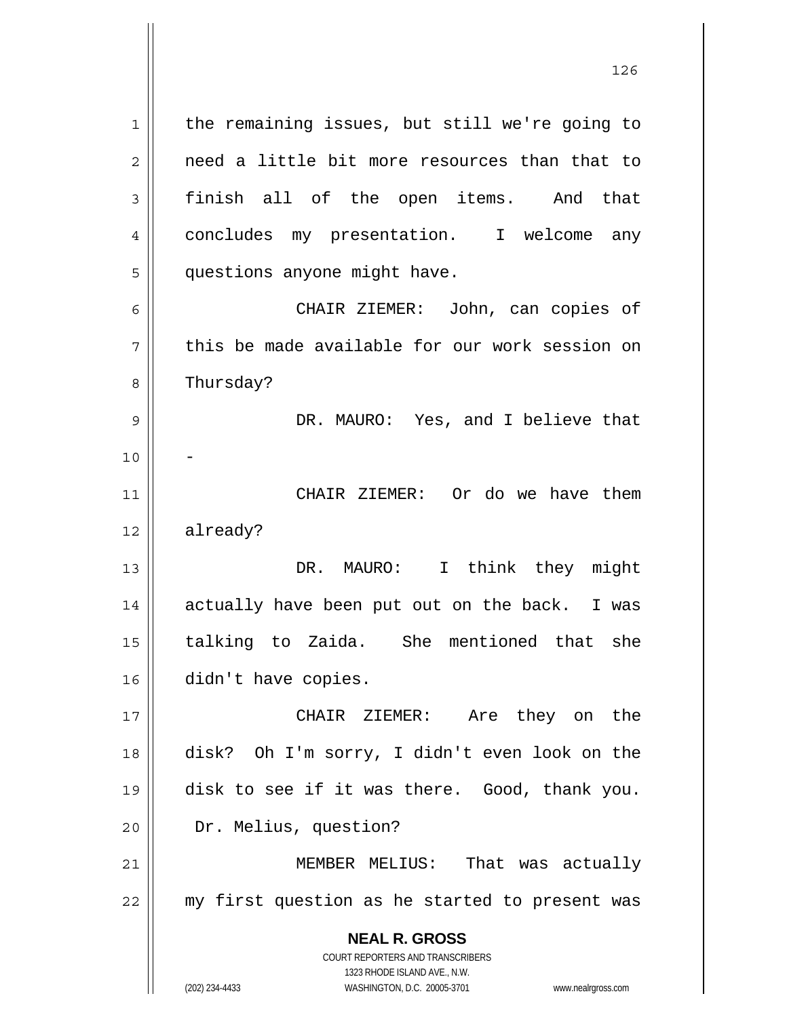**NEAL R. GROSS** COURT REPORTERS AND TRANSCRIBERS 1 2 3 4 5 6 7 8 9 10 11 12 13 14 15 16 17 18 19 20 21 22 the remaining issues, but still we're going to need a little bit more resources than that to finish all of the open items. And that concludes my presentation. I welcome any questions anyone might have. CHAIR ZIEMER: John, can copies of this be made available for our work session on Thursday? DR. MAURO: Yes, and I believe that - CHAIR ZIEMER: Or do we have them already? DR. MAURO: I think they might actually have been put out on the back. I was talking to Zaida. She mentioned that she didn't have copies. CHAIR ZIEMER: Are they on the disk? Oh I'm sorry, I didn't even look on the disk to see if it was there. Good, thank you. Dr. Melius, question? MEMBER MELIUS: That was actually my first question as he started to present was

126

1323 RHODE ISLAND AVE., N.W.

(202) 234-4433 WASHINGTON, D.C. 20005-3701 www.nealrgross.com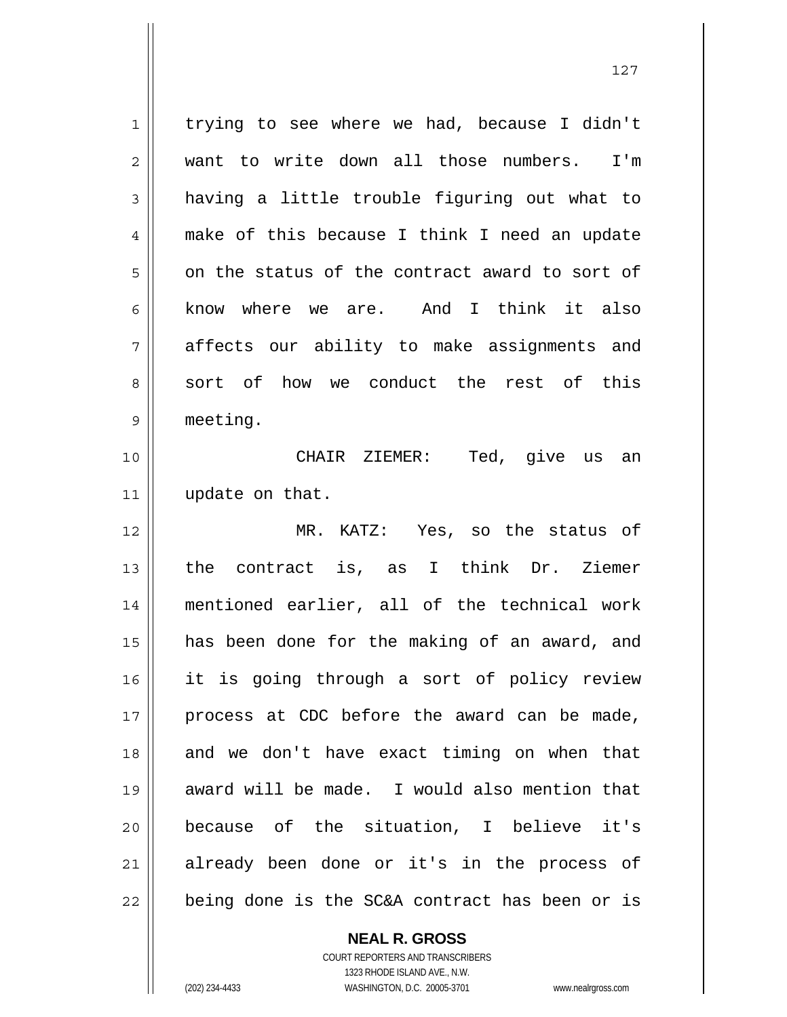1 2 3 4 5 6 7 8 9 trying to see where we had, because I didn't want to write down all those numbers. I'm having a little trouble figuring out what to make of this because I think I need an update on the status of the contract award to sort of know where we are. And I think it also affects our ability to make assignments and sort of how we conduct the rest of this meeting.

10 11 CHAIR ZIEMER: Ted, give us an update on that.

12 13 14 15 16 17 18 19 20 21 22 MR. KATZ: Yes, so the status of the contract is, as I think Dr. Ziemer mentioned earlier, all of the technical work has been done for the making of an award, and it is going through a sort of policy review process at CDC before the award can be made, and we don't have exact timing on when that award will be made. I would also mention that because of the situation, I believe it's already been done or it's in the process of being done is the SC&A contract has been or is

> COURT REPORTERS AND TRANSCRIBERS 1323 RHODE ISLAND AVE., N.W. (202) 234-4433 WASHINGTON, D.C. 20005-3701 www.nealrgross.com

**NEAL R. GROSS**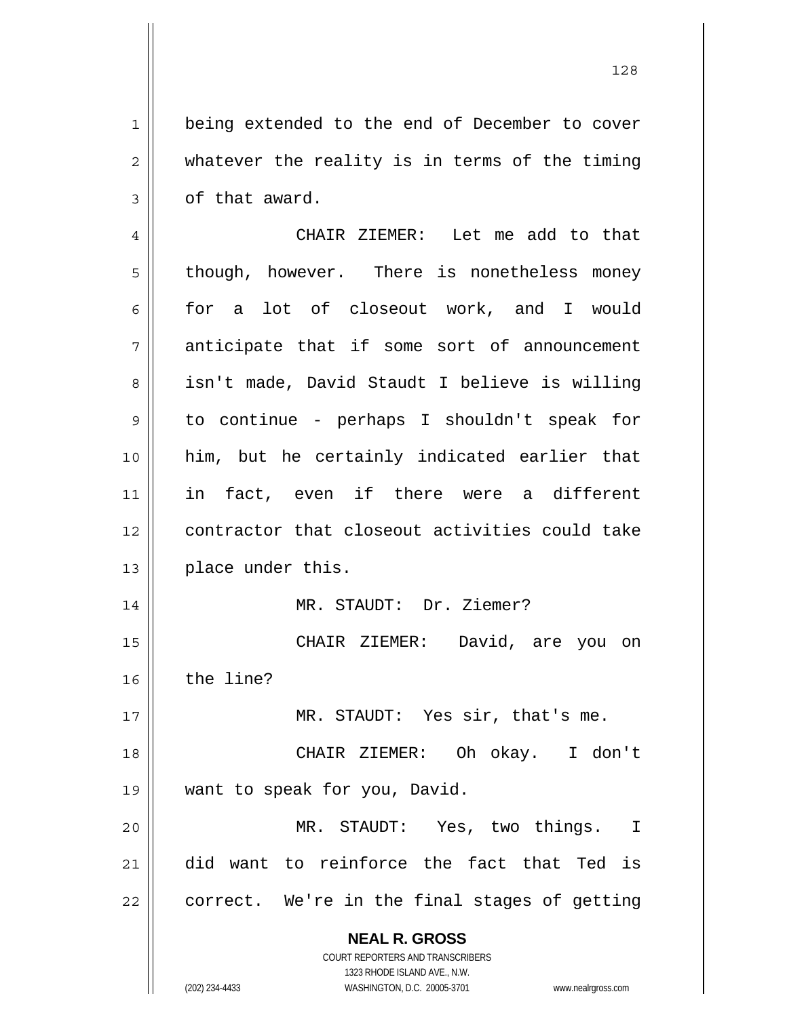being extended to the end of December to cover whatever the reality is in terms of the timing of that award.

4 5 6 7 8 9 10 11 12 13 14 15 16 17 CHAIR ZIEMER: Let me add to that though, however. There is nonetheless money for a lot of closeout work, and I would anticipate that if some sort of announcement isn't made, David Staudt I believe is willing to continue - perhaps I shouldn't speak for him, but he certainly indicated earlier that in fact, even if there were a different contractor that closeout activities could take place under this. MR. STAUDT: Dr. Ziemer? CHAIR ZIEMER: David, are you on the line? MR. STAUDT: Yes sir, that's me.

18 19 CHAIR ZIEMER: Oh okay. I don't want to speak for you, David.

20 21 22 MR. STAUDT: Yes, two things. I did want to reinforce the fact that Ted is correct. We're in the final stages of getting

> **NEAL R. GROSS** COURT REPORTERS AND TRANSCRIBERS

1

2

3

1323 RHODE ISLAND AVE., N.W. (202) 234-4433 WASHINGTON, D.C. 20005-3701 www.nealrgross.com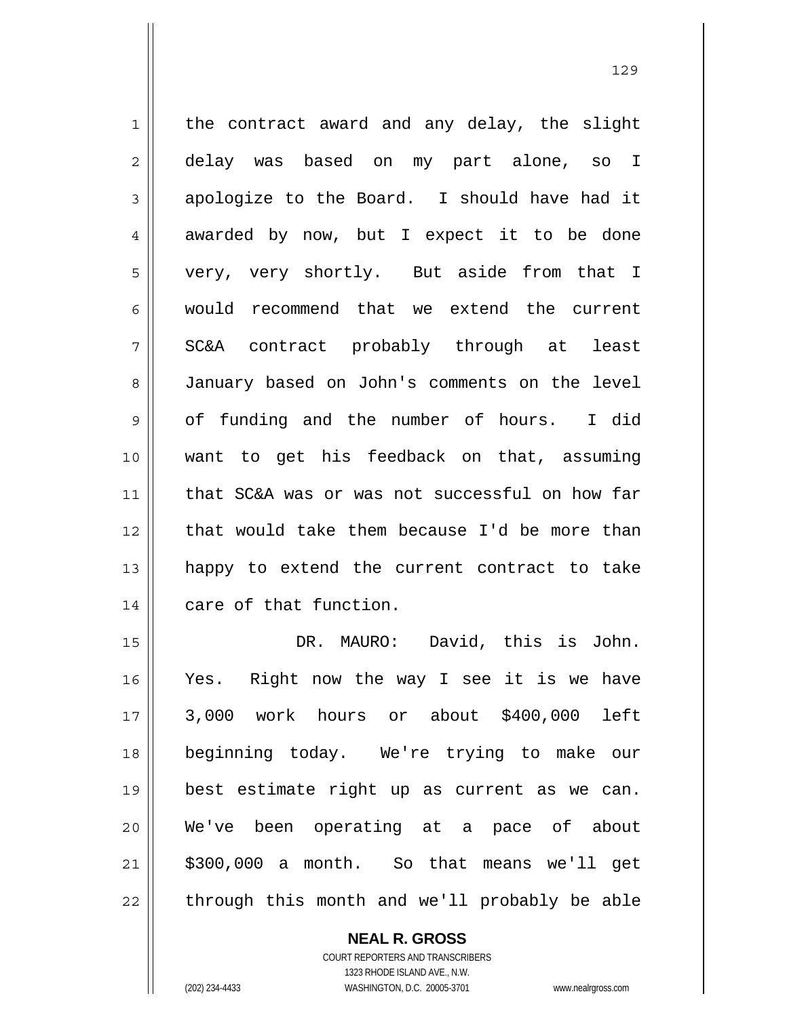1 2 3 4 5 6 7 8 9 10 11 12 13 14 the contract award and any delay, the slight delay was based on my part alone, so I apologize to the Board. I should have had it awarded by now, but I expect it to be done very, very shortly. But aside from that I would recommend that we extend the current SC&A contract probably through at least January based on John's comments on the level of funding and the number of hours. I did want to get his feedback on that, assuming that SC&A was or was not successful on how far that would take them because I'd be more than happy to extend the current contract to take care of that function.

15 16 17 18 19 20 21 22 DR. MAURO: David, this is John. Yes. Right now the way I see it is we have 3,000 work hours or about \$400,000 left beginning today. We're trying to make our best estimate right up as current as we can. We've been operating at a pace of about \$300,000 a month. So that means we'll get through this month and we'll probably be able

> **NEAL R. GROSS** COURT REPORTERS AND TRANSCRIBERS 1323 RHODE ISLAND AVE., N.W. (202) 234-4433 WASHINGTON, D.C. 20005-3701 www.nealrgross.com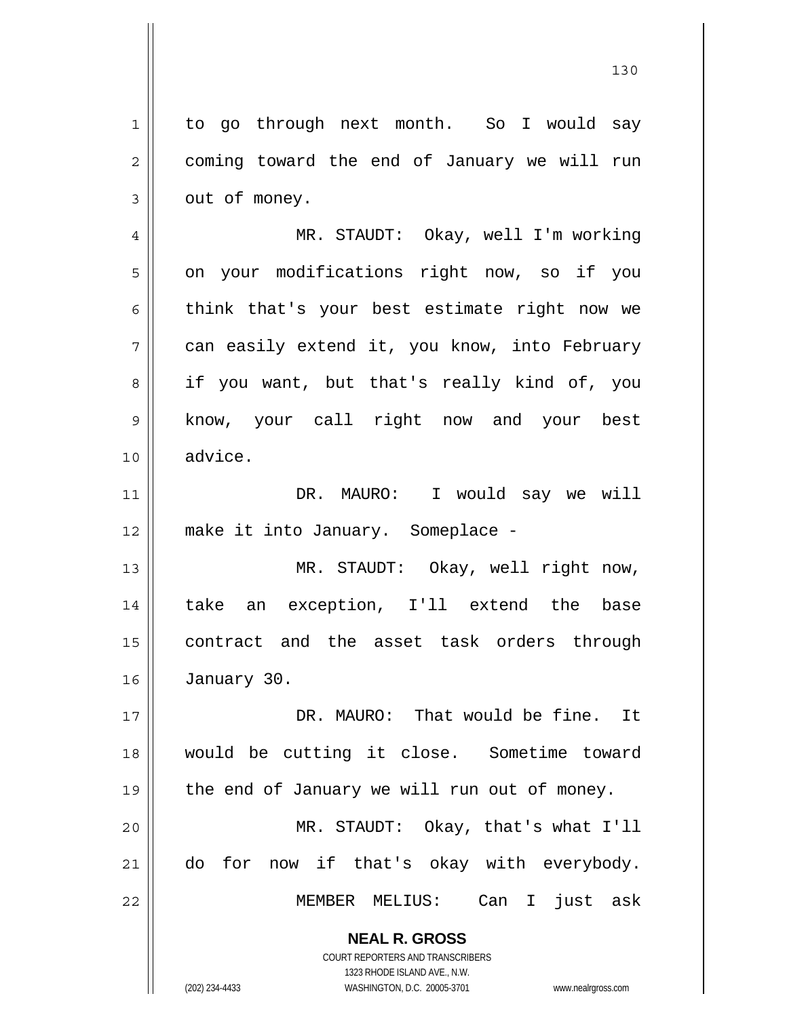**NEAL R. GROSS** 1 2 3 4 5 6 7 8 9 10 11 12 13 14 15 16 17 18 19 20 21 22 to go through next month. So I would say coming toward the end of January we will run out of money. MR. STAUDT: Okay, well I'm working on your modifications right now, so if you think that's your best estimate right now we can easily extend it, you know, into February if you want, but that's really kind of, you know, your call right now and your best advice. DR. MAURO: I would say we will make it into January. Someplace - MR. STAUDT: Okay, well right now, take an exception, I'll extend the base contract and the asset task orders through January 30. DR. MAURO: That would be fine. It would be cutting it close. Sometime toward the end of January we will run out of money. MR. STAUDT: Okay, that's what I'll do for now if that's okay with everybody. MEMBER MELIUS: Can I just ask

130

COURT REPORTERS AND TRANSCRIBERS 1323 RHODE ISLAND AVE., N.W.

(202) 234-4433 WASHINGTON, D.C. 20005-3701 www.nealrgross.com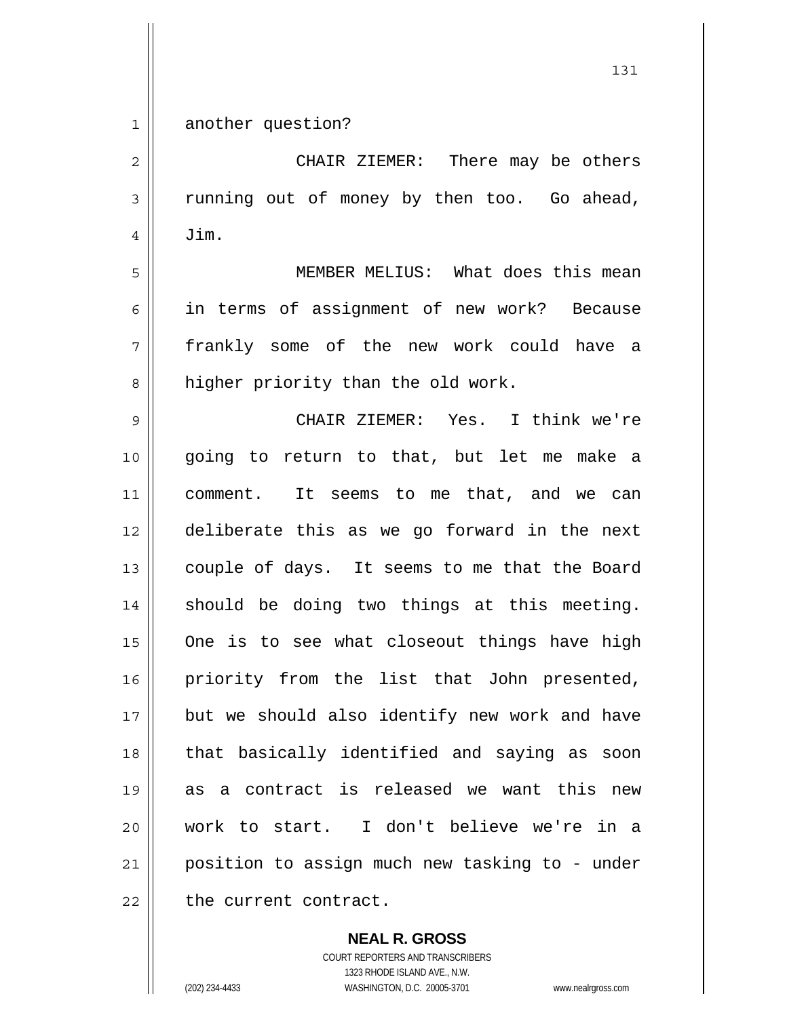1 another question?

2 3 4 5 6 7 8 9 10 11 12 13 14 15 16 17 18 19 20 21 22 CHAIR ZIEMER: There may be others running out of money by then too. Go ahead, Jim. MEMBER MELIUS: What does this mean in terms of assignment of new work? Because frankly some of the new work could have a higher priority than the old work. CHAIR ZIEMER: Yes. I think we're going to return to that, but let me make a comment. It seems to me that, and we can deliberate this as we go forward in the next couple of days. It seems to me that the Board should be doing two things at this meeting. One is to see what closeout things have high priority from the list that John presented, but we should also identify new work and have that basically identified and saying as soon as a contract is released we want this new work to start. I don't believe we're in a position to assign much new tasking to - under the current contract.

**NEAL R. GROSS**

COURT REPORTERS AND TRANSCRIBERS 1323 RHODE ISLAND AVE., N.W. (202) 234-4433 WASHINGTON, D.C. 20005-3701 www.nealrgross.com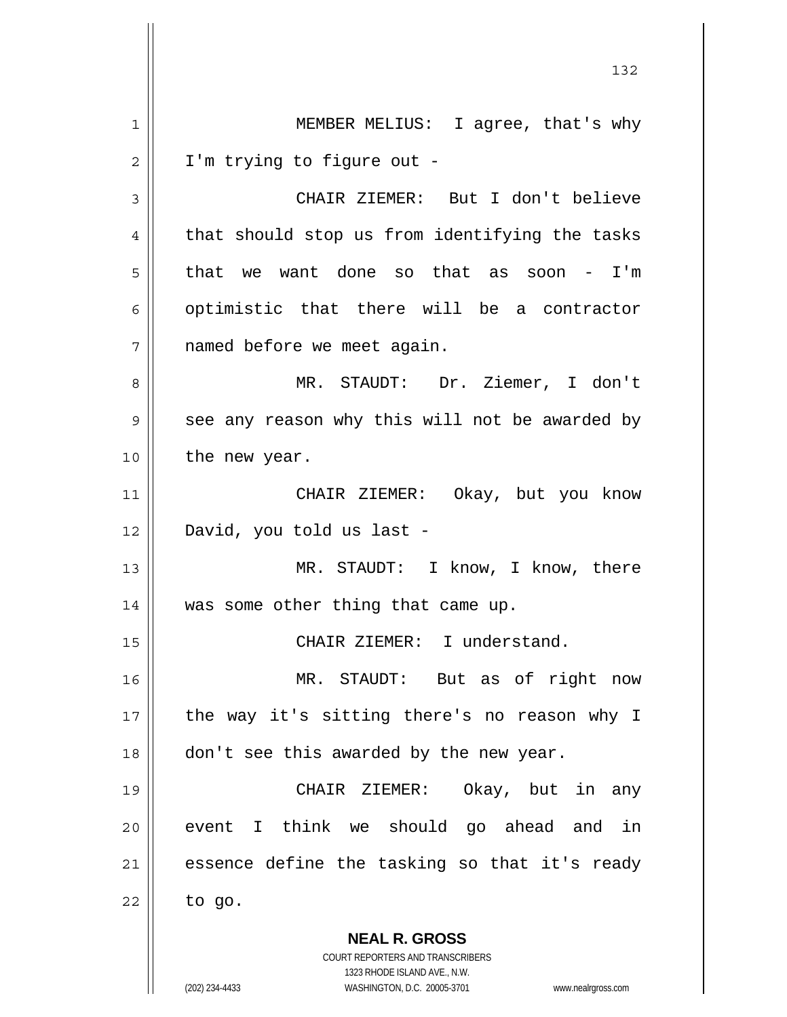**NEAL R. GROSS** COURT REPORTERS AND TRANSCRIBERS 1323 RHODE ISLAND AVE., N.W. 1 2 3 4 5 6 7 8 9 10 11 12 13 14 15 16 17 18 19 20 21 22 MEMBER MELIUS: I agree, that's why I'm trying to figure out - CHAIR ZIEMER: But I don't believe that should stop us from identifying the tasks that we want done so that as soon - I'm optimistic that there will be a contractor named before we meet again. MR. STAUDT: Dr. Ziemer, I don't see any reason why this will not be awarded by the new year. CHAIR ZIEMER: Okay, but you know David, you told us last - MR. STAUDT: I know, I know, there was some other thing that came up. CHAIR ZIEMER: I understand. MR. STAUDT: But as of right now the way it's sitting there's no reason why I don't see this awarded by the new year. CHAIR ZIEMER: Okay, but in any event I think we should go ahead and in essence define the tasking so that it's ready to go.

132

(202) 234-4433 WASHINGTON, D.C. 20005-3701 www.nealrgross.com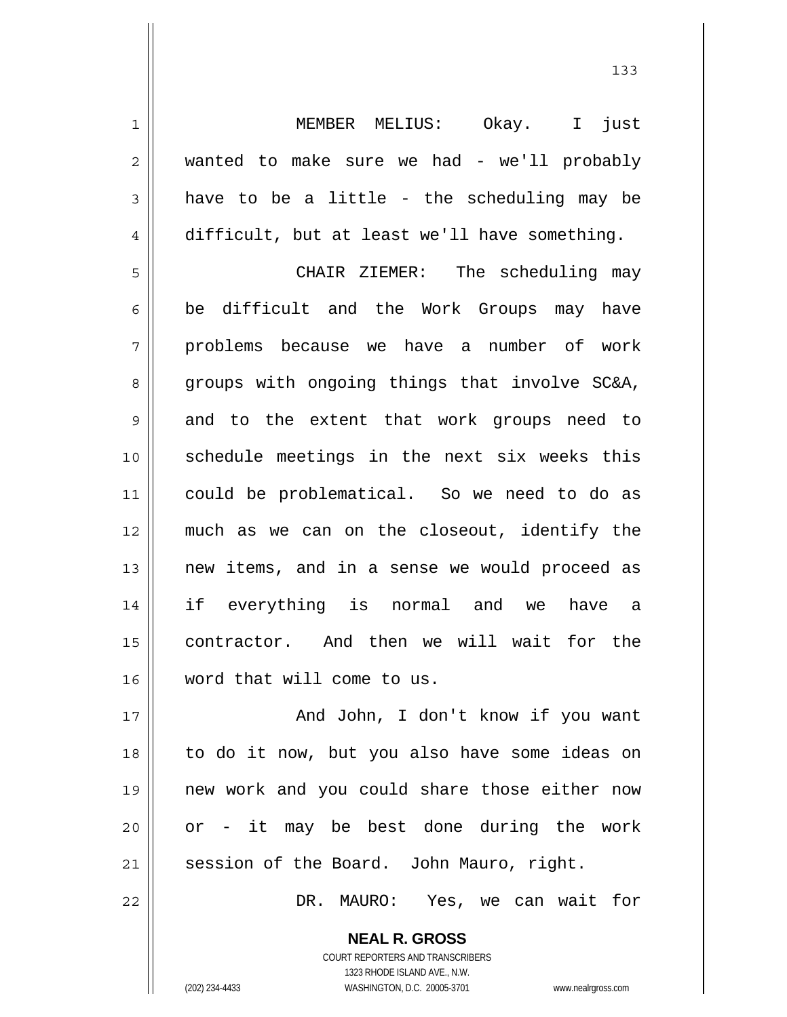MEMBER MELIUS: Okay. I just wanted to make sure we had - we'll probably have to be a little - the scheduling may be difficult, but at least we'll have something.

5 6 7 8 9 10 11 12 13 14 15 16 CHAIR ZIEMER: The scheduling may be difficult and the Work Groups may have problems because we have a number of work groups with ongoing things that involve SC&A, and to the extent that work groups need to schedule meetings in the next six weeks this could be problematical. So we need to do as much as we can on the closeout, identify the new items, and in a sense we would proceed as if everything is normal and we have a contractor. And then we will wait for the word that will come to us.

17 18 19 20 21 And John, I don't know if you want to do it now, but you also have some ideas on new work and you could share those either now or - it may be best done during the work session of the Board. John Mauro, right.

DR. MAURO: Yes, we can wait for

**NEAL R. GROSS** COURT REPORTERS AND TRANSCRIBERS 1323 RHODE ISLAND AVE., N.W. (202) 234-4433 WASHINGTON, D.C. 20005-3701 www.nealrgross.com

22

1

2

3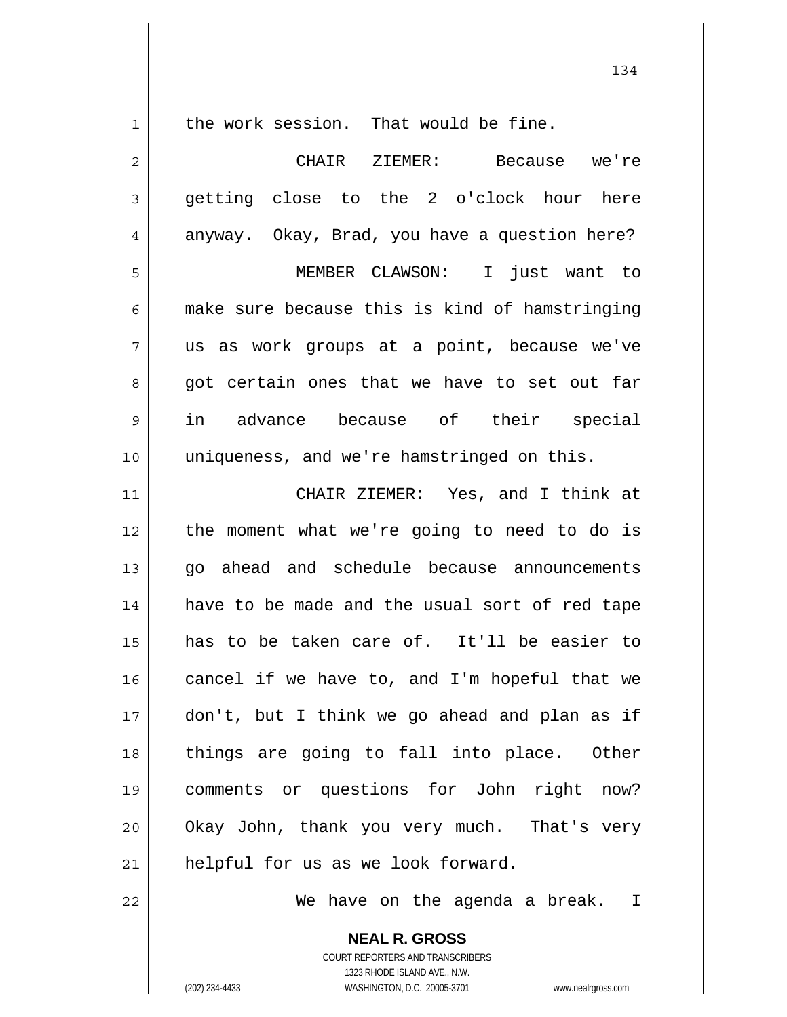1

the work session. That would be fine.

2 3 4 5 6 7 8 9 10 11 12 13 14 15 16 17 18 19 20 21 CHAIR ZIEMER: Because we're getting close to the 2 o'clock hour here anyway. Okay, Brad, you have a question here? MEMBER CLAWSON: I just want to make sure because this is kind of hamstringing us as work groups at a point, because we've got certain ones that we have to set out far in advance because of their special uniqueness, and we're hamstringed on this. CHAIR ZIEMER: Yes, and I think at the moment what we're going to need to do is go ahead and schedule because announcements have to be made and the usual sort of red tape has to be taken care of. It'll be easier to cancel if we have to, and I'm hopeful that we don't, but I think we go ahead and plan as if things are going to fall into place. Other comments or questions for John right now? Okay John, thank you very much. That's very helpful for us as we look forward.

We have on the agenda a break. I

**NEAL R. GROSS** COURT REPORTERS AND TRANSCRIBERS 1323 RHODE ISLAND AVE., N.W. (202) 234-4433 WASHINGTON, D.C. 20005-3701 www.nealrgross.com

22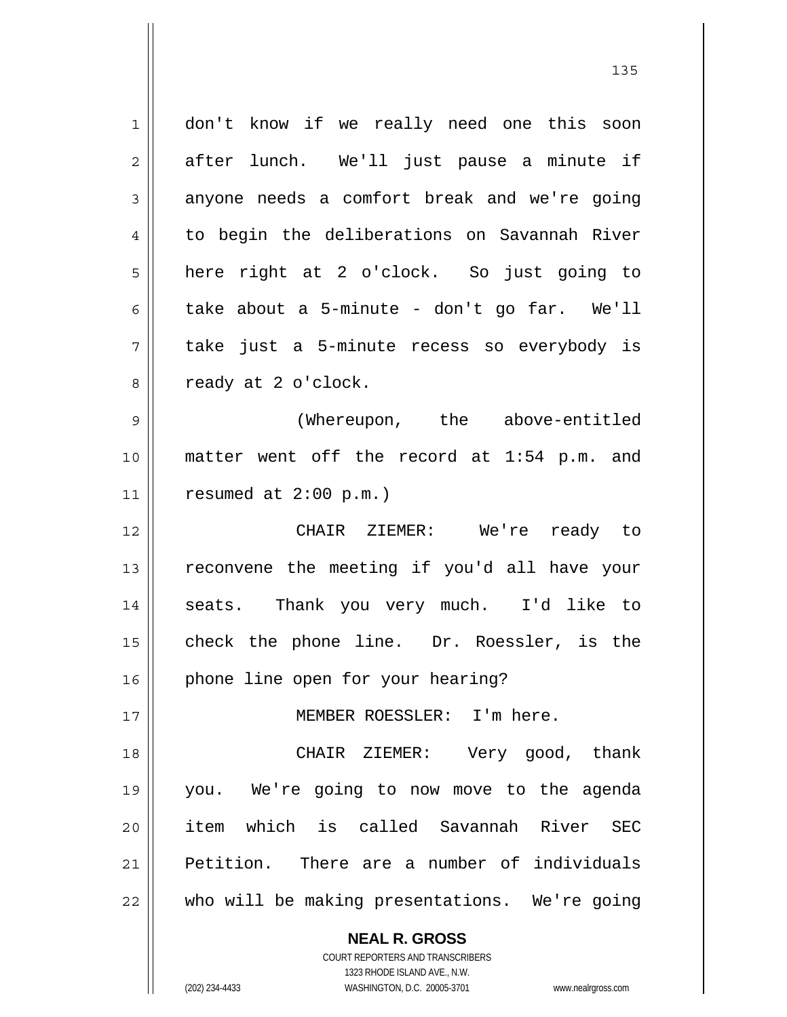| 1  | don't know if we really need one this soon               |
|----|----------------------------------------------------------|
| 2  | after lunch. We'll just pause a minute if                |
| 3  | anyone needs a comfort break and we're going             |
| 4  | to begin the deliberations on Savannah River             |
| 5  | here right at 2 o'clock. So just going to                |
| 6  | take about a 5-minute - don't go far. We'll              |
| 7  | take just a 5-minute recess so everybody is              |
| 8  | ready at 2 o'clock.                                      |
| 9  | (Whereupon, the above-entitled                           |
| 10 | matter went off the record at 1:54 p.m. and              |
| 11 | resumed at $2:00$ p.m.)                                  |
| 12 | CHAIR ZIEMER: We're ready to                             |
| 13 | reconvene the meeting if you'd all have your             |
| 14 | seats. Thank you very much. I'd like to                  |
| 15 | check the phone line. Dr. Roessler, is the               |
| 16 | phone line open for your hearing?                        |
| 17 | MEMBER ROESSLER: I'm here.                               |
| 18 | CHAIR ZIEMER: Very good, thank                           |
| 19 | you. We're going to now move to the agenda               |
| 20 | item which is called Savannah River SEC                  |
| 21 | Petition. There are a number of individuals              |
| 22 | who will be making presentations. We're going            |
|    | <b>NEAL R. GROSS</b><br>COURT REPORTERS AND TRANSCRIBERS |

1323 RHODE ISLAND AVE., N.W.

 $\overline{\phantom{a}}$  $\prod_{i=1}^{n}$ 

(202) 234-4433 WASHINGTON, D.C. 20005-3701 www.nealrgross.com

<u>135</u>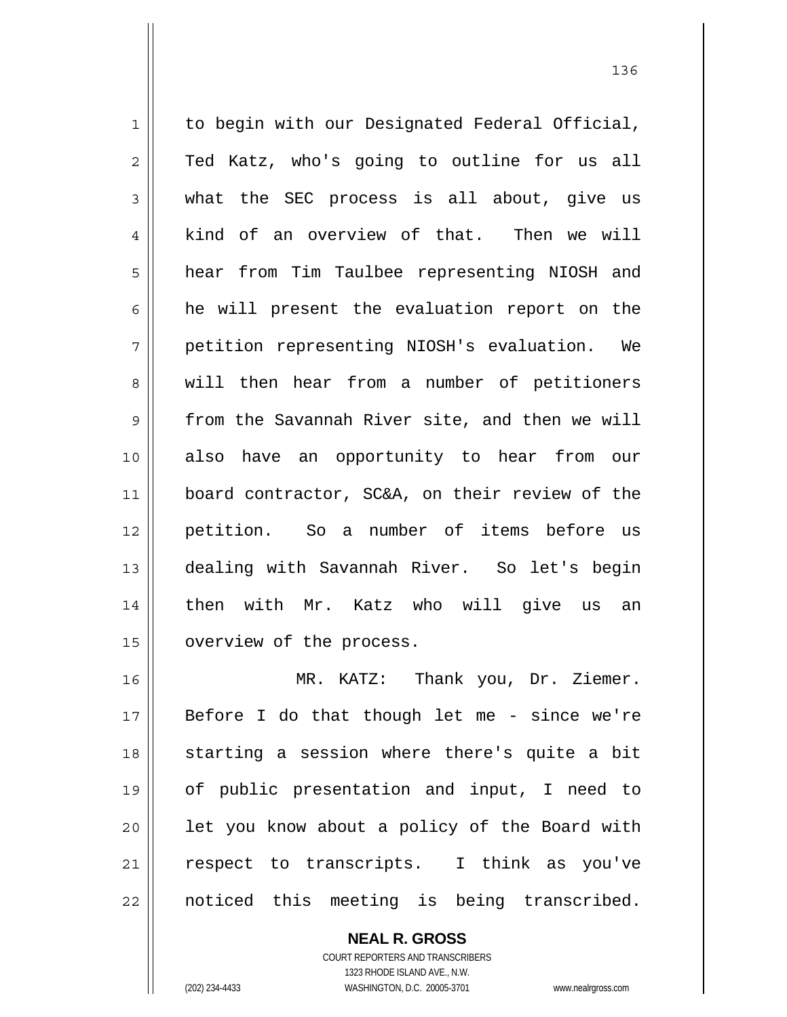1 2 3 4 5 6 7 8 9 10 11 12 13 14 15 16 to begin with our Designated Federal Official, Ted Katz, who's going to outline for us all what the SEC process is all about, give us kind of an overview of that. Then we will hear from Tim Taulbee representing NIOSH and he will present the evaluation report on the petition representing NIOSH's evaluation. We will then hear from a number of petitioners from the Savannah River site, and then we will also have an opportunity to hear from our board contractor, SC&A, on their review of the petition. So a number of items before us dealing with Savannah River. So let's begin then with Mr. Katz who will give us an overview of the process. MR. KATZ: Thank you, Dr. Ziemer.

17 18 19 20 21 22 Before I do that though let me - since we're starting a session where there's quite a bit of public presentation and input, I need to let you know about a policy of the Board with respect to transcripts. I think as you've noticed this meeting is being transcribed.

> **NEAL R. GROSS** COURT REPORTERS AND TRANSCRIBERS 1323 RHODE ISLAND AVE., N.W. (202) 234-4433 WASHINGTON, D.C. 20005-3701 www.nealrgross.com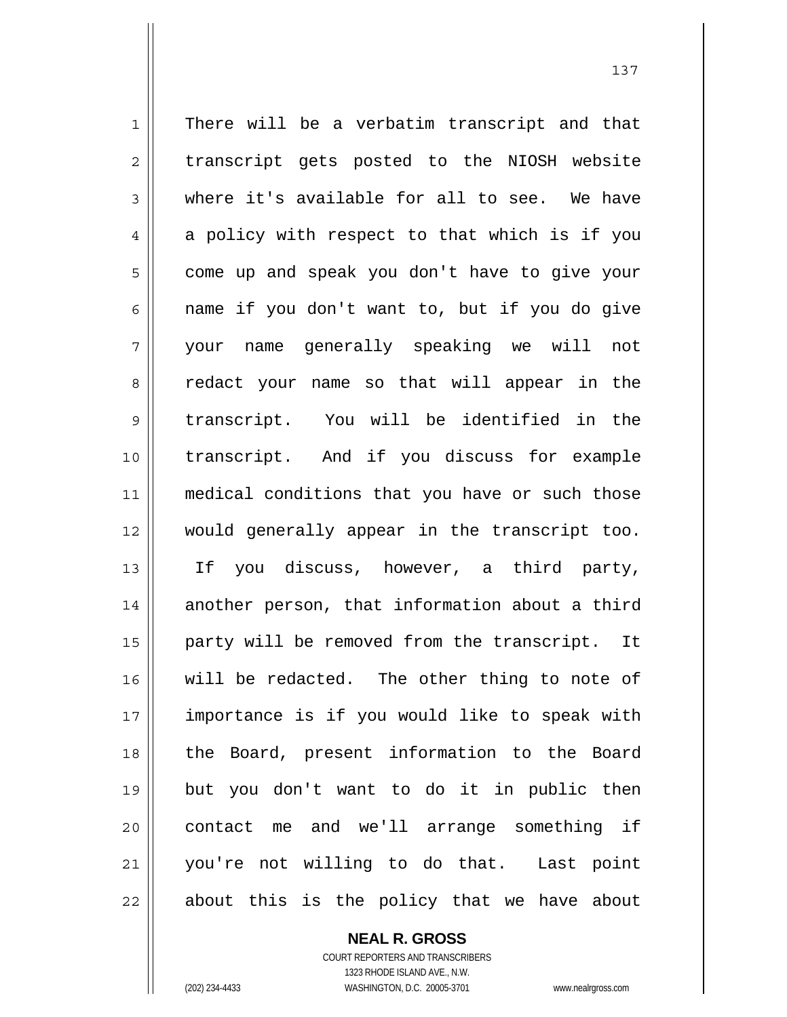1 2 3 4 5 6 7 8 9 10 11 12 13 14 15 16 17 18 19 20 21 22 There will be a verbatim transcript and that transcript gets posted to the NIOSH website where it's available for all to see. We have a policy with respect to that which is if you come up and speak you don't have to give your name if you don't want to, but if you do give your name generally speaking we will not redact your name so that will appear in the transcript. You will be identified in the transcript. And if you discuss for example medical conditions that you have or such those would generally appear in the transcript too. If you discuss, however, a third party, another person, that information about a third party will be removed from the transcript. It will be redacted. The other thing to note of importance is if you would like to speak with the Board, present information to the Board but you don't want to do it in public then contact me and we'll arrange something if you're not willing to do that. Last point about this is the policy that we have about

137

**NEAL R. GROSS** COURT REPORTERS AND TRANSCRIBERS 1323 RHODE ISLAND AVE., N.W.

(202) 234-4433 WASHINGTON, D.C. 20005-3701 www.nealrgross.com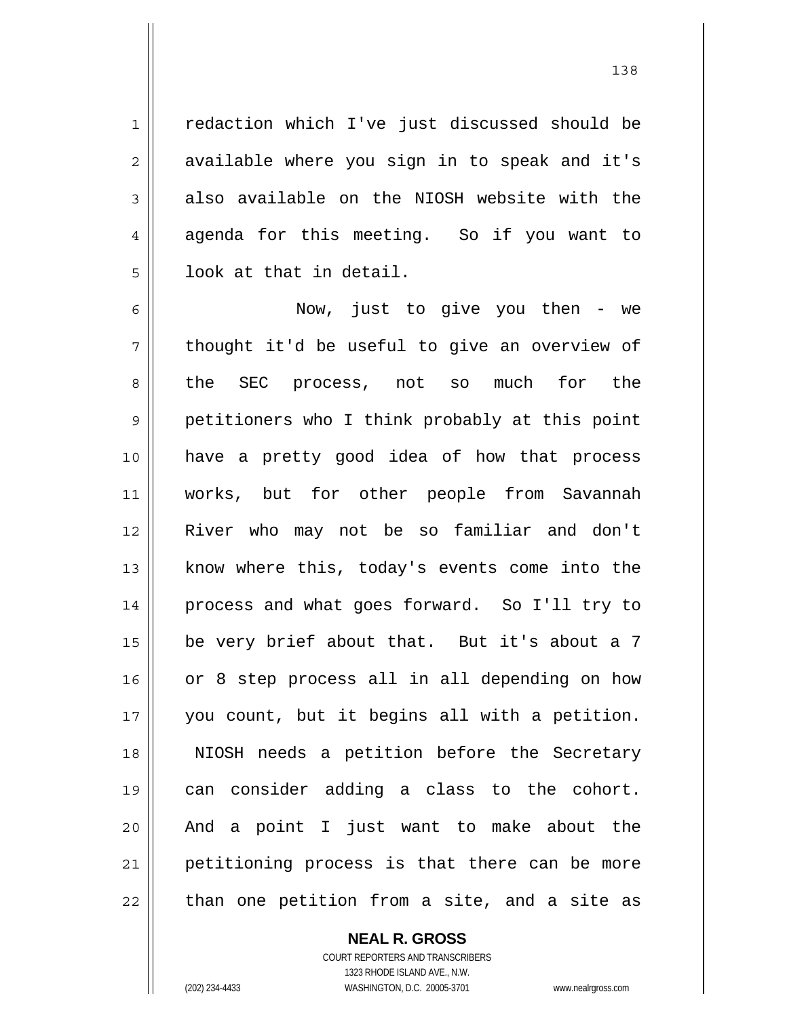redaction which I've just discussed should be available where you sign in to speak and it's also available on the NIOSH website with the agenda for this meeting. So if you want to look at that in detail.

6 7 8 9 10 11 12 13 14 15 16 17 18 19 20 21 22 Now, just to give you then - we thought it'd be useful to give an overview of the SEC process, not so much for the petitioners who I think probably at this point have a pretty good idea of how that process works, but for other people from Savannah River who may not be so familiar and don't know where this, today's events come into the process and what goes forward. So I'll try to be very brief about that. But it's about a 7 or 8 step process all in all depending on how you count, but it begins all with a petition. NIOSH needs a petition before the Secretary can consider adding a class to the cohort. And a point I just want to make about the petitioning process is that there can be more than one petition from a site, and a site as

## **NEAL R. GROSS**

COURT REPORTERS AND TRANSCRIBERS 1323 RHODE ISLAND AVE., N.W. (202) 234-4433 WASHINGTON, D.C. 20005-3701 www.nealrgross.com

1

2

3

4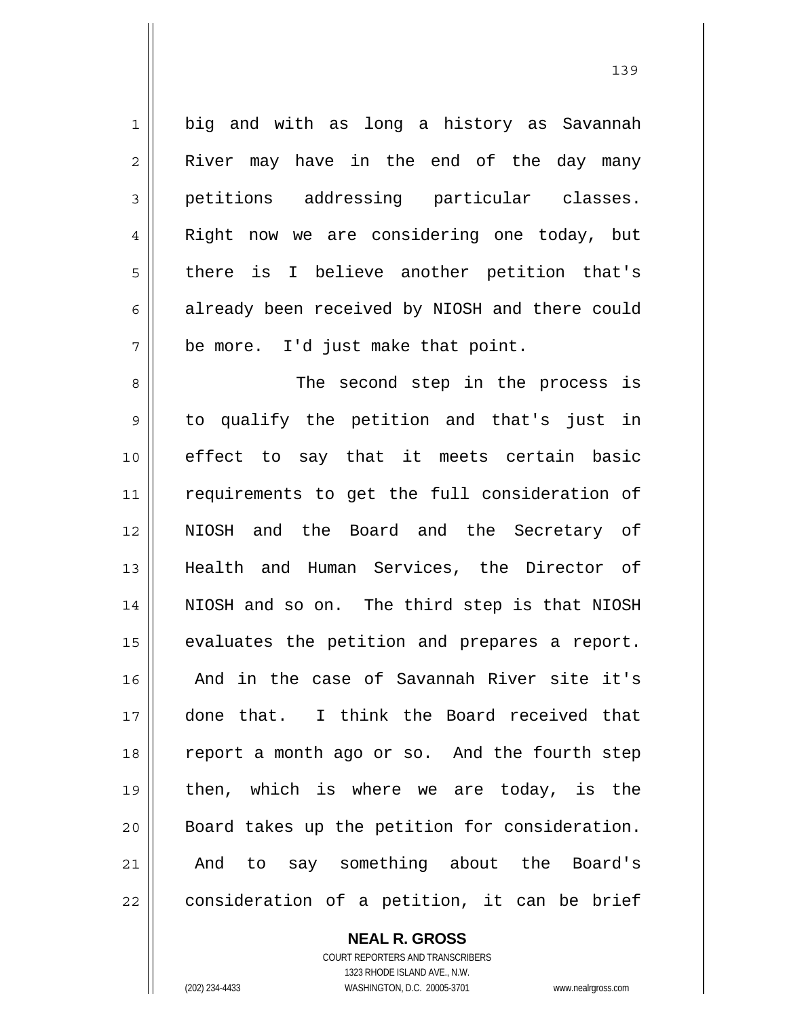1 2 3 4 5 6 7 8 9 10 11 12 13 14 15 16 17 big and with as long a history as Savannah River may have in the end of the day many petitions addressing particular classes. Right now we are considering one today, but there is I believe another petition that's already been received by NIOSH and there could be more. I'd just make that point. The second step in the process is to qualify the petition and that's just in effect to say that it meets certain basic requirements to get the full consideration of NIOSH and the Board and the Secretary of Health and Human Services, the Director of NIOSH and so on. The third step is that NIOSH evaluates the petition and prepares a report. And in the case of Savannah River site it's done that. I think the Board received that

22

18

19

20

21

**NEAL R. GROSS**

report a month ago or so. And the fourth step

then, which is where we are today, is the

Board takes up the petition for consideration.

And to say something about the Board's

consideration of a petition, it can be brief

COURT REPORTERS AND TRANSCRIBERS 1323 RHODE ISLAND AVE., N.W. (202) 234-4433 WASHINGTON, D.C. 20005-3701 www.nealrgross.com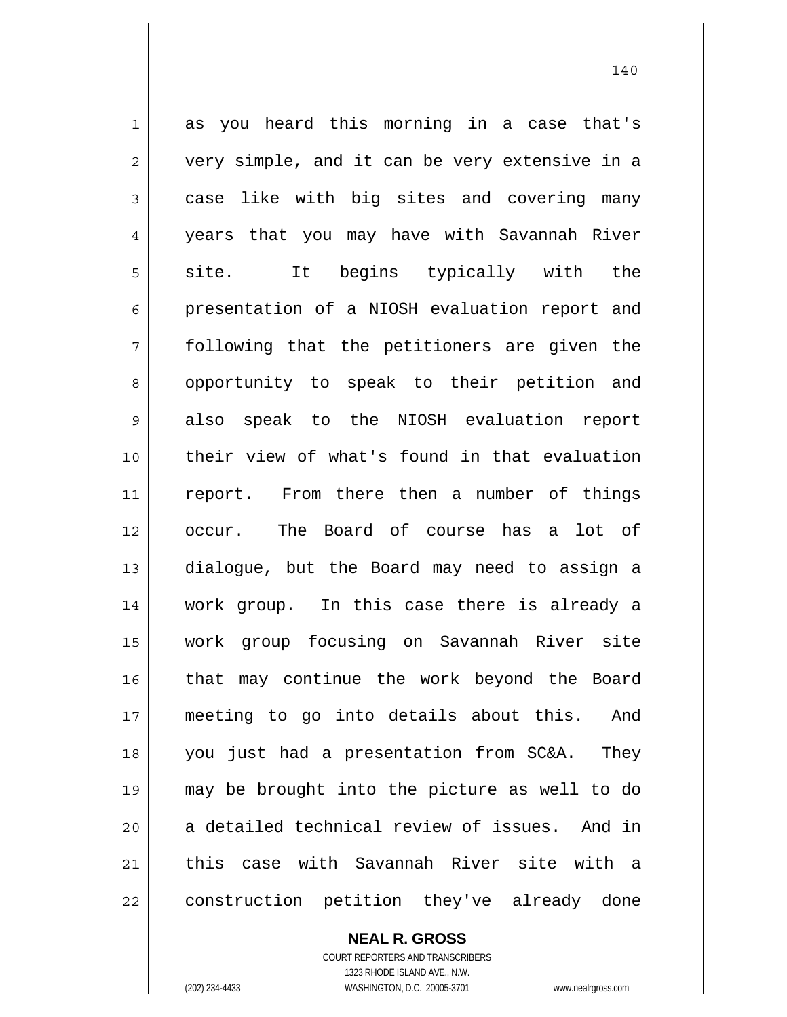1 2 3 4 5 6 7 8 9 10 11 12 13 14 15 16 17 18 19 20 21 22 as you heard this morning in a case that's very simple, and it can be very extensive in a case like with big sites and covering many years that you may have with Savannah River site. It begins typically with the presentation of a NIOSH evaluation report and following that the petitioners are given the opportunity to speak to their petition and also speak to the NIOSH evaluation report their view of what's found in that evaluation report. From there then a number of things occur. The Board of course has a lot of dialogue, but the Board may need to assign a work group. In this case there is already a work group focusing on Savannah River site that may continue the work beyond the Board meeting to go into details about this. And you just had a presentation from SC&A. They may be brought into the picture as well to do a detailed technical review of issues. And in this case with Savannah River site with a construction petition they've already done

**NEAL R. GROSS**

COURT REPORTERS AND TRANSCRIBERS 1323 RHODE ISLAND AVE., N.W. (202) 234-4433 WASHINGTON, D.C. 20005-3701 www.nealrgross.com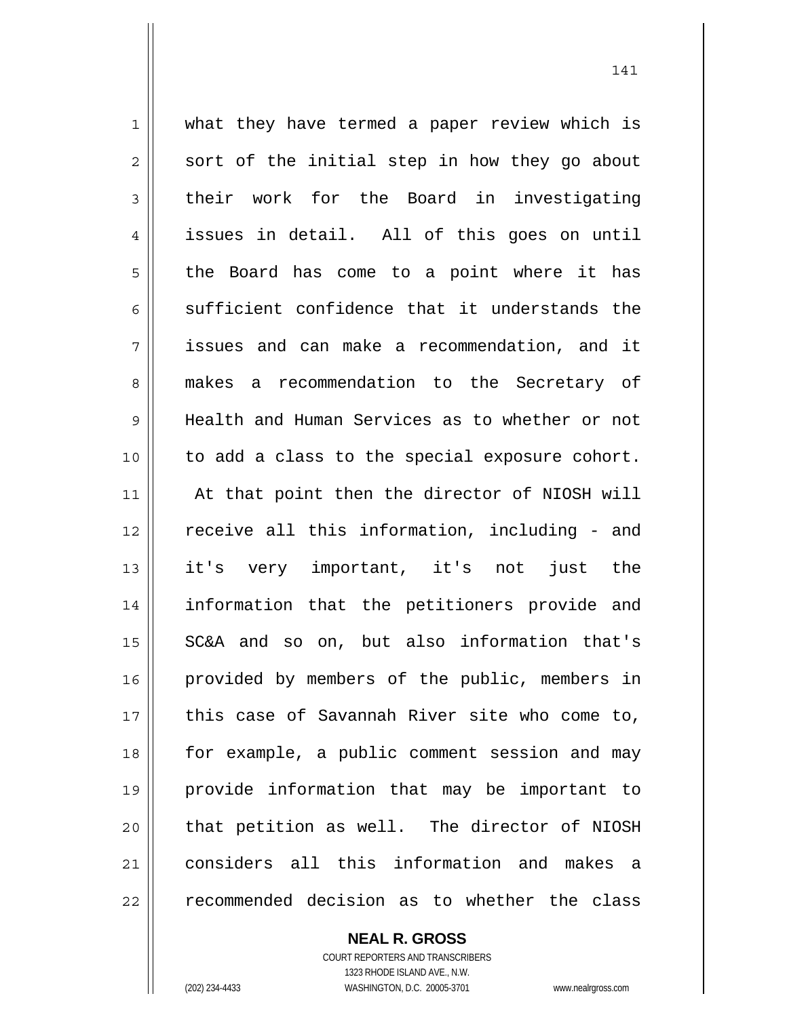1 2 3 4 5 6 7 8 9 10 11 12 13 14 15 16 17 18 19 20 21 22 what they have termed a paper review which is sort of the initial step in how they go about their work for the Board in investigating issues in detail. All of this goes on until the Board has come to a point where it has sufficient confidence that it understands the issues and can make a recommendation, and it makes a recommendation to the Secretary of Health and Human Services as to whether or not to add a class to the special exposure cohort. At that point then the director of NIOSH will receive all this information, including - and it's very important, it's not just the information that the petitioners provide and SC&A and so on, but also information that's provided by members of the public, members in this case of Savannah River site who come to, for example, a public comment session and may provide information that may be important to that petition as well. The director of NIOSH considers all this information and makes a recommended decision as to whether the class

**NEAL R. GROSS**

COURT REPORTERS AND TRANSCRIBERS 1323 RHODE ISLAND AVE., N.W. (202) 234-4433 WASHINGTON, D.C. 20005-3701 www.nealrgross.com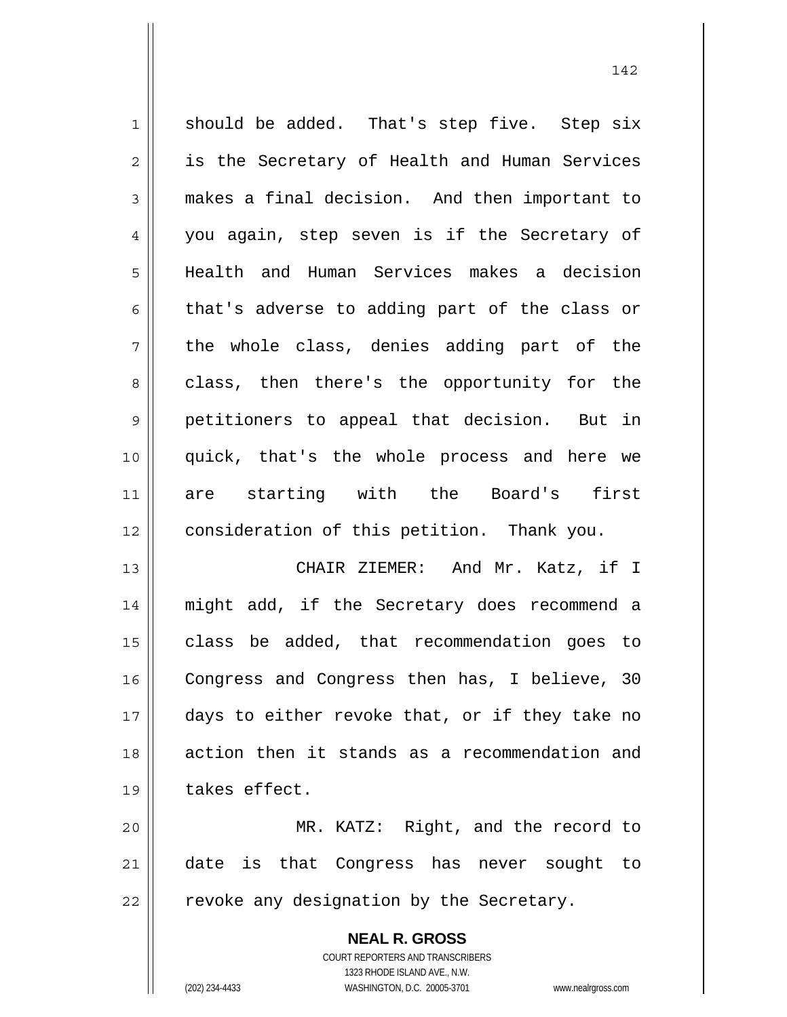1 2 3 4 5 6 7 8 9 10 11 12 13 14 15 16 17 18 19 should be added. That's step five. Step six is the Secretary of Health and Human Services makes a final decision. And then important to you again, step seven is if the Secretary of Health and Human Services makes a decision that's adverse to adding part of the class or the whole class, denies adding part of the class, then there's the opportunity for the petitioners to appeal that decision. But in quick, that's the whole process and here we are starting with the Board's first consideration of this petition. Thank you. CHAIR ZIEMER: And Mr. Katz, if I might add, if the Secretary does recommend a class be added, that recommendation goes to Congress and Congress then has, I believe, 30 days to either revoke that, or if they take no action then it stands as a recommendation and takes effect.

20 21 22 MR. KATZ: Right, and the record to date is that Congress has never sought to revoke any designation by the Secretary.

> **NEAL R. GROSS** COURT REPORTERS AND TRANSCRIBERS 1323 RHODE ISLAND AVE., N.W. (202) 234-4433 WASHINGTON, D.C. 20005-3701 www.nealrgross.com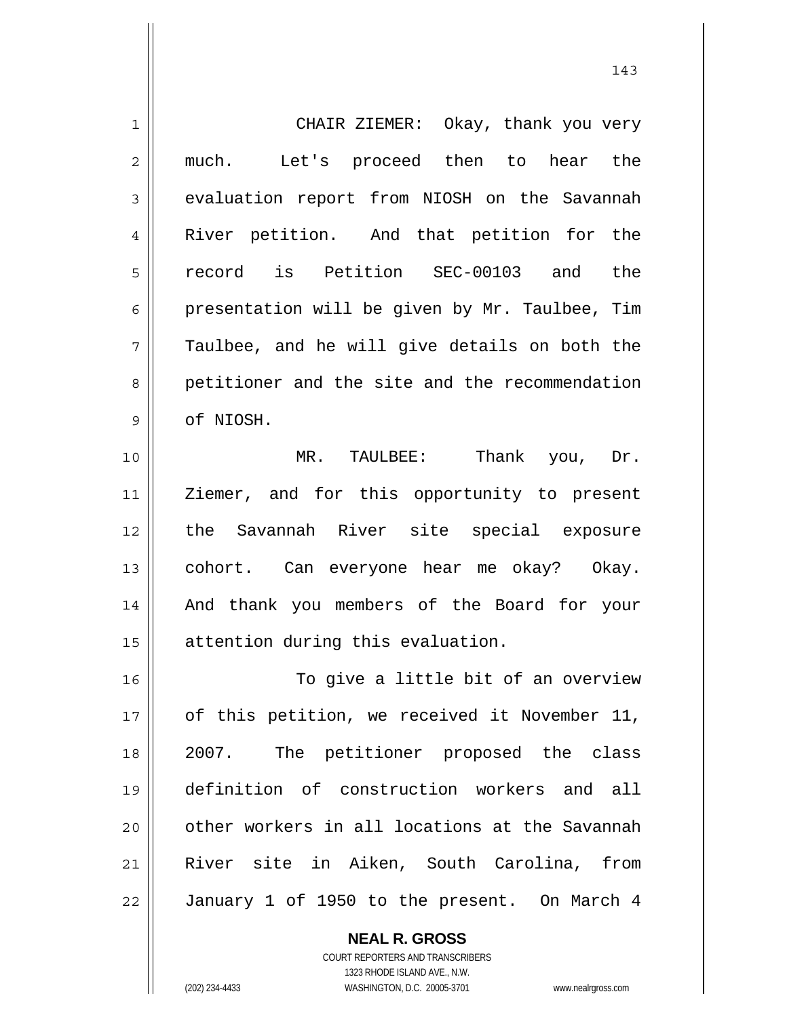| $\mathbf{1}$   | CHAIR ZIEMER: Okay, thank you very             |
|----------------|------------------------------------------------|
| $\overline{2}$ | Let's proceed then to hear the<br>much.        |
| $\mathsf 3$    | evaluation report from NIOSH on the Savannah   |
| $\overline{4}$ | River petition. And that petition for the      |
| 5              | record is Petition SEC-00103 and the           |
| 6              | presentation will be given by Mr. Taulbee, Tim |
| 7              | Taulbee, and he will give details on both the  |
| 8              | petitioner and the site and the recommendation |
| 9              | of NIOSH.                                      |
| 10             | MR. TAULBEE: Thank you, Dr.                    |
| 11             | Ziemer, and for this opportunity to present    |
| 12             | the Savannah River site special exposure       |
| 13             | cohort. Can everyone hear me okay? Okay.       |
| 14             | And thank you members of the Board for your    |
| 15             | attention during this evaluation.              |
| 16             | To give a little bit of an overview            |
| 17             | of this petition, we received it November 11,  |
| 18             | 2007. The petitioner proposed the class        |
| 19             | definition of construction workers and all     |
| 20             | other workers in all locations at the Savannah |
| 21             | River site in Aiken, South Carolina, from      |
| 22             | January 1 of 1950 to the present. On March 4   |

143

**NEAL R. GROSS**

 $\mathsf{II}$ 

COURT REPORTERS AND TRANSCRIBERS 1323 RHODE ISLAND AVE., N.W. (202) 234-4433 WASHINGTON, D.C. 20005-3701 www.nealrgross.com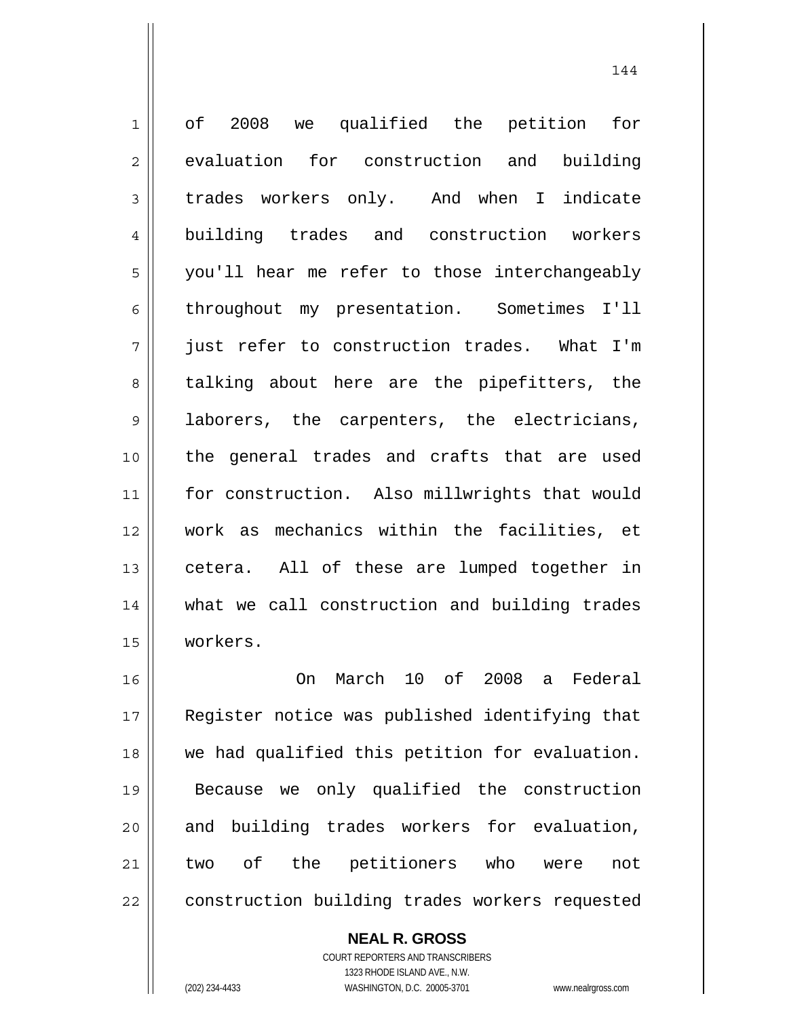1 2 3 4 5 6 7 8 9 10 11 12 13 14 15 16 17 18 19 of 2008 we qualified the petition for evaluation for construction and building trades workers only. And when I indicate building trades and construction workers you'll hear me refer to those interchangeably throughout my presentation. Sometimes I'll just refer to construction trades. What I'm talking about here are the pipefitters, the laborers, the carpenters, the electricians, the general trades and crafts that are used for construction. Also millwrights that would work as mechanics within the facilities, et cetera. All of these are lumped together in what we call construction and building trades workers. On March 10 of 2008 a Federal Register notice was published identifying that we had qualified this petition for evaluation. Because we only qualified the construction

20 21 22 and building trades workers for evaluation, two of the petitioners who were not construction building trades workers requested

> **NEAL R. GROSS** COURT REPORTERS AND TRANSCRIBERS 1323 RHODE ISLAND AVE., N.W.

(202) 234-4433 WASHINGTON, D.C. 20005-3701 www.nealrgross.com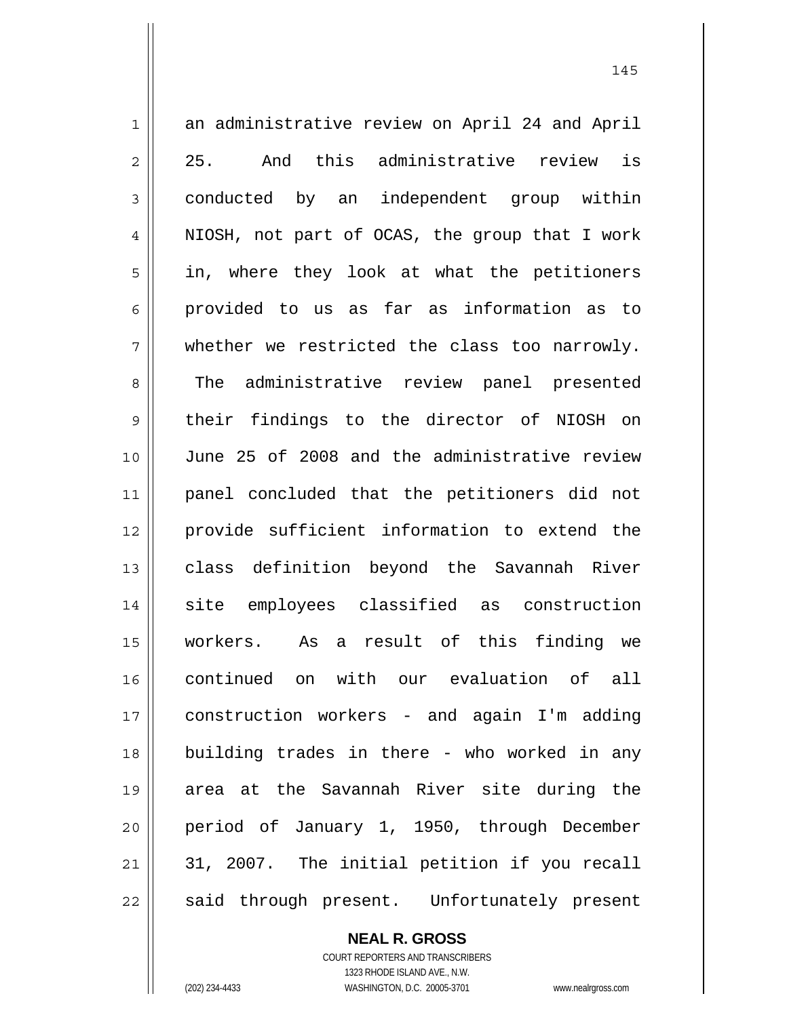1 2 3 4 5 6 7 8 9 10 11 12 13 14 15 16 17 18 19 20 21 22 an administrative review on April 24 and April 25. And this administrative review is conducted by an independent group within NIOSH, not part of OCAS, the group that I work in, where they look at what the petitioners provided to us as far as information as to whether we restricted the class too narrowly. The administrative review panel presented their findings to the director of NIOSH on June 25 of 2008 and the administrative review panel concluded that the petitioners did not provide sufficient information to extend the class definition beyond the Savannah River site employees classified as construction workers. As a result of this finding we continued on with our evaluation of all construction workers - and again I'm adding building trades in there - who worked in any area at the Savannah River site during the period of January 1, 1950, through December 31, 2007. The initial petition if you recall said through present. Unfortunately present

**NEAL R. GROSS**

COURT REPORTERS AND TRANSCRIBERS 1323 RHODE ISLAND AVE., N.W. (202) 234-4433 WASHINGTON, D.C. 20005-3701 www.nealrgross.com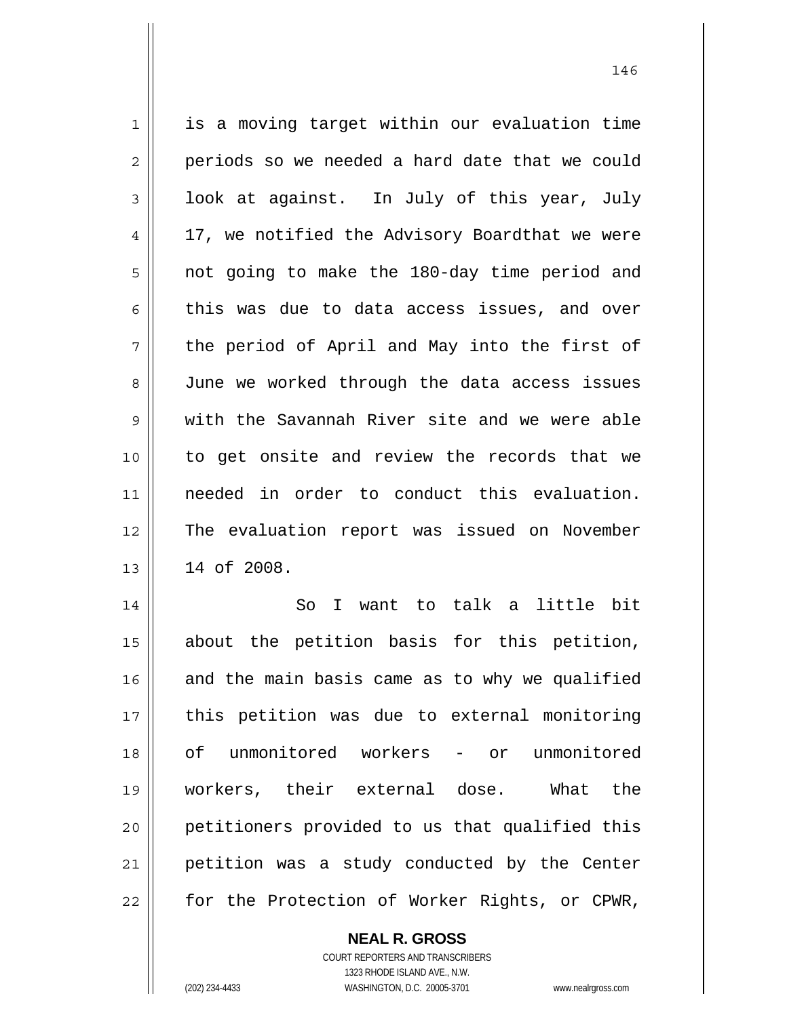| $\mathbf{1}$   | is a moving target within our evaluation time  |
|----------------|------------------------------------------------|
| $\overline{2}$ | periods so we needed a hard date that we could |
| $\mathsf 3$    | look at against. In July of this year, July    |
| $\overline{4}$ | 17, we notified the Advisory Boardthat we were |
| 5              | not going to make the 180-day time period and  |
| 6              | this was due to data access issues, and over   |
| 7              | the period of April and May into the first of  |
| 8              | June we worked through the data access issues  |
| $\mathsf 9$    | with the Savannah River site and we were able  |
| 10             | to get onsite and review the records that we   |
| 11             | needed in order to conduct this evaluation.    |
| 12             | The evaluation report was issued on November   |
| 13             | 14 of 2008.                                    |
| 14             | I want to talk a little bit<br>So              |
| 15             | about the petition basis for this petition,    |
| 16             | and the main basis came as to why we qualified |
| 17             | this petition was due to external monitoring   |
| 18             | of unmonitored workers - or unmonitored        |
| 19             | workers, their external dose. What<br>the      |
| 20             | petitioners provided to us that qualified this |
| 21             | petition was a study conducted by the Center   |

146

for the Protection of Worker Rights, or CPWR,

**NEAL R. GROSS**

22

COURT REPORTERS AND TRANSCRIBERS 1323 RHODE ISLAND AVE., N.W. (202) 234-4433 WASHINGTON, D.C. 20005-3701 www.nealrgross.com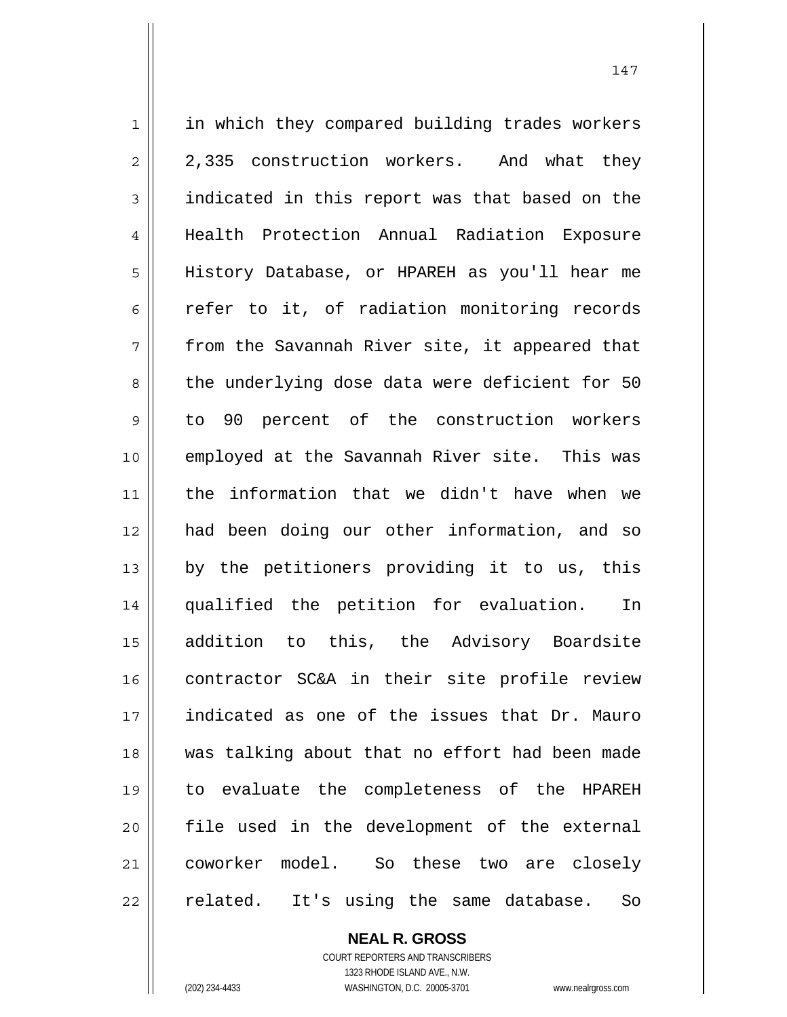1 2 3 4 5 6 7 8 9 10 11 12 13 14 15 16 17 18 19 20 21 22 in which they compared building trades workers 2,335 construction workers. And what they indicated in this report was that based on the Health Protection Annual Radiation Exposure History Database, or HPAREH as you'll hear me refer to it, of radiation monitoring records from the Savannah River site, it appeared that the underlying dose data were deficient for 50 to 90 percent of the construction workers employed at the Savannah River site. This was the information that we didn't have when we had been doing our other information, and so by the petitioners providing it to us, this qualified the petition for evaluation. In addition to this, the Advisory Boardsite contractor SC&A in their site profile review indicated as one of the issues that Dr. Mauro was talking about that no effort had been made to evaluate the completeness of the HPAREH file used in the development of the external coworker model. So these two are closely related. It's using the same database. So

> **NEAL R. GROSS** COURT REPORTERS AND TRANSCRIBERS 1323 RHODE ISLAND AVE., N.W.

(202) 234-4433 WASHINGTON, D.C. 20005-3701 www.nealrgross.com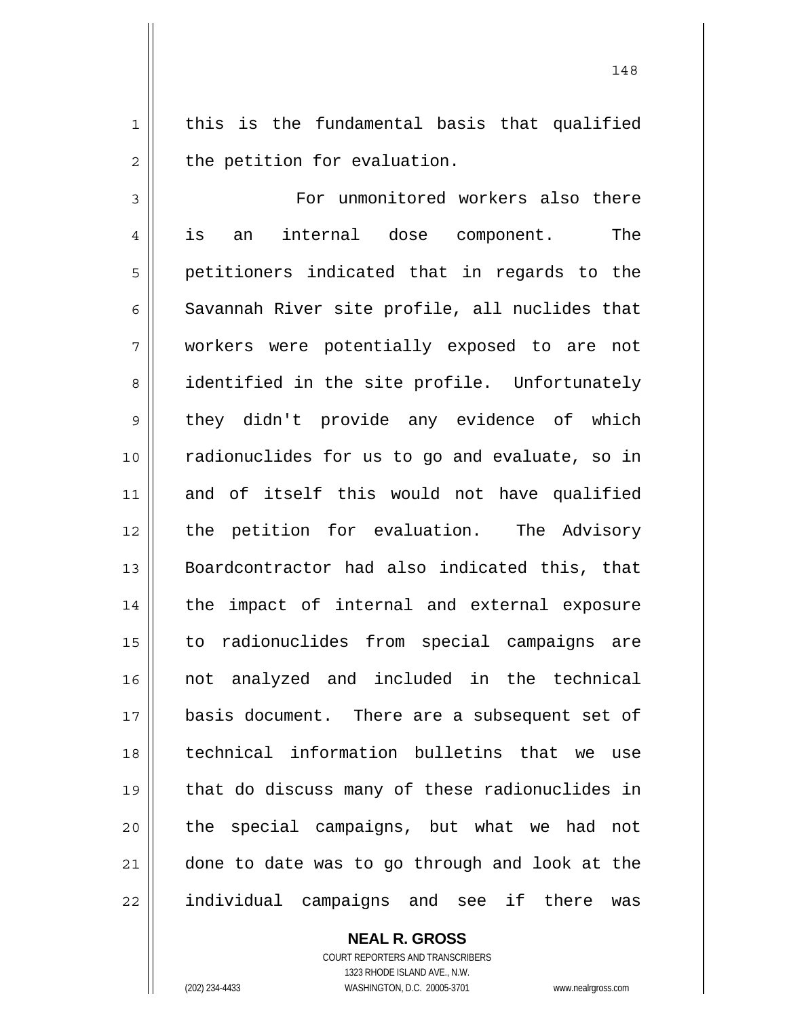1 2 this is the fundamental basis that qualified the petition for evaluation.

3 4 5 6 7 8 9 10 11 12 13 14 15 16 17 18 19 20 21 22 For unmonitored workers also there is an internal dose component. The petitioners indicated that in regards to the Savannah River site profile, all nuclides that workers were potentially exposed to are not identified in the site profile. Unfortunately they didn't provide any evidence of which radionuclides for us to go and evaluate, so in and of itself this would not have qualified the petition for evaluation. The Advisory Boardcontractor had also indicated this, that the impact of internal and external exposure to radionuclides from special campaigns are not analyzed and included in the technical basis document. There are a subsequent set of technical information bulletins that we use that do discuss many of these radionuclides in the special campaigns, but what we had not done to date was to go through and look at the individual campaigns and see if there was

**NEAL R. GROSS**

COURT REPORTERS AND TRANSCRIBERS 1323 RHODE ISLAND AVE., N.W. (202) 234-4433 WASHINGTON, D.C. 20005-3701 www.nealrgross.com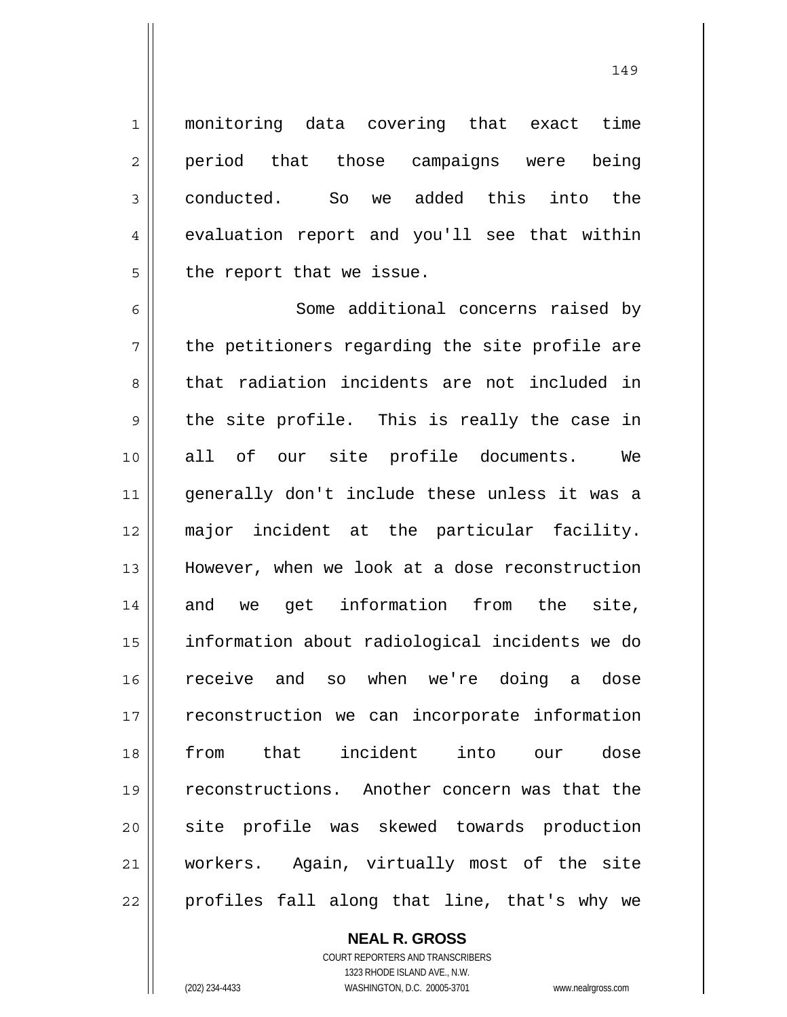monitoring data covering that exact time period that those campaigns were being conducted. So we added this into the evaluation report and you'll see that within the report that we issue.

6 7 8 9 10 11 12 13 14 15 16 17 18 19 20 21 22 Some additional concerns raised by the petitioners regarding the site profile are that radiation incidents are not included in the site profile. This is really the case in all of our site profile documents. We generally don't include these unless it was a major incident at the particular facility. However, when we look at a dose reconstruction and we get information from the site, information about radiological incidents we do receive and so when we're doing a dose reconstruction we can incorporate information from that incident into our dose reconstructions. Another concern was that the site profile was skewed towards production workers. Again, virtually most of the site profiles fall along that line, that's why we

## **NEAL R. GROSS**

COURT REPORTERS AND TRANSCRIBERS 1323 RHODE ISLAND AVE., N.W. (202) 234-4433 WASHINGTON, D.C. 20005-3701 www.nealrgross.com

1

2

3

4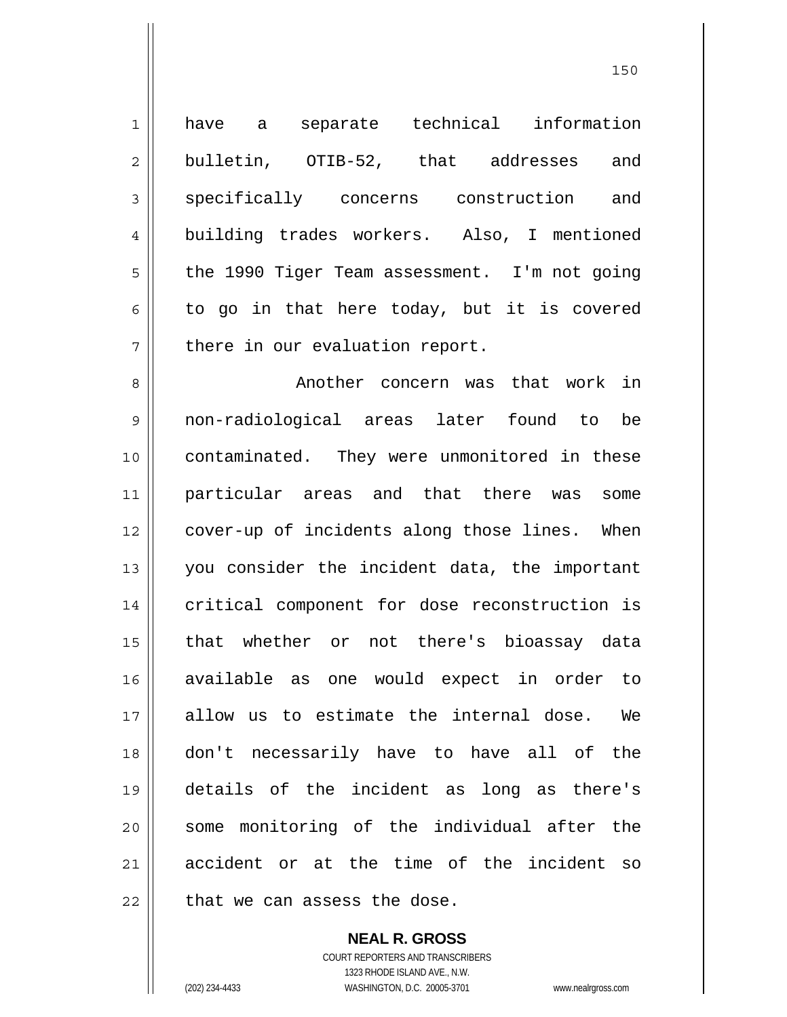1 2 3 4 5 6 7 8 9 10 11 12 13 14 15 16 17 18 19 20 21 22 have a separate technical information bulletin, OTIB-52, that addresses and specifically concerns construction and building trades workers. Also, I mentioned the 1990 Tiger Team assessment. I'm not going to go in that here today, but it is covered there in our evaluation report. Another concern was that work in non-radiological areas later found to be contaminated. They were unmonitored in these particular areas and that there was some cover-up of incidents along those lines. When you consider the incident data, the important critical component for dose reconstruction is that whether or not there's bioassay data available as one would expect in order to allow us to estimate the internal dose. We don't necessarily have to have all of the details of the incident as long as there's some monitoring of the individual after the accident or at the time of the incident so that we can assess the dose.

<u>150</u>

**NEAL R. GROSS** COURT REPORTERS AND TRANSCRIBERS 1323 RHODE ISLAND AVE., N.W. (202) 234-4433 WASHINGTON, D.C. 20005-3701 www.nealrgross.com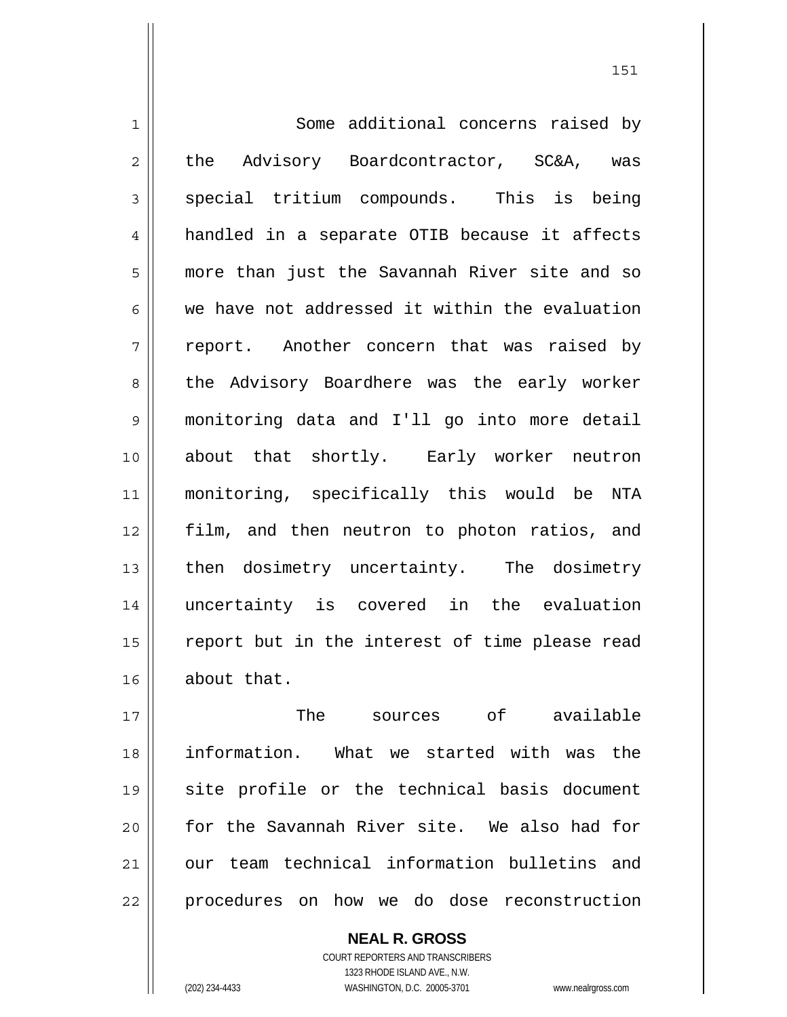1 2 3 4 5 6 7 8 9 10 11 12 13 14 15 16 Some additional concerns raised by the Advisory Boardcontractor, SC&A, was special tritium compounds. This is being handled in a separate OTIB because it affects more than just the Savannah River site and so we have not addressed it within the evaluation report. Another concern that was raised by the Advisory Boardhere was the early worker monitoring data and I'll go into more detail about that shortly. Early worker neutron monitoring, specifically this would be NTA film, and then neutron to photon ratios, and then dosimetry uncertainty. The dosimetry uncertainty is covered in the evaluation report but in the interest of time please read about that.

17 18 19 20 21 22 The sources of available information. What we started with was the site profile or the technical basis document for the Savannah River site. We also had for our team technical information bulletins and procedures on how we do dose reconstruction

> COURT REPORTERS AND TRANSCRIBERS 1323 RHODE ISLAND AVE., N.W. (202) 234-4433 WASHINGTON, D.C. 20005-3701 www.nealrgross.com

**NEAL R. GROSS**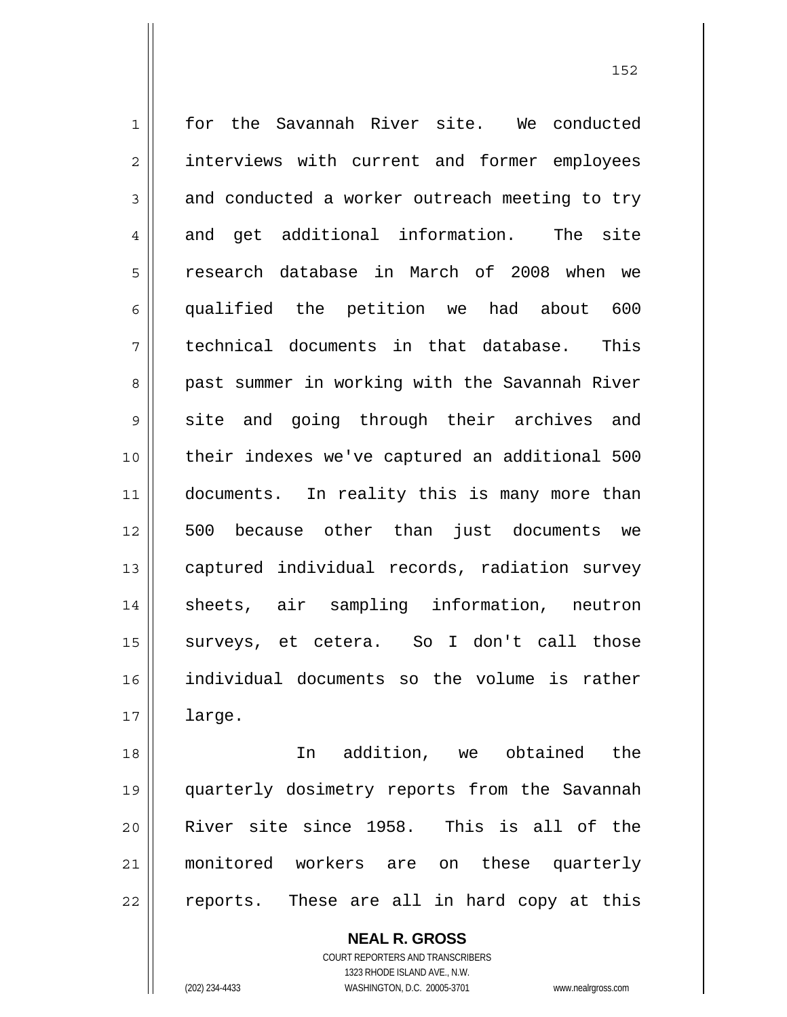1 2 3 4 5 6 7 8 9 10 11 12 13 14 15 16 17 for the Savannah River site. We conducted interviews with current and former employees and conducted a worker outreach meeting to try and get additional information. The site research database in March of 2008 when we qualified the petition we had about 600 technical documents in that database. This past summer in working with the Savannah River site and going through their archives and their indexes we've captured an additional 500 documents. In reality this is many more than 500 because other than just documents we captured individual records, radiation survey sheets, air sampling information, neutron surveys, et cetera. So I don't call those individual documents so the volume is rather large.

152

18 19 20 21 22 In addition, we obtained the quarterly dosimetry reports from the Savannah River site since 1958. This is all of the monitored workers are on these quarterly reports. These are all in hard copy at this

> **NEAL R. GROSS** COURT REPORTERS AND TRANSCRIBERS 1323 RHODE ISLAND AVE., N.W. (202) 234-4433 WASHINGTON, D.C. 20005-3701 www.nealrgross.com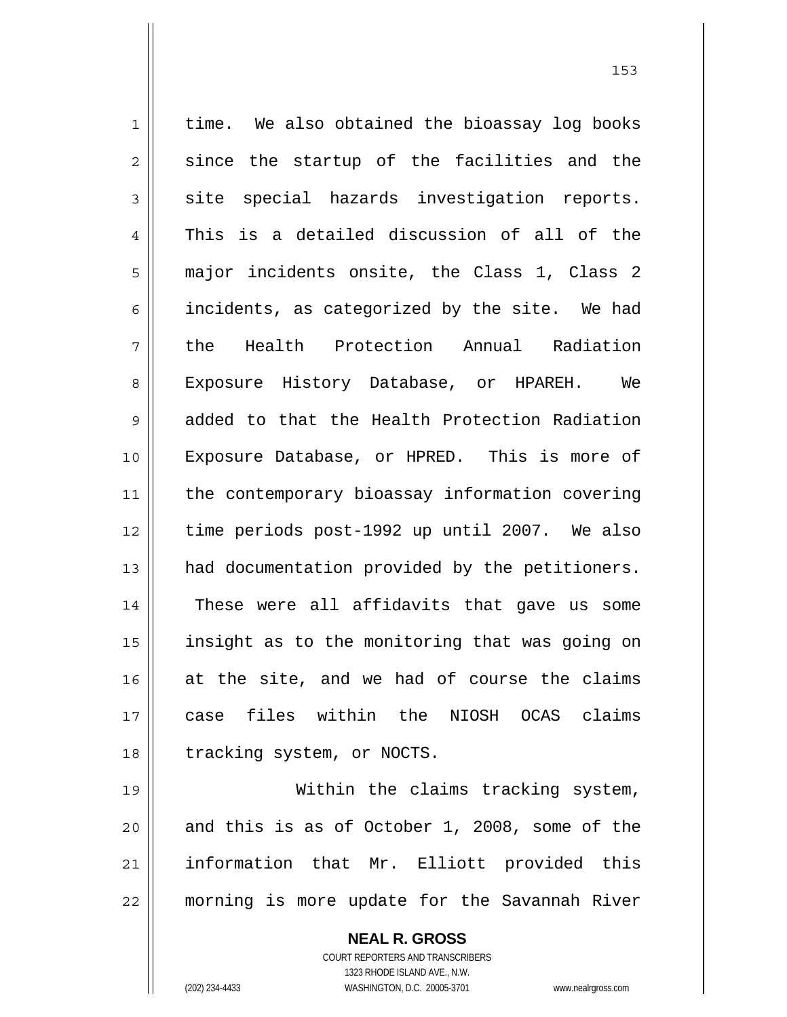1 2 3 4 5 6 7 8 9 10 11 12 13 14 15 16 17 18 19 time. We also obtained the bioassay log books since the startup of the facilities and the site special hazards investigation reports. This is a detailed discussion of all of the major incidents onsite, the Class 1, Class 2 incidents, as categorized by the site. We had the Health Protection Annual Radiation Exposure History Database, or HPAREH. We added to that the Health Protection Radiation Exposure Database, or HPRED. This is more of the contemporary bioassay information covering time periods post-1992 up until 2007. We also had documentation provided by the petitioners. These were all affidavits that gave us some insight as to the monitoring that was going on at the site, and we had of course the claims case files within the NIOSH OCAS claims tracking system, or NOCTS. Within the claims tracking system,

20 21 22 and this is as of October 1, 2008, some of the information that Mr. Elliott provided this morning is more update for the Savannah River

> **NEAL R. GROSS** COURT REPORTERS AND TRANSCRIBERS 1323 RHODE ISLAND AVE., N.W. (202) 234-4433 WASHINGTON, D.C. 20005-3701 www.nealrgross.com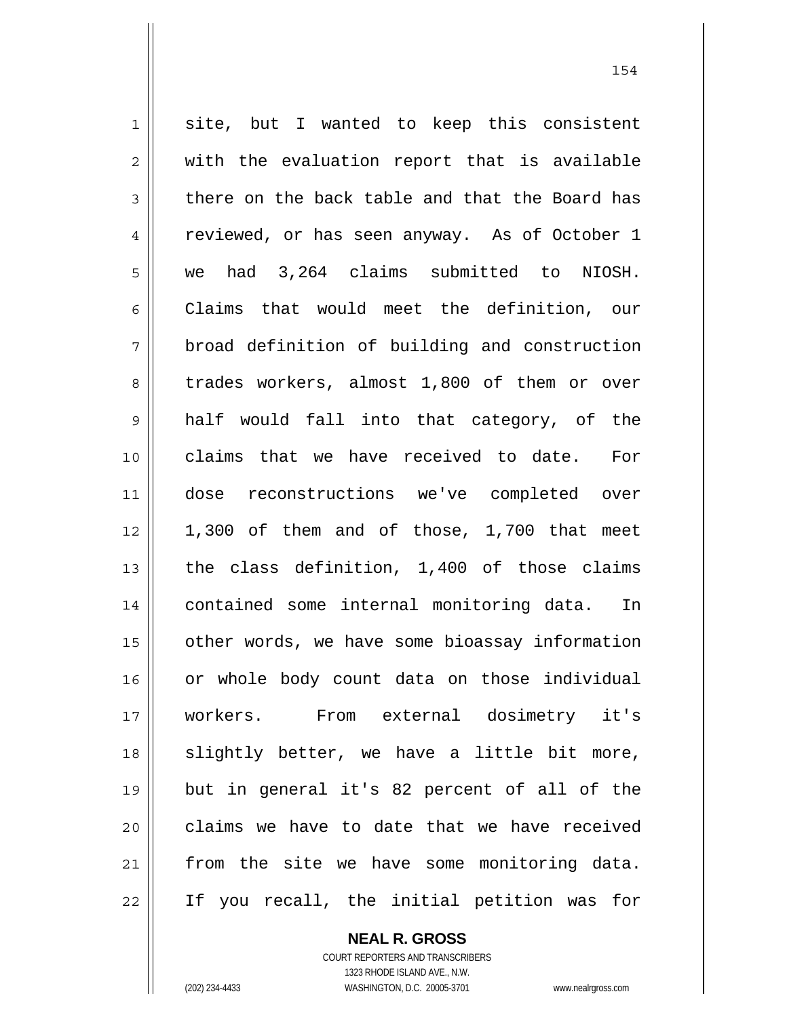1 2 3 4 5 6 7 8 9 10 11 12 13 14 15 16 17 18 19 20 21 22 site, but I wanted to keep this consistent with the evaluation report that is available there on the back table and that the Board has reviewed, or has seen anyway. As of October 1 we had 3,264 claims submitted to NIOSH. Claims that would meet the definition, our broad definition of building and construction trades workers, almost 1,800 of them or over half would fall into that category, of the claims that we have received to date. For dose reconstructions we've completed over 1,300 of them and of those, 1,700 that meet the class definition, 1,400 of those claims contained some internal monitoring data. In other words, we have some bioassay information or whole body count data on those individual workers. From external dosimetry it's slightly better, we have a little bit more, but in general it's 82 percent of all of the claims we have to date that we have received from the site we have some monitoring data. If you recall, the initial petition was for

> **NEAL R. GROSS** COURT REPORTERS AND TRANSCRIBERS 1323 RHODE ISLAND AVE., N.W.

(202) 234-4433 WASHINGTON, D.C. 20005-3701 www.nealrgross.com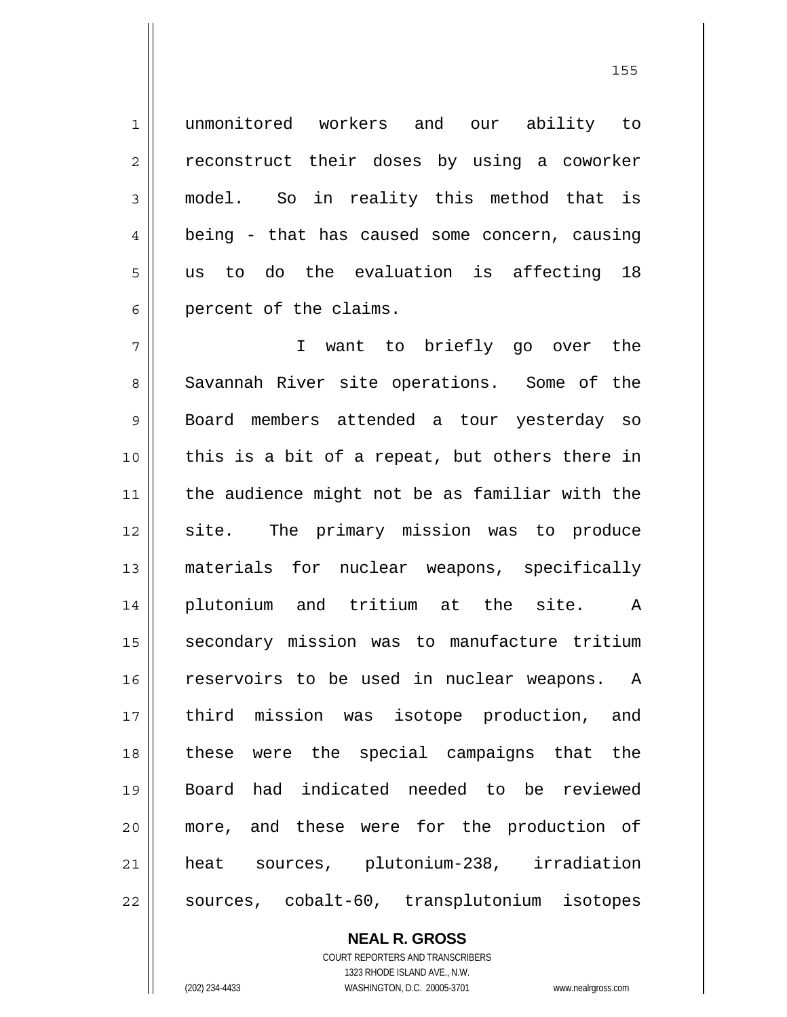unmonitored workers and our ability to reconstruct their doses by using a coworker model. So in reality this method that is being - that has caused some concern, causing us to do the evaluation is affecting 18 percent of the claims.

7 8 9 10 11 12 13 14 15 16 17 18 19 20 21 22 I want to briefly go over the Savannah River site operations. Some of the Board members attended a tour yesterday so this is a bit of a repeat, but others there in the audience might not be as familiar with the site. The primary mission was to produce materials for nuclear weapons, specifically plutonium and tritium at the site. A secondary mission was to manufacture tritium reservoirs to be used in nuclear weapons. A third mission was isotope production, and these were the special campaigns that the Board had indicated needed to be reviewed more, and these were for the production of heat sources, plutonium-238, irradiation sources, cobalt-60, transplutonium isotopes

> **NEAL R. GROSS** COURT REPORTERS AND TRANSCRIBERS

> > 1323 RHODE ISLAND AVE., N.W.

1

2

3

4

5

6

(202) 234-4433 WASHINGTON, D.C. 20005-3701 www.nealrgross.com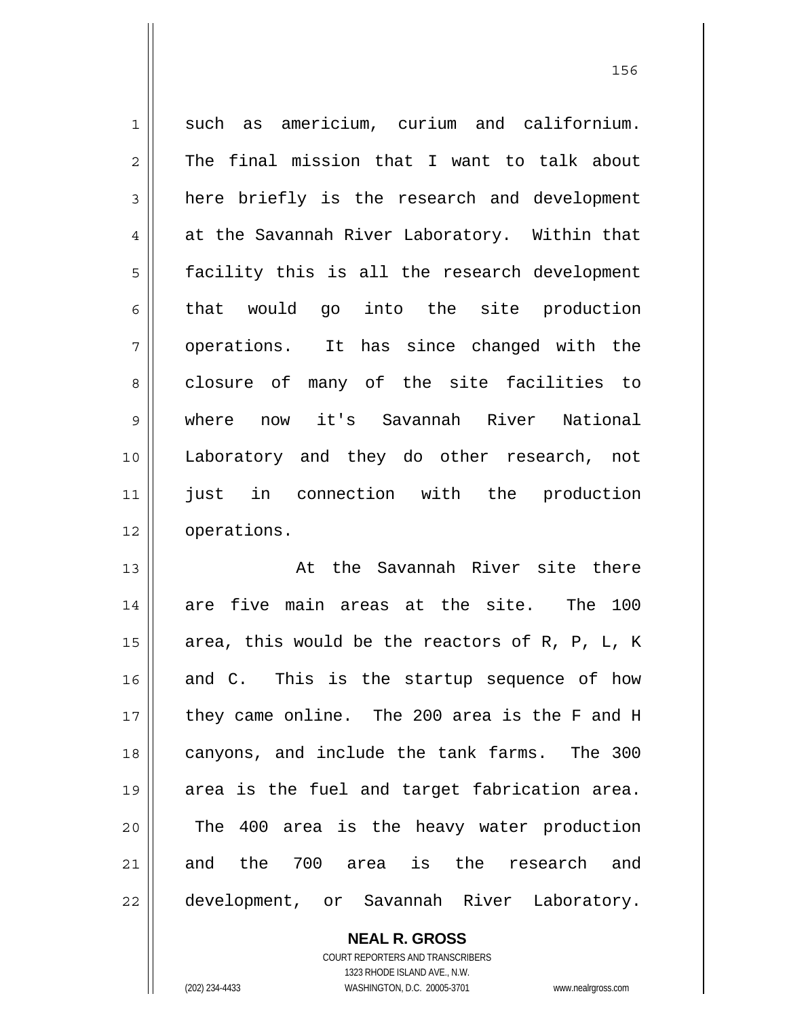1 2 3 4 5 6 7 8 9 10 11 12 13 14 such as americium, curium and californium. The final mission that I want to talk about here briefly is the research and development at the Savannah River Laboratory. Within that facility this is all the research development that would go into the site production operations. It has since changed with the closure of many of the site facilities to where now it's Savannah River National Laboratory and they do other research, not just in connection with the production operations. At the Savannah River site there are five main areas at the site. The 100

15 16 17 18 19 20 21 22 area, this would be the reactors of R, P, L, K and C. This is the startup sequence of how they came online. The 200 area is the F and H canyons, and include the tank farms. The 300 area is the fuel and target fabrication area. The 400 area is the heavy water production and the 700 area is the research and development, or Savannah River Laboratory.

> **NEAL R. GROSS** COURT REPORTERS AND TRANSCRIBERS 1323 RHODE ISLAND AVE., N.W.

(202) 234-4433 WASHINGTON, D.C. 20005-3701 www.nealrgross.com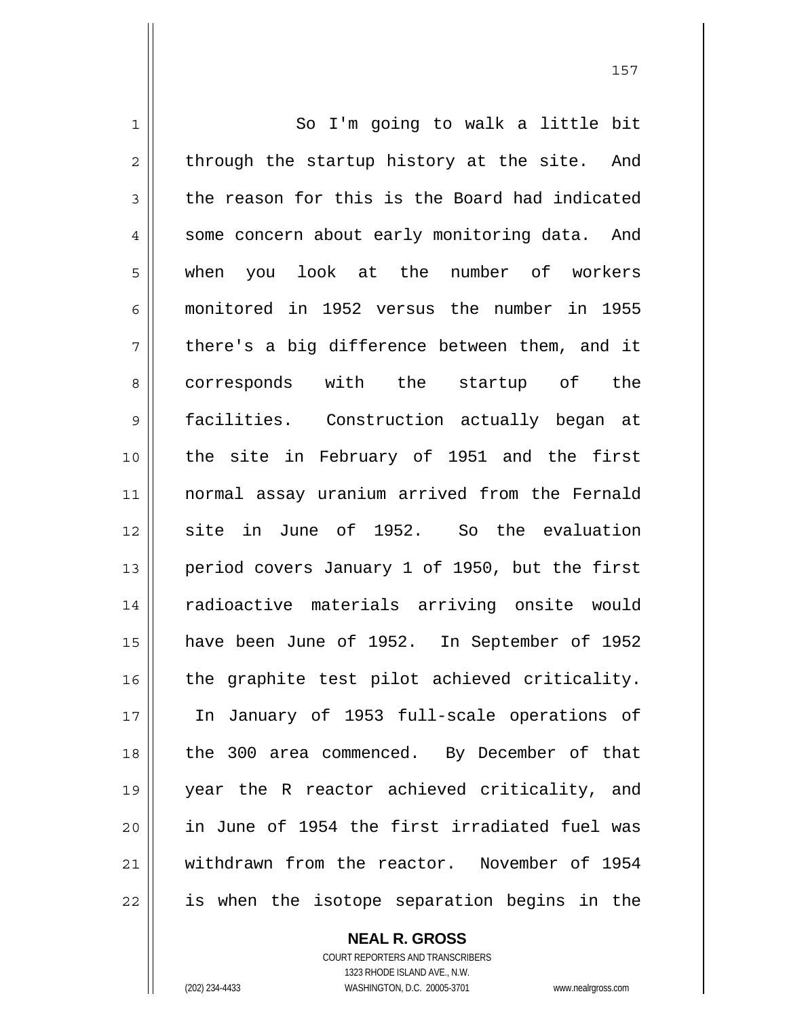1 2 3 4 5 6 7 8 9 10 11 12 13 14 15 16 17 18 19 20 21 22 So I'm going to walk a little bit through the startup history at the site. And the reason for this is the Board had indicated some concern about early monitoring data. And when you look at the number of workers monitored in 1952 versus the number in 1955 there's a big difference between them, and it corresponds with the startup of the facilities. Construction actually began at the site in February of 1951 and the first normal assay uranium arrived from the Fernald site in June of 1952. So the evaluation period covers January 1 of 1950, but the first radioactive materials arriving onsite would have been June of 1952. In September of 1952 the graphite test pilot achieved criticality. In January of 1953 full-scale operations of the 300 area commenced. By December of that year the R reactor achieved criticality, and in June of 1954 the first irradiated fuel was withdrawn from the reactor. November of 1954 is when the isotope separation begins in the

157

COURT REPORTERS AND TRANSCRIBERS 1323 RHODE ISLAND AVE., N.W. (202) 234-4433 WASHINGTON, D.C. 20005-3701 www.nealrgross.com

**NEAL R. GROSS**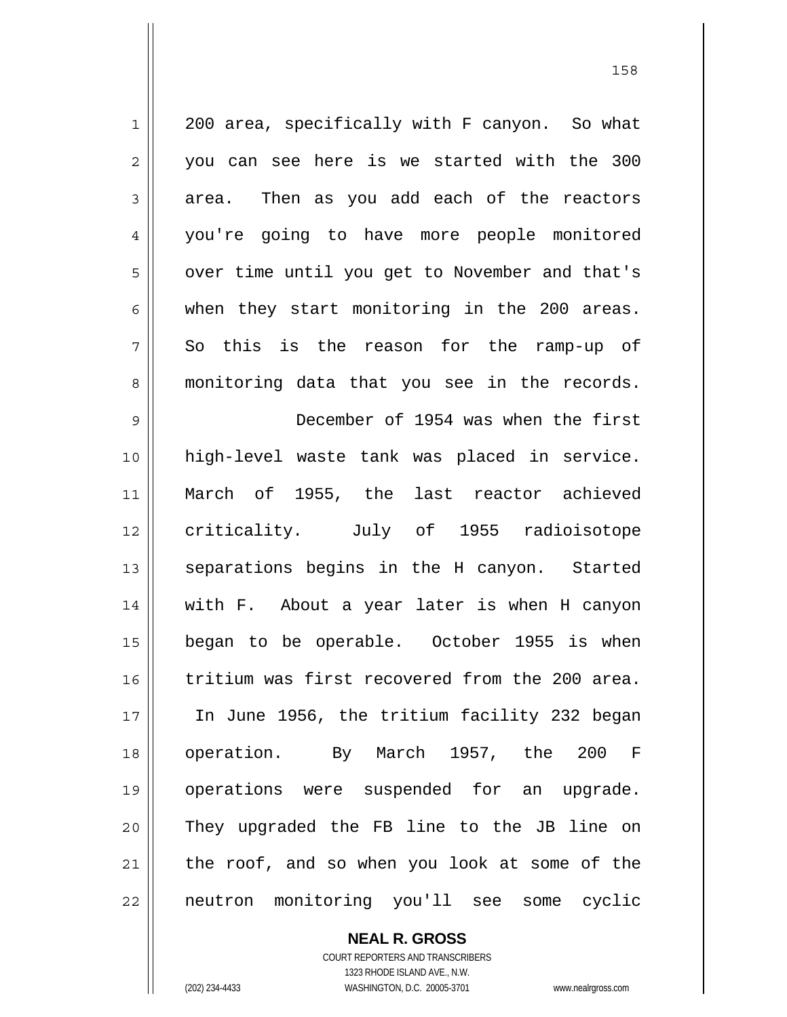1 2 3 4 5 6 7 8 9 10 11 12 13 14 15 16 17 18 19 20 21 22 200 area, specifically with F canyon. So what you can see here is we started with the 300 area. Then as you add each of the reactors you're going to have more people monitored over time until you get to November and that's when they start monitoring in the 200 areas. So this is the reason for the ramp-up of monitoring data that you see in the records. December of 1954 was when the first high-level waste tank was placed in service. March of 1955, the last reactor achieved criticality. July of 1955 radioisotope separations begins in the H canyon. Started with F. About a year later is when H canyon began to be operable. October 1955 is when tritium was first recovered from the 200 area. In June 1956, the tritium facility 232 began operation. By March 1957, the 200 F operations were suspended for an upgrade. They upgraded the FB line to the JB line on the roof, and so when you look at some of the neutron monitoring you'll see some cyclic

> **NEAL R. GROSS** COURT REPORTERS AND TRANSCRIBERS 1323 RHODE ISLAND AVE., N.W.

(202) 234-4433 WASHINGTON, D.C. 20005-3701 www.nealrgross.com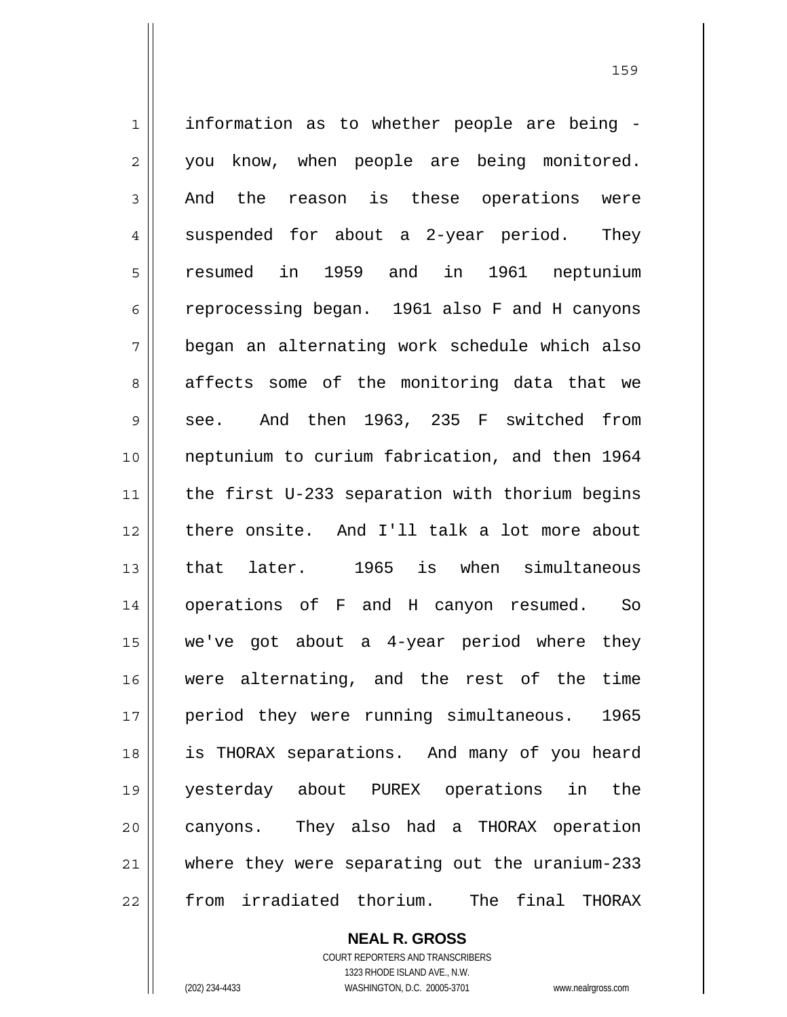1 2 3 4 5 6 7 8 9 10 11 12 13 14 15 16 17 18 19 20 21 22 information as to whether people are being you know, when people are being monitored. And the reason is these operations were suspended for about a 2-year period. They resumed in 1959 and in 1961 neptunium reprocessing began. 1961 also F and H canyons began an alternating work schedule which also affects some of the monitoring data that we see. And then 1963, 235 F switched from neptunium to curium fabrication, and then 1964 the first U-233 separation with thorium begins there onsite. And I'll talk a lot more about that later. 1965 is when simultaneous operations of F and H canyon resumed. So we've got about a 4-year period where they were alternating, and the rest of the time period they were running simultaneous. 1965 is THORAX separations. And many of you heard yesterday about PUREX operations in the canyons. They also had a THORAX operation where they were separating out the uranium-233 from irradiated thorium. The final THORAX

> **NEAL R. GROSS** COURT REPORTERS AND TRANSCRIBERS

> > 1323 RHODE ISLAND AVE., N.W.

(202) 234-4433 WASHINGTON, D.C. 20005-3701 www.nealrgross.com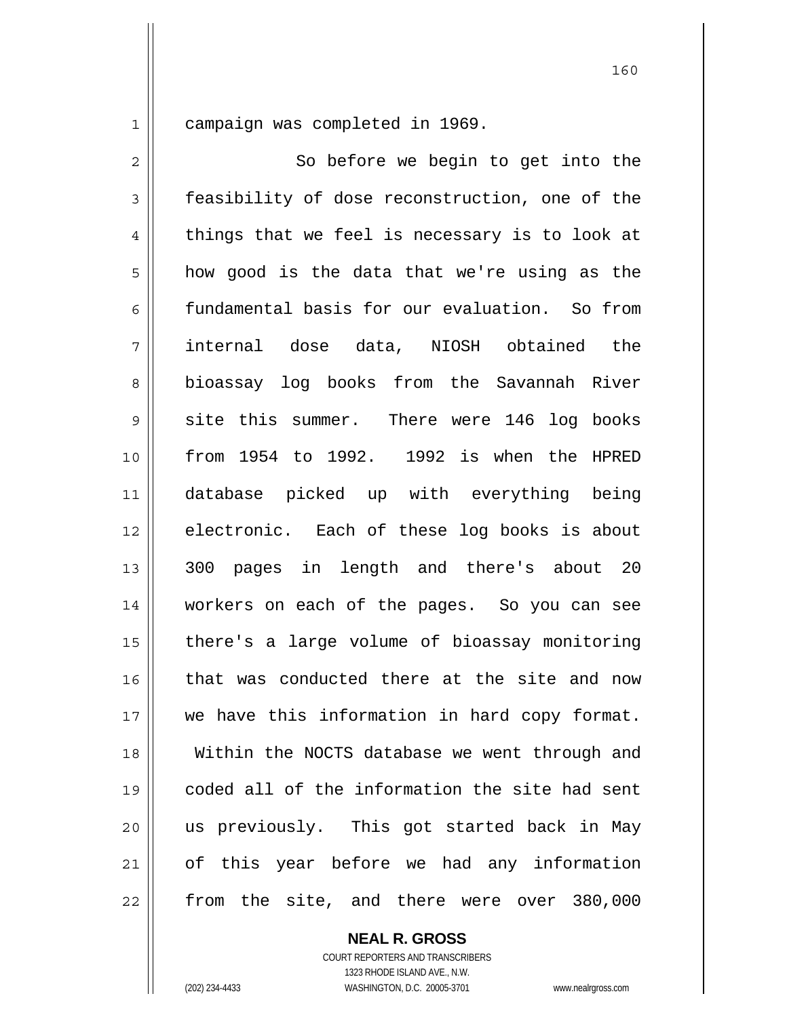1 campaign was completed in 1969.

2 3 4 5 6 7 8 9 10 11 12 13 14 15 16 17 18 19 20 21 22 So before we begin to get into the feasibility of dose reconstruction, one of the things that we feel is necessary is to look at how good is the data that we're using as the fundamental basis for our evaluation. So from internal dose data, NIOSH obtained the bioassay log books from the Savannah River site this summer. There were 146 log books from 1954 to 1992. 1992 is when the HPRED database picked up with everything being electronic. Each of these log books is about 300 pages in length and there's about 20 workers on each of the pages. So you can see there's a large volume of bioassay monitoring that was conducted there at the site and now we have this information in hard copy format. Within the NOCTS database we went through and coded all of the information the site had sent us previously. This got started back in May of this year before we had any information from the site, and there were over 380,000

> **NEAL R. GROSS** COURT REPORTERS AND TRANSCRIBERS

1323 RHODE ISLAND AVE., N.W. (202) 234-4433 WASHINGTON, D.C. 20005-3701 www.nealrgross.com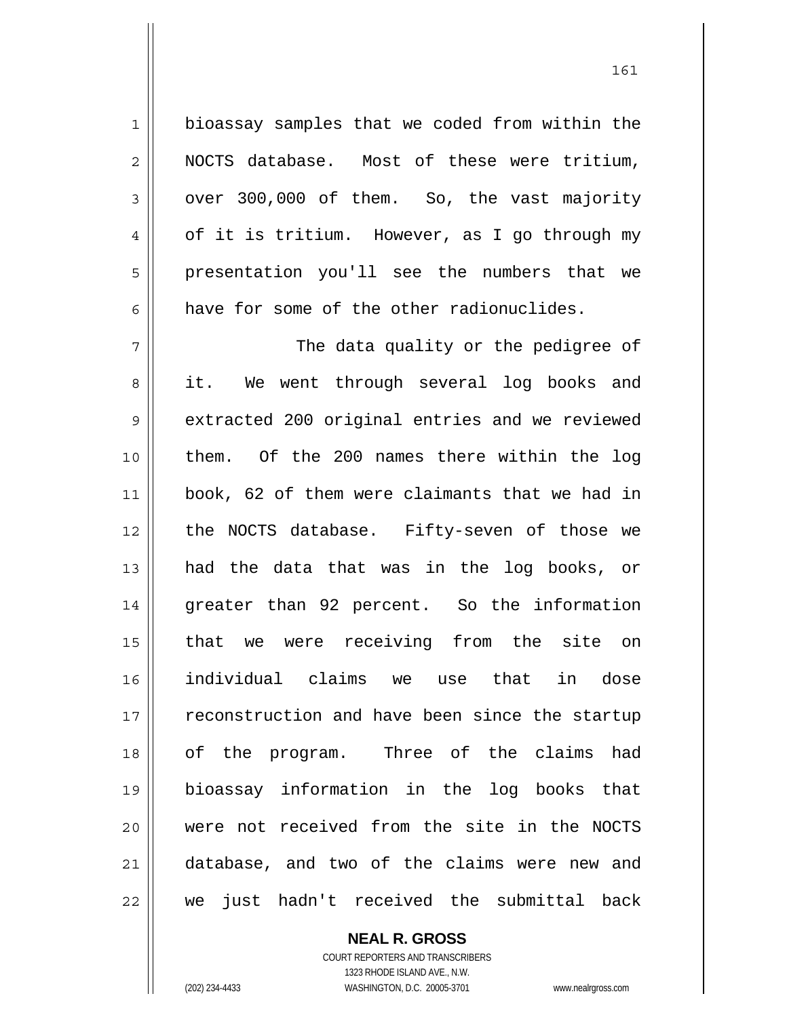1 2 3 4 5 6 7 8 9 10 11 12 13 14 15 16 17 18 19 20 21 22 bioassay samples that we coded from within the NOCTS database. Most of these were tritium, over 300,000 of them. So, the vast majority of it is tritium. However, as I go through my presentation you'll see the numbers that we have for some of the other radionuclides. The data quality or the pedigree of it. We went through several log books and extracted 200 original entries and we reviewed them. Of the 200 names there within the log book, 62 of them were claimants that we had in the NOCTS database. Fifty-seven of those we had the data that was in the log books, or greater than 92 percent. So the information that we were receiving from the site on individual claims we use that in dose reconstruction and have been since the startup of the program. Three of the claims had bioassay information in the log books that were not received from the site in the NOCTS database, and two of the claims were new and we just hadn't received the submittal back

> **NEAL R. GROSS** COURT REPORTERS AND TRANSCRIBERS

> > 1323 RHODE ISLAND AVE., N.W.

(202) 234-4433 WASHINGTON, D.C. 20005-3701 www.nealrgross.com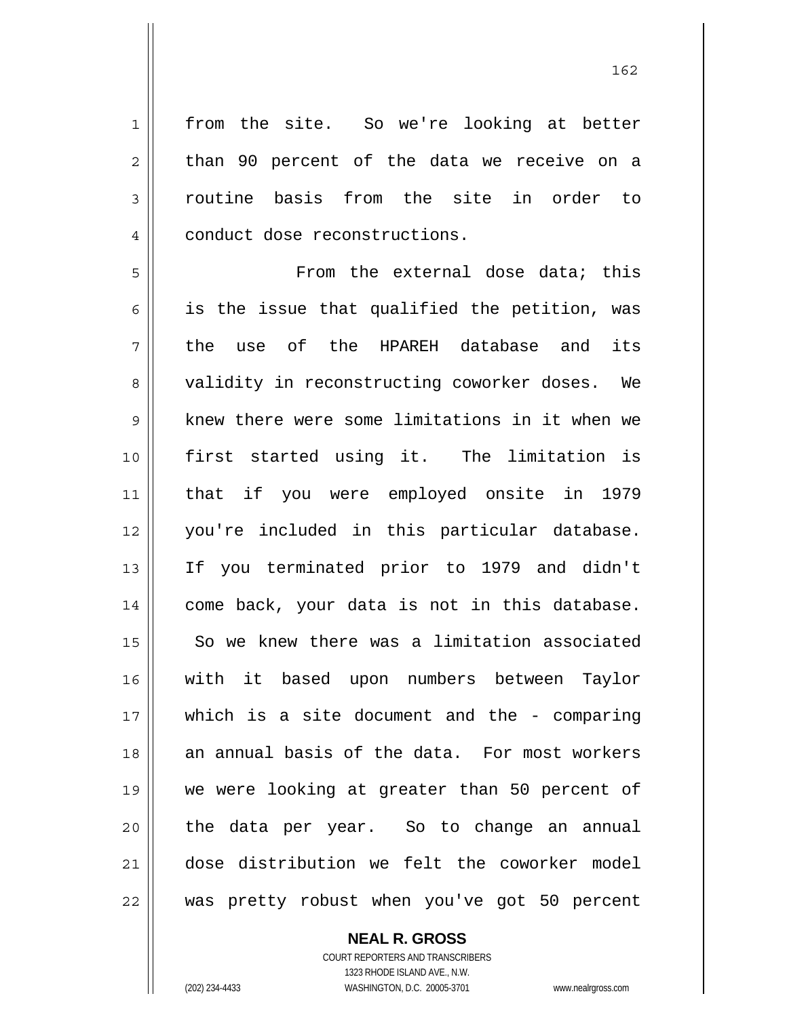from the site. So we're looking at better than 90 percent of the data we receive on a routine basis from the site in order to conduct dose reconstructions.

5 6 7 8 9 10 11 12 13 14 15 16 17 18 19 20 21 22 From the external dose data; this is the issue that qualified the petition, was the use of the HPAREH database and its validity in reconstructing coworker doses. We knew there were some limitations in it when we first started using it. The limitation is that if you were employed onsite in 1979 you're included in this particular database. If you terminated prior to 1979 and didn't come back, your data is not in this database. So we knew there was a limitation associated with it based upon numbers between Taylor which is a site document and the - comparing an annual basis of the data. For most workers we were looking at greater than 50 percent of the data per year. So to change an annual dose distribution we felt the coworker model was pretty robust when you've got 50 percent

> **NEAL R. GROSS** COURT REPORTERS AND TRANSCRIBERS 1323 RHODE ISLAND AVE., N.W.

1

2

3

4

(202) 234-4433 WASHINGTON, D.C. 20005-3701 www.nealrgross.com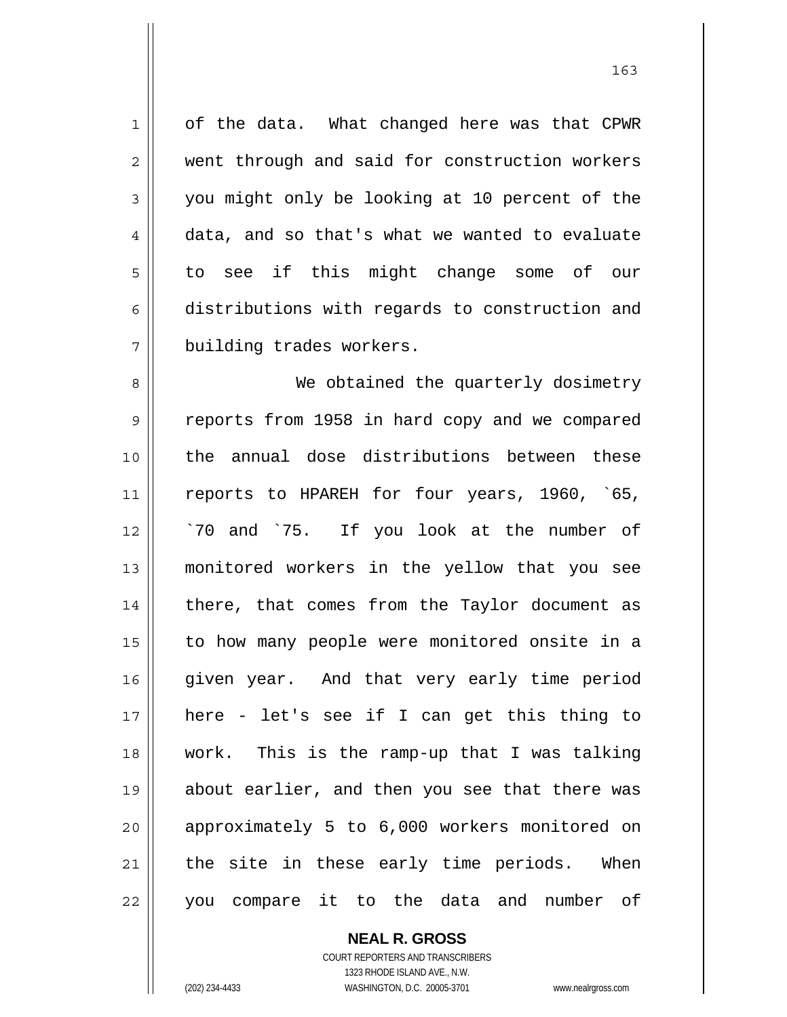1 7 of the data. What changed here was that CPWR went through and said for construction workers you might only be looking at 10 percent of the data, and so that's what we wanted to evaluate to see if this might change some of our distributions with regards to construction and building trades workers.

8 9 10 11 12 13 14 15 16 17 18 19 20 21 22 We obtained the quarterly dosimetry reports from 1958 in hard copy and we compared the annual dose distributions between these reports to HPAREH for four years, 1960, `65, `70 and `75. If you look at the number of monitored workers in the yellow that you see there, that comes from the Taylor document as to how many people were monitored onsite in a given year. And that very early time period here - let's see if I can get this thing to work. This is the ramp-up that I was talking about earlier, and then you see that there was approximately 5 to 6,000 workers monitored on the site in these early time periods. When you compare it to the data and number of

> **NEAL R. GROSS** COURT REPORTERS AND TRANSCRIBERS 1323 RHODE ISLAND AVE., N.W. (202) 234-4433 WASHINGTON, D.C. 20005-3701 www.nealrgross.com

2

3

4

5

6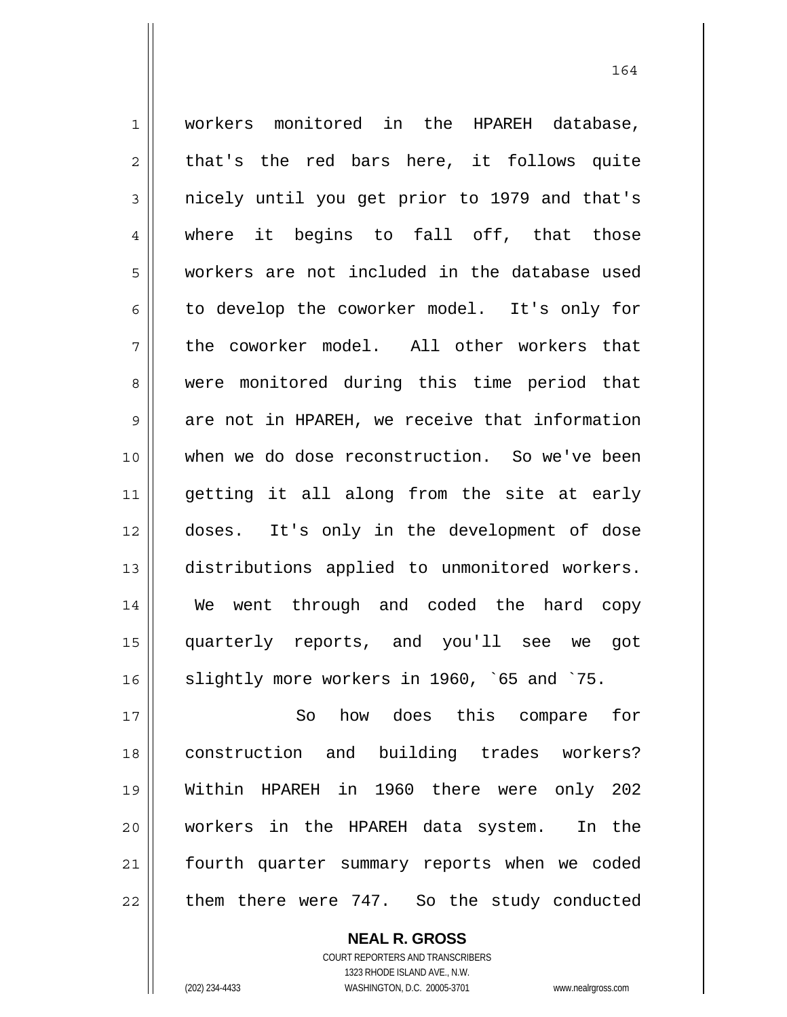1 2 3 4 5 6 7 8 9 10 11 12 13 14 15 16 17 workers monitored in the HPAREH database, that's the red bars here, it follows quite nicely until you get prior to 1979 and that's where it begins to fall off, that those workers are not included in the database used to develop the coworker model. It's only for the coworker model. All other workers that were monitored during this time period that are not in HPAREH, we receive that information when we do dose reconstruction. So we've been getting it all along from the site at early doses. It's only in the development of dose distributions applied to unmonitored workers. We went through and coded the hard copy quarterly reports, and you'll see we got slightly more workers in 1960, `65 and `75. So how does this compare for

18 19 20 21 22 construction and building trades workers? Within HPAREH in 1960 there were only 202 workers in the HPAREH data system. In the fourth quarter summary reports when we coded them there were 747. So the study conducted

> **NEAL R. GROSS** COURT REPORTERS AND TRANSCRIBERS 1323 RHODE ISLAND AVE., N.W. (202) 234-4433 WASHINGTON, D.C. 20005-3701 www.nealrgross.com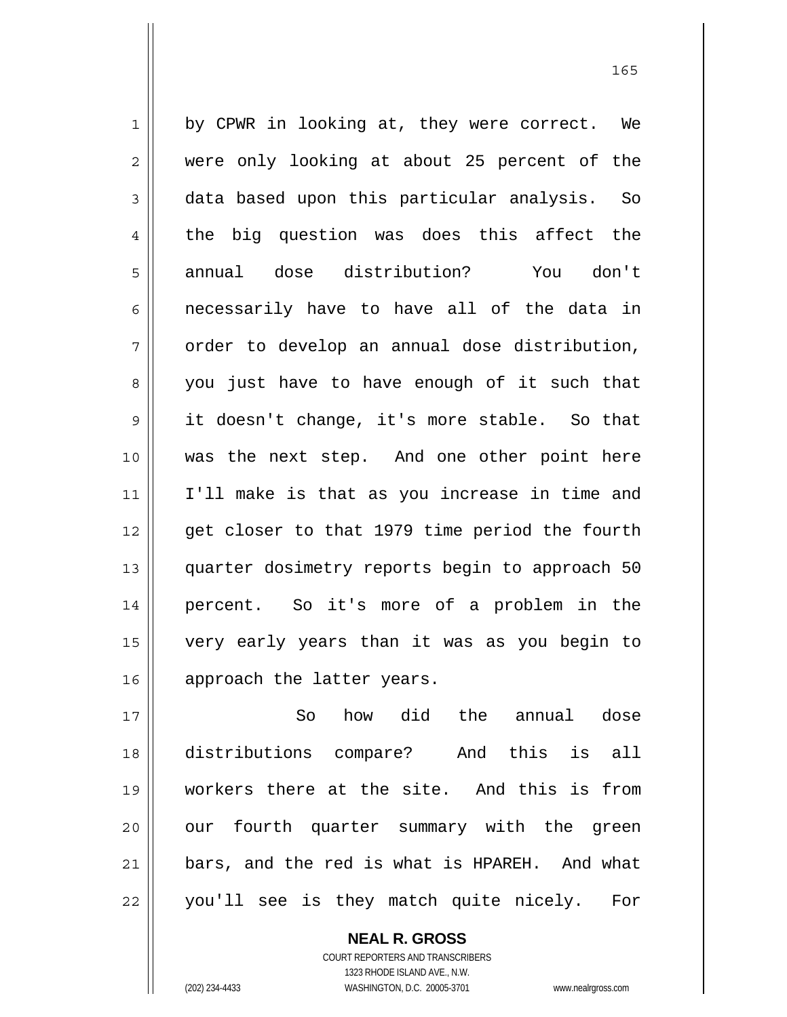1 2 3 4 5 6 7 8 9 10 11 12 13 14 15 16 by CPWR in looking at, they were correct. We were only looking at about 25 percent of the data based upon this particular analysis. So the big question was does this affect the annual dose distribution? You don't necessarily have to have all of the data in order to develop an annual dose distribution, you just have to have enough of it such that it doesn't change, it's more stable. So that was the next step. And one other point here I'll make is that as you increase in time and get closer to that 1979 time period the fourth quarter dosimetry reports begin to approach 50 percent. So it's more of a problem in the very early years than it was as you begin to approach the latter years.

17 18 19 20 21 22 So how did the annual dose distributions compare? And this is all workers there at the site. And this is from our fourth quarter summary with the green bars, and the red is what is HPAREH. And what you'll see is they match quite nicely. For

> COURT REPORTERS AND TRANSCRIBERS 1323 RHODE ISLAND AVE., N.W. (202) 234-4433 WASHINGTON, D.C. 20005-3701 www.nealrgross.com

**NEAL R. GROSS**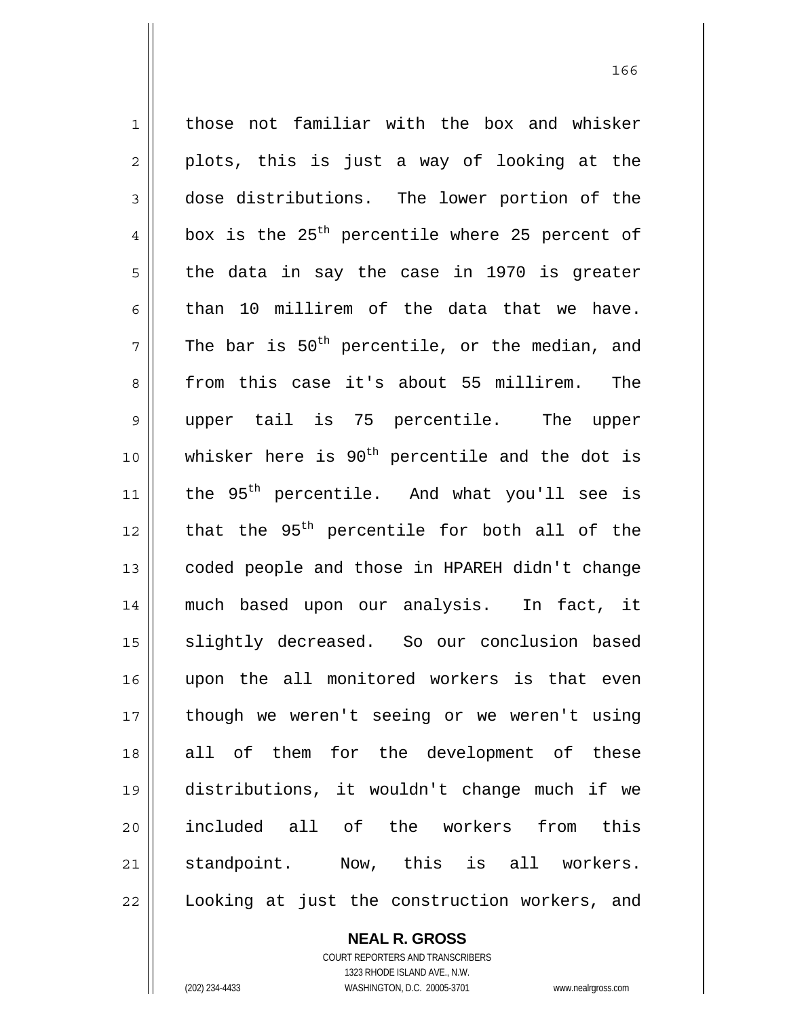1 2 3 4 5 6 7 8 9 10 11 12 13 14 15 16 17 18 19 20 21 22 those not familiar with the box and whisker plots, this is just a way of looking at the dose distributions. The lower portion of the box is the  $25<sup>th</sup>$  percentile where 25 percent of the data in say the case in 1970 is greater than 10 millirem of the data that we have. The bar is  $50<sup>th</sup>$  percentile, or the median, and from this case it's about 55 millirem. The upper tail is 75 percentile. The upper whisker here is  $90<sup>th</sup>$  percentile and the dot is the  $95<sup>th</sup>$  percentile. And what you'll see is that the 95<sup>th</sup> percentile for both all of the coded people and those in HPAREH didn't change much based upon our analysis. In fact, it slightly decreased. So our conclusion based upon the all monitored workers is that even though we weren't seeing or we weren't using all of them for the development of these distributions, it wouldn't change much if we included all of the workers from this standpoint. Now, this is all workers. Looking at just the construction workers, and

**NEAL R. GROSS**

COURT REPORTERS AND TRANSCRIBERS 1323 RHODE ISLAND AVE., N.W. (202) 234-4433 WASHINGTON, D.C. 20005-3701 www.nealrgross.com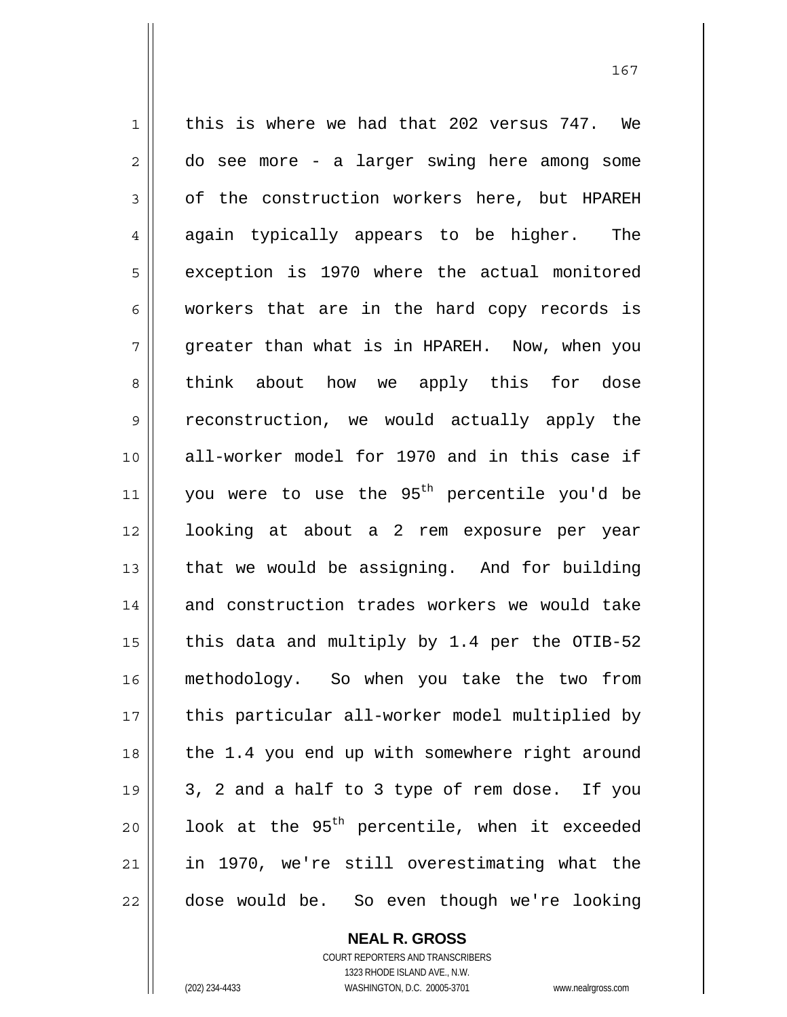1 2 3 4 5 6 7 8 9 10 11 12 13 14 15 16 17 18 19 20 21 22 this is where we had that 202 versus 747. We do see more - a larger swing here among some of the construction workers here, but HPAREH again typically appears to be higher. The exception is 1970 where the actual monitored workers that are in the hard copy records is greater than what is in HPAREH. Now, when you think about how we apply this for dose reconstruction, we would actually apply the all-worker model for 1970 and in this case if you were to use the 95<sup>th</sup> percentile you'd be looking at about a 2 rem exposure per year that we would be assigning. And for building and construction trades workers we would take this data and multiply by 1.4 per the OTIB-52 methodology. So when you take the two from this particular all-worker model multiplied by the 1.4 you end up with somewhere right around 3, 2 and a half to 3 type of rem dose. If you look at the  $95<sup>th</sup>$  percentile, when it exceeded in 1970, we're still overestimating what the dose would be. So even though we're looking

> **NEAL R. GROSS** COURT REPORTERS AND TRANSCRIBERS

> > 1323 RHODE ISLAND AVE., N.W.

(202) 234-4433 WASHINGTON, D.C. 20005-3701 www.nealrgross.com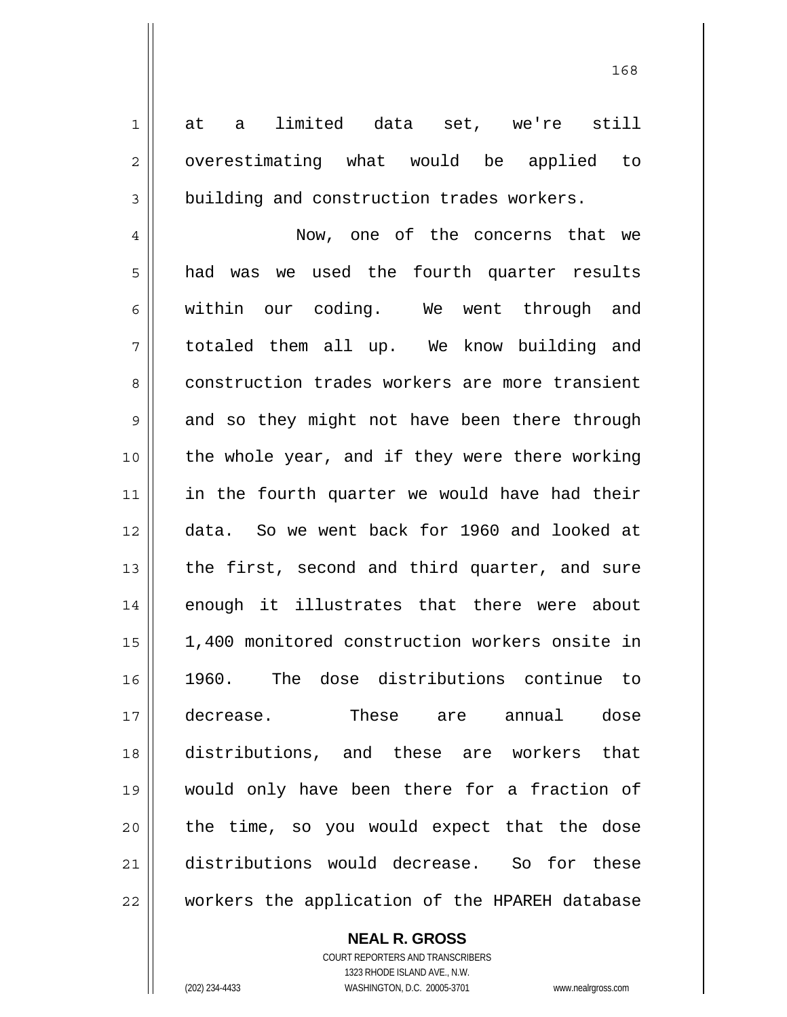at a limited data set, we're still overestimating what would be applied to building and construction trades workers.

4 5 6 7 8 9 10 11 12 13 14 15 16 17 18 19 20 21 22 Now, one of the concerns that we had was we used the fourth quarter results within our coding. We went through and totaled them all up. We know building and construction trades workers are more transient and so they might not have been there through the whole year, and if they were there working in the fourth quarter we would have had their data. So we went back for 1960 and looked at the first, second and third quarter, and sure enough it illustrates that there were about 1,400 monitored construction workers onsite in 1960. The dose distributions continue to decrease. These are annual dose distributions, and these are workers that would only have been there for a fraction of the time, so you would expect that the dose distributions would decrease. So for these workers the application of the HPAREH database

**NEAL R. GROSS**

COURT REPORTERS AND TRANSCRIBERS 1323 RHODE ISLAND AVE., N.W. (202) 234-4433 WASHINGTON, D.C. 20005-3701 www.nealrgross.com

1

2

3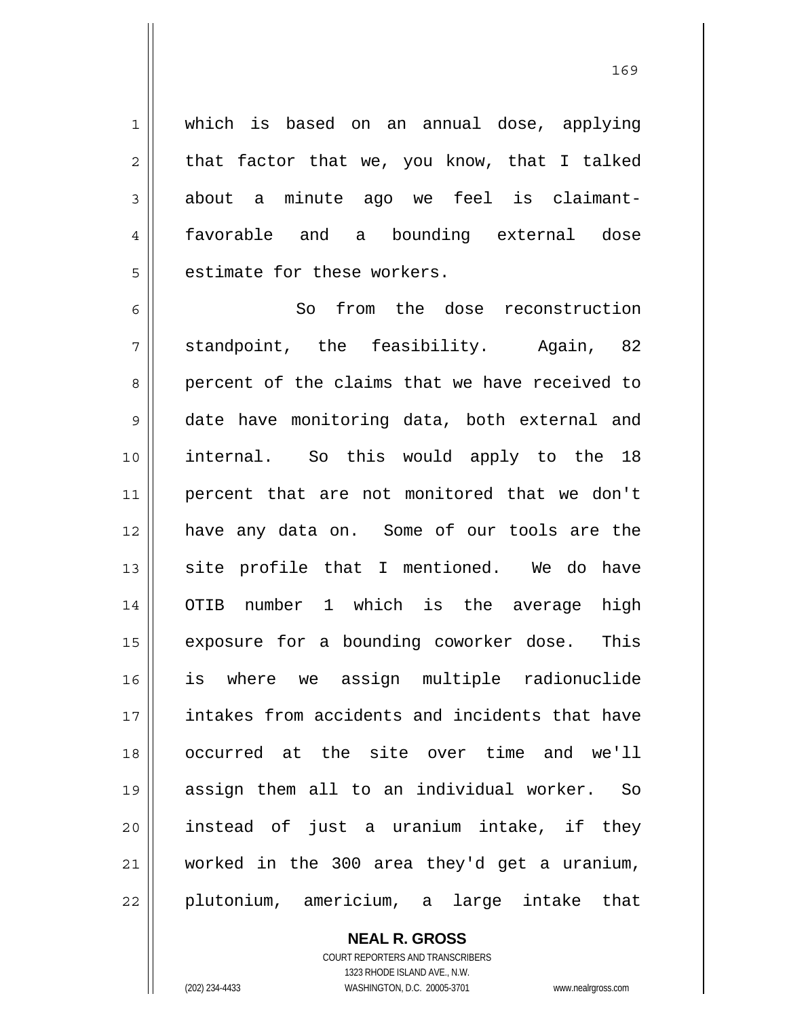which is based on an annual dose, applying that factor that we, you know, that I talked about a minute ago we feel is claimantfavorable and a bounding external dose estimate for these workers.

6 7 8 9 10 11 12 13 14 15 16 17 18 19 20 21 22 So from the dose reconstruction standpoint, the feasibility. Again, 82 percent of the claims that we have received to date have monitoring data, both external and internal. So this would apply to the 18 percent that are not monitored that we don't have any data on. Some of our tools are the site profile that I mentioned. We do have OTIB number 1 which is the average high exposure for a bounding coworker dose. This is where we assign multiple radionuclide intakes from accidents and incidents that have occurred at the site over time and we'll assign them all to an individual worker. So instead of just a uranium intake, if they worked in the 300 area they'd get a uranium, plutonium, americium, a large intake that

> **NEAL R. GROSS** COURT REPORTERS AND TRANSCRIBERS 1323 RHODE ISLAND AVE., N.W. (202) 234-4433 WASHINGTON, D.C. 20005-3701 www.nealrgross.com

1

2

3

4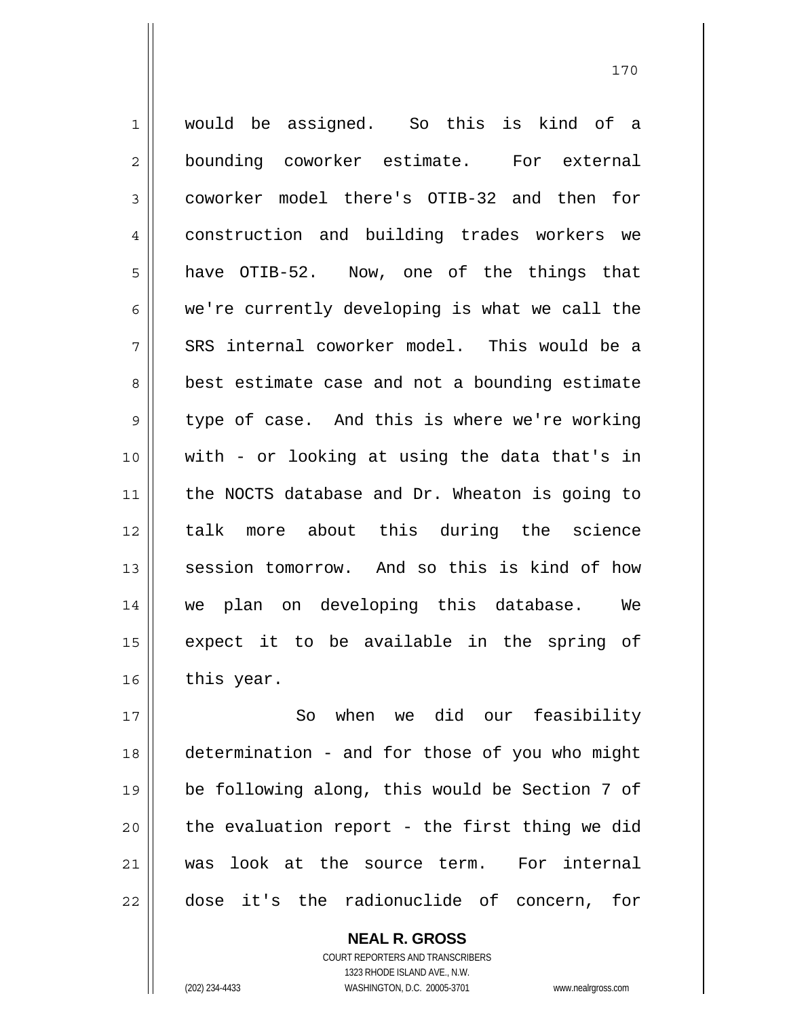1 2 3 4 5 6 7 8 9 10 11 12 13 14 15 16 would be assigned. So this is kind of a bounding coworker estimate. For external coworker model there's OTIB-32 and then for construction and building trades workers we have OTIB-52. Now, one of the things that we're currently developing is what we call the SRS internal coworker model. This would be a best estimate case and not a bounding estimate type of case. And this is where we're working with - or looking at using the data that's in the NOCTS database and Dr. Wheaton is going to talk more about this during the science session tomorrow. And so this is kind of how we plan on developing this database. We expect it to be available in the spring of this year.

17 18 19 20 21 22 So when we did our feasibility determination - and for those of you who might be following along, this would be Section 7 of the evaluation report - the first thing we did was look at the source term. For internal dose it's the radionuclide of concern, for

> COURT REPORTERS AND TRANSCRIBERS 1323 RHODE ISLAND AVE., N.W. (202) 234-4433 WASHINGTON, D.C. 20005-3701 www.nealrgross.com

**NEAL R. GROSS**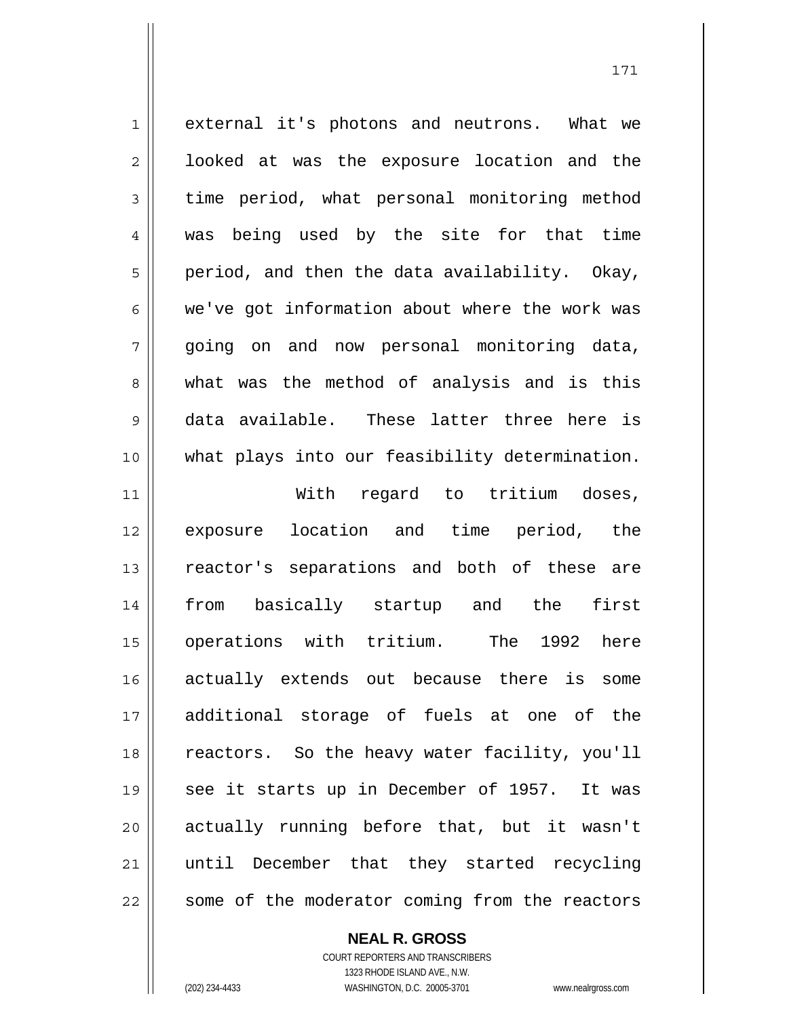1 2 3 4 5 6 7 8 9 10 11 12 13 14 15 16 17 external it's photons and neutrons. What we looked at was the exposure location and the time period, what personal monitoring method was being used by the site for that time period, and then the data availability. Okay, we've got information about where the work was going on and now personal monitoring data, what was the method of analysis and is this data available. These latter three here is what plays into our feasibility determination. With regard to tritium doses, exposure location and time period, the reactor's separations and both of these are from basically startup and the first operations with tritium. The 1992 here actually extends out because there is some additional storage of fuels at one of the

18 19 20 21 22 reactors. So the heavy water facility, you'll see it starts up in December of 1957. It was actually running before that, but it wasn't until December that they started recycling some of the moderator coming from the reactors

**NEAL R. GROSS**

COURT REPORTERS AND TRANSCRIBERS 1323 RHODE ISLAND AVE., N.W. (202) 234-4433 WASHINGTON, D.C. 20005-3701 www.nealrgross.com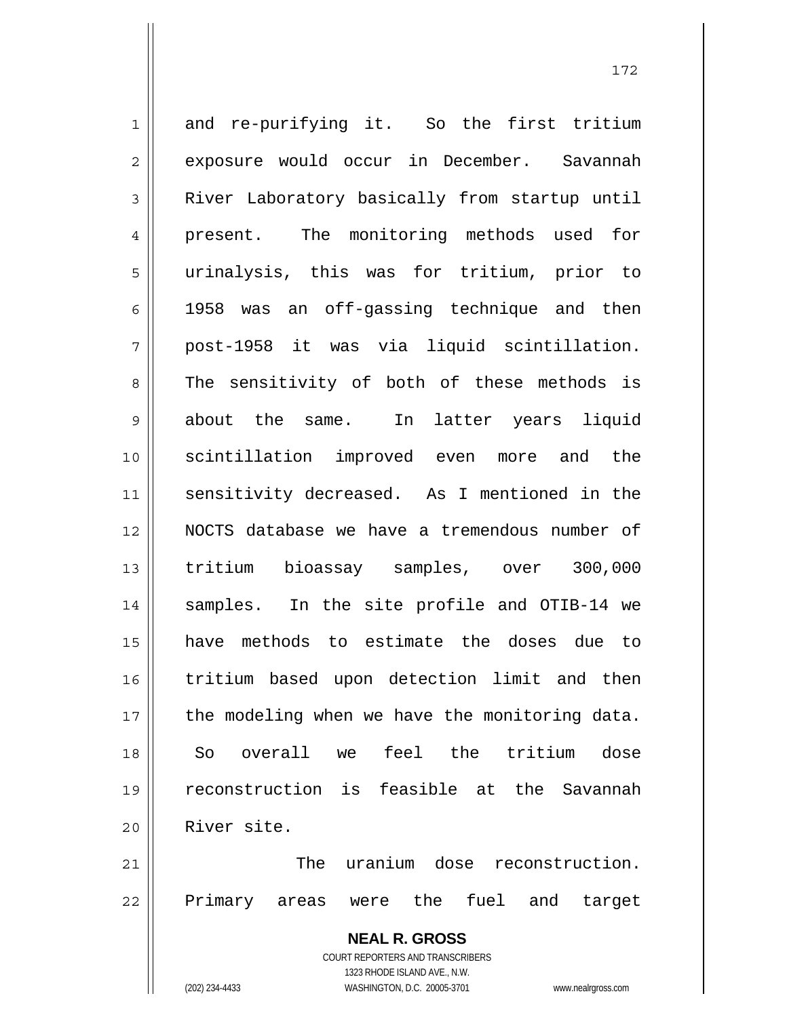1 2 3 4 5 6 7 8 9 10 11 12 13 14 15 16 17 18 19 20 21 and re-purifying it. So the first tritium exposure would occur in December. Savannah River Laboratory basically from startup until present. The monitoring methods used for urinalysis, this was for tritium, prior to 1958 was an off-gassing technique and then post-1958 it was via liquid scintillation. The sensitivity of both of these methods is about the same. In latter years liquid scintillation improved even more and the sensitivity decreased. As I mentioned in the NOCTS database we have a tremendous number of tritium bioassay samples, over 300,000 samples. In the site profile and OTIB-14 we have methods to estimate the doses due to tritium based upon detection limit and then the modeling when we have the monitoring data. So overall we feel the tritium dose reconstruction is feasible at the Savannah River site. The uranium dose reconstruction.

172

22

Primary areas were the fuel and target

**NEAL R. GROSS** COURT REPORTERS AND TRANSCRIBERS 1323 RHODE ISLAND AVE., N.W. (202) 234-4433 WASHINGTON, D.C. 20005-3701 www.nealrgross.com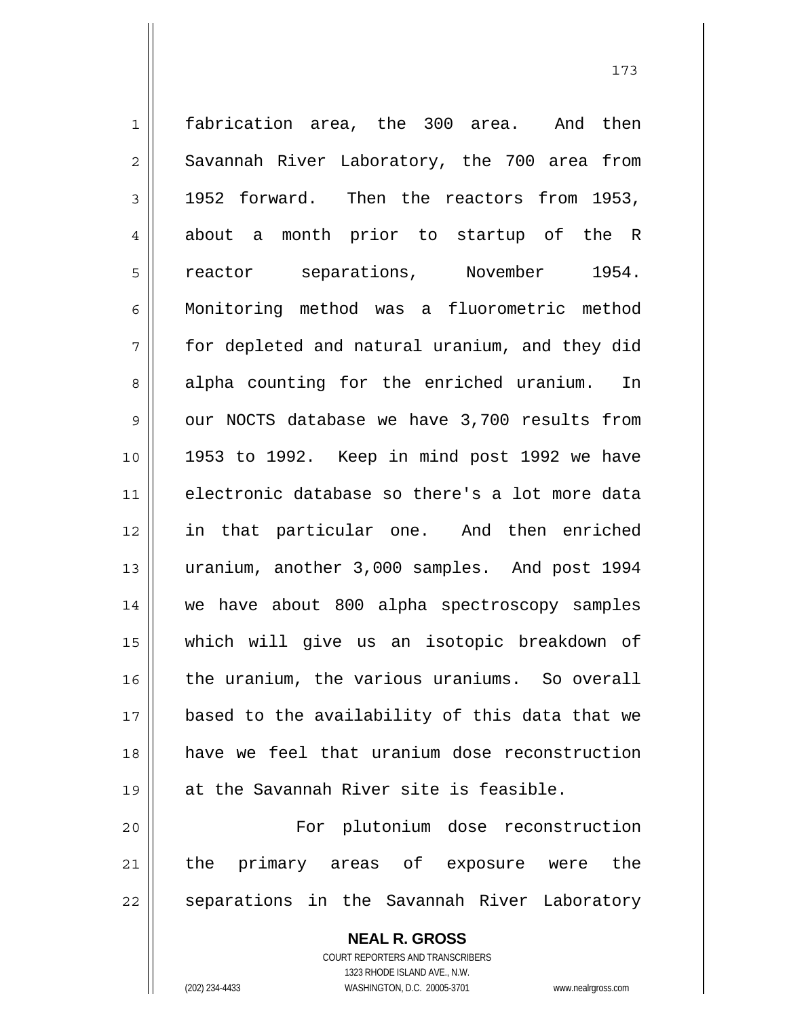1 2 3 4 5 6 7 8 9 10 11 12 13 14 15 16 17 18 19 20 21 22 fabrication area, the 300 area. And then Savannah River Laboratory, the 700 area from 1952 forward. Then the reactors from 1953, about a month prior to startup of the R reactor separations, November 1954. Monitoring method was a fluorometric method for depleted and natural uranium, and they did alpha counting for the enriched uranium. In our NOCTS database we have 3,700 results from 1953 to 1992. Keep in mind post 1992 we have electronic database so there's a lot more data in that particular one. And then enriched uranium, another 3,000 samples. And post 1994 we have about 800 alpha spectroscopy samples which will give us an isotopic breakdown of the uranium, the various uraniums. So overall based to the availability of this data that we have we feel that uranium dose reconstruction at the Savannah River site is feasible. For plutonium dose reconstruction the primary areas of exposure were the separations in the Savannah River Laboratory

173

**NEAL R. GROSS** COURT REPORTERS AND TRANSCRIBERS 1323 RHODE ISLAND AVE., N.W. (202) 234-4433 WASHINGTON, D.C. 20005-3701 www.nealrgross.com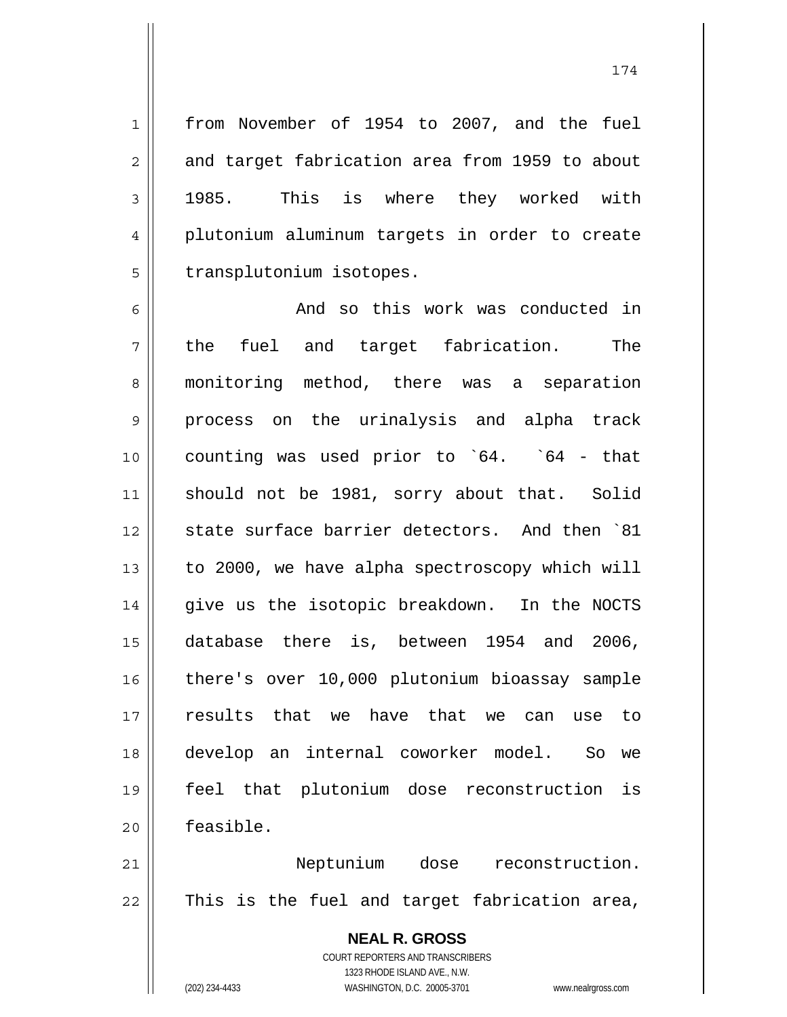174

from November of 1954 to 2007, and the fuel and target fabrication area from 1959 to about 1985. This is where they worked with plutonium aluminum targets in order to create transplutonium isotopes.

6 7 8 9 10 11 12 13 14 15 16 17 18 19 20 And so this work was conducted in the fuel and target fabrication. The monitoring method, there was a separation process on the urinalysis and alpha track counting was used prior to `64. `64 - that should not be 1981, sorry about that. Solid state surface barrier detectors. And then `81 to 2000, we have alpha spectroscopy which will give us the isotopic breakdown. In the NOCTS database there is, between 1954 and 2006, there's over 10,000 plutonium bioassay sample results that we have that we can use to develop an internal coworker model. So we feel that plutonium dose reconstruction is feasible.

21 22 Neptunium dose reconstruction. This is the fuel and target fabrication area,

> **NEAL R. GROSS** COURT REPORTERS AND TRANSCRIBERS 1323 RHODE ISLAND AVE., N.W. (202) 234-4433 WASHINGTON, D.C. 20005-3701 www.nealrgross.com

1

2

3

4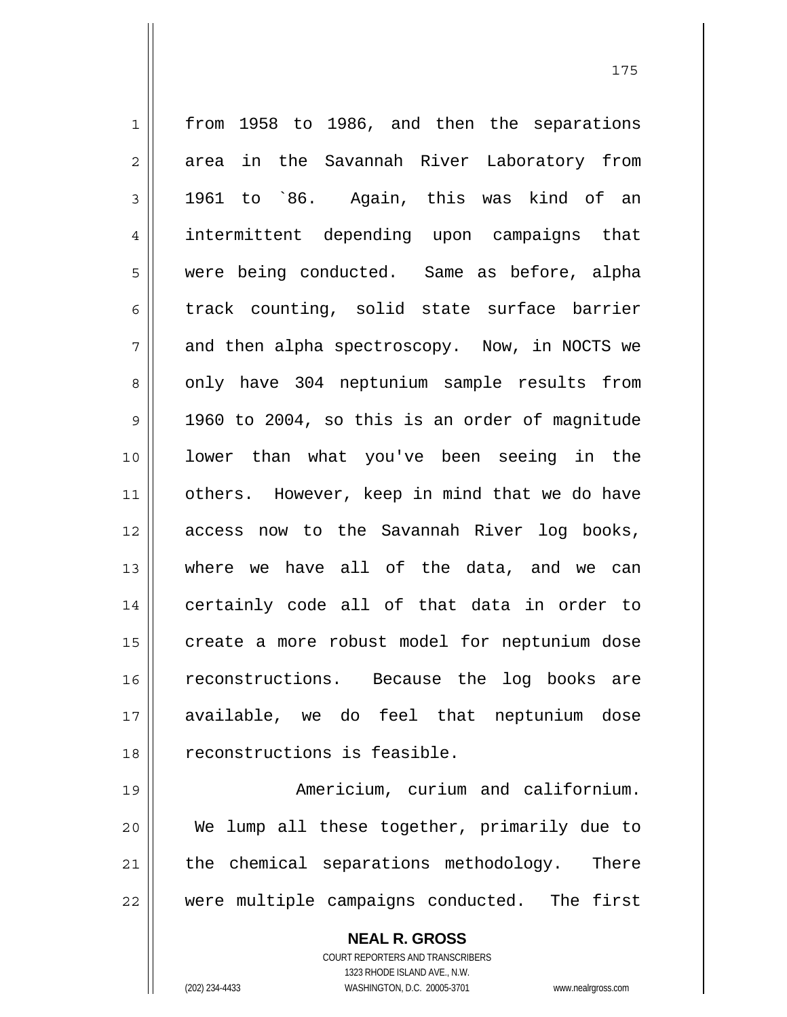1 2 3 4 5 6 7 8 9 10 11 12 13 14 15 16 17 18 from 1958 to 1986, and then the separations area in the Savannah River Laboratory from 1961 to `86. Again, this was kind of an intermittent depending upon campaigns that were being conducted. Same as before, alpha track counting, solid state surface barrier and then alpha spectroscopy. Now, in NOCTS we only have 304 neptunium sample results from 1960 to 2004, so this is an order of magnitude lower than what you've been seeing in the others. However, keep in mind that we do have access now to the Savannah River log books, where we have all of the data, and we can certainly code all of that data in order to create a more robust model for neptunium dose reconstructions. Because the log books are available, we do feel that neptunium dose reconstructions is feasible.

19 20 21 22 Americium, curium and californium. We lump all these together, primarily due to the chemical separations methodology. There were multiple campaigns conducted. The first

> **NEAL R. GROSS** COURT REPORTERS AND TRANSCRIBERS 1323 RHODE ISLAND AVE., N.W. (202) 234-4433 WASHINGTON, D.C. 20005-3701 www.nealrgross.com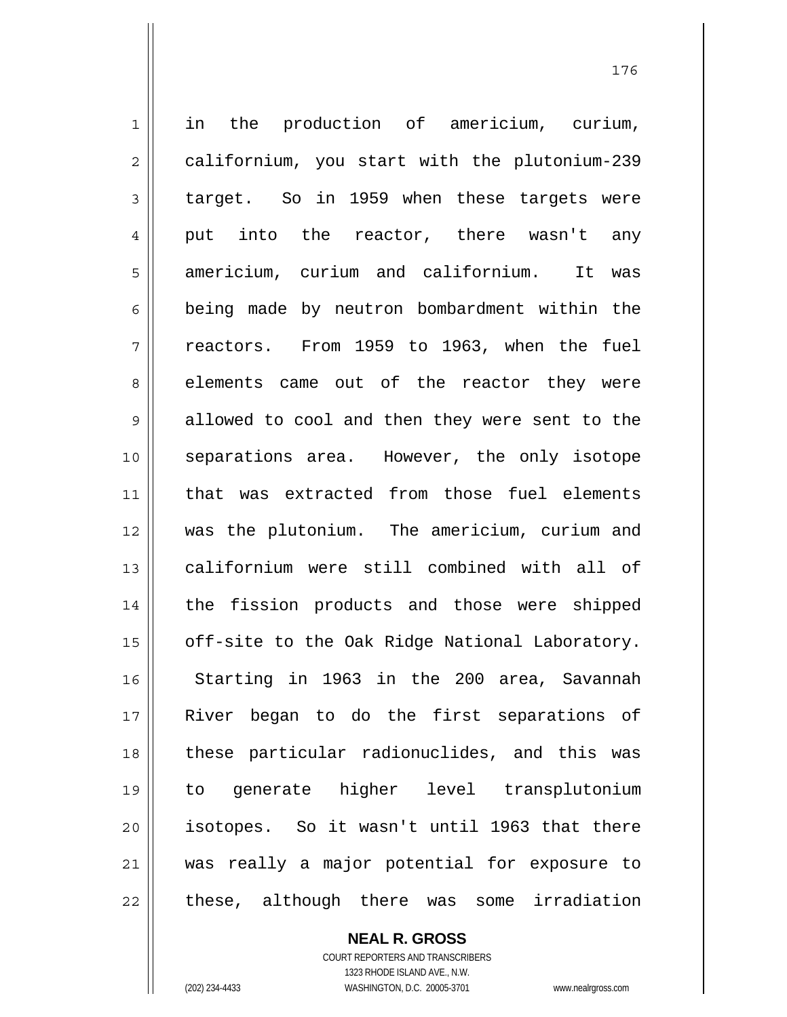1 2 3 4 5 6 7 8 9 10 11 12 13 14 15 16 17 18 19 20 21 22 in the production of americium, curium, californium, you start with the plutonium-239 target. So in 1959 when these targets were put into the reactor, there wasn't any americium, curium and californium. It was being made by neutron bombardment within the reactors. From 1959 to 1963, when the fuel elements came out of the reactor they were allowed to cool and then they were sent to the separations area. However, the only isotope that was extracted from those fuel elements was the plutonium. The americium, curium and californium were still combined with all of the fission products and those were shipped off-site to the Oak Ridge National Laboratory. Starting in 1963 in the 200 area, Savannah River began to do the first separations of these particular radionuclides, and this was to generate higher level transplutonium isotopes. So it wasn't until 1963 that there was really a major potential for exposure to these, although there was some irradiation

> **NEAL R. GROSS** COURT REPORTERS AND TRANSCRIBERS 1323 RHODE ISLAND AVE., N.W. (202) 234-4433 WASHINGTON, D.C. 20005-3701 www.nealrgross.com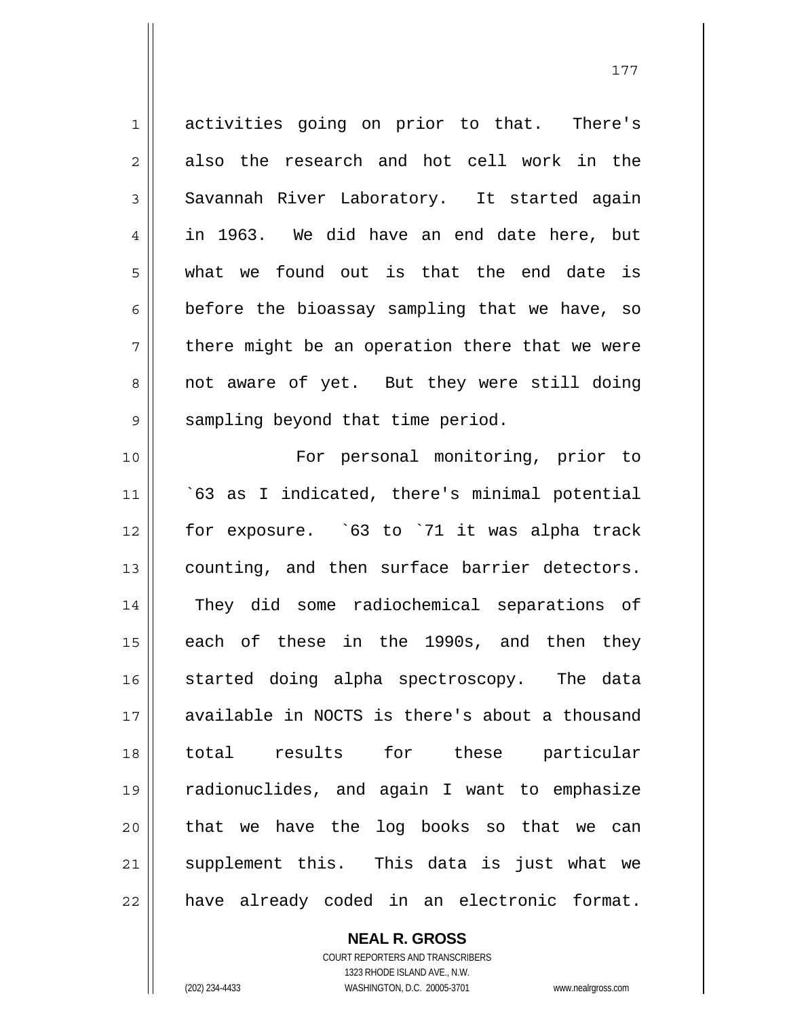1 2 3 4 5 6 7 8 9 10 11 12 13 14 activities going on prior to that. There's also the research and hot cell work in the Savannah River Laboratory. It started again in 1963. We did have an end date here, but what we found out is that the end date is before the bioassay sampling that we have, so there might be an operation there that we were not aware of yet. But they were still doing sampling beyond that time period. For personal monitoring, prior to `63 as I indicated, there's minimal potential for exposure. `63 to `71 it was alpha track counting, and then surface barrier detectors. They did some radiochemical separations of

15 16 17 18 19 20 21 22 each of these in the 1990s, and then they started doing alpha spectroscopy. The data available in NOCTS is there's about a thousand total results for these particular radionuclides, and again I want to emphasize that we have the log books so that we can supplement this. This data is just what we have already coded in an electronic format.

> COURT REPORTERS AND TRANSCRIBERS 1323 RHODE ISLAND AVE., N.W. (202) 234-4433 WASHINGTON, D.C. 20005-3701 www.nealrgross.com

**NEAL R. GROSS**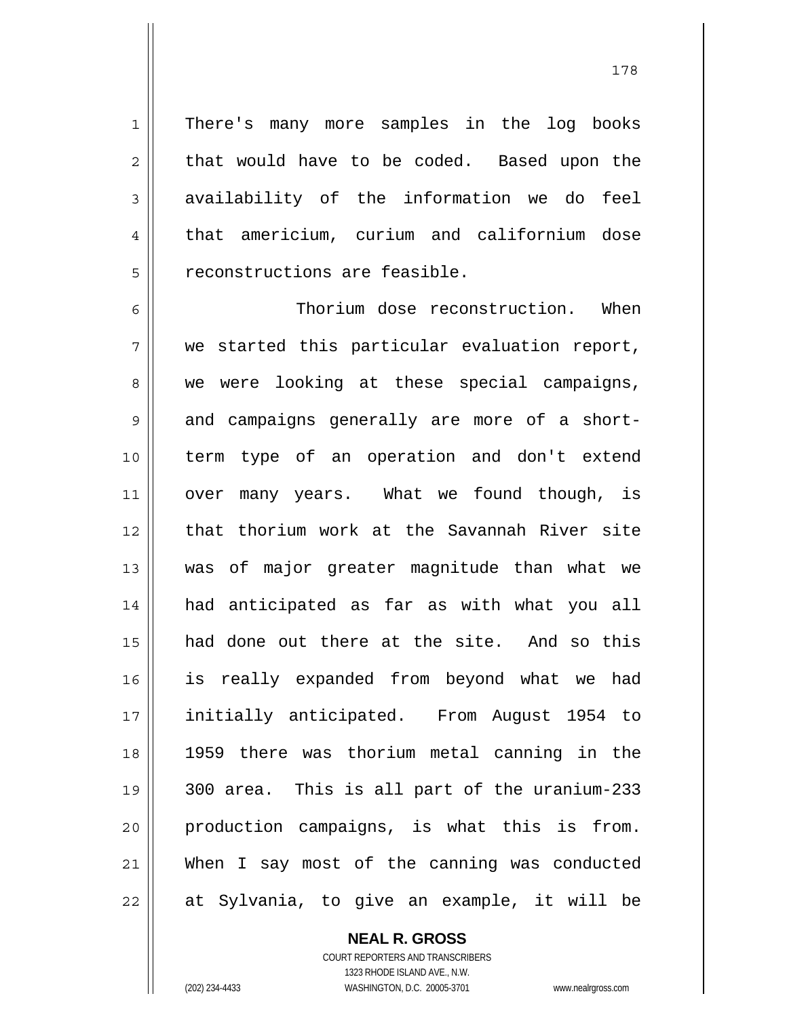There's many more samples in the log books that would have to be coded. Based upon the availability of the information we do feel that americium, curium and californium dose reconstructions are feasible.

6 7 8 9 10 11 12 13 14 15 16 17 18 19 20 21 22 Thorium dose reconstruction. When we started this particular evaluation report, we were looking at these special campaigns, and campaigns generally are more of a shortterm type of an operation and don't extend over many years. What we found though, is that thorium work at the Savannah River site was of major greater magnitude than what we had anticipated as far as with what you all had done out there at the site. And so this is really expanded from beyond what we had initially anticipated. From August 1954 to 1959 there was thorium metal canning in the 300 area. This is all part of the uranium-233 production campaigns, is what this is from. When I say most of the canning was conducted at Sylvania, to give an example, it will be

> **NEAL R. GROSS** COURT REPORTERS AND TRANSCRIBERS 1323 RHODE ISLAND AVE., N.W.

1

2

3

4

5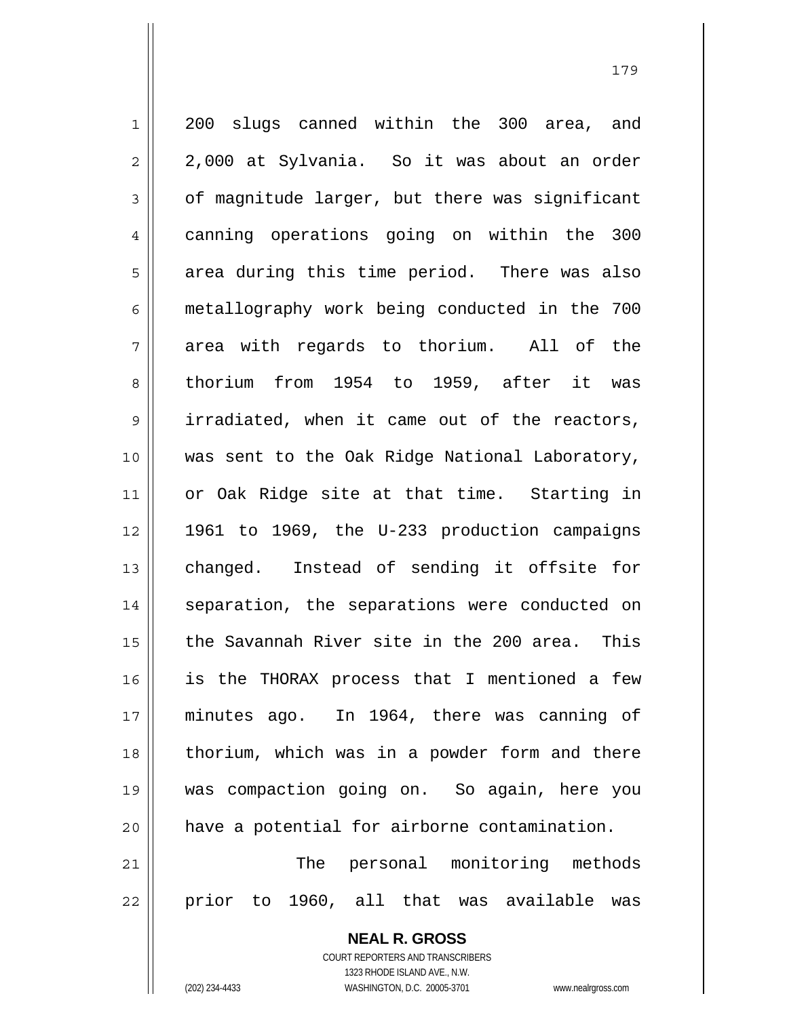1 2 3 4 5 6 7 8 9 10 11 12 13 14 15 16 17 18 19 20 21 22 200 slugs canned within the 300 area, and 2,000 at Sylvania. So it was about an order of magnitude larger, but there was significant canning operations going on within the 300 area during this time period. There was also metallography work being conducted in the 700 area with regards to thorium. All of the thorium from 1954 to 1959, after it was irradiated, when it came out of the reactors, was sent to the Oak Ridge National Laboratory, or Oak Ridge site at that time. Starting in 1961 to 1969, the U-233 production campaigns changed. Instead of sending it offsite for separation, the separations were conducted on the Savannah River site in the 200 area. This is the THORAX process that I mentioned a few minutes ago. In 1964, there was canning of thorium, which was in a powder form and there was compaction going on. So again, here you have a potential for airborne contamination. The personal monitoring methods prior to 1960, all that was available was

> **NEAL R. GROSS** COURT REPORTERS AND TRANSCRIBERS 1323 RHODE ISLAND AVE., N.W. (202) 234-4433 WASHINGTON, D.C. 20005-3701 www.nealrgross.com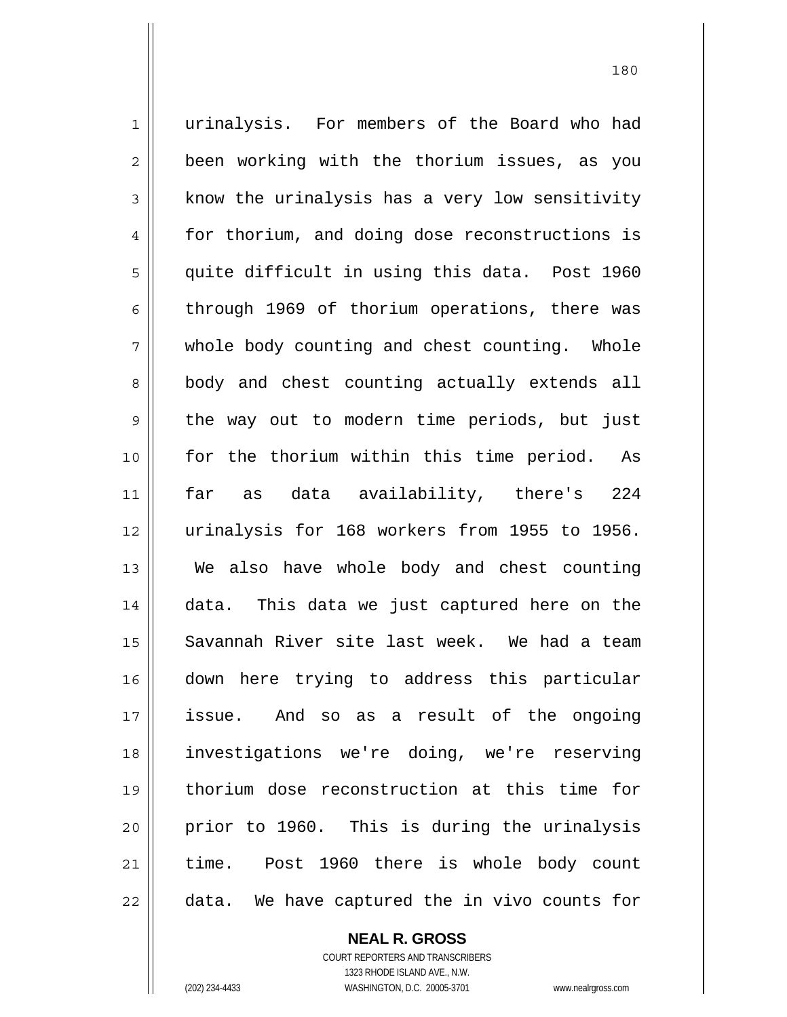1 2 3 4 5 6 7 8 9 10 11 12 13 14 15 16 17 18 19 20 21 22 urinalysis. For members of the Board who had been working with the thorium issues, as you know the urinalysis has a very low sensitivity for thorium, and doing dose reconstructions is quite difficult in using this data. Post 1960 through 1969 of thorium operations, there was whole body counting and chest counting. Whole body and chest counting actually extends all the way out to modern time periods, but just for the thorium within this time period. As far as data availability, there's 224 urinalysis for 168 workers from 1955 to 1956. We also have whole body and chest counting data. This data we just captured here on the Savannah River site last week. We had a team down here trying to address this particular issue. And so as a result of the ongoing investigations we're doing, we're reserving thorium dose reconstruction at this time for prior to 1960. This is during the urinalysis time. Post 1960 there is whole body count data. We have captured the in vivo counts for

**NEAL R. GROSS**

COURT REPORTERS AND TRANSCRIBERS 1323 RHODE ISLAND AVE., N.W. (202) 234-4433 WASHINGTON, D.C. 20005-3701 www.nealrgross.com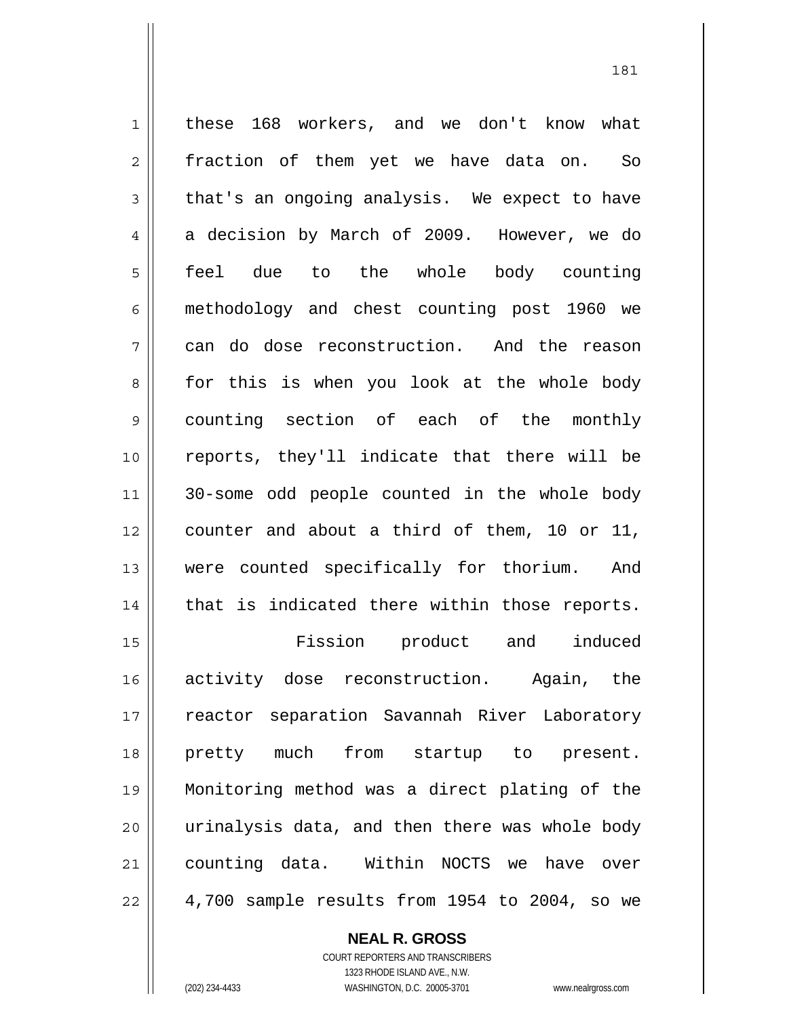1 2 3 4 5 6 7 8 9 10 11 12 13 14 15 16 17 18 19 20 21 22 these 168 workers, and we don't know what fraction of them yet we have data on. So that's an ongoing analysis. We expect to have a decision by March of 2009. However, we do feel due to the whole body counting methodology and chest counting post 1960 we can do dose reconstruction. And the reason for this is when you look at the whole body counting section of each of the monthly reports, they'll indicate that there will be 30-some odd people counted in the whole body counter and about a third of them, 10 or 11, were counted specifically for thorium. And that is indicated there within those reports. Fission product and induced activity dose reconstruction. Again, the reactor separation Savannah River Laboratory pretty much from startup to present. Monitoring method was a direct plating of the urinalysis data, and then there was whole body counting data. Within NOCTS we have over 4,700 sample results from 1954 to 2004, so we

181

**NEAL R. GROSS**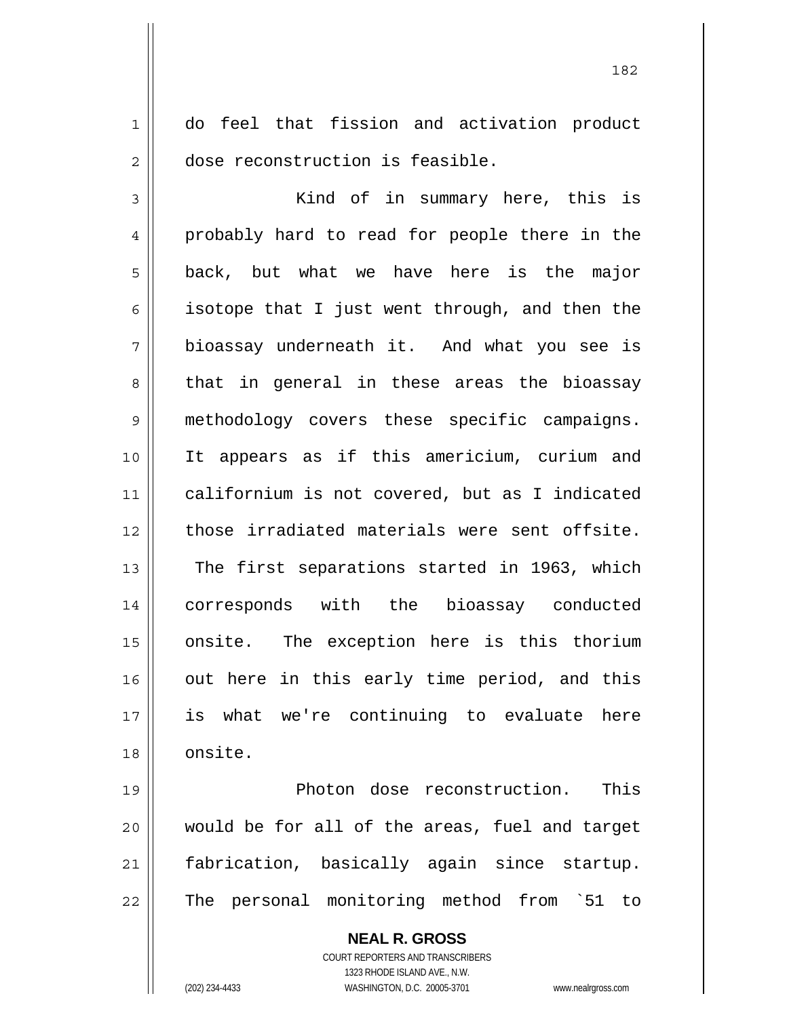1 2 do feel that fission and activation product dose reconstruction is feasible.

3 4 5 6 7 8 9 10 11 12 13 14 15 16 17 18 Kind of in summary here, this is probably hard to read for people there in the back, but what we have here is the major isotope that I just went through, and then the bioassay underneath it. And what you see is that in general in these areas the bioassay methodology covers these specific campaigns. It appears as if this americium, curium and californium is not covered, but as I indicated those irradiated materials were sent offsite. The first separations started in 1963, which corresponds with the bioassay conducted onsite. The exception here is this thorium out here in this early time period, and this is what we're continuing to evaluate here onsite.

19 20 21 22 Photon dose reconstruction. This would be for all of the areas, fuel and target fabrication, basically again since startup. The personal monitoring method from `51 to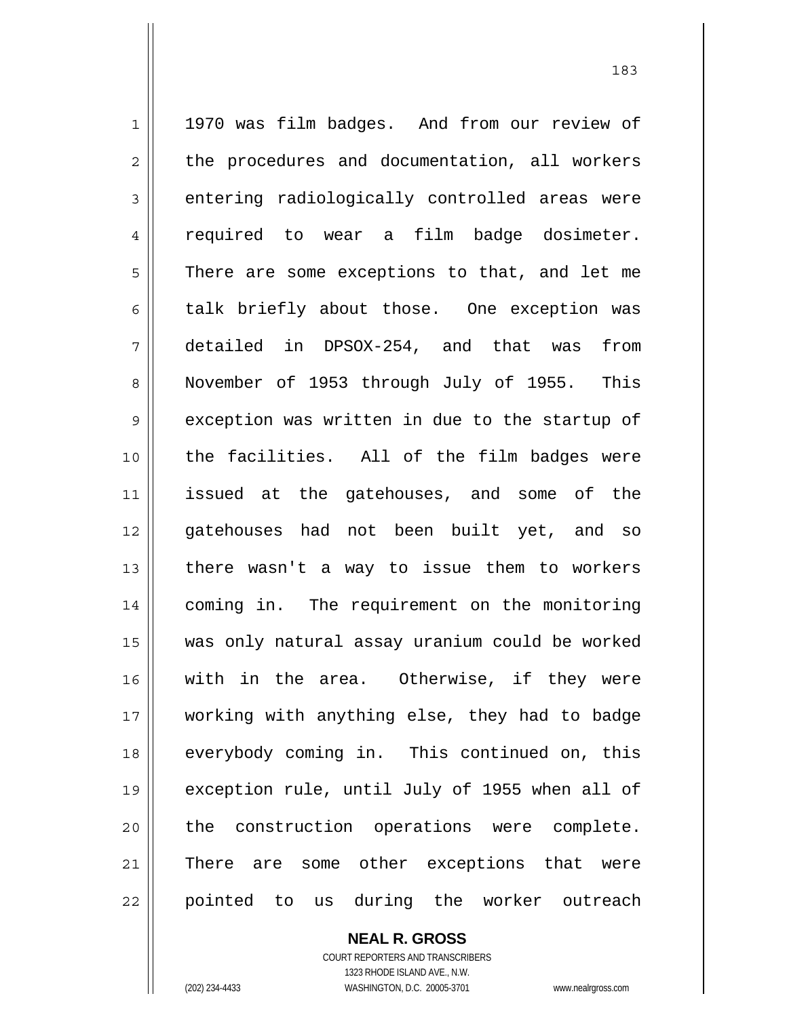1 2 3 4 5 6 7 8 9 10 11 12 13 14 15 16 17 18 19 20 21 22 1970 was film badges. And from our review of the procedures and documentation, all workers entering radiologically controlled areas were required to wear a film badge dosimeter. There are some exceptions to that, and let me talk briefly about those. One exception was detailed in DPSOX-254, and that was from November of 1953 through July of 1955. This exception was written in due to the startup of the facilities. All of the film badges were issued at the gatehouses, and some of the gatehouses had not been built yet, and so there wasn't a way to issue them to workers coming in. The requirement on the monitoring was only natural assay uranium could be worked with in the area. Otherwise, if they were working with anything else, they had to badge everybody coming in. This continued on, this exception rule, until July of 1955 when all of the construction operations were complete. There are some other exceptions that were pointed to us during the worker outreach

> **NEAL R. GROSS** COURT REPORTERS AND TRANSCRIBERS

> > 1323 RHODE ISLAND AVE., N.W.

(202) 234-4433 WASHINGTON, D.C. 20005-3701 www.nealrgross.com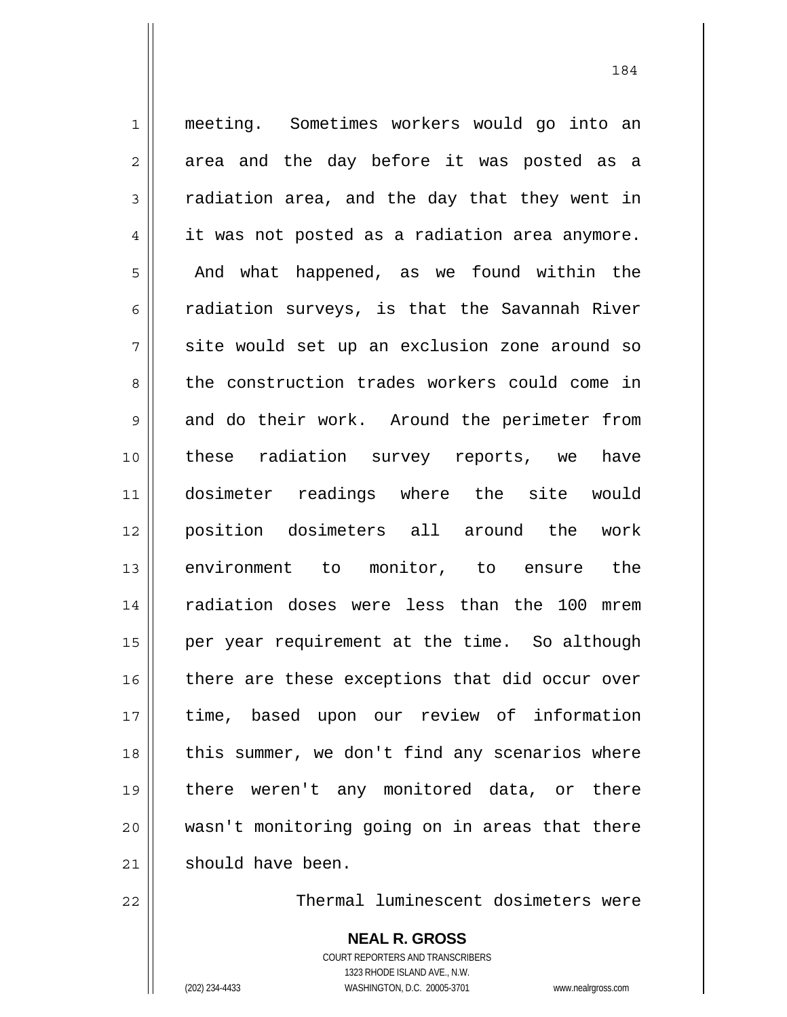1 2 3 4 5 6 7 8 9 10 11 12 13 14 15 16 17 18 19 20 21 meeting. Sometimes workers would go into an area and the day before it was posted as a radiation area, and the day that they went in it was not posted as a radiation area anymore. And what happened, as we found within the radiation surveys, is that the Savannah River site would set up an exclusion zone around so the construction trades workers could come in and do their work. Around the perimeter from these radiation survey reports, we have dosimeter readings where the site would position dosimeters all around the work environment to monitor, to ensure the radiation doses were less than the 100 mrem per year requirement at the time. So although there are these exceptions that did occur over time, based upon our review of information this summer, we don't find any scenarios where there weren't any monitored data, or there wasn't monitoring going on in areas that there should have been.

Thermal luminescent dosimeters were

**NEAL R. GROSS** COURT REPORTERS AND TRANSCRIBERS 1323 RHODE ISLAND AVE., N.W. (202) 234-4433 WASHINGTON, D.C. 20005-3701 www.nealrgross.com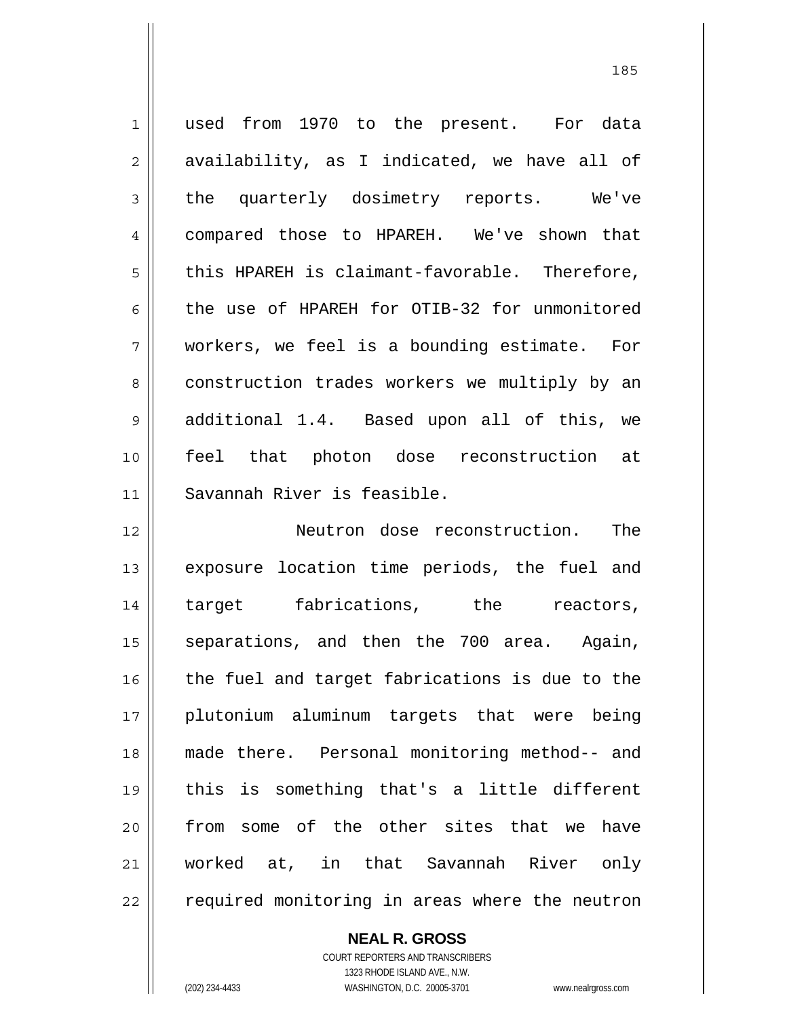1 2 3 4 5 6 7 8 9 10 11 12 13 14 15 16 17 18 19 20 21 22 used from 1970 to the present. For data availability, as I indicated, we have all of the quarterly dosimetry reports. We've compared those to HPAREH. We've shown that this HPAREH is claimant-favorable. Therefore, the use of HPAREH for OTIB-32 for unmonitored workers, we feel is a bounding estimate. For construction trades workers we multiply by an additional 1.4. Based upon all of this, we feel that photon dose reconstruction at Savannah River is feasible. Neutron dose reconstruction. The exposure location time periods, the fuel and target fabrications, the reactors, separations, and then the 700 area. Again, the fuel and target fabrications is due to the plutonium aluminum targets that were being made there. Personal monitoring method-- and this is something that's a little different from some of the other sites that we have worked at, in that Savannah River only required monitoring in areas where the neutron

**NEAL R. GROSS**

COURT REPORTERS AND TRANSCRIBERS 1323 RHODE ISLAND AVE., N.W. (202) 234-4433 WASHINGTON, D.C. 20005-3701 www.nealrgross.com

<u>185</u>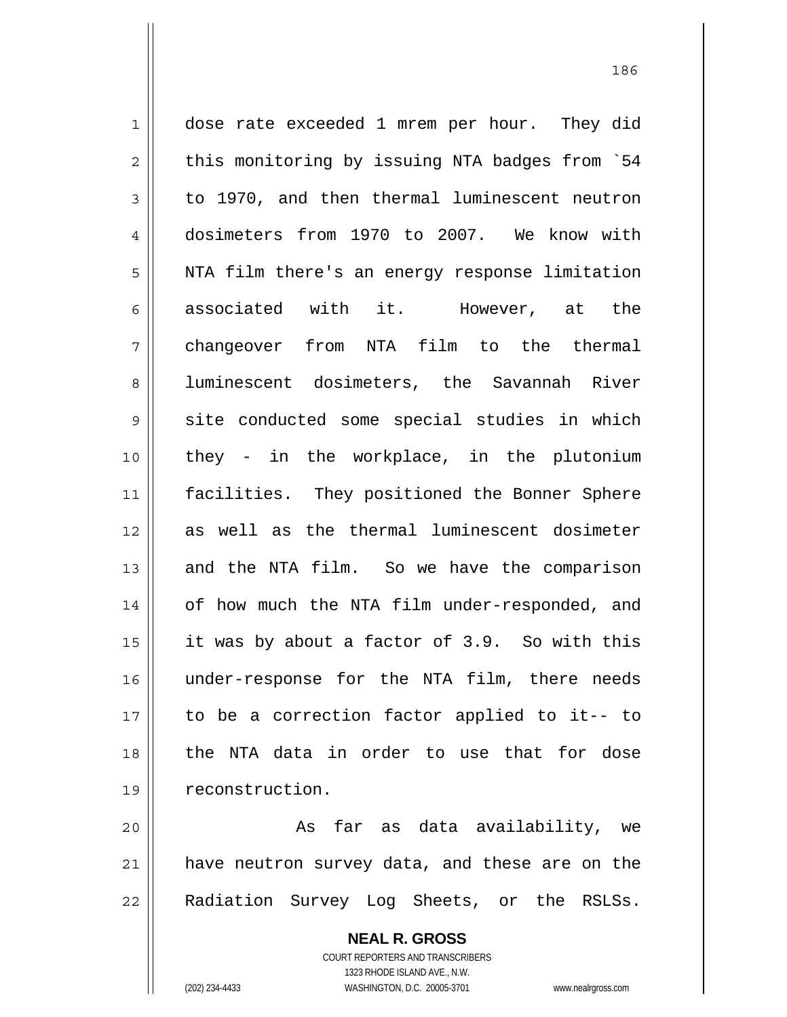1 2 3 4 5 6 7 8 9 10 11 12 13 14 15 16 17 18 19 dose rate exceeded 1 mrem per hour. They did this monitoring by issuing NTA badges from `54 to 1970, and then thermal luminescent neutron dosimeters from 1970 to 2007. We know with NTA film there's an energy response limitation associated with it. However, at the changeover from NTA film to the thermal luminescent dosimeters, the Savannah River site conducted some special studies in which they - in the workplace, in the plutonium facilities. They positioned the Bonner Sphere as well as the thermal luminescent dosimeter and the NTA film. So we have the comparison of how much the NTA film under-responded, and it was by about a factor of 3.9. So with this under-response for the NTA film, there needs to be a correction factor applied to it-- to the NTA data in order to use that for dose reconstruction.

186

20 21 22 As far as data availability, we have neutron survey data, and these are on the Radiation Survey Log Sheets, or the RSLSs.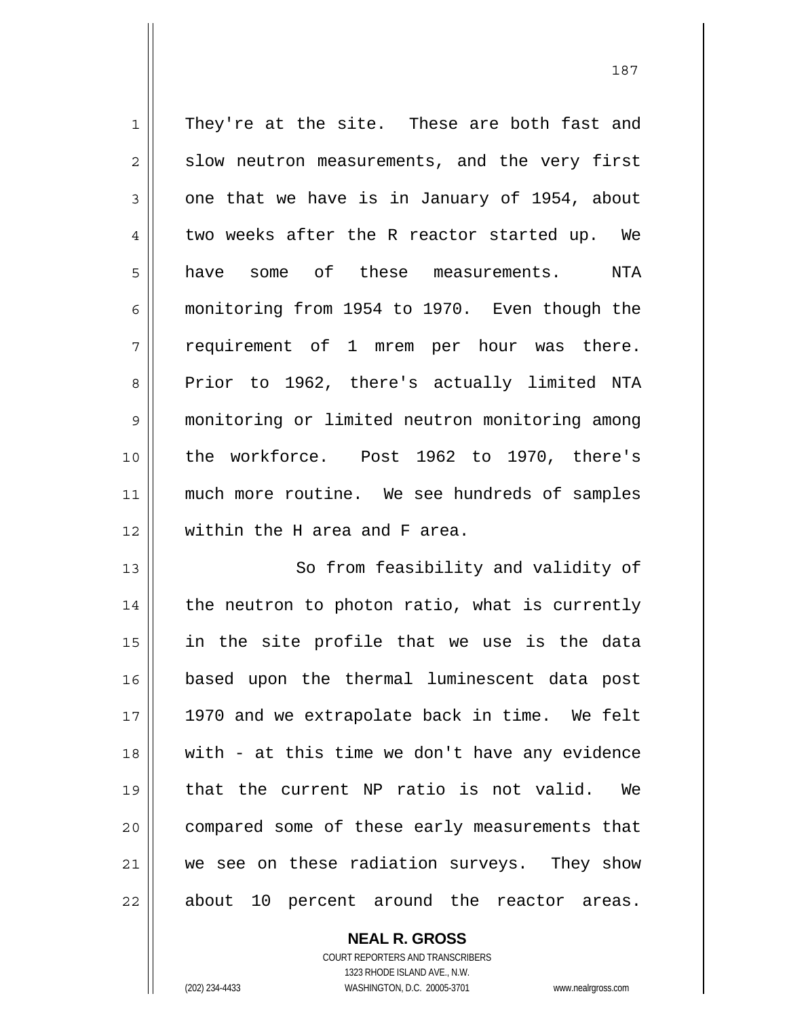1 2 3 4 5 6 7 8 9 10 11 12 They're at the site. These are both fast and slow neutron measurements, and the very first one that we have is in January of 1954, about two weeks after the R reactor started up. We have some of these measurements. NTA monitoring from 1954 to 1970. Even though the requirement of 1 mrem per hour was there. Prior to 1962, there's actually limited NTA monitoring or limited neutron monitoring among the workforce. Post 1962 to 1970, there's much more routine. We see hundreds of samples within the H area and F area.

13 14 15 16 17 18 19 20 21 22 So from feasibility and validity of the neutron to photon ratio, what is currently in the site profile that we use is the data based upon the thermal luminescent data post 1970 and we extrapolate back in time. We felt with - at this time we don't have any evidence that the current NP ratio is not valid. We compared some of these early measurements that we see on these radiation surveys. They show about 10 percent around the reactor areas.

> COURT REPORTERS AND TRANSCRIBERS 1323 RHODE ISLAND AVE., N.W. (202) 234-4433 WASHINGTON, D.C. 20005-3701 www.nealrgross.com

**NEAL R. GROSS**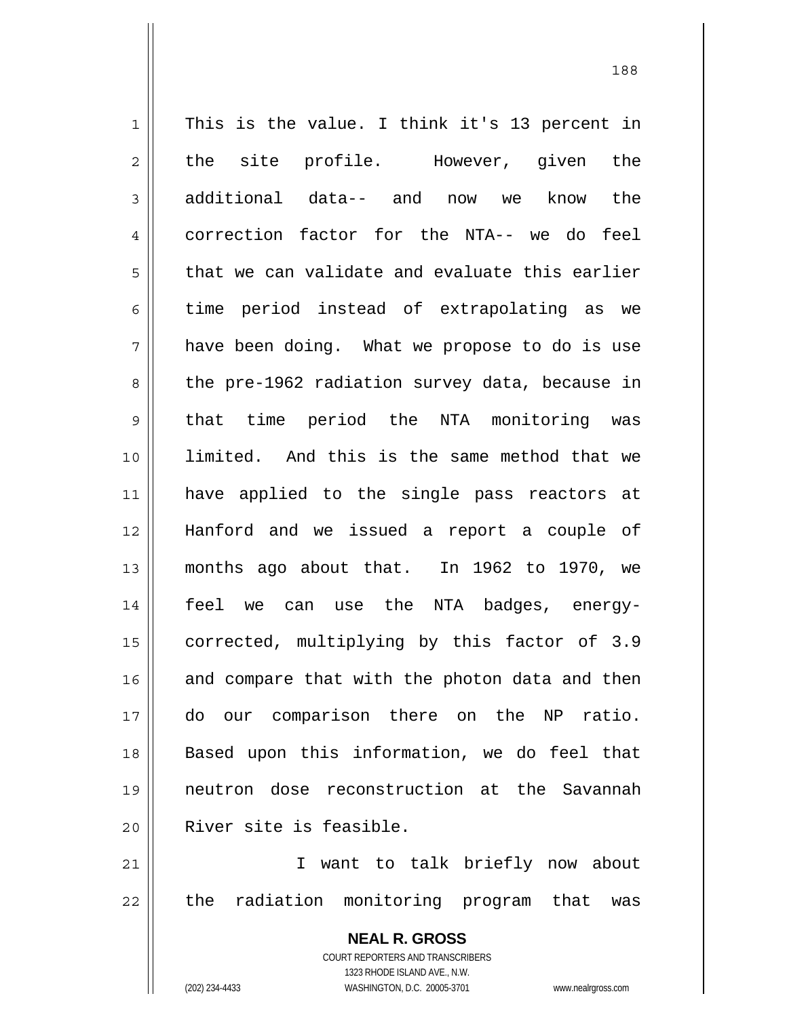1 2 3 4 5 6 7 8 9 10 11 12 13 14 15 16 17 18 19 20 21 22 This is the value. I think it's 13 percent in the site profile. However, given the additional data-- and now we know the correction factor for the NTA-- we do feel that we can validate and evaluate this earlier time period instead of extrapolating as we have been doing. What we propose to do is use the pre-1962 radiation survey data, because in that time period the NTA monitoring was limited. And this is the same method that we have applied to the single pass reactors at Hanford and we issued a report a couple of months ago about that. In 1962 to 1970, we feel we can use the NTA badges, energycorrected, multiplying by this factor of 3.9 and compare that with the photon data and then do our comparison there on the NP ratio. Based upon this information, we do feel that neutron dose reconstruction at the Savannah River site is feasible. I want to talk briefly now about the radiation monitoring program that was

188

**NEAL R. GROSS** COURT REPORTERS AND TRANSCRIBERS 1323 RHODE ISLAND AVE., N.W.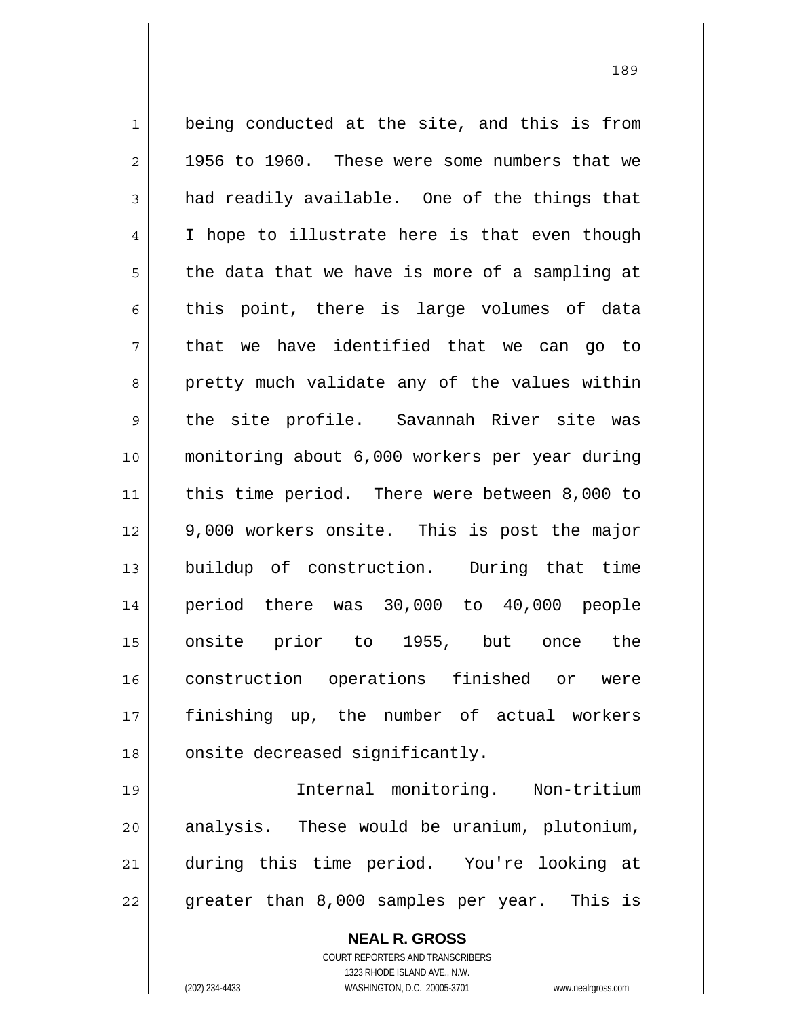1 2 3 4 5 6 7 8 9 10 11 12 13 14 15 16 17 18 being conducted at the site, and this is from 1956 to 1960. These were some numbers that we had readily available. One of the things that I hope to illustrate here is that even though the data that we have is more of a sampling at this point, there is large volumes of data that we have identified that we can go to pretty much validate any of the values within the site profile. Savannah River site was monitoring about 6,000 workers per year during this time period. There were between 8,000 to 9,000 workers onsite. This is post the major buildup of construction. During that time period there was 30,000 to 40,000 people onsite prior to 1955, but once the construction operations finished or were finishing up, the number of actual workers onsite decreased significantly.

19 20 21 22 Internal monitoring. Non-tritium analysis. These would be uranium, plutonium, during this time period. You're looking at greater than 8,000 samples per year. This is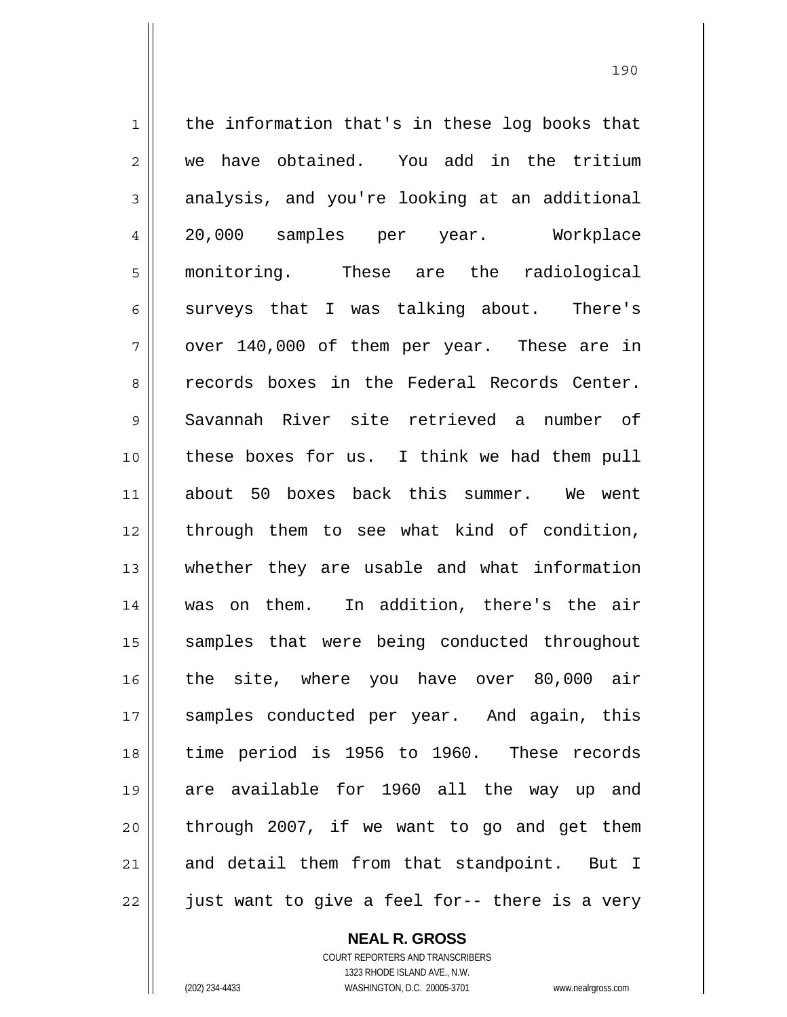1 2 3 4 5 6 7 8 9 10 11 12 13 14 15 16 17 18 19 20 21 22 the information that's in these log books that we have obtained. You add in the tritium analysis, and you're looking at an additional 20,000 samples per year. Workplace monitoring. These are the radiological surveys that I was talking about. There's over 140,000 of them per year. These are in records boxes in the Federal Records Center. Savannah River site retrieved a number of these boxes for us. I think we had them pull about 50 boxes back this summer. We went through them to see what kind of condition, whether they are usable and what information was on them. In addition, there's the air samples that were being conducted throughout the site, where you have over 80,000 air samples conducted per year. And again, this time period is 1956 to 1960. These records are available for 1960 all the way up and through 2007, if we want to go and get them and detail them from that standpoint. But I just want to give a feel for-- there is a very

<u>190</u>

**NEAL R. GROSS**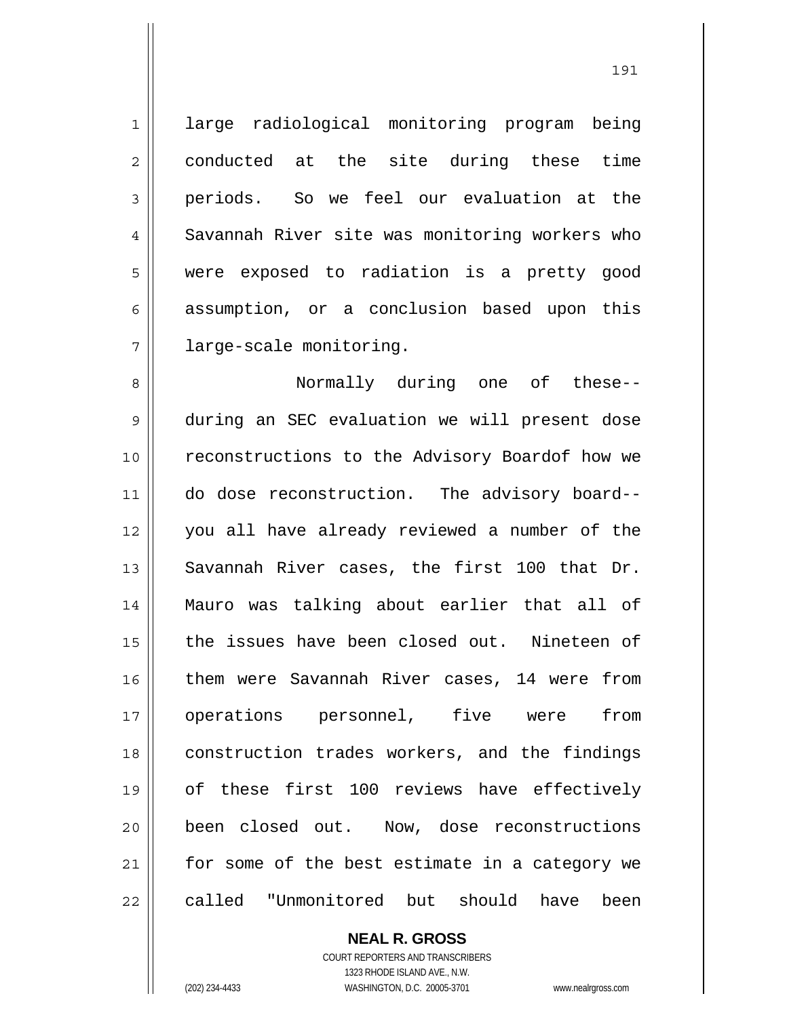7 large radiological monitoring program being conducted at the site during these time periods. So we feel our evaluation at the Savannah River site was monitoring workers who were exposed to radiation is a pretty good assumption, or a conclusion based upon this large-scale monitoring.

8 9 10 11 12 13 14 15 16 17 18 19 20 21 22 Normally during one of these- during an SEC evaluation we will present dose reconstructions to the Advisory Boardof how we do dose reconstruction. The advisory board- you all have already reviewed a number of the Savannah River cases, the first 100 that Dr. Mauro was talking about earlier that all of the issues have been closed out. Nineteen of them were Savannah River cases, 14 were from operations personnel, five were from construction trades workers, and the findings of these first 100 reviews have effectively been closed out. Now, dose reconstructions for some of the best estimate in a category we called "Unmonitored but should have been

> **NEAL R. GROSS** COURT REPORTERS AND TRANSCRIBERS 1323 RHODE ISLAND AVE., N.W.

1

2

3

4

5

6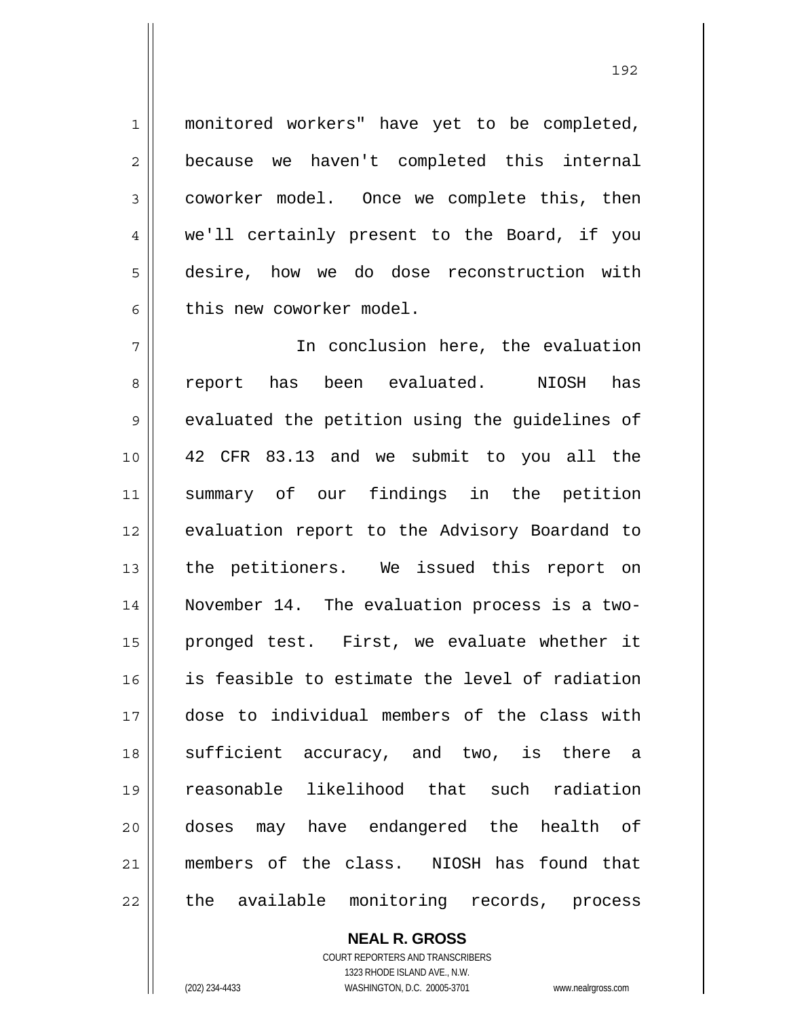monitored workers" have yet to be completed, because we haven't completed this internal coworker model. Once we complete this, then we'll certainly present to the Board, if you desire, how we do dose reconstruction with this new coworker model.

192

7 8 9 10 11 12 13 14 15 16 17 18 19 20 21 22 In conclusion here, the evaluation report has been evaluated. NIOSH has evaluated the petition using the guidelines of 42 CFR 83.13 and we submit to you all the summary of our findings in the petition evaluation report to the Advisory Boardand to the petitioners. We issued this report on November 14. The evaluation process is a twopronged test. First, we evaluate whether it is feasible to estimate the level of radiation dose to individual members of the class with sufficient accuracy, and two, is there a reasonable likelihood that such radiation doses may have endangered the health of members of the class. NIOSH has found that the available monitoring records, process

> **NEAL R. GROSS** COURT REPORTERS AND TRANSCRIBERS

1

2

3

4

5

<sup>1323</sup> RHODE ISLAND AVE., N.W. (202) 234-4433 WASHINGTON, D.C. 20005-3701 www.nealrgross.com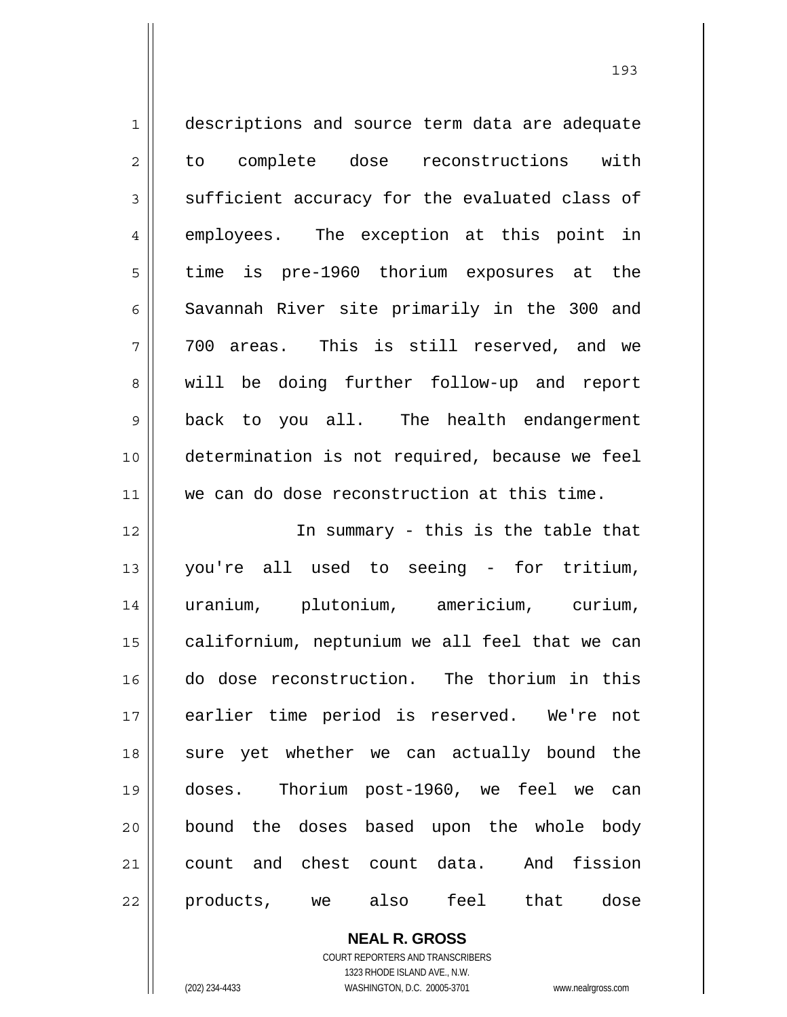| $\mathbf 1$    | descriptions and source term data are adequate |
|----------------|------------------------------------------------|
| $\overline{2}$ | to complete dose reconstructions with          |
| 3              | sufficient accuracy for the evaluated class of |
| $\overline{4}$ | employees. The exception at this point in      |
| 5              | time is pre-1960 thorium exposures at the      |
| 6              | Savannah River site primarily in the 300 and   |
| 7              | 700 areas. This is still reserved, and we      |
| 8              | will be doing further follow-up and report     |
| $\mathsf 9$    | back to you all. The health endangerment       |
| 10             | determination is not required, because we feel |
| 11             | we can do dose reconstruction at this time.    |
| 12             | In summary - this is the table that            |
| 13             | you're all used to seeing - for tritium,       |
| 14             | uranium, plutonium, americium, curium,         |
|                |                                                |
| 15             | californium, neptunium we all feel that we can |
| 16             | do dose reconstruction. The thorium in this    |
| 17             | earlier time period is reserved. We're not     |
| 18             | sure yet whether we can actually bound the     |
| 19             | doses. Thorium post-1960, we feel we can       |
| 20             | bound the doses based upon the whole body      |
| 21             | count and chest count data. And fission        |

**NEAL R. GROSS** COURT REPORTERS AND TRANSCRIBERS 1323 RHODE ISLAND AVE., N.W.

 $\mathsf{II}$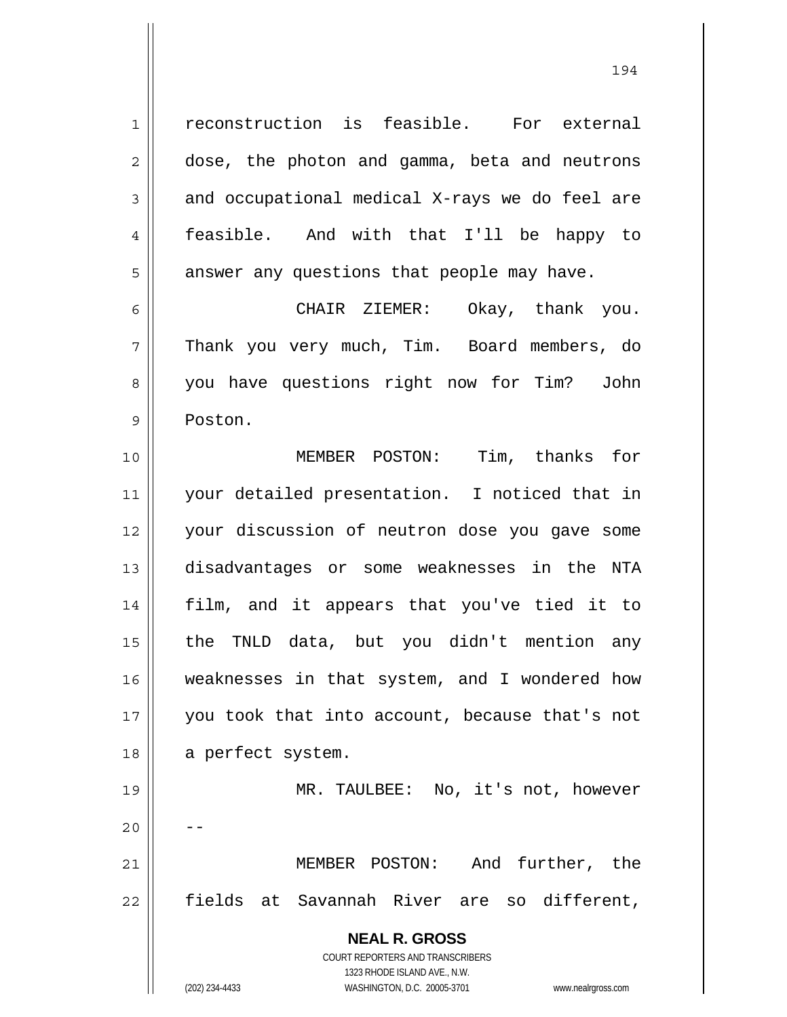reconstruction is feasible. For external dose, the photon and gamma, beta and neutrons and occupational medical X-rays we do feel are feasible. And with that I'll be happy to answer any questions that people may have.

1

2

3

4

5

6 7 8 9 CHAIR ZIEMER: Okay, thank you. Thank you very much, Tim. Board members, do you have questions right now for Tim? John Poston.

10 11 12 13 14 15 16 17 18 19 20 MEMBER POSTON: Tim, thanks for your detailed presentation. I noticed that in your discussion of neutron dose you gave some disadvantages or some weaknesses in the NTA film, and it appears that you've tied it to the TNLD data, but you didn't mention any weaknesses in that system, and I wondered how you took that into account, because that's not a perfect system. MR. TAULBEE: No, it's not, however --

21 22 MEMBER POSTON: And further, the fields at Savannah River are so different,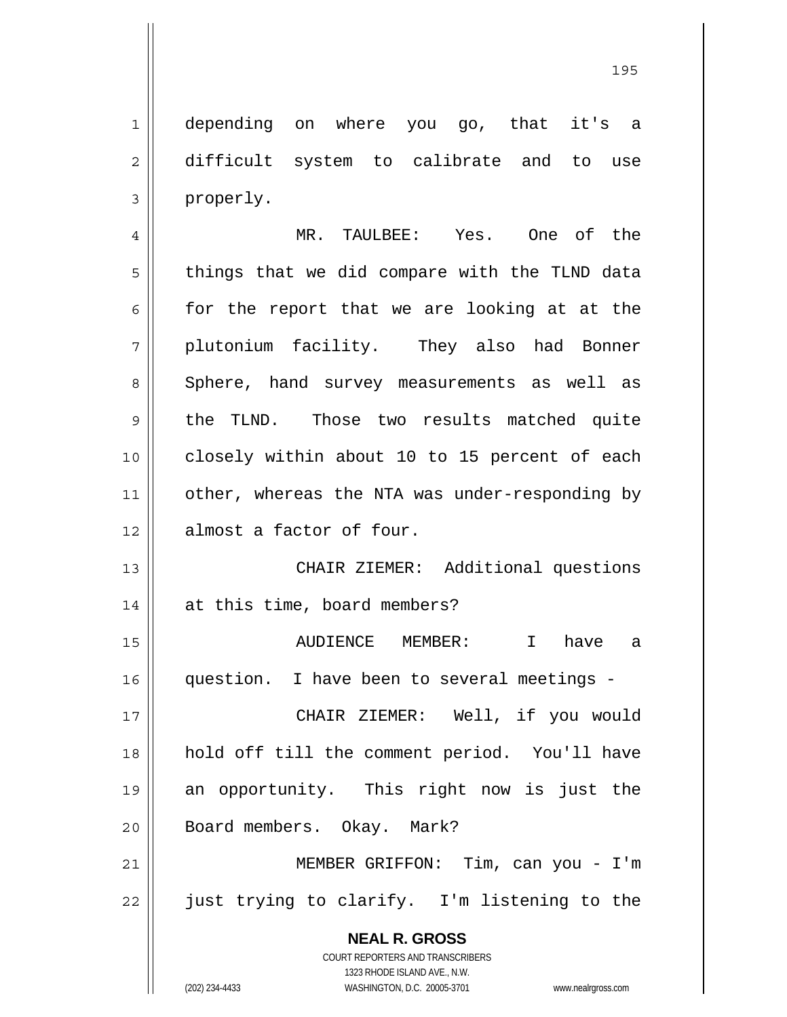1 2 3 depending on where you go, that it's a difficult system to calibrate and to use properly.

4 5 6 7 8 9 10 11 12 MR. TAULBEE: Yes. One of the things that we did compare with the TLND data for the report that we are looking at at the plutonium facility. They also had Bonner Sphere, hand survey measurements as well as the TLND. Those two results matched quite closely within about 10 to 15 percent of each other, whereas the NTA was under-responding by almost a factor of four.

13 14 CHAIR ZIEMER: Additional questions at this time, board members?

15 16 AUDIENCE MEMBER: I have a question. I have been to several meetings -

17 18 19 20 CHAIR ZIEMER: Well, if you would hold off till the comment period. You'll have an opportunity. This right now is just the Board members. Okay. Mark?

21 22 MEMBER GRIFFON: Tim, can you - I'm just trying to clarify. I'm listening to the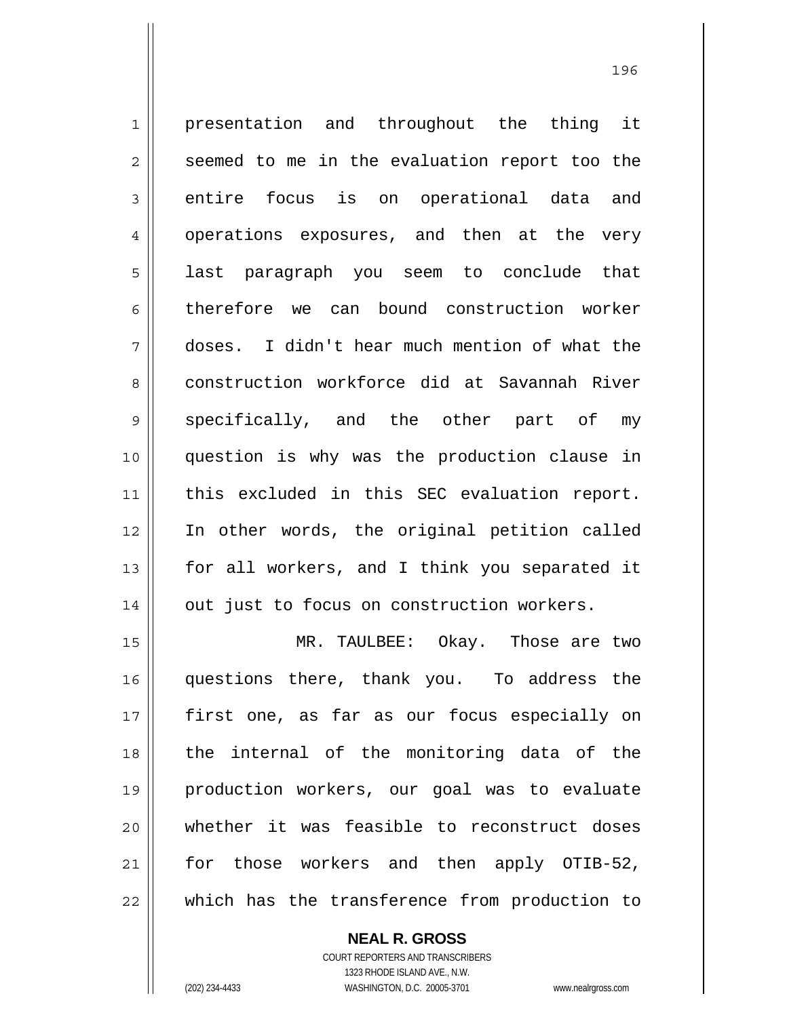1 2 3 4 5 6 7 8 9 10 11 12 13 14 presentation and throughout the thing it seemed to me in the evaluation report too the entire focus is on operational data and operations exposures, and then at the very last paragraph you seem to conclude that therefore we can bound construction worker doses. I didn't hear much mention of what the construction workforce did at Savannah River specifically, and the other part of my question is why was the production clause in this excluded in this SEC evaluation report. In other words, the original petition called for all workers, and I think you separated it out just to focus on construction workers.

15 16 17 18 19 20 21 22 MR. TAULBEE: Okay. Those are two questions there, thank you. To address the first one, as far as our focus especially on the internal of the monitoring data of the production workers, our goal was to evaluate whether it was feasible to reconstruct doses for those workers and then apply OTIB-52, which has the transference from production to

> **NEAL R. GROSS** COURT REPORTERS AND TRANSCRIBERS 1323 RHODE ISLAND AVE., N.W.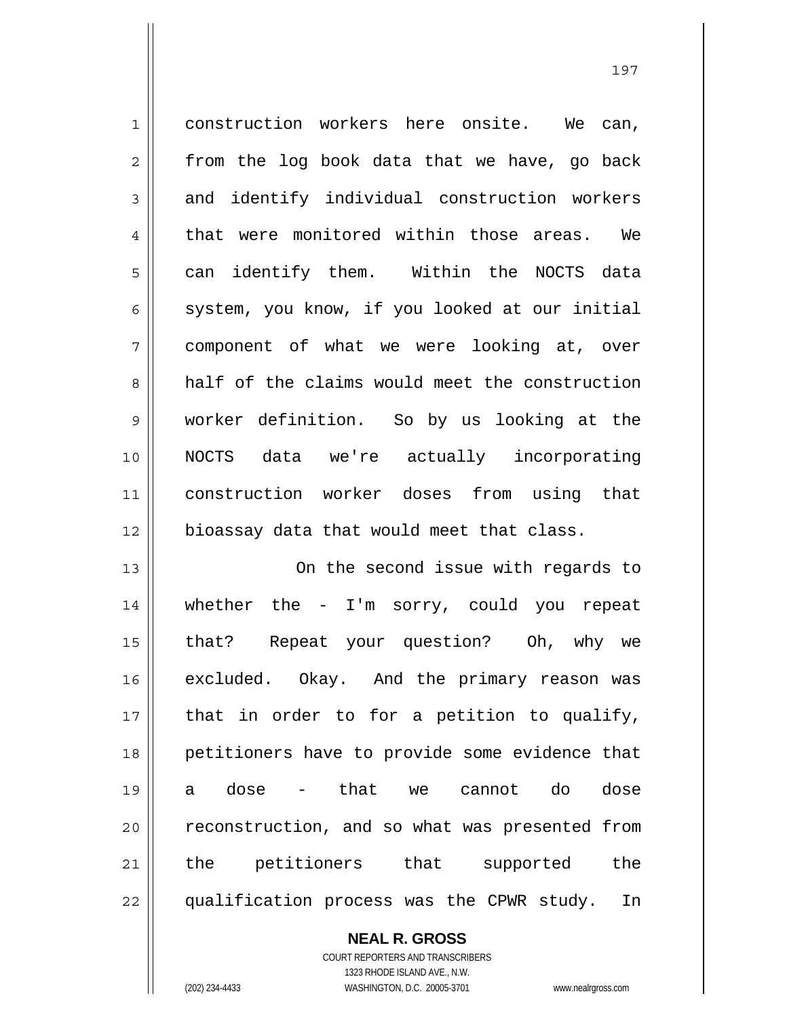1 2 3 4 5 6 7 8 9 10 11 12 13 14 15 construction workers here onsite. We can, from the log book data that we have, go back and identify individual construction workers that were monitored within those areas. We can identify them. Within the NOCTS data system, you know, if you looked at our initial component of what we were looking at, over half of the claims would meet the construction worker definition. So by us looking at the NOCTS data we're actually incorporating construction worker doses from using that bioassay data that would meet that class. On the second issue with regards to whether the - I'm sorry, could you repeat that? Repeat your question? Oh, why we

16 17 18 19 20 21 22 excluded. Okay. And the primary reason was that in order to for a petition to qualify, petitioners have to provide some evidence that a dose - that we cannot do dose reconstruction, and so what was presented from the petitioners that supported the qualification process was the CPWR study. In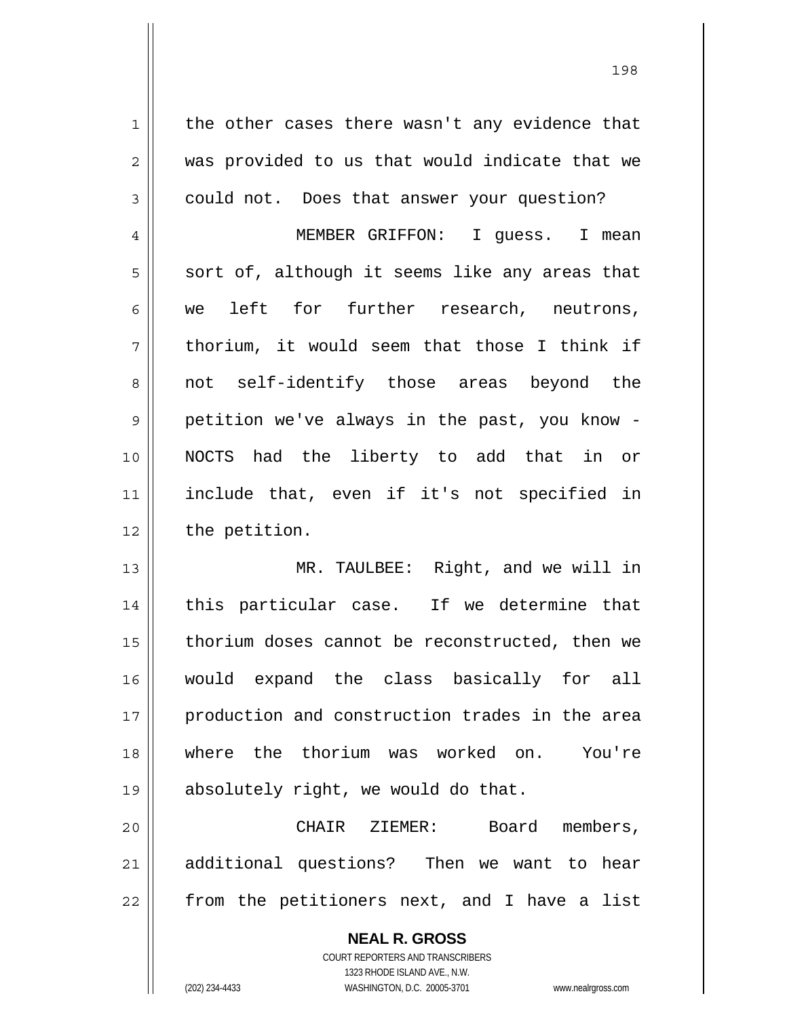the other cases there wasn't any evidence that was provided to us that would indicate that we could not. Does that answer your question?

1

2

3

4 5 6 7 8 9 10 11 12 MEMBER GRIFFON: I guess. I mean sort of, although it seems like any areas that we left for further research, neutrons, thorium, it would seem that those I think if not self-identify those areas beyond the petition we've always in the past, you know - NOCTS had the liberty to add that in or include that, even if it's not specified in the petition.

13 14 15 16 17 18 19 MR. TAULBEE: Right, and we will in this particular case. If we determine that thorium doses cannot be reconstructed, then we would expand the class basically for all production and construction trades in the area where the thorium was worked on. You're absolutely right, we would do that.

20 21 22 CHAIR ZIEMER: Board members, additional questions? Then we want to hear from the petitioners next, and I have a list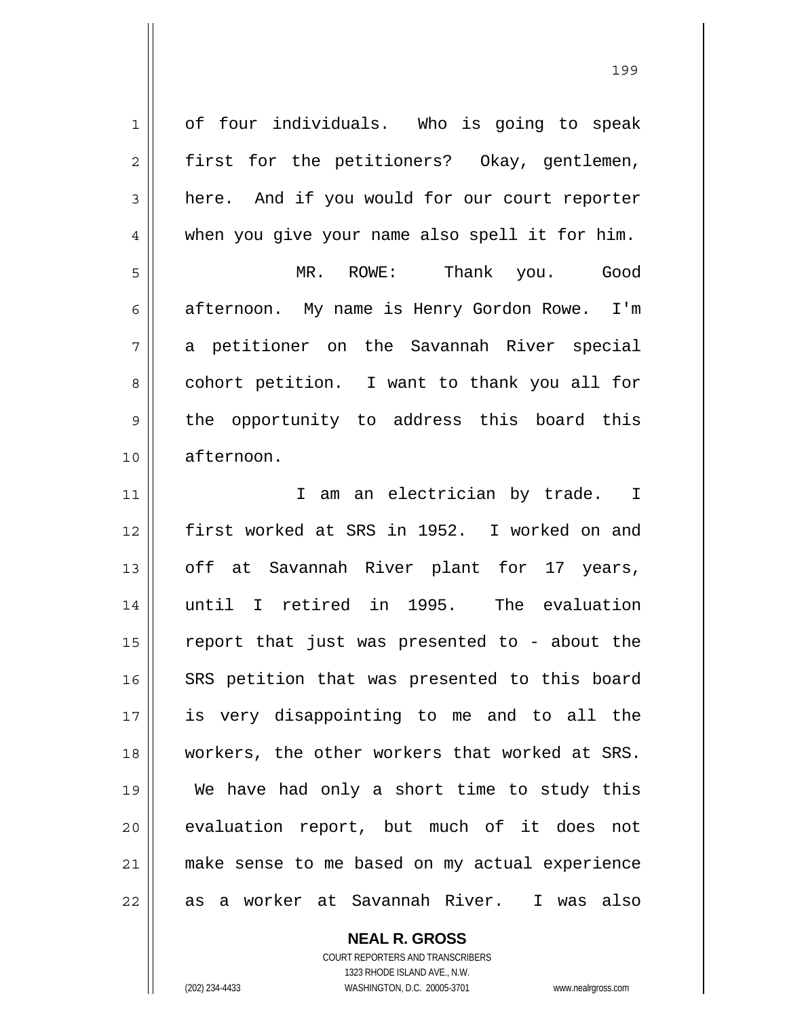1 2 3 4 5 6 7 8 9 10 11 12 13 14 15 16 17 18 19 20 21 22 of four individuals. Who is going to speak first for the petitioners? Okay, gentlemen, here. And if you would for our court reporter when you give your name also spell it for him. MR. ROWE: Thank you. Good afternoon. My name is Henry Gordon Rowe. I'm a petitioner on the Savannah River special cohort petition. I want to thank you all for the opportunity to address this board this afternoon. I am an electrician by trade. I first worked at SRS in 1952. I worked on and off at Savannah River plant for 17 years, until I retired in 1995. The evaluation report that just was presented to - about the SRS petition that was presented to this board is very disappointing to me and to all the workers, the other workers that worked at SRS. We have had only a short time to study this evaluation report, but much of it does not make sense to me based on my actual experience as a worker at Savannah River. I was also

**NEAL R. GROSS**

COURT REPORTERS AND TRANSCRIBERS 1323 RHODE ISLAND AVE., N.W. (202) 234-4433 WASHINGTON, D.C. 20005-3701 www.nealrgross.com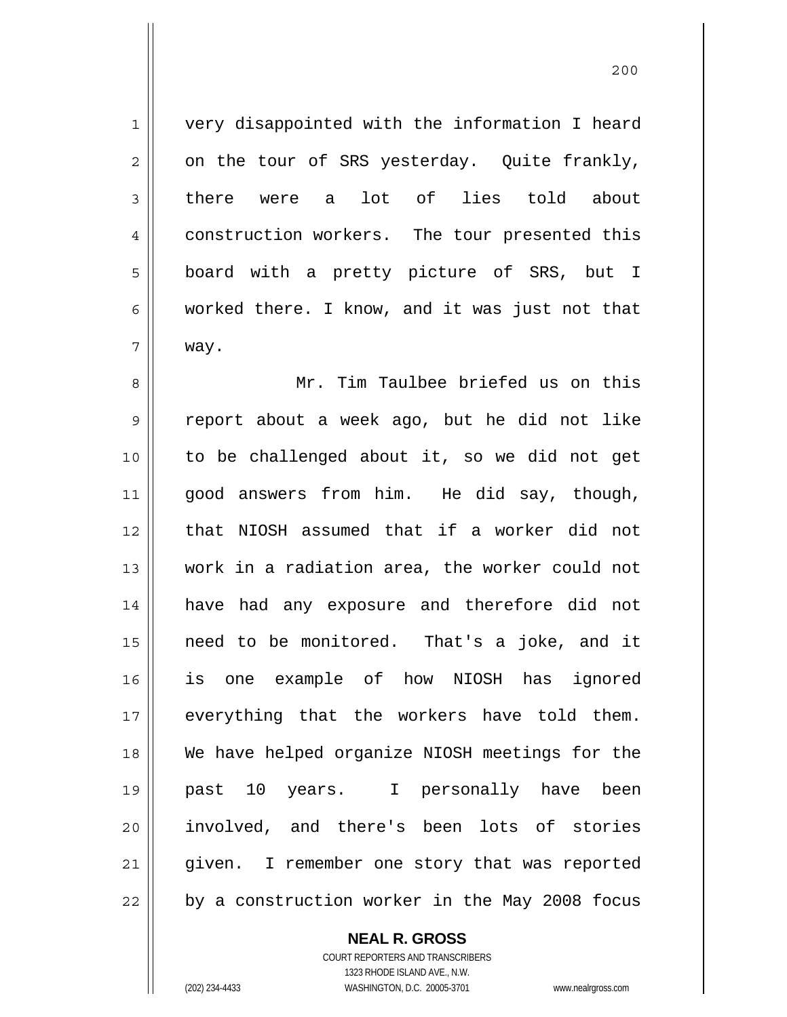1 7 very disappointed with the information I heard on the tour of SRS yesterday. Quite frankly, there were a lot of lies told about construction workers. The tour presented this board with a pretty picture of SRS, but I worked there. I know, and it was just not that way.

8 9 10 11 12 13 14 15 16 17 18 19 20 21 22 Mr. Tim Taulbee briefed us on this report about a week ago, but he did not like to be challenged about it, so we did not get good answers from him. He did say, though, that NIOSH assumed that if a worker did not work in a radiation area, the worker could not have had any exposure and therefore did not need to be monitored. That's a joke, and it is one example of how NIOSH has ignored everything that the workers have told them. We have helped organize NIOSH meetings for the past 10 years. I personally have been involved, and there's been lots of stories given. I remember one story that was reported by a construction worker in the May 2008 focus

**NEAL R. GROSS**

COURT REPORTERS AND TRANSCRIBERS 1323 RHODE ISLAND AVE., N.W. (202) 234-4433 WASHINGTON, D.C. 20005-3701 www.nealrgross.com

2

3

4

5

6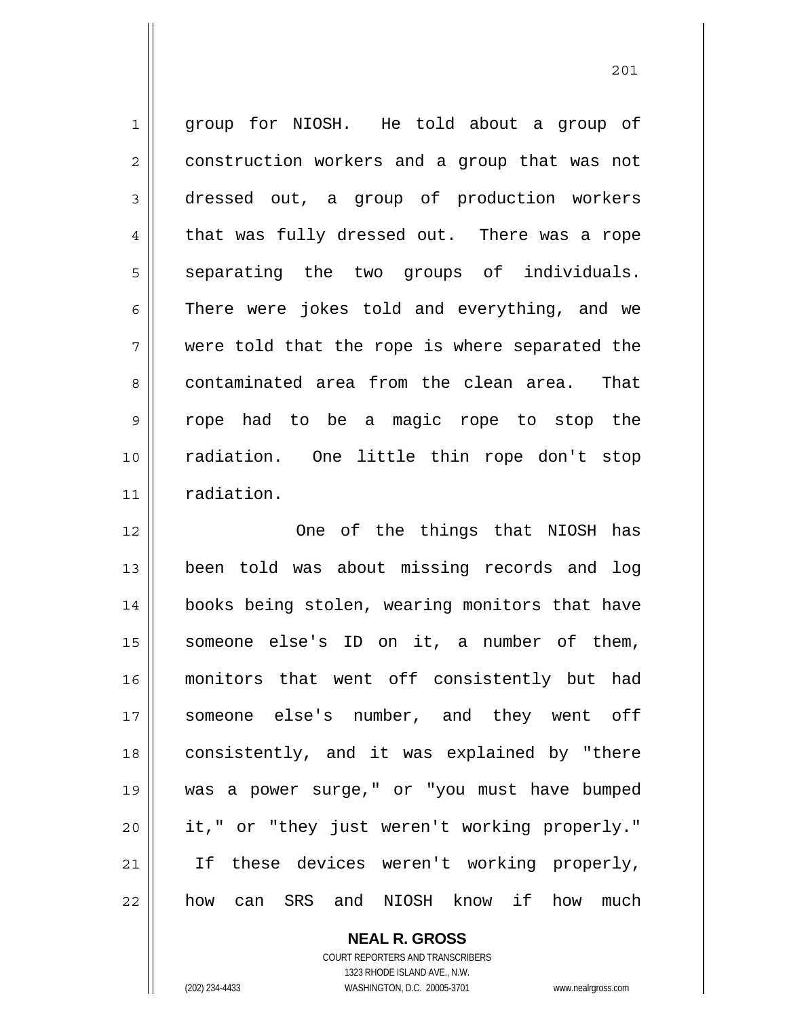1 2 3 4 5 6 7 8 9 10 11 group for NIOSH. He told about a group of construction workers and a group that was not dressed out, a group of production workers that was fully dressed out. There was a rope separating the two groups of individuals. There were jokes told and everything, and we were told that the rope is where separated the contaminated area from the clean area. That rope had to be a magic rope to stop the radiation. One little thin rope don't stop radiation.

201

12 13 14 15 16 17 18 19 20 21 22 One of the things that NIOSH has been told was about missing records and log books being stolen, wearing monitors that have someone else's ID on it, a number of them, monitors that went off consistently but had someone else's number, and they went off consistently, and it was explained by "there was a power surge," or "you must have bumped it," or "they just weren't working properly." If these devices weren't working properly, how can SRS and NIOSH know if how much

**NEAL R. GROSS**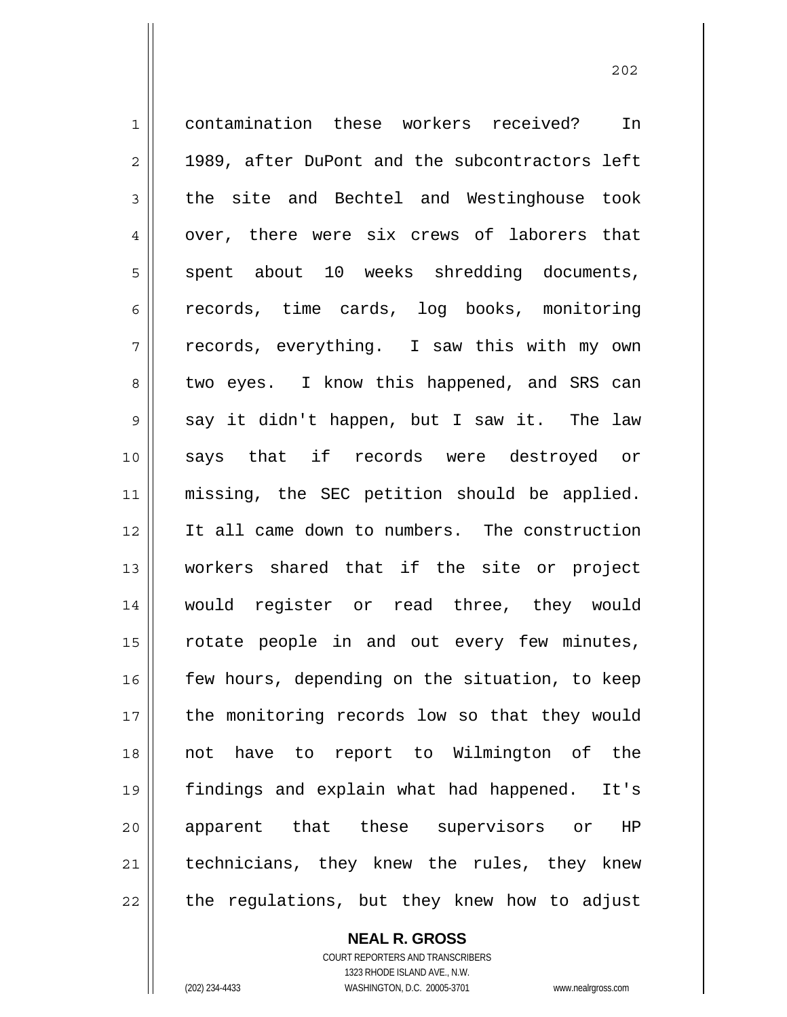1 2 3 4 5 6 7 8 9 10 11 12 13 14 15 16 17 18 19 20 21 22 contamination these workers received? In 1989, after DuPont and the subcontractors left the site and Bechtel and Westinghouse took over, there were six crews of laborers that spent about 10 weeks shredding documents, records, time cards, log books, monitoring records, everything. I saw this with my own two eyes. I know this happened, and SRS can say it didn't happen, but I saw it. The law says that if records were destroyed or missing, the SEC petition should be applied. It all came down to numbers. The construction workers shared that if the site or project would register or read three, they would rotate people in and out every few minutes, few hours, depending on the situation, to keep the monitoring records low so that they would not have to report to Wilmington of the findings and explain what had happened. It's apparent that these supervisors or HP technicians, they knew the rules, they knew the regulations, but they knew how to adjust

> **NEAL R. GROSS** COURT REPORTERS AND TRANSCRIBERS 1323 RHODE ISLAND AVE., N.W.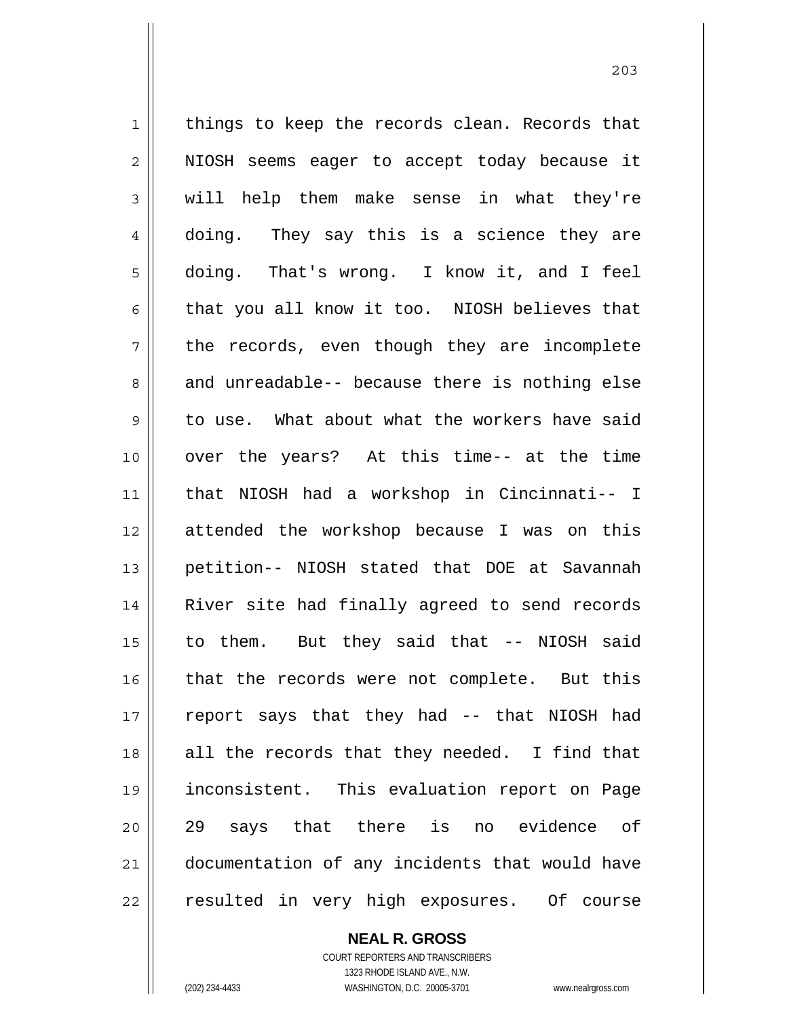1 2 3 4 5 6 7 8 9 10 11 12 13 14 15 16 17 18 19 20 21 22 things to keep the records clean. Records that NIOSH seems eager to accept today because it will help them make sense in what they're doing. They say this is a science they are doing. That's wrong. I know it, and I feel that you all know it too. NIOSH believes that the records, even though they are incomplete and unreadable-- because there is nothing else to use. What about what the workers have said over the years? At this time-- at the time that NIOSH had a workshop in Cincinnati-- I attended the workshop because I was on this petition-- NIOSH stated that DOE at Savannah River site had finally agreed to send records to them. But they said that -- NIOSH said that the records were not complete. But this report says that they had -- that NIOSH had all the records that they needed. I find that inconsistent. This evaluation report on Page 29 says that there is no evidence of documentation of any incidents that would have resulted in very high exposures. Of course

203

**NEAL R. GROSS** COURT REPORTERS AND TRANSCRIBERS

1323 RHODE ISLAND AVE., N.W. (202) 234-4433 WASHINGTON, D.C. 20005-3701 www.nealrgross.com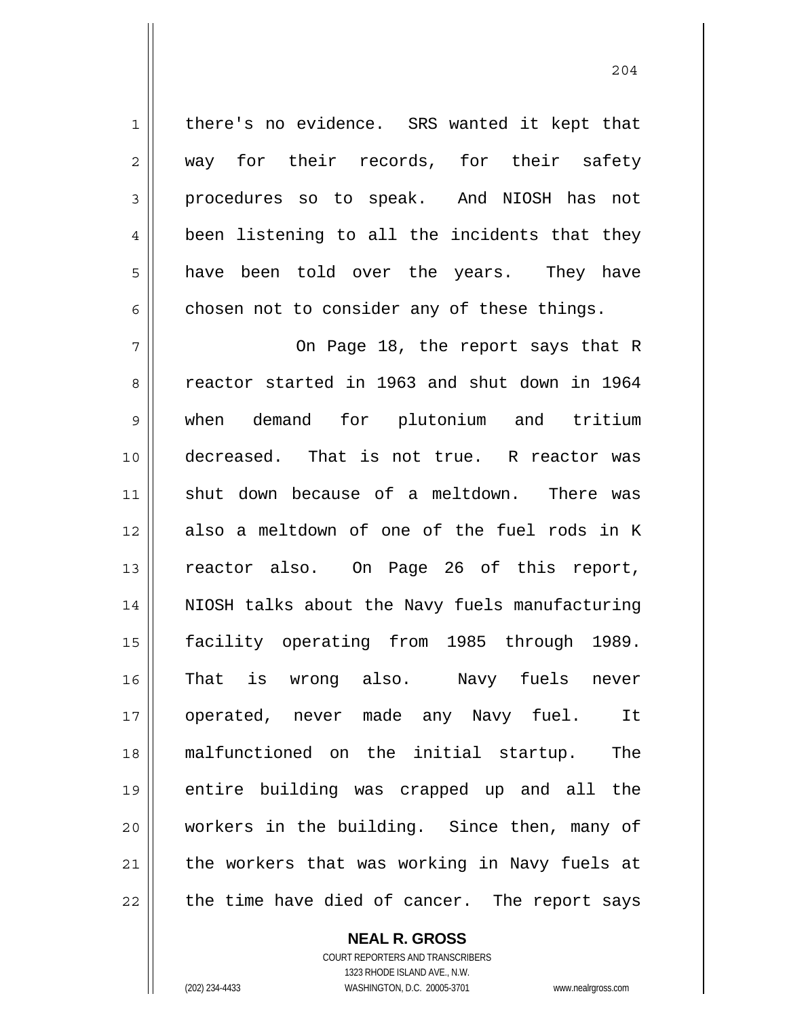there's no evidence. SRS wanted it kept that way for their records, for their safety procedures so to speak. And NIOSH has not been listening to all the incidents that they have been told over the years. They have chosen not to consider any of these things.

7 8 9 10 11 12 13 14 15 16 17 18 19 20 21 22 On Page 18, the report says that R reactor started in 1963 and shut down in 1964 when demand for plutonium and tritium decreased. That is not true. R reactor was shut down because of a meltdown. There was also a meltdown of one of the fuel rods in K reactor also. On Page 26 of this report, NIOSH talks about the Navy fuels manufacturing facility operating from 1985 through 1989. That is wrong also. Navy fuels never operated, never made any Navy fuel. It malfunctioned on the initial startup. The entire building was crapped up and all the workers in the building. Since then, many of the workers that was working in Navy fuels at the time have died of cancer. The report says

## **NEAL R. GROSS**

COURT REPORTERS AND TRANSCRIBERS 1323 RHODE ISLAND AVE., N.W. (202) 234-4433 WASHINGTON, D.C. 20005-3701 www.nealrgross.com

1

2

3

4

5

 <sup>204</sup>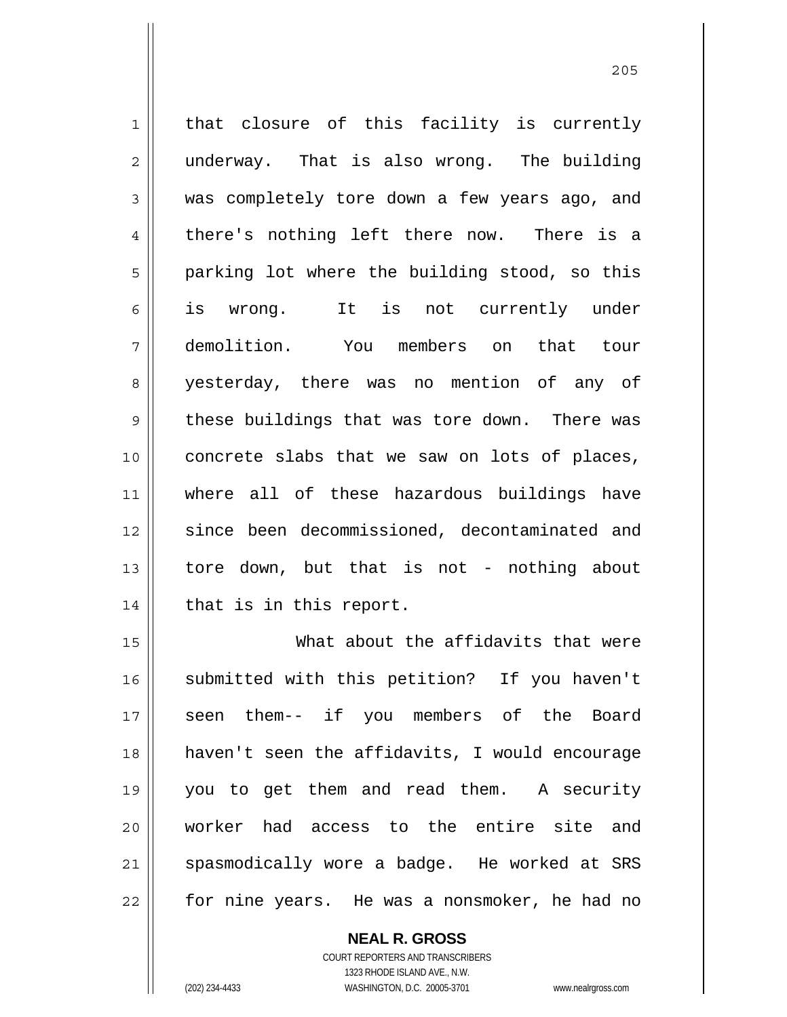1 2 3 4 5 6 7 8 9 10 11 12 13 14 that closure of this facility is currently underway. That is also wrong. The building was completely tore down a few years ago, and there's nothing left there now. There is a parking lot where the building stood, so this is wrong. It is not currently under demolition. You members on that tour yesterday, there was no mention of any of these buildings that was tore down. There was concrete slabs that we saw on lots of places, where all of these hazardous buildings have since been decommissioned, decontaminated and tore down, but that is not - nothing about that is in this report. What about the affidavits that were

15 16 17 18 19 20 21 22 submitted with this petition? If you haven't seen them-- if you members of the Board haven't seen the affidavits, I would encourage you to get them and read them. A security worker had access to the entire site and spasmodically wore a badge. He worked at SRS for nine years. He was a nonsmoker, he had no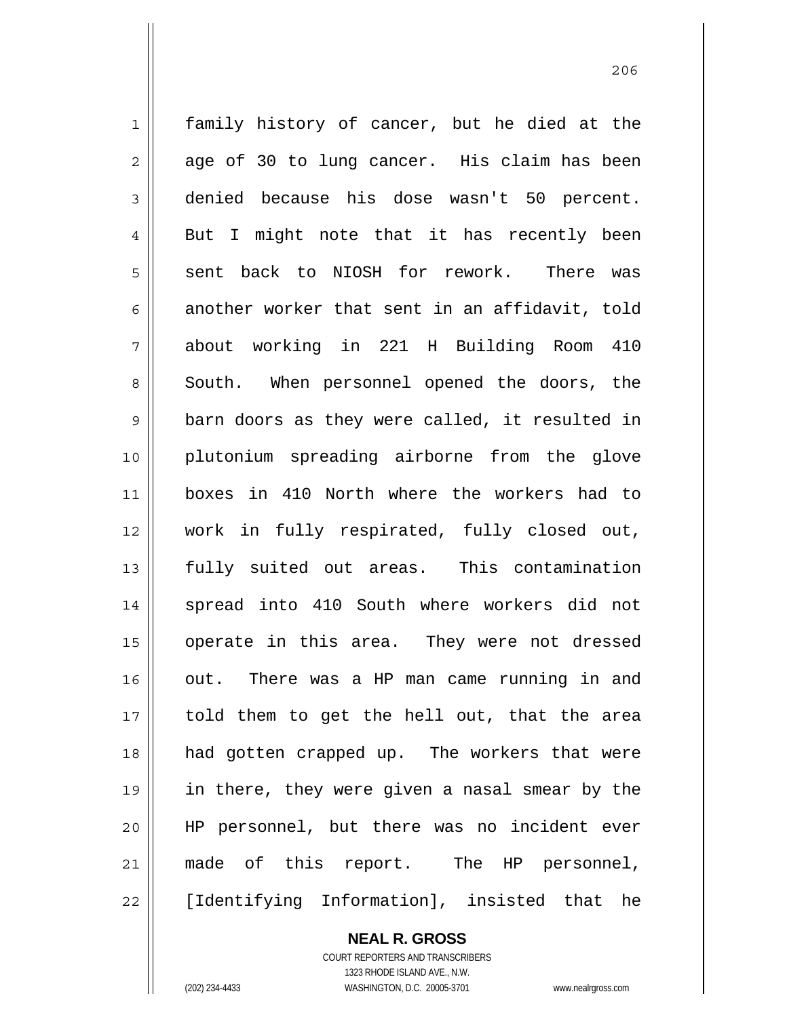1 2 3 4 5 6 7 8 9 10 11 12 13 14 15 16 17 18 19 20 21 22 family history of cancer, but he died at the age of 30 to lung cancer. His claim has been denied because his dose wasn't 50 percent. But I might note that it has recently been sent back to NIOSH for rework. There was another worker that sent in an affidavit, told about working in 221 H Building Room 410 South. When personnel opened the doors, the barn doors as they were called, it resulted in plutonium spreading airborne from the glove boxes in 410 North where the workers had to work in fully respirated, fully closed out, fully suited out areas. This contamination spread into 410 South where workers did not operate in this area. They were not dressed out. There was a HP man came running in and told them to get the hell out, that the area had gotten crapped up. The workers that were in there, they were given a nasal smear by the HP personnel, but there was no incident ever made of this report. The HP personnel, [Identifying Information], insisted that he

206

COURT REPORTERS AND TRANSCRIBERS 1323 RHODE ISLAND AVE., N.W.

**NEAL R. GROSS**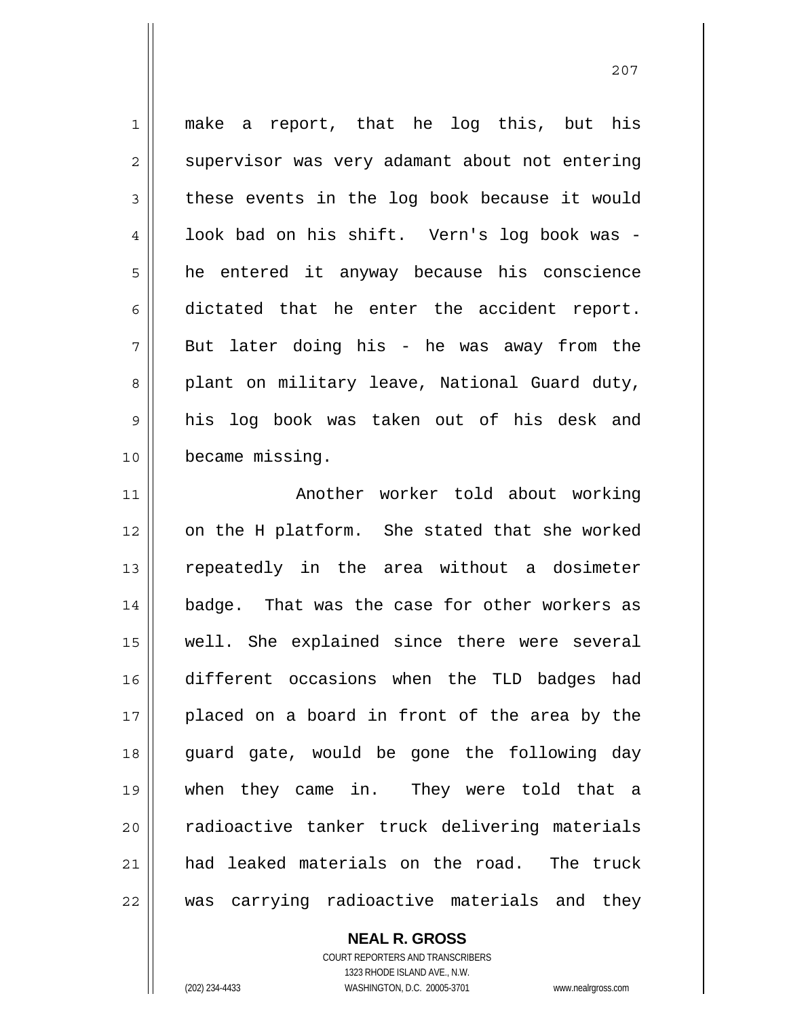1 2 3 4 5 6 7 8 9 10 11 make a report, that he log this, but his supervisor was very adamant about not entering these events in the log book because it would look bad on his shift. Vern's log book was he entered it anyway because his conscience dictated that he enter the accident report. But later doing his - he was away from the plant on military leave, National Guard duty, his log book was taken out of his desk and became missing. Another worker told about working

12 13 14 15 16 17 18 19 20 21 22 on the H platform. She stated that she worked repeatedly in the area without a dosimeter badge. That was the case for other workers as well. She explained since there were several different occasions when the TLD badges had placed on a board in front of the area by the guard gate, would be gone the following day when they came in. They were told that a radioactive tanker truck delivering materials had leaked materials on the road. The truck was carrying radioactive materials and they

**NEAL R. GROSS**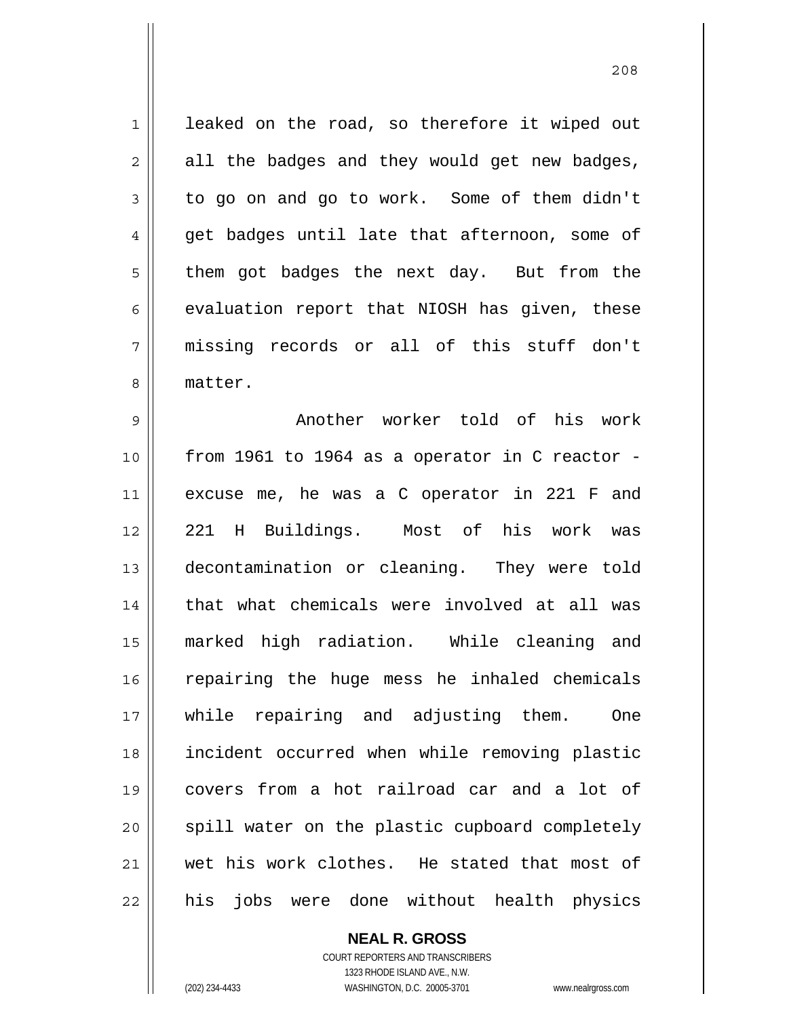1 2 3 4 5 6 7 8 leaked on the road, so therefore it wiped out all the badges and they would get new badges, to go on and go to work. Some of them didn't get badges until late that afternoon, some of them got badges the next day. But from the evaluation report that NIOSH has given, these missing records or all of this stuff don't matter.

9 10 11 12 13 14 15 16 17 18 19 20 21 22 Another worker told of his work from 1961 to 1964 as a operator in C reactor excuse me, he was a C operator in 221 F and 221 H Buildings. Most of his work was decontamination or cleaning. They were told that what chemicals were involved at all was marked high radiation. While cleaning and repairing the huge mess he inhaled chemicals while repairing and adjusting them. One incident occurred when while removing plastic covers from a hot railroad car and a lot of spill water on the plastic cupboard completely wet his work clothes. He stated that most of his jobs were done without health physics

**NEAL R. GROSS**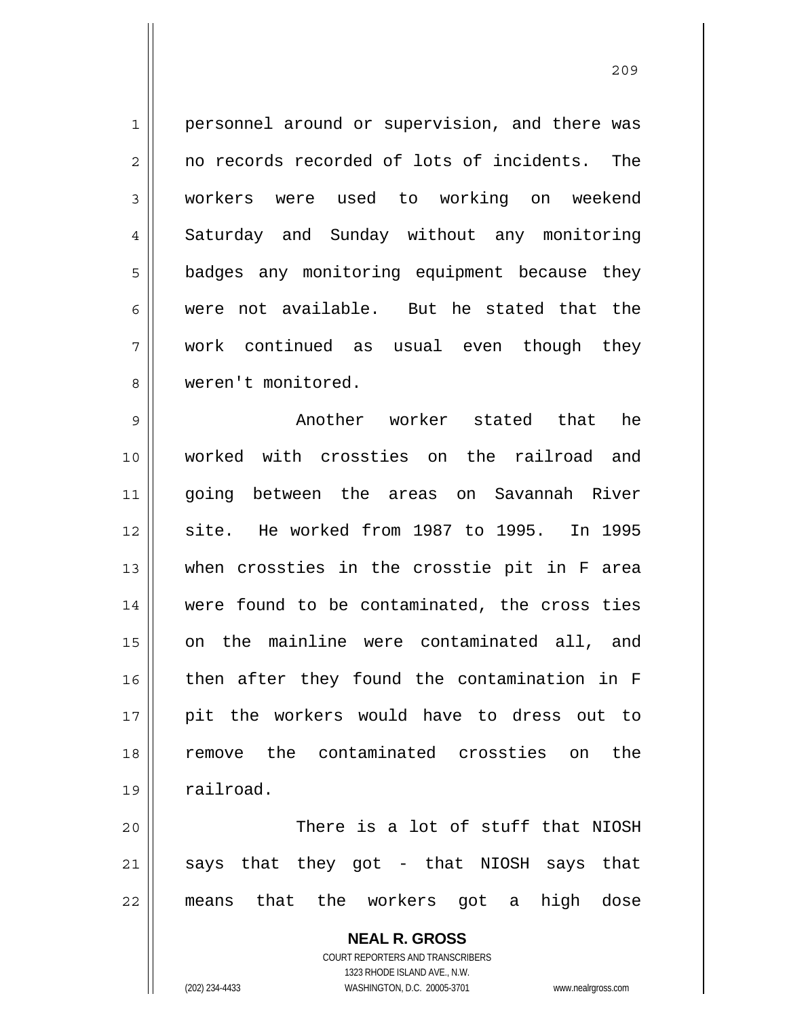1 2 3 4 5 6 7 8 personnel around or supervision, and there was no records recorded of lots of incidents. The workers were used to working on weekend Saturday and Sunday without any monitoring badges any monitoring equipment because they were not available. But he stated that the work continued as usual even though they weren't monitored.

9 10 11 12 13 14 15 16 17 18 19 Another worker stated that he worked with crossties on the railroad and going between the areas on Savannah River site. He worked from 1987 to 1995. In 1995 when crossties in the crosstie pit in F area were found to be contaminated, the cross ties on the mainline were contaminated all, and then after they found the contamination in F pit the workers would have to dress out to remove the contaminated crossties on the railroad.

20 21 22 There is a lot of stuff that NIOSH says that they got - that NIOSH says that means that the workers got a high dose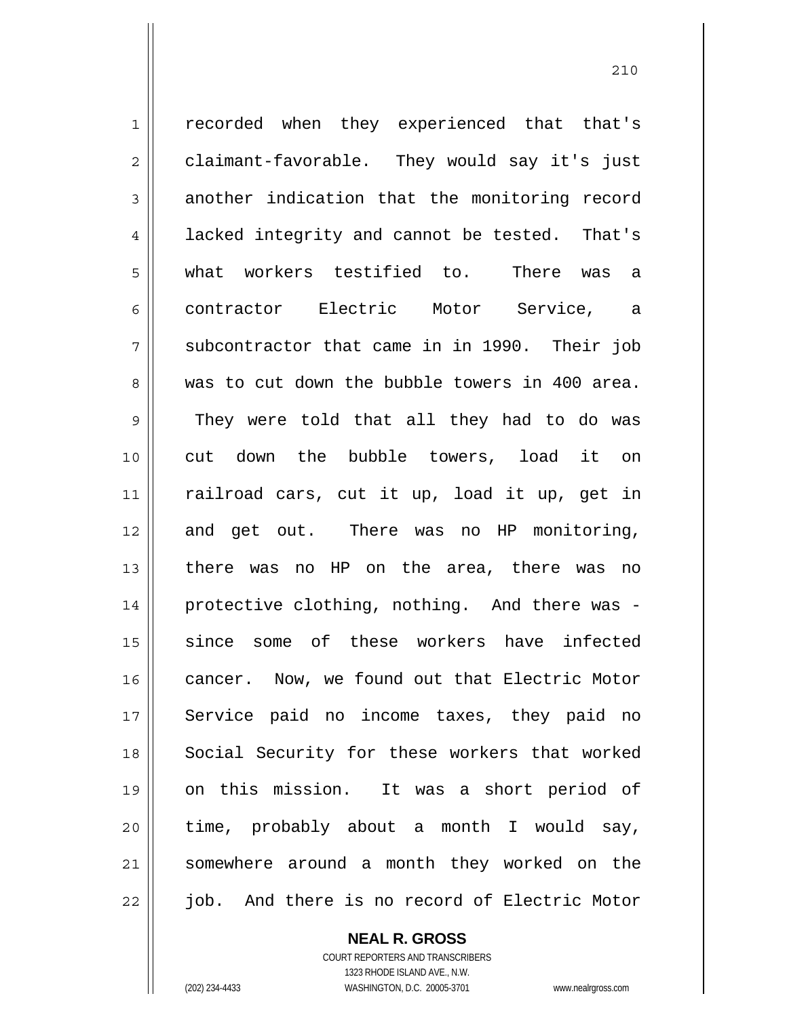1 2 3 4 5 6 7 8 9 10 11 12 13 14 15 16 17 18 19 20 21 22 recorded when they experienced that that's claimant-favorable. They would say it's just another indication that the monitoring record lacked integrity and cannot be tested. That's what workers testified to. There was a contractor Electric Motor Service, a subcontractor that came in in 1990. Their job was to cut down the bubble towers in 400 area. They were told that all they had to do was cut down the bubble towers, load it on railroad cars, cut it up, load it up, get in and get out. There was no HP monitoring, there was no HP on the area, there was no protective clothing, nothing. And there was since some of these workers have infected cancer. Now, we found out that Electric Motor Service paid no income taxes, they paid no Social Security for these workers that worked on this mission. It was a short period of time, probably about a month I would say, somewhere around a month they worked on the job. And there is no record of Electric Motor

**NEAL R. GROSS**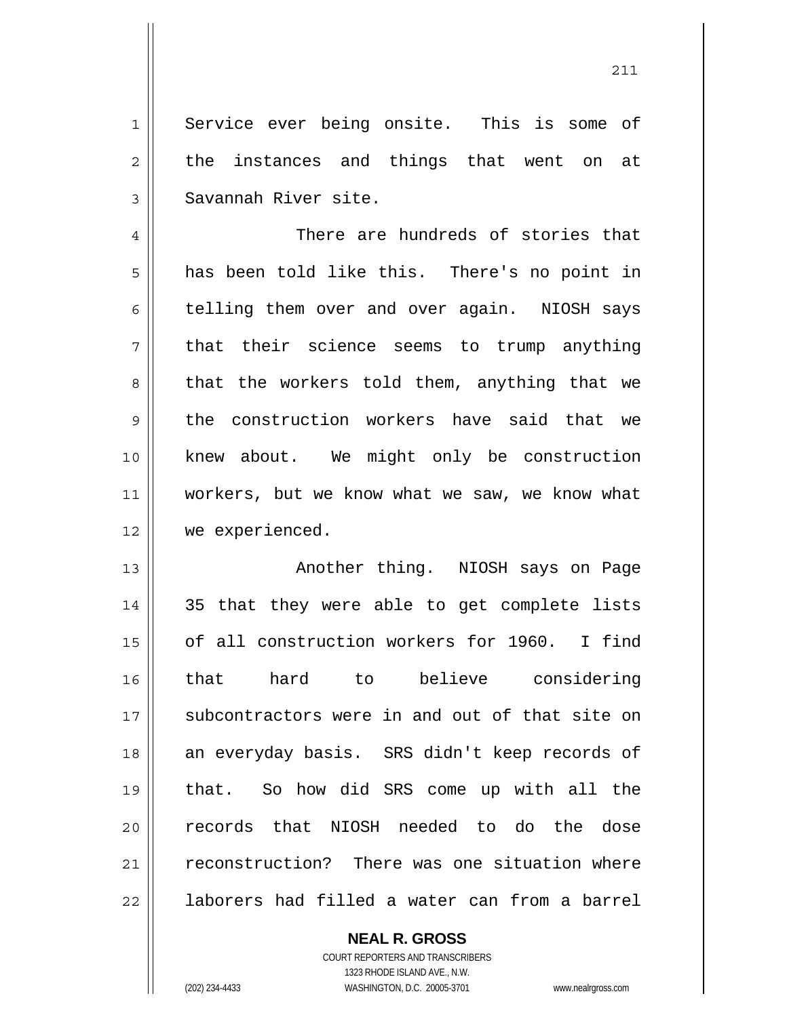1 2 3 Service ever being onsite. This is some of the instances and things that went on at Savannah River site.

4 5 6 7 8 9 10 11 12 There are hundreds of stories that has been told like this. There's no point in telling them over and over again. NIOSH says that their science seems to trump anything that the workers told them, anything that we the construction workers have said that we knew about. We might only be construction workers, but we know what we saw, we know what we experienced.

13 14 15 16 17 18 19 20 21 22 Another thing. NIOSH says on Page 35 that they were able to get complete lists of all construction workers for 1960. I find that hard to believe considering subcontractors were in and out of that site on an everyday basis. SRS didn't keep records of that. So how did SRS come up with all the records that NIOSH needed to do the dose reconstruction? There was one situation where laborers had filled a water can from a barrel

> **NEAL R. GROSS** COURT REPORTERS AND TRANSCRIBERS 1323 RHODE ISLAND AVE., N.W. (202) 234-4433 WASHINGTON, D.C. 20005-3701 www.nealrgross.com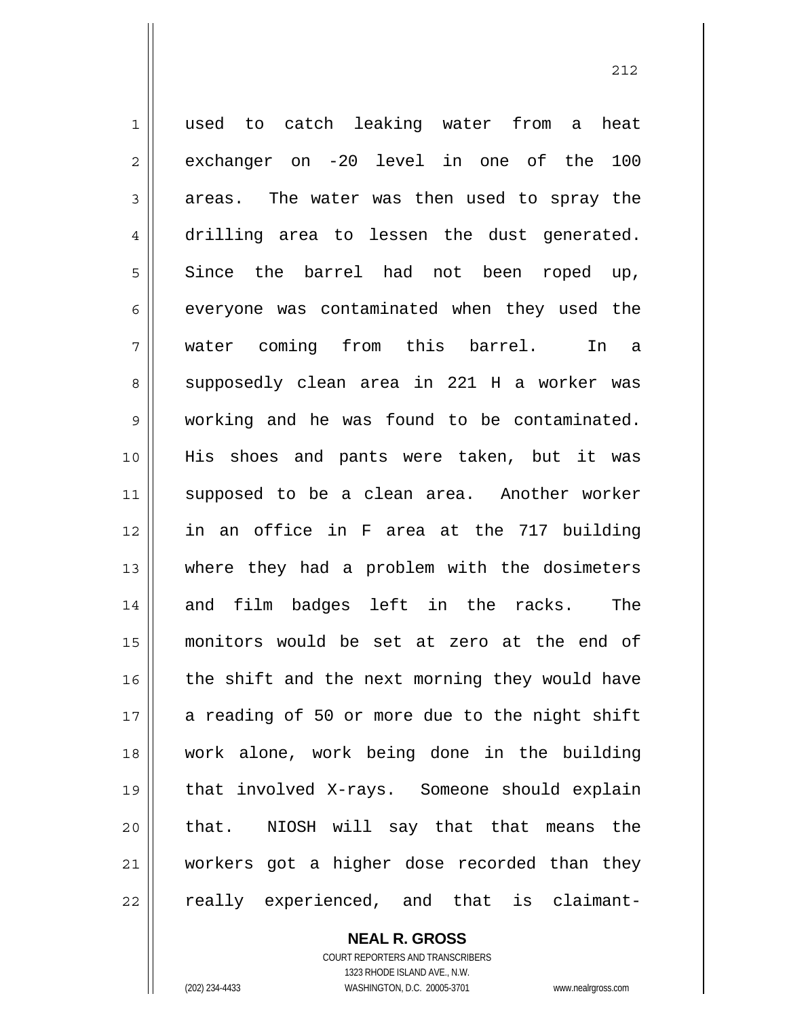1 2 3 4 5 6 7 8 9 10 11 12 13 14 15 16 17 18 19 20 21 22 used to catch leaking water from a heat exchanger on -20 level in one of the 100 areas. The water was then used to spray the drilling area to lessen the dust generated. Since the barrel had not been roped up, everyone was contaminated when they used the water coming from this barrel. In a supposedly clean area in 221 H a worker was working and he was found to be contaminated. His shoes and pants were taken, but it was supposed to be a clean area. Another worker in an office in F area at the 717 building where they had a problem with the dosimeters and film badges left in the racks. The monitors would be set at zero at the end of the shift and the next morning they would have a reading of 50 or more due to the night shift work alone, work being done in the building that involved X-rays. Someone should explain that. NIOSH will say that that means the workers got a higher dose recorded than they really experienced, and that is claimant-

> **NEAL R. GROSS** COURT REPORTERS AND TRANSCRIBERS

> > 1323 RHODE ISLAND AVE., N.W.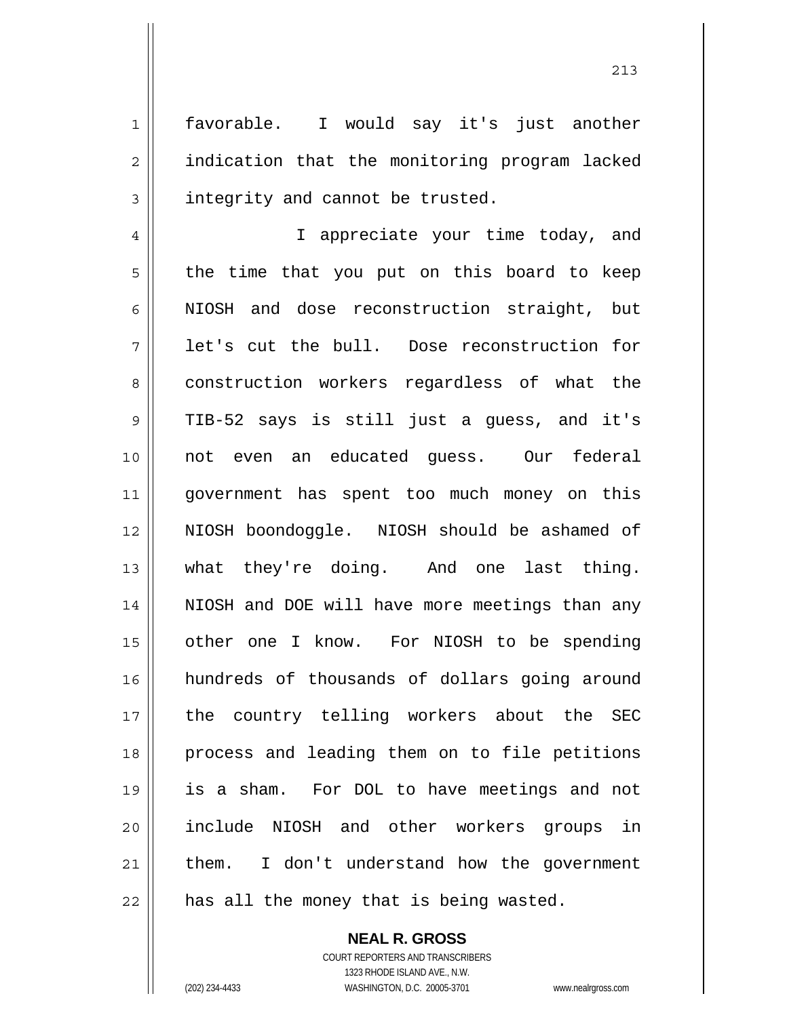favorable. I would say it's just another indication that the monitoring program lacked integrity and cannot be trusted.

4 5 6 7 8 9 10 11 12 13 14 15 16 17 18 19 20 21 22 I appreciate your time today, and the time that you put on this board to keep NIOSH and dose reconstruction straight, but let's cut the bull. Dose reconstruction for construction workers regardless of what the TIB-52 says is still just a guess, and it's not even an educated guess. Our federal government has spent too much money on this NIOSH boondoggle. NIOSH should be ashamed of what they're doing. And one last thing. NIOSH and DOE will have more meetings than any other one I know. For NIOSH to be spending hundreds of thousands of dollars going around the country telling workers about the SEC process and leading them on to file petitions is a sham. For DOL to have meetings and not include NIOSH and other workers groups in them. I don't understand how the government has all the money that is being wasted.

**NEAL R. GROSS**

1

2

3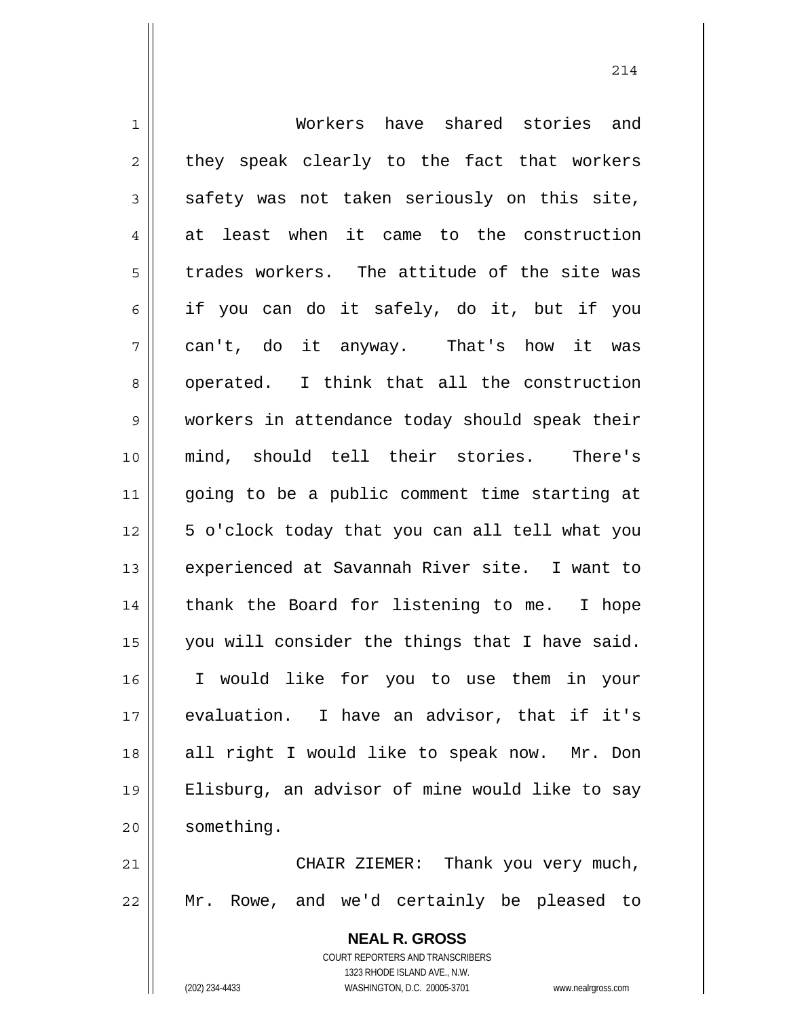| $\mathbf 1$  | Workers have shared stories and                          |
|--------------|----------------------------------------------------------|
| 2            | they speak clearly to the fact that workers              |
| 3            | safety was not taken seriously on this site,             |
| 4            | at least when it came to the construction                |
| 5            | trades workers. The attitude of the site was             |
| 6            | if you can do it safely, do it, but if you               |
| 7            | can't, do it anyway. That's how it was                   |
| 8            | operated. I think that all the construction              |
| $\mathsf{S}$ | workers in attendance today should speak their           |
| 10           | mind, should tell their stories.<br>There's              |
| 11           | going to be a public comment time starting at            |
| 12           | 5 o'clock today that you can all tell what you           |
| 13           | experienced at Savannah River site. I want to            |
| 14           | thank the Board for listening to me. I hope              |
| 15           | you will consider the things that I have said.           |
| 16           | I would like for you to use them in your                 |
| 17           | evaluation. I have an advisor, that if it's              |
| 18           | all right I would like to speak now. Mr. Don             |
| 19           | Elisburg, an advisor of mine would like to say           |
| 20           | something.                                               |
| 21           | CHAIR ZIEMER: Thank you very much,                       |
| 22           | Mr. Rowe, and we'd certainly be pleased to               |
|              | <b>NEAL R. GROSS</b><br>COURT REPORTERS AND TRANSCRIBERS |

1323 RHODE ISLAND AVE., N.W.

 $\prod$ 

(202) 234-4433 WASHINGTON, D.C. 20005-3701 www.nealrgross.com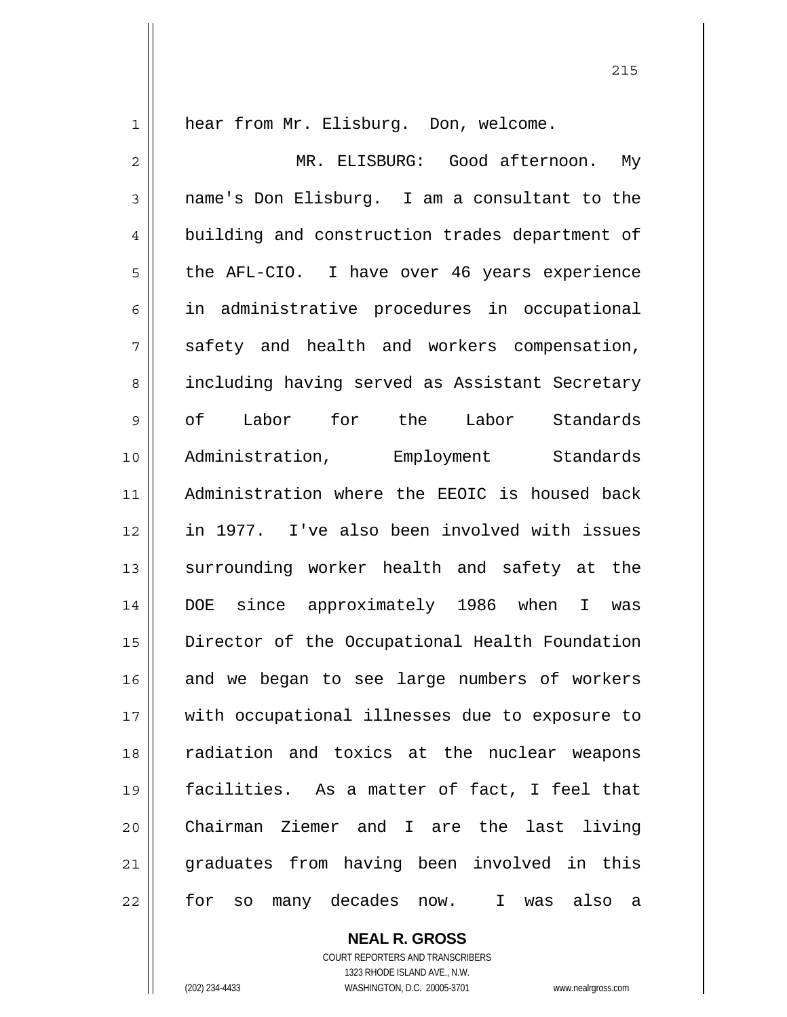1

hear from Mr. Elisburg. Don, welcome.

2 3 4 5 6 7 8 9 10 11 12 13 14 15 16 17 18 19 20 21 22 MR. ELISBURG: Good afternoon. My name's Don Elisburg. I am a consultant to the building and construction trades department of the AFL-CIO. I have over 46 years experience in administrative procedures in occupational safety and health and workers compensation, including having served as Assistant Secretary of Labor for the Labor Standards Administration, Employment Standards Administration where the EEOIC is housed back in 1977. I've also been involved with issues surrounding worker health and safety at the DOE since approximately 1986 when I was Director of the Occupational Health Foundation and we began to see large numbers of workers with occupational illnesses due to exposure to radiation and toxics at the nuclear weapons facilities. As a matter of fact, I feel that Chairman Ziemer and I are the last living graduates from having been involved in this for so many decades now. I was also a

> **NEAL R. GROSS** COURT REPORTERS AND TRANSCRIBERS

1323 RHODE ISLAND AVE., N.W. (202) 234-4433 WASHINGTON, D.C. 20005-3701 www.nealrgross.com

<u>215</u>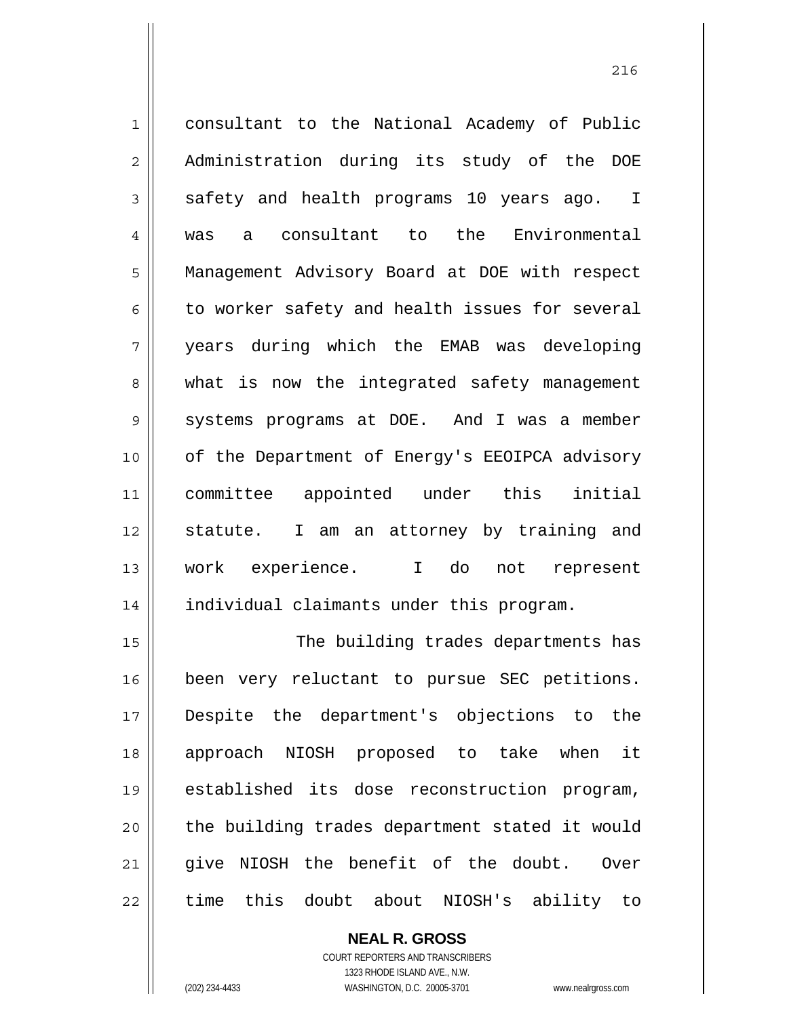1 2 3 4 5 6 7 8 9 10 11 12 13 14 15 consultant to the National Academy of Public Administration during its study of the DOE safety and health programs 10 years ago. I was a consultant to the Environmental Management Advisory Board at DOE with respect to worker safety and health issues for several years during which the EMAB was developing what is now the integrated safety management systems programs at DOE. And I was a member of the Department of Energy's EEOIPCA advisory committee appointed under this initial statute. I am an attorney by training and work experience. I do not represent individual claimants under this program. The building trades departments has

16 17 18 19 20 21 22 been very reluctant to pursue SEC petitions. Despite the department's objections to the approach NIOSH proposed to take when it established its dose reconstruction program, the building trades department stated it would give NIOSH the benefit of the doubt. Over time this doubt about NIOSH's ability to

> **NEAL R. GROSS** COURT REPORTERS AND TRANSCRIBERS 1323 RHODE ISLAND AVE., N.W.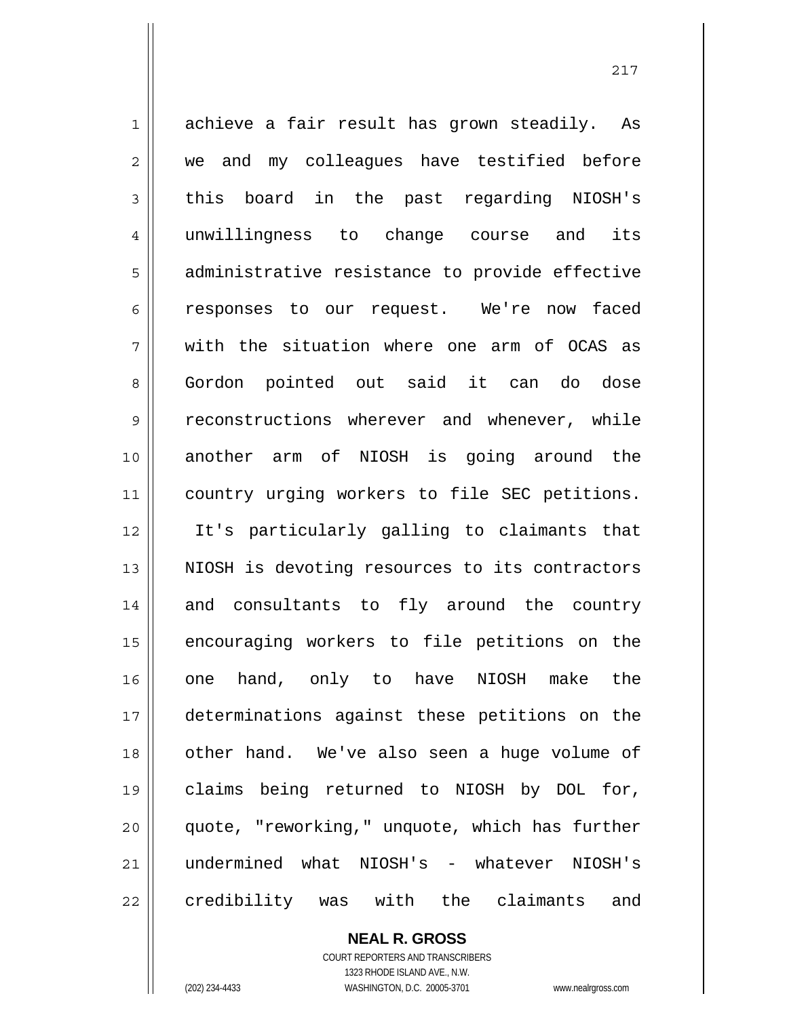1 2 3 4 5 6 7 8 9 10 11 12 13 14 15 16 17 18 19 20 21 22 achieve a fair result has grown steadily. As we and my colleagues have testified before this board in the past regarding NIOSH's unwillingness to change course and its administrative resistance to provide effective responses to our request. We're now faced with the situation where one arm of OCAS as Gordon pointed out said it can do dose reconstructions wherever and whenever, while another arm of NIOSH is going around the country urging workers to file SEC petitions. It's particularly galling to claimants that NIOSH is devoting resources to its contractors and consultants to fly around the country encouraging workers to file petitions on the one hand, only to have NIOSH make the determinations against these petitions on the other hand. We've also seen a huge volume of claims being returned to NIOSH by DOL for, quote, "reworking," unquote, which has further undermined what NIOSH's - whatever NIOSH's credibility was with the claimants and

217

**NEAL R. GROSS** COURT REPORTERS AND TRANSCRIBERS 1323 RHODE ISLAND AVE., N.W. (202) 234-4433 WASHINGTON, D.C. 20005-3701 www.nealrgross.com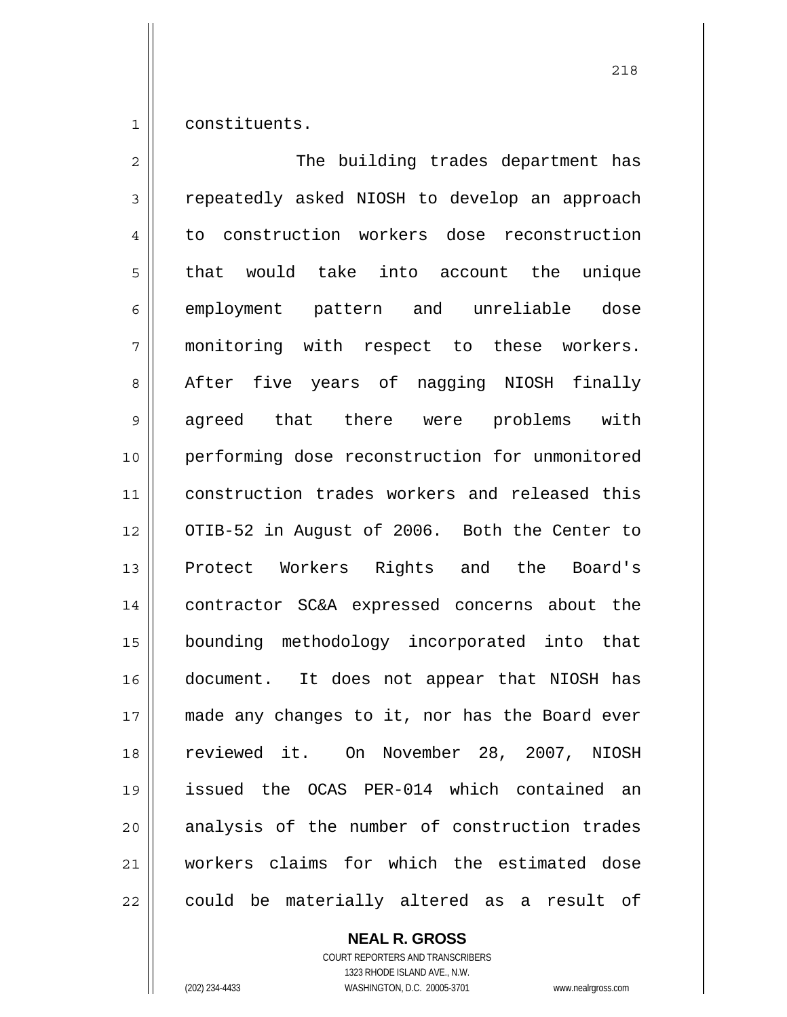1 constituents.

2 3 4 5 6 7 8 9 10 11 12 13 14 15 16 17 18 19 20 21 22 The building trades department has repeatedly asked NIOSH to develop an approach to construction workers dose reconstruction that would take into account the unique employment pattern and unreliable dose monitoring with respect to these workers. After five years of nagging NIOSH finally agreed that there were problems with performing dose reconstruction for unmonitored construction trades workers and released this OTIB-52 in August of 2006. Both the Center to Protect Workers Rights and the Board's contractor SC&A expressed concerns about the bounding methodology incorporated into that document. It does not appear that NIOSH has made any changes to it, nor has the Board ever reviewed it. On November 28, 2007, NIOSH issued the OCAS PER-014 which contained an analysis of the number of construction trades workers claims for which the estimated dose could be materially altered as a result of

**NEAL R. GROSS**

COURT REPORTERS AND TRANSCRIBERS 1323 RHODE ISLAND AVE., N.W. (202) 234-4433 WASHINGTON, D.C. 20005-3701 www.nealrgross.com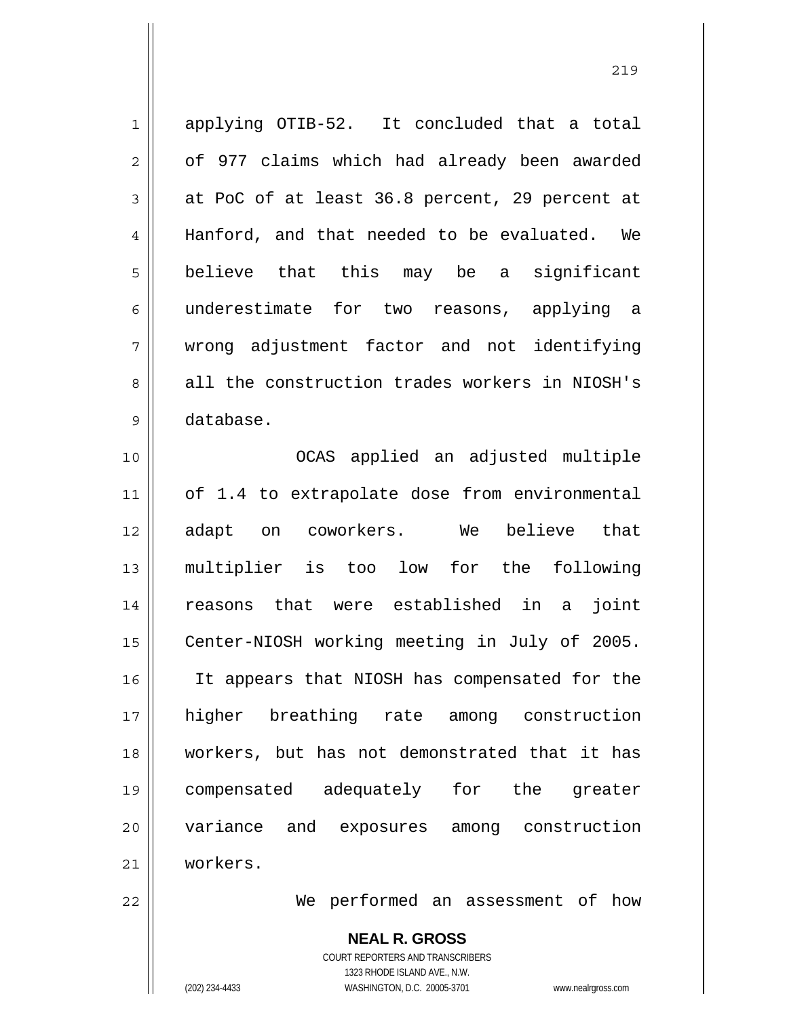1 2 3 4 5 6 7 8 9 applying OTIB-52. It concluded that a total of 977 claims which had already been awarded at PoC of at least 36.8 percent, 29 percent at Hanford, and that needed to be evaluated. We believe that this may be a significant underestimate for two reasons, applying a wrong adjustment factor and not identifying all the construction trades workers in NIOSH's database.

10 11 12 13 14 15 16 17 18 19 20 21 OCAS applied an adjusted multiple of 1.4 to extrapolate dose from environmental adapt on coworkers. We believe that multiplier is too low for the following reasons that were established in a joint Center-NIOSH working meeting in July of 2005. It appears that NIOSH has compensated for the higher breathing rate among construction workers, but has not demonstrated that it has compensated adequately for the greater variance and exposures among construction workers.

22

We performed an assessment of how

**NEAL R. GROSS** COURT REPORTERS AND TRANSCRIBERS 1323 RHODE ISLAND AVE., N.W. (202) 234-4433 WASHINGTON, D.C. 20005-3701 www.nealrgross.com

<u>219</u>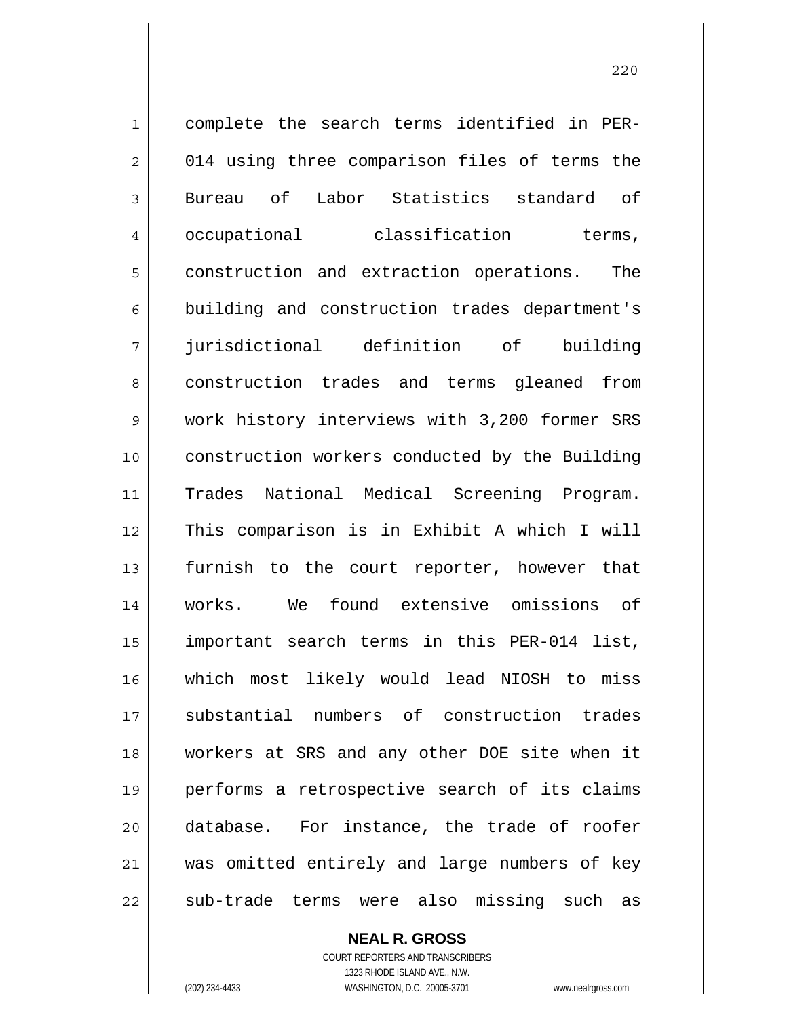1 2 3 4 5 6 7 8 9 10 11 12 13 14 15 16 17 18 19 20 21 22 complete the search terms identified in PER-014 using three comparison files of terms the Bureau of Labor Statistics standard of occupational classification terms, construction and extraction operations. The building and construction trades department's jurisdictional definition of building construction trades and terms gleaned from work history interviews with 3,200 former SRS construction workers conducted by the Building Trades National Medical Screening Program. This comparison is in Exhibit A which I will furnish to the court reporter, however that works. We found extensive omissions of important search terms in this PER-014 list, which most likely would lead NIOSH to miss substantial numbers of construction trades workers at SRS and any other DOE site when it performs a retrospective search of its claims database. For instance, the trade of roofer was omitted entirely and large numbers of key sub-trade terms were also missing such as

> **NEAL R. GROSS** COURT REPORTERS AND TRANSCRIBERS

> > 1323 RHODE ISLAND AVE., N.W.

(202) 234-4433 WASHINGTON, D.C. 20005-3701 www.nealrgross.com

<u>220</u>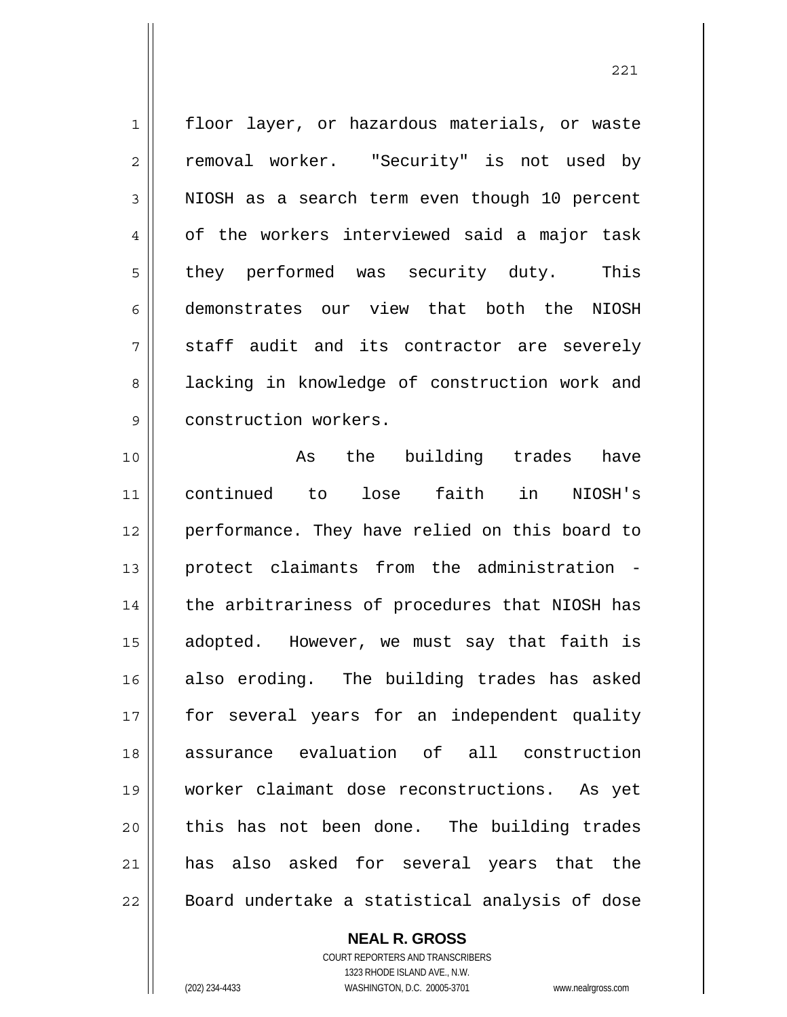1 2 3 4 5 6 7 8 9 floor layer, or hazardous materials, or waste removal worker. "Security" is not used by NIOSH as a search term even though 10 percent of the workers interviewed said a major task they performed was security duty. This demonstrates our view that both the NIOSH staff audit and its contractor are severely lacking in knowledge of construction work and construction workers.

10 11 12 13 14 15 16 17 18 19 20 21 22 As the building trades have continued to lose faith in NIOSH's performance. They have relied on this board to protect claimants from the administration the arbitrariness of procedures that NIOSH has adopted. However, we must say that faith is also eroding. The building trades has asked for several years for an independent quality assurance evaluation of all construction worker claimant dose reconstructions. As yet this has not been done. The building trades has also asked for several years that the Board undertake a statistical analysis of dose

**NEAL R. GROSS**

COURT REPORTERS AND TRANSCRIBERS 1323 RHODE ISLAND AVE., N.W. (202) 234-4433 WASHINGTON, D.C. 20005-3701 www.nealrgross.com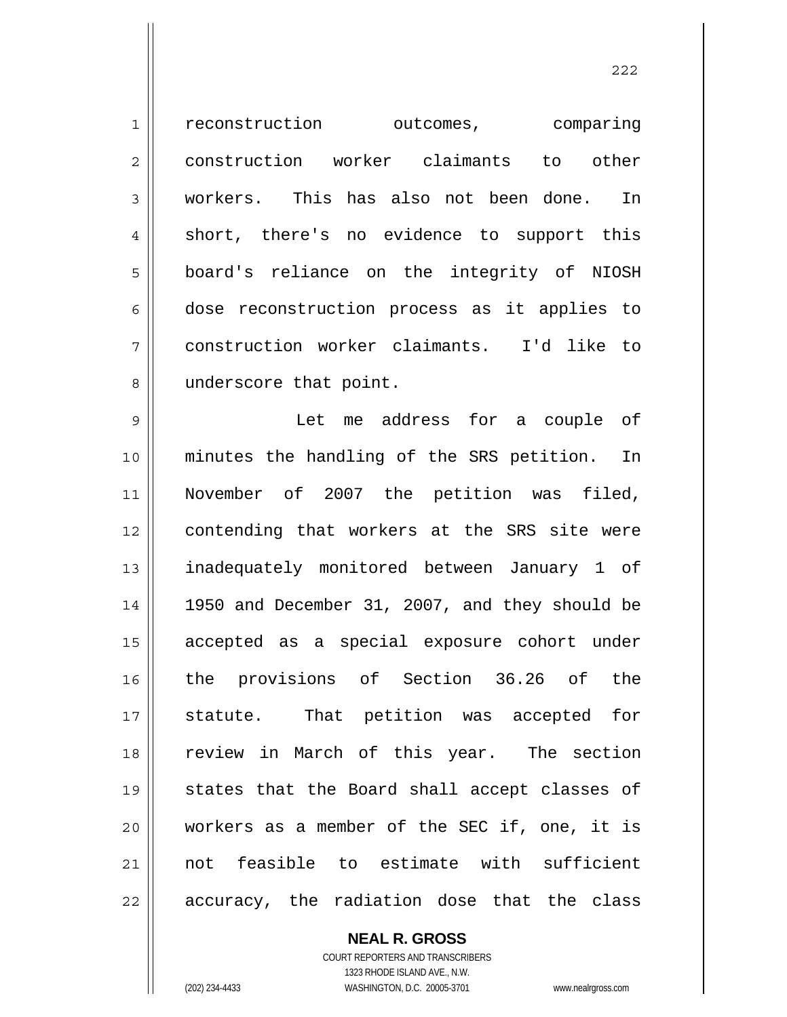1 2 3 4 5 6 7 8 9 10 11 12 13 14 15 16 17 18 19 20 21 22 reconstruction outcomes, comparing construction worker claimants to other workers. This has also not been done. In short, there's no evidence to support this board's reliance on the integrity of NIOSH dose reconstruction process as it applies to construction worker claimants. I'd like to underscore that point. Let me address for a couple of minutes the handling of the SRS petition. In November of 2007 the petition was filed, contending that workers at the SRS site were inadequately monitored between January 1 of 1950 and December 31, 2007, and they should be accepted as a special exposure cohort under the provisions of Section 36.26 of the statute. That petition was accepted for review in March of this year. The section states that the Board shall accept classes of workers as a member of the SEC if, one, it is not feasible to estimate with sufficient accuracy, the radiation dose that the class

<u>222</u>

**NEAL R. GROSS** COURT REPORTERS AND TRANSCRIBERS 1323 RHODE ISLAND AVE., N.W.

(202) 234-4433 WASHINGTON, D.C. 20005-3701 www.nealrgross.com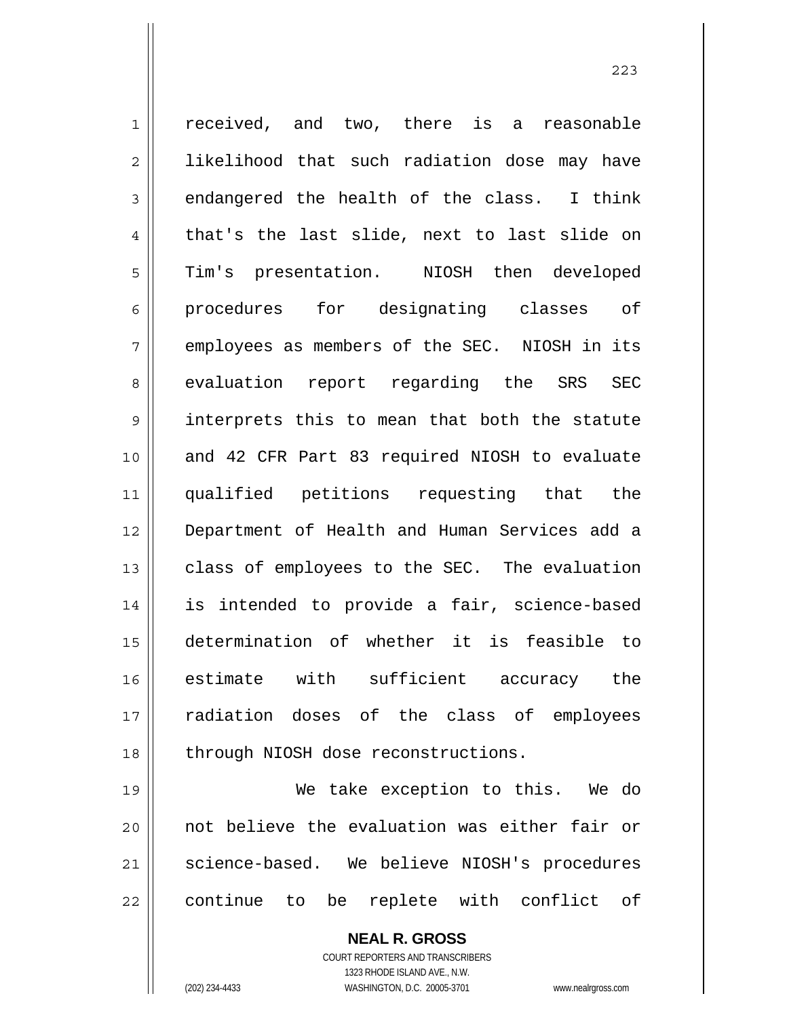1 2 3 4 5 6 7 8 9 10 11 12 13 14 15 16 17 18 received, and two, there is a reasonable likelihood that such radiation dose may have endangered the health of the class. I think that's the last slide, next to last slide on Tim's presentation. NIOSH then developed procedures for designating classes of employees as members of the SEC. NIOSH in its evaluation report regarding the SRS SEC interprets this to mean that both the statute and 42 CFR Part 83 required NIOSH to evaluate qualified petitions requesting that the Department of Health and Human Services add a class of employees to the SEC. The evaluation is intended to provide a fair, science-based determination of whether it is feasible to estimate with sufficient accuracy the radiation doses of the class of employees through NIOSH dose reconstructions.

19 20 21 22 We take exception to this. We do not believe the evaluation was either fair or science-based. We believe NIOSH's procedures continue to be replete with conflict of

> **NEAL R. GROSS** COURT REPORTERS AND TRANSCRIBERS 1323 RHODE ISLAND AVE., N.W. (202) 234-4433 WASHINGTON, D.C. 20005-3701 www.nealrgross.com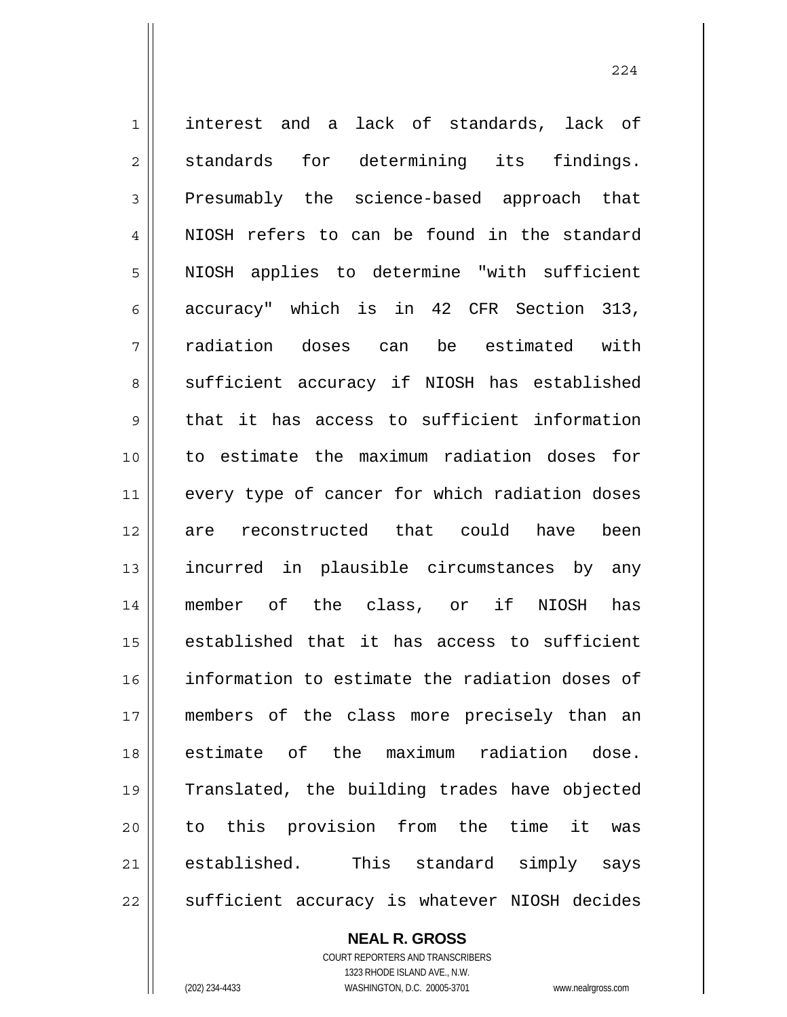1 2 3 4 5 6 7 8 9 10 11 12 13 14 15 16 17 18 19 20 21 22 interest and a lack of standards, lack of standards for determining its findings. Presumably the science-based approach that NIOSH refers to can be found in the standard NIOSH applies to determine "with sufficient accuracy" which is in 42 CFR Section 313, radiation doses can be estimated with sufficient accuracy if NIOSH has established that it has access to sufficient information to estimate the maximum radiation doses for every type of cancer for which radiation doses are reconstructed that could have been incurred in plausible circumstances by any member of the class, or if NIOSH has established that it has access to sufficient information to estimate the radiation doses of members of the class more precisely than an estimate of the maximum radiation dose. Translated, the building trades have objected to this provision from the time it was established. This standard simply says sufficient accuracy is whatever NIOSH decides

**NEAL R. GROSS**

COURT REPORTERS AND TRANSCRIBERS 1323 RHODE ISLAND AVE., N.W. (202) 234-4433 WASHINGTON, D.C. 20005-3701 www.nealrgross.com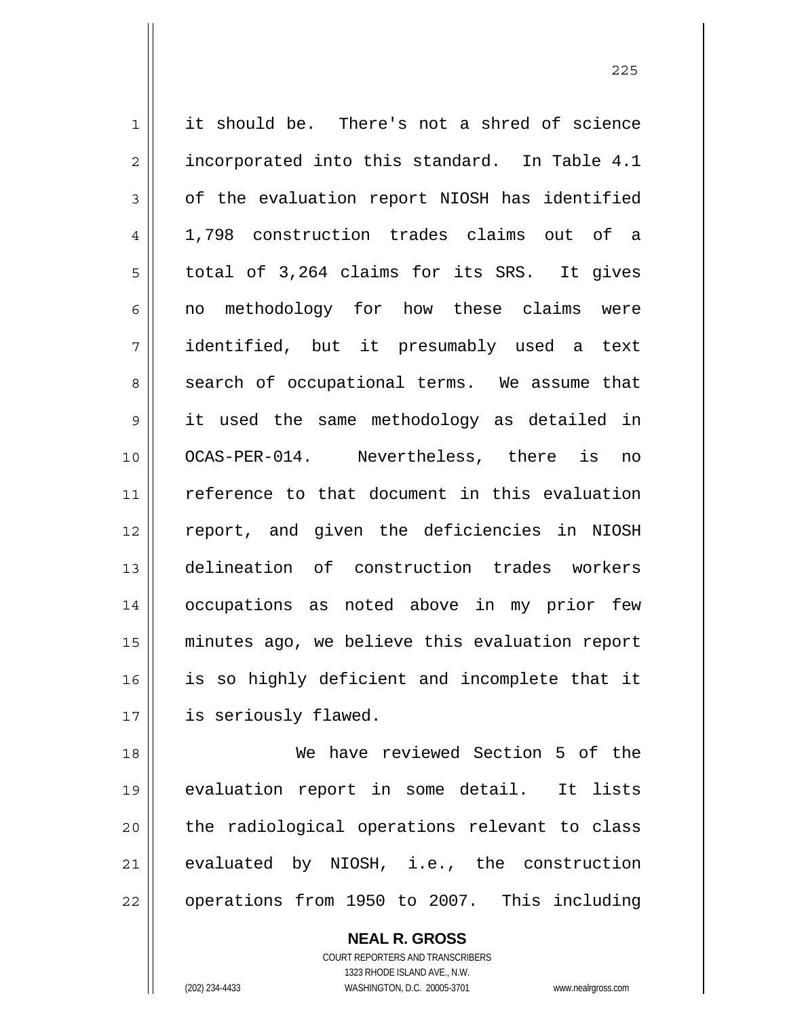1 2 3 4 5 6 7 8 9 10 11 12 13 14 15 16 17 18 19 it should be. There's not a shred of science incorporated into this standard. In Table 4.1 of the evaluation report NIOSH has identified 1,798 construction trades claims out of a total of 3,264 claims for its SRS. It gives no methodology for how these claims were identified, but it presumably used a text search of occupational terms. We assume that it used the same methodology as detailed in OCAS-PER-014. Nevertheless, there is no reference to that document in this evaluation report, and given the deficiencies in NIOSH delineation of construction trades workers occupations as noted above in my prior few minutes ago, we believe this evaluation report is so highly deficient and incomplete that it is seriously flawed. We have reviewed Section 5 of the

<u>225</u>

20 21 22 evaluation report in some detail. It lists the radiological operations relevant to class evaluated by NIOSH, i.e., the construction operations from 1950 to 2007. This including

> **NEAL R. GROSS** COURT REPORTERS AND TRANSCRIBERS 1323 RHODE ISLAND AVE., N.W. (202) 234-4433 WASHINGTON, D.C. 20005-3701 www.nealrgross.com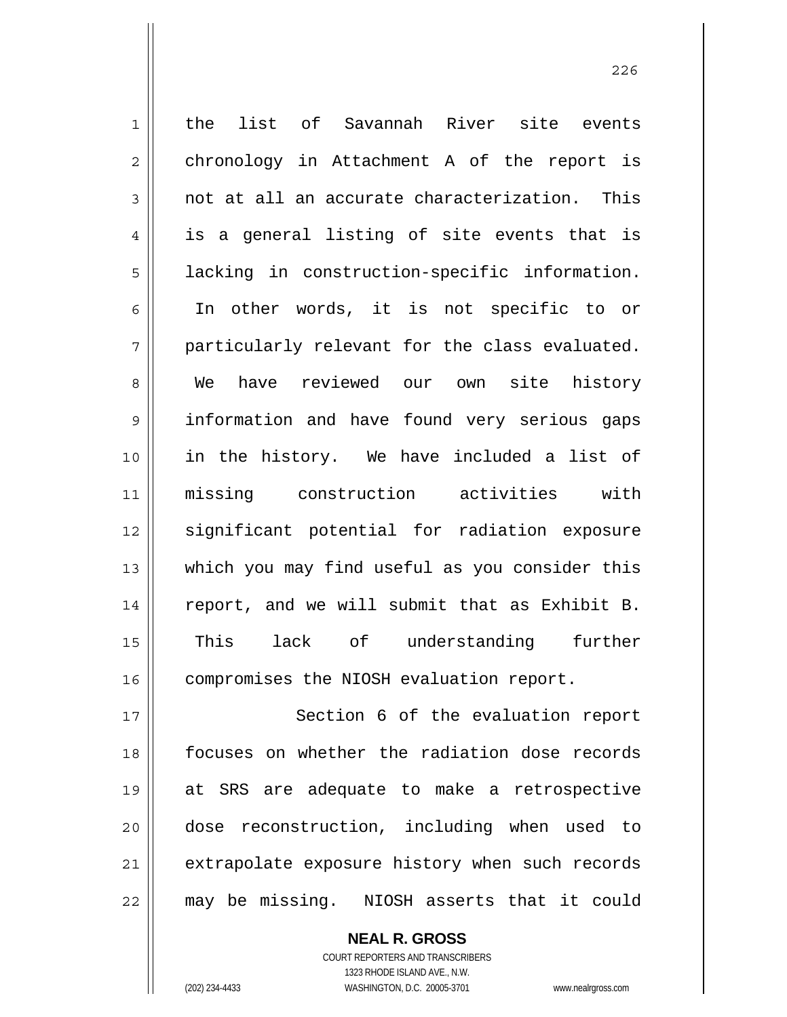| $\mathbf 1$    | list of Savannah River site events<br>the      |
|----------------|------------------------------------------------|
| $\overline{2}$ | chronology in Attachment A of the report is    |
| 3              | not at all an accurate characterization. This  |
| $\overline{4}$ | is a general listing of site events that is    |
| 5              | lacking in construction-specific information.  |
| 6              | In other words, it is not specific to or       |
| 7              | particularly relevant for the class evaluated. |
| 8              | have reviewed our own site history<br>We       |
| $\mathsf 9$    | information and have found very serious gaps   |
| 10             | in the history. We have included a list of     |
| 11             | missing construction activities with           |
| 12             | significant potential for radiation exposure   |
| 13             | which you may find useful as you consider this |
| 14             | report, and we will submit that as Exhibit B.  |
| 15             | lack of understanding further<br>This          |
| 16             | compromises the NIOSH evaluation report.       |
| 17             | Section 6 of the evaluation report             |
| 18             | focuses on whether the radiation dose records  |
| 19             | at SRS are adequate to make a retrospective    |
| 20             | dose reconstruction, including when used to    |
| 21             | extrapolate exposure history when such records |
| 22             | may be missing. NIOSH asserts that it could    |

COURT REPORTERS AND TRANSCRIBERS 1323 RHODE ISLAND AVE., N.W. (202) 234-4433 WASHINGTON, D.C. 20005-3701 www.nealrgross.com

**NEAL R. GROSS**

<u>226</u>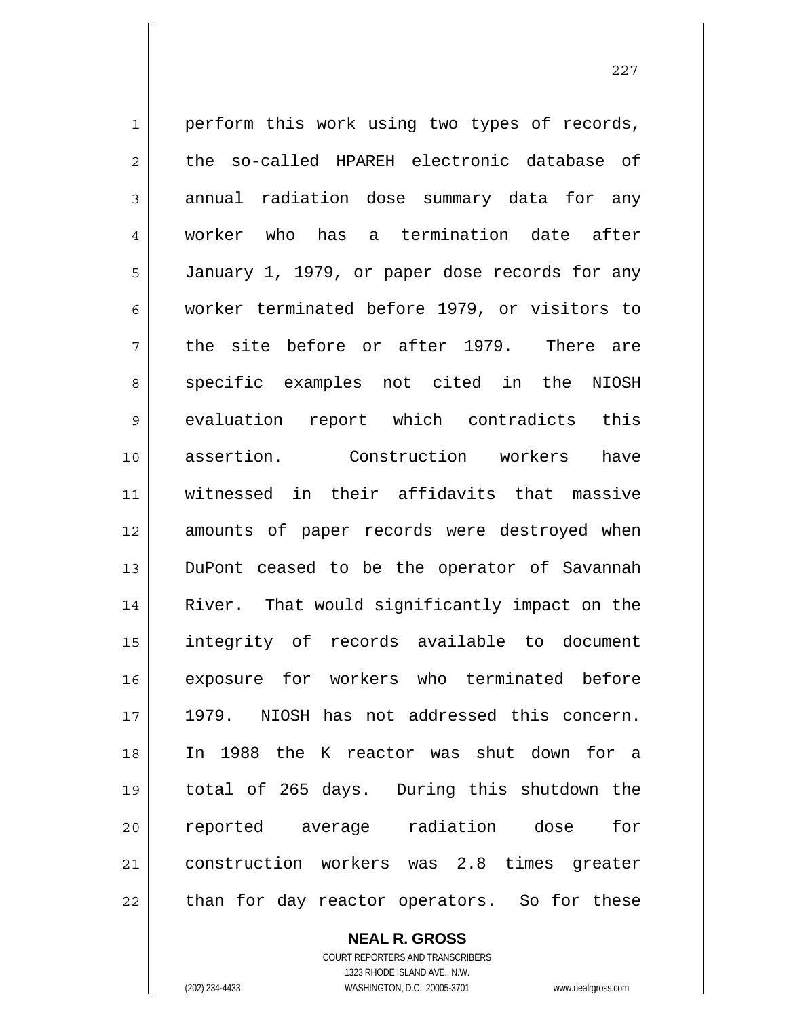1 2 3 4 5 6 7 8 9 10 11 12 13 14 15 16 17 18 19 20 21 22 perform this work using two types of records, the so-called HPAREH electronic database of annual radiation dose summary data for any worker who has a termination date after January 1, 1979, or paper dose records for any worker terminated before 1979, or visitors to the site before or after 1979. There are specific examples not cited in the NIOSH evaluation report which contradicts this assertion. Construction workers have witnessed in their affidavits that massive amounts of paper records were destroyed when DuPont ceased to be the operator of Savannah River. That would significantly impact on the integrity of records available to document exposure for workers who terminated before 1979. NIOSH has not addressed this concern. In 1988 the K reactor was shut down for a total of 265 days. During this shutdown the reported average radiation dose for construction workers was 2.8 times greater than for day reactor operators. So for these

> **NEAL R. GROSS** COURT REPORTERS AND TRANSCRIBERS

> > 1323 RHODE ISLAND AVE., N.W.

(202) 234-4433 WASHINGTON, D.C. 20005-3701 www.nealrgross.com

<u>227</u>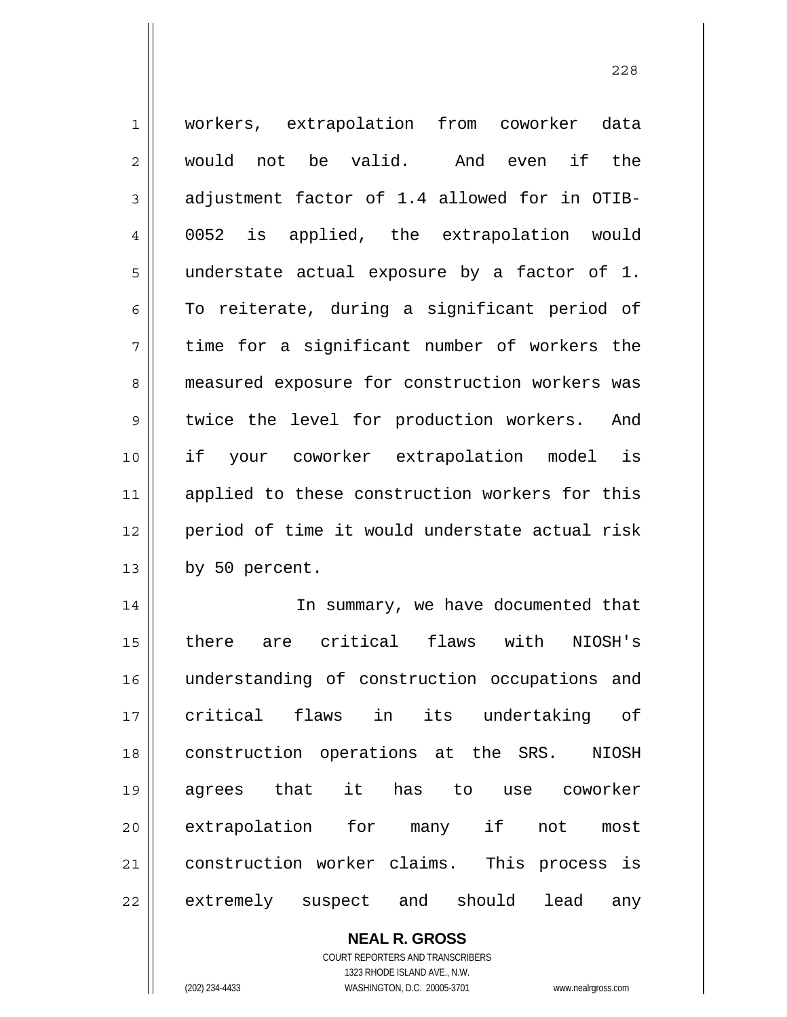| $\mathbf 1$    | workers, extrapolation from coworker data      |
|----------------|------------------------------------------------|
| 2              | would not be valid. And even<br>if the         |
| 3              | adjustment factor of 1.4 allowed for in OTIB-  |
| $\overline{4}$ | 0052 is applied, the extrapolation would       |
| 5              | understate actual exposure by a factor of 1.   |
| 6              | To reiterate, during a significant period of   |
| 7              | time for a significant number of workers the   |
| 8              | measured exposure for construction workers was |
| 9              | twice the level for production workers. And    |
| 10             | if your coworker extrapolation model<br>is     |
| 11             | applied to these construction workers for this |
| 12             | period of time it would understate actual risk |
| 13             | by 50 percent.                                 |
| 14             | In summary, we have documented that            |
| 15             | are critical flaws with<br>there<br>NIOSH's    |
| 16             | understanding of construction occupations and  |
| 17             | critical flaws<br>in its undertaking of        |
| 18             | construction operations at the SRS. NIOSH      |
| 19             | has to use coworker<br>agrees that it          |
| 20             | extrapolation for many if not<br>most          |
| 21             | construction worker claims. This process is    |
| 22             | extremely suspect and should<br>lead<br>any    |

**NEAL R. GROSS** COURT REPORTERS AND TRANSCRIBERS 1323 RHODE ISLAND AVE., N.W.

(202) 234-4433 WASHINGTON, D.C. 20005-3701 www.nealrgross.com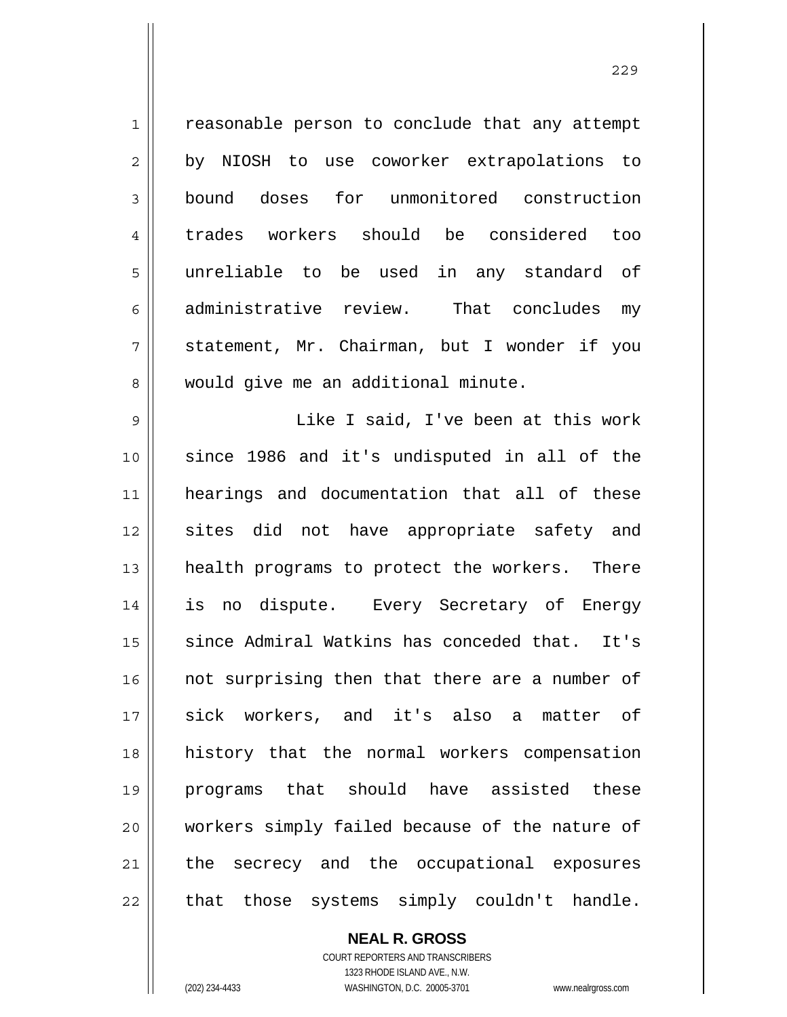1 2 3 4 5 6 7 8 reasonable person to conclude that any attempt by NIOSH to use coworker extrapolations to bound doses for unmonitored construction trades workers should be considered too unreliable to be used in any standard of administrative review. That concludes my statement, Mr. Chairman, but I wonder if you would give me an additional minute.

9 10 11 12 13 14 15 16 17 18 19 20 21 22 Like I said, I've been at this work since 1986 and it's undisputed in all of the hearings and documentation that all of these sites did not have appropriate safety and health programs to protect the workers. There is no dispute. Every Secretary of Energy since Admiral Watkins has conceded that. It's not surprising then that there are a number of sick workers, and it's also a matter of history that the normal workers compensation programs that should have assisted these workers simply failed because of the nature of the secrecy and the occupational exposures that those systems simply couldn't handle.

> COURT REPORTERS AND TRANSCRIBERS 1323 RHODE ISLAND AVE., N.W. (202) 234-4433 WASHINGTON, D.C. 20005-3701 www.nealrgross.com

**NEAL R. GROSS**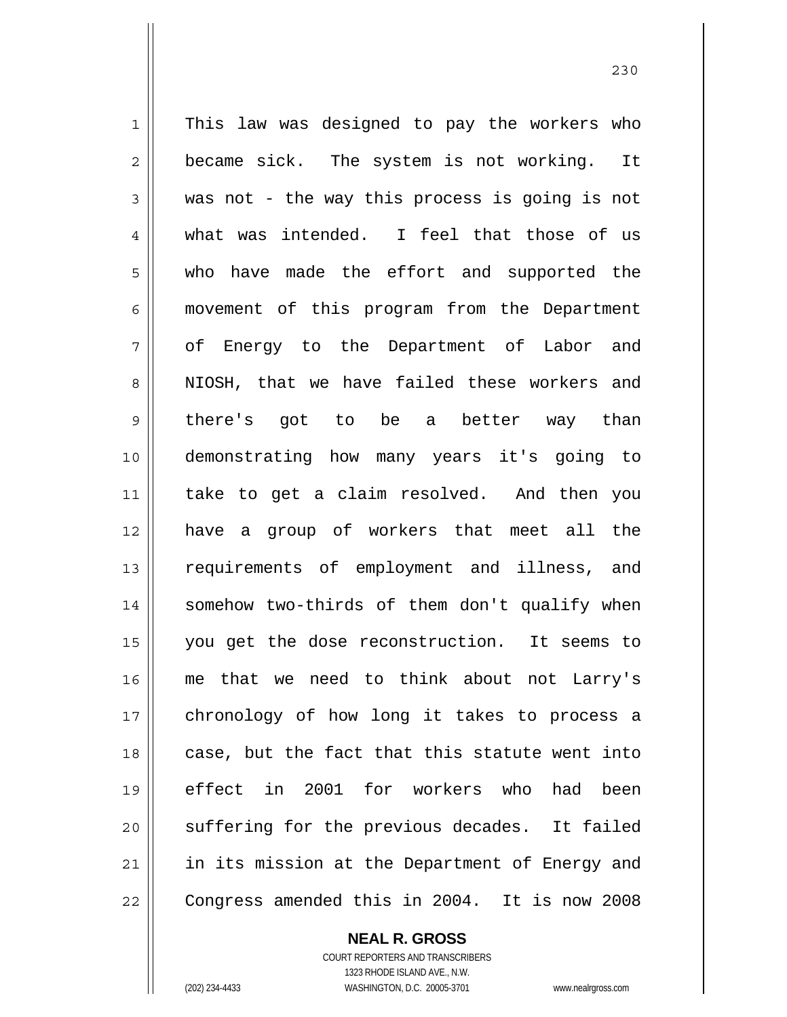1 2 3 4 5 6 7 8 9 10 11 12 13 14 15 16 17 18 19 20 21 22 This law was designed to pay the workers who became sick. The system is not working. It was not - the way this process is going is not what was intended. I feel that those of us who have made the effort and supported the movement of this program from the Department of Energy to the Department of Labor and NIOSH, that we have failed these workers and there's got to be a better way than demonstrating how many years it's going to take to get a claim resolved. And then you have a group of workers that meet all the requirements of employment and illness, and somehow two-thirds of them don't qualify when you get the dose reconstruction. It seems to me that we need to think about not Larry's chronology of how long it takes to process a case, but the fact that this statute went into effect in 2001 for workers who had been suffering for the previous decades. It failed in its mission at the Department of Energy and Congress amended this in 2004. It is now 2008

**NEAL R. GROSS**

COURT REPORTERS AND TRANSCRIBERS 1323 RHODE ISLAND AVE., N.W. (202) 234-4433 WASHINGTON, D.C. 20005-3701 www.nealrgross.com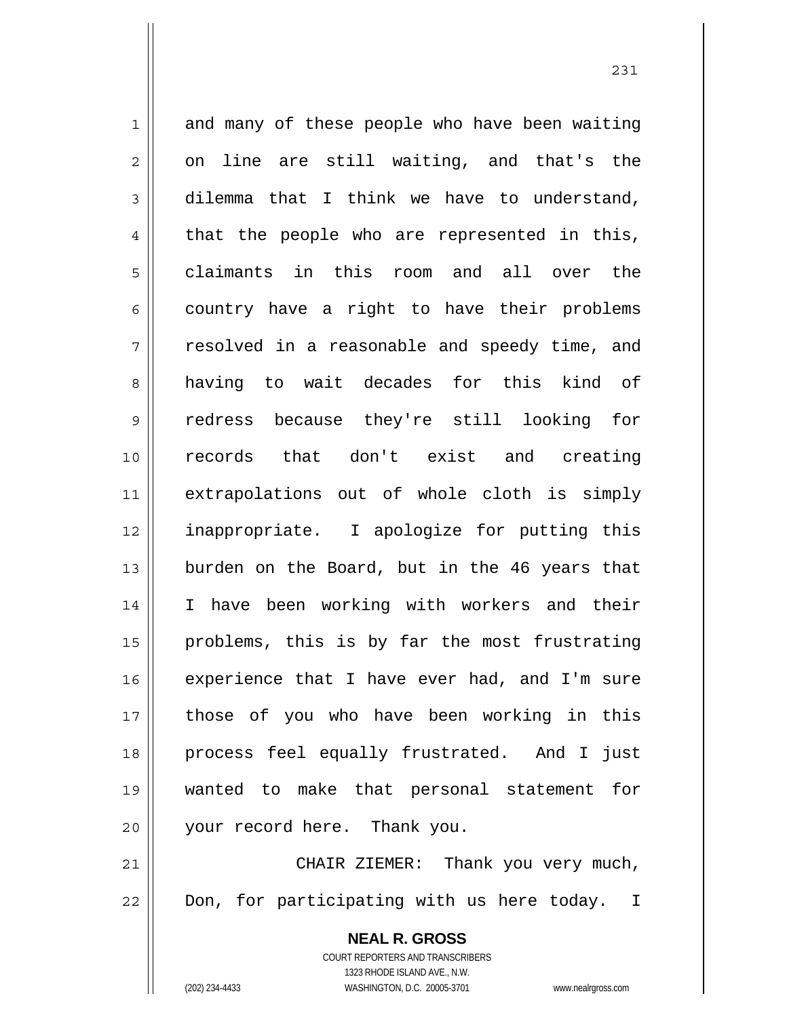1 2 3 4 5 6 7 8 9 10 11 12 13 14 15 16 17 18 19 20 21 22 and many of these people who have been waiting on line are still waiting, and that's the dilemma that I think we have to understand, that the people who are represented in this, claimants in this room and all over the country have a right to have their problems resolved in a reasonable and speedy time, and having to wait decades for this kind of redress because they're still looking for records that don't exist and creating extrapolations out of whole cloth is simply inappropriate. I apologize for putting this burden on the Board, but in the 46 years that I have been working with workers and their problems, this is by far the most frustrating experience that I have ever had, and I'm sure those of you who have been working in this process feel equally frustrated. And I just wanted to make that personal statement for your record here. Thank you. CHAIR ZIEMER: Thank you very much, Don, for participating with us here today. I

> **NEAL R. GROSS** COURT REPORTERS AND TRANSCRIBERS 1323 RHODE ISLAND AVE., N.W.

(202) 234-4433 WASHINGTON, D.C. 20005-3701 www.nealrgross.com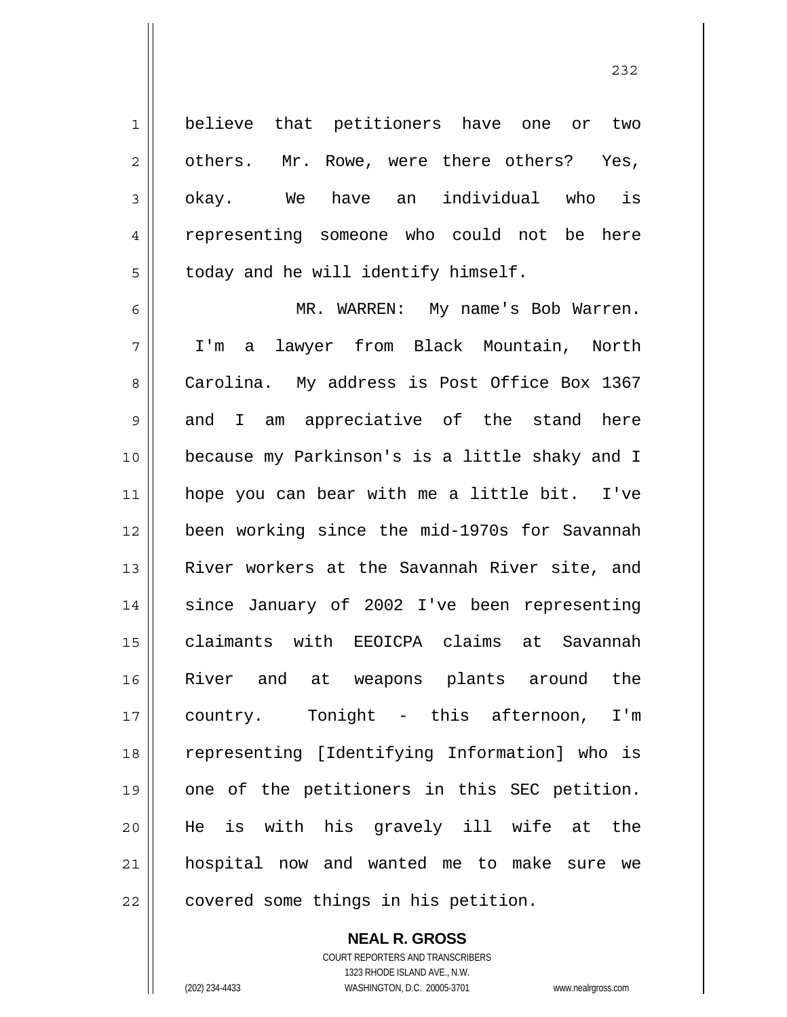believe that petitioners have one or two others. Mr. Rowe, were there others? Yes, okay. We have an individual who is representing someone who could not be here today and he will identify himself.

<u>232</u>

6 7 8 9 10 11 12 13 14 15 16 17 18 19 20 21 22 MR. WARREN: My name's Bob Warren. I'm a lawyer from Black Mountain, North Carolina. My address is Post Office Box 1367 and I am appreciative of the stand here because my Parkinson's is a little shaky and I hope you can bear with me a little bit. I've been working since the mid-1970s for Savannah River workers at the Savannah River site, and since January of 2002 I've been representing claimants with EEOICPA claims at Savannah River and at weapons plants around the country. Tonight - this afternoon, I'm representing [Identifying Information] who is one of the petitioners in this SEC petition. He is with his gravely ill wife at the hospital now and wanted me to make sure we covered some things in his petition.

> **NEAL R. GROSS** COURT REPORTERS AND TRANSCRIBERS 1323 RHODE ISLAND AVE., N.W. (202) 234-4433 WASHINGTON, D.C. 20005-3701 www.nealrgross.com

1

2

3

4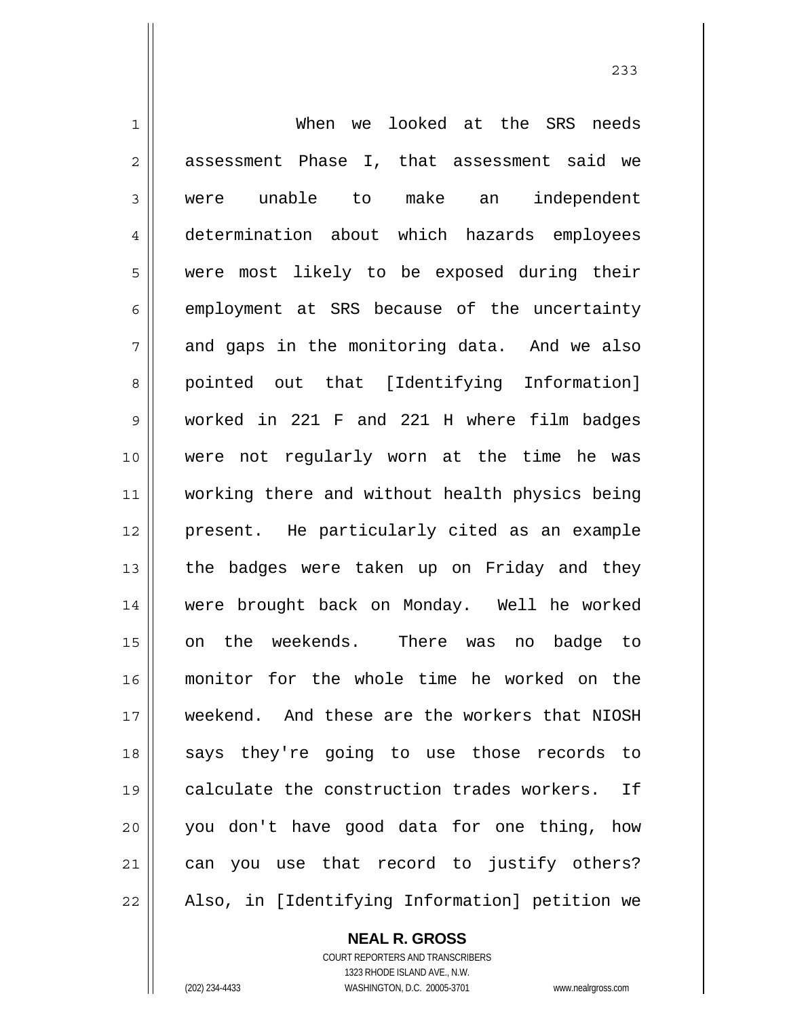| $\mathbf 1$ | looked at the SRS needs<br>When we             |
|-------------|------------------------------------------------|
| $\sqrt{2}$  | assessment Phase I, that assessment said we    |
| 3           | were unable to make an independent             |
| 4           | determination about which hazards employees    |
| 5           | were most likely to be exposed during their    |
| 6           | employment at SRS because of the uncertainty   |
| 7           | and gaps in the monitoring data. And we also   |
| 8           | pointed out that [Identifying Information]     |
| $\mathsf 9$ | worked in 221 F and 221 H where film badges    |
| 10          | were not regularly worn at the time he was     |
| 11          | working there and without health physics being |
| 12          | present. He particularly cited as an example   |
| 13          | the badges were taken up on Friday and they    |
| 14          | were brought back on Monday. Well he worked    |
| 15          | on the weekends. There was<br>no badge to      |
| 16          | monitor for the whole time he worked on the    |
| 17          | weekend. And these are the workers that NIOSH  |
| 18          | says they're going to use those records to     |
| 19          | calculate the construction trades workers. If  |
| 20          | you don't have good data for one thing, how    |
| 21          | can you use that record to justify others?     |
| 22          | Also, in [Identifying Information] petition we |

233

**NEAL R. GROSS** COURT REPORTERS AND TRANSCRIBERS

 $\mathsf{II}$ 

1323 RHODE ISLAND AVE., N.W. (202) 234-4433 WASHINGTON, D.C. 20005-3701 www.nealrgross.com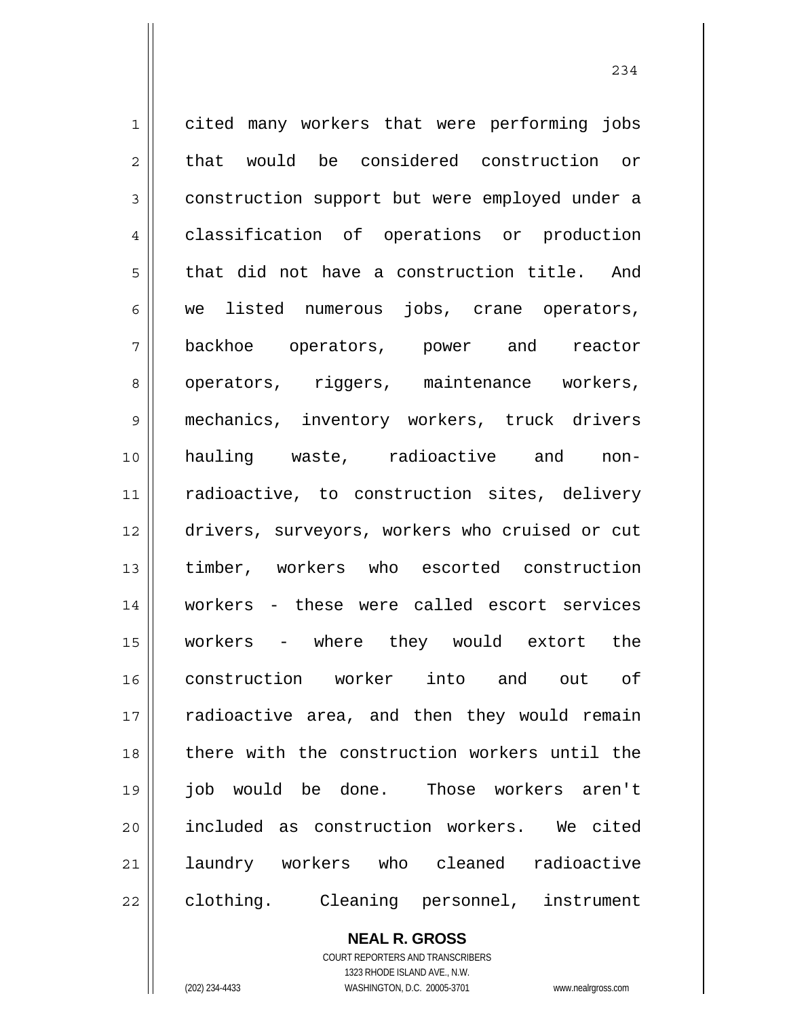1 2 3 4 5 6 7 8 9 10 11 12 13 14 15 16 17 18 19 20 21 22 cited many workers that were performing jobs that would be considered construction or construction support but were employed under a classification of operations or production that did not have a construction title. And we listed numerous jobs, crane operators, backhoe operators, power and reactor operators, riggers, maintenance workers, mechanics, inventory workers, truck drivers hauling waste, radioactive and nonradioactive, to construction sites, delivery drivers, surveyors, workers who cruised or cut timber, workers who escorted construction workers - these were called escort services workers - where they would extort the construction worker into and out of radioactive area, and then they would remain there with the construction workers until the job would be done. Those workers aren't included as construction workers. We cited laundry workers who cleaned radioactive clothing. Cleaning personnel, instrument

> **NEAL R. GROSS** COURT REPORTERS AND TRANSCRIBERS

> > 1323 RHODE ISLAND AVE., N.W.

(202) 234-4433 WASHINGTON, D.C. 20005-3701 www.nealrgross.com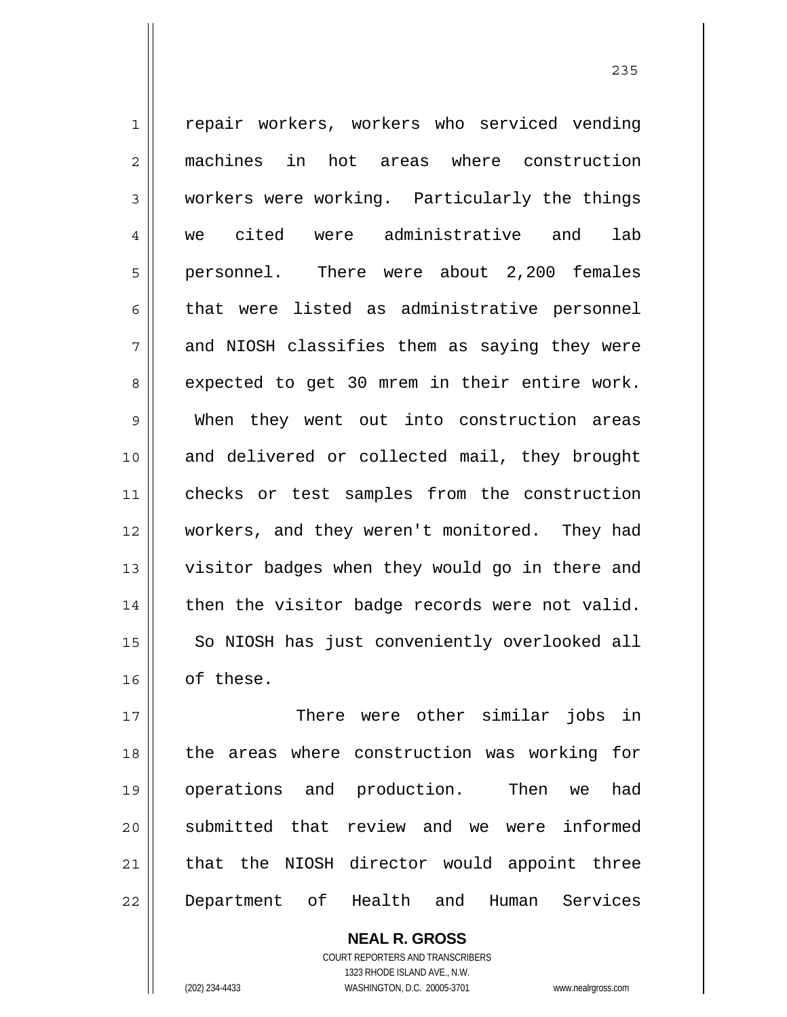1 2 3 4 5 6 7 8 9 10 11 12 13 14 15 16 17 repair workers, workers who serviced vending machines in hot areas where construction workers were working. Particularly the things we cited were administrative and lab personnel. There were about 2,200 females that were listed as administrative personnel and NIOSH classifies them as saying they were expected to get 30 mrem in their entire work. When they went out into construction areas and delivered or collected mail, they brought checks or test samples from the construction workers, and they weren't monitored. They had visitor badges when they would go in there and then the visitor badge records were not valid. So NIOSH has just conveniently overlooked all of these. There were other similar jobs in

18 19 20 21 22 the areas where construction was working for operations and production. Then we had submitted that review and we were informed that the NIOSH director would appoint three Department of Health and Human Services

> **NEAL R. GROSS** COURT REPORTERS AND TRANSCRIBERS 1323 RHODE ISLAND AVE., N.W. (202) 234-4433 WASHINGTON, D.C. 20005-3701 www.nealrgross.com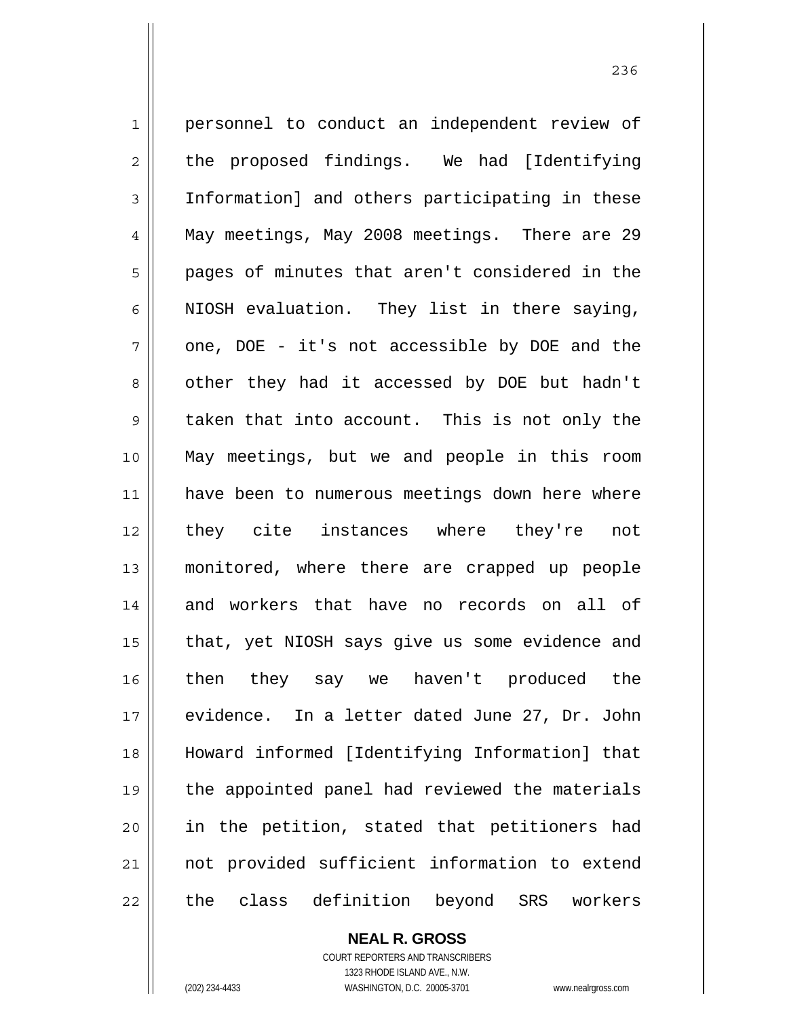1 2 3 4 5 6 7 8 9 10 11 12 13 14 15 16 17 18 19 20 21 22 personnel to conduct an independent review of the proposed findings. We had [Identifying Information] and others participating in these May meetings, May 2008 meetings. There are 29 pages of minutes that aren't considered in the NIOSH evaluation. They list in there saying, one, DOE - it's not accessible by DOE and the other they had it accessed by DOE but hadn't taken that into account. This is not only the May meetings, but we and people in this room have been to numerous meetings down here where they cite instances where they're not monitored, where there are crapped up people and workers that have no records on all of that, yet NIOSH says give us some evidence and then they say we haven't produced the evidence. In a letter dated June 27, Dr. John Howard informed [Identifying Information] that the appointed panel had reviewed the materials in the petition, stated that petitioners had not provided sufficient information to extend the class definition beyond SRS workers

> **NEAL R. GROSS** COURT REPORTERS AND TRANSCRIBERS 1323 RHODE ISLAND AVE., N.W.

(202) 234-4433 WASHINGTON, D.C. 20005-3701 www.nealrgross.com

<u>236</u>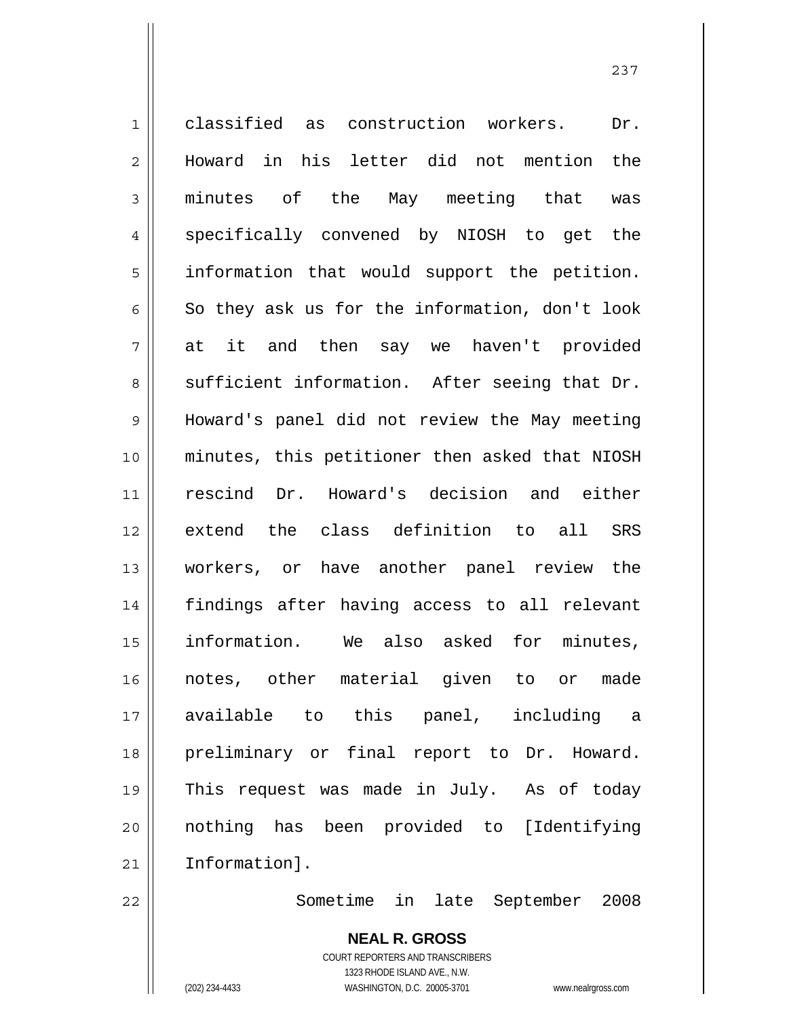1 2 3 4 5 6 7 8 9 10 11 12 13 14 15 16 17 18 19 20 21 classified as construction workers. Dr. Howard in his letter did not mention the minutes of the May meeting that was specifically convened by NIOSH to get the information that would support the petition. So they ask us for the information, don't look at it and then say we haven't provided sufficient information. After seeing that Dr. Howard's panel did not review the May meeting minutes, this petitioner then asked that NIOSH rescind Dr. Howard's decision and either extend the class definition to all SRS workers, or have another panel review the findings after having access to all relevant information. We also asked for minutes, notes, other material given to or made available to this panel, including a preliminary or final report to Dr. Howard. This request was made in July. As of today nothing has been provided to [Identifying Information].

Sometime in late September 2008

**NEAL R. GROSS** COURT REPORTERS AND TRANSCRIBERS 1323 RHODE ISLAND AVE., N.W. (202) 234-4433 WASHINGTON, D.C. 20005-3701 www.nealrgross.com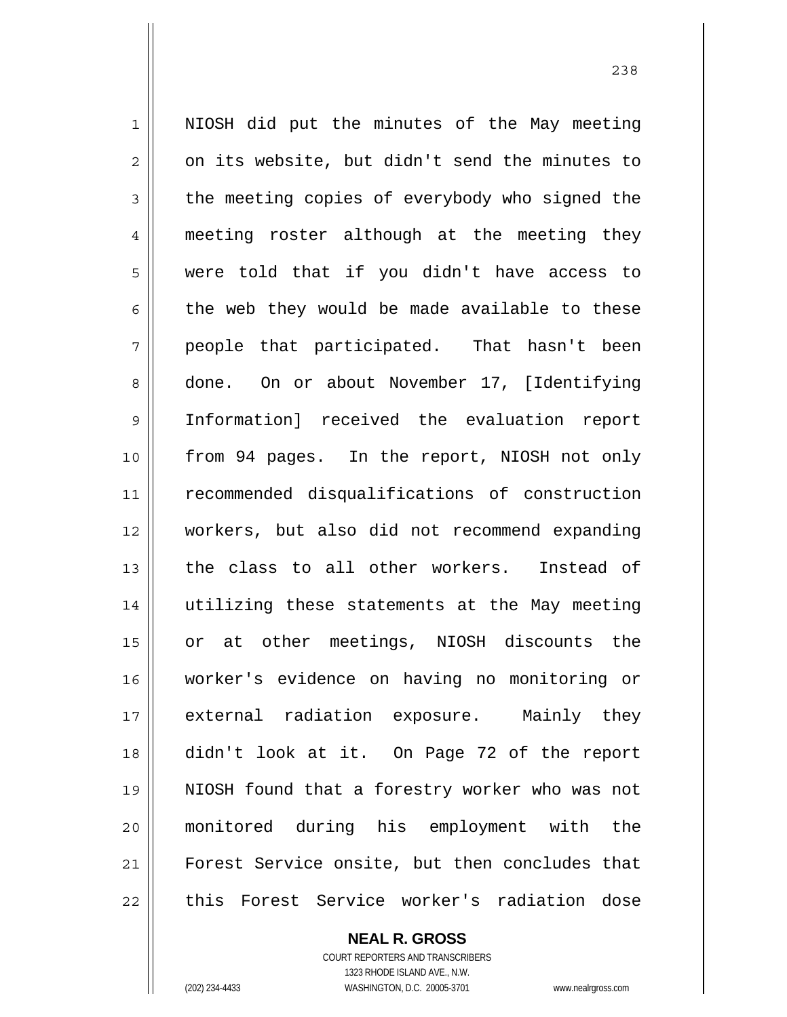1 2 3 4 5 6 7 8 9 10 11 12 13 14 15 16 17 18 19 20 21 22 NIOSH did put the minutes of the May meeting on its website, but didn't send the minutes to the meeting copies of everybody who signed the meeting roster although at the meeting they were told that if you didn't have access to the web they would be made available to these people that participated. That hasn't been done. On or about November 17, [Identifying Information] received the evaluation report from 94 pages. In the report, NIOSH not only recommended disqualifications of construction workers, but also did not recommend expanding the class to all other workers. Instead of utilizing these statements at the May meeting or at other meetings, NIOSH discounts the worker's evidence on having no monitoring or external radiation exposure. Mainly they didn't look at it. On Page 72 of the report NIOSH found that a forestry worker who was not monitored during his employment with the Forest Service onsite, but then concludes that this Forest Service worker's radiation dose

**NEAL R. GROSS**

COURT REPORTERS AND TRANSCRIBERS 1323 RHODE ISLAND AVE., N.W. (202) 234-4433 WASHINGTON, D.C. 20005-3701 www.nealrgross.com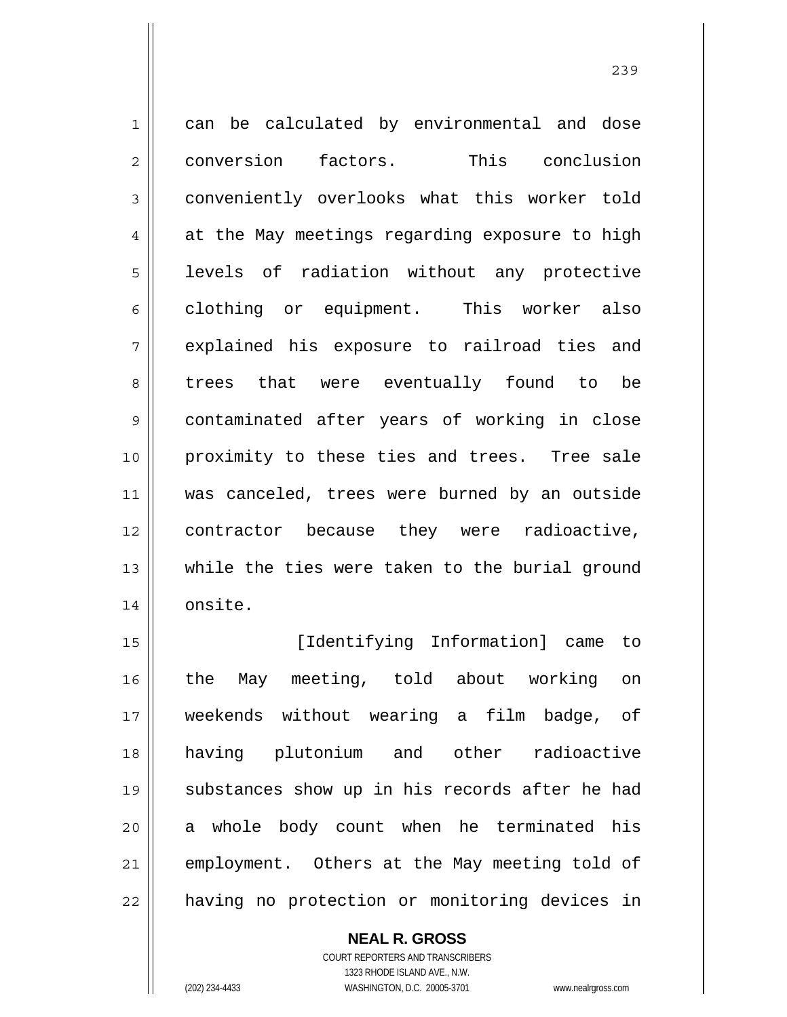1 2 3 4 5 6 7 8 9 10 11 12 13 14 can be calculated by environmental and dose conversion factors. This conclusion conveniently overlooks what this worker told at the May meetings regarding exposure to high levels of radiation without any protective clothing or equipment. This worker also explained his exposure to railroad ties and trees that were eventually found to be contaminated after years of working in close proximity to these ties and trees. Tree sale was canceled, trees were burned by an outside contractor because they were radioactive, while the ties were taken to the burial ground onsite.

15 16 17 18 19 20 21 22 [Identifying Information] came to the May meeting, told about working on weekends without wearing a film badge, of having plutonium and other radioactive substances show up in his records after he had a whole body count when he terminated his employment. Others at the May meeting told of having no protection or monitoring devices in

> **NEAL R. GROSS** COURT REPORTERS AND TRANSCRIBERS 1323 RHODE ISLAND AVE., N.W. (202) 234-4433 WASHINGTON, D.C. 20005-3701 www.nealrgross.com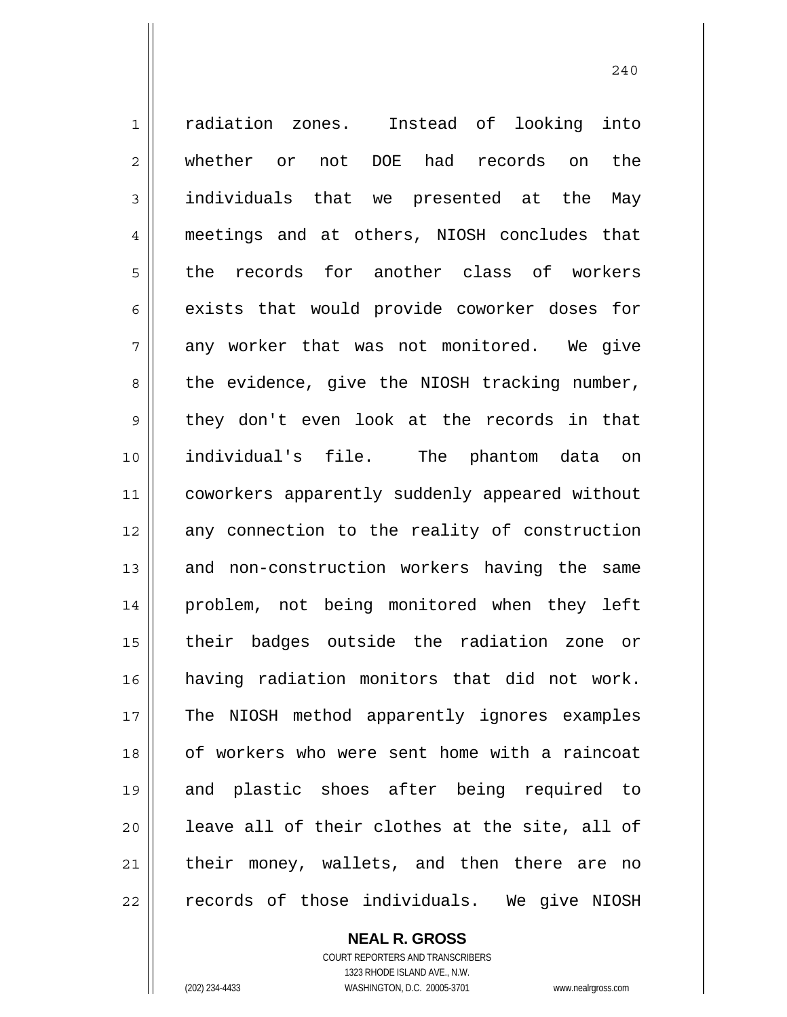1 2 3 4 5 6 7 8 9 10 11 12 13 14 15 16 17 18 19 20 21 22 radiation zones. Instead of looking into whether or not DOE had records on the individuals that we presented at the May meetings and at others, NIOSH concludes that the records for another class of workers exists that would provide coworker doses for any worker that was not monitored. We give the evidence, give the NIOSH tracking number, they don't even look at the records in that individual's file. The phantom data on coworkers apparently suddenly appeared without any connection to the reality of construction and non-construction workers having the same problem, not being monitored when they left their badges outside the radiation zone or having radiation monitors that did not work. The NIOSH method apparently ignores examples of workers who were sent home with a raincoat and plastic shoes after being required to leave all of their clothes at the site, all of their money, wallets, and then there are no records of those individuals. We give NIOSH

**NEAL R. GROSS**

COURT REPORTERS AND TRANSCRIBERS 1323 RHODE ISLAND AVE., N.W. (202) 234-4433 WASHINGTON, D.C. 20005-3701 www.nealrgross.com

 <sup>240</sup>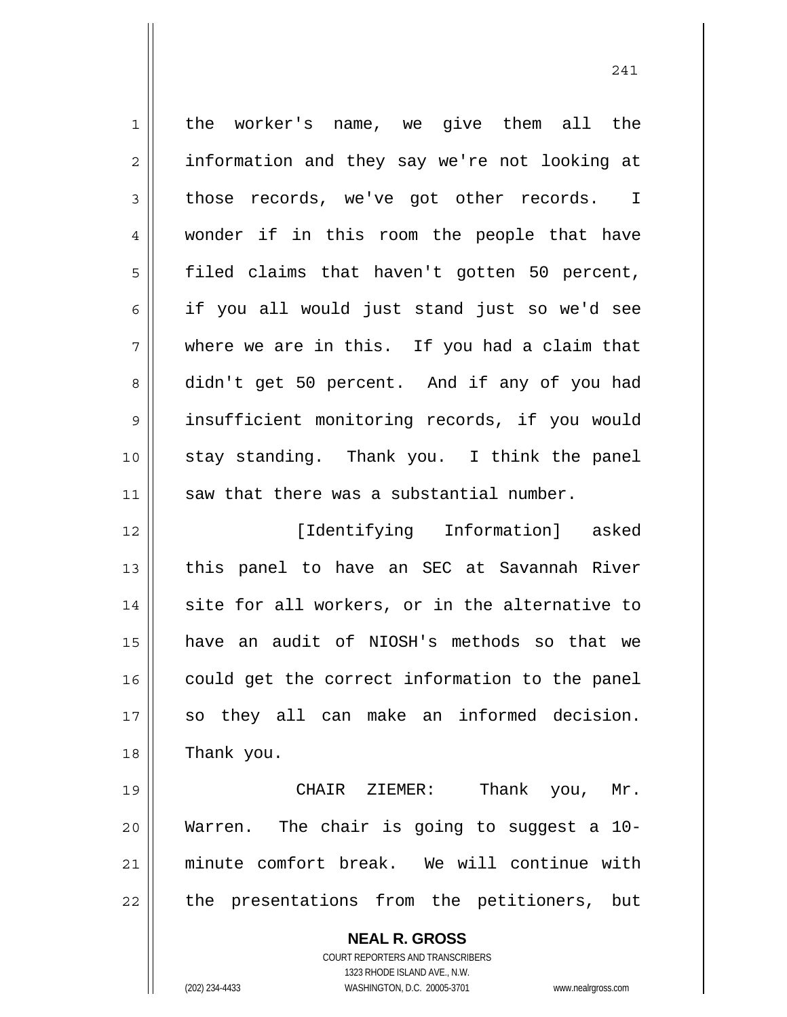| $\mathbf{1}$ | the worker's name, we give them all the                             |
|--------------|---------------------------------------------------------------------|
| 2            | information and they say we're not looking at                       |
| 3            | those records, we've got other records. I                           |
| 4            | wonder if in this room the people that have                         |
| 5            | filed claims that haven't gotten 50 percent,                        |
| 6            | if you all would just stand just so we'd see                        |
| 7            | where we are in this. If you had a claim that                       |
| 8            | didn't get 50 percent. And if any of you had                        |
| 9            | insufficient monitoring records, if you would                       |
| 10           | stay standing. Thank you. I think the panel                         |
| 11           | saw that there was a substantial number.                            |
| 12           | [Identifying Information] asked                                     |
| 13           | this panel to have an SEC at Savannah River                         |
| 14           | site for all workers, or in the alternative to                      |
| 15           | have an audit of NIOSH's methods so that we                         |
| 16           | could get the correct information to the panel                      |
| 17           | so they all can make an informed decision.                          |
| 18           | Thank you.                                                          |
| 19           | Thank you,<br>CHAIR ZIEMER:<br>Mr.                                  |
| 20           | Warren. The chair is going to suggest a 10-                         |
| 21           | minute comfort break. We will continue with                         |
| 22           | the presentations from the petitioners, but                         |
|              | <b>NEAL R. GROSS</b>                                                |
|              | <b>COURT REPORTERS AND TRANSCRIBERS</b>                             |
|              | 1323 RHODE ISLAND AVE., N.W.                                        |
|              | (202) 234-4433<br>WASHINGTON, D.C. 20005-3701<br>www.nealrgross.com |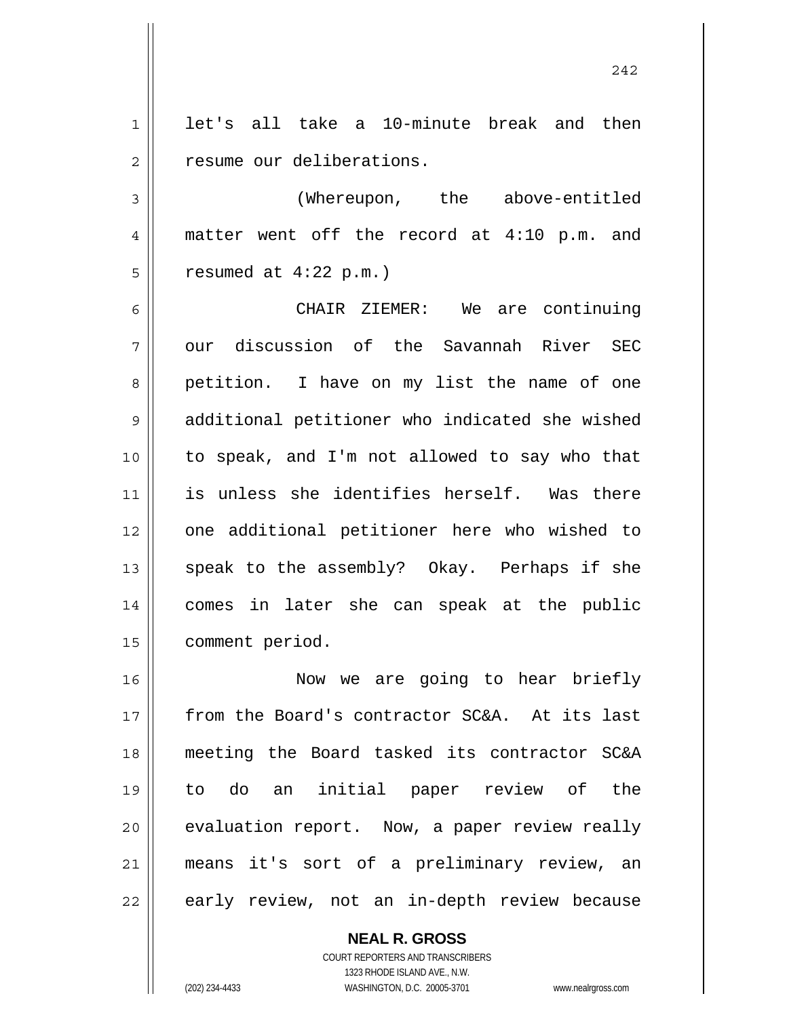1 2 let's all take a 10-minute break and then resume our deliberations.

3 4 5 (Whereupon, the above-entitled matter went off the record at 4:10 p.m. and resumed at 4:22 p.m.)

6 7 8 9 10 11 12 13 14 15 CHAIR ZIEMER: We are continuing our discussion of the Savannah River SEC petition. I have on my list the name of one additional petitioner who indicated she wished to speak, and I'm not allowed to say who that is unless she identifies herself. Was there one additional petitioner here who wished to speak to the assembly? Okay. Perhaps if she comes in later she can speak at the public comment period.

16 17 18 19 20 21 22 Now we are going to hear briefly from the Board's contractor SC&A. At its last meeting the Board tasked its contractor SC&A to do an initial paper review of the evaluation report. Now, a paper review really means it's sort of a preliminary review, an early review, not an in-depth review because

> **NEAL R. GROSS** COURT REPORTERS AND TRANSCRIBERS 1323 RHODE ISLAND AVE., N.W. (202) 234-4433 WASHINGTON, D.C. 20005-3701 www.nealrgross.com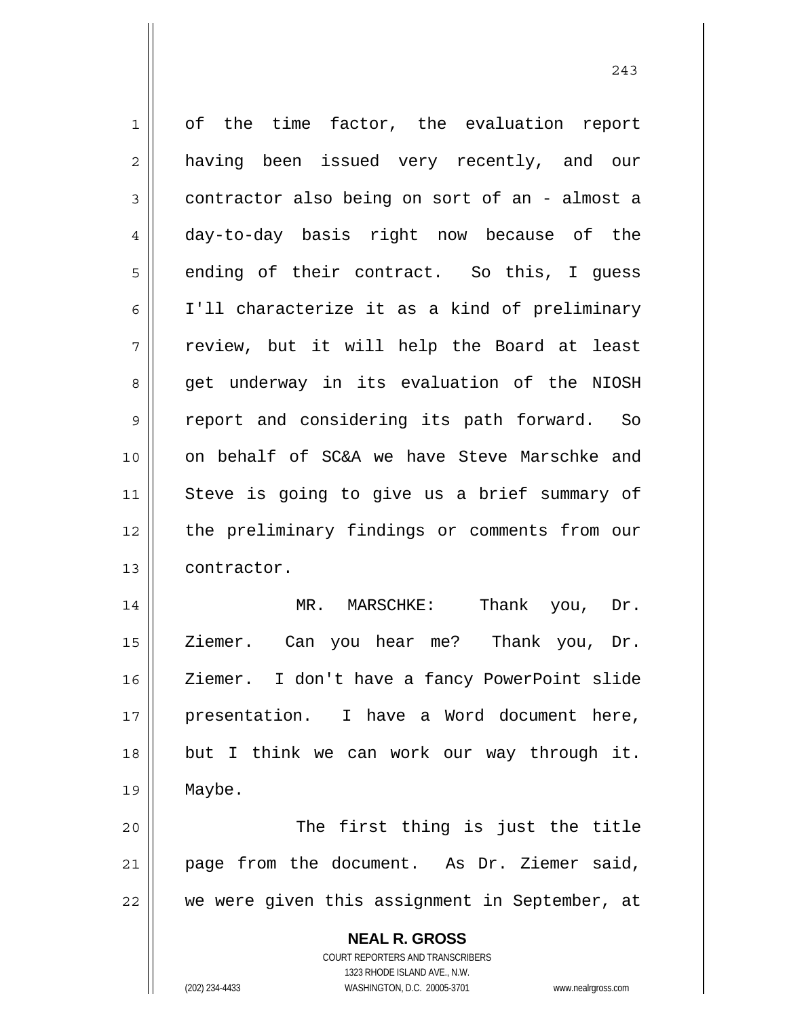**NEAL R. GROSS** COURT REPORTERS AND TRANSCRIBERS 1 2 3 4 5 6 7 8 9 10 11 12 13 14 15 16 17 18 19 20 21 22 of the time factor, the evaluation report having been issued very recently, and our contractor also being on sort of an - almost a day-to-day basis right now because of the ending of their contract. So this, I guess I'll characterize it as a kind of preliminary review, but it will help the Board at least get underway in its evaluation of the NIOSH report and considering its path forward. So on behalf of SC&A we have Steve Marschke and Steve is going to give us a brief summary of the preliminary findings or comments from our contractor. MR. MARSCHKE: Thank you, Dr. Ziemer. Can you hear me? Thank you, Dr. Ziemer. I don't have a fancy PowerPoint slide presentation. I have a Word document here, but I think we can work our way through it. Maybe. The first thing is just the title page from the document. As Dr. Ziemer said, we were given this assignment in September, at

1323 RHODE ISLAND AVE., N.W.

(202) 234-4433 WASHINGTON, D.C. 20005-3701 www.nealrgross.com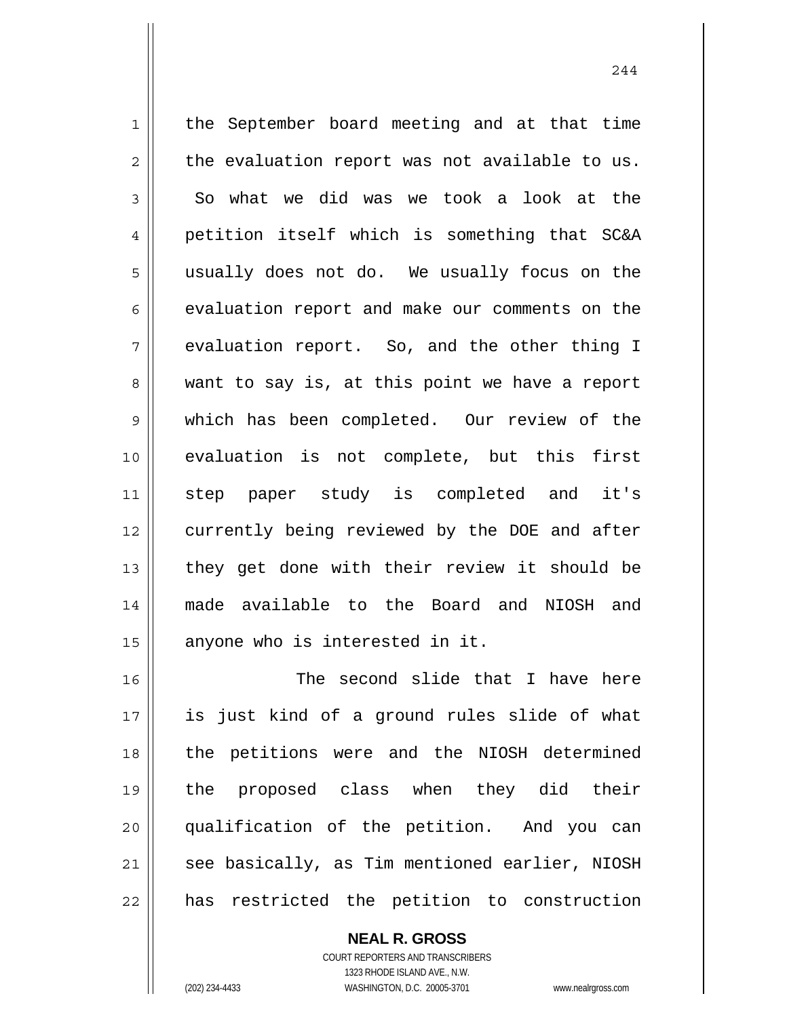1 2 3 4 5 6 7 8 9 10 11 12 13 14 15 the September board meeting and at that time the evaluation report was not available to us. So what we did was we took a look at the petition itself which is something that SC&A usually does not do. We usually focus on the evaluation report and make our comments on the evaluation report. So, and the other thing I want to say is, at this point we have a report which has been completed. Our review of the evaluation is not complete, but this first step paper study is completed and it's currently being reviewed by the DOE and after they get done with their review it should be made available to the Board and NIOSH and anyone who is interested in it.

16 17 18 19 20 21 22 The second slide that I have here is just kind of a ground rules slide of what the petitions were and the NIOSH determined the proposed class when they did their qualification of the petition. And you can see basically, as Tim mentioned earlier, NIOSH has restricted the petition to construction

> COURT REPORTERS AND TRANSCRIBERS 1323 RHODE ISLAND AVE., N.W. (202) 234-4433 WASHINGTON, D.C. 20005-3701 www.nealrgross.com

**NEAL R. GROSS**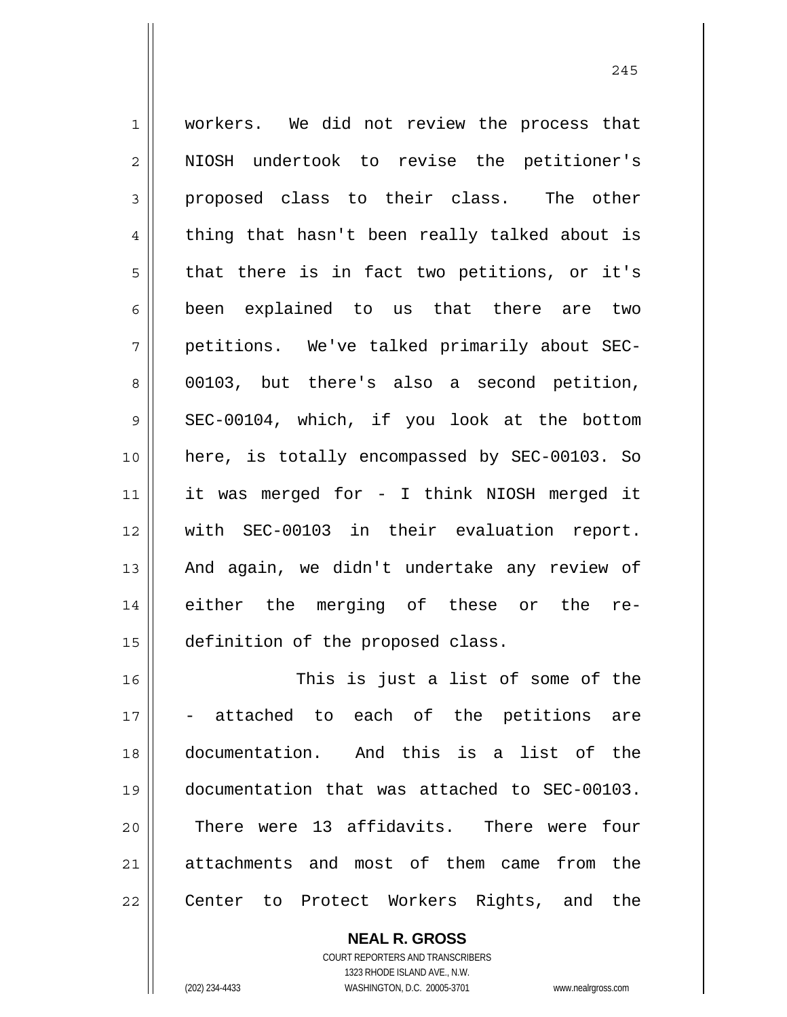1 2 3 4 5 6 7 8 9 10 11 12 13 14 15 16 workers. We did not review the process that NIOSH undertook to revise the petitioner's proposed class to their class. The other thing that hasn't been really talked about is that there is in fact two petitions, or it's been explained to us that there are two petitions. We've talked primarily about SEC-00103, but there's also a second petition, SEC-00104, which, if you look at the bottom here, is totally encompassed by SEC-00103. So it was merged for - I think NIOSH merged it with SEC-00103 in their evaluation report. And again, we didn't undertake any review of either the merging of these or the redefinition of the proposed class. This is just a list of some of the

17 18 19 20 21 22 attached to each of the petitions are documentation. And this is a list of the documentation that was attached to SEC-00103. There were 13 affidavits. There were four attachments and most of them came from the Center to Protect Workers Rights, and the

> COURT REPORTERS AND TRANSCRIBERS 1323 RHODE ISLAND AVE., N.W. (202) 234-4433 WASHINGTON, D.C. 20005-3701 www.nealrgross.com

**NEAL R. GROSS**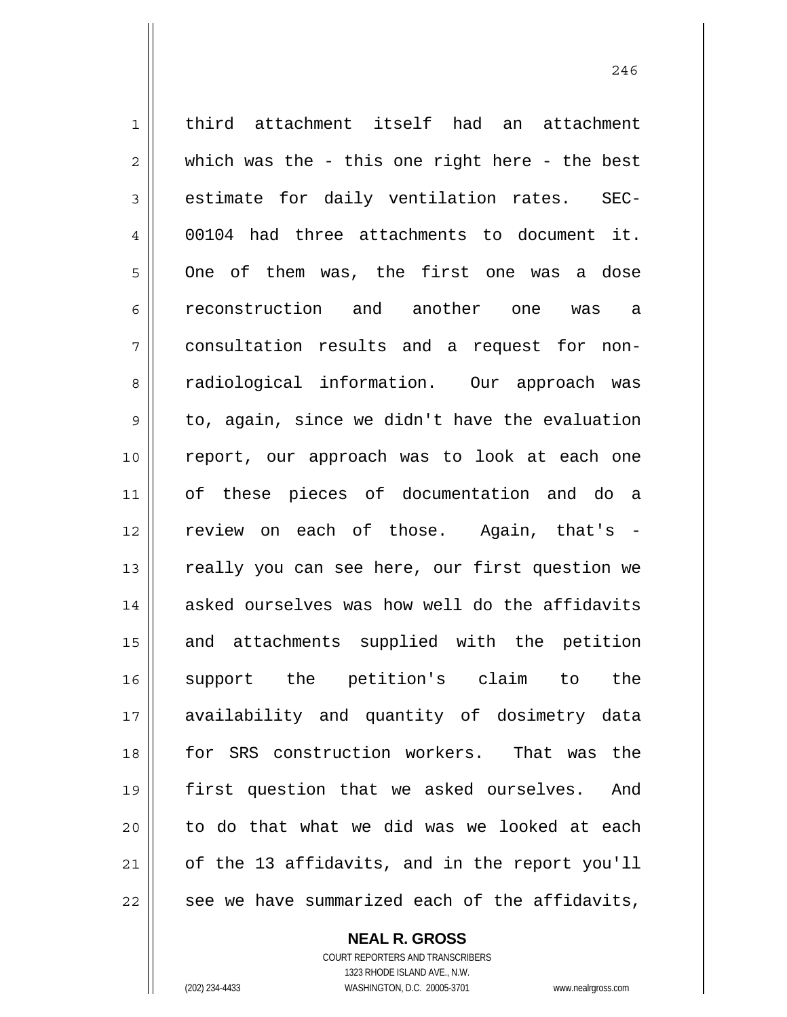1 2 3 4 5 6 7 8 9 10 11 12 13 14 15 16 17 18 19 20 21 22 third attachment itself had an attachment which was the - this one right here - the best estimate for daily ventilation rates. SEC-00104 had three attachments to document it. One of them was, the first one was a dose reconstruction and another one was a consultation results and a request for nonradiological information. Our approach was to, again, since we didn't have the evaluation report, our approach was to look at each one of these pieces of documentation and do a review on each of those. Again, that's really you can see here, our first question we asked ourselves was how well do the affidavits and attachments supplied with the petition support the petition's claim to the availability and quantity of dosimetry data for SRS construction workers. That was the first question that we asked ourselves. And to do that what we did was we looked at each of the 13 affidavits, and in the report you'll see we have summarized each of the affidavits,

246

**NEAL R. GROSS** COURT REPORTERS AND TRANSCRIBERS

1323 RHODE ISLAND AVE., N.W. (202) 234-4433 WASHINGTON, D.C. 20005-3701 www.nealrgross.com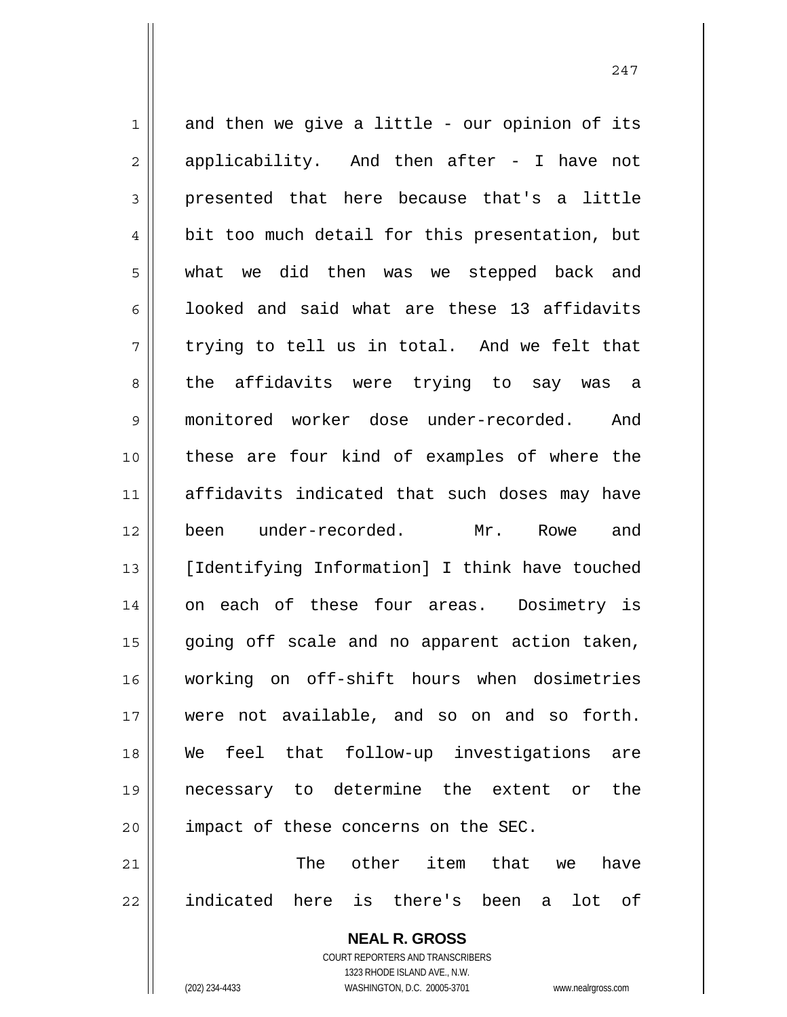1 2 3 4 5 6 7 8 9 10 11 12 13 14 15 16 17 18 19 20 21 and then we give a little - our opinion of its applicability. And then after - I have not presented that here because that's a little bit too much detail for this presentation, but what we did then was we stepped back and looked and said what are these 13 affidavits trying to tell us in total. And we felt that the affidavits were trying to say was a monitored worker dose under-recorded. And these are four kind of examples of where the affidavits indicated that such doses may have been under-recorded. Mr. Rowe and [Identifying Information] I think have touched on each of these four areas. Dosimetry is going off scale and no apparent action taken, working on off-shift hours when dosimetries were not available, and so on and so forth. We feel that follow-up investigations are necessary to determine the extent or the impact of these concerns on the SEC. The other item that we have

22 indicated here is there's been a lot of

> **NEAL R. GROSS** COURT REPORTERS AND TRANSCRIBERS

> > 1323 RHODE ISLAND AVE., N.W.

(202) 234-4433 WASHINGTON, D.C. 20005-3701 www.nealrgross.com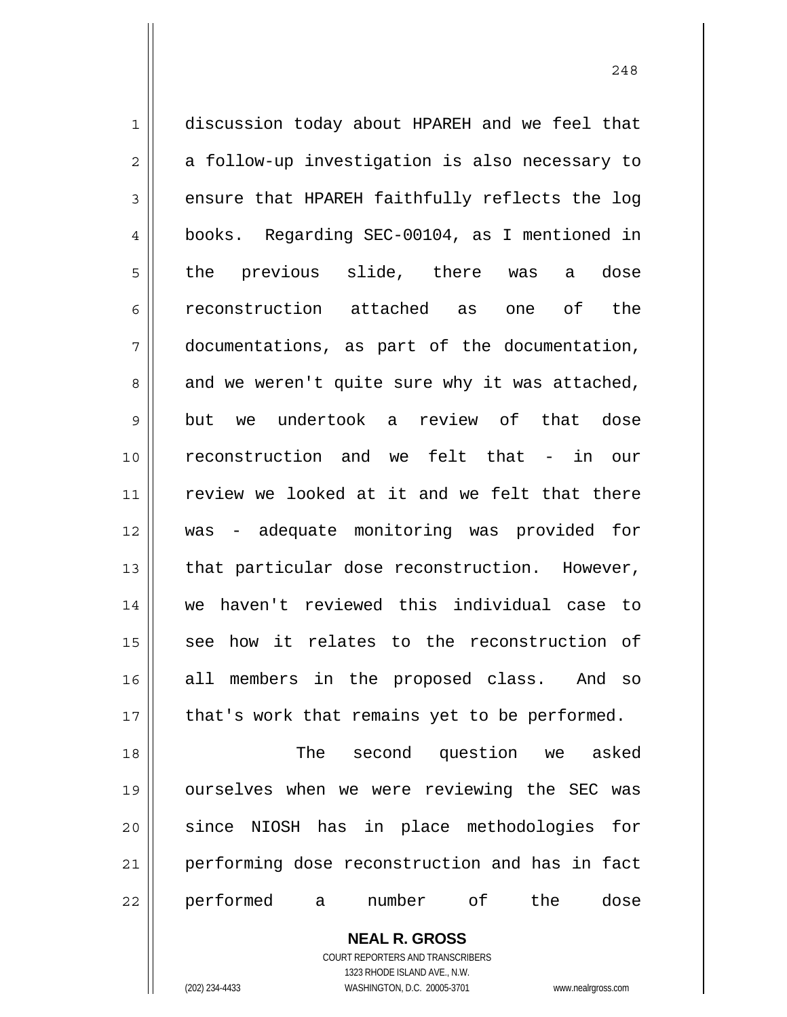1 2 3 4 5 6 7 8 9 10 11 12 13 14 15 16 17 18 19 20 21 22 discussion today about HPAREH and we feel that a follow-up investigation is also necessary to ensure that HPAREH faithfully reflects the log books. Regarding SEC-00104, as I mentioned in the previous slide, there was a dose reconstruction attached as one of the documentations, as part of the documentation, and we weren't quite sure why it was attached, but we undertook a review of that dose reconstruction and we felt that - in our review we looked at it and we felt that there was - adequate monitoring was provided for that particular dose reconstruction. However, we haven't reviewed this individual case to see how it relates to the reconstruction of all members in the proposed class. And so that's work that remains yet to be performed. The second question we asked ourselves when we were reviewing the SEC was since NIOSH has in place methodologies for performing dose reconstruction and has in fact performed a number of the dose

248

**NEAL R. GROSS** COURT REPORTERS AND TRANSCRIBERS

1323 RHODE ISLAND AVE., N.W. (202) 234-4433 WASHINGTON, D.C. 20005-3701 www.nealrgross.com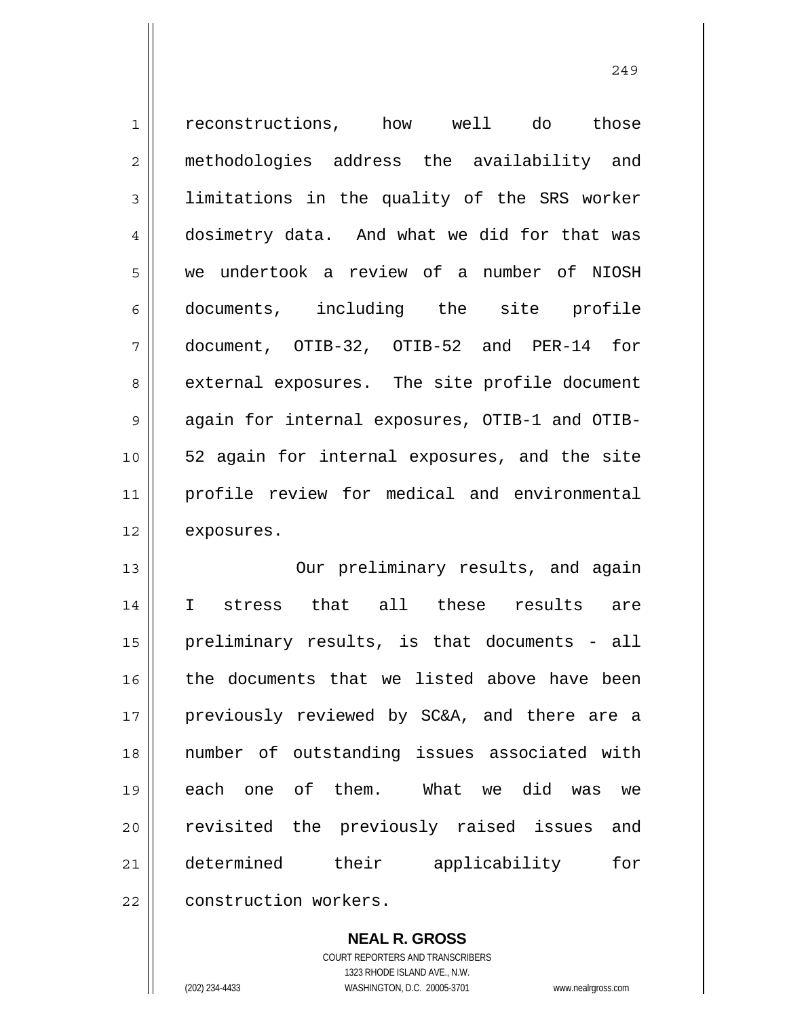1 2 3 4 5 6 7 8 9 10 11 12 13 14 15 16 17 18 19 20 21 reconstructions, how well do those methodologies address the availability and limitations in the quality of the SRS worker dosimetry data. And what we did for that was we undertook a review of a number of NIOSH documents, including the site profile document, OTIB-32, OTIB-52 and PER-14 for external exposures. The site profile document again for internal exposures, OTIB-1 and OTIB-52 again for internal exposures, and the site profile review for medical and environmental exposures. Our preliminary results, and again I stress that all these results are preliminary results, is that documents - all the documents that we listed above have been previously reviewed by SC&A, and there are a number of outstanding issues associated with each one of them. What we did was we revisited the previously raised issues and determined their applicability for

22 construction workers.

> **NEAL R. GROSS** COURT REPORTERS AND TRANSCRIBERS

> > 1323 RHODE ISLAND AVE., N.W.

(202) 234-4433 WASHINGTON, D.C. 20005-3701 www.nealrgross.com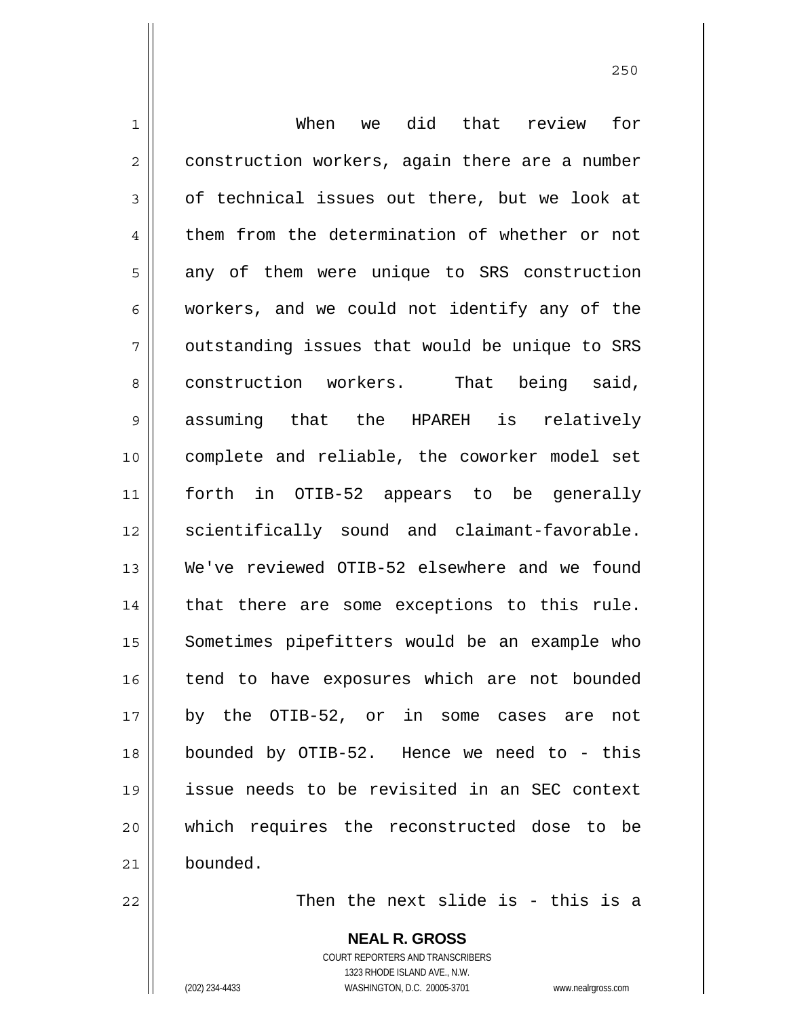1 2 3 4 5 6 7 8 9 10 11 12 13 14 15 16 17 18 19 20 21 When we did that review for construction workers, again there are a number of technical issues out there, but we look at them from the determination of whether or not any of them were unique to SRS construction workers, and we could not identify any of the outstanding issues that would be unique to SRS construction workers. That being said, assuming that the HPAREH is relatively complete and reliable, the coworker model set forth in OTIB-52 appears to be generally scientifically sound and claimant-favorable. We've reviewed OTIB-52 elsewhere and we found that there are some exceptions to this rule. Sometimes pipefitters would be an example who tend to have exposures which are not bounded by the OTIB-52, or in some cases are not bounded by OTIB-52. Hence we need to - this issue needs to be revisited in an SEC context which requires the reconstructed dose to be bounded.

22

Then the next slide is - this is a

**NEAL R. GROSS** COURT REPORTERS AND TRANSCRIBERS 1323 RHODE ISLAND AVE., N.W. (202) 234-4433 WASHINGTON, D.C. 20005-3701 www.nealrgross.com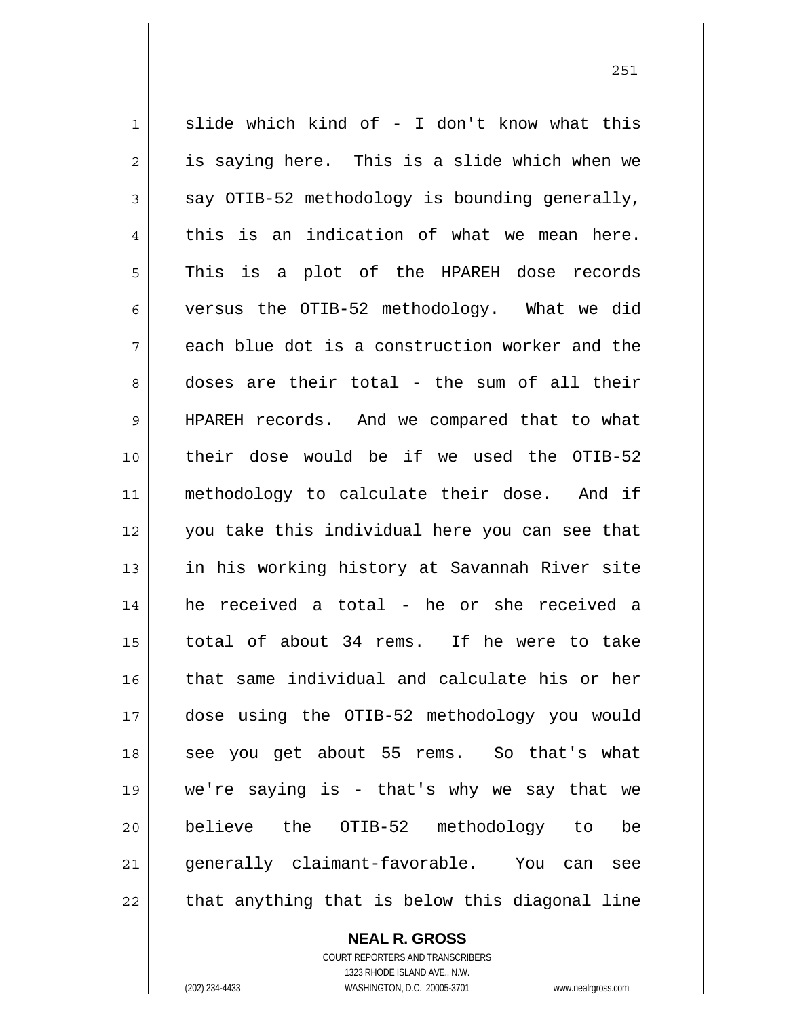1 2 3 4 5 6 7 8 9 10 11 12 13 14 15 16 17 18 19 20 21 22 slide which kind of - I don't know what this is saying here. This is a slide which when we say OTIB-52 methodology is bounding generally, this is an indication of what we mean here. This is a plot of the HPAREH dose records versus the OTIB-52 methodology. What we did each blue dot is a construction worker and the doses are their total - the sum of all their HPAREH records. And we compared that to what their dose would be if we used the OTIB-52 methodology to calculate their dose. And if you take this individual here you can see that in his working history at Savannah River site he received a total - he or she received a total of about 34 rems. If he were to take that same individual and calculate his or her dose using the OTIB-52 methodology you would see you get about 55 rems. So that's what we're saying is - that's why we say that we believe the OTIB-52 methodology to be generally claimant-favorable. You can see that anything that is below this diagonal line

**NEAL R. GROSS**

COURT REPORTERS AND TRANSCRIBERS 1323 RHODE ISLAND AVE., N.W. (202) 234-4433 WASHINGTON, D.C. 20005-3701 www.nealrgross.com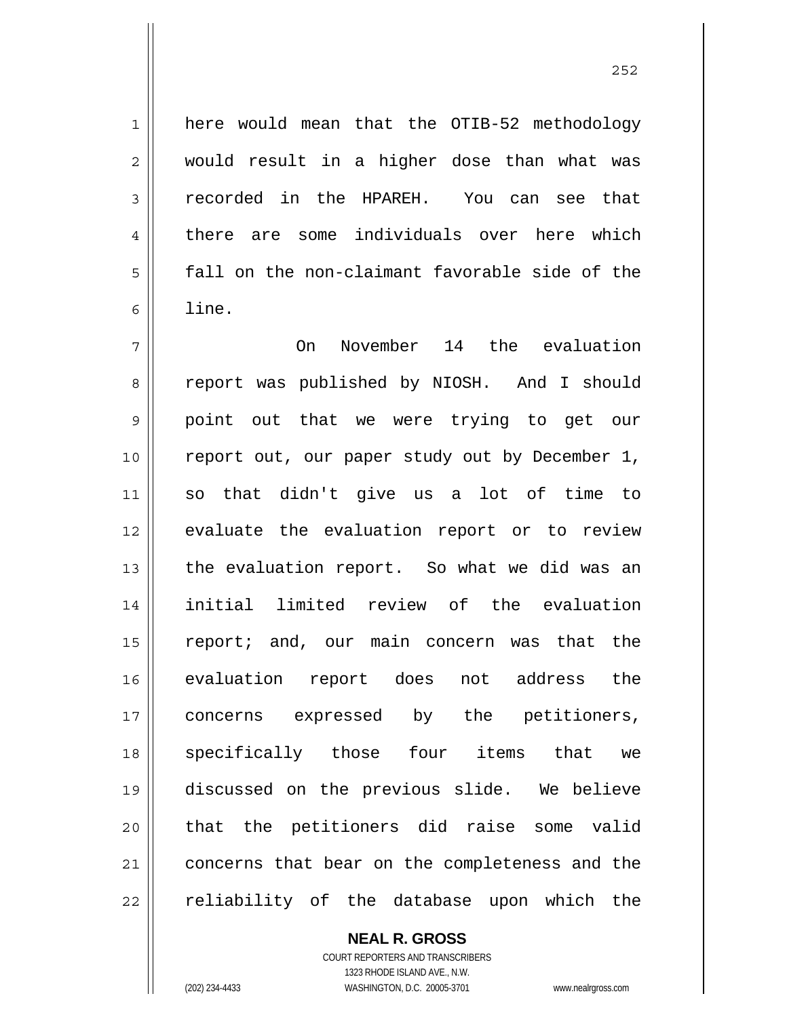here would mean that the OTIB-52 methodology

would result in a higher dose than what was recorded in the HPAREH. You can see that there are some individuals over here which fall on the non-claimant favorable side of the line.

<u>252</u>

7 8 9 10 11 12 13 14 15 16 17 18 19 20 21 22 On November 14 the evaluation report was published by NIOSH. And I should point out that we were trying to get our report out, our paper study out by December 1, so that didn't give us a lot of time to evaluate the evaluation report or to review the evaluation report. So what we did was an initial limited review of the evaluation report; and, our main concern was that the evaluation report does not address the concerns expressed by the petitioners, specifically those four items that we discussed on the previous slide. We believe that the petitioners did raise some valid concerns that bear on the completeness and the reliability of the database upon which the

> **NEAL R. GROSS** COURT REPORTERS AND TRANSCRIBERS

1323 RHODE ISLAND AVE., N.W. (202) 234-4433 WASHINGTON, D.C. 20005-3701 www.nealrgross.com

1

2

3

4

5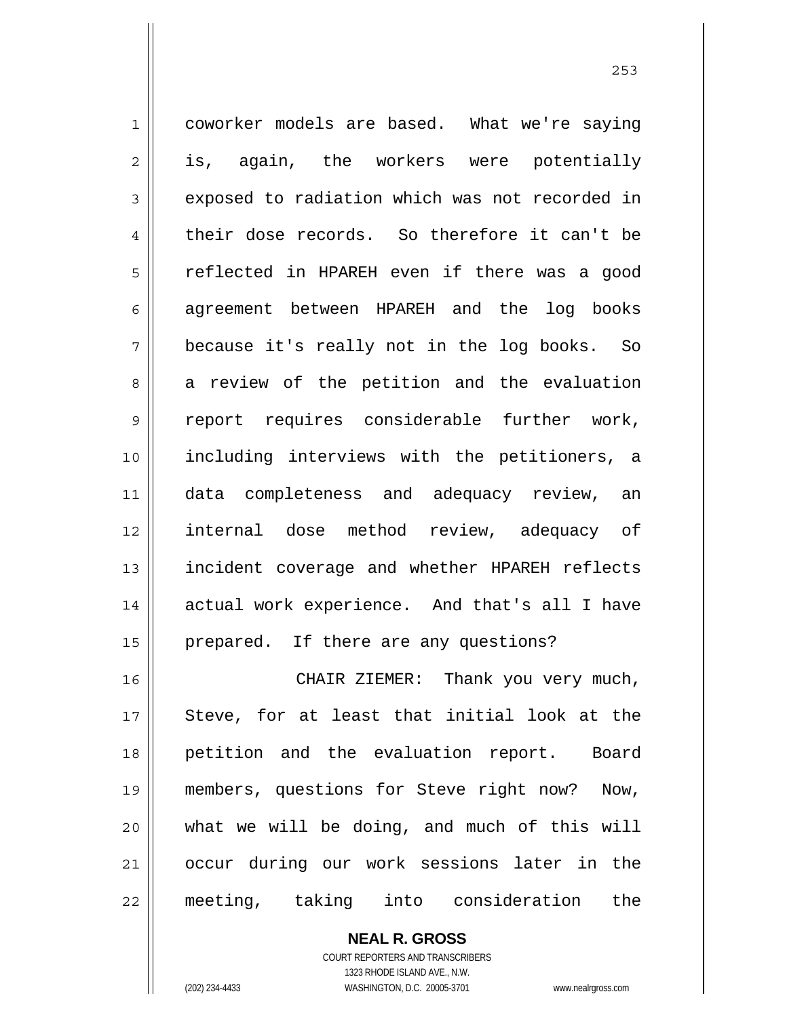1 2 3 4 5 6 7 8 9 10 11 12 13 14 15 16 17 18 19 20 21 coworker models are based. What we're saying is, again, the workers were potentially exposed to radiation which was not recorded in their dose records. So therefore it can't be reflected in HPAREH even if there was a good agreement between HPAREH and the log books because it's really not in the log books. So a review of the petition and the evaluation report requires considerable further work, including interviews with the petitioners, a data completeness and adequacy review, an internal dose method review, adequacy of incident coverage and whether HPAREH reflects actual work experience. And that's all I have prepared. If there are any questions? CHAIR ZIEMER: Thank you very much, Steve, for at least that initial look at the petition and the evaluation report. Board members, questions for Steve right now? Now, what we will be doing, and much of this will occur during our work sessions later in the

22

COURT REPORTERS AND TRANSCRIBERS 1323 RHODE ISLAND AVE., N.W. (202) 234-4433 WASHINGTON, D.C. 20005-3701 www.nealrgross.com

**NEAL R. GROSS**

meeting, taking into consideration the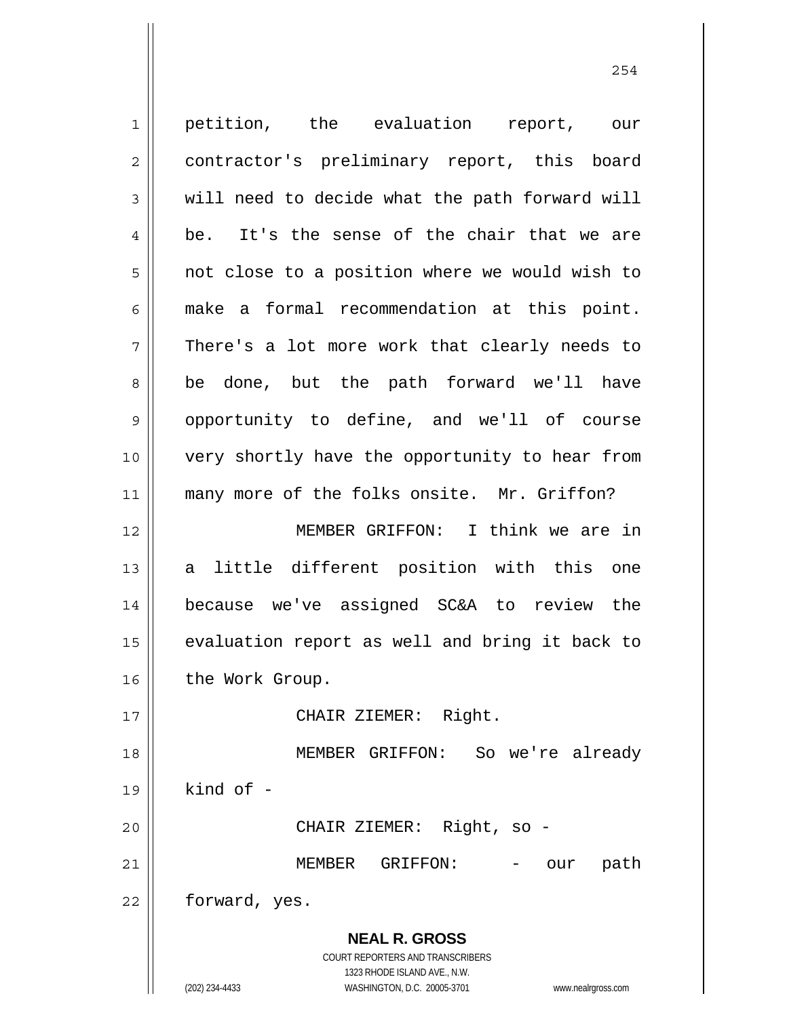**NEAL R. GROSS** COURT REPORTERS AND TRANSCRIBERS 1323 RHODE ISLAND AVE., N.W. (202) 234-4433 WASHINGTON, D.C. 20005-3701 www.nealrgross.com 1 2 3 4 5 6 7 8 9 10 11 12 13 14 15 16 17 18 19 20 21 22 petition, the evaluation report, our contractor's preliminary report, this board will need to decide what the path forward will be. It's the sense of the chair that we are not close to a position where we would wish to make a formal recommendation at this point. There's a lot more work that clearly needs to be done, but the path forward we'll have opportunity to define, and we'll of course very shortly have the opportunity to hear from many more of the folks onsite. Mr. Griffon? MEMBER GRIFFON: I think we are in a little different position with this one because we've assigned SC&A to review the evaluation report as well and bring it back to the Work Group. CHAIR ZIEMER: Right. MEMBER GRIFFON: So we're already kind of - CHAIR ZIEMER: Right, so - MEMBER GRIFFON: - our path forward, yes.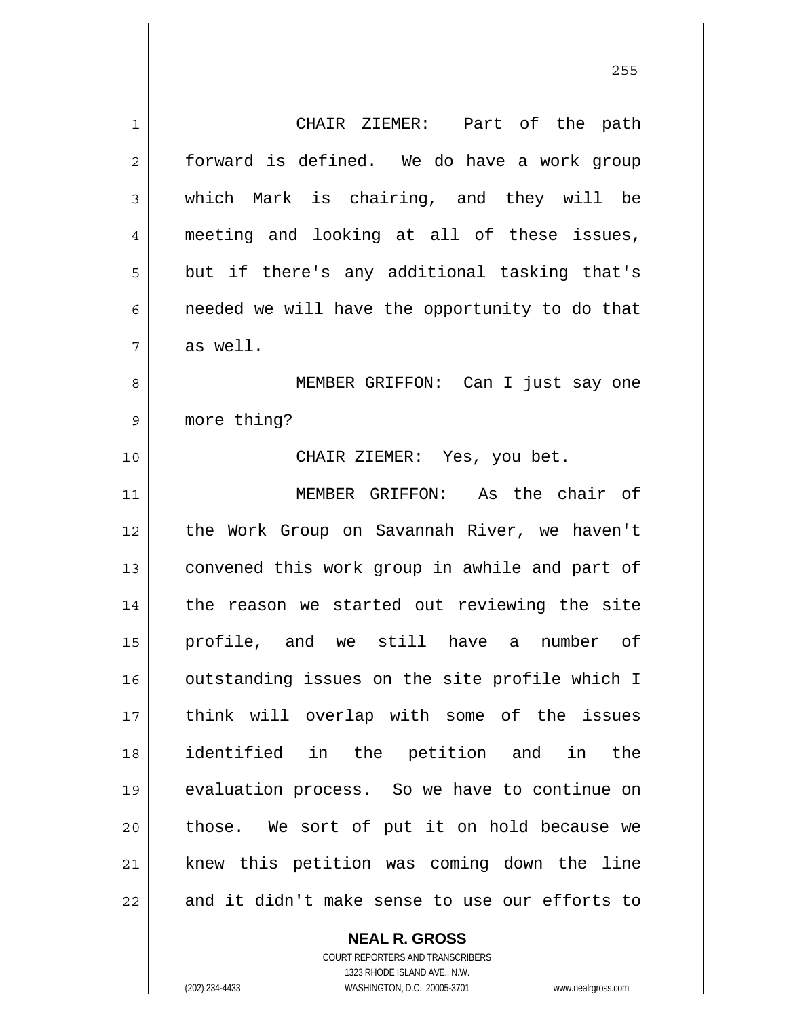1 2 3 4 5 6 7 8 9 10 11 12 13 14 15 16 17 18 19 20 21 22 CHAIR ZIEMER: Part of the path forward is defined. We do have a work group which Mark is chairing, and they will be meeting and looking at all of these issues, but if there's any additional tasking that's needed we will have the opportunity to do that as well. MEMBER GRIFFON: Can I just say one more thing? CHAIR ZIEMER: Yes, you bet. MEMBER GRIFFON: As the chair of the Work Group on Savannah River, we haven't convened this work group in awhile and part of the reason we started out reviewing the site profile, and we still have a number of outstanding issues on the site profile which I think will overlap with some of the issues identified in the petition and in the evaluation process. So we have to continue on those. We sort of put it on hold because we knew this petition was coming down the line and it didn't make sense to use our efforts to

> **NEAL R. GROSS** COURT REPORTERS AND TRANSCRIBERS

> > 1323 RHODE ISLAND AVE., N.W.

(202) 234-4433 WASHINGTON, D.C. 20005-3701 www.nealrgross.com

<u>255</u>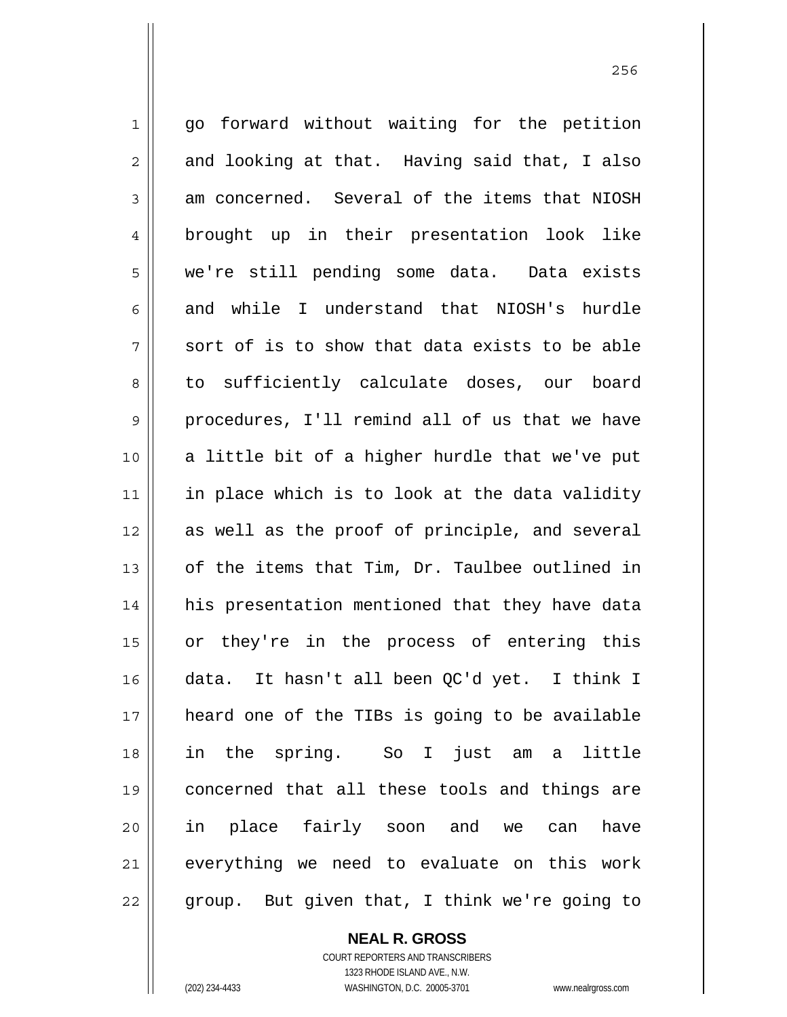1 2 3 4 5 6 7 8 9 10 11 12 13 14 15 16 17 18 19 20 21 22 go forward without waiting for the petition and looking at that. Having said that, I also am concerned. Several of the items that NIOSH brought up in their presentation look like we're still pending some data. Data exists and while I understand that NIOSH's hurdle sort of is to show that data exists to be able to sufficiently calculate doses, our board procedures, I'll remind all of us that we have a little bit of a higher hurdle that we've put in place which is to look at the data validity as well as the proof of principle, and several of the items that Tim, Dr. Taulbee outlined in his presentation mentioned that they have data or they're in the process of entering this data. It hasn't all been QC'd yet. I think I heard one of the TIBs is going to be available in the spring. So I just am a little concerned that all these tools and things are in place fairly soon and we can have everything we need to evaluate on this work group. But given that, I think we're going to

**NEAL R. GROSS**

COURT REPORTERS AND TRANSCRIBERS 1323 RHODE ISLAND AVE., N.W. (202) 234-4433 WASHINGTON, D.C. 20005-3701 www.nealrgross.com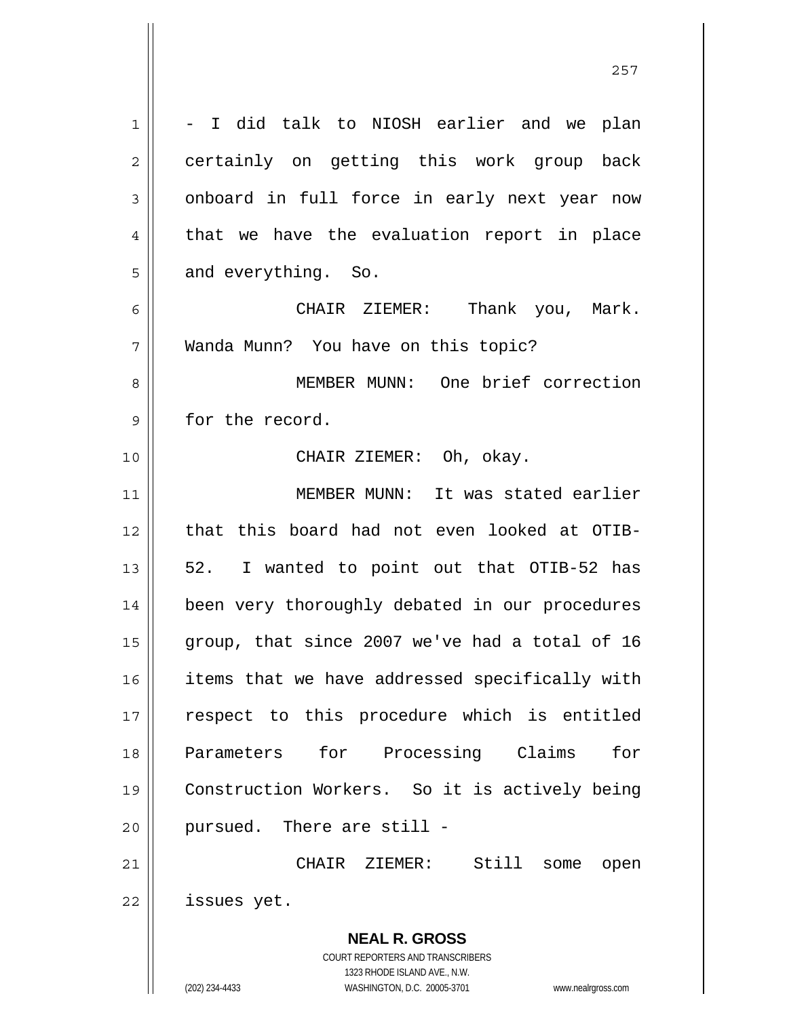**NEAL R. GROSS** COURT REPORTERS AND TRANSCRIBERS 1323 RHODE ISLAND AVE., N.W. 1 2 3 4 5 6 7 8 9 10 11 12 13 14 15 16 17 18 19 20 21 22 - I did talk to NIOSH earlier and we plan certainly on getting this work group back onboard in full force in early next year now that we have the evaluation report in place and everything. So. CHAIR ZIEMER: Thank you, Mark. Wanda Munn? You have on this topic? MEMBER MUNN: One brief correction for the record. CHAIR ZIEMER: Oh, okay. MEMBER MUNN: It was stated earlier that this board had not even looked at OTIB-52. I wanted to point out that OTIB-52 has been very thoroughly debated in our procedures group, that since 2007 we've had a total of 16 items that we have addressed specifically with respect to this procedure which is entitled Parameters for Processing Claims for Construction Workers. So it is actively being pursued. There are still - CHAIR ZIEMER: Still some open issues yet.

<u>257 and 257</u>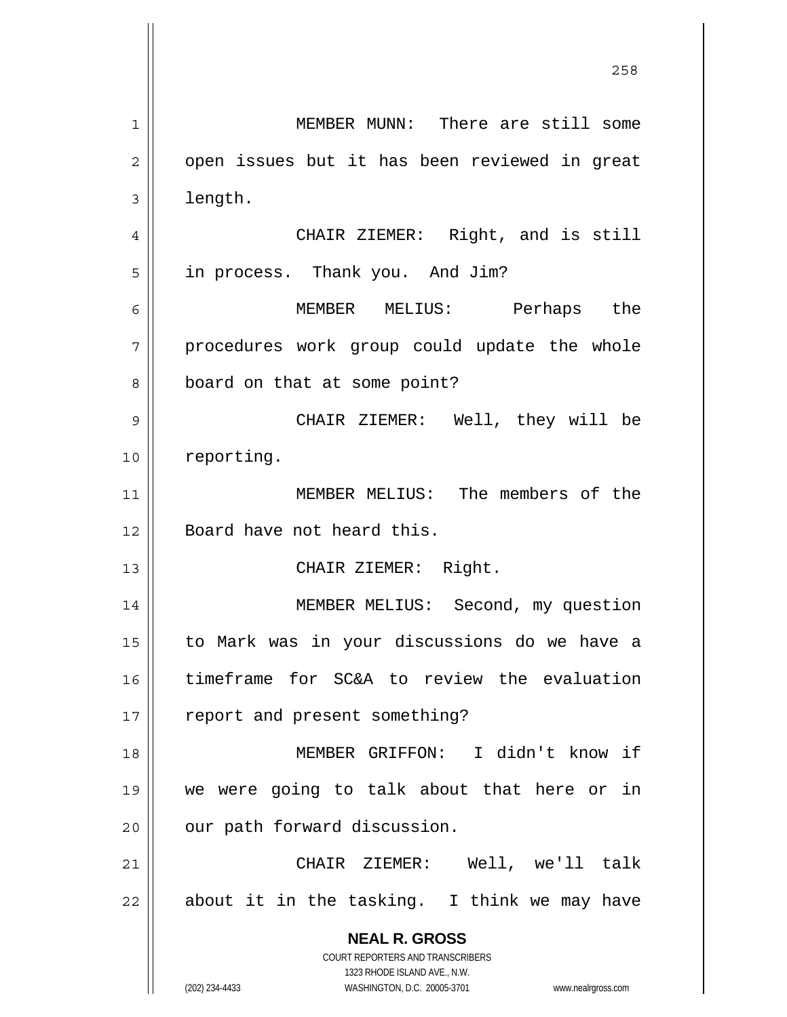**NEAL R. GROSS** COURT REPORTERS AND TRANSCRIBERS 1323 RHODE ISLAND AVE., N.W. (202) 234-4433 WASHINGTON, D.C. 20005-3701 www.nealrgross.com <u>258</u> 1 2 3 4 5 6 7 8 9 10 11 12 13 14 15 16 17 18 19 20 21 22 MEMBER MUNN: There are still some open issues but it has been reviewed in great length. CHAIR ZIEMER: Right, and is still in process. Thank you. And Jim? MEMBER MELIUS: Perhaps the procedures work group could update the whole board on that at some point? CHAIR ZIEMER: Well, they will be reporting. MEMBER MELIUS: The members of the Board have not heard this. CHAIR ZIEMER: Right. MEMBER MELIUS: Second, my question to Mark was in your discussions do we have a timeframe for SC&A to review the evaluation report and present something? MEMBER GRIFFON: I didn't know if we were going to talk about that here or in our path forward discussion. CHAIR ZIEMER: Well, we'll talk about it in the tasking. I think we may have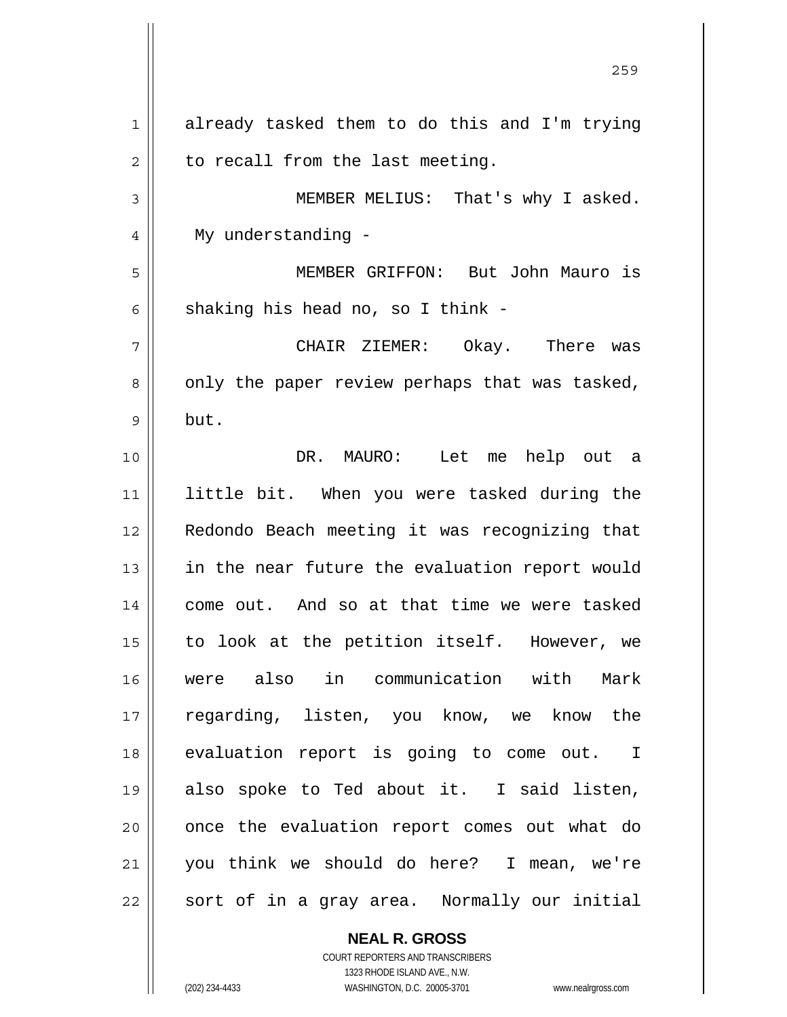1 2 3 4 5 6 7 8 9 10 11 12 13 14 15 16 17 18 19 20 21 22 already tasked them to do this and I'm trying to recall from the last meeting. MEMBER MELIUS: That's why I asked. My understanding - MEMBER GRIFFON: But John Mauro is shaking his head no, so I think - CHAIR ZIEMER: Okay. There was only the paper review perhaps that was tasked, but. DR. MAURO: Let me help out a little bit. When you were tasked during the Redondo Beach meeting it was recognizing that in the near future the evaluation report would come out. And so at that time we were tasked to look at the petition itself. However, we were also in communication with Mark regarding, listen, you know, we know the evaluation report is going to come out. I also spoke to Ted about it. I said listen, once the evaluation report comes out what do you think we should do here? I mean, we're sort of in a gray area. Normally our initial

<u>259 میں اس کا اعتبار اور اس کا اعتبار اور اس کا اعتبار اور اس کا اعتبار اور اس کا اعتبار اور اس کا اعتبار اور ا</u>

**NEAL R. GROSS** COURT REPORTERS AND TRANSCRIBERS

1323 RHODE ISLAND AVE., N.W. (202) 234-4433 WASHINGTON, D.C. 20005-3701 www.nealrgross.com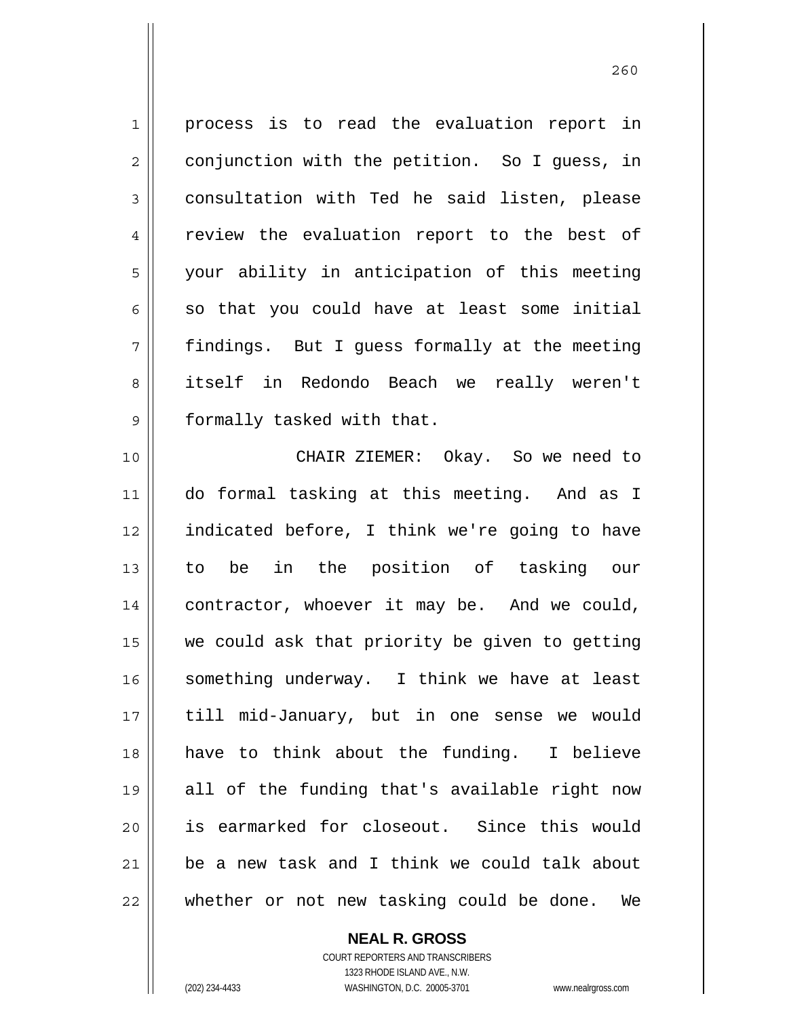1 2 3 4 5 6 7 8 9 process is to read the evaluation report in conjunction with the petition. So I guess, in consultation with Ted he said listen, please review the evaluation report to the best of your ability in anticipation of this meeting so that you could have at least some initial findings. But I guess formally at the meeting itself in Redondo Beach we really weren't formally tasked with that.

10 11 12 13 14 15 16 17 18 19 20 21 22 CHAIR ZIEMER: Okay. So we need to do formal tasking at this meeting. And as I indicated before, I think we're going to have to be in the position of tasking our contractor, whoever it may be. And we could, we could ask that priority be given to getting something underway. I think we have at least till mid-January, but in one sense we would have to think about the funding. I believe all of the funding that's available right now is earmarked for closeout. Since this would be a new task and I think we could talk about whether or not new tasking could be done. We

> COURT REPORTERS AND TRANSCRIBERS 1323 RHODE ISLAND AVE., N.W. (202) 234-4433 WASHINGTON, D.C. 20005-3701 www.nealrgross.com

**NEAL R. GROSS**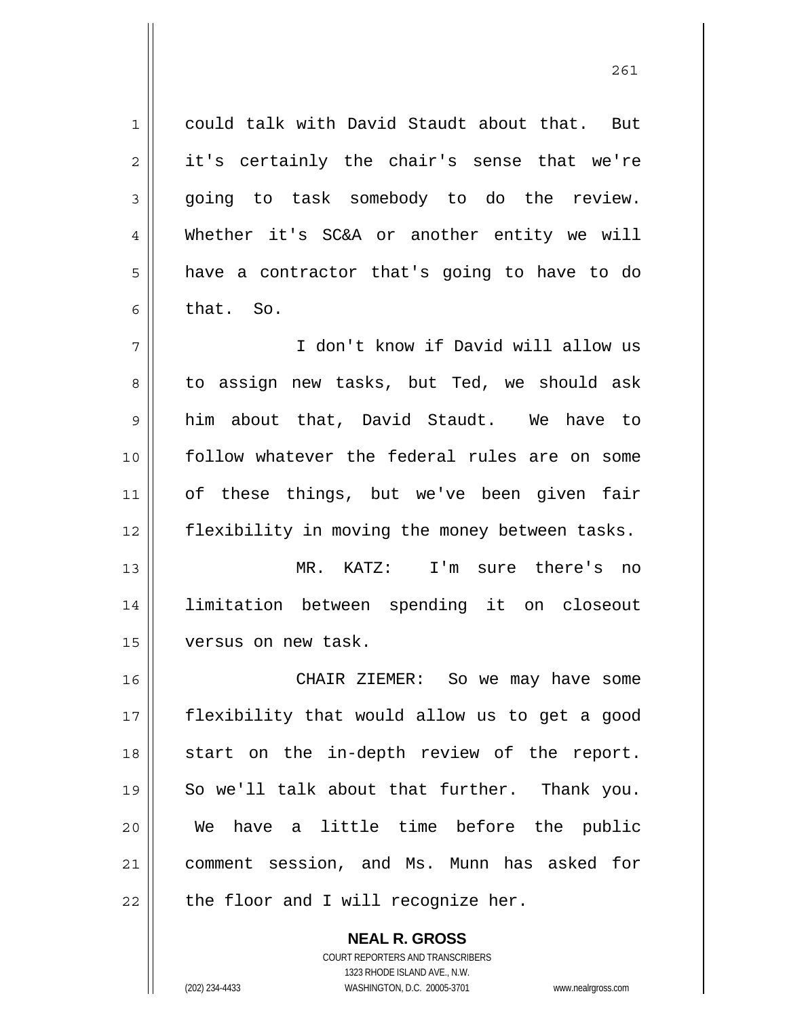could talk with David Staudt about that. But it's certainly the chair's sense that we're going to task somebody to do the review. Whether it's SC&A or another entity we will have a contractor that's going to have to do that. So.

7 8 9 10 11 12 I don't know if David will allow us to assign new tasks, but Ted, we should ask him about that, David Staudt. We have to follow whatever the federal rules are on some of these things, but we've been given fair flexibility in moving the money between tasks.

13 14 15 MR. KATZ: I'm sure there's no limitation between spending it on closeout versus on new task.

16 17 18 19 20 21 22 CHAIR ZIEMER: So we may have some flexibility that would allow us to get a good start on the in-depth review of the report. So we'll talk about that further. Thank you. We have a little time before the public comment session, and Ms. Munn has asked for the floor and I will recognize her.

> **NEAL R. GROSS** COURT REPORTERS AND TRANSCRIBERS 1323 RHODE ISLAND AVE., N.W. (202) 234-4433 WASHINGTON, D.C. 20005-3701 www.nealrgross.com

1

2

3

4

5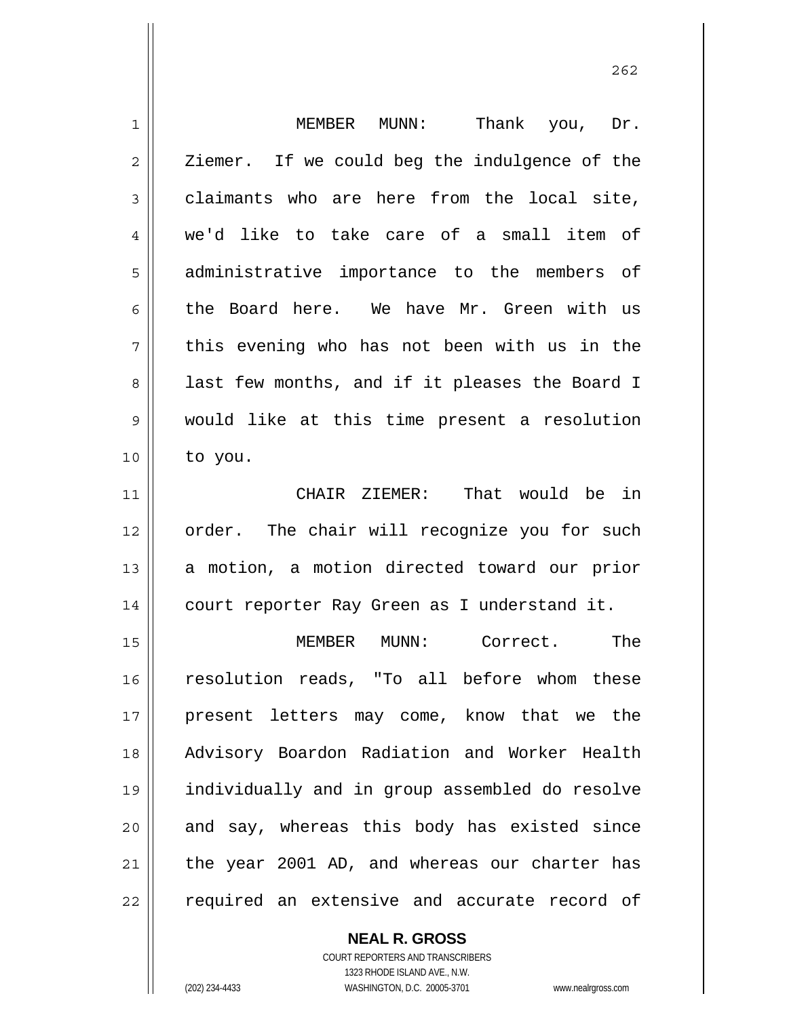| $\mathbf 1$    | MEMBER MUNN:<br>Thank you, Dr.                 |
|----------------|------------------------------------------------|
| $\overline{2}$ | Ziemer. If we could beg the indulgence of the  |
| 3              | claimants who are here from the local site,    |
| 4              | we'd like to take care of a small item of      |
| 5              | administrative importance to the members of    |
| 6              | the Board here. We have Mr. Green with us      |
| 7              | this evening who has not been with us in the   |
| 8              | last few months, and if it pleases the Board I |
| 9              | would like at this time present a resolution   |
| 10             | to you.                                        |
| 11             | CHAIR ZIEMER: That would be in                 |
| 12             | order. The chair will recognize you for such   |
| 13             | a motion, a motion directed toward our prior   |
| 14             | court reporter Ray Green as I understand it.   |
| 15             | The<br>Correct.<br>MEMBER<br>MUNN:             |
| 16             |                                                |
|                | resolution reads, "To all before whom these    |
| 17             | present letters may come, know that we the     |
| 18             | Advisory Boardon Radiation and Worker Health   |
| 19             | individually and in group assembled do resolve |
| 20             | and say, whereas this body has existed since   |
| 21             | the year 2001 AD, and whereas our charter has  |

**NEAL R. GROSS** COURT REPORTERS AND TRANSCRIBERS

1323 RHODE ISLAND AVE., N.W.

(202) 234-4433 WASHINGTON, D.C. 20005-3701 www.nealrgross.com

 $\mathsf{II}$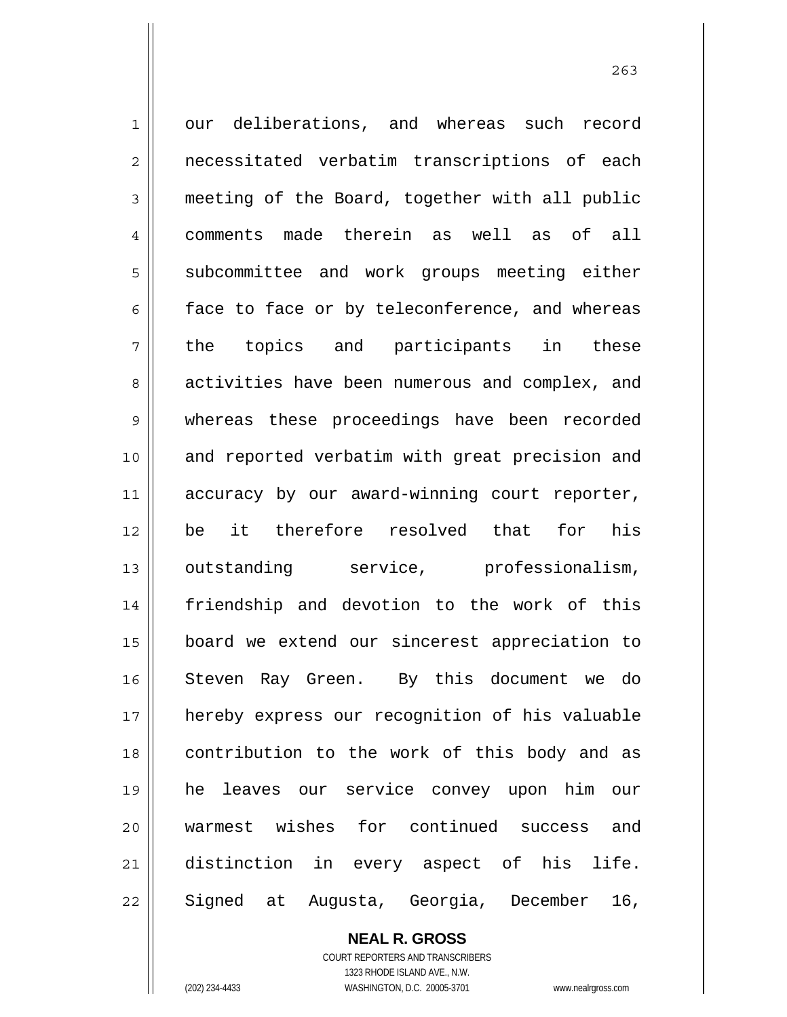1 2 3 4 5 6 7 8 9 10 11 12 13 14 15 16 17 18 19 20 21 22 our deliberations, and whereas such record necessitated verbatim transcriptions of each meeting of the Board, together with all public comments made therein as well as of all subcommittee and work groups meeting either face to face or by teleconference, and whereas the topics and participants in these activities have been numerous and complex, and whereas these proceedings have been recorded and reported verbatim with great precision and accuracy by our award-winning court reporter, be it therefore resolved that for his outstanding service, professionalism, friendship and devotion to the work of this board we extend our sincerest appreciation to Steven Ray Green. By this document we do hereby express our recognition of his valuable contribution to the work of this body and as he leaves our service convey upon him our warmest wishes for continued success and distinction in every aspect of his life. Signed at Augusta, Georgia, December 16,

263

**NEAL R. GROSS** COURT REPORTERS AND TRANSCRIBERS

1323 RHODE ISLAND AVE., N.W. (202) 234-4433 WASHINGTON, D.C. 20005-3701 www.nealrgross.com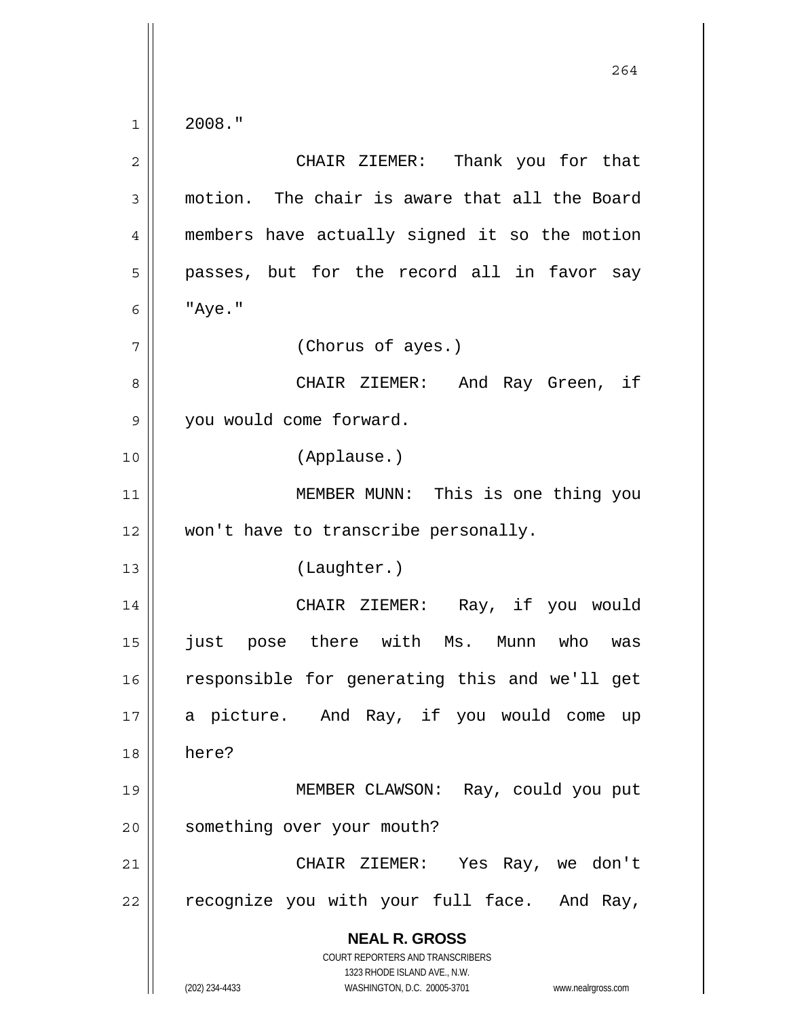2008."

| $\overline{2}$ | CHAIR ZIEMER: Thank you for that                                                         |
|----------------|------------------------------------------------------------------------------------------|
| 3              | motion. The chair is aware that all the Board                                            |
| $\overline{4}$ | members have actually signed it so the motion                                            |
| 5              | passes, but for the record all in favor say                                              |
| 6              | "Aye."                                                                                   |
| 7              | (Chorus of ayes.)                                                                        |
| 8              | And Ray Green, if<br>CHAIR ZIEMER:                                                       |
| 9              | you would come forward.                                                                  |
| 10             | (Applause.)                                                                              |
| 11             | MEMBER MUNN: This is one thing you                                                       |
| 12             | won't have to transcribe personally.                                                     |
| 13             | (Laughter.)                                                                              |
| 14             | CHAIR ZIEMER: Ray, if you would                                                          |
| 15             | just pose there with Ms. Munn who<br>was                                                 |
| 16             | responsible for generating this and we'll get                                            |
| 17             | a picture. And Ray, if you would come up                                                 |
| 18             | here?                                                                                    |
| 19             | MEMBER CLAWSON: Ray, could you put                                                       |
| 20             | something over your mouth?                                                               |
| 21             | Yes Ray, we don't<br>CHAIR ZIEMER:                                                       |
| 22             | recognize you with your full face.<br>And Ray,                                           |
|                | <b>NEAL R. GROSS</b><br>COURT REPORTERS AND TRANSCRIBERS<br>1323 RHODE ISLAND AVE., N.W. |
|                | (202) 234-4433<br>WASHINGTON, D.C. 20005-3701<br>www.nealrgross.com                      |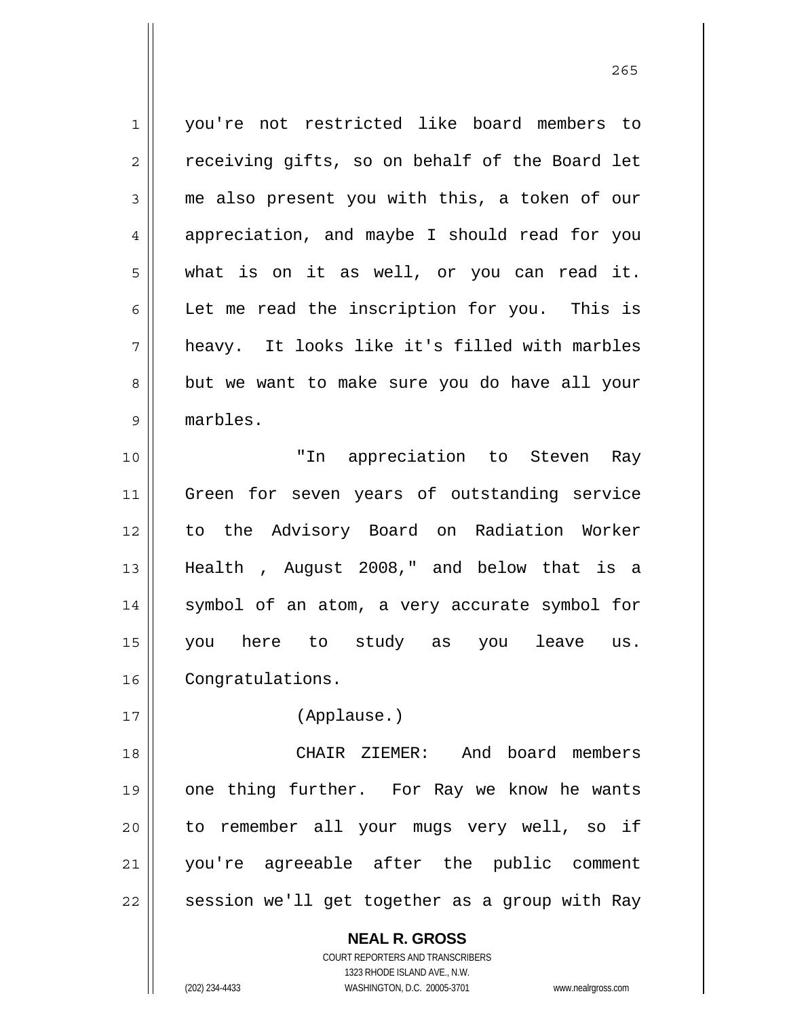1 2 3 4 5 6 7 8 9 10 11 12 13 14 15 16 17 you're not restricted like board members to receiving gifts, so on behalf of the Board let me also present you with this, a token of our appreciation, and maybe I should read for you what is on it as well, or you can read it. Let me read the inscription for you. This is heavy. It looks like it's filled with marbles but we want to make sure you do have all your marbles. "In appreciation to Steven Ray Green for seven years of outstanding service to the Advisory Board on Radiation Worker Health , August 2008," and below that is a symbol of an atom, a very accurate symbol for you here to study as you leave us. Congratulations. (Applause.)

<u>265</u>

18 19 20 21 22 CHAIR ZIEMER: And board members one thing further. For Ray we know he wants to remember all your mugs very well, so if you're agreeable after the public comment session we'll get together as a group with Ray

> **NEAL R. GROSS** COURT REPORTERS AND TRANSCRIBERS 1323 RHODE ISLAND AVE., N.W. (202) 234-4433 WASHINGTON, D.C. 20005-3701 www.nealrgross.com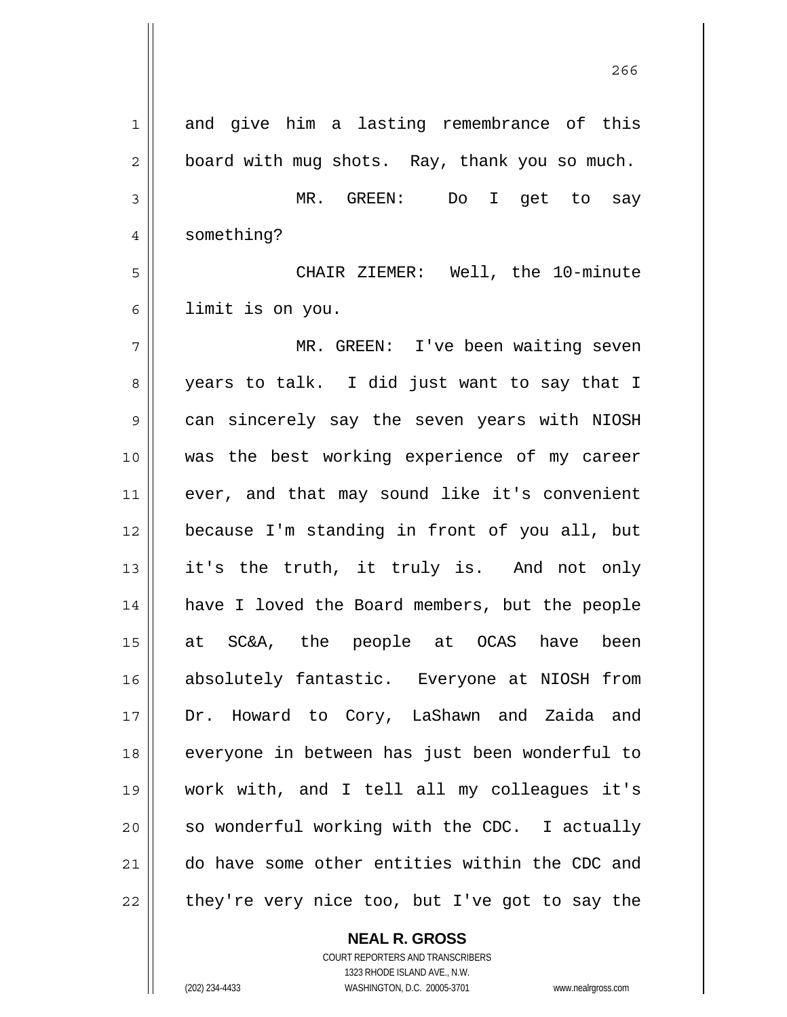| 1           | and give him a lasting remembrance of this     |
|-------------|------------------------------------------------|
| 2           | board with mug shots. Ray, thank you so much.  |
| 3           | MR. GREEN: Do I get to say                     |
| 4           | something?                                     |
| 5           | CHAIR ZIEMER: Well, the 10-minute              |
| 6           | limit is on you.                               |
| 7           | MR. GREEN: I've been waiting seven             |
| 8           | years to talk. I did just want to say that I   |
| $\mathsf 9$ | can sincerely say the seven years with NIOSH   |
| 10          | was the best working experience of my career   |
| 11          | ever, and that may sound like it's convenient  |
| 12          | because I'm standing in front of you all, but  |
| 13          | it's the truth, it truly is. And not only      |
| 14          | have I loved the Board members, but the people |
| 15          | at SC&A, the people at OCAS have been          |
| 16          | absolutely fantastic. Everyone at NIOSH from   |
| 17          | Dr. Howard to Cory, LaShawn and Zaida and      |
| 18          | everyone in between has just been wonderful to |
| 19          | work with, and I tell all my colleagues it's   |
| 20          | so wonderful working with the CDC. I actually  |
| 21          | do have some other entities within the CDC and |
| 22          | they're very nice too, but I've got to say the |

проставляют производите в 266 году в 266 году в 266 году в 266 году в 266 году в 266 году в 266 году в 266 год

**NEAL R. GROSS** COURT REPORTERS AND TRANSCRIBERS

1323 RHODE ISLAND AVE., N.W.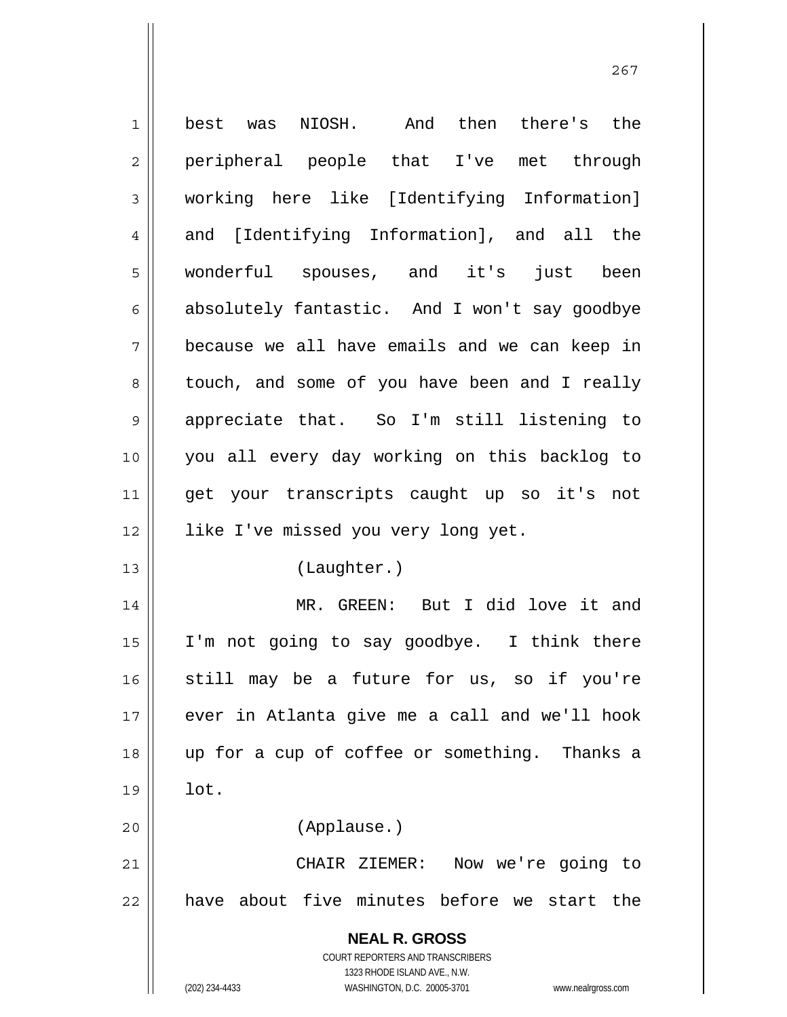| $\mathbf 1$    | best was NIOSH. And then there's the                                |
|----------------|---------------------------------------------------------------------|
| $\mathbf 2$    | peripheral people that I've met through                             |
| 3              | working here like [Identifying Information]                         |
| $\overline{4}$ | and [Identifying Information], and all the                          |
| 5              | wonderful spouses, and it's just been                               |
| 6              | absolutely fantastic. And I won't say goodbye                       |
| 7              | because we all have emails and we can keep in                       |
| 8              | touch, and some of you have been and I really                       |
| $\mathsf 9$    | appreciate that. So I'm still listening to                          |
| 10             | you all every day working on this backlog to                        |
| 11             | get your transcripts caught up so it's not                          |
| 12             | like I've missed you very long yet.                                 |
| 13             | (Laughter.)                                                         |
| 14             | MR. GREEN: But I did love it and                                    |
| 15             | I'm not going to say goodbye. I think there                         |
| 16             | still may be a future for us, so if you're                          |
| 17             | ever in Atlanta give me a call and we'll hook                       |
| 18             | up for a cup of coffee or something. Thanks a                       |
| 19             | lot.                                                                |
| 20             | (Applause.)                                                         |
| 21             | CHAIR ZIEMER: Now we're going to                                    |
| 22             | have about five minutes before we start the                         |
|                | <b>NEAL R. GROSS</b>                                                |
|                | <b>COURT REPORTERS AND TRANSCRIBERS</b>                             |
|                | 1323 RHODE ISLAND AVE., N.W.                                        |
|                | (202) 234-4433<br>WASHINGTON, D.C. 20005-3701<br>www.nealrgross.com |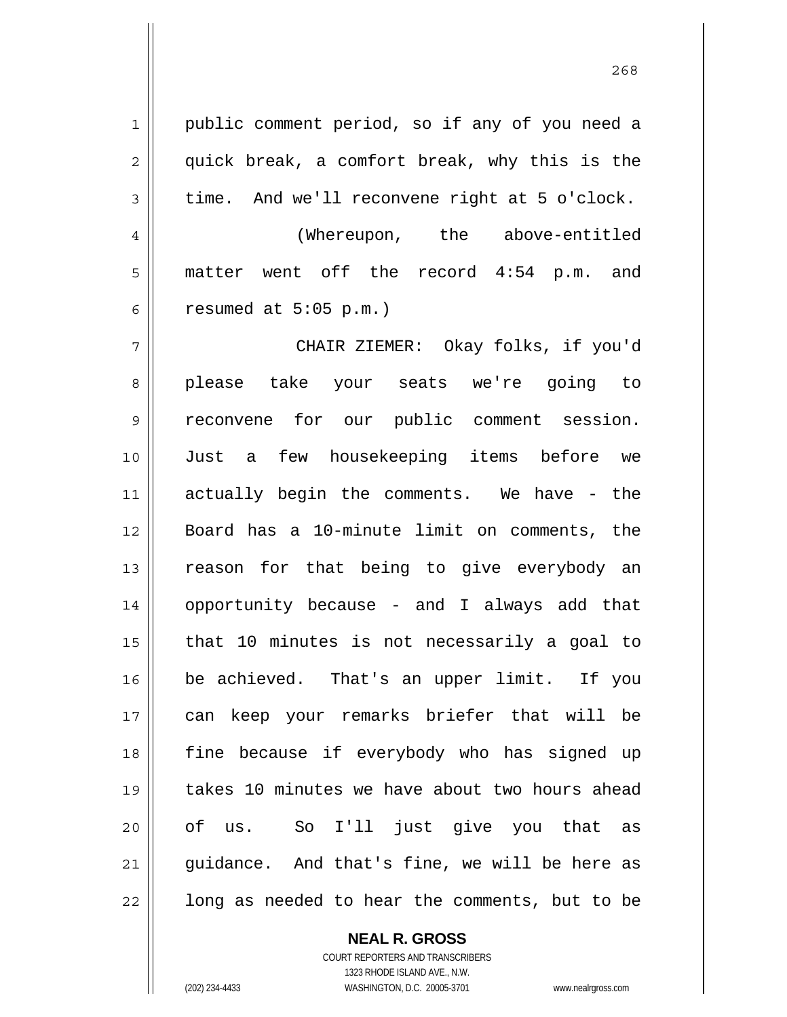1 2 3 4 5 6 7 8 9 10 11 12 13 14 15 16 17 18 19 20 21 22 public comment period, so if any of you need a quick break, a comfort break, why this is the time. And we'll reconvene right at 5 o'clock. (Whereupon, the above-entitled matter went off the record 4:54 p.m. and resumed at 5:05 p.m.) CHAIR ZIEMER: Okay folks, if you'd please take your seats we're going to reconvene for our public comment session. Just a few housekeeping items before we actually begin the comments. We have - the Board has a 10-minute limit on comments, the reason for that being to give everybody an opportunity because - and I always add that that 10 minutes is not necessarily a goal to be achieved. That's an upper limit. If you can keep your remarks briefer that will be fine because if everybody who has signed up takes 10 minutes we have about two hours ahead of us. So I'll just give you that as guidance. And that's fine, we will be here as long as needed to hear the comments, but to be

> **NEAL R. GROSS** COURT REPORTERS AND TRANSCRIBERS

1323 RHODE ISLAND AVE., N.W. (202) 234-4433 WASHINGTON, D.C. 20005-3701 www.nealrgross.com

<u>268</u>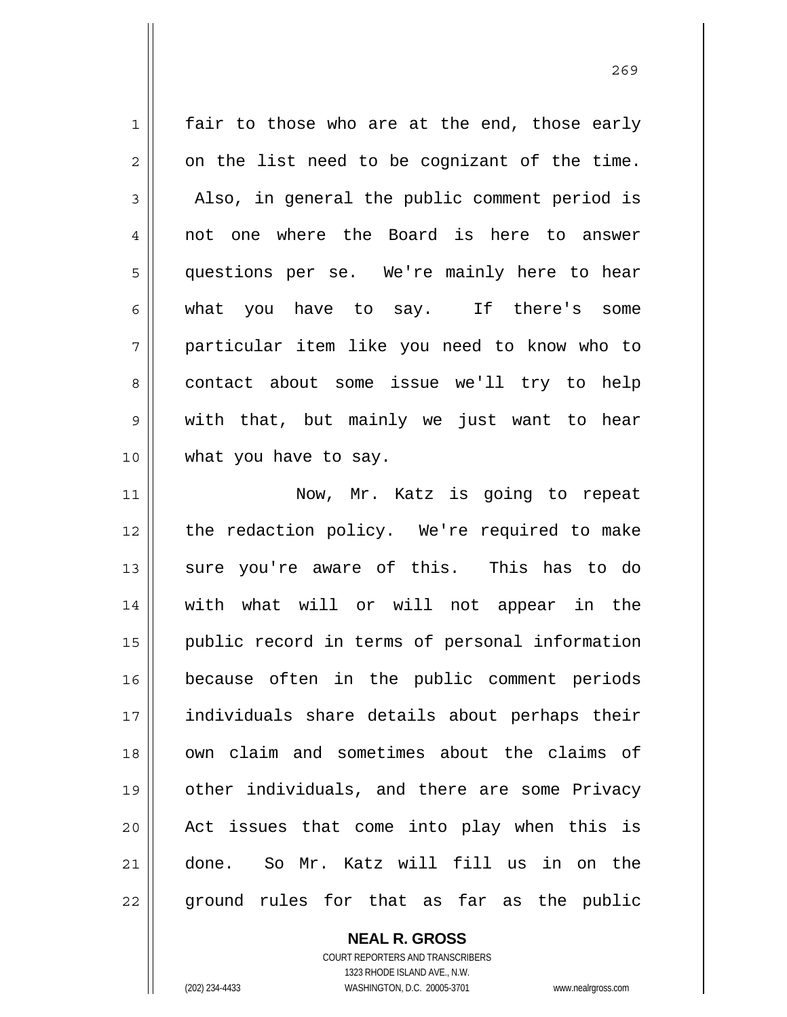1 2 3 4 5 6 7 8 9 10 11 12 fair to those who are at the end, those early on the list need to be cognizant of the time. Also, in general the public comment period is not one where the Board is here to answer questions per se. We're mainly here to hear what you have to say. If there's some particular item like you need to know who to contact about some issue we'll try to help with that, but mainly we just want to hear what you have to say. Now, Mr. Katz is going to repeat the redaction policy. We're required to make sure you're aware of this. This has to do

13 14 15 16 17 18 19 20 21 22 with what will or will not appear in the public record in terms of personal information because often in the public comment periods individuals share details about perhaps their own claim and sometimes about the claims of other individuals, and there are some Privacy Act issues that come into play when this is done. So Mr. Katz will fill us in on the ground rules for that as far as the public

> **NEAL R. GROSS** COURT REPORTERS AND TRANSCRIBERS 1323 RHODE ISLAND AVE., N.W.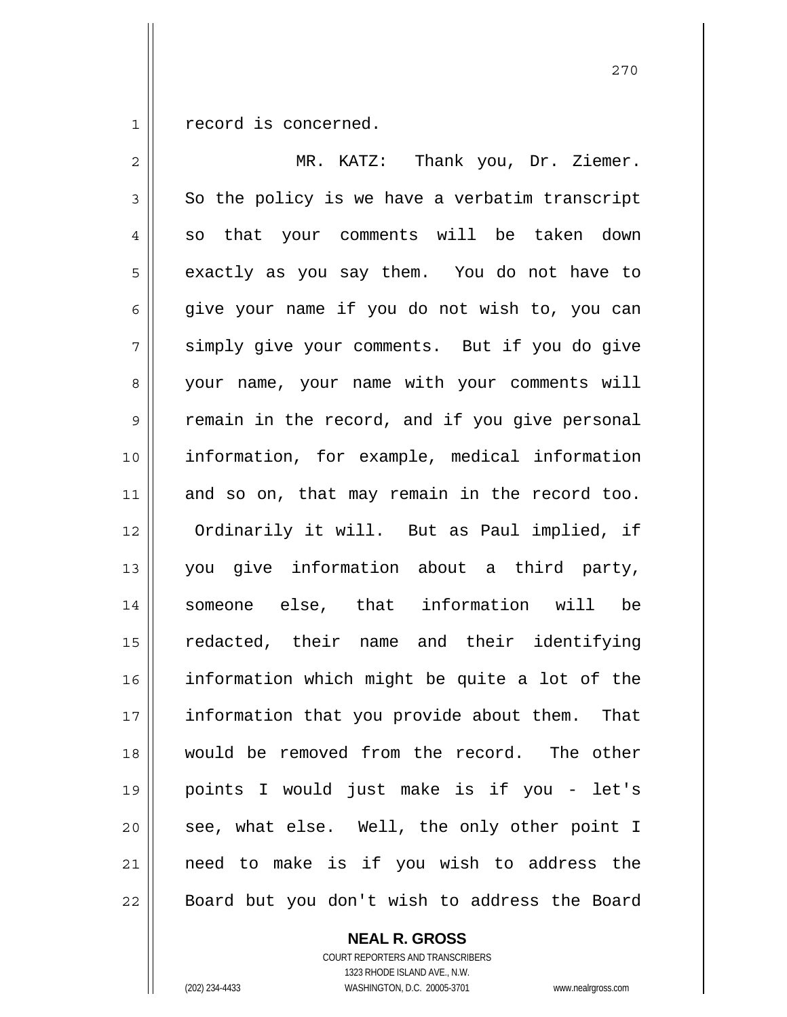1 record is concerned.

| $\overline{2}$ | MR. KATZ: Thank you, Dr. Ziemer.                 |
|----------------|--------------------------------------------------|
| 3              | So the policy is we have a verbatim transcript   |
| 4              | so that your comments will be taken down         |
| 5              | exactly as you say them. You do not have to      |
| 6              | give your name if you do not wish to, you can    |
| 7              | simply give your comments. But if you do give    |
| 8              | your name, your name with your comments will     |
| $\mathsf 9$    | remain in the record, and if you give personal   |
| 10             | information, for example, medical information    |
| 11             | and so on, that may remain in the record too.    |
| 12             | Ordinarily it will. But as Paul implied, if      |
| 13             | you give information about a third party,        |
| 14             | someone else, that information will be           |
| 15             | redacted, their name and their identifying       |
| 16             | information which might be quite a lot of the    |
| 17             | information that you provide about them.<br>That |
| 18             | would be removed from the record. The other      |
| 19             | points I would just make is if you - let's       |
| 20             | see, what else. Well, the only other point I     |
| 21             | need to make is if you wish to address the       |
| 22             | Board but you don't wish to address the Board    |

**NEAL R. GROSS** COURT REPORTERS AND TRANSCRIBERS

1323 RHODE ISLAND AVE., N.W.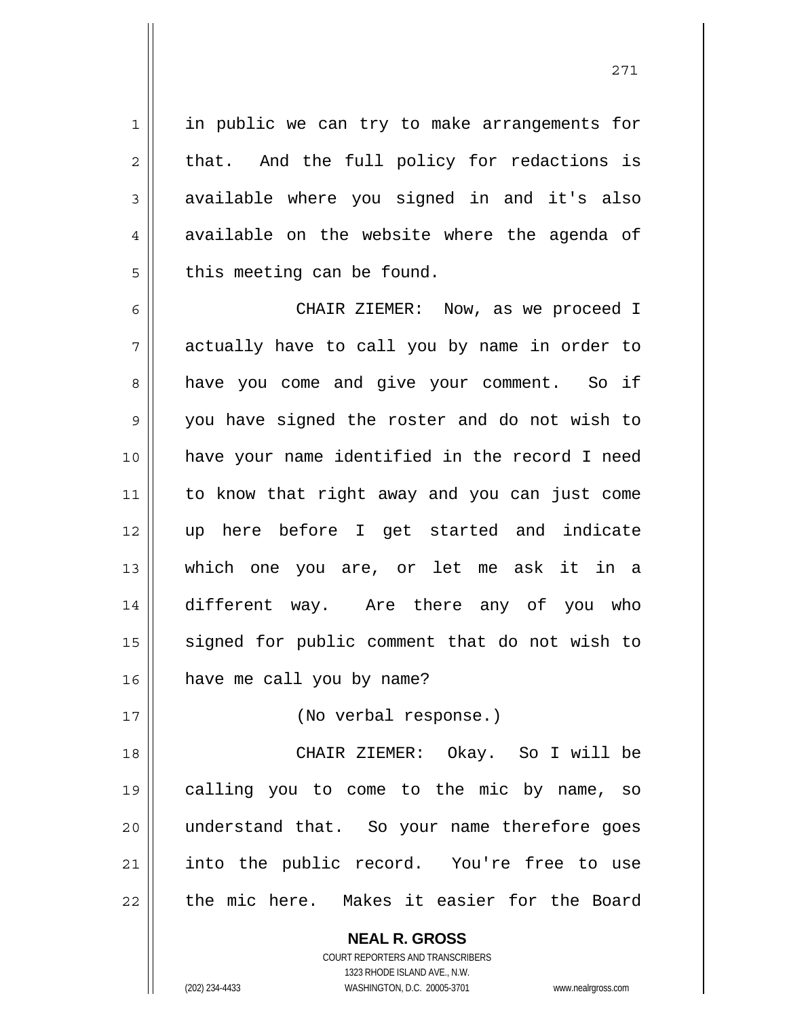in public we can try to make arrangements for that. And the full policy for redactions is available where you signed in and it's also available on the website where the agenda of this meeting can be found.

6 7 8 9 10 11 12 13 14 15 16 CHAIR ZIEMER: Now, as we proceed I actually have to call you by name in order to have you come and give your comment. So if you have signed the roster and do not wish to have your name identified in the record I need to know that right away and you can just come up here before I get started and indicate which one you are, or let me ask it in a different way. Are there any of you who signed for public comment that do not wish to have me call you by name?

(No verbal response.)

18 19 20 21 22 CHAIR ZIEMER: Okay. So I will be calling you to come to the mic by name, so understand that. So your name therefore goes into the public record. You're free to use the mic here. Makes it easier for the Board

> **NEAL R. GROSS** COURT REPORTERS AND TRANSCRIBERS 1323 RHODE ISLAND AVE., N.W.

1

2

3

4

5

17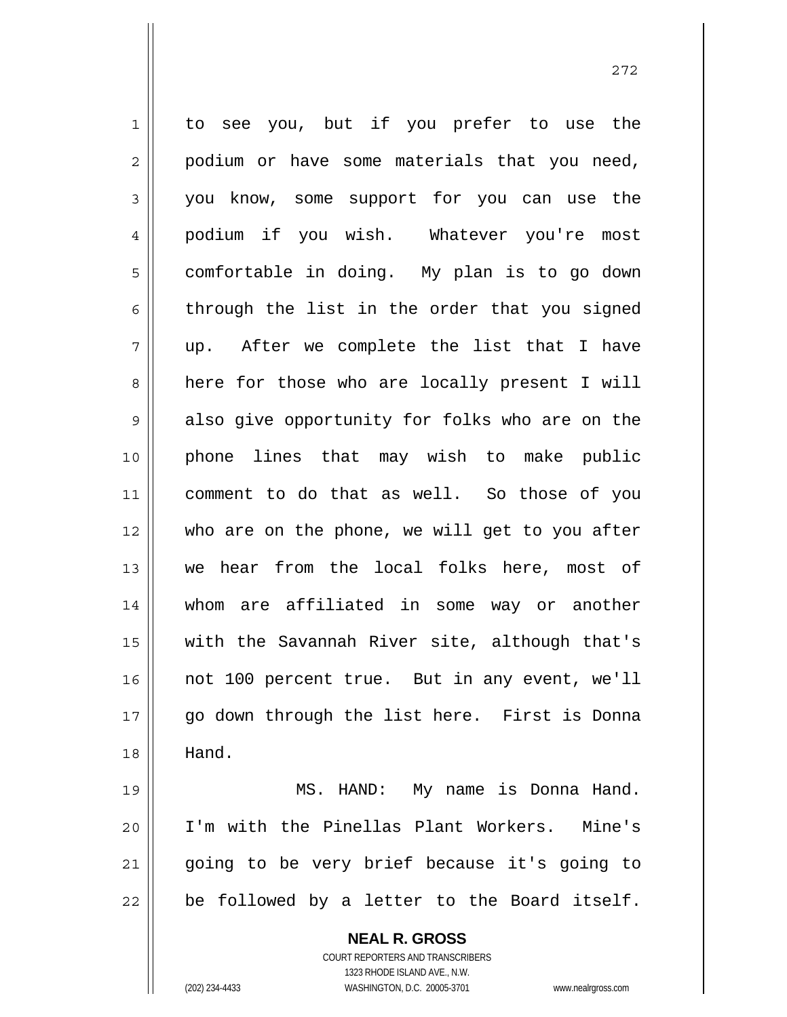1 2 3 4 5 6 7 8 9 10 11 12 13 14 15 16 17 18 19 to see you, but if you prefer to use the podium or have some materials that you need, you know, some support for you can use the podium if you wish. Whatever you're most comfortable in doing. My plan is to go down through the list in the order that you signed up. After we complete the list that I have here for those who are locally present I will also give opportunity for folks who are on the phone lines that may wish to make public comment to do that as well. So those of you who are on the phone, we will get to you after we hear from the local folks here, most of whom are affiliated in some way or another with the Savannah River site, although that's not 100 percent true. But in any event, we'll go down through the list here. First is Donna Hand. MS. HAND: My name is Donna Hand.

20 21 22 I'm with the Pinellas Plant Workers. Mine's going to be very brief because it's going to be followed by a letter to the Board itself.

> **NEAL R. GROSS** COURT REPORTERS AND TRANSCRIBERS 1323 RHODE ISLAND AVE., N.W. (202) 234-4433 WASHINGTON, D.C. 20005-3701 www.nealrgross.com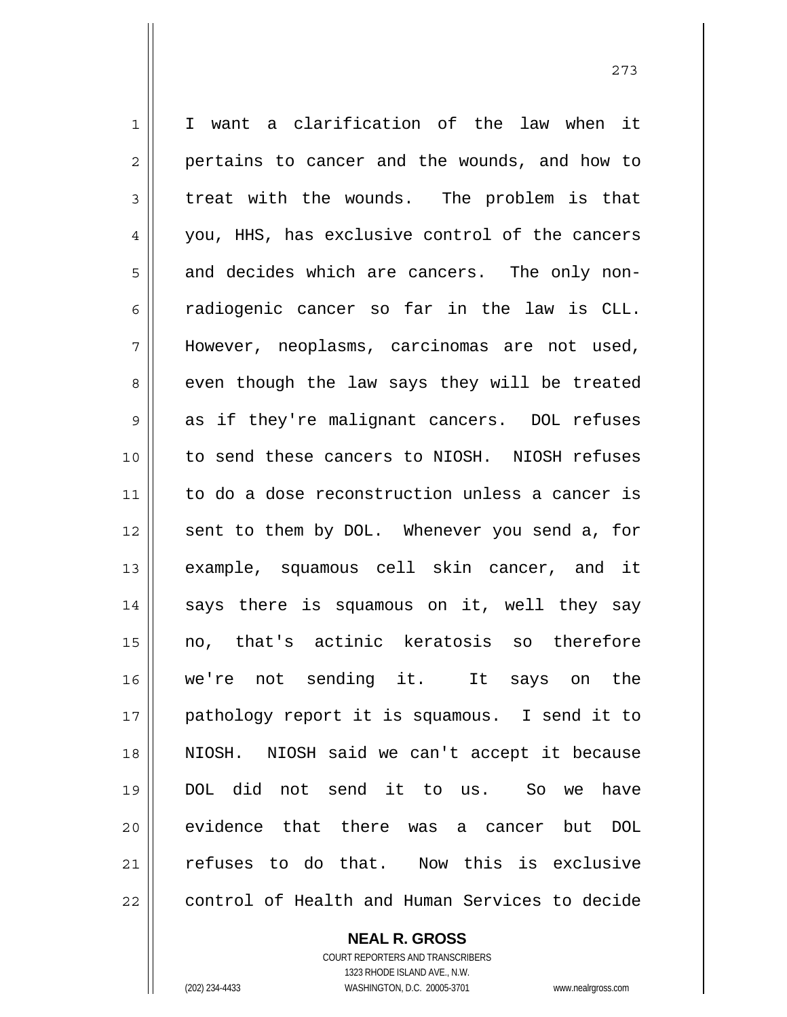1 2 3 4 5 6 7 8 9 10 11 12 13 14 15 16 17 18 19 20 21 22 I want a clarification of the law when it pertains to cancer and the wounds, and how to treat with the wounds. The problem is that you, HHS, has exclusive control of the cancers and decides which are cancers. The only nonradiogenic cancer so far in the law is CLL. However, neoplasms, carcinomas are not used, even though the law says they will be treated as if they're malignant cancers. DOL refuses to send these cancers to NIOSH. NIOSH refuses to do a dose reconstruction unless a cancer is sent to them by DOL. Whenever you send a, for example, squamous cell skin cancer, and it says there is squamous on it, well they say no, that's actinic keratosis so therefore we're not sending it. It says on the pathology report it is squamous. I send it to NIOSH. NIOSH said we can't accept it because DOL did not send it to us. So we have evidence that there was a cancer but DOL refuses to do that. Now this is exclusive control of Health and Human Services to decide

> **NEAL R. GROSS** COURT REPORTERS AND TRANSCRIBERS 1323 RHODE ISLAND AVE., N.W.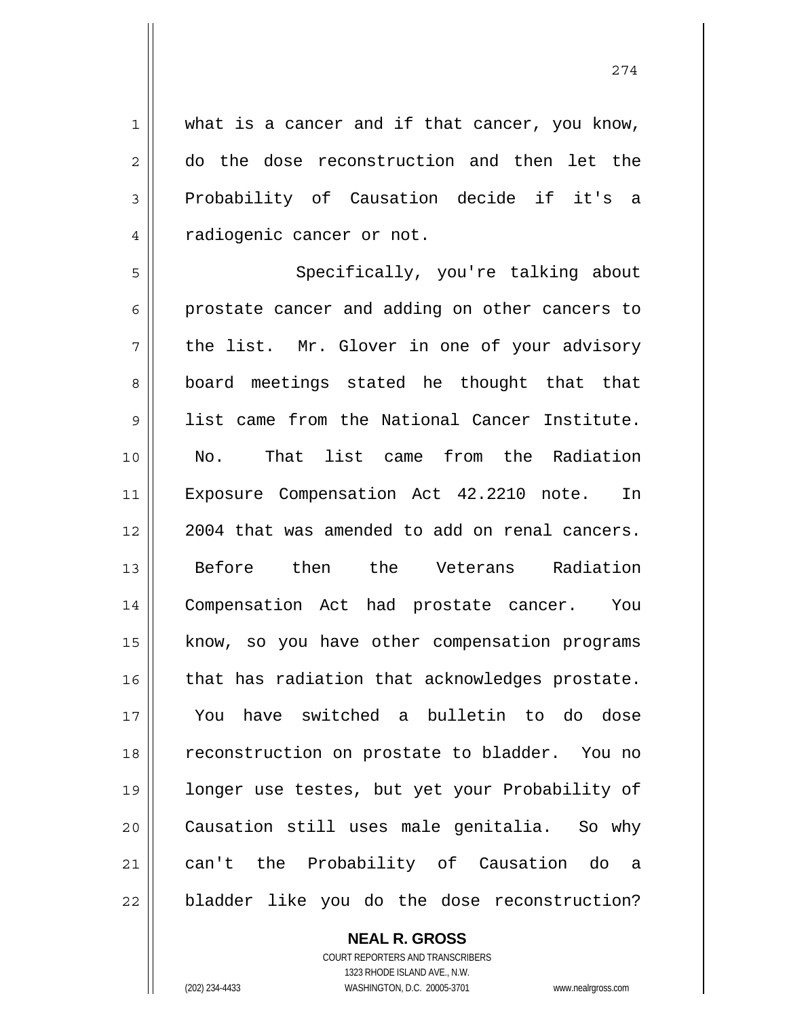274

1 2 3 4 what is a cancer and if that cancer, you know, do the dose reconstruction and then let the Probability of Causation decide if it's a radiogenic cancer or not.

5 6 7 8 9 10 11 12 13 14 15 16 17 18 19 20 21 22 Specifically, you're talking about prostate cancer and adding on other cancers to the list. Mr. Glover in one of your advisory board meetings stated he thought that that list came from the National Cancer Institute. No. That list came from the Radiation Exposure Compensation Act 42.2210 note. In 2004 that was amended to add on renal cancers. Before then the Veterans Radiation Compensation Act had prostate cancer. You know, so you have other compensation programs that has radiation that acknowledges prostate. You have switched a bulletin to do dose reconstruction on prostate to bladder. You no longer use testes, but yet your Probability of Causation still uses male genitalia. So why can't the Probability of Causation do a bladder like you do the dose reconstruction?

> **NEAL R. GROSS** COURT REPORTERS AND TRANSCRIBERS 1323 RHODE ISLAND AVE., N.W.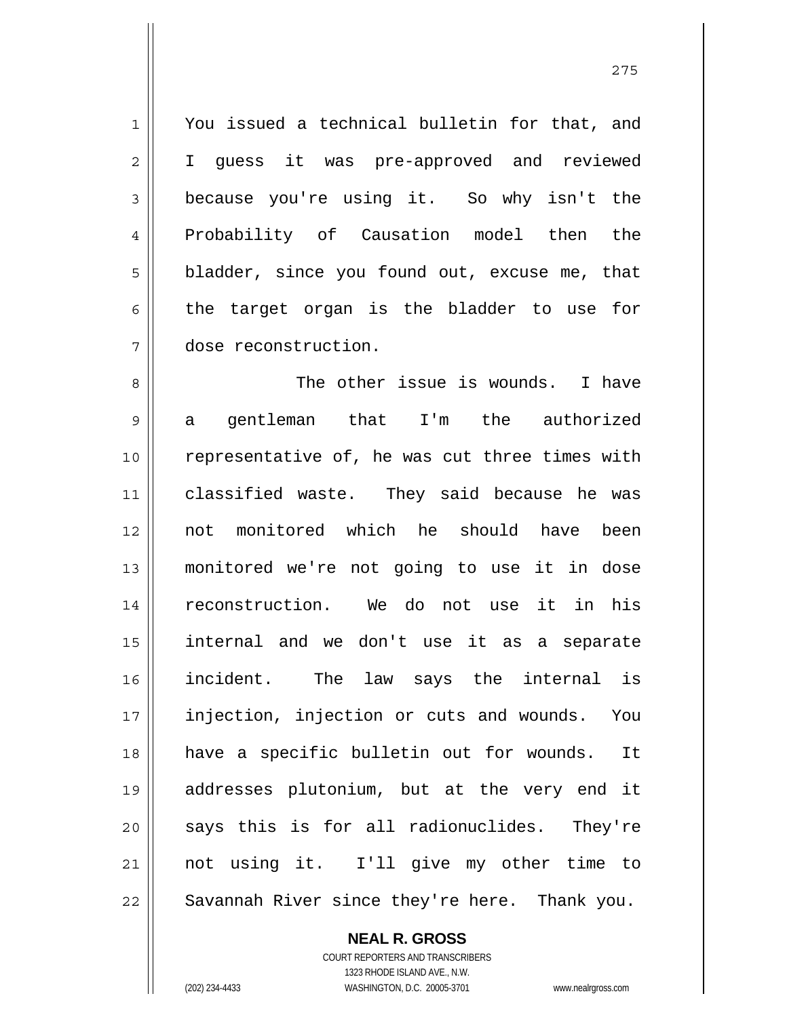You issued a technical bulletin for that, and I guess it was pre-approved and reviewed because you're using it. So why isn't the Probability of Causation model then the bladder, since you found out, excuse me, that the target organ is the bladder to use for dose reconstruction.

8 9 10 11 12 13 14 15 16 17 18 19 20 21 22 The other issue is wounds. I have a gentleman that I'm the authorized representative of, he was cut three times with classified waste. They said because he was not monitored which he should have been monitored we're not going to use it in dose reconstruction. We do not use it in his internal and we don't use it as a separate incident. The law says the internal is injection, injection or cuts and wounds. You have a specific bulletin out for wounds. It addresses plutonium, but at the very end it says this is for all radionuclides. They're not using it. I'll give my other time to Savannah River since they're here. Thank you.

**NEAL R. GROSS**

1

2

3

4

5

6

7

COURT REPORTERS AND TRANSCRIBERS 1323 RHODE ISLAND AVE., N.W. (202) 234-4433 WASHINGTON, D.C. 20005-3701 www.nealrgross.com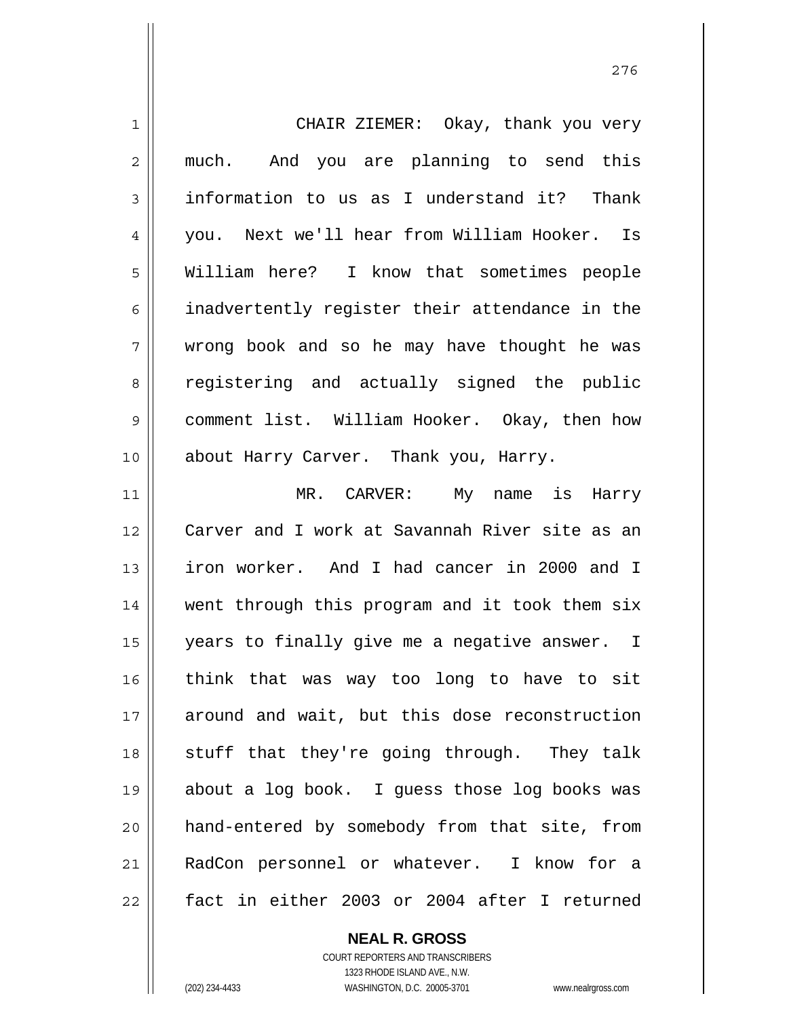| 1              | CHAIR ZIEMER: Okay, thank you very             |
|----------------|------------------------------------------------|
| $\overline{2}$ | And you are planning to send this<br>much.     |
| 3              | information to us as I understand it? Thank    |
| 4              | you. Next we'll hear from William Hooker. Is   |
| 5              | William here? I know that sometimes people     |
| 6              | inadvertently register their attendance in the |
| 7              | wrong book and so he may have thought he was   |
| 8              | registering and actually signed the public     |
| 9              | comment list. William Hooker. Okay, then how   |
| 10             | about Harry Carver. Thank you, Harry.          |
| 11             | MR. CARVER: My name is Harry                   |
| 12             | Carver and I work at Savannah River site as an |
| 13             | iron worker. And I had cancer in 2000 and I    |
| 14             | went through this program and it took them six |
| 15             | years to finally give me a negative answer. I  |
| 16             | think that was way too long to have to sit     |
| 17             | around and wait, but this dose reconstruction  |
| 18             | stuff that they're going through. They talk    |
| 19             | about a log book. I guess those log books was  |
|                |                                                |
| 20             | hand-entered by somebody from that site, from  |
| 21             | RadCon personnel or whatever. I know for a     |

**NEAL R. GROSS**

COURT REPORTERS AND TRANSCRIBERS 1323 RHODE ISLAND AVE., N.W. (202) 234-4433 WASHINGTON, D.C. 20005-3701 www.nealrgross.com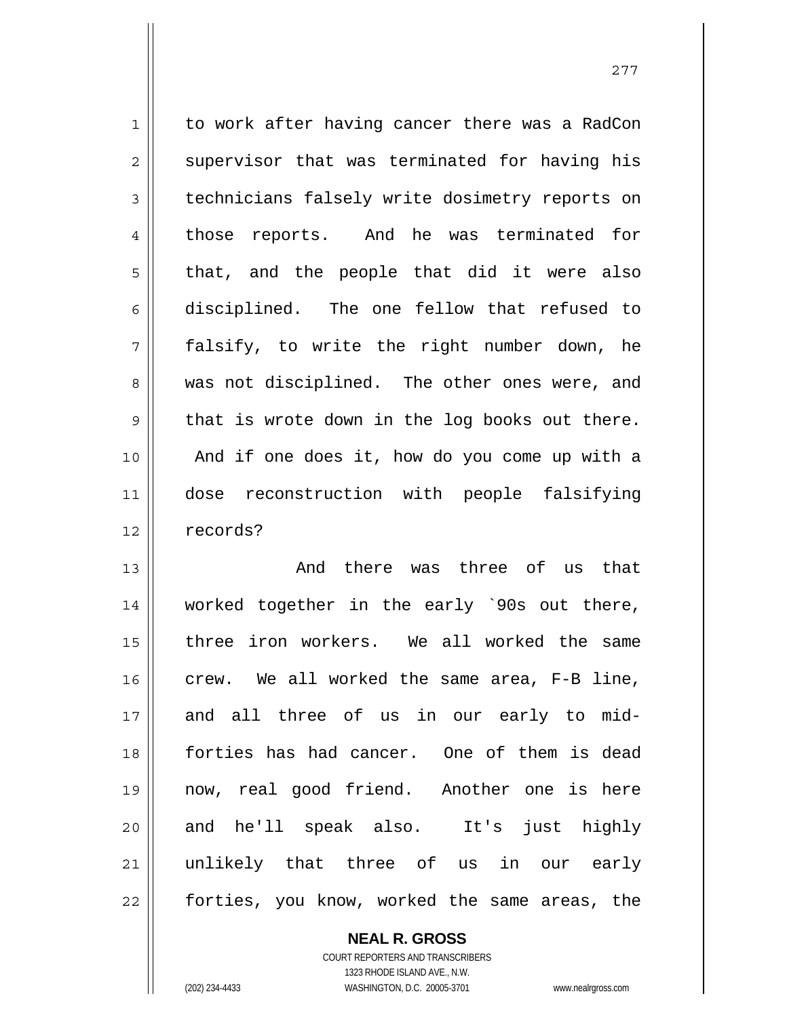1 2 3 4 5 6 7 8 9 10 11 12 to work after having cancer there was a RadCon supervisor that was terminated for having his technicians falsely write dosimetry reports on those reports. And he was terminated for that, and the people that did it were also disciplined. The one fellow that refused to falsify, to write the right number down, he was not disciplined. The other ones were, and that is wrote down in the log books out there. And if one does it, how do you come up with a dose reconstruction with people falsifying records?

13 14 15 16 17 18 19 20 21 22 And there was three of us that worked together in the early `90s out there, three iron workers. We all worked the same crew. We all worked the same area, F-B line, and all three of us in our early to midforties has had cancer. One of them is dead now, real good friend. Another one is here and he'll speak also. It's just highly unlikely that three of us in our early forties, you know, worked the same areas, the

> **NEAL R. GROSS** COURT REPORTERS AND TRANSCRIBERS 1323 RHODE ISLAND AVE., N.W. (202) 234-4433 WASHINGTON, D.C. 20005-3701 www.nealrgross.com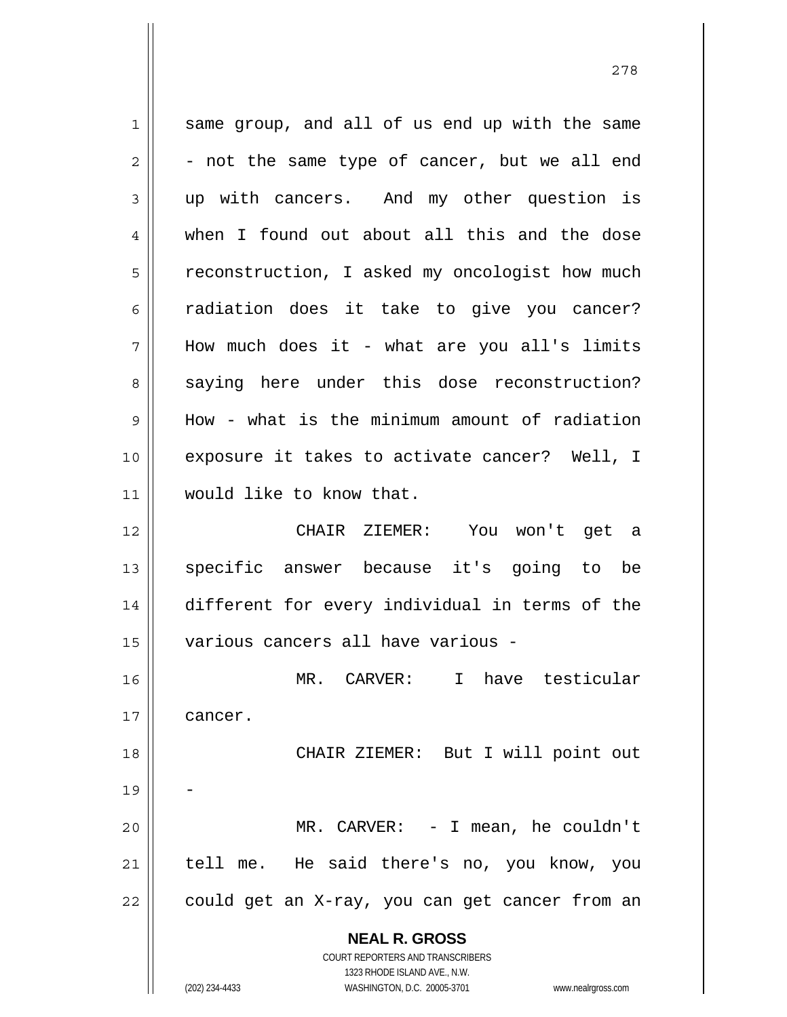**NEAL R. GROSS** COURT REPORTERS AND TRANSCRIBERS 1323 RHODE ISLAND AVE., N.W. (202) 234-4433 WASHINGTON, D.C. 20005-3701 www.nealrgross.com 1 2 3 4 5 6 7 8 9 10 11 12 13 14 15 16 17 18 19 20 21 22 same group, and all of us end up with the same - not the same type of cancer, but we all end up with cancers. And my other question is when I found out about all this and the dose reconstruction, I asked my oncologist how much radiation does it take to give you cancer? How much does it - what are you all's limits saying here under this dose reconstruction? How - what is the minimum amount of radiation exposure it takes to activate cancer? Well, I would like to know that. CHAIR ZIEMER: You won't get a specific answer because it's going to be different for every individual in terms of the various cancers all have various - MR. CARVER: I have testicular cancer. CHAIR ZIEMER: But I will point out - MR. CARVER: - I mean, he couldn't tell me. He said there's no, you know, you could get an X-ray, you can get cancer from an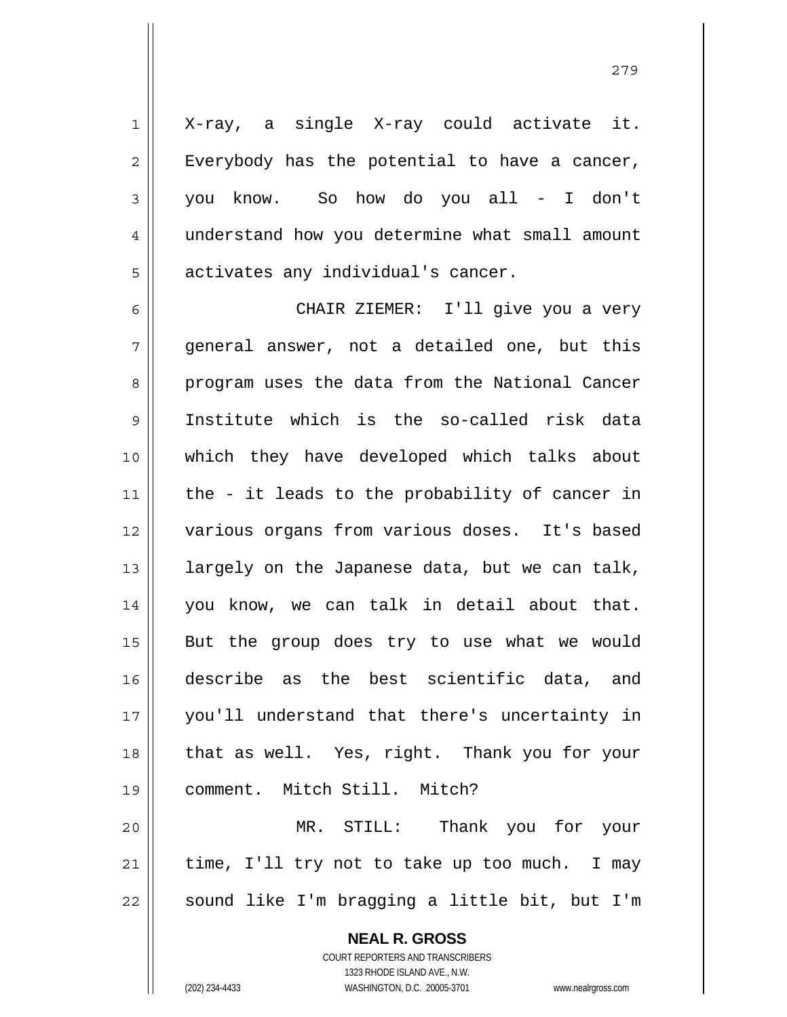X-ray, a single X-ray could activate it. Everybody has the potential to have a cancer, you know. So how do you all - I don't understand how you determine what small amount activates any individual's cancer.

6 7 8 9 10 11 12 13 14 15 16 17 18 19 20 21 CHAIR ZIEMER: I'll give you a very general answer, not a detailed one, but this program uses the data from the National Cancer Institute which is the so-called risk data which they have developed which talks about the - it leads to the probability of cancer in various organs from various doses. It's based largely on the Japanese data, but we can talk, you know, we can talk in detail about that. But the group does try to use what we would describe as the best scientific data, and you'll understand that there's uncertainty in that as well. Yes, right. Thank you for your comment. Mitch Still. Mitch? MR. STILL: Thank you for your time, I'll try not to take up too much. I may

sound like I'm bragging a little bit, but I'm

**NEAL R. GROSS** COURT REPORTERS AND TRANSCRIBERS 1323 RHODE ISLAND AVE., N.W. (202) 234-4433 WASHINGTON, D.C. 20005-3701 www.nealrgross.com

22

1

2

3

4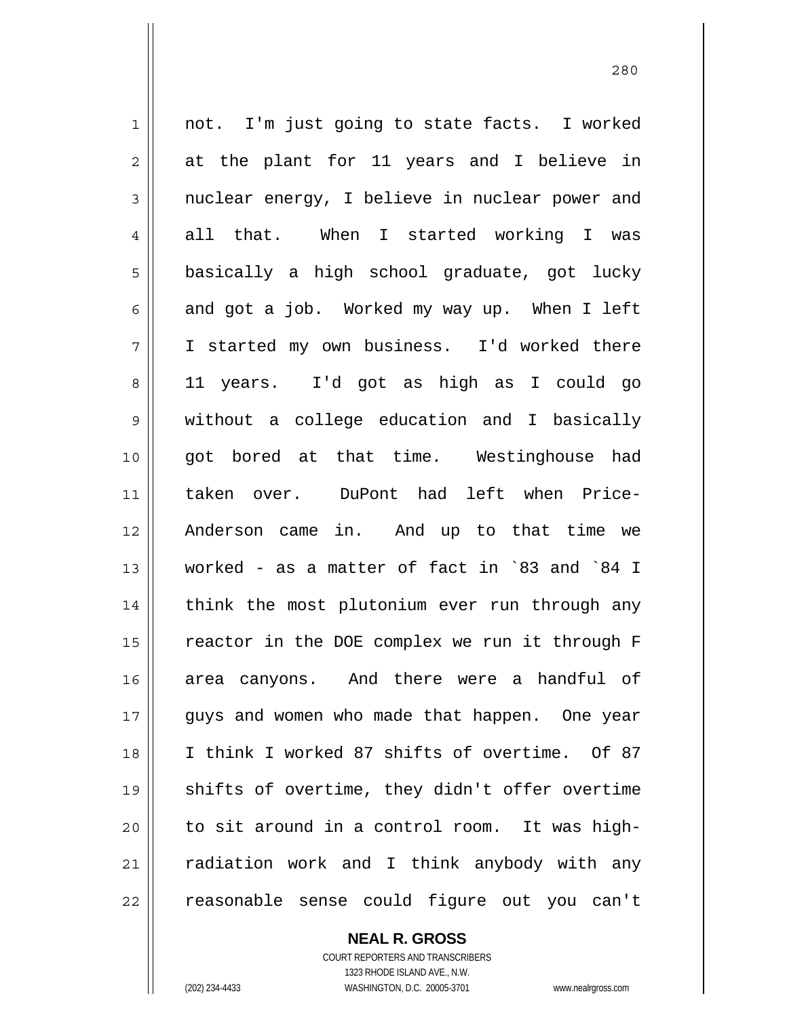1 2 3 4 5 6 7 8 9 10 11 12 13 14 15 16 17 18 19 20 21 22 not. I'm just going to state facts. I worked at the plant for 11 years and I believe in nuclear energy, I believe in nuclear power and all that. When I started working I was basically a high school graduate, got lucky and got a job. Worked my way up. When I left I started my own business. I'd worked there 11 years. I'd got as high as I could go without a college education and I basically got bored at that time. Westinghouse had taken over. DuPont had left when Price-Anderson came in. And up to that time we worked - as a matter of fact in `83 and `84 I think the most plutonium ever run through any reactor in the DOE complex we run it through F area canyons. And there were a handful of guys and women who made that happen. One year I think I worked 87 shifts of overtime. Of 87 shifts of overtime, they didn't offer overtime to sit around in a control room. It was highradiation work and I think anybody with any reasonable sense could figure out you can't

**NEAL R. GROSS**

COURT REPORTERS AND TRANSCRIBERS 1323 RHODE ISLAND AVE., N.W. (202) 234-4433 WASHINGTON, D.C. 20005-3701 www.nealrgross.com

<u>280</u>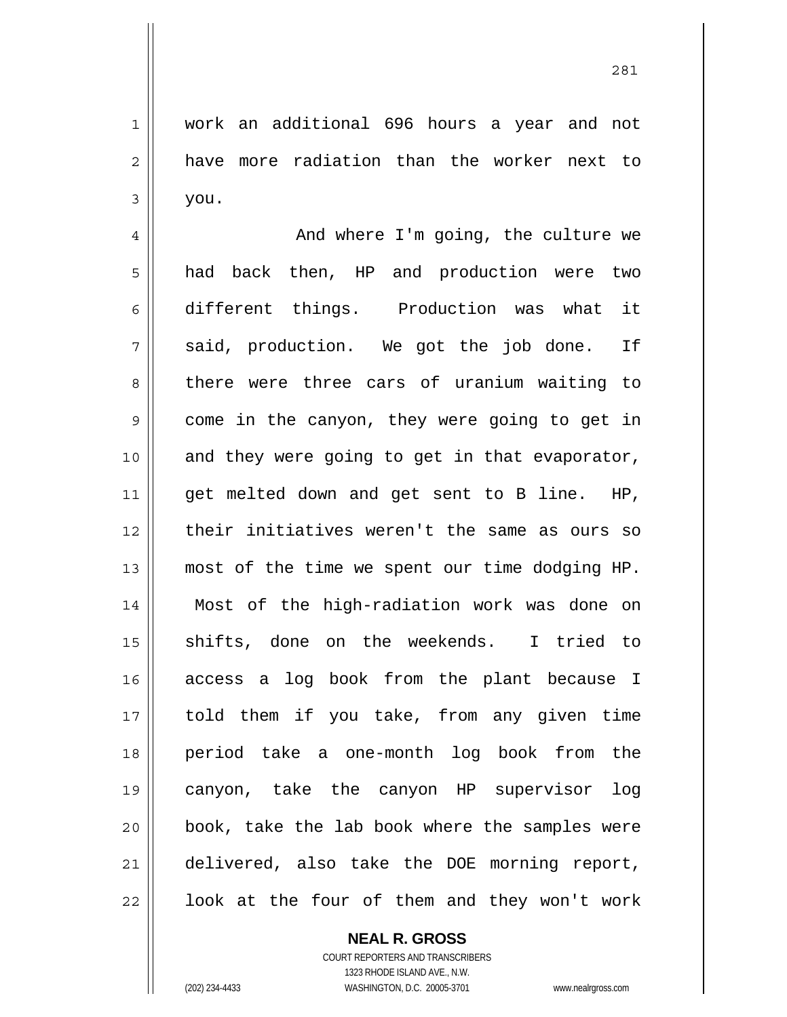work an additional 696 hours a year and not have more radiation than the worker next to you.

4 5 6 7 8 9 10 11 12 13 14 15 16 17 18 19 20 21 22 And where I'm going, the culture we had back then, HP and production were two different things. Production was what it said, production. We got the job done. If there were three cars of uranium waiting to come in the canyon, they were going to get in and they were going to get in that evaporator, get melted down and get sent to B line. HP, their initiatives weren't the same as ours so most of the time we spent our time dodging HP. Most of the high-radiation work was done on shifts, done on the weekends. I tried to access a log book from the plant because I told them if you take, from any given time period take a one-month log book from the canyon, take the canyon HP supervisor log book, take the lab book where the samples were delivered, also take the DOE morning report, look at the four of them and they won't work

## **NEAL R. GROSS** COURT REPORTERS AND TRANSCRIBERS

1

2

3

1323 RHODE ISLAND AVE., N.W. (202) 234-4433 WASHINGTON, D.C. 20005-3701 www.nealrgross.com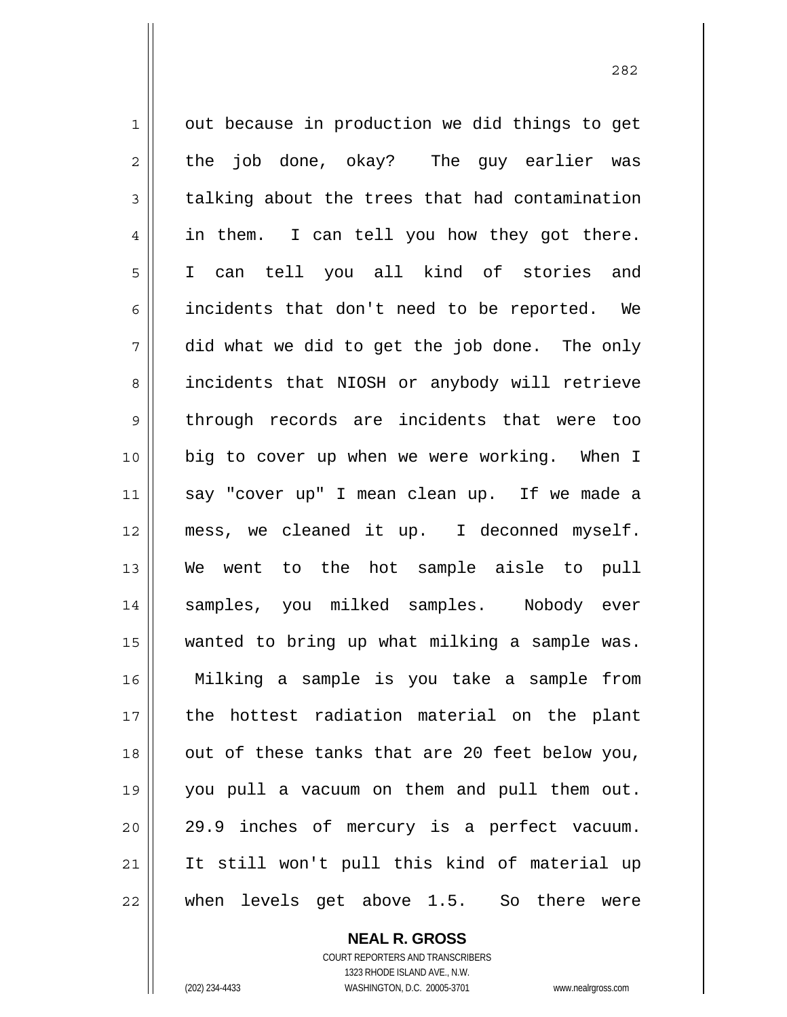1 2 3 4 5 6 7 8 9 10 11 12 13 14 15 16 17 18 19 20 21 22 out because in production we did things to get the job done, okay? The guy earlier was talking about the trees that had contamination in them. I can tell you how they got there. I can tell you all kind of stories and incidents that don't need to be reported. We did what we did to get the job done. The only incidents that NIOSH or anybody will retrieve through records are incidents that were too big to cover up when we were working. When I say "cover up" I mean clean up. If we made a mess, we cleaned it up. I deconned myself. We went to the hot sample aisle to pull samples, you milked samples. Nobody ever wanted to bring up what milking a sample was. Milking a sample is you take a sample from the hottest radiation material on the plant out of these tanks that are 20 feet below you, you pull a vacuum on them and pull them out. 29.9 inches of mercury is a perfect vacuum. It still won't pull this kind of material up when levels get above 1.5. So there were

<u>282</u>

**NEAL R. GROSS** COURT REPORTERS AND TRANSCRIBERS

1323 RHODE ISLAND AVE., N.W. (202) 234-4433 WASHINGTON, D.C. 20005-3701 www.nealrgross.com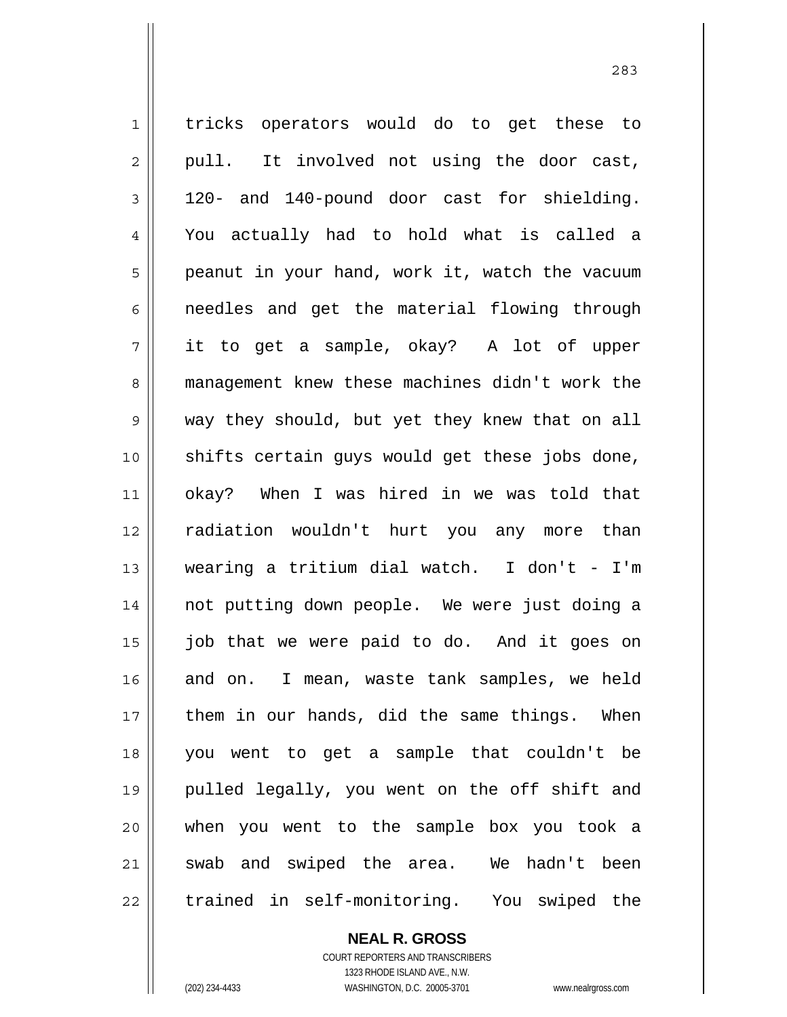1 2 3 4 5 6 7 8 9 10 11 12 13 14 15 16 17 18 19 20 21 22 tricks operators would do to get these to pull. It involved not using the door cast, 120- and 140-pound door cast for shielding. You actually had to hold what is called a peanut in your hand, work it, watch the vacuum needles and get the material flowing through it to get a sample, okay? A lot of upper management knew these machines didn't work the way they should, but yet they knew that on all shifts certain guys would get these jobs done, okay? When I was hired in we was told that radiation wouldn't hurt you any more than wearing a tritium dial watch. I don't - I'm not putting down people. We were just doing a job that we were paid to do. And it goes on and on. I mean, waste tank samples, we held them in our hands, did the same things. When you went to get a sample that couldn't be pulled legally, you went on the off shift and when you went to the sample box you took a swab and swiped the area. We hadn't been trained in self-monitoring. You swiped the

> COURT REPORTERS AND TRANSCRIBERS 1323 RHODE ISLAND AVE., N.W. (202) 234-4433 WASHINGTON, D.C. 20005-3701 www.nealrgross.com

**NEAL R. GROSS**

<u>283</u>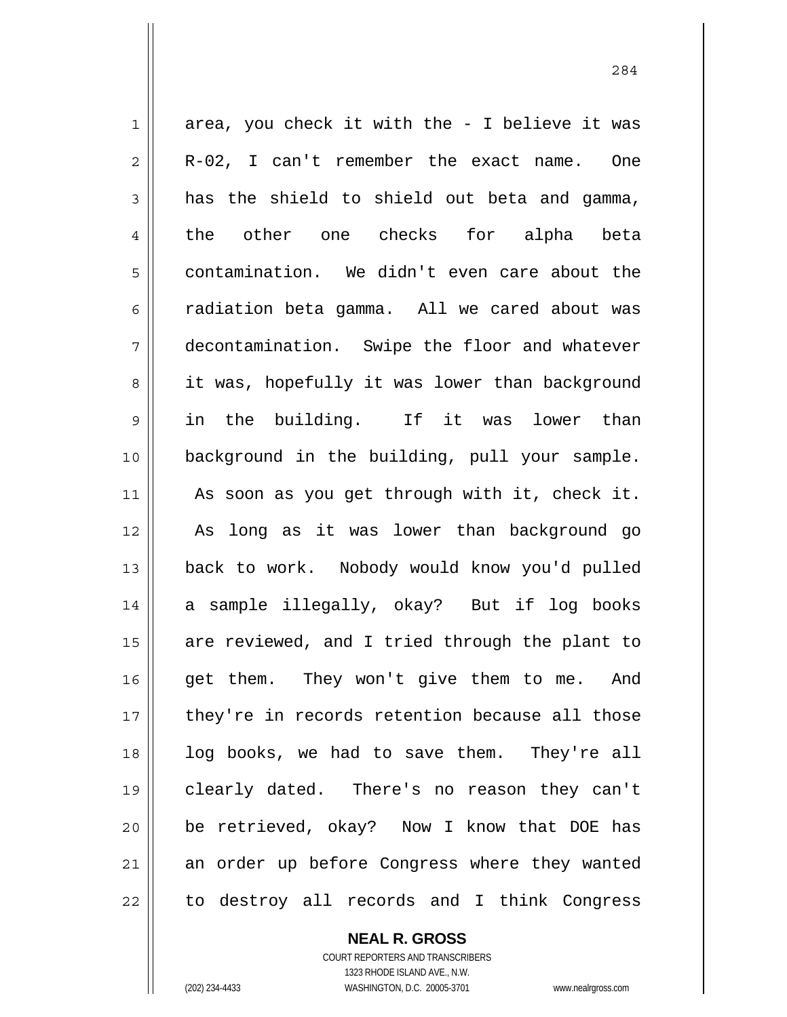1 2 3 4 5 6 7 8 9 10 11 12 13 14 15 16 17 18 19 20 21 22 area, you check it with the - I believe it was R-02, I can't remember the exact name. One has the shield to shield out beta and gamma, the other one checks for alpha beta contamination. We didn't even care about the radiation beta gamma. All we cared about was decontamination. Swipe the floor and whatever it was, hopefully it was lower than background in the building. If it was lower than background in the building, pull your sample. As soon as you get through with it, check it. As long as it was lower than background go back to work. Nobody would know you'd pulled a sample illegally, okay? But if log books are reviewed, and I tried through the plant to get them. They won't give them to me. And they're in records retention because all those log books, we had to save them. They're all clearly dated. There's no reason they can't be retrieved, okay? Now I know that DOE has an order up before Congress where they wanted to destroy all records and I think Congress

> COURT REPORTERS AND TRANSCRIBERS 1323 RHODE ISLAND AVE., N.W. (202) 234-4433 WASHINGTON, D.C. 20005-3701 www.nealrgross.com

**NEAL R. GROSS**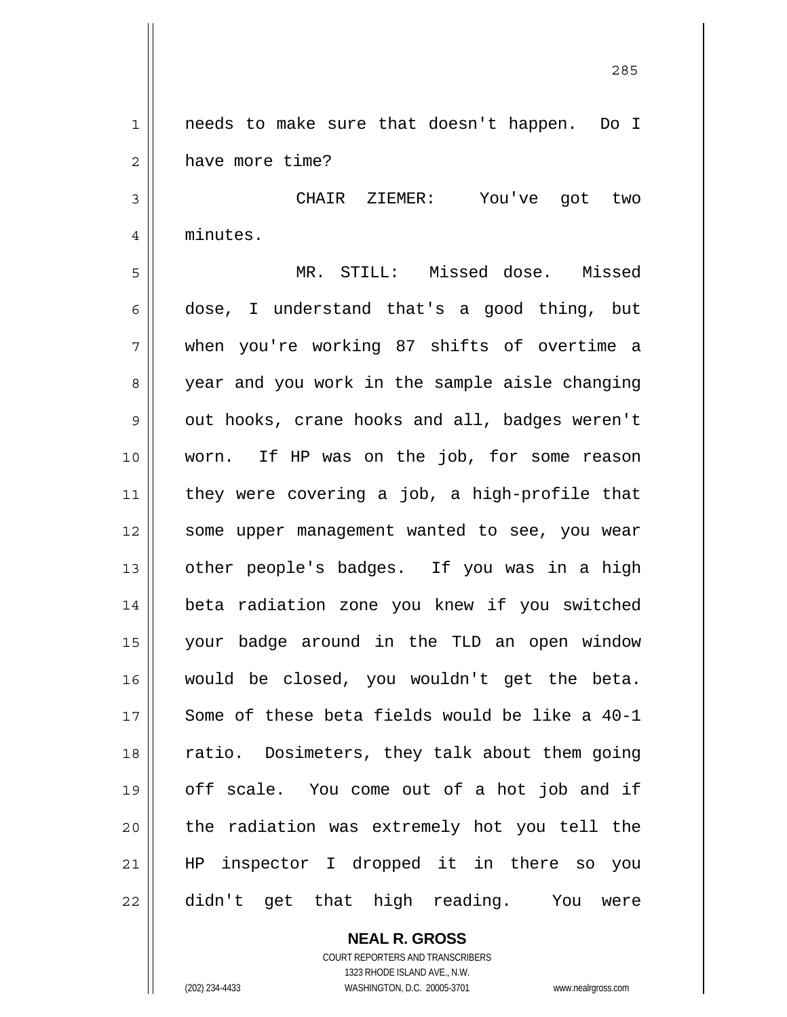1 2 needs to make sure that doesn't happen. Do I have more time?

<u>285</u>

3 4 CHAIR ZIEMER: You've got two minutes.

5 6 7 8 9 10 11 12 13 14 15 16 17 18 19 20 21 22 MR. STILL: Missed dose. Missed dose, I understand that's a good thing, but when you're working 87 shifts of overtime a year and you work in the sample aisle changing out hooks, crane hooks and all, badges weren't worn. If HP was on the job, for some reason they were covering a job, a high-profile that some upper management wanted to see, you wear other people's badges. If you was in a high beta radiation zone you knew if you switched your badge around in the TLD an open window would be closed, you wouldn't get the beta. Some of these beta fields would be like a 40-1 ratio. Dosimeters, they talk about them going off scale. You come out of a hot job and if the radiation was extremely hot you tell the HP inspector I dropped it in there so you didn't get that high reading. You were

> **NEAL R. GROSS** COURT REPORTERS AND TRANSCRIBERS

1323 RHODE ISLAND AVE., N.W. (202) 234-4433 WASHINGTON, D.C. 20005-3701 www.nealrgross.com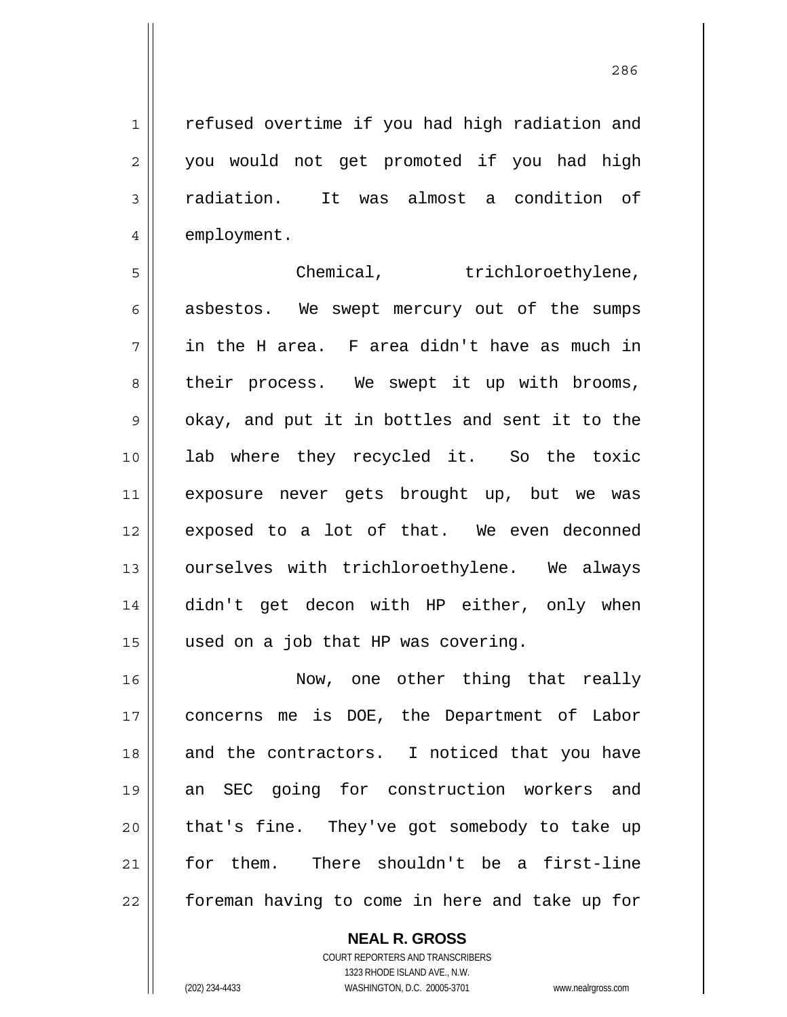<u>286</u>

1 2 3 4 refused overtime if you had high radiation and you would not get promoted if you had high radiation. It was almost a condition of employment.

5 6 7 8 9 10 11 12 13 14 15 Chemical, trichloroethylene, asbestos. We swept mercury out of the sumps in the H area. F area didn't have as much in their process. We swept it up with brooms, okay, and put it in bottles and sent it to the lab where they recycled it. So the toxic exposure never gets brought up, but we was exposed to a lot of that. We even deconned ourselves with trichloroethylene. We always didn't get decon with HP either, only when used on a job that HP was covering.

16 17 18 19 20 21 22 Now, one other thing that really concerns me is DOE, the Department of Labor and the contractors. I noticed that you have an SEC going for construction workers and that's fine. They've got somebody to take up for them. There shouldn't be a first-line foreman having to come in here and take up for

> **NEAL R. GROSS** COURT REPORTERS AND TRANSCRIBERS

> > 1323 RHODE ISLAND AVE., N.W.

(202) 234-4433 WASHINGTON, D.C. 20005-3701 www.nealrgross.com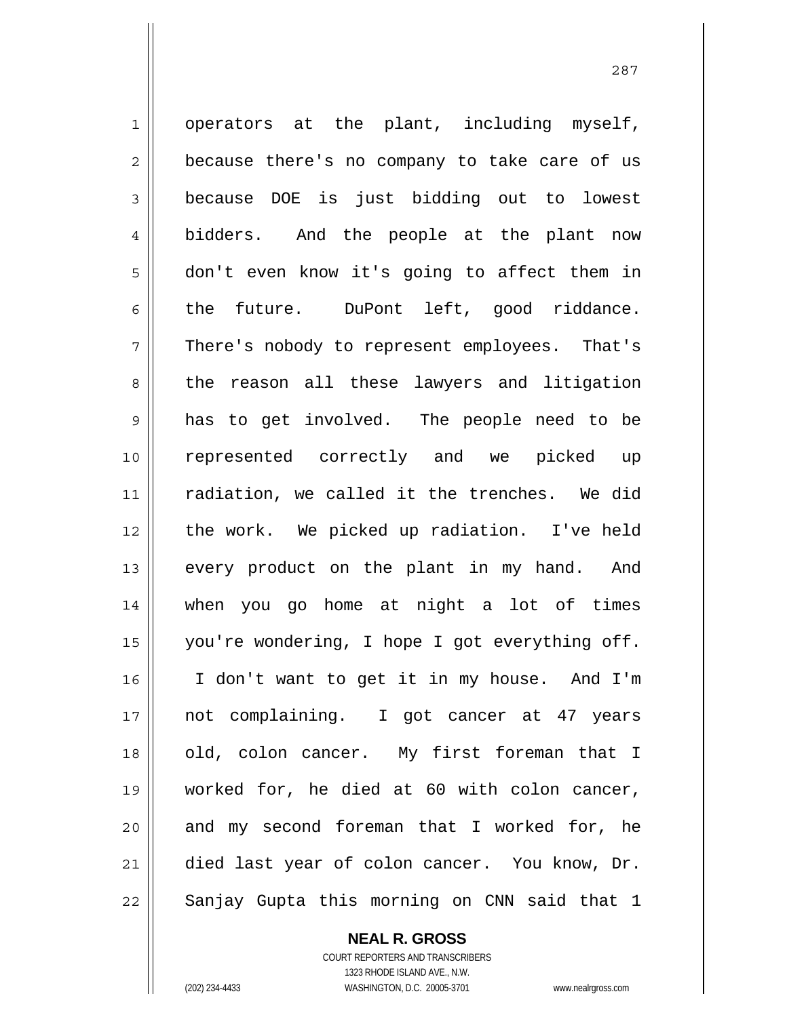1 2 3 4 5 6 7 8 9 10 11 12 13 14 15 16 17 18 19 20 21 22 operators at the plant, including myself, because there's no company to take care of us because DOE is just bidding out to lowest bidders. And the people at the plant now don't even know it's going to affect them in the future. DuPont left, good riddance. There's nobody to represent employees. That's the reason all these lawyers and litigation has to get involved. The people need to be represented correctly and we picked up radiation, we called it the trenches. We did the work. We picked up radiation. I've held every product on the plant in my hand. And when you go home at night a lot of times you're wondering, I hope I got everything off. I don't want to get it in my house. And I'm not complaining. I got cancer at 47 years old, colon cancer. My first foreman that I worked for, he died at 60 with colon cancer, and my second foreman that I worked for, he died last year of colon cancer. You know, Dr. Sanjay Gupta this morning on CNN said that 1

**NEAL R. GROSS**

COURT REPORTERS AND TRANSCRIBERS 1323 RHODE ISLAND AVE., N.W. (202) 234-4433 WASHINGTON, D.C. 20005-3701 www.nealrgross.com

<u>287</u>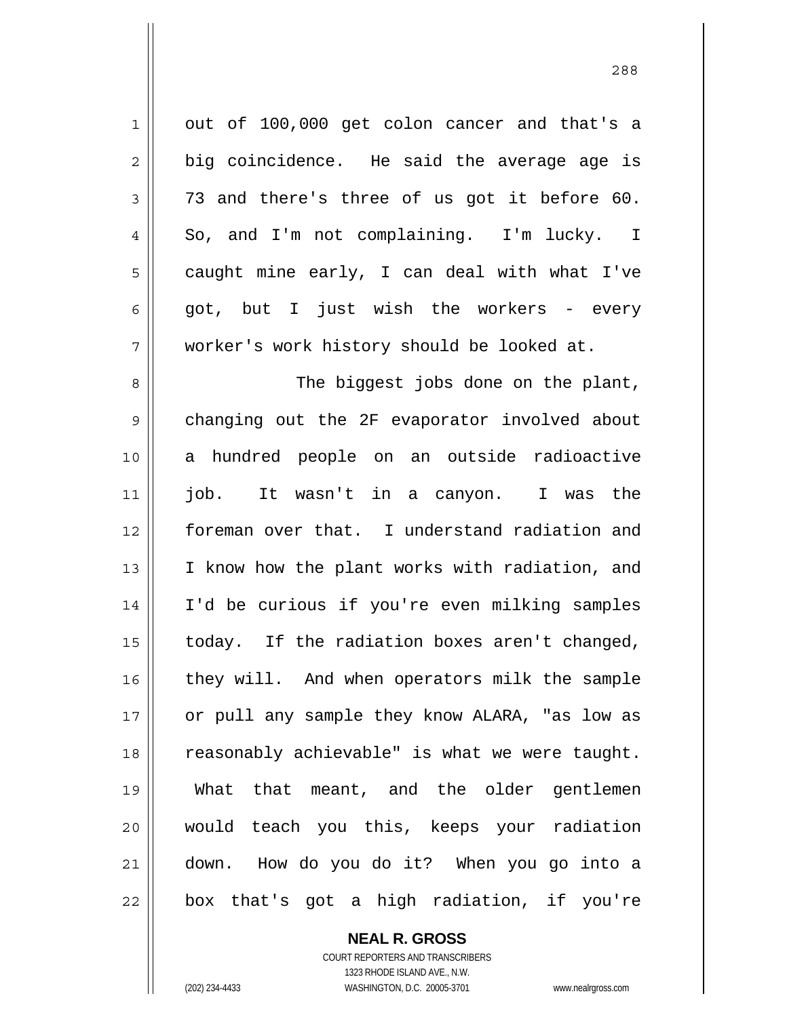| $\mathbf 1$    | out of 100,000 get colon cancer and that's a   |
|----------------|------------------------------------------------|
| $\overline{2}$ | big coincidence. He said the average age is    |
| $\mathfrak{Z}$ | 73 and there's three of us got it before 60.   |
| $\overline{4}$ | So, and I'm not complaining. I'm lucky. I      |
| 5              | caught mine early, I can deal with what I've   |
| 6              | got, but I just wish the workers - every       |
| 7              | worker's work history should be looked at.     |
| 8              | The biggest jobs done on the plant,            |
| 9              | changing out the 2F evaporator involved about  |
| 10             | a hundred people on an outside radioactive     |
| 11             | job.<br>It wasn't in a canyon. I was the       |
| 12             | foreman over that. I understand radiation and  |
| 13             | I know how the plant works with radiation, and |
| 14             | I'd be curious if you're even milking samples  |
| 15             | today. If the radiation boxes aren't changed,  |
| 16             | they will. And when operators milk the sample  |
| 17             | or pull any sample they know ALARA, "as low as |
| 18             | reasonably achievable" is what we were taught. |
| 19             | What that meant, and the older gentlemen       |
| 20             | would teach you this, keeps your radiation     |
| 21             | down. How do you do it? When you go into a     |
| 22             | box that's got a high radiation, if you're     |

**NEAL R. GROSS** COURT REPORTERS AND TRANSCRIBERS

1323 RHODE ISLAND AVE., N.W.

 $\prod$ 

(202) 234-4433 WASHINGTON, D.C. 20005-3701 www.nealrgross.com

<u>288</u>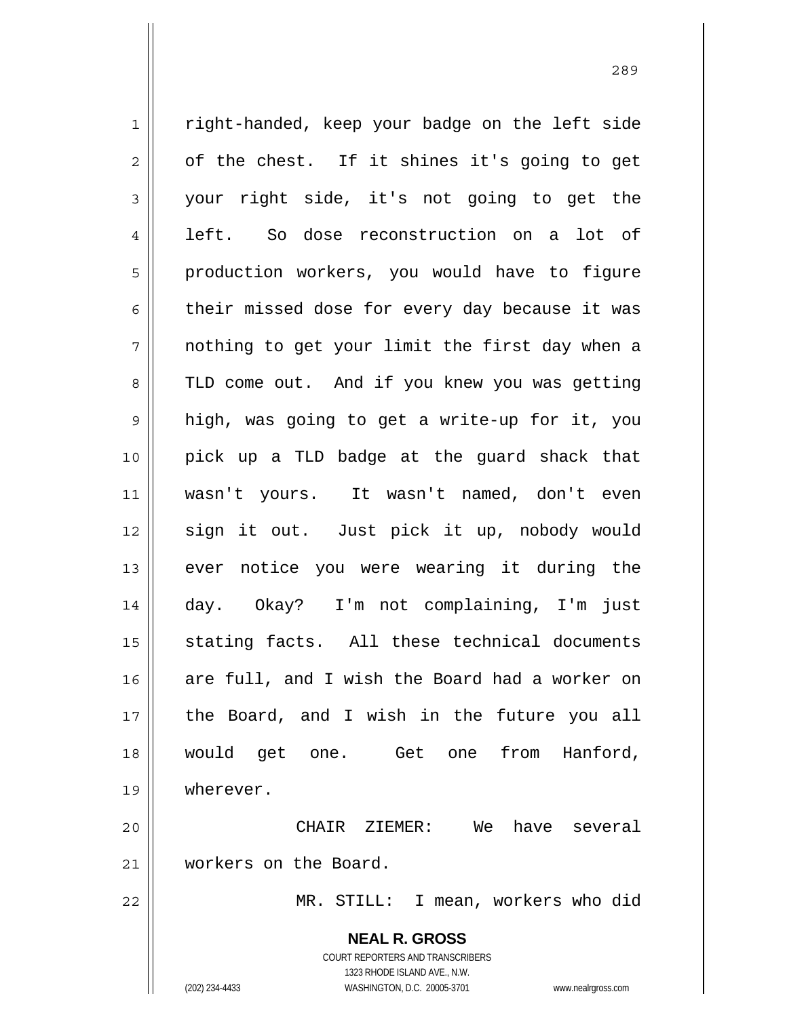**NEAL R. GROSS** 1 2 3 4 5 6 7 8 9 10 11 12 13 14 15 16 17 18 19 20 21 22 right-handed, keep your badge on the left side of the chest. If it shines it's going to get your right side, it's not going to get the left. So dose reconstruction on a lot of production workers, you would have to figure their missed dose for every day because it was nothing to get your limit the first day when a TLD come out. And if you knew you was getting high, was going to get a write-up for it, you pick up a TLD badge at the guard shack that wasn't yours. It wasn't named, don't even sign it out. Just pick it up, nobody would ever notice you were wearing it during the day. Okay? I'm not complaining, I'm just stating facts. All these technical documents are full, and I wish the Board had a worker on the Board, and I wish in the future you all would get one. Get one from Hanford, wherever. CHAIR ZIEMER: We have several workers on the Board. MR. STILL: I mean, workers who did

> COURT REPORTERS AND TRANSCRIBERS 1323 RHODE ISLAND AVE., N.W.

(202) 234-4433 WASHINGTON, D.C. 20005-3701 www.nealrgross.com

<u>289 and 289 and 289 and 289 and 289 and 289 and 289 and 289 and 289 and 289 and 289 and 289 and 289 and 289 and 289 and 289 and 289 and 289 and 289 and 289 and 289 and 289 and 289 and 289 and 289 and 289 and 289 and 289 a</u>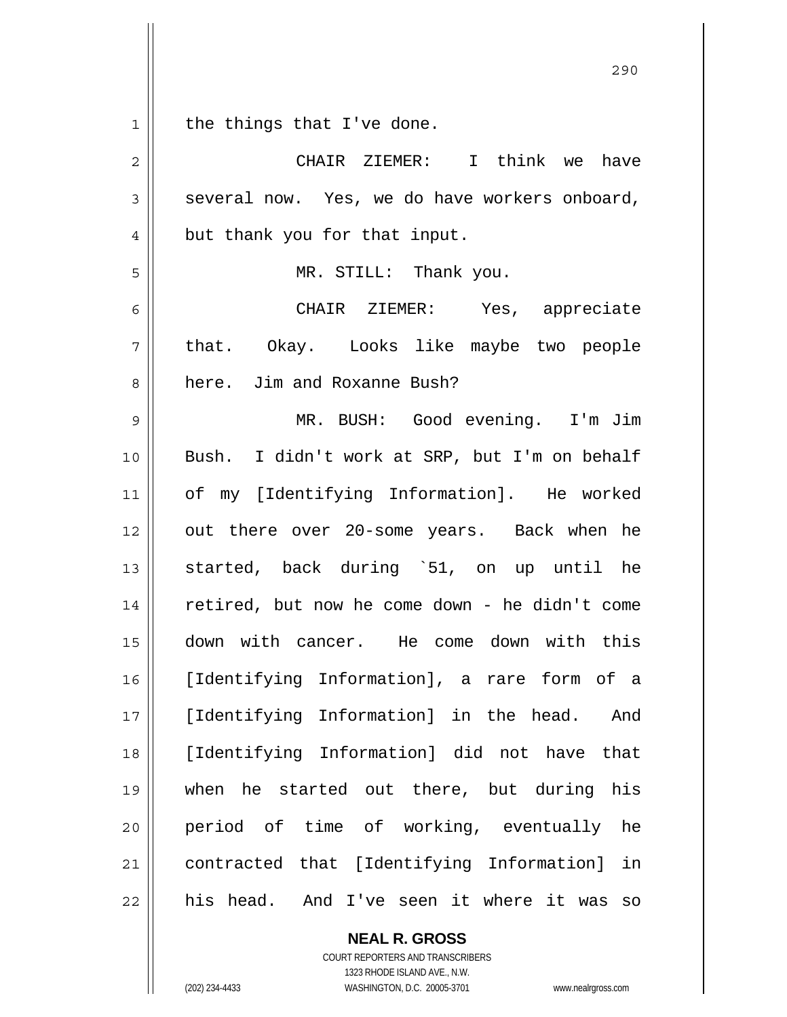1 the things that I've done.

| $\overline{c}$ | CHAIR ZIEMER: I think we have                  |
|----------------|------------------------------------------------|
| $\mathfrak{Z}$ | several now. Yes, we do have workers onboard,  |
| $\overline{4}$ | but thank you for that input.                  |
| 5              | MR. STILL: Thank you.                          |
| 6              | CHAIR ZIEMER: Yes, appreciate                  |
| 7              | that. Okay. Looks like maybe two people        |
| 8              | here. Jim and Roxanne Bush?                    |
| $\mathsf 9$    | MR. BUSH: Good evening. I'm Jim                |
| 10             | Bush. I didn't work at SRP, but I'm on behalf  |
| 11             | of my [Identifying Information]. He worked     |
| 12             | out there over 20-some years. Back when he     |
| 13             | started, back during `51, on up until he       |
| 14             | retired, but now he come down - he didn't come |
| 15             | down with cancer. He come down with this       |
| 16             | [Identifying Information], a rare form of a    |
| 17             | [Identifying Information] in the head. And     |
| 18             | [Identifying Information] did not have that    |
| 19             | when he started out there, but during his      |
| 20             | period of time of working, eventually<br>he    |
| 21             | contracted that [Identifying Information] in   |
| 22             | his head. And I've seen it where it was<br>SO  |

**NEAL R. GROSS**

COURT REPORTERS AND TRANSCRIBERS 1323 RHODE ISLAND AVE., N.W. (202) 234-4433 WASHINGTON, D.C. 20005-3701 www.nealrgross.com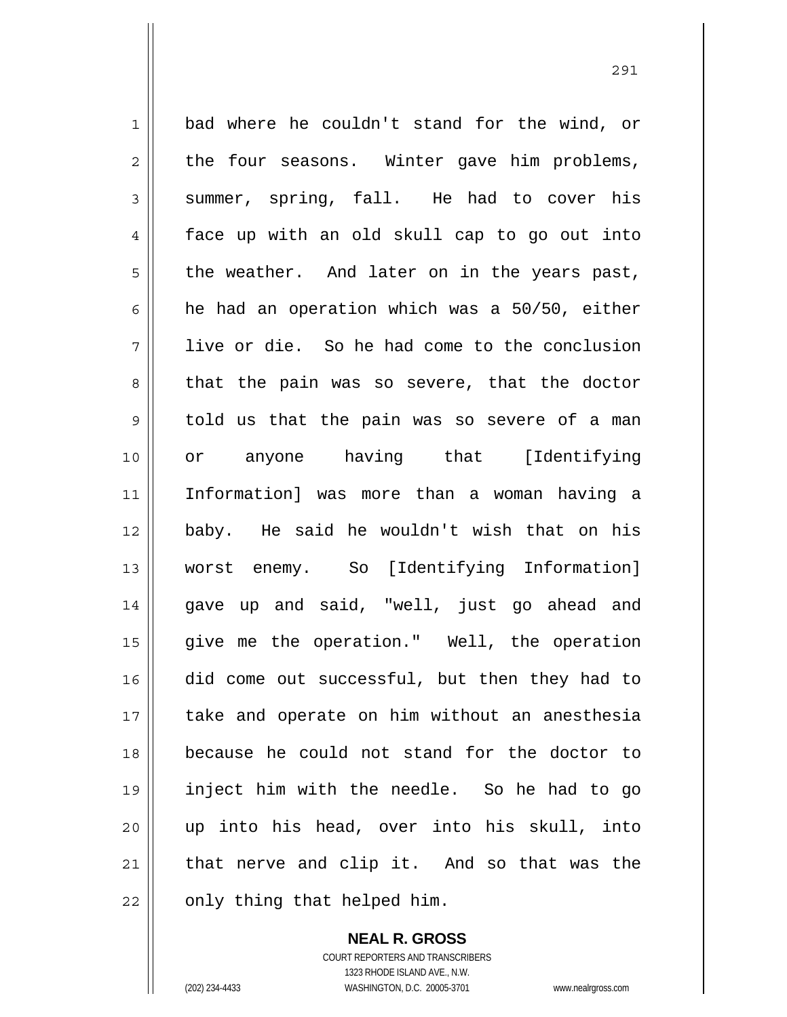1 2 3 4 5 6 7 8 9 10 11 12 13 14 15 16 17 18 19 20 21 22 bad where he couldn't stand for the wind, or the four seasons. Winter gave him problems, summer, spring, fall. He had to cover his face up with an old skull cap to go out into the weather. And later on in the years past, he had an operation which was a 50/50, either live or die. So he had come to the conclusion that the pain was so severe, that the doctor told us that the pain was so severe of a man or anyone having that [Identifying Information] was more than a woman having a baby. He said he wouldn't wish that on his worst enemy. So [Identifying Information] gave up and said, "well, just go ahead and give me the operation." Well, the operation did come out successful, but then they had to take and operate on him without an anesthesia because he could not stand for the doctor to inject him with the needle. So he had to go up into his head, over into his skull, into that nerve and clip it. And so that was the only thing that helped him.

> **NEAL R. GROSS** COURT REPORTERS AND TRANSCRIBERS 1323 RHODE ISLAND AVE., N.W. (202) 234-4433 WASHINGTON, D.C. 20005-3701 www.nealrgross.com

<u>291</u>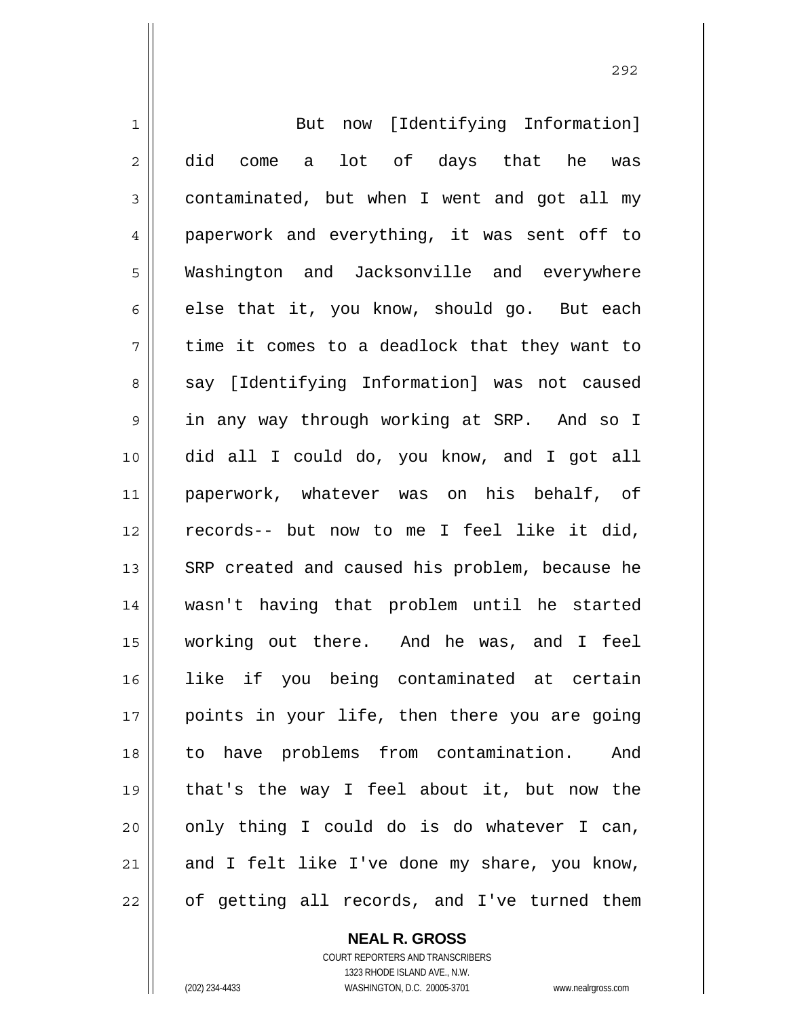| $\mathbf 1$    | But now [Identifying Information]              |
|----------------|------------------------------------------------|
| $\overline{2}$ | did come a lot of days that he was             |
| $\mathfrak{Z}$ | contaminated, but when I went and got all my   |
| $\overline{4}$ | paperwork and everything, it was sent off to   |
| 5              | Washington and Jacksonville and everywhere     |
| 6              | else that it, you know, should go. But each    |
| 7              | time it comes to a deadlock that they want to  |
| 8              | say [Identifying Information] was not caused   |
| 9              | in any way through working at SRP. And so I    |
| 10             | did all I could do, you know, and I got all    |
| 11             | paperwork, whatever was on his behalf, of      |
| 12             | records-- but now to me I feel like it did,    |
| 13             | SRP created and caused his problem, because he |
| 14             | wasn't having that problem until he started    |
| 15             | working out there. And he was, and I feel      |
| 16             | like if you being contaminated at certain      |
| 17             | points in your life, then there you are going  |
| 18             | to have problems from contamination.<br>And    |
| 19             | that's the way I feel about it, but now the    |
| 20             | only thing I could do is do whatever I can,    |
| 21             | and I felt like I've done my share, you know,  |
| 22             | of getting all records, and I've turned them   |

**NEAL R. GROSS** COURT REPORTERS AND TRANSCRIBERS

1323 RHODE ISLAND AVE., N.W.

(202) 234-4433 WASHINGTON, D.C. 20005-3701 www.nealrgross.com

 $\mathsf{II}$ 

<u>292</u>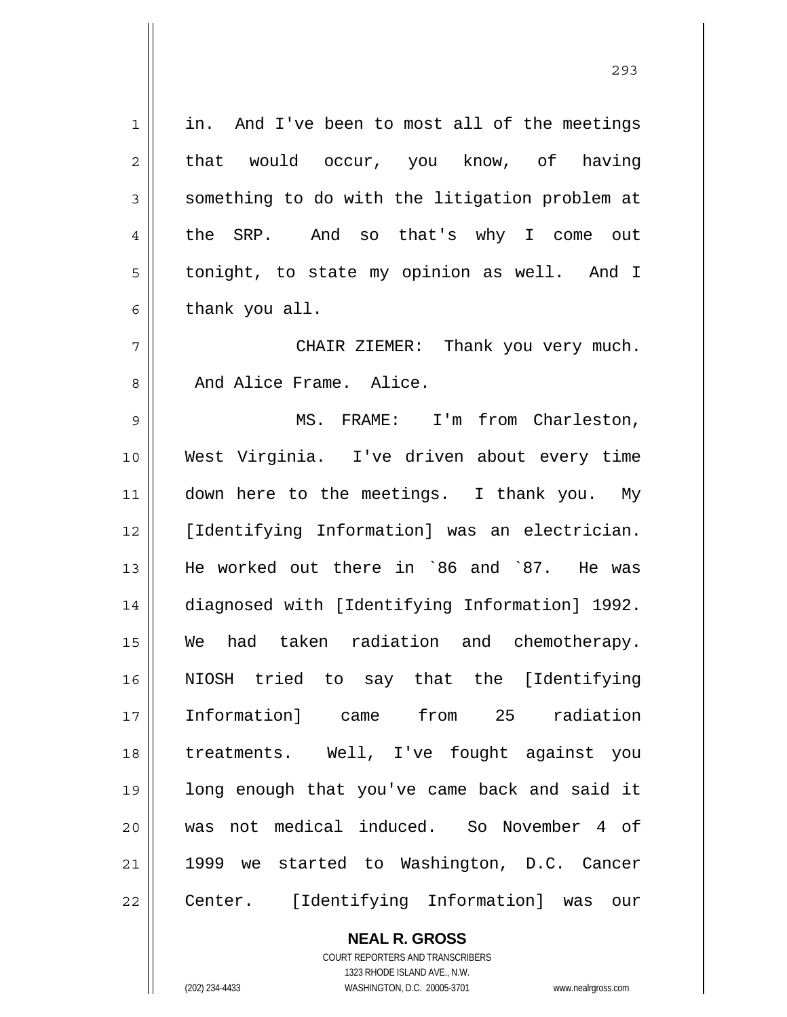in. And I've been to most all of the meetings that would occur, you know, of having something to do with the litigation problem at the SRP. And so that's why I come out tonight, to state my opinion as well. And I thank you all.

 CHAIR ZIEMER: Thank you very much. And Alice Frame. Alice.

9 10 11 12 13 14 15 16 17 18 19 20 21 22 MS. FRAME: I'm from Charleston, West Virginia. I've driven about every time down here to the meetings. I thank you. My [Identifying Information] was an electrician. He worked out there in `86 and `87. He was diagnosed with [Identifying Information] 1992. We had taken radiation and chemotherapy. NIOSH tried to say that the [Identifying Information] came from 25 radiation treatments. Well, I've fought against you long enough that you've came back and said it was not medical induced. So November 4 of 1999 we started to Washington, D.C. Cancer Center. [Identifying Information] was our

> **NEAL R. GROSS** COURT REPORTERS AND TRANSCRIBERS

> > 1323 RHODE ISLAND AVE., N.W.

(202) 234-4433 WASHINGTON, D.C. 20005-3701 www.nealrgross.com

1

2

3

4

5

6

7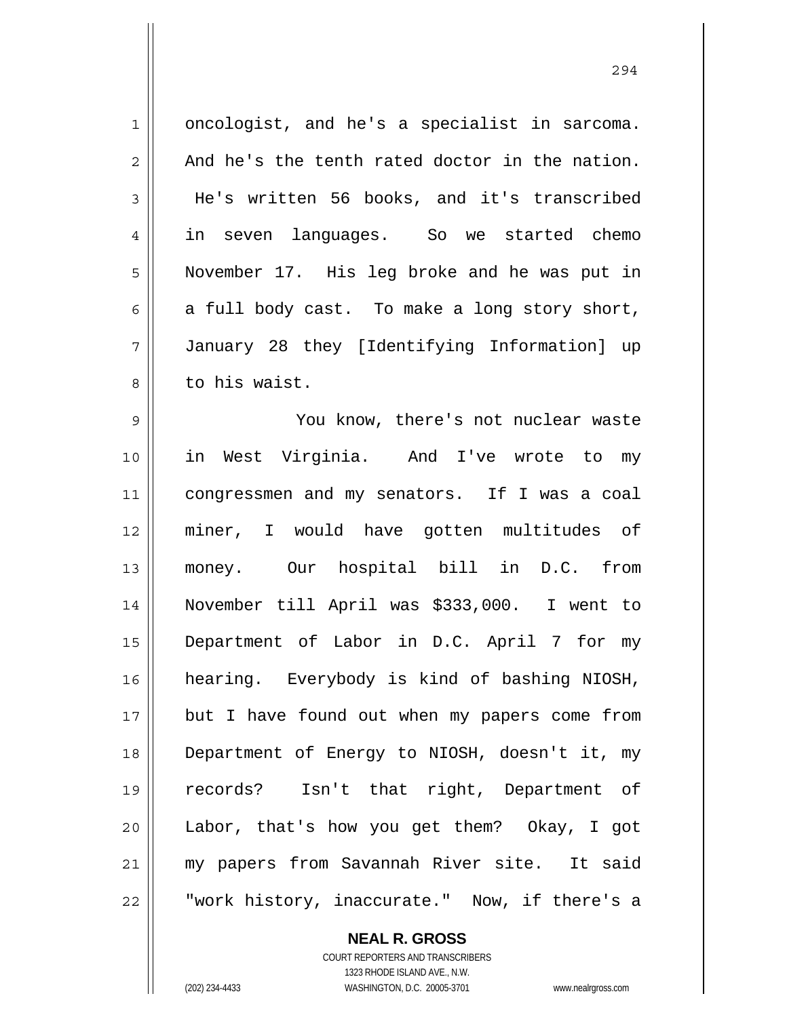1 2 3 4 5 6 7 8 9 10 11 12 13 14 15 16 17 18 oncologist, and he's a specialist in sarcoma. And he's the tenth rated doctor in the nation. He's written 56 books, and it's transcribed in seven languages. So we started chemo November 17. His leg broke and he was put in a full body cast. To make a long story short, January 28 they [Identifying Information] up to his waist. You know, there's not nuclear waste in West Virginia. And I've wrote to my congressmen and my senators. If I was a coal miner, I would have gotten multitudes of money. Our hospital bill in D.C. from November till April was \$333,000. I went to Department of Labor in D.C. April 7 for my hearing. Everybody is kind of bashing NIOSH, but I have found out when my papers come from Department of Energy to NIOSH, doesn't it, my

294

**NEAL R. GROSS** COURT REPORTERS AND TRANSCRIBERS Labor, that's how you get them? Okay, I got my papers from Savannah River site. It said "work history, inaccurate." Now, if there's a

19

20

21

22

1323 RHODE ISLAND AVE., N.W. (202) 234-4433 WASHINGTON, D.C. 20005-3701 www.nealrgross.com

records? Isn't that right, Department of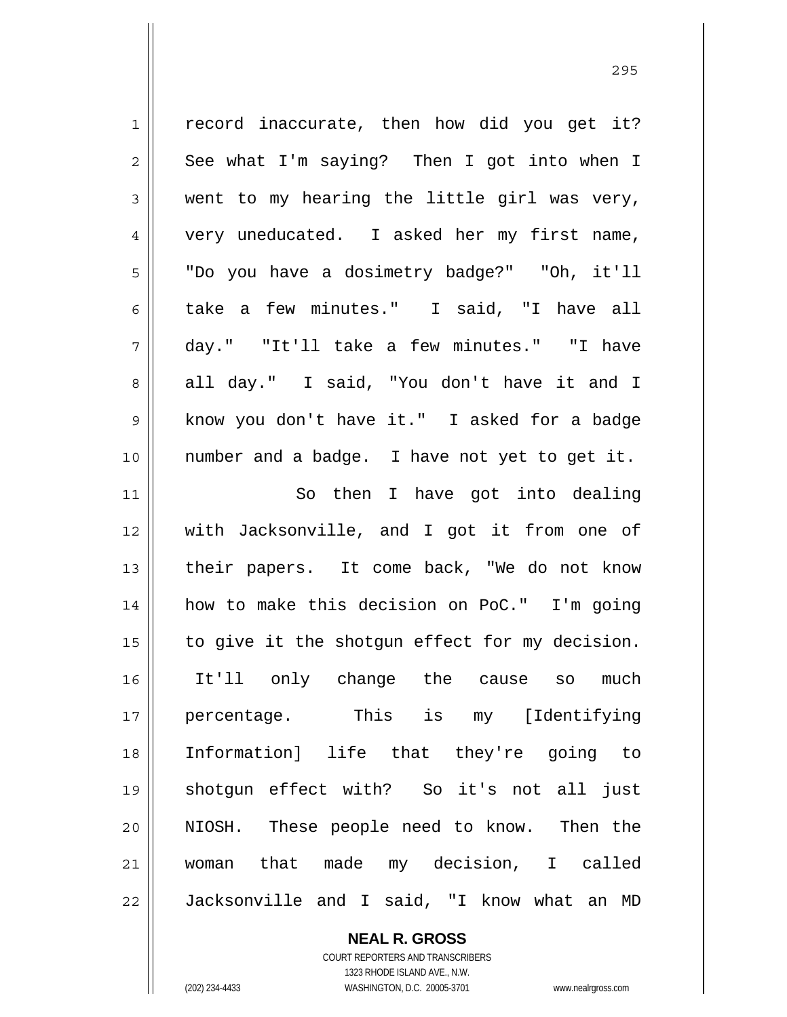| $\mathbf 1$    | record inaccurate, then how did you get it?    |
|----------------|------------------------------------------------|
| $\overline{a}$ | See what I'm saying? Then I got into when I    |
| 3              | went to my hearing the little girl was very,   |
| $\overline{4}$ | very uneducated. I asked her my first name,    |
| 5              | "Do you have a dosimetry badge?" "Oh, it'll    |
| 6              | take a few minutes." I said, "I have all       |
| 7              | day." "It'll take a few minutes." "I have      |
| 8              | all day." I said, "You don't have it and I     |
| $\mathsf 9$    | know you don't have it." I asked for a badge   |
| 10             | number and a badge. I have not yet to get it.  |
| 11             | So then I have got into dealing                |
| 12             | with Jacksonville, and I got it from one of    |
| 13             | their papers. It come back, "We do not know    |
| 14             | how to make this decision on PoC." I'm going   |
| 15             | to give it the shotgun effect for my decision. |
| 16             | It'll only change the cause so much            |
| 17             | percentage. This is my [Identifying            |
| 18             | Information] life that they're going to        |
| 19             | shotgun effect with? So it's not all just      |
| 20             | NIOSH. These people need to know. Then the     |
| 21             | woman that made my decision, I called          |
| 22             | Jacksonville and I said, "I know what an MD    |

**NEAL R. GROSS** COURT REPORTERS AND TRANSCRIBERS

1323 RHODE ISLAND AVE., N.W. (202) 234-4433 WASHINGTON, D.C. 20005-3701 www.nealrgross.com

<u>295</u>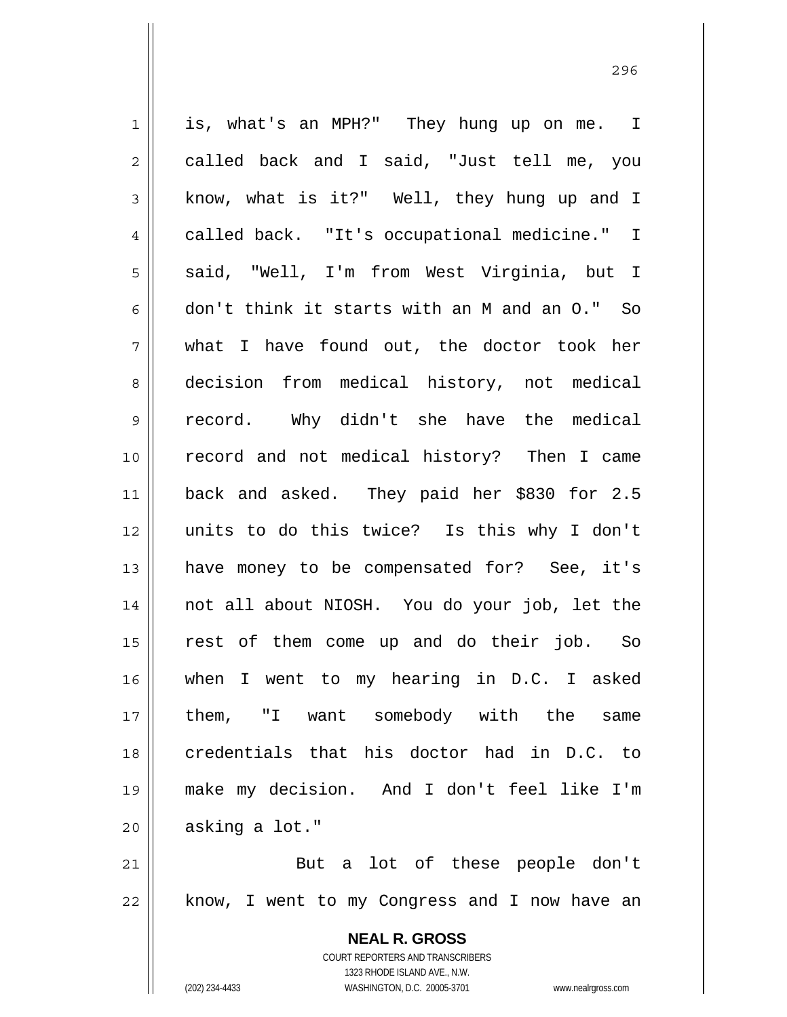1 2 3 4 5 6 7 8 9 10 11 12 13 14 15 16 17 18 19 20 21 22 is, what's an MPH?" They hung up on me. I called back and I said, "Just tell me, you know, what is it?" Well, they hung up and I called back. "It's occupational medicine." I said, "Well, I'm from West Virginia, but I don't think it starts with an M and an O." So what I have found out, the doctor took her decision from medical history, not medical record. Why didn't she have the medical record and not medical history? Then I came back and asked. They paid her \$830 for 2.5 units to do this twice? Is this why I don't have money to be compensated for? See, it's not all about NIOSH. You do your job, let the rest of them come up and do their job. So when I went to my hearing in D.C. I asked them, "I want somebody with the same credentials that his doctor had in D.C. to make my decision. And I don't feel like I'm asking a lot." But a lot of these people don't know, I went to my Congress and I now have an

> **NEAL R. GROSS** COURT REPORTERS AND TRANSCRIBERS 1323 RHODE ISLAND AVE., N.W. (202) 234-4433 WASHINGTON, D.C. 20005-3701 www.nealrgross.com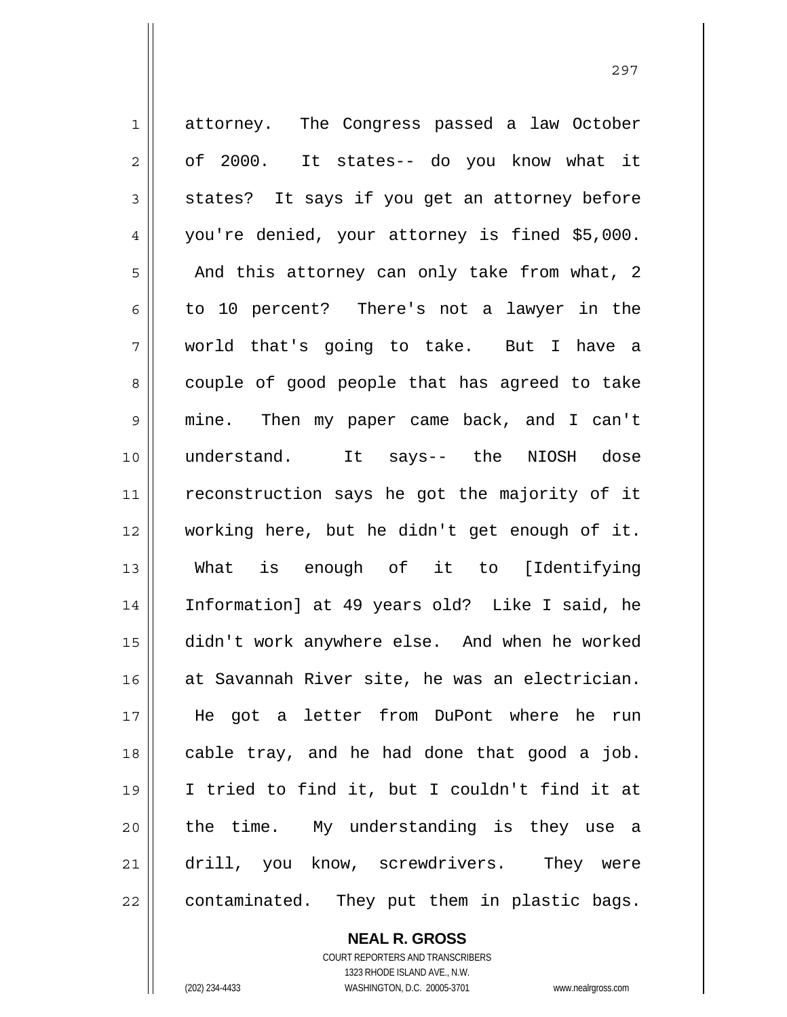1 2 3 4 5 6 7 8 9 10 11 12 13 14 15 16 17 18 19 20 21 22 attorney. The Congress passed a law October of 2000. It states-- do you know what it states? It says if you get an attorney before you're denied, your attorney is fined \$5,000. And this attorney can only take from what, 2 to 10 percent? There's not a lawyer in the world that's going to take. But I have a couple of good people that has agreed to take mine. Then my paper came back, and I can't understand. It says-- the NIOSH dose reconstruction says he got the majority of it working here, but he didn't get enough of it. What is enough of it to [Identifying Information] at 49 years old? Like I said, he didn't work anywhere else. And when he worked at Savannah River site, he was an electrician. He got a letter from DuPont where he run cable tray, and he had done that good a job. I tried to find it, but I couldn't find it at the time. My understanding is they use a drill, you know, screwdrivers. They were contaminated. They put them in plastic bags.

**NEAL R. GROSS**

COURT REPORTERS AND TRANSCRIBERS 1323 RHODE ISLAND AVE., N.W. (202) 234-4433 WASHINGTON, D.C. 20005-3701 www.nealrgross.com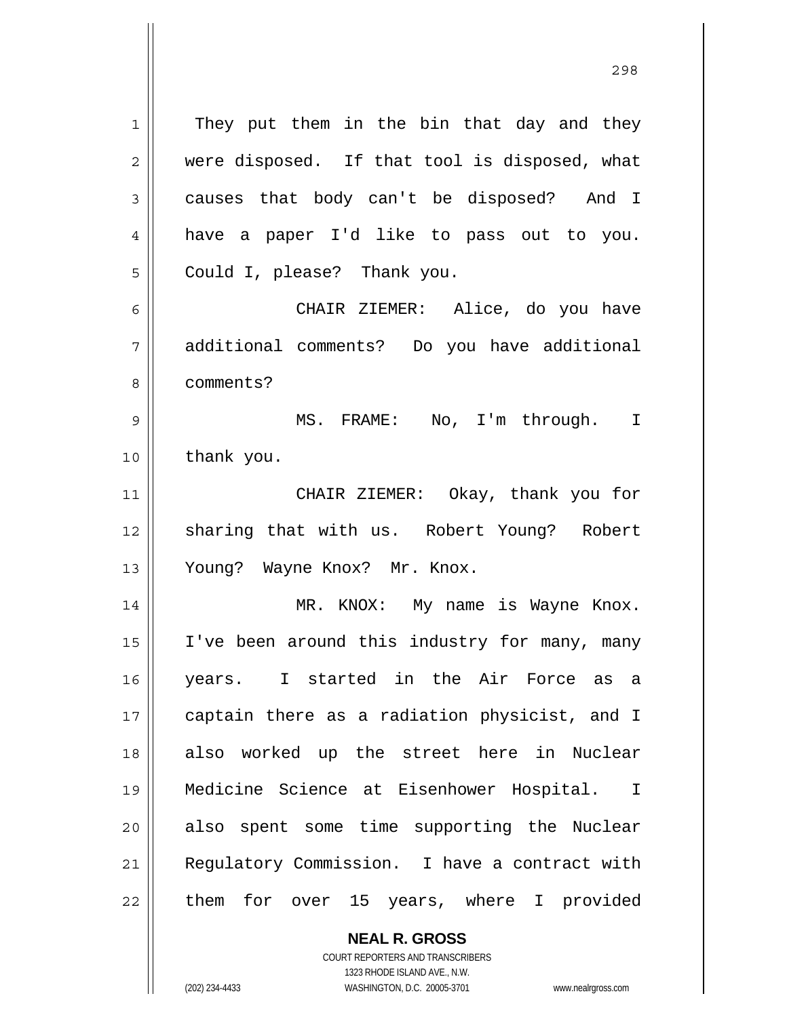They put them in the bin that day and they were disposed. If that tool is disposed, what causes that body can't be disposed? And I have a paper I'd like to pass out to you. Could I, please? Thank you.

6 7 8 CHAIR ZIEMER: Alice, do you have additional comments? Do you have additional comments?

9 10 MS. FRAME: No, I'm through. I thank you.

11 12 13 CHAIR ZIEMER: Okay, thank you for sharing that with us. Robert Young? Robert Young? Wayne Knox? Mr. Knox.

14 15 16 17 18 19 20 21 22 MR. KNOX: My name is Wayne Knox. I've been around this industry for many, many years. I started in the Air Force as a captain there as a radiation physicist, and I also worked up the street here in Nuclear Medicine Science at Eisenhower Hospital. I also spent some time supporting the Nuclear Regulatory Commission. I have a contract with them for over 15 years, where I provided

> **NEAL R. GROSS** COURT REPORTERS AND TRANSCRIBERS

> > 1323 RHODE ISLAND AVE., N.W.

1

2

3

4

5

(202) 234-4433 WASHINGTON, D.C. 20005-3701 www.nealrgross.com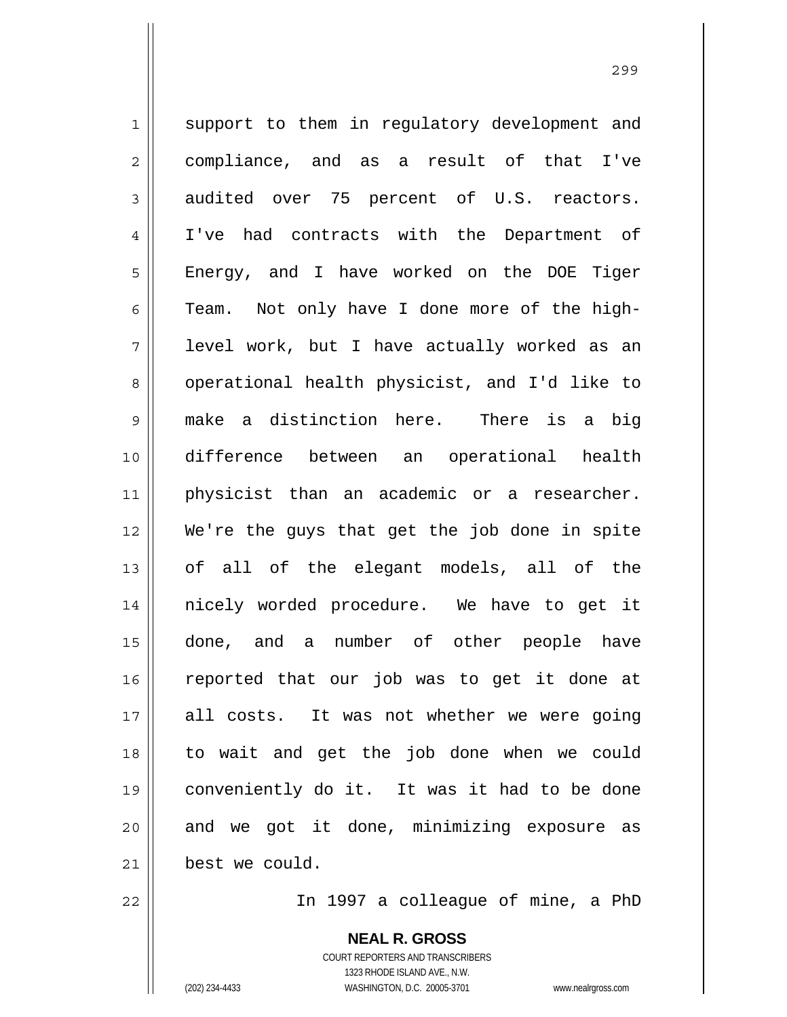1 2 3 4 5 6 7 8 9 10 11 12 13 14 15 16 17 18 19 20 21 support to them in regulatory development and compliance, and as a result of that I've audited over 75 percent of U.S. reactors. I've had contracts with the Department of Energy, and I have worked on the DOE Tiger Team. Not only have I done more of the highlevel work, but I have actually worked as an operational health physicist, and I'd like to make a distinction here. There is a big difference between an operational health physicist than an academic or a researcher. We're the guys that get the job done in spite of all of the elegant models, all of the nicely worded procedure. We have to get it done, and a number of other people have reported that our job was to get it done at all costs. It was not whether we were going to wait and get the job done when we could conveniently do it. It was it had to be done and we got it done, minimizing exposure as best we could.

<u>299 - Andre Sterne Barbara, amerikan pendadaran pendada personal dan personal dan personal dan personal dan p</u>

22

In 1997 a colleague of mine, a PhD

**NEAL R. GROSS** COURT REPORTERS AND TRANSCRIBERS 1323 RHODE ISLAND AVE., N.W. (202) 234-4433 WASHINGTON, D.C. 20005-3701 www.nealrgross.com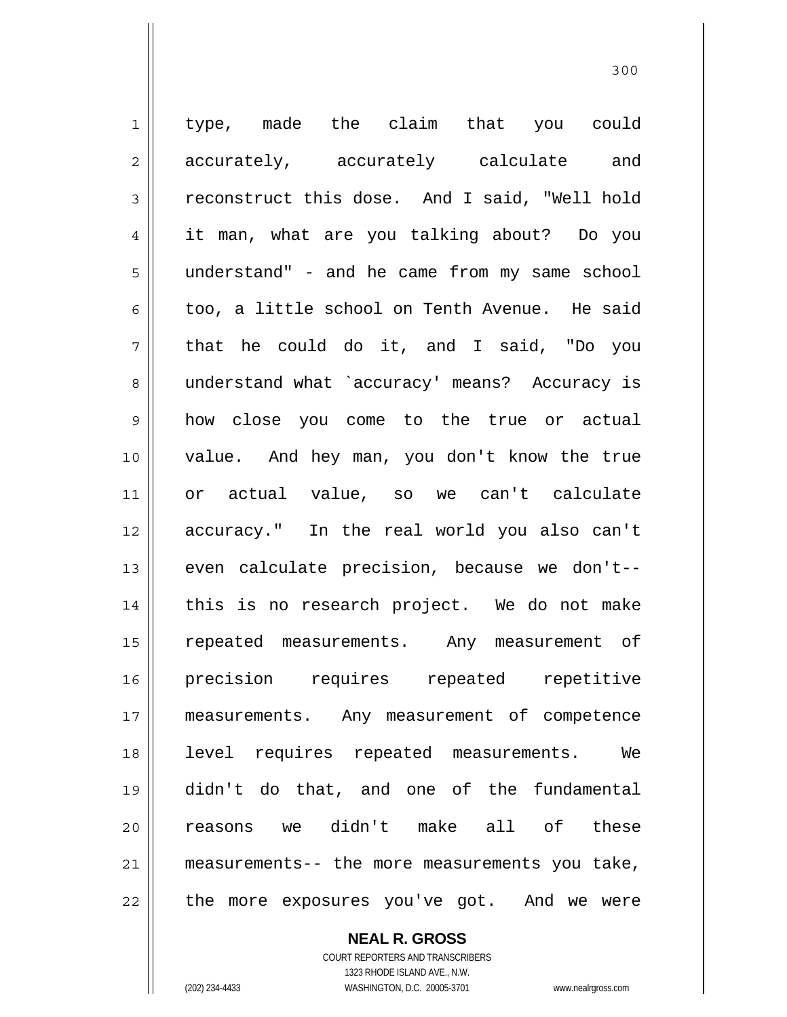1 2 3 4 5 6 7 8 9 10 11 12 13 14 15 16 17 18 19 20 21 22 type, made the claim that you could accurately, accurately calculate and reconstruct this dose. And I said, "Well hold it man, what are you talking about? Do you understand" - and he came from my same school too, a little school on Tenth Avenue. He said that he could do it, and I said, "Do you understand what `accuracy' means? Accuracy is how close you come to the true or actual value. And hey man, you don't know the true or actual value, so we can't calculate accuracy." In the real world you also can't even calculate precision, because we don't- this is no research project. We do not make repeated measurements. Any measurement of precision requires repeated repetitive measurements. Any measurement of competence level requires repeated measurements. We didn't do that, and one of the fundamental reasons we didn't make all of these measurements-- the more measurements you take, the more exposures you've got. And we were

**NEAL R. GROSS**

COURT REPORTERS AND TRANSCRIBERS 1323 RHODE ISLAND AVE., N.W. (202) 234-4433 WASHINGTON, D.C. 20005-3701 www.nealrgross.com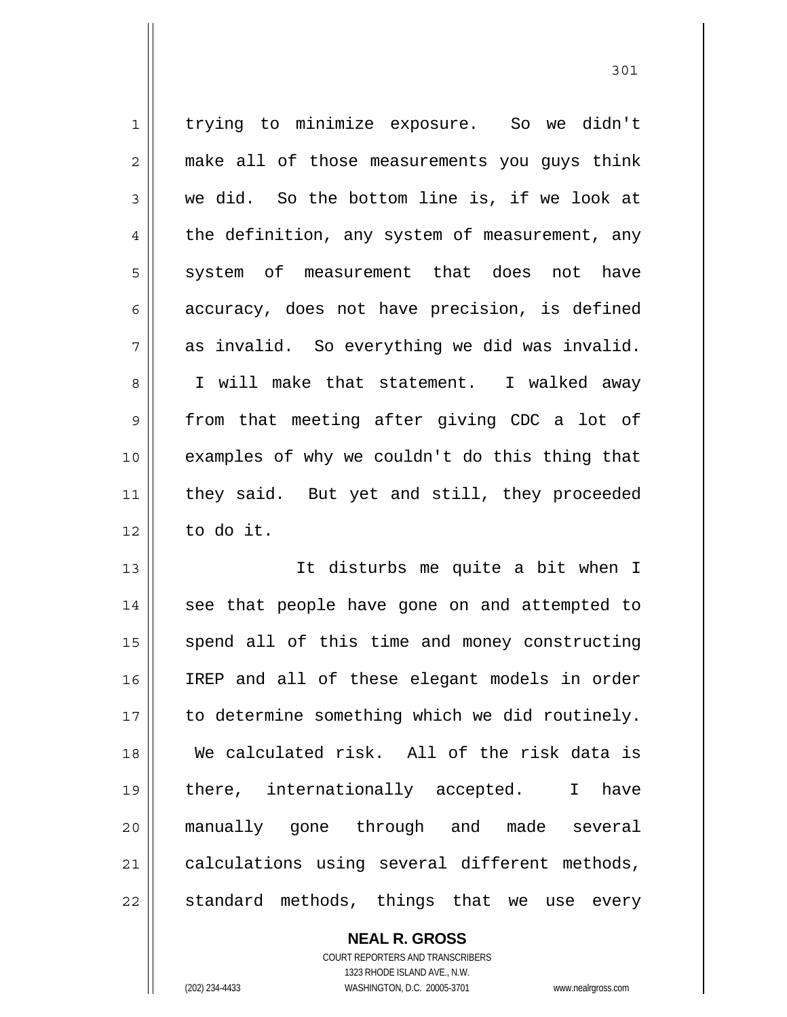| $\mathbf 1$    | trying to minimize exposure. So we didn't      |
|----------------|------------------------------------------------|
| $\overline{2}$ | make all of those measurements you guys think  |
| 3              | we did. So the bottom line is, if we look at   |
| 4              | the definition, any system of measurement, any |
| 5              | system of measurement that does not have       |
| 6              | accuracy, does not have precision, is defined  |
| 7              | as invalid. So everything we did was invalid.  |
| 8              | I will make that statement. I walked away      |
| 9              | from that meeting after giving CDC a lot of    |
| 10             | examples of why we couldn't do this thing that |
| 11             | they said. But yet and still, they proceeded   |
| 12             | to do it.                                      |
| 13             | It disturbs me quite a bit when I              |
| 14             | see that people have gone on and attempted to  |
| 15             | spend all of this time and money constructing  |
| 16             | IREP and all of these elegant models in order  |
| 17             | to determine something which we did routinely. |
| 18             | We calculated risk. All of the risk data is    |
| 19             | there, internationally accepted.<br>I have     |
| 20             | manually gone through and made several         |
| 21             | calculations using several different methods,  |
| 22             | standard methods, things that we use every     |

**NEAL R. GROSS** COURT REPORTERS AND TRANSCRIBERS

1323 RHODE ISLAND AVE., N.W.

(202) 234-4433 WASHINGTON, D.C. 20005-3701 www.nealrgross.com

 $\prod$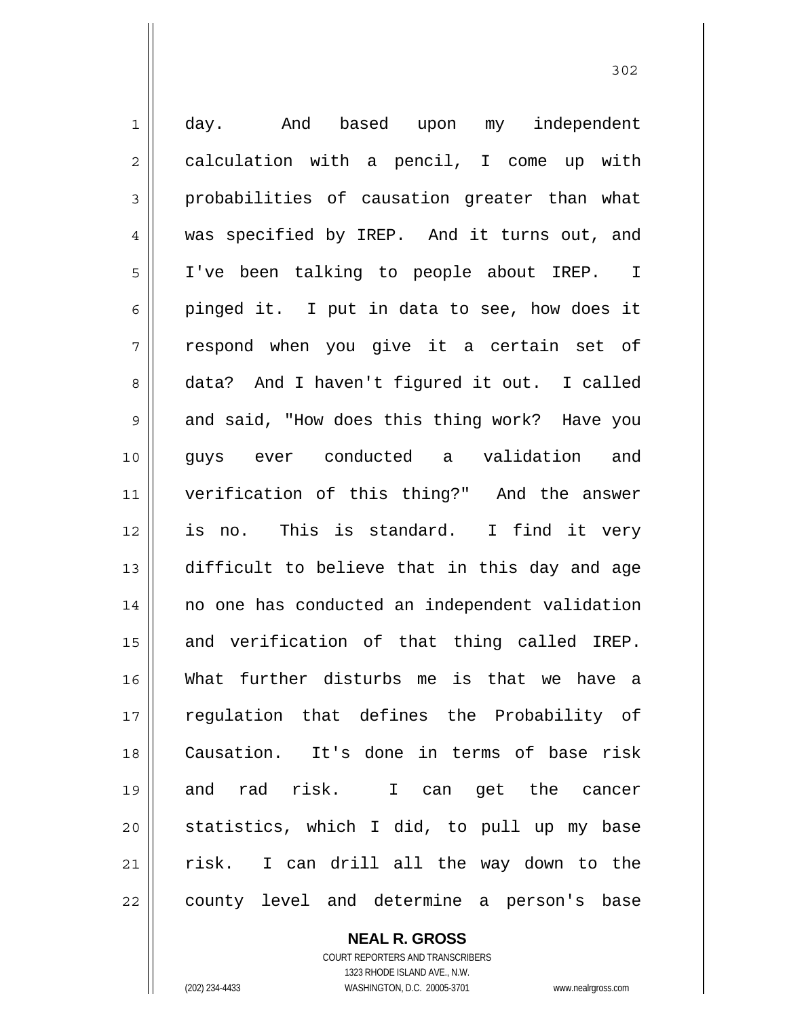1 2 3 4 5 6 7 8 9 10 11 12 13 14 15 16 17 18 19 20 21 22 day. And based upon my independent calculation with a pencil, I come up with probabilities of causation greater than what was specified by IREP. And it turns out, and I've been talking to people about IREP. I pinged it. I put in data to see, how does it respond when you give it a certain set of data? And I haven't figured it out. I called and said, "How does this thing work? Have you guys ever conducted a validation and verification of this thing?" And the answer is no. This is standard. I find it very difficult to believe that in this day and age no one has conducted an independent validation and verification of that thing called IREP. What further disturbs me is that we have a regulation that defines the Probability of Causation. It's done in terms of base risk and rad risk. I can get the cancer statistics, which I did, to pull up my base risk. I can drill all the way down to the county level and determine a person's base

> COURT REPORTERS AND TRANSCRIBERS 1323 RHODE ISLAND AVE., N.W. (202) 234-4433 WASHINGTON, D.C. 20005-3701 www.nealrgross.com

**NEAL R. GROSS**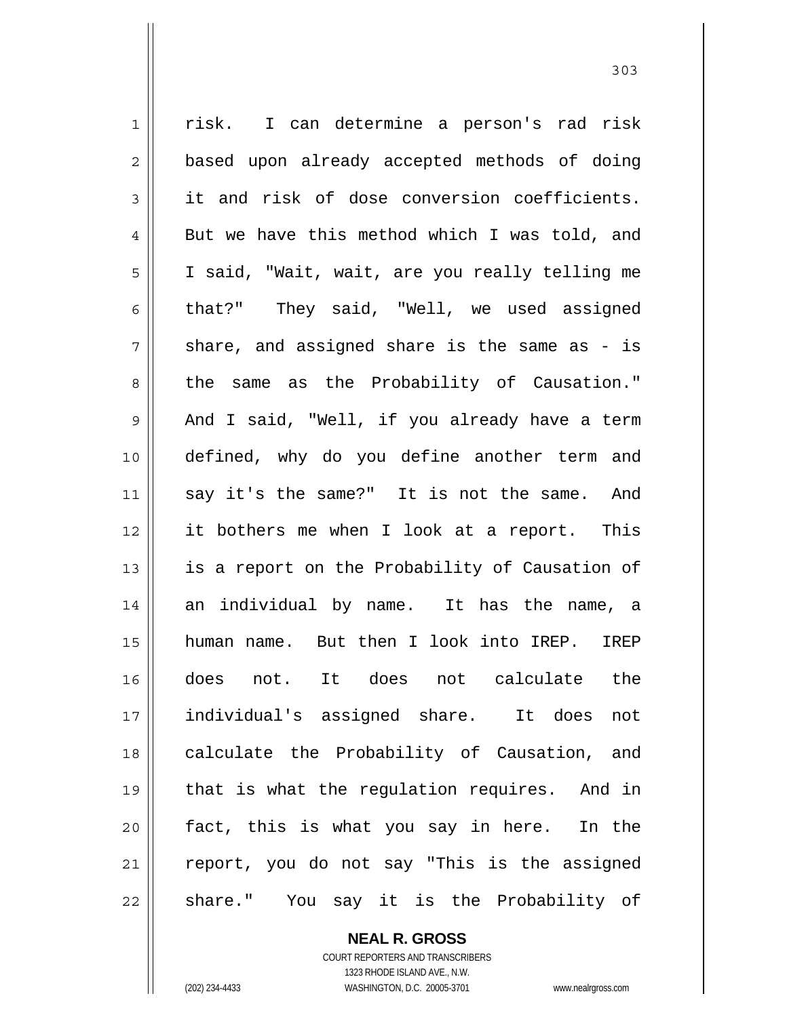1 2 3 4 5 6 7 8 9 10 11 12 13 14 15 16 17 18 19 20 21 22 risk. I can determine a person's rad risk based upon already accepted methods of doing it and risk of dose conversion coefficients. But we have this method which I was told, and I said, "Wait, wait, are you really telling me that?" They said, "Well, we used assigned share, and assigned share is the same as - is the same as the Probability of Causation." And I said, "Well, if you already have a term defined, why do you define another term and say it's the same?" It is not the same. And it bothers me when I look at a report. This is a report on the Probability of Causation of an individual by name. It has the name, a human name. But then I look into IREP. IREP does not. It does not calculate the individual's assigned share. It does not calculate the Probability of Causation, and that is what the regulation requires. And in fact, this is what you say in here. In the report, you do not say "This is the assigned share." You say it is the Probability of

> **NEAL R. GROSS** COURT REPORTERS AND TRANSCRIBERS 1323 RHODE ISLAND AVE., N.W.

(202) 234-4433 WASHINGTON, D.C. 20005-3701 www.nealrgross.com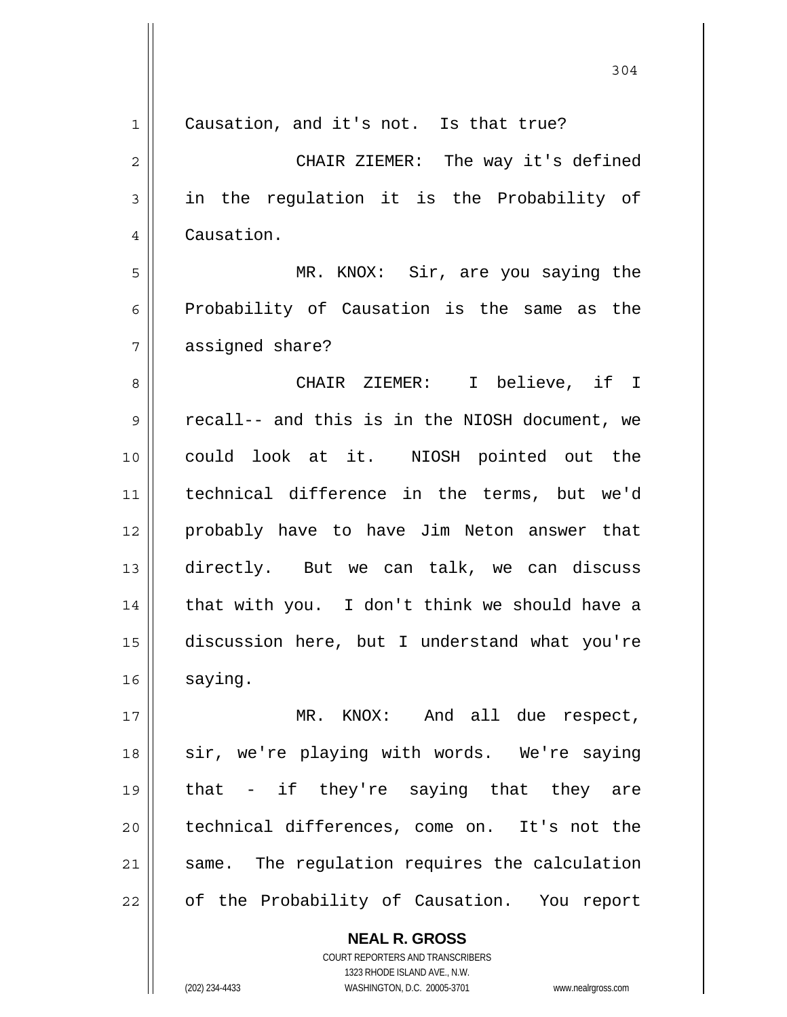| $\mathbf 1$    | Causation, and it's not. Is that true?                   |
|----------------|----------------------------------------------------------|
| $\overline{c}$ | CHAIR ZIEMER: The way it's defined                       |
| 3              | in the regulation it is the Probability of               |
| 4              | Causation.                                               |
| 5              | MR. KNOX: Sir, are you saying the                        |
| 6              | Probability of Causation is the same as the              |
| 7              | assigned share?                                          |
| 8              | CHAIR ZIEMER: I believe, if I                            |
| 9              | recall-- and this is in the NIOSH document, we           |
| 10             | could look at it. NIOSH pointed out the                  |
| 11             | technical difference in the terms, but we'd              |
| 12             | probably have to have Jim Neton answer that              |
| 13             | directly. But we can talk, we can discuss                |
| 14             | that with you. I don't think we should have a            |
| 15             | discussion here, but I understand what you're            |
| 16             | saying.                                                  |
| 17             | MR. KNOX: And all due respect,                           |
| 18             | sir, we're playing with words. We're saying              |
| 19             | - if they're saying that they are<br>that                |
| 20             | technical differences, come on. It's not the             |
| 21             | same. The regulation requires the calculation            |
| 22             | of the Probability of Causation. You report              |
|                | <b>NEAL R. GROSS</b><br>COURT REPORTERS AND TRANSCRIBERS |

1323 RHODE ISLAND AVE., N.W.

 $\prod$ 

(202) 234-4433 WASHINGTON, D.C. 20005-3701 www.nealrgross.com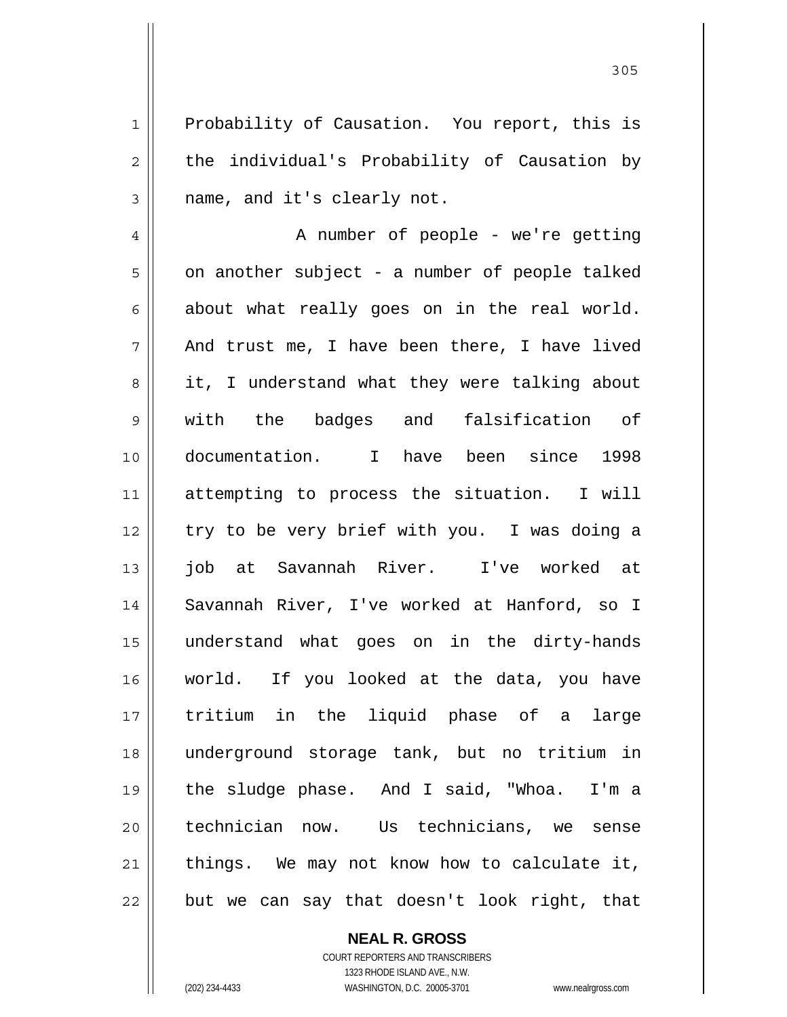Probability of Causation. You report, this is the individual's Probability of Causation by name, and it's clearly not.

4 5 6 7 8 9 10 11 12 13 14 15 16 17 18 19 20 21 22 A number of people - we're getting on another subject - a number of people talked about what really goes on in the real world. And trust me, I have been there, I have lived it, I understand what they were talking about with the badges and falsification of documentation. I have been since 1998 attempting to process the situation. I will try to be very brief with you. I was doing a job at Savannah River. I've worked at Savannah River, I've worked at Hanford, so I understand what goes on in the dirty-hands world. If you looked at the data, you have tritium in the liquid phase of a large underground storage tank, but no tritium in the sludge phase. And I said, "Whoa. I'm a technician now. Us technicians, we sense things. We may not know how to calculate it, but we can say that doesn't look right, that

**NEAL R. GROSS**

COURT REPORTERS AND TRANSCRIBERS 1323 RHODE ISLAND AVE., N.W. (202) 234-4433 WASHINGTON, D.C. 20005-3701 www.nealrgross.com

1

2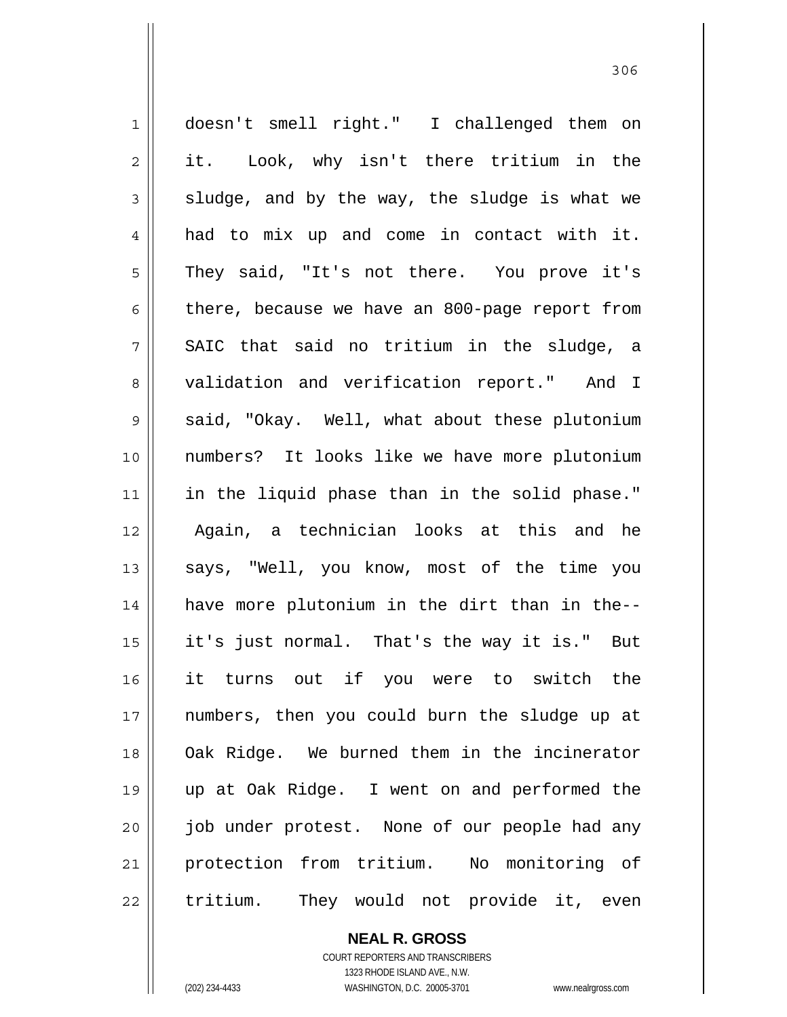1 2 3 4 5 6 7 8 9 10 11 12 13 14 15 16 17 18 19 20 21 22 doesn't smell right." I challenged them on it. Look, why isn't there tritium in the sludge, and by the way, the sludge is what we had to mix up and come in contact with it. They said, "It's not there. You prove it's there, because we have an 800-page report from SAIC that said no tritium in the sludge, a validation and verification report." And I said, "Okay. Well, what about these plutonium numbers? It looks like we have more plutonium in the liquid phase than in the solid phase." Again, a technician looks at this and he says, "Well, you know, most of the time you have more plutonium in the dirt than in the- it's just normal. That's the way it is." But it turns out if you were to switch the numbers, then you could burn the sludge up at Oak Ridge. We burned them in the incinerator up at Oak Ridge. I went on and performed the job under protest. None of our people had any protection from tritium. No monitoring of tritium. They would not provide it, even

> **NEAL R. GROSS** COURT REPORTERS AND TRANSCRIBERS 1323 RHODE ISLAND AVE., N.W. (202) 234-4433 WASHINGTON, D.C. 20005-3701 www.nealrgross.com

<u>306</u>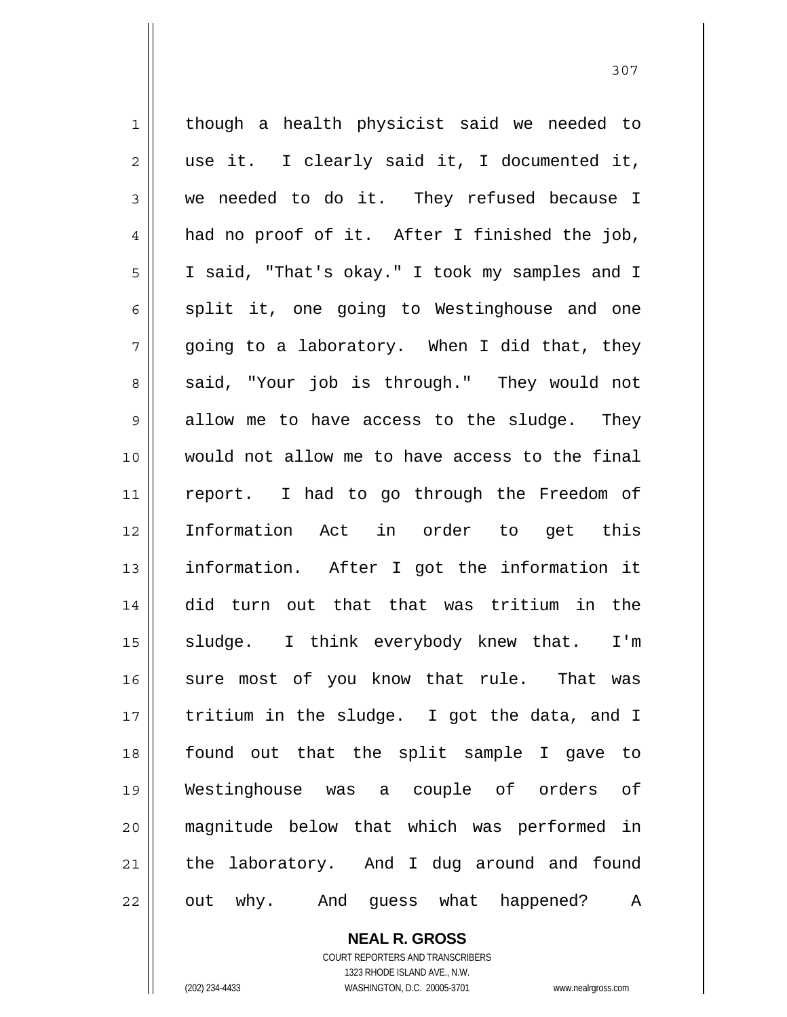1 2 3 4 5 6 7 8 9 10 11 12 13 14 15 16 17 18 19 20 21 22 though a health physicist said we needed to use it. I clearly said it, I documented it, we needed to do it. They refused because I had no proof of it. After I finished the job, I said, "That's okay." I took my samples and I split it, one going to Westinghouse and one going to a laboratory. When I did that, they said, "Your job is through." They would not allow me to have access to the sludge. They would not allow me to have access to the final report. I had to go through the Freedom of Information Act in order to get this information. After I got the information it did turn out that that was tritium in the sludge. I think everybody knew that. I'm sure most of you know that rule. That was tritium in the sludge. I got the data, and I found out that the split sample I gave to Westinghouse was a couple of orders of magnitude below that which was performed in the laboratory. And I dug around and found out why. And guess what happened? A

> **NEAL R. GROSS** COURT REPORTERS AND TRANSCRIBERS 1323 RHODE ISLAND AVE., N.W. (202) 234-4433 WASHINGTON, D.C. 20005-3701 www.nealrgross.com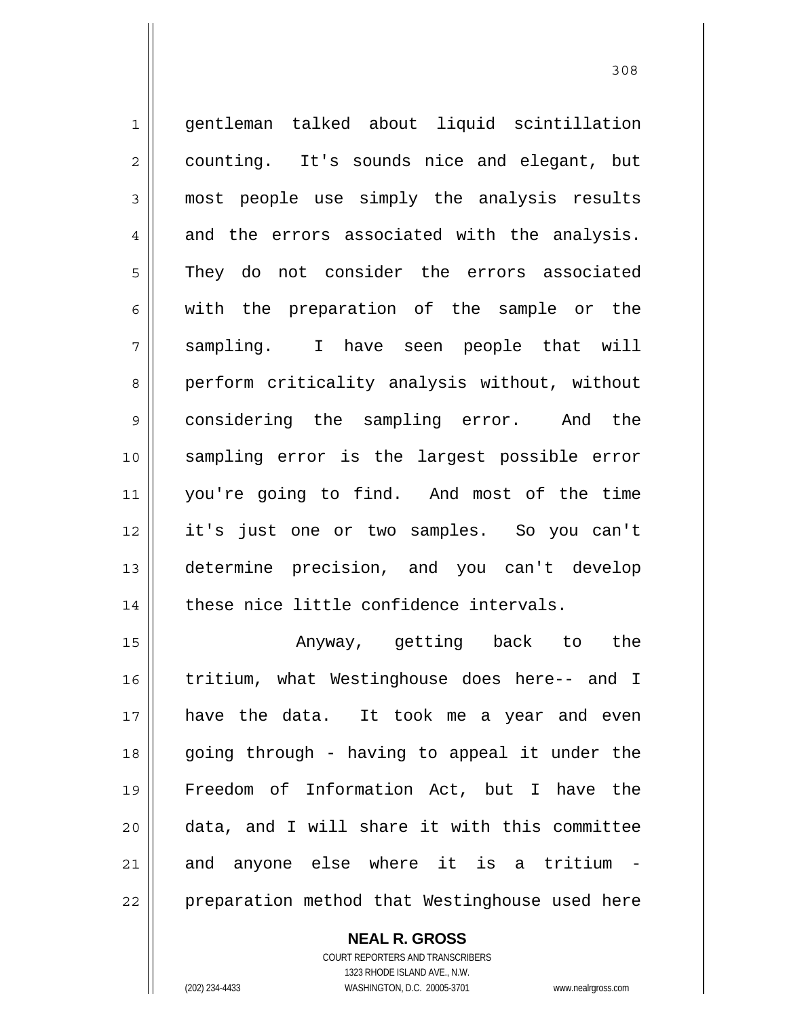1 2 3 4 5 6 7 8 9 10 11 12 13 14 15 gentleman talked about liquid scintillation counting. It's sounds nice and elegant, but most people use simply the analysis results and the errors associated with the analysis. They do not consider the errors associated with the preparation of the sample or the sampling. I have seen people that will perform criticality analysis without, without considering the sampling error. And the sampling error is the largest possible error you're going to find. And most of the time it's just one or two samples. So you can't determine precision, and you can't develop these nice little confidence intervals. Anyway, getting back to the

16 17 18 19 20 21 22 tritium, what Westinghouse does here-- and I have the data. It took me a year and even going through - having to appeal it under the Freedom of Information Act, but I have the data, and I will share it with this committee and anyone else where it is a tritium preparation method that Westinghouse used here

> **NEAL R. GROSS** COURT REPORTERS AND TRANSCRIBERS 1323 RHODE ISLAND AVE., N.W. (202) 234-4433 WASHINGTON, D.C. 20005-3701 www.nealrgross.com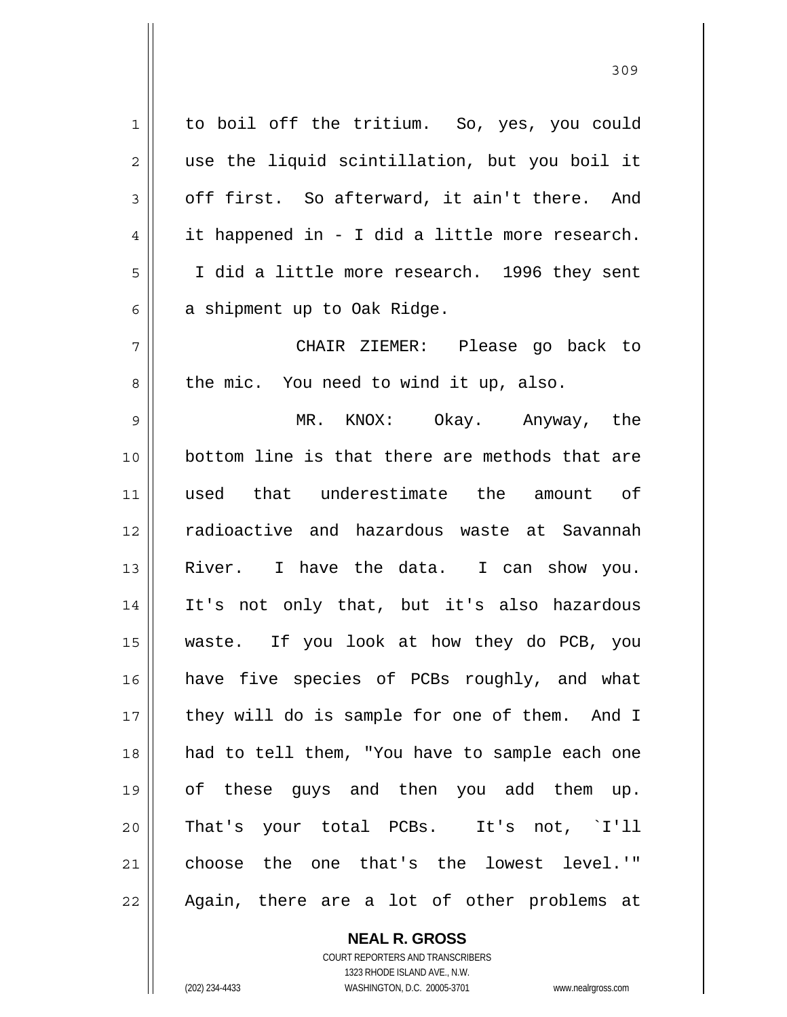1 2 3 4 5 6 7 8 9 10 11 12 13 14 15 16 17 18 19 20 21 22 to boil off the tritium. So, yes, you could use the liquid scintillation, but you boil it off first. So afterward, it ain't there. And it happened in - I did a little more research. I did a little more research. 1996 they sent a shipment up to Oak Ridge. CHAIR ZIEMER: Please go back to the mic. You need to wind it up, also. MR. KNOX: Okay. Anyway, the bottom line is that there are methods that are used that underestimate the amount of radioactive and hazardous waste at Savannah River. I have the data. I can show you. It's not only that, but it's also hazardous waste. If you look at how they do PCB, you have five species of PCBs roughly, and what they will do is sample for one of them. And I had to tell them, "You have to sample each one of these guys and then you add them up. That's your total PCBs. It's not, `I'll choose the one that's the lowest level.'" Again, there are a lot of other problems at

> COURT REPORTERS AND TRANSCRIBERS 1323 RHODE ISLAND AVE., N.W. (202) 234-4433 WASHINGTON, D.C. 20005-3701 www.nealrgross.com

**NEAL R. GROSS**

<u>309</u>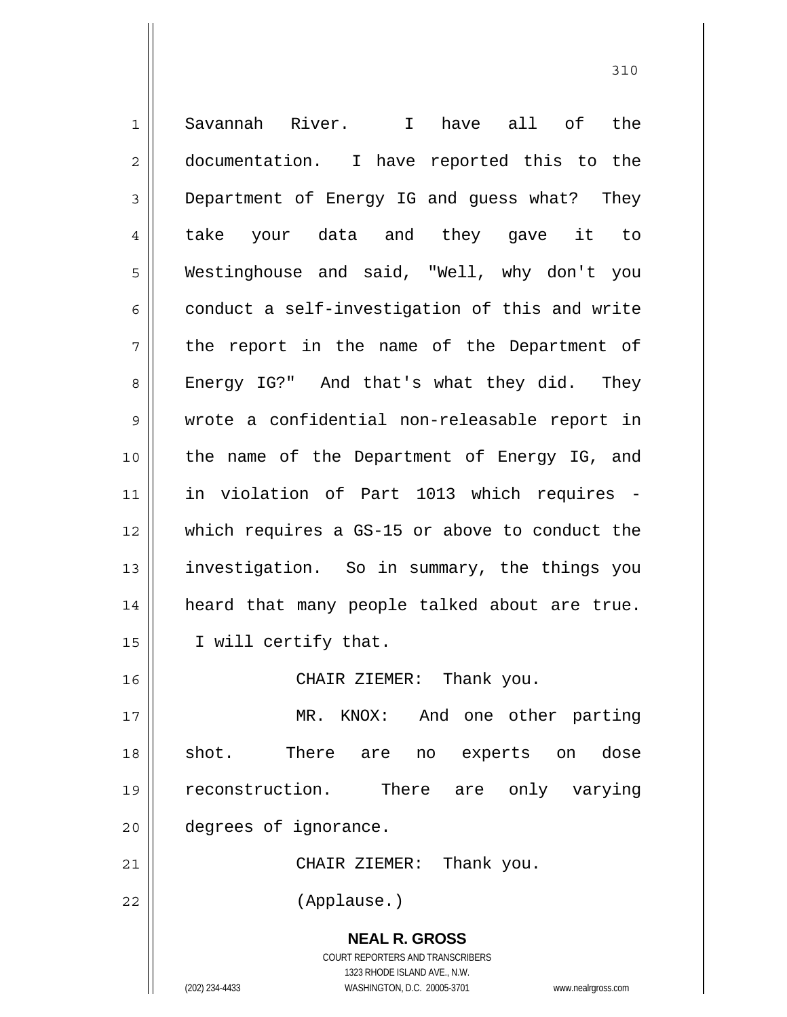**NEAL R. GROSS** COURT REPORTERS AND TRANSCRIBERS 1323 RHODE ISLAND AVE., N.W. 1 2 3 4 5 6 7 8 9 10 11 12 13 14 15 16 17 18 19 20 21 22 Savannah River. I have all of the documentation. I have reported this to the Department of Energy IG and guess what? They take your data and they gave it to Westinghouse and said, "Well, why don't you conduct a self-investigation of this and write the report in the name of the Department of Energy IG?" And that's what they did. They wrote a confidential non-releasable report in the name of the Department of Energy IG, and in violation of Part 1013 which requires which requires a GS-15 or above to conduct the investigation. So in summary, the things you heard that many people talked about are true. I will certify that. CHAIR ZIEMER: Thank you. MR. KNOX: And one other parting shot. There are no experts on dose reconstruction. There are only varying degrees of ignorance. CHAIR ZIEMER: Thank you. (Applause.)

310

(202) 234-4433 WASHINGTON, D.C. 20005-3701 www.nealrgross.com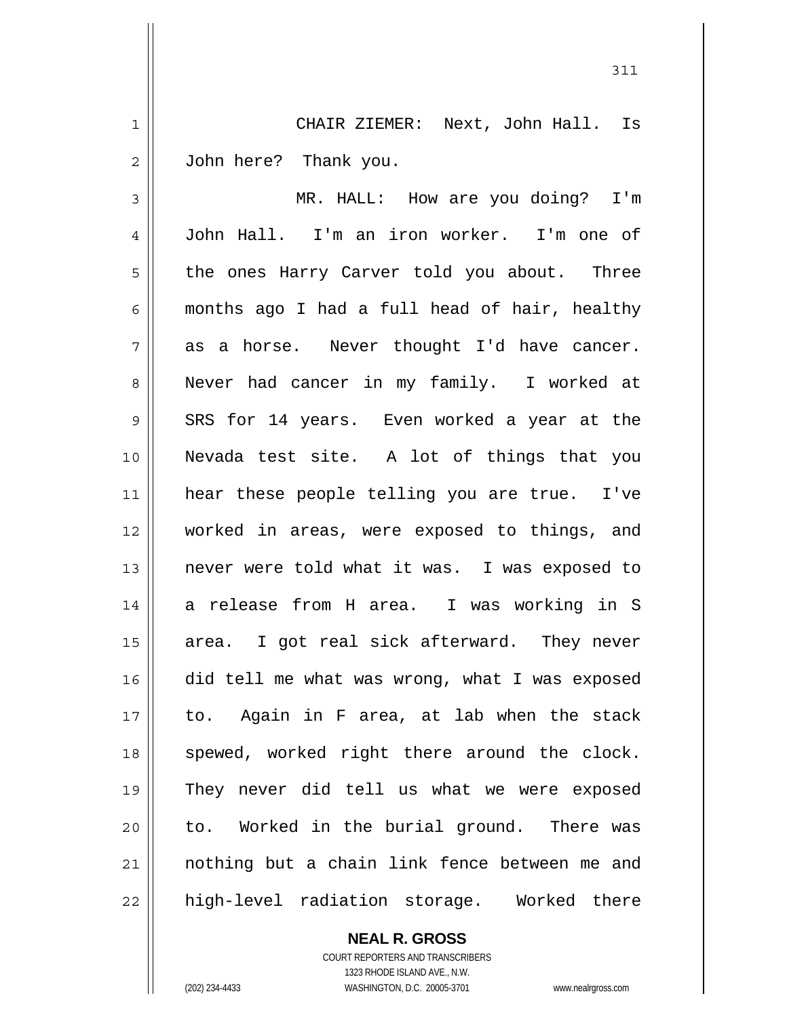1 2 CHAIR ZIEMER: Next, John Hall. Is John here? Thank you.

3 4 5 6 7 8 9 10 11 12 13 14 15 16 17 18 19 20 21 22 MR. HALL: How are you doing? I'm John Hall. I'm an iron worker. I'm one of the ones Harry Carver told you about. Three months ago I had a full head of hair, healthy as a horse. Never thought I'd have cancer. Never had cancer in my family. I worked at SRS for 14 years. Even worked a year at the Nevada test site. A lot of things that you hear these people telling you are true. I've worked in areas, were exposed to things, and never were told what it was. I was exposed to a release from H area. I was working in S area. I got real sick afterward. They never did tell me what was wrong, what I was exposed to. Again in F area, at lab when the stack spewed, worked right there around the clock. They never did tell us what we were exposed to. Worked in the burial ground. There was nothing but a chain link fence between me and high-level radiation storage. Worked there

**NEAL R. GROSS**

COURT REPORTERS AND TRANSCRIBERS 1323 RHODE ISLAND AVE., N.W. (202) 234-4433 WASHINGTON, D.C. 20005-3701 www.nealrgross.com

 <sup>311</sup>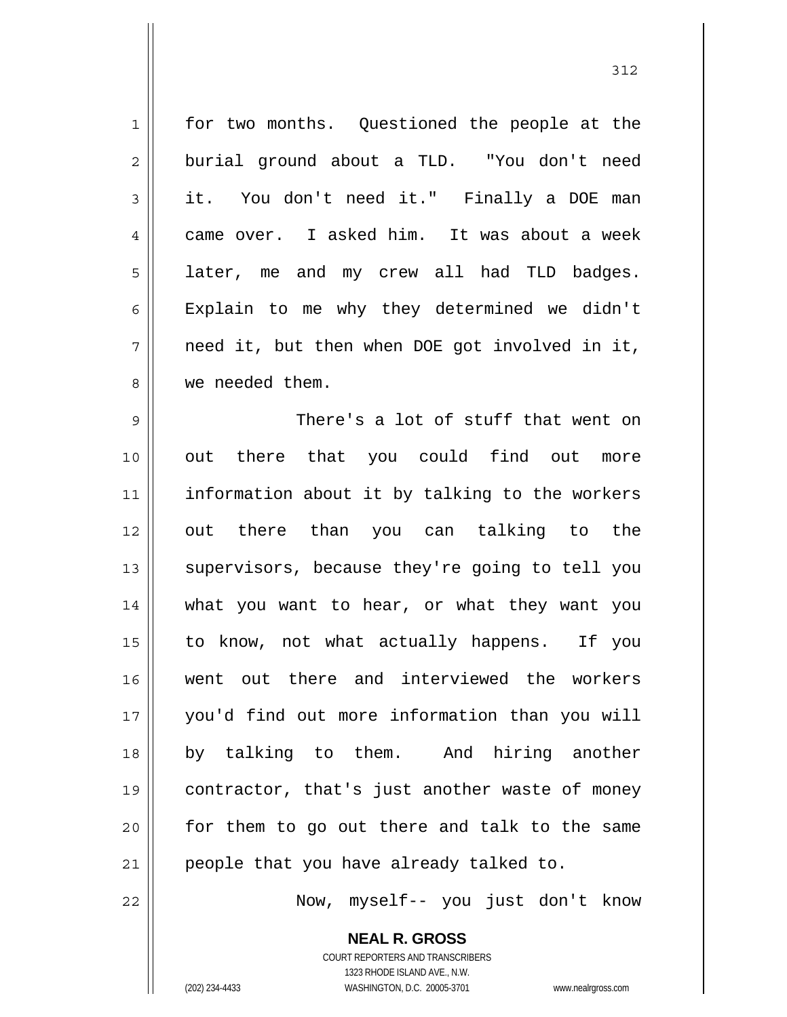1 2 3 4 5 6 7 8 9 10 11 12 13 14 15 16 17 18 19 20 21 for two months. Questioned the people at the burial ground about a TLD. "You don't need it. You don't need it." Finally a DOE man came over. I asked him. It was about a week later, me and my crew all had TLD badges. Explain to me why they determined we didn't need it, but then when DOE got involved in it, we needed them. There's a lot of stuff that went on out there that you could find out more information about it by talking to the workers out there than you can talking to the supervisors, because they're going to tell you what you want to hear, or what they want you to know, not what actually happens. If you went out there and interviewed the workers you'd find out more information than you will by talking to them. And hiring another contractor, that's just another waste of money for them to go out there and talk to the same people that you have already talked to.

Now, myself-- you just don't know

**NEAL R. GROSS** COURT REPORTERS AND TRANSCRIBERS 1323 RHODE ISLAND AVE., N.W. (202) 234-4433 WASHINGTON, D.C. 20005-3701 www.nealrgross.com

22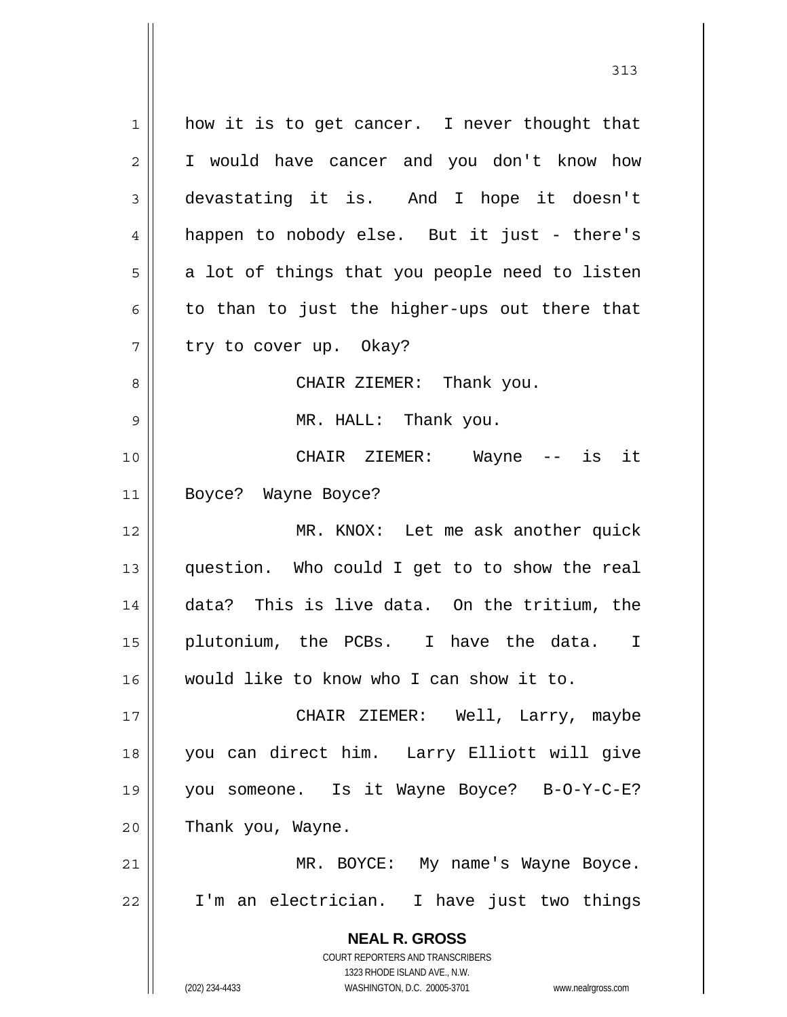**NEAL R. GROSS** COURT REPORTERS AND TRANSCRIBERS 1323 RHODE ISLAND AVE., N.W. (202) 234-4433 WASHINGTON, D.C. 20005-3701 www.nealrgross.com 1 2 3 4 5 6 7 8 9 10 11 12 13 14 15 16 17 18 19 20 21 22 how it is to get cancer. I never thought that I would have cancer and you don't know how devastating it is. And I hope it doesn't happen to nobody else. But it just - there's a lot of things that you people need to listen to than to just the higher-ups out there that try to cover up. Okay? CHAIR ZIEMER: Thank you. MR. HALL: Thank you. CHAIR ZIEMER: Wayne -- is it Boyce? Wayne Boyce? MR. KNOX: Let me ask another quick question. Who could I get to to show the real data? This is live data. On the tritium, the plutonium, the PCBs. I have the data. I would like to know who I can show it to. CHAIR ZIEMER: Well, Larry, maybe you can direct him. Larry Elliott will give you someone. Is it Wayne Boyce? B-O-Y-C-E? Thank you, Wayne. MR. BOYCE: My name's Wayne Boyce. I'm an electrician. I have just two things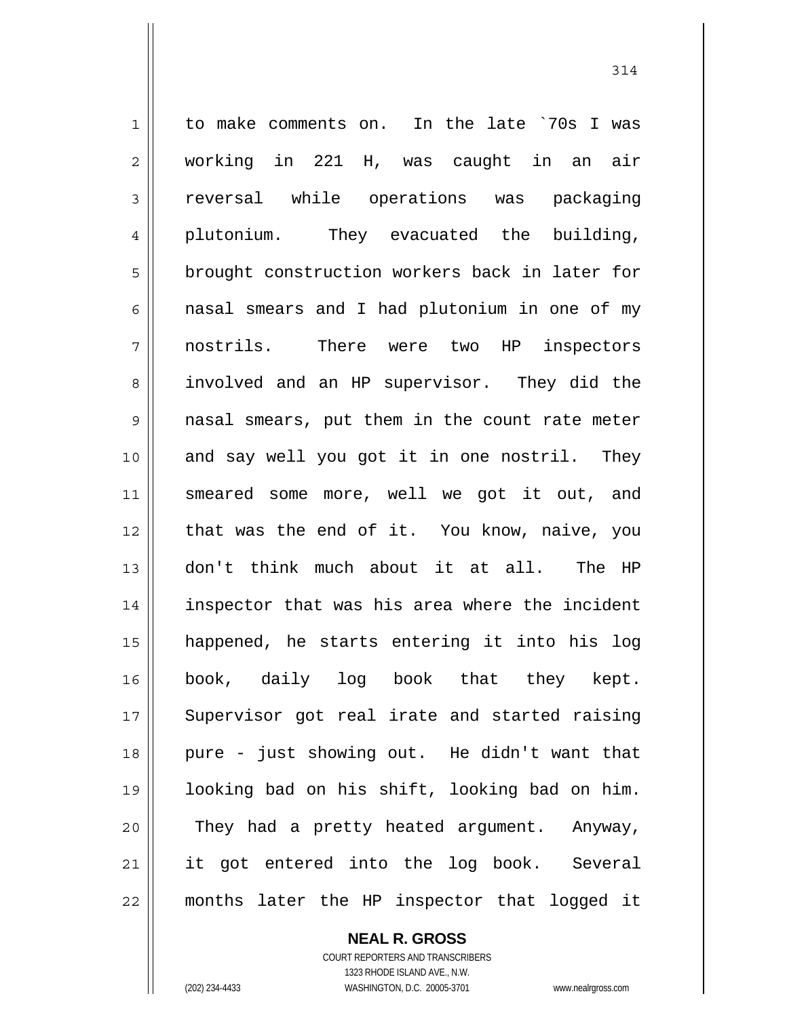1 2 3 4 5 6 7 8 9 10 11 12 13 14 15 16 17 18 19 20 21 22 to make comments on. In the late `70s I was working in 221 H, was caught in an air reversal while operations was packaging plutonium. They evacuated the building, brought construction workers back in later for nasal smears and I had plutonium in one of my nostrils. There were two HP inspectors involved and an HP supervisor. They did the nasal smears, put them in the count rate meter and say well you got it in one nostril. They smeared some more, well we got it out, and that was the end of it. You know, naive, you don't think much about it at all. The HP inspector that was his area where the incident happened, he starts entering it into his log book, daily log book that they kept. Supervisor got real irate and started raising pure - just showing out. He didn't want that looking bad on his shift, looking bad on him. They had a pretty heated argument. Anyway, it got entered into the log book. Several months later the HP inspector that logged it

**NEAL R. GROSS**

COURT REPORTERS AND TRANSCRIBERS 1323 RHODE ISLAND AVE., N.W. (202) 234-4433 WASHINGTON, D.C. 20005-3701 www.nealrgross.com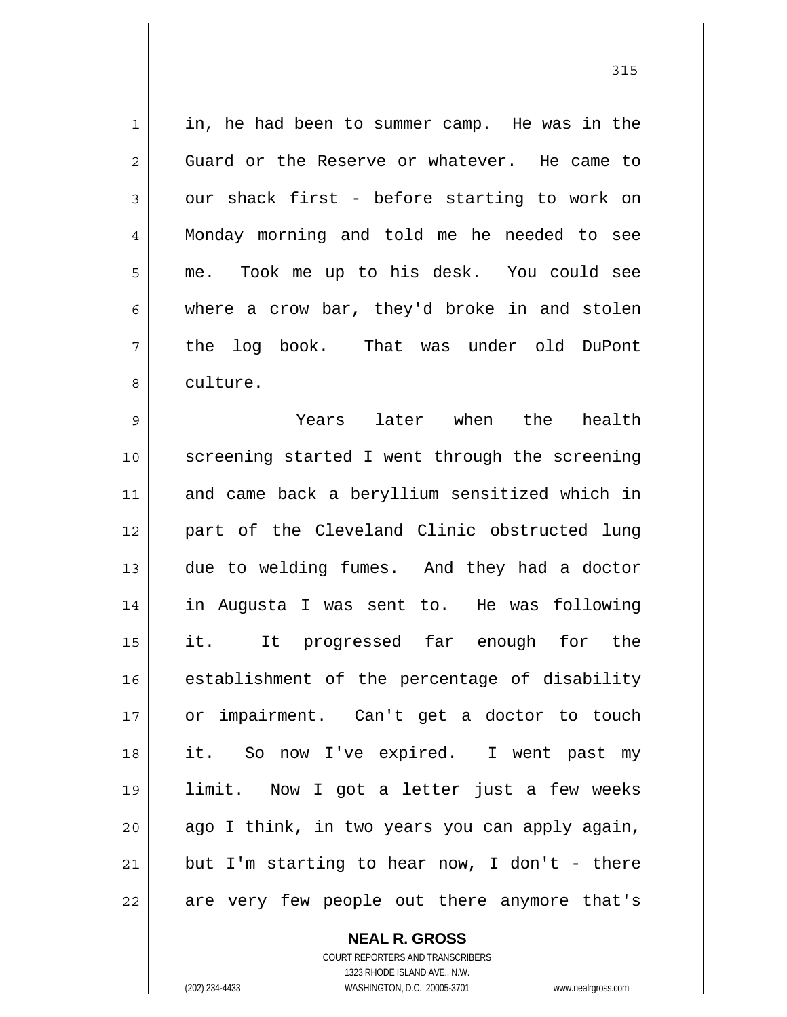1 2 3 4 5 6 7 8 in, he had been to summer camp. He was in the Guard or the Reserve or whatever. He came to our shack first - before starting to work on Monday morning and told me he needed to see me. Took me up to his desk. You could see where a crow bar, they'd broke in and stolen the log book. That was under old DuPont culture.

9 10 11 12 13 14 15 16 17 18 19 20 21 22 Years later when the health screening started I went through the screening and came back a beryllium sensitized which in part of the Cleveland Clinic obstructed lung due to welding fumes. And they had a doctor in Augusta I was sent to. He was following it. It progressed far enough for the establishment of the percentage of disability or impairment. Can't get a doctor to touch it. So now I've expired. I went past my limit. Now I got a letter just a few weeks ago I think, in two years you can apply again, but I'm starting to hear now, I don't - there are very few people out there anymore that's

> **NEAL R. GROSS** COURT REPORTERS AND TRANSCRIBERS 1323 RHODE ISLAND AVE., N.W. (202) 234-4433 WASHINGTON, D.C. 20005-3701 www.nealrgross.com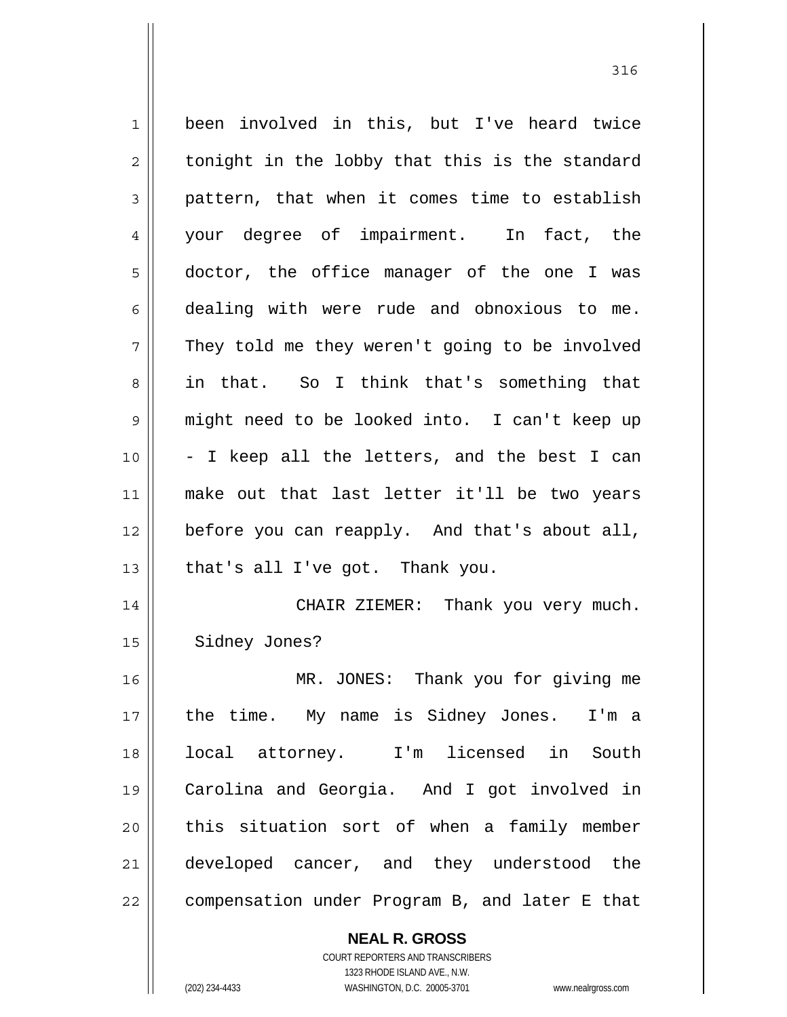1 2 3 4 5 6 7 8 9 10 11 12 13 14 15 16 17 18 19 20 21 22 been involved in this, but I've heard twice tonight in the lobby that this is the standard pattern, that when it comes time to establish your degree of impairment. In fact, the doctor, the office manager of the one I was dealing with were rude and obnoxious to me. They told me they weren't going to be involved in that. So I think that's something that might need to be looked into. I can't keep up - I keep all the letters, and the best I can make out that last letter it'll be two years before you can reapply. And that's about all, that's all I've got. Thank you. CHAIR ZIEMER: Thank you very much. Sidney Jones? MR. JONES: Thank you for giving me the time. My name is Sidney Jones. I'm a local attorney. I'm licensed in South Carolina and Georgia. And I got involved in this situation sort of when a family member developed cancer, and they understood the compensation under Program B, and later E that

**NEAL R. GROSS**

COURT REPORTERS AND TRANSCRIBERS 1323 RHODE ISLAND AVE., N.W. (202) 234-4433 WASHINGTON, D.C. 20005-3701 www.nealrgross.com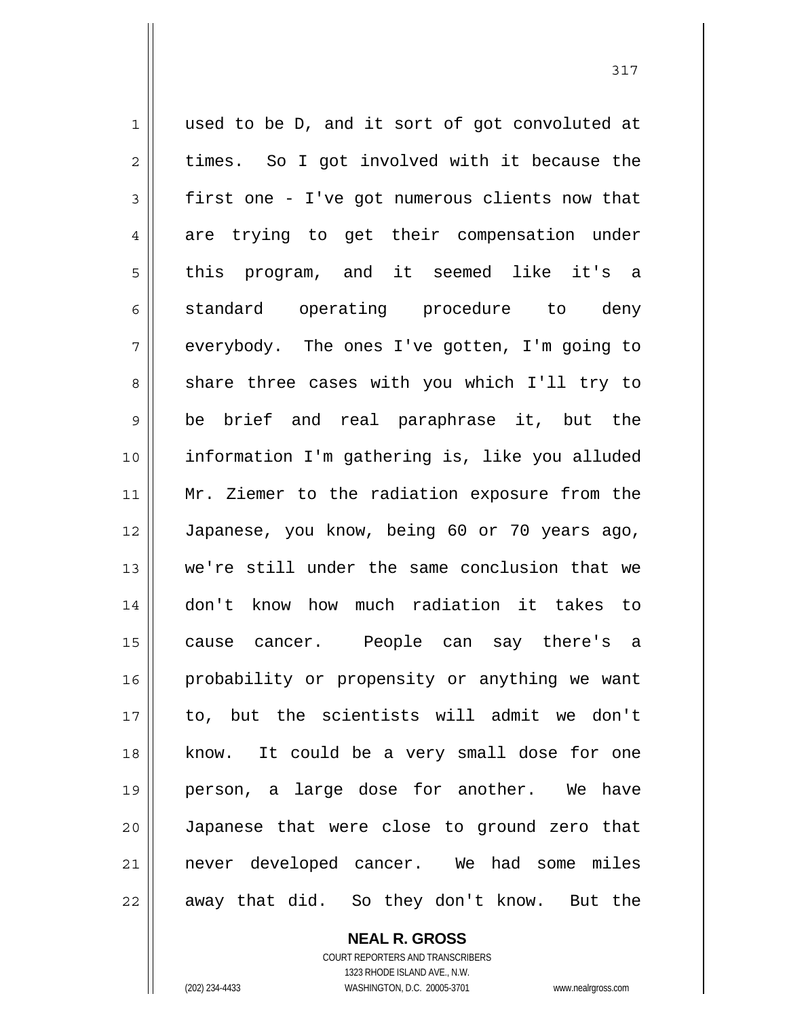1 2 3 4 5 6 7 8 9 10 11 12 13 14 15 16 17 18 19 20 21 22 used to be D, and it sort of got convoluted at times. So I got involved with it because the first one - I've got numerous clients now that are trying to get their compensation under this program, and it seemed like it's a standard operating procedure to deny everybody. The ones I've gotten, I'm going to share three cases with you which I'll try to be brief and real paraphrase it, but the information I'm gathering is, like you alluded Mr. Ziemer to the radiation exposure from the Japanese, you know, being 60 or 70 years ago, we're still under the same conclusion that we don't know how much radiation it takes to cause cancer. People can say there's a probability or propensity or anything we want to, but the scientists will admit we don't know. It could be a very small dose for one person, a large dose for another. We have Japanese that were close to ground zero that never developed cancer. We had some miles away that did. So they don't know. But the

317

**NEAL R. GROSS** COURT REPORTERS AND TRANSCRIBERS 1323 RHODE ISLAND AVE., N.W.

(202) 234-4433 WASHINGTON, D.C. 20005-3701 www.nealrgross.com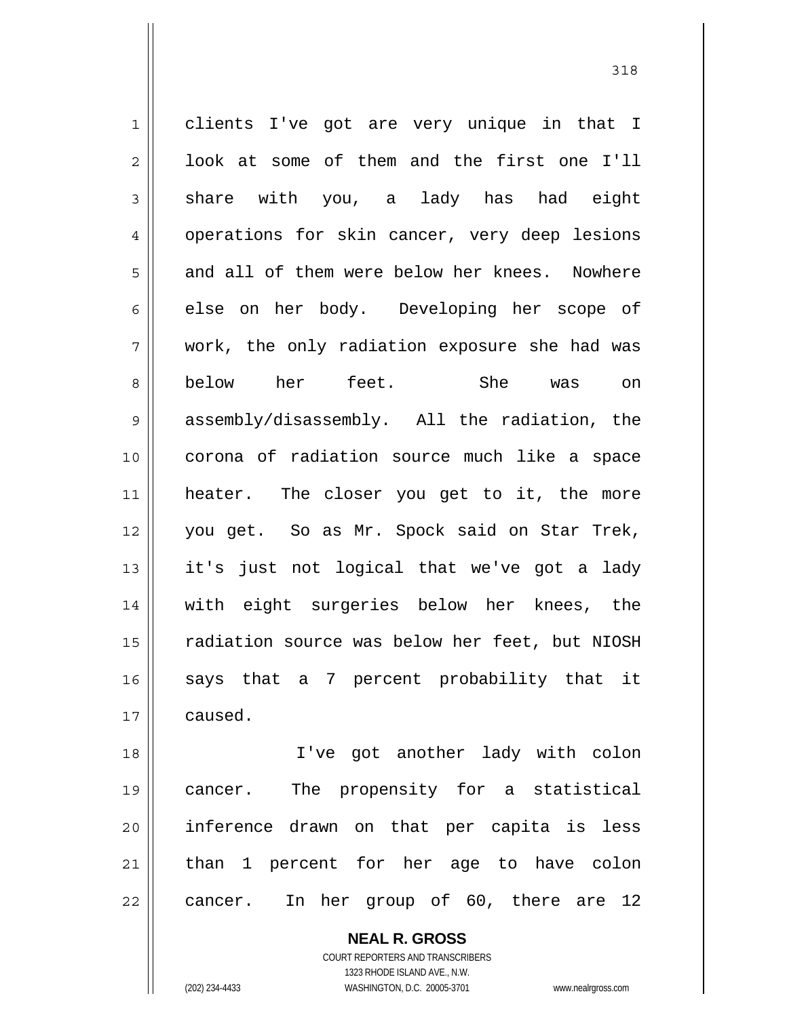1 2 3 4 5 6 7 8 9 10 11 12 13 14 15 16 17 clients I've got are very unique in that I look at some of them and the first one I'll share with you, a lady has had eight operations for skin cancer, very deep lesions and all of them were below her knees. Nowhere else on her body. Developing her scope of work, the only radiation exposure she had was below her feet. She was on assembly/disassembly. All the radiation, the corona of radiation source much like a space heater. The closer you get to it, the more you get. So as Mr. Spock said on Star Trek, it's just not logical that we've got a lady with eight surgeries below her knees, the radiation source was below her feet, but NIOSH says that a 7 percent probability that it caused.

18 19 20 21 22 I've got another lady with colon cancer. The propensity for a statistical inference drawn on that per capita is less than 1 percent for her age to have colon cancer. In her group of 60, there are 12

> **NEAL R. GROSS** COURT REPORTERS AND TRANSCRIBERS 1323 RHODE ISLAND AVE., N.W. (202) 234-4433 WASHINGTON, D.C. 20005-3701 www.nealrgross.com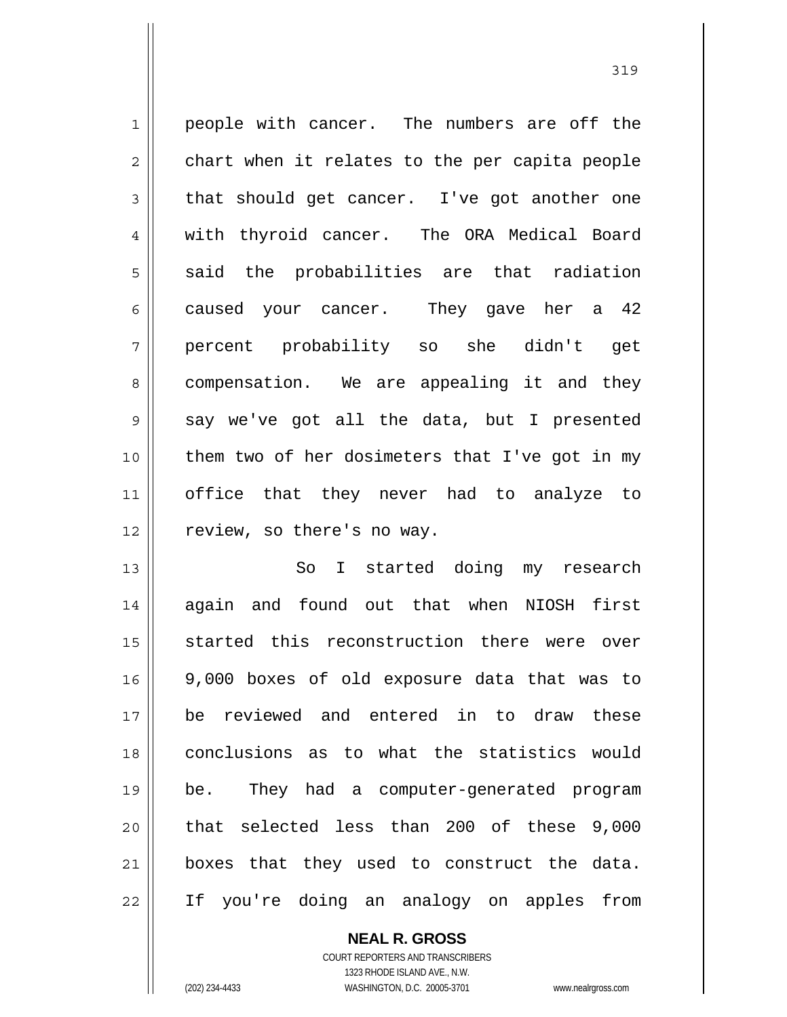1 2 3 4 5 6 7 8 9 10 11 12 people with cancer. The numbers are off the chart when it relates to the per capita people that should get cancer. I've got another one with thyroid cancer. The ORA Medical Board said the probabilities are that radiation caused your cancer. They gave her a 42 percent probability so she didn't get compensation. We are appealing it and they say we've got all the data, but I presented them two of her dosimeters that I've got in my office that they never had to analyze to review, so there's no way.

13 14 15 16 17 18 19 20 21 22 So I started doing my research again and found out that when NIOSH first started this reconstruction there were over 9,000 boxes of old exposure data that was to be reviewed and entered in to draw these conclusions as to what the statistics would be. They had a computer-generated program that selected less than 200 of these 9,000 boxes that they used to construct the data. If you're doing an analogy on apples from

**NEAL R. GROSS**

COURT REPORTERS AND TRANSCRIBERS 1323 RHODE ISLAND AVE., N.W. (202) 234-4433 WASHINGTON, D.C. 20005-3701 www.nealrgross.com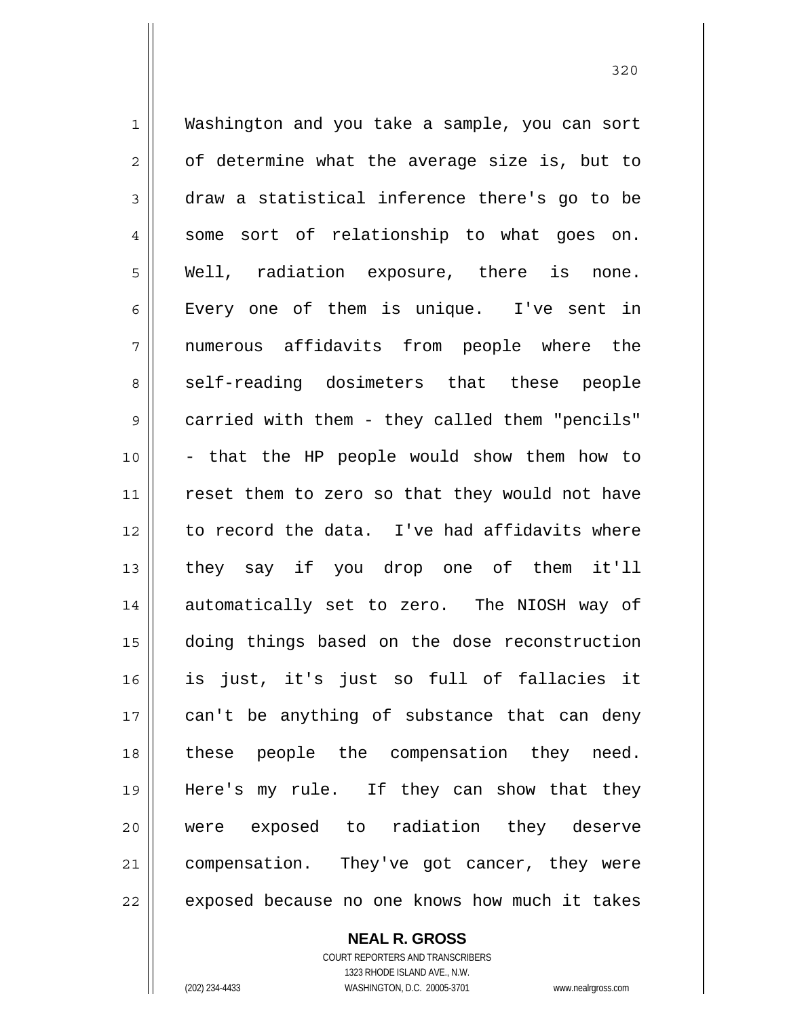1 2 3 4 5 6 7 8 9 10 11 12 13 14 15 16 17 18 19 20 21 22 Washington and you take a sample, you can sort of determine what the average size is, but to draw a statistical inference there's go to be some sort of relationship to what goes on. Well, radiation exposure, there is none. Every one of them is unique. I've sent in numerous affidavits from people where the self-reading dosimeters that these people carried with them - they called them "pencils" - that the HP people would show them how to reset them to zero so that they would not have to record the data. I've had affidavits where they say if you drop one of them it'll automatically set to zero. The NIOSH way of doing things based on the dose reconstruction is just, it's just so full of fallacies it can't be anything of substance that can deny these people the compensation they need. Here's my rule. If they can show that they were exposed to radiation they deserve compensation. They've got cancer, they were exposed because no one knows how much it takes

> **NEAL R. GROSS** COURT REPORTERS AND TRANSCRIBERS 1323 RHODE ISLAND AVE., N.W.

(202) 234-4433 WASHINGTON, D.C. 20005-3701 www.nealrgross.com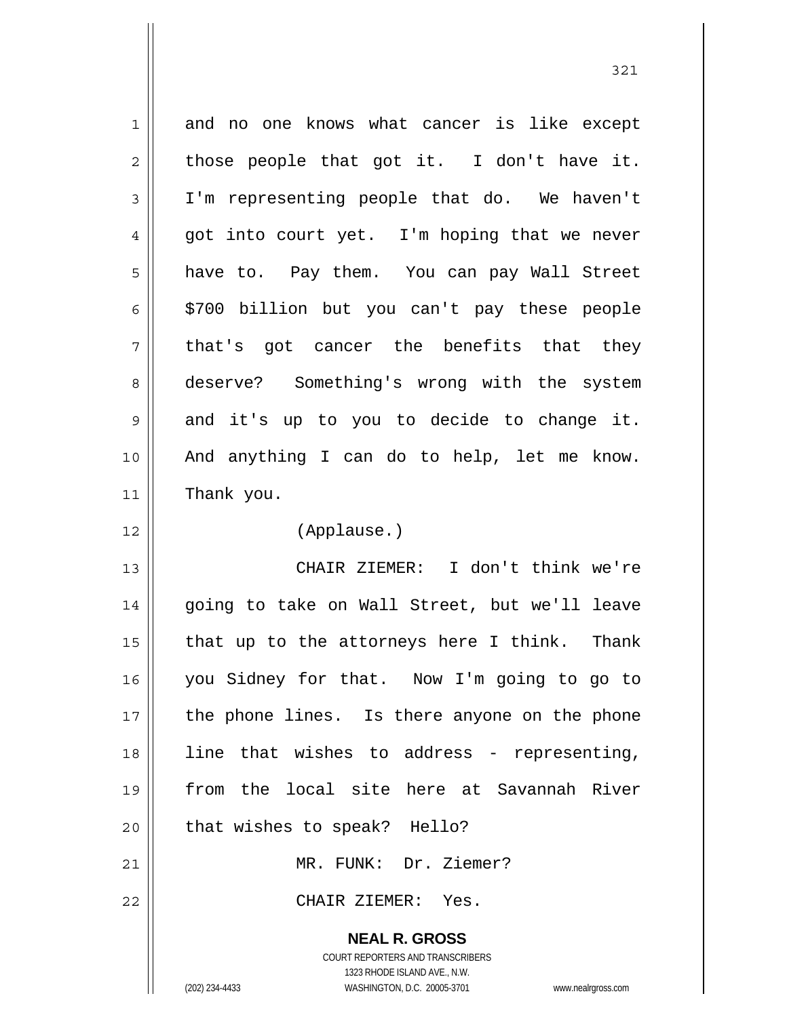| $\mathbf 1$ | and no one knows what cancer is like except                         |
|-------------|---------------------------------------------------------------------|
| 2           | those people that got it. I don't have it.                          |
| 3           | I'm representing people that do. We haven't                         |
| 4           | got into court yet. I'm hoping that we never                        |
| 5           | have to. Pay them. You can pay Wall Street                          |
| 6           | \$700 billion but you can't pay these people                        |
| 7           | that's got cancer the benefits that they                            |
| 8           | deserve? Something's wrong with the system                          |
| 9           | and it's up to you to decide to change it.                          |
| 10          | And anything I can do to help, let me know.                         |
| 11          | Thank you.                                                          |
| 12          | (Applause.)                                                         |
| 13          | CHAIR ZIEMER: I don't think we're                                   |
| 14          | going to take on Wall Street, but we'll leave                       |
| 15          | that up to the attorneys here I think. Thank                        |
| 16          | you Sidney for that. Now I'm going to go to                         |
| 17          | the phone lines. Is there anyone on the phone                       |
| 18          | line that wishes to address - representing,                         |
| 19          | from the local site here at Savannah River                          |
| 20          | that wishes to speak? Hello?                                        |
| 21          | MR. FUNK: Dr. Ziemer?                                               |
| 22          | CHAIR ZIEMER: Yes.                                                  |
|             | <b>NEAL R. GROSS</b>                                                |
|             | <b>COURT REPORTERS AND TRANSCRIBERS</b>                             |
|             | 1323 RHODE ISLAND AVE., N.W.                                        |
|             | (202) 234-4433<br>WASHINGTON, D.C. 20005-3701<br>www.nealrgross.com |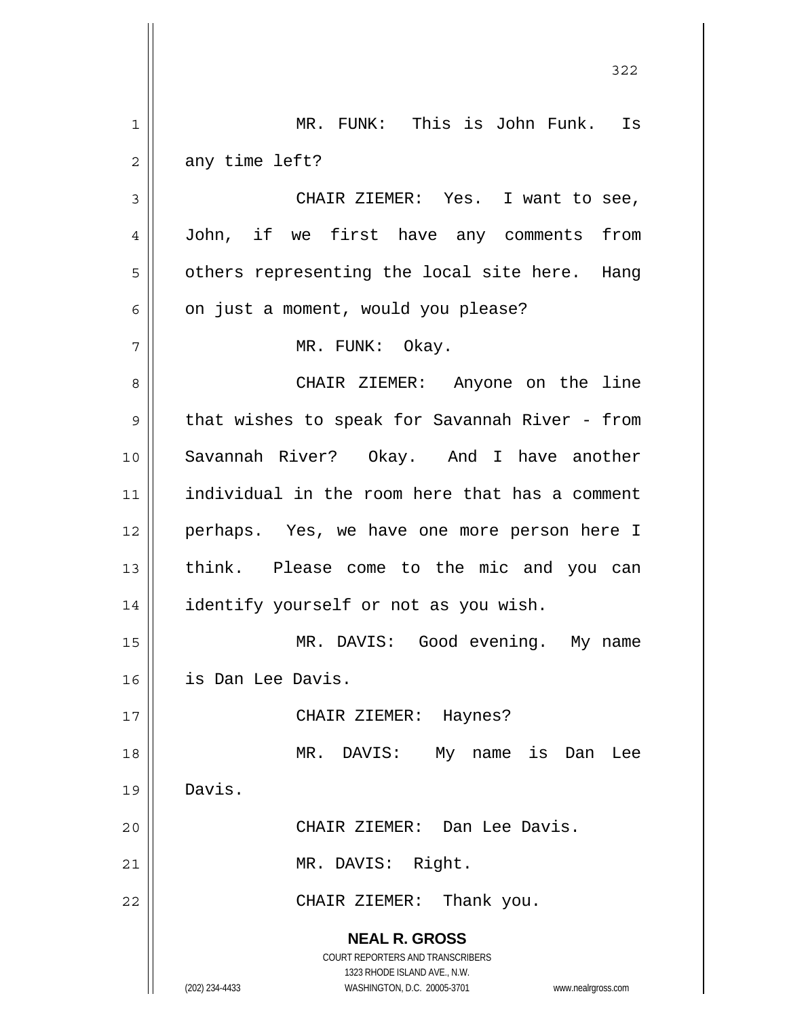|             | 322                                                                 |
|-------------|---------------------------------------------------------------------|
| $\mathbf 1$ | MR. FUNK: This is John Funk. Is                                     |
| 2           | any time left?                                                      |
| 3           | CHAIR ZIEMER: Yes. I want to see,                                   |
| 4           | John, if we first have any comments<br>from                         |
| 5           | others representing the local site here. Hang                       |
| 6           | on just a moment, would you please?                                 |
| 7           | MR. FUNK: Okay.                                                     |
| 8           | CHAIR ZIEMER: Anyone on the line                                    |
| 9           | that wishes to speak for Savannah River - from                      |
| 10          | Savannah River? Okay. And I have another                            |
| 11          | individual in the room here that has a comment                      |
| 12          | perhaps. Yes, we have one more person here I                        |
| 13          | think. Please come to the mic and you can                           |
| 14          | identify yourself or not as you wish.                               |
| 15          | MR. DAVIS: Good evening. My name                                    |
| 16          | is Dan Lee Davis.                                                   |
| 17          | CHAIR ZIEMER: Haynes?                                               |
| 18          | MR. DAVIS:<br>My name is Dan<br>Lee                                 |
| 19          | Davis.                                                              |
| 20          | CHAIR ZIEMER: Dan Lee Davis.                                        |
| 21          | MR. DAVIS: Right.                                                   |
| 22          | CHAIR ZIEMER: Thank you.                                            |
|             | <b>NEAL R. GROSS</b>                                                |
|             | COURT REPORTERS AND TRANSCRIBERS<br>1323 RHODE ISLAND AVE., N.W.    |
|             | (202) 234-4433<br>WASHINGTON, D.C. 20005-3701<br>www.nealrgross.com |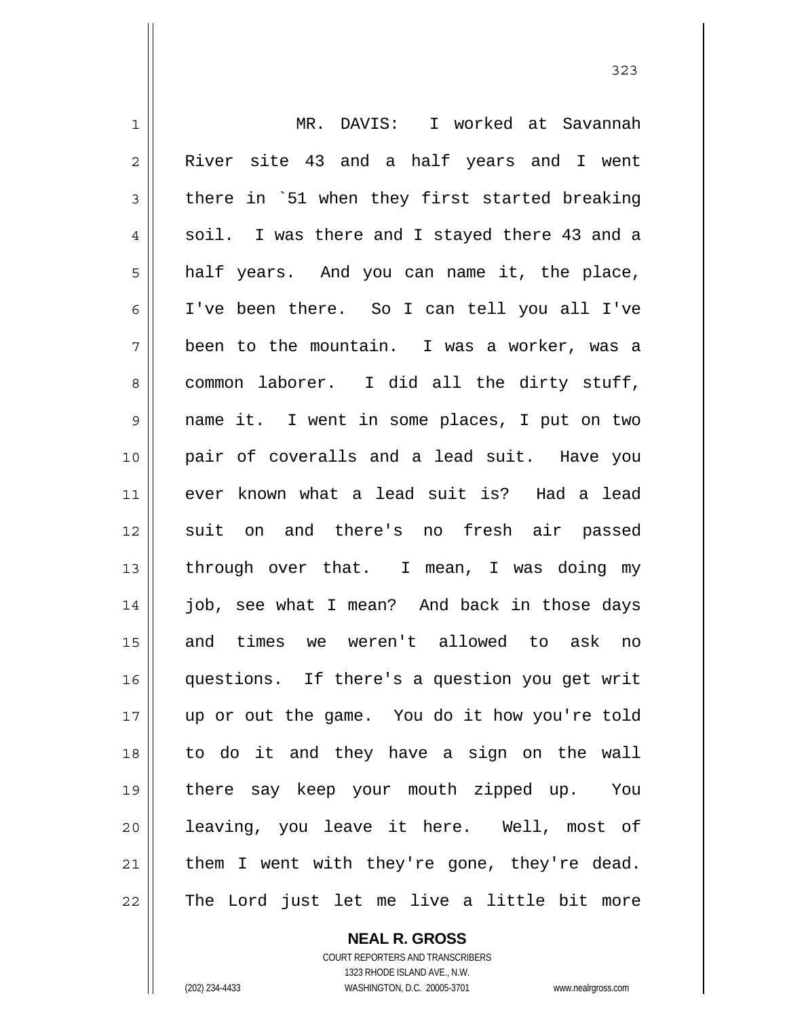1 2 3 4 5 6 7 8 9 10 11 12 13 14 15 16 17 18 19 20 21 22 MR. DAVIS: I worked at Savannah River site 43 and a half years and I went there in `51 when they first started breaking soil. I was there and I stayed there 43 and a half years. And you can name it, the place, I've been there. So I can tell you all I've been to the mountain. I was a worker, was a common laborer. I did all the dirty stuff, name it. I went in some places, I put on two pair of coveralls and a lead suit. Have you ever known what a lead suit is? Had a lead suit on and there's no fresh air passed through over that. I mean, I was doing my job, see what I mean? And back in those days and times we weren't allowed to ask no questions. If there's a question you get writ up or out the game. You do it how you're told to do it and they have a sign on the wall there say keep your mouth zipped up. You leaving, you leave it here. Well, most of them I went with they're gone, they're dead. The Lord just let me live a little bit more

> **NEAL R. GROSS** COURT REPORTERS AND TRANSCRIBERS

1323 RHODE ISLAND AVE., N.W. (202) 234-4433 WASHINGTON, D.C. 20005-3701 www.nealrgross.com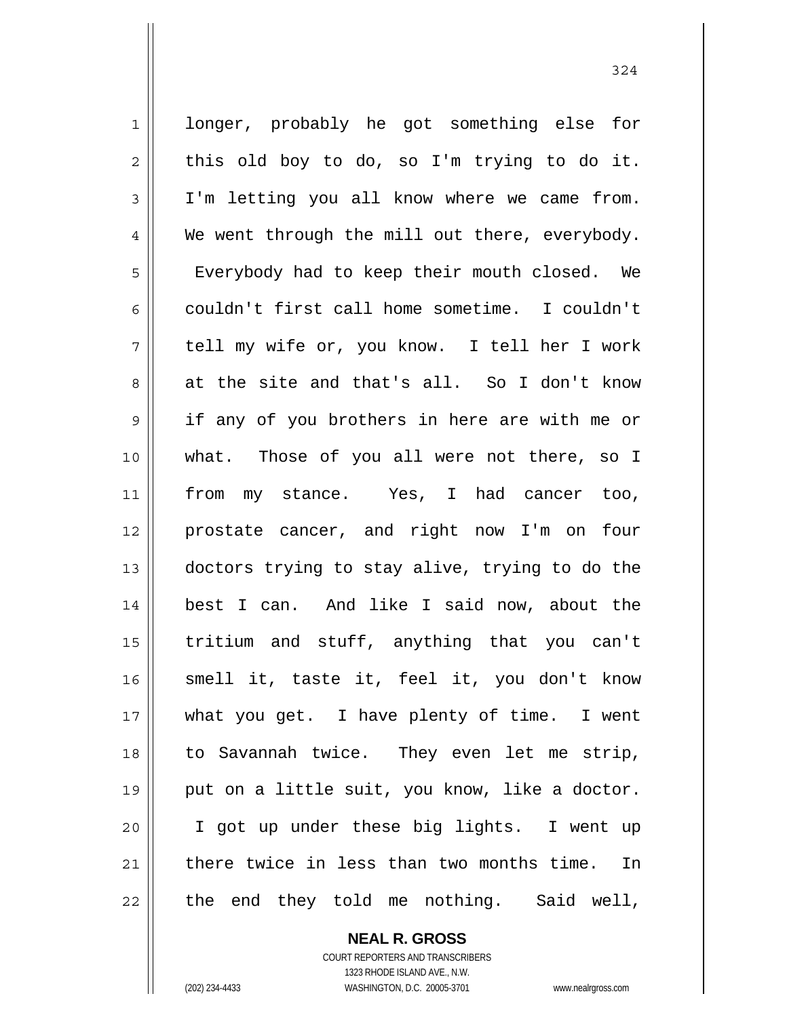1 2 3 4 5 6 7 8 9 10 11 12 13 14 15 16 17 18 19 20 21 22 longer, probably he got something else for this old boy to do, so I'm trying to do it. I'm letting you all know where we came from. We went through the mill out there, everybody. Everybody had to keep their mouth closed. We couldn't first call home sometime. I couldn't tell my wife or, you know. I tell her I work at the site and that's all. So I don't know if any of you brothers in here are with me or what. Those of you all were not there, so I from my stance. Yes, I had cancer too, prostate cancer, and right now I'm on four doctors trying to stay alive, trying to do the best I can. And like I said now, about the tritium and stuff, anything that you can't smell it, taste it, feel it, you don't know what you get. I have plenty of time. I went to Savannah twice. They even let me strip, put on a little suit, you know, like a doctor. I got up under these big lights. I went up there twice in less than two months time. In the end they told me nothing. Said well,

> **NEAL R. GROSS** COURT REPORTERS AND TRANSCRIBERS 1323 RHODE ISLAND AVE., N.W.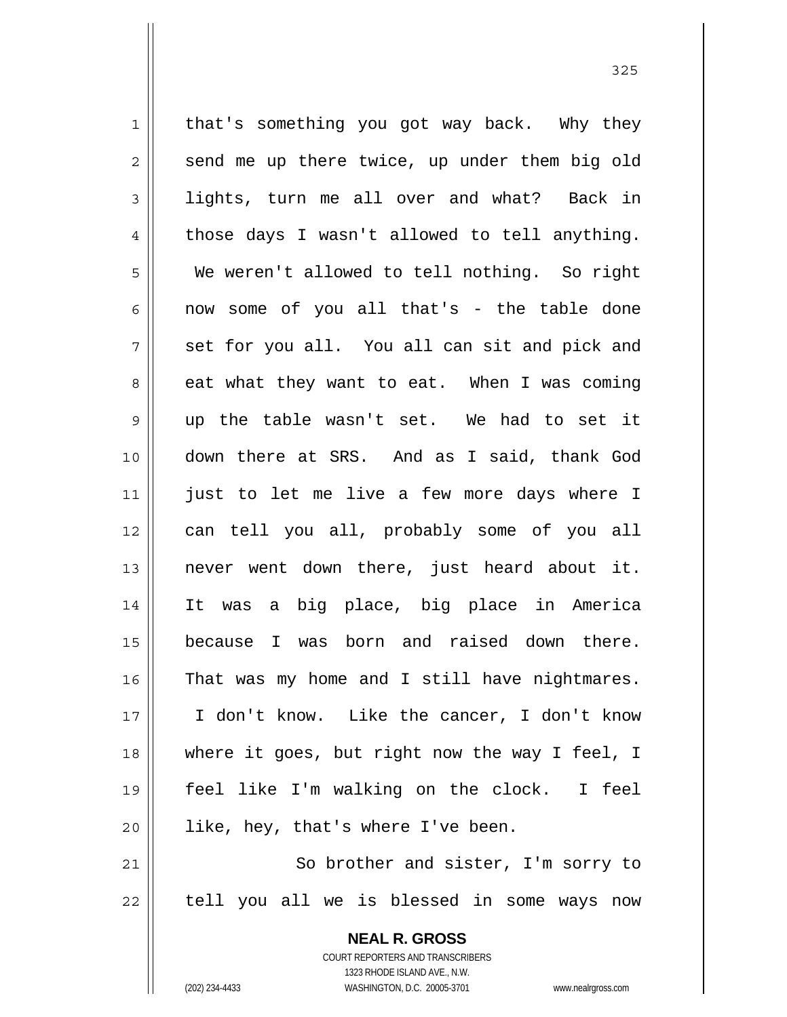1 2 3 4 5 6 7 8 9 10 11 12 13 14 15 16 17 18 19 20 21 that's something you got way back. Why they send me up there twice, up under them big old lights, turn me all over and what? Back in those days I wasn't allowed to tell anything. We weren't allowed to tell nothing. So right now some of you all that's - the table done set for you all. You all can sit and pick and eat what they want to eat. When I was coming up the table wasn't set. We had to set it down there at SRS. And as I said, thank God just to let me live a few more days where I can tell you all, probably some of you all never went down there, just heard about it. It was a big place, big place in America because I was born and raised down there. That was my home and I still have nightmares. I don't know. Like the cancer, I don't know where it goes, but right now the way I feel, I feel like I'm walking on the clock. I feel like, hey, that's where I've been. So brother and sister, I'm sorry to

22

**NEAL R. GROSS** COURT REPORTERS AND TRANSCRIBERS

tell you all we is blessed in some ways now

1323 RHODE ISLAND AVE., N.W.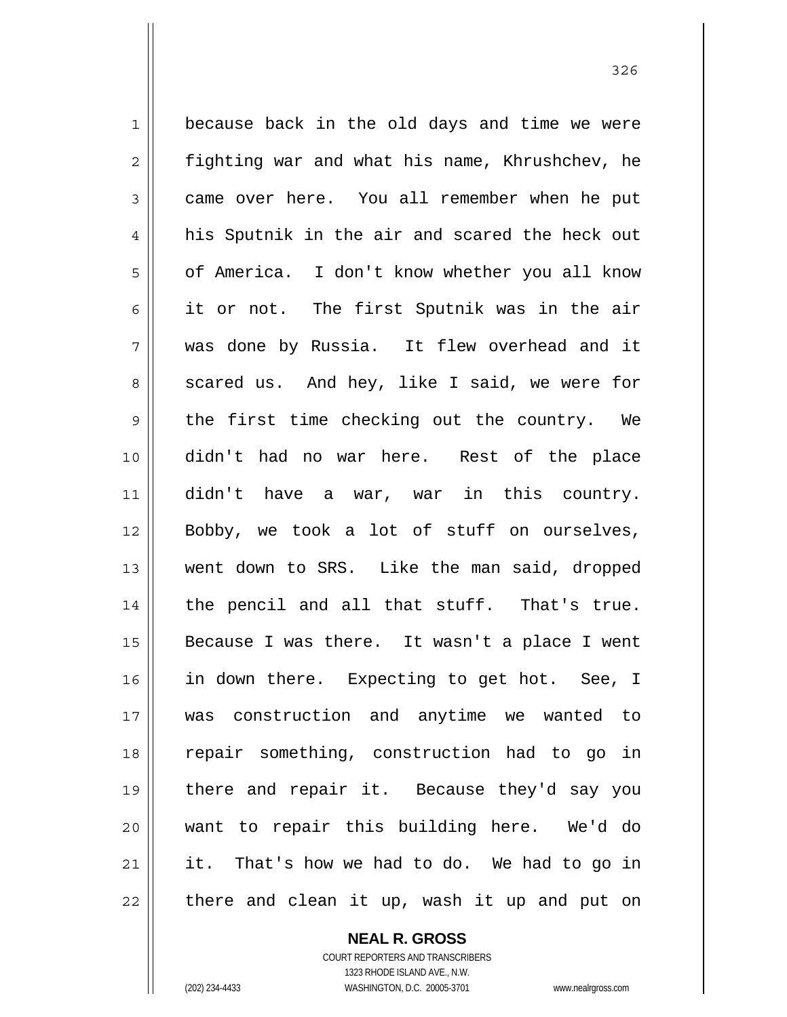1 2 3 4 5 6 7 8 9 10 11 12 13 14 15 16 17 18 19 20 21 22 because back in the old days and time we were fighting war and what his name, Khrushchev, he came over here. You all remember when he put his Sputnik in the air and scared the heck out of America. I don't know whether you all know it or not. The first Sputnik was in the air was done by Russia. It flew overhead and it scared us. And hey, like I said, we were for the first time checking out the country. We didn't had no war here. Rest of the place didn't have a war, war in this country. Bobby, we took a lot of stuff on ourselves, went down to SRS. Like the man said, dropped the pencil and all that stuff. That's true. Because I was there. It wasn't a place I went in down there. Expecting to get hot. See, I was construction and anytime we wanted to repair something, construction had to go in there and repair it. Because they'd say you want to repair this building here. We'd do it. That's how we had to do. We had to go in there and clean it up, wash it up and put on

> **NEAL R. GROSS** COURT REPORTERS AND TRANSCRIBERS

> > 1323 RHODE ISLAND AVE., N.W.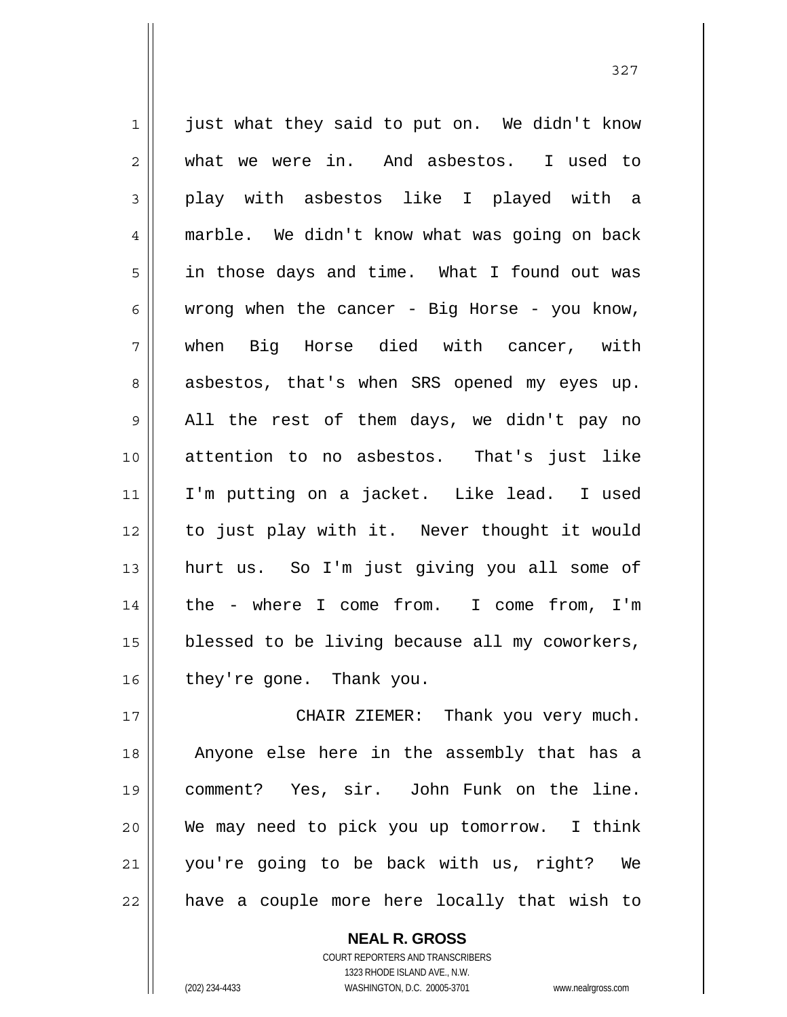1 2 3 4 5 6 7 8 9 10 11 12 13 14 15 16 17 just what they said to put on. We didn't know what we were in. And asbestos. I used to play with asbestos like I played with a marble. We didn't know what was going on back in those days and time. What I found out was wrong when the cancer - Big Horse - you know, when Big Horse died with cancer, with asbestos, that's when SRS opened my eyes up. All the rest of them days, we didn't pay no attention to no asbestos. That's just like I'm putting on a jacket. Like lead. I used to just play with it. Never thought it would hurt us. So I'm just giving you all some of the - where I come from. I come from, I'm blessed to be living because all my coworkers, they're gone. Thank you. CHAIR ZIEMER: Thank you very much.

18 19 20 21 22 Anyone else here in the assembly that has a comment? Yes, sir. John Funk on the line. We may need to pick you up tomorrow. I think you're going to be back with us, right? We have a couple more here locally that wish to

> COURT REPORTERS AND TRANSCRIBERS 1323 RHODE ISLAND AVE., N.W. (202) 234-4433 WASHINGTON, D.C. 20005-3701 www.nealrgross.com

**NEAL R. GROSS**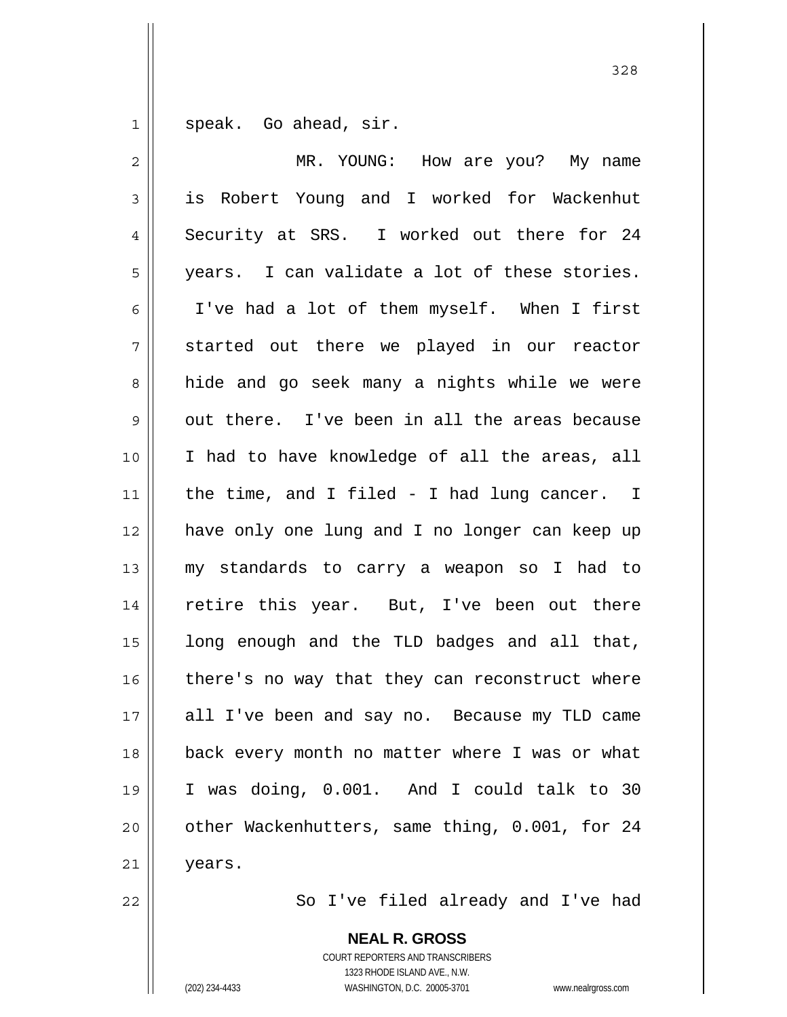1 speak. Go ahead, sir.

| $\overline{2}$ | MR. YOUNG: How are you? My name                |
|----------------|------------------------------------------------|
| $\mathfrak{Z}$ | is Robert Young and I worked for Wackenhut     |
| 4              | Security at SRS. I worked out there for 24     |
| 5              | years. I can validate a lot of these stories.  |
| 6              | I've had a lot of them myself. When I first    |
| 7              | started out there we played in our reactor     |
| 8              | hide and go seek many a nights while we were   |
| 9              | out there. I've been in all the areas because  |
| 10             | I had to have knowledge of all the areas, all  |
| 11             | the time, and I filed - I had lung cancer. I   |
| 12             | have only one lung and I no longer can keep up |
| 13             | my standards to carry a weapon so I had to     |
| 14             | retire this year. But, I've been out there     |
| 15             | long enough and the TLD badges and all that,   |
| 16             | there's no way that they can reconstruct where |
| 17             | all I've been and say no. Because my TLD came  |
| 18             | back every month no matter where I was or what |
| 19             | I was doing, 0.001. And I could talk to 30     |
| 20             | other Wackenhutters, same thing, 0.001, for 24 |
| 21             | years.                                         |

So I've filed already and I've had

**NEAL R. GROSS** COURT REPORTERS AND TRANSCRIBERS 1323 RHODE ISLAND AVE., N.W. (202) 234-4433 WASHINGTON, D.C. 20005-3701 www.nealrgross.com

22

<u>328</u>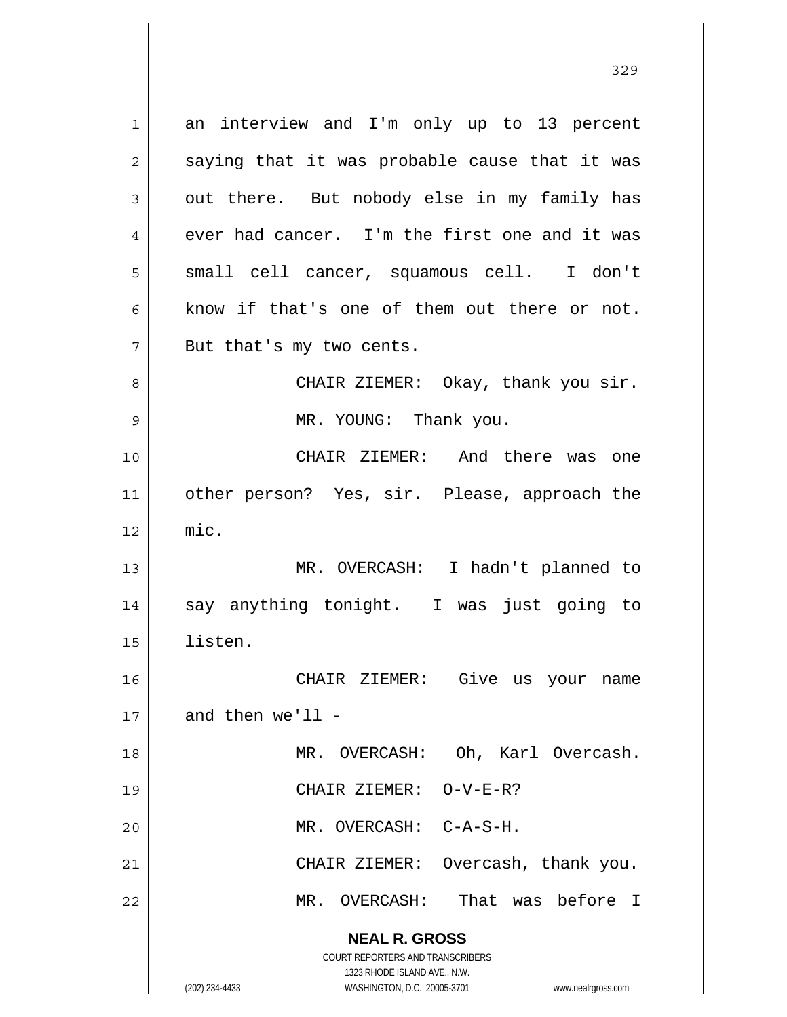**NEAL R. GROSS** COURT REPORTERS AND TRANSCRIBERS 1323 RHODE ISLAND AVE., N.W. (202) 234-4433 WASHINGTON, D.C. 20005-3701 www.nealrgross.com 1 2 3 4 5 6 7 8 9 10 11 12 13 14 15 16 17 18 19 20 21 22 an interview and I'm only up to 13 percent saying that it was probable cause that it was out there. But nobody else in my family has ever had cancer. I'm the first one and it was small cell cancer, squamous cell. I don't know if that's one of them out there or not. But that's my two cents. CHAIR ZIEMER: Okay, thank you sir. MR. YOUNG: Thank you. CHAIR ZIEMER: And there was one other person? Yes, sir. Please, approach the mic. MR. OVERCASH: I hadn't planned to say anything tonight. I was just going to listen. CHAIR ZIEMER: Give us your name and then  $we'$ ll  $-$  MR. OVERCASH: Oh, Karl Overcash. CHAIR ZIEMER: O-V-E-R? MR. OVERCASH: C-A-S-H. CHAIR ZIEMER: Overcash, thank you. MR. OVERCASH: That was before I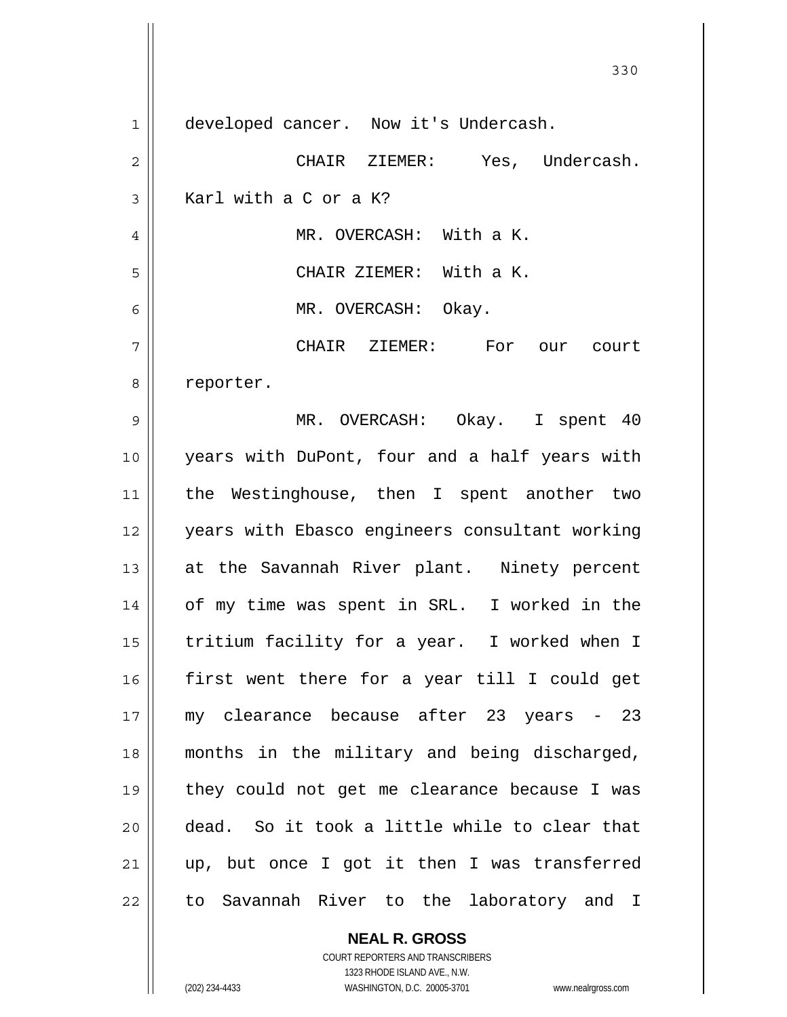330 1 2 3 4 5 6 7 8 9 10 11 12 13 14 15 16 17 18 19 20 21 22 developed cancer. Now it's Undercash. CHAIR ZIEMER: Yes, Undercash. Karl with a C or a K? MR. OVERCASH: With a K. CHAIR ZIEMER: With a K. MR. OVERCASH: Okay. CHAIR ZIEMER: For our court reporter. MR. OVERCASH: Okay. I spent 40 years with DuPont, four and a half years with the Westinghouse, then I spent another two years with Ebasco engineers consultant working at the Savannah River plant. Ninety percent of my time was spent in SRL. I worked in the tritium facility for a year. I worked when I first went there for a year till I could get my clearance because after 23 years - 23 months in the military and being discharged, they could not get me clearance because I was dead. So it took a little while to clear that up, but once I got it then I was transferred to Savannah River to the laboratory and I

> **NEAL R. GROSS** COURT REPORTERS AND TRANSCRIBERS 1323 RHODE ISLAND AVE., N.W.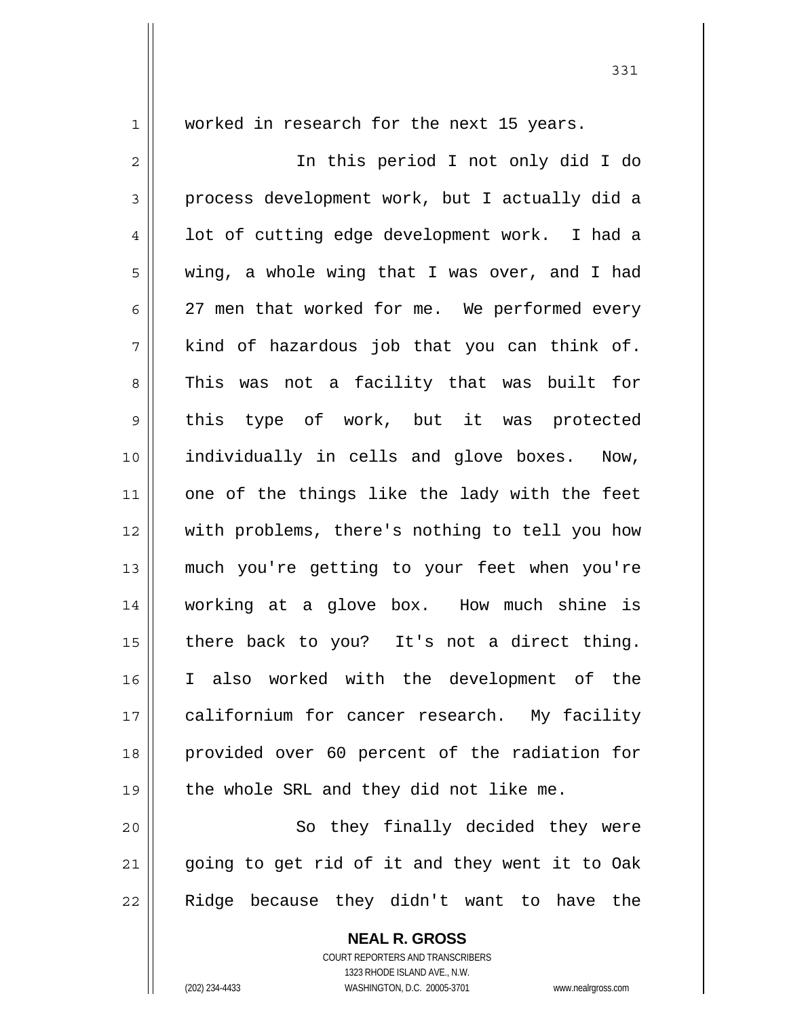1

worked in research for the next 15 years.

2 3 4 5 6 7 8 9 10 11 12 13 14 15 16 17 18 19 20 In this period I not only did I do process development work, but I actually did a lot of cutting edge development work. I had a wing, a whole wing that I was over, and I had 27 men that worked for me. We performed every kind of hazardous job that you can think of. This was not a facility that was built for this type of work, but it was protected individually in cells and glove boxes. Now, one of the things like the lady with the feet with problems, there's nothing to tell you how much you're getting to your feet when you're working at a glove box. How much shine is there back to you? It's not a direct thing. I also worked with the development of the californium for cancer research. My facility provided over 60 percent of the radiation for the whole SRL and they did not like me. So they finally decided they were

21 22 going to get rid of it and they went it to Oak Ridge because they didn't want to have the

> **NEAL R. GROSS** COURT REPORTERS AND TRANSCRIBERS 1323 RHODE ISLAND AVE., N.W.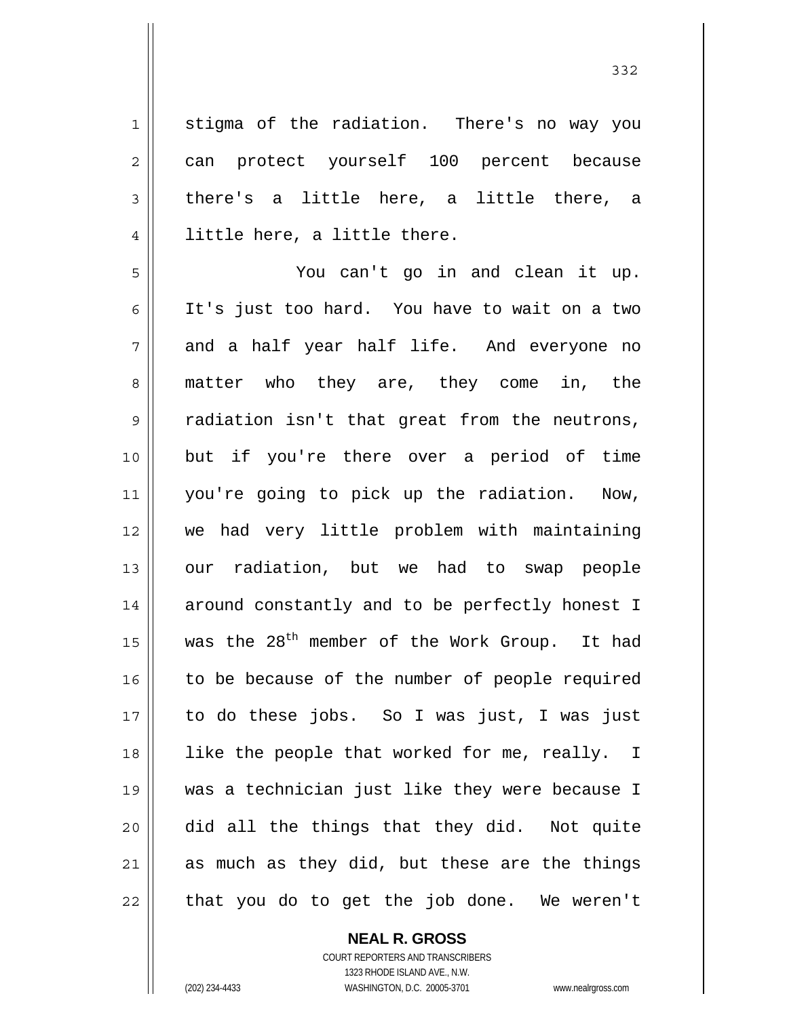1 stigma of the radiation. There's no way you can protect yourself 100 percent because there's a little here, a little there, a little here, a little there.

5 6 7 8 9 10 11 12 13 14 15 16 17 18 19 20 21 22 You can't go in and clean it up. It's just too hard. You have to wait on a two and a half year half life. And everyone no matter who they are, they come in, the radiation isn't that great from the neutrons, but if you're there over a period of time you're going to pick up the radiation. Now, we had very little problem with maintaining our radiation, but we had to swap people around constantly and to be perfectly honest I was the  $28^{th}$  member of the Work Group. It had to be because of the number of people required to do these jobs. So I was just, I was just like the people that worked for me, really. I was a technician just like they were because I did all the things that they did. Not quite as much as they did, but these are the things that you do to get the job done. We weren't

## **NEAL R. GROSS** COURT REPORTERS AND TRANSCRIBERS

2

3

4

1323 RHODE ISLAND AVE., N.W. (202) 234-4433 WASHINGTON, D.C. 20005-3701 www.nealrgross.com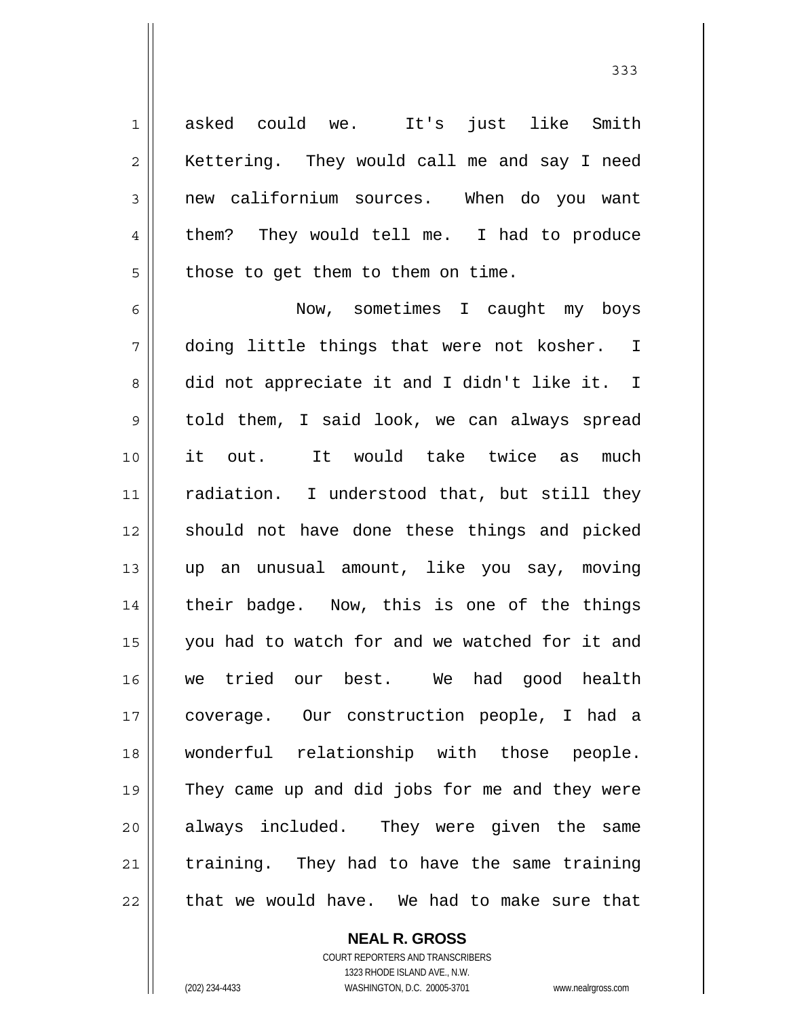asked could we. It's just like Smith Kettering. They would call me and say I need new californium sources. When do you want them? They would tell me. I had to produce those to get them to them on time.

6 7 8 9 10 11 12 13 14 15 16 17 18 19 20 21 22 Now, sometimes I caught my boys doing little things that were not kosher. I did not appreciate it and I didn't like it. I told them, I said look, we can always spread it out. It would take twice as much radiation. I understood that, but still they should not have done these things and picked up an unusual amount, like you say, moving their badge. Now, this is one of the things you had to watch for and we watched for it and we tried our best. We had good health coverage. Our construction people, I had a wonderful relationship with those people. They came up and did jobs for me and they were always included. They were given the same training. They had to have the same training that we would have. We had to make sure that

> COURT REPORTERS AND TRANSCRIBERS 1323 RHODE ISLAND AVE., N.W. (202) 234-4433 WASHINGTON, D.C. 20005-3701 www.nealrgross.com

**NEAL R. GROSS**

1

2

3

4

 <sup>333</sup>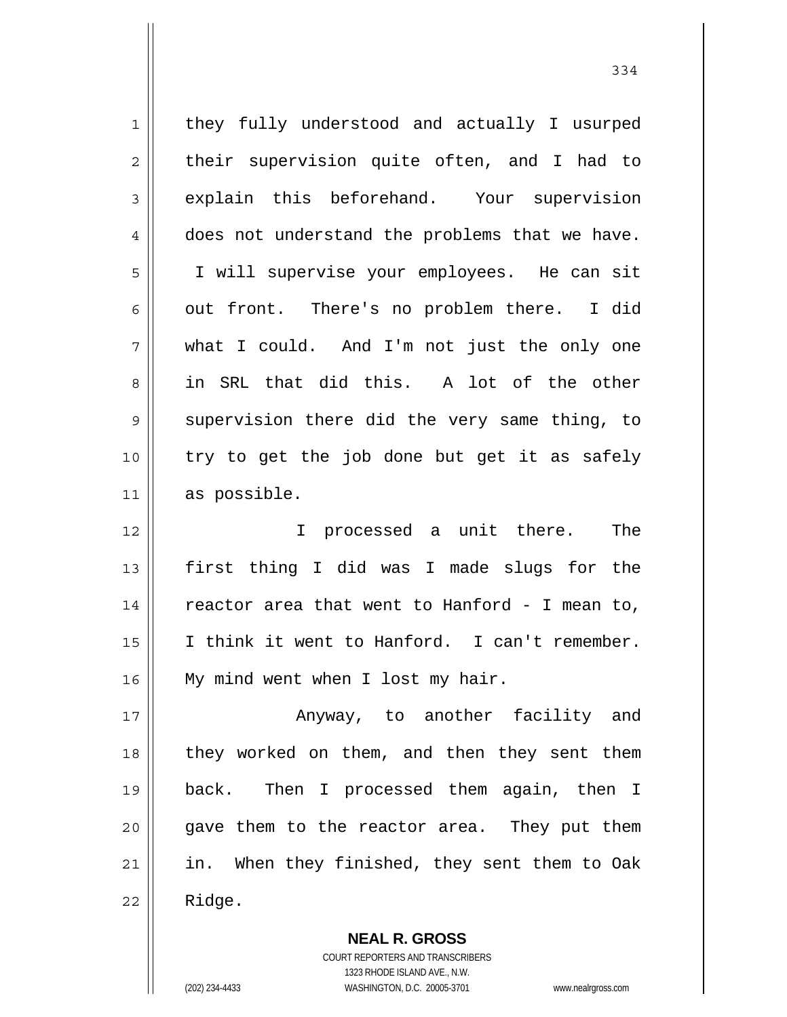1 2 3 4 5 6 7 8 9 10 11 12 13 14 15 16 17 18 19 20 21 22 they fully understood and actually I usurped their supervision quite often, and I had to explain this beforehand. Your supervision does not understand the problems that we have. I will supervise your employees. He can sit out front. There's no problem there. I did what I could. And I'm not just the only one in SRL that did this. A lot of the other supervision there did the very same thing, to try to get the job done but get it as safely as possible. I processed a unit there. The first thing I did was I made slugs for the reactor area that went to Hanford - I mean to, I think it went to Hanford. I can't remember. My mind went when I lost my hair. Anyway, to another facility and they worked on them, and then they sent them back. Then I processed them again, then I gave them to the reactor area. They put them in. When they finished, they sent them to Oak Ridge.

> **NEAL R. GROSS** COURT REPORTERS AND TRANSCRIBERS 1323 RHODE ISLAND AVE., N.W. (202) 234-4433 WASHINGTON, D.C. 20005-3701 www.nealrgross.com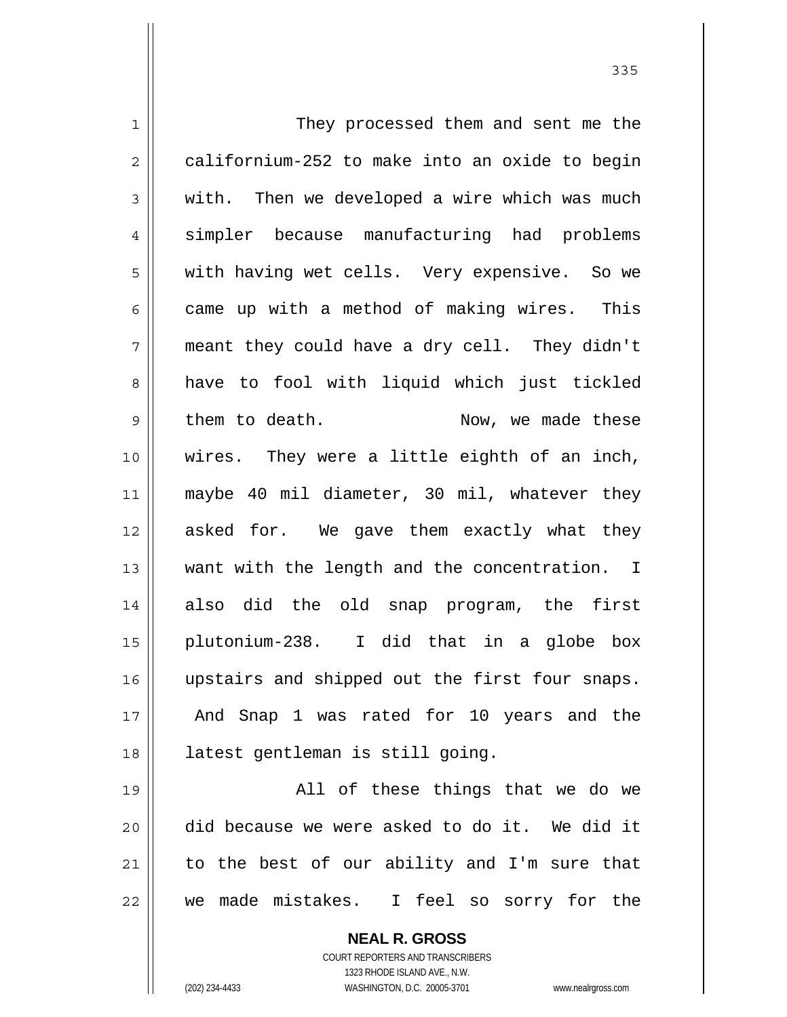1 2 3 4 5 6 7 8 9 10 11 12 13 14 15 16 17 18 19 20 21 22 They processed them and sent me the californium-252 to make into an oxide to begin with. Then we developed a wire which was much simpler because manufacturing had problems with having wet cells. Very expensive. So we came up with a method of making wires. This meant they could have a dry cell. They didn't have to fool with liquid which just tickled them to death. Now, we made these wires. They were a little eighth of an inch, maybe 40 mil diameter, 30 mil, whatever they asked for. We gave them exactly what they want with the length and the concentration. I also did the old snap program, the first plutonium-238. I did that in a globe box upstairs and shipped out the first four snaps. And Snap 1 was rated for 10 years and the latest gentleman is still going. All of these things that we do we did because we were asked to do it. We did it to the best of our ability and I'm sure that we made mistakes. I feel so sorry for the

> **NEAL R. GROSS** COURT REPORTERS AND TRANSCRIBERS

> > 1323 RHODE ISLAND AVE., N.W.

(202) 234-4433 WASHINGTON, D.C. 20005-3701 www.nealrgross.com

<u>335</u>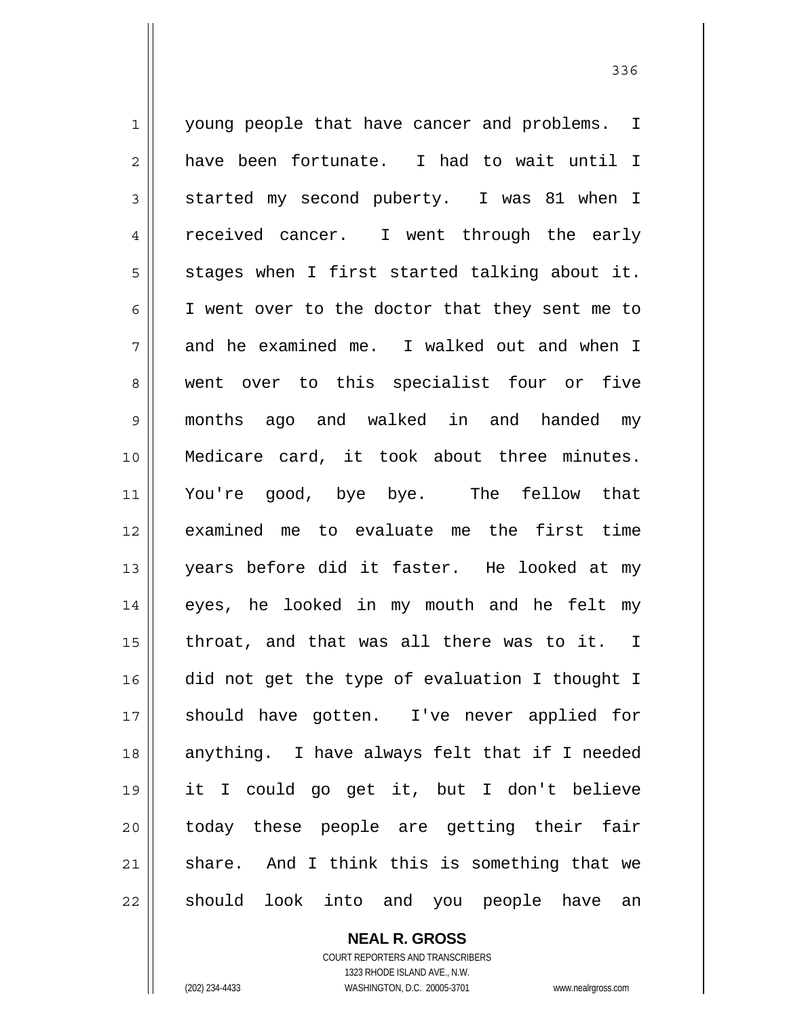1 2 3 4 5 6 7 8 9 10 11 12 13 14 15 16 17 18 19 20 21 22 young people that have cancer and problems. I have been fortunate. I had to wait until I started my second puberty. I was 81 when I received cancer. I went through the early stages when I first started talking about it. I went over to the doctor that they sent me to and he examined me. I walked out and when I went over to this specialist four or five months ago and walked in and handed my Medicare card, it took about three minutes. You're good, bye bye. The fellow that examined me to evaluate me the first time years before did it faster. He looked at my eyes, he looked in my mouth and he felt my throat, and that was all there was to it. I did not get the type of evaluation I thought I should have gotten. I've never applied for anything. I have always felt that if I needed it I could go get it, but I don't believe today these people are getting their fair share. And I think this is something that we should look into and you people have an

<u>336</u>

**NEAL R. GROSS** COURT REPORTERS AND TRANSCRIBERS 1323 RHODE ISLAND AVE., N.W. (202) 234-4433 WASHINGTON, D.C. 20005-3701 www.nealrgross.com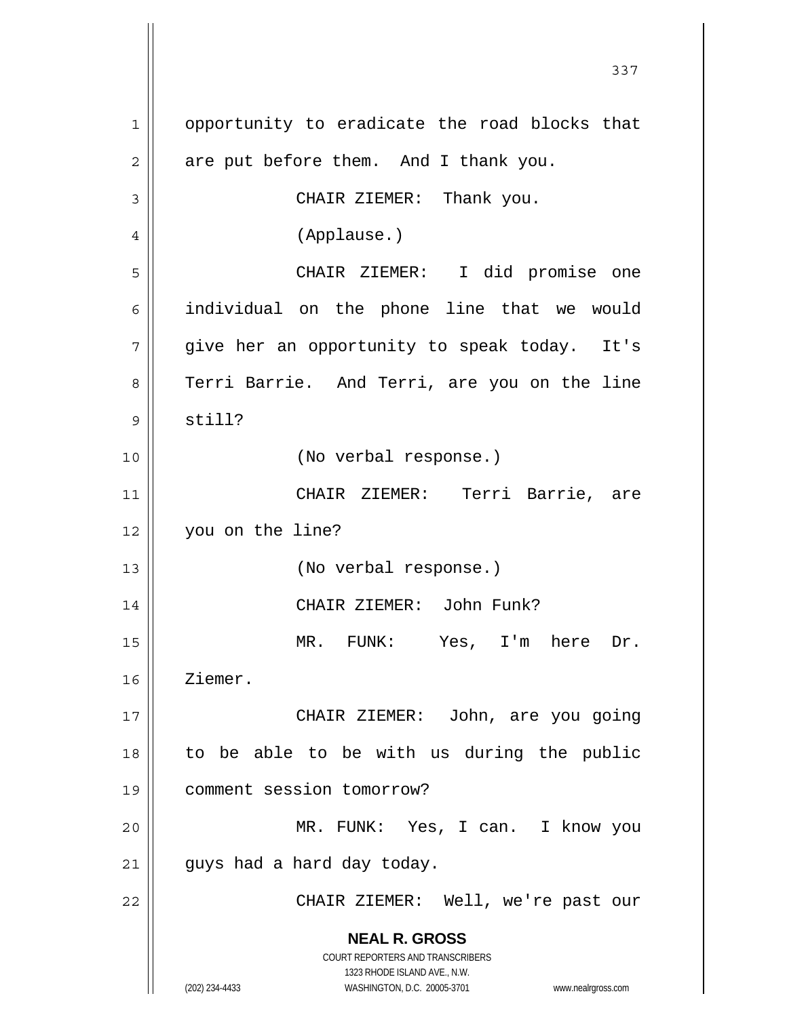**NEAL R. GROSS** COURT REPORTERS AND TRANSCRIBERS 1323 RHODE ISLAND AVE., N.W. (202) 234-4433 WASHINGTON, D.C. 20005-3701 www.nealrgross.com 1 2 3 4 5 6 7 8 9 10 11 12 13 14 15 16 17 18 19 20 21 22 opportunity to eradicate the road blocks that are put before them. And I thank you. CHAIR ZIEMER: Thank you. (Applause.) CHAIR ZIEMER: I did promise one individual on the phone line that we would give her an opportunity to speak today. It's Terri Barrie. And Terri, are you on the line still? (No verbal response.) CHAIR ZIEMER: Terri Barrie, are you on the line? (No verbal response.) CHAIR ZIEMER: John Funk? MR. FUNK: Yes, I'm here Dr. Ziemer. CHAIR ZIEMER: John, are you going to be able to be with us during the public comment session tomorrow? MR. FUNK: Yes, I can. I know you guys had a hard day today. CHAIR ZIEMER: Well, we're past our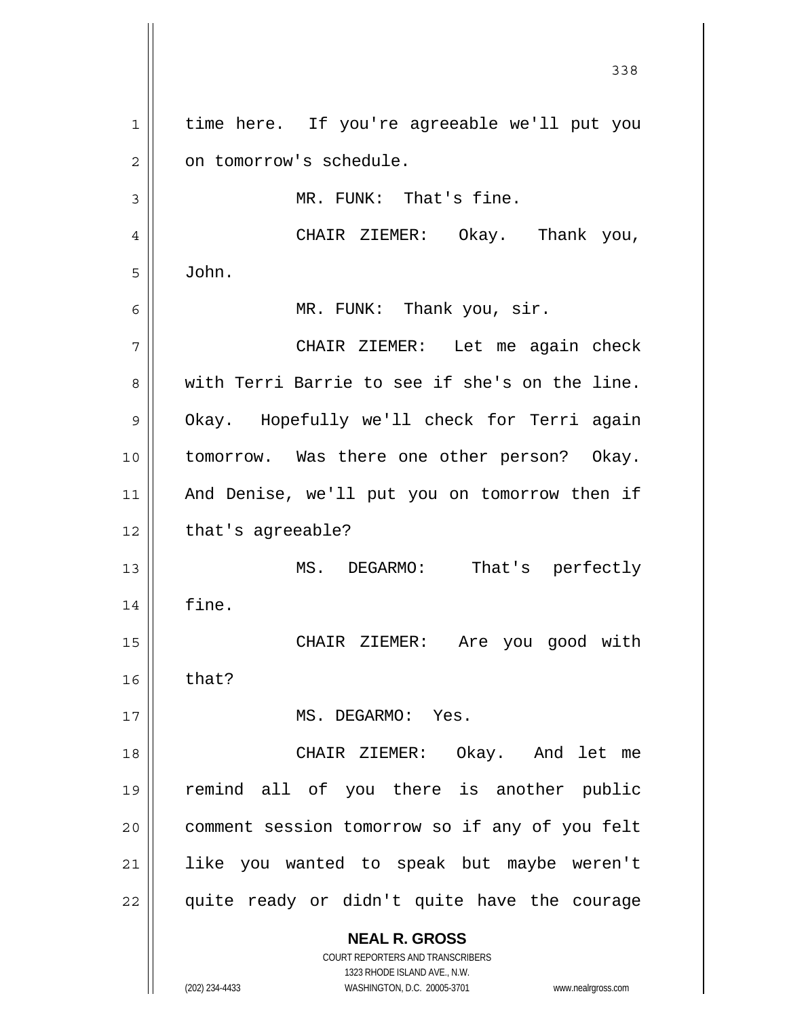**NEAL R. GROSS** COURT REPORTERS AND TRANSCRIBERS 1323 RHODE ISLAND AVE., N.W. <u>338</u> 1 2 3 4 5 6 7 8 9 10 11 12 13 14 15 16 17 18 19 20 21 22 time here. If you're agreeable we'll put you on tomorrow's schedule. MR. FUNK: That's fine. CHAIR ZIEMER: Okay. Thank you, John. MR. FUNK: Thank you, sir. CHAIR ZIEMER: Let me again check with Terri Barrie to see if she's on the line. Okay. Hopefully we'll check for Terri again tomorrow. Was there one other person? Okay. And Denise, we'll put you on tomorrow then if that's agreeable? MS. DEGARMO: That's perfectly fine. CHAIR ZIEMER: Are you good with that? MS. DEGARMO: Yes. CHAIR ZIEMER: Okay. And let me remind all of you there is another public comment session tomorrow so if any of you felt like you wanted to speak but maybe weren't quite ready or didn't quite have the courage